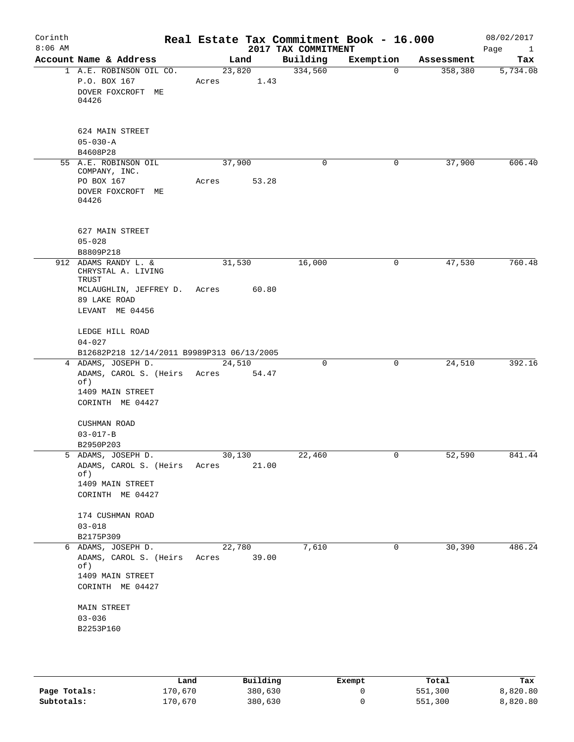| Corinth<br>$8:06$ AM |                                                                                                                      |                 |       | 2017 TAX COMMITMENT | Real Estate Tax Commitment Book - 16.000 |            | 08/02/2017<br>Page<br>$\mathbf{1}$ |
|----------------------|----------------------------------------------------------------------------------------------------------------------|-----------------|-------|---------------------|------------------------------------------|------------|------------------------------------|
|                      | Account Name & Address                                                                                               | Land            |       | Building            | Exemption                                | Assessment | Tax                                |
|                      | 1 A.E. ROBINSON OIL CO.<br>P.O. BOX 167<br>DOVER FOXCROFT ME<br>04426                                                | 23,820<br>Acres | 1.43  | 334,560             | $\mathbf 0$                              | 358,380    | 5,734.08                           |
|                      | 624 MAIN STREET<br>$05 - 030 - A$<br>B4608P28                                                                        |                 |       |                     |                                          |            |                                    |
|                      | 55 A.E. ROBINSON OIL                                                                                                 | 37,900          |       | 0                   | 0                                        | 37,900     | 606.40                             |
|                      | COMPANY, INC.<br>PO BOX 167<br>DOVER FOXCROFT ME<br>04426                                                            | Acres           | 53.28 |                     |                                          |            |                                    |
|                      | 627 MAIN STREET<br>$05 - 028$<br>B8809P218                                                                           |                 |       |                     |                                          |            |                                    |
|                      | 912 ADAMS RANDY L. &<br>CHRYSTAL A. LIVING<br>TRUST                                                                  | 31,530          |       | 16,000              | 0                                        | 47,530     | 760.48                             |
|                      | MCLAUGHLIN, JEFFREY D.<br>89 LAKE ROAD<br>LEVANT ME 04456                                                            | Acres           | 60.80 |                     |                                          |            |                                    |
|                      | LEDGE HILL ROAD<br>$04 - 027$<br>B12682P218 12/14/2011 B9989P313 06/13/2005                                          |                 |       |                     |                                          |            |                                    |
| $4\overline{ }$      | ADAMS, JOSEPH D.<br>ADAMS, CAROL S. (Heirs Acres<br>of)<br>1409 MAIN STREET<br>CORINTH ME 04427                      | 24,510          | 54.47 | 0                   | 0                                        | 24,510     | 392.16                             |
|                      | CUSHMAN ROAD<br>$03 - 017 - B$<br>B2950P203                                                                          |                 |       |                     |                                          |            |                                    |
|                      | 5 ADAMS, JOSEPH D.<br>ADAMS, CAROL S. (Heirs Acres<br>of)<br>1409 MAIN STREET<br>CORINTH ME 04427                    | 30,130          | 21.00 | 22,460              | $\overline{0}$                           | 52,590     | 841.44                             |
|                      | 174 CUSHMAN ROAD<br>$03 - 018$                                                                                       |                 |       |                     |                                          |            |                                    |
|                      | B2175P309<br>6 ADAMS, JOSEPH D.<br>ADAMS, CAROL S. (Heirs Acres 39.00<br>of)<br>1409 MAIN STREET<br>CORINTH ME 04427 | 22,780          |       | 7,610               | 0                                        | 30,390     | 486.24                             |
|                      | MAIN STREET<br>$03 - 036$<br>B2253P160                                                                               |                 |       |                     |                                          |            |                                    |
|                      |                                                                                                                      |                 |       |                     |                                          |            |                                    |

|              | Land    | Building | Exempt | Total   | Tax      |
|--------------|---------|----------|--------|---------|----------|
| Page Totals: | 170,670 | 380,630  |        | 551,300 | 8,820.80 |
| Subtotals:   | 170.670 | 380,630  |        | 551,300 | 8,820.80 |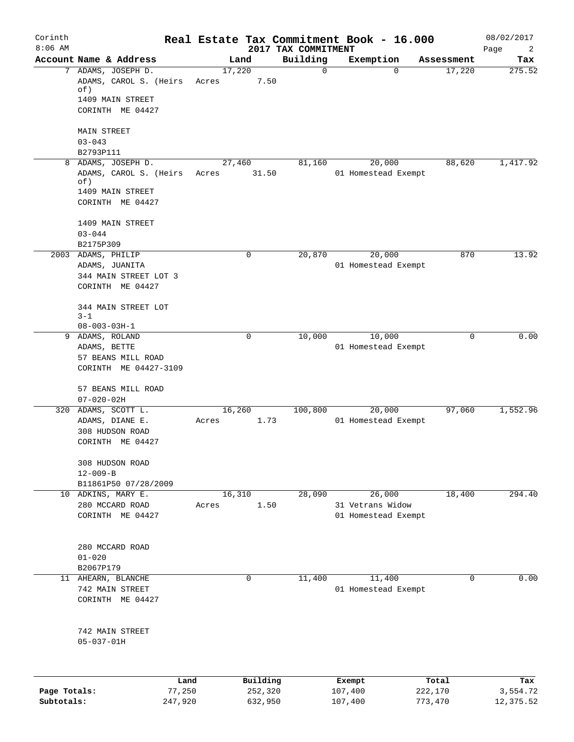| Corinth<br>$8:06$ AM       |                                                             |         |                    | 2017 TAX COMMITMENT | Real Estate Tax Commitment Book - 16.000 |                    | 08/02/2017<br>Page<br>2 |
|----------------------------|-------------------------------------------------------------|---------|--------------------|---------------------|------------------------------------------|--------------------|-------------------------|
|                            | Account Name & Address                                      |         | Land               | Building            | Exemption                                | Assessment         | Tax                     |
|                            | 7 ADAMS, JOSEPH D.                                          | 17,220  |                    | $\mathbf 0$         | $\Omega$                                 | 17,220             | 275.52                  |
|                            | ADAMS, CAROL S. (Heirs<br>of)                               | Acres   | 7.50               |                     |                                          |                    |                         |
|                            | 1409 MAIN STREET<br>CORINTH ME 04427                        |         |                    |                     |                                          |                    |                         |
|                            | <b>MAIN STREET</b>                                          |         |                    |                     |                                          |                    |                         |
|                            | $03 - 043$                                                  |         |                    |                     |                                          |                    |                         |
|                            | B2793P111<br>8 ADAMS, JOSEPH D.                             | 27,460  |                    | 81,160              | 20,000                                   | 88,620             | 1,417.92                |
|                            | ADAMS, CAROL S. (Heirs<br>of)                               | Acres   | 31.50              |                     | 01 Homestead Exempt                      |                    |                         |
|                            | 1409 MAIN STREET<br>CORINTH ME 04427                        |         |                    |                     |                                          |                    |                         |
|                            | 1409 MAIN STREET<br>$03 - 044$                              |         |                    |                     |                                          |                    |                         |
|                            | B2175P309                                                   |         |                    |                     |                                          |                    |                         |
|                            | 2003 ADAMS, PHILIP                                          |         | 0                  | 20,870              | 20,000                                   | 870                | 13.92                   |
|                            | ADAMS, JUANITA<br>344 MAIN STREET LOT 3<br>CORINTH ME 04427 |         |                    |                     | 01 Homestead Exempt                      |                    |                         |
|                            | 344 MAIN STREET LOT                                         |         |                    |                     |                                          |                    |                         |
|                            | $3 - 1$<br>$08 - 003 - 03H - 1$                             |         |                    |                     |                                          |                    |                         |
| 9                          | ADAMS, ROLAND                                               |         | 0                  | 10,000              | 10,000                                   | 0                  | 0.00                    |
|                            | ADAMS, BETTE                                                |         |                    |                     | 01 Homestead Exempt                      |                    |                         |
|                            | 57 BEANS MILL ROAD<br>CORINTH ME 04427-3109                 |         |                    |                     |                                          |                    |                         |
|                            | 57 BEANS MILL ROAD<br>$07 - 020 - 02H$                      |         |                    |                     |                                          |                    |                         |
|                            | 320 ADAMS, SCOTT L.                                         | 16, 260 |                    | 100,800             | 20,000                                   | 97,060             | 1,552.96                |
|                            | ADAMS, DIANE E.<br>308 HUDSON ROAD<br>CORINTH ME 04427      | Acres   | 1.73               |                     | 01 Homestead Exempt                      |                    |                         |
|                            | 308 HUDSON ROAD                                             |         |                    |                     |                                          |                    |                         |
|                            | $12 - 009 - B$<br>B11861P50 07/28/2009                      |         |                    |                     |                                          |                    |                         |
|                            | 10 ADKINS, MARY E.                                          |         | 16,310             | 28,090              | 26,000                                   | 18,400             | 294.40                  |
|                            | 280 MCCARD ROAD<br>CORINTH ME 04427                         | Acres   | 1.50               |                     | 31 Vetrans Widow<br>01 Homestead Exempt  |                    |                         |
|                            |                                                             |         |                    |                     |                                          |                    |                         |
|                            | 280 MCCARD ROAD                                             |         |                    |                     |                                          |                    |                         |
|                            | $01 - 020$<br>B2067P179                                     |         |                    |                     |                                          |                    |                         |
|                            | 11 AHEARN, BLANCHE                                          |         | 0                  | 11,400              | 11,400                                   | 0                  | 0.00                    |
|                            | 742 MAIN STREET                                             |         |                    |                     | 01 Homestead Exempt                      |                    |                         |
|                            | CORINTH ME 04427                                            |         |                    |                     |                                          |                    |                         |
|                            | 742 MAIN STREET<br>$05 - 037 - 01H$                         |         |                    |                     |                                          |                    |                         |
|                            |                                                             |         |                    |                     |                                          |                    |                         |
|                            | Land                                                        |         | Building           |                     | Exempt                                   | Total              | Tax                     |
| Page Totals:<br>Subtotals: | 77,250<br>247,920                                           |         | 252,320<br>632,950 |                     | 107,400<br>107,400                       | 222,170<br>773,470 | 3,554.72<br>12,375.52   |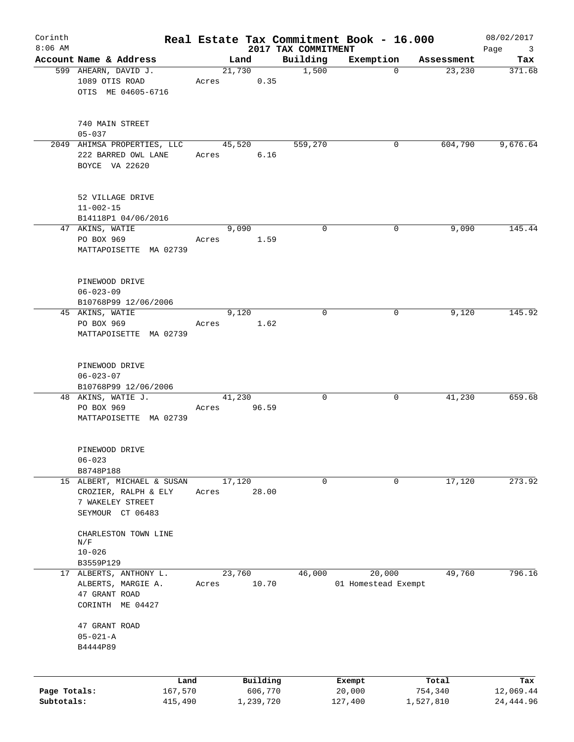| Corinth<br>$8:06$ AM |                                     |         |       |           |                                 | Real Estate Tax Commitment Book - 16.000 |            | 08/02/2017                             |
|----------------------|-------------------------------------|---------|-------|-----------|---------------------------------|------------------------------------------|------------|----------------------------------------|
|                      | Account Name & Address              |         |       | Land      | 2017 TAX COMMITMENT<br>Building | Exemption                                | Assessment | Page<br>$\overline{\mathbf{3}}$<br>Tax |
|                      | 599 AHEARN, DAVID J.                |         |       | 21,730    | 1,500                           | $\mathbf 0$                              | 23,230     | 371.68                                 |
|                      | 1089 OTIS ROAD                      |         | Acres | 0.35      |                                 |                                          |            |                                        |
|                      | OTIS ME 04605-6716                  |         |       |           |                                 |                                          |            |                                        |
|                      |                                     |         |       |           |                                 |                                          |            |                                        |
|                      | 740 MAIN STREET                     |         |       |           |                                 |                                          |            |                                        |
|                      | $05 - 037$                          |         |       |           |                                 |                                          |            |                                        |
|                      | 2049 AHIMSA PROPERTIES, LLC         |         |       | 45,520    | 559,270                         | 0                                        | 604,790    | 9,676.64                               |
|                      | 222 BARRED OWL LANE                 |         | Acres | $6.16$    |                                 |                                          |            |                                        |
|                      | BOYCE VA 22620                      |         |       |           |                                 |                                          |            |                                        |
|                      |                                     |         |       |           |                                 |                                          |            |                                        |
|                      | 52 VILLAGE DRIVE<br>$11 - 002 - 15$ |         |       |           |                                 |                                          |            |                                        |
|                      | B14118P1 04/06/2016                 |         |       |           |                                 |                                          |            |                                        |
|                      | 47 AKINS, WATIE                     |         |       | 9,090     | $\mathbf 0$                     | 0                                        | 9,090      | 145.44                                 |
|                      | PO BOX 969                          |         | Acres | 1.59      |                                 |                                          |            |                                        |
|                      | MATTAPOISETTE MA 02739              |         |       |           |                                 |                                          |            |                                        |
|                      |                                     |         |       |           |                                 |                                          |            |                                        |
|                      |                                     |         |       |           |                                 |                                          |            |                                        |
|                      | PINEWOOD DRIVE<br>$06 - 023 - 09$   |         |       |           |                                 |                                          |            |                                        |
|                      | B10768P99 12/06/2006                |         |       |           |                                 |                                          |            |                                        |
|                      | 45 AKINS, WATIE                     |         |       | 9,120     | $\mathbf 0$                     | 0                                        | 9,120      | 145.92                                 |
|                      | PO BOX 969                          |         | Acres | 1.62      |                                 |                                          |            |                                        |
|                      | MATTAPOISETTE MA 02739              |         |       |           |                                 |                                          |            |                                        |
|                      |                                     |         |       |           |                                 |                                          |            |                                        |
|                      | PINEWOOD DRIVE                      |         |       |           |                                 |                                          |            |                                        |
|                      | $06 - 023 - 07$                     |         |       |           |                                 |                                          |            |                                        |
|                      | B10768P99 12/06/2006                |         |       |           |                                 |                                          |            |                                        |
|                      | 48 AKINS, WATIE J.                  |         |       | 41,230    | $\mathbf 0$                     | 0                                        | 41,230     | 659.68                                 |
|                      | PO BOX 969                          |         | Acres | 96.59     |                                 |                                          |            |                                        |
|                      | MATTAPOISETTE MA 02739              |         |       |           |                                 |                                          |            |                                        |
|                      |                                     |         |       |           |                                 |                                          |            |                                        |
|                      | PINEWOOD DRIVE                      |         |       |           |                                 |                                          |            |                                        |
|                      | $06 - 023$                          |         |       |           |                                 |                                          |            |                                        |
|                      | B8748P188                           |         |       |           |                                 |                                          |            |                                        |
|                      | 15 ALBERT, MICHAEL & SUSAN          |         |       | 17,120    | 0                               | 0                                        | 17,120     | 273.92                                 |
|                      | CROZIER, RALPH & ELY                |         | Acres | 28.00     |                                 |                                          |            |                                        |
|                      | 7 WAKELEY STREET                    |         |       |           |                                 |                                          |            |                                        |
|                      | SEYMOUR CT 06483                    |         |       |           |                                 |                                          |            |                                        |
|                      | CHARLESTON TOWN LINE                |         |       |           |                                 |                                          |            |                                        |
|                      | N/F                                 |         |       |           |                                 |                                          |            |                                        |
|                      | $10 - 026$                          |         |       |           |                                 |                                          |            |                                        |
|                      | B3559P129<br>17 ALBERTS, ANTHONY L. |         |       | 23,760    | 46,000                          | 20,000                                   | 49,760     | 796.16                                 |
|                      | ALBERTS, MARGIE A.                  |         | Acres | 10.70     |                                 | 01 Homestead Exempt                      |            |                                        |
|                      | 47 GRANT ROAD                       |         |       |           |                                 |                                          |            |                                        |
|                      | CORINTH ME 04427                    |         |       |           |                                 |                                          |            |                                        |
|                      |                                     |         |       |           |                                 |                                          |            |                                        |
|                      | 47 GRANT ROAD                       |         |       |           |                                 |                                          |            |                                        |
|                      | $05 - 021 - A$                      |         |       |           |                                 |                                          |            |                                        |
|                      | B4444P89                            |         |       |           |                                 |                                          |            |                                        |
|                      |                                     |         |       |           |                                 |                                          |            |                                        |
|                      |                                     | Land    |       | Building  |                                 | Exempt                                   | Total      | Tax                                    |
| Page Totals:         |                                     | 167,570 |       | 606,770   |                                 | 20,000                                   | 754,340    | 12,069.44                              |
| Subtotals:           |                                     | 415,490 |       | 1,239,720 |                                 | 127,400                                  | 1,527,810  | 24, 444.96                             |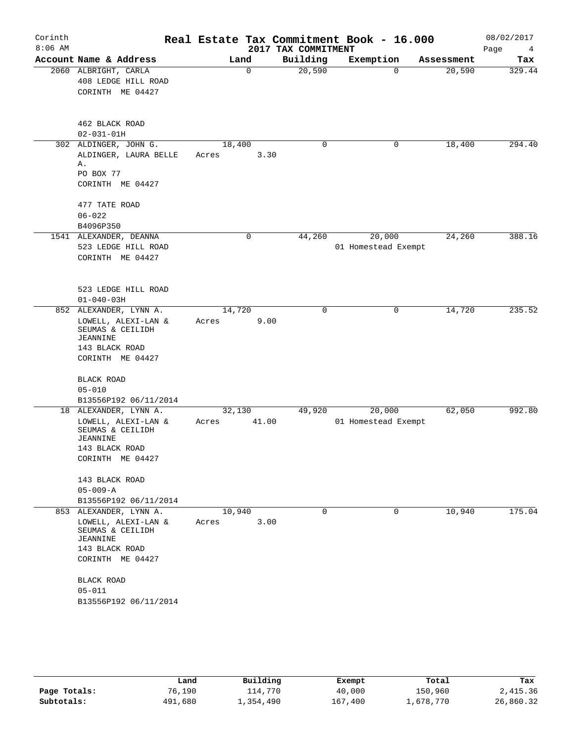| Corinth<br>$8:06$ AM |                                                                                                                                                                                 |                          | 2017 TAX COMMITMENT | Real Estate Tax Commitment Book - 16.000 |            | 08/02/2017<br>Page<br>4 |
|----------------------|---------------------------------------------------------------------------------------------------------------------------------------------------------------------------------|--------------------------|---------------------|------------------------------------------|------------|-------------------------|
|                      | Account Name & Address                                                                                                                                                          | Land                     | Building            | Exemption                                | Assessment | Tax                     |
|                      | 2060 ALBRIGHT, CARLA<br>408 LEDGE HILL ROAD<br>CORINTH ME 04427                                                                                                                 | $\mathbf 0$              | 20,590              | $\Omega$                                 | 20,590     | 329.44                  |
|                      | 462 BLACK ROAD<br>$02 - 031 - 01H$                                                                                                                                              |                          |                     |                                          |            |                         |
|                      | 302 ALDINGER, JOHN G.<br>ALDINGER, LAURA BELLE<br>Α.<br>PO BOX 77<br>CORINTH ME 04427                                                                                           | 18,400<br>3.30<br>Acres  | 0                   | 0                                        | 18,400     | 294.40                  |
|                      | 477 TATE ROAD<br>$06 - 022$<br>B4096P350                                                                                                                                        |                          |                     |                                          |            |                         |
|                      | 1541 ALEXANDER, DEANNA<br>523 LEDGE HILL ROAD<br>CORINTH ME 04427                                                                                                               | 0                        | 44,260              | 20,000<br>01 Homestead Exempt            | 24,260     | 388.16                  |
|                      | 523 LEDGE HILL ROAD<br>$01 - 040 - 03H$                                                                                                                                         |                          |                     |                                          |            |                         |
|                      | 852 ALEXANDER, LYNN A.<br>LOWELL, ALEXI-LAN &<br>SEUMAS & CEILIDH<br>JEANNINE<br>143 BLACK ROAD<br>CORINTH ME 04427                                                             | 14,720<br>9.00<br>Acres  | 0                   | 0                                        | 14,720     | 235.52                  |
|                      | BLACK ROAD<br>$05 - 010$<br>B13556P192 06/11/2014                                                                                                                               |                          |                     |                                          |            |                         |
|                      | 18 ALEXANDER, LYNN A.<br>LOWELL, ALEXI-LAN &<br>SEUMAS & CEILIDH<br>JEANNINE<br>143 BLACK ROAD<br>CORINTH ME 04427                                                              | 32,130<br>41.00<br>Acres | 49,920              | 20,000<br>01 Homestead Exempt            | 62,050     | 992.80                  |
|                      | 143 BLACK ROAD<br>$05 - 009 - A$<br>B13556P192 06/11/2014                                                                                                                       |                          |                     |                                          |            |                         |
|                      | 853 ALEXANDER, LYNN A.<br>LOWELL, ALEXI-LAN &<br>SEUMAS & CEILIDH<br><b>JEANNINE</b><br>143 BLACK ROAD<br>CORINTH ME 04427<br>BLACK ROAD<br>$05 - 011$<br>B13556P192 06/11/2014 | 10,940<br>3.00<br>Acres  | 0                   | 0                                        | 10,940     | 175.04                  |

|              | Land    | Building  | Exempt  | Total     | Tax       |
|--------------|---------|-----------|---------|-----------|-----------|
| Page Totals: | 76,190  | 114,770   | 40,000  | 150,960   | 2,415.36  |
| Subtotals:   | 491,680 | 1,354,490 | 167,400 | 1,678,770 | 26,860.32 |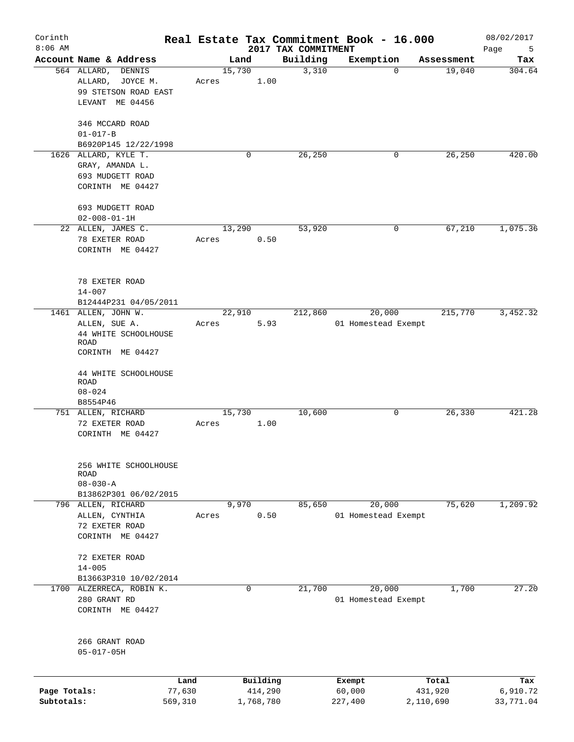| Corinth<br>$8:06$ AM |                                                                                 |                 |                     | 2017 TAX COMMITMENT | Real Estate Tax Commitment Book - 16.000 |                  | 08/02/2017       |
|----------------------|---------------------------------------------------------------------------------|-----------------|---------------------|---------------------|------------------------------------------|------------------|------------------|
|                      | Account Name & Address                                                          |                 | Land                | Building            | Exemption                                | Assessment       | Page<br>5<br>Tax |
|                      | 564 ALLARD,<br><b>DENNIS</b><br>JOYCE M.<br>ALLARD,                             | 15,730<br>Acres | 1.00                | 3,310               | $\mathbf 0$                              | 19,040           | 304.64           |
|                      | 99 STETSON ROAD EAST<br>LEVANT ME 04456                                         |                 |                     |                     |                                          |                  |                  |
|                      | 346 MCCARD ROAD<br>$01 - 017 - B$                                               |                 |                     |                     |                                          |                  |                  |
|                      | B6920P145 12/22/1998                                                            |                 |                     |                     |                                          |                  |                  |
|                      | 1626 ALLARD, KYLE T.<br>GRAY, AMANDA L.<br>693 MUDGETT ROAD<br>CORINTH ME 04427 |                 | 0                   | 26,250              | 0                                        | 26,250           | 420.00           |
|                      | 693 MUDGETT ROAD<br>$02 - 008 - 01 - 1H$                                        |                 |                     |                     |                                          |                  |                  |
|                      | 22 ALLEN, JAMES C.                                                              |                 | 13,290              | 53,920              | 0                                        | 67,210           | 1,075.36         |
|                      | 78 EXETER ROAD<br>CORINTH ME 04427                                              | Acres           | 0.50                |                     |                                          |                  |                  |
|                      | 78 EXETER ROAD<br>$14 - 007$                                                    |                 |                     |                     |                                          |                  |                  |
|                      | B12444P231 04/05/2011<br>1461 ALLEN, JOHN W.                                    |                 | 22,910              | 212,860             | 20,000                                   | 215,770          | 3,452.32         |
|                      | ALLEN, SUE A.<br>44 WHITE SCHOOLHOUSE<br><b>ROAD</b>                            | Acres           | 5.93                |                     | 01 Homestead Exempt                      |                  |                  |
|                      | CORINTH ME 04427                                                                |                 |                     |                     |                                          |                  |                  |
|                      | 44 WHITE SCHOOLHOUSE<br>ROAD<br>$08 - 024$                                      |                 |                     |                     |                                          |                  |                  |
|                      | B8554P46                                                                        |                 |                     | 10,600              |                                          | 26, 330          | 421.28           |
|                      | 751 ALLEN, RICHARD<br>72 EXETER ROAD<br>CORINTH ME 04427                        | Acres           | 15,730<br>1.00      |                     | 0                                        |                  |                  |
|                      | 256 WHITE SCHOOLHOUSE<br><b>ROAD</b><br>$08 - 030 - A$                          |                 |                     |                     |                                          |                  |                  |
|                      | B13862P301 06/02/2015                                                           |                 |                     |                     |                                          |                  |                  |
|                      | 796 ALLEN, RICHARD<br>ALLEN, CYNTHIA                                            | Acres           | 9,970<br>0.50       | 85,650              | 20,000<br>01 Homestead Exempt            | 75,620           | 1,209.92         |
|                      | 72 EXETER ROAD<br>CORINTH ME 04427                                              |                 |                     |                     |                                          |                  |                  |
|                      | 72 EXETER ROAD<br>$14 - 005$                                                    |                 |                     |                     |                                          |                  |                  |
|                      | B13663P310 10/02/2014                                                           |                 |                     |                     |                                          |                  |                  |
| 1700                 | ALZERRECA, ROBIN K.<br>280 GRANT RD<br>CORINTH ME 04427                         |                 | 0                   | 21,700              | 20,000<br>01 Homestead Exempt            | 1,700            | 27.20            |
|                      | 266 GRANT ROAD<br>$05 - 017 - 05H$                                              |                 |                     |                     |                                          |                  |                  |
|                      |                                                                                 |                 |                     |                     |                                          |                  |                  |
| Page Totals:         | 77,630                                                                          | Land            | Building<br>414,290 |                     | Exempt<br>60,000                         | Total<br>431,920 | Tax<br>6,910.72  |
| Subtotals:           | 569,310                                                                         |                 | 1,768,780           |                     | 227,400                                  | 2,110,690        | 33,771.04        |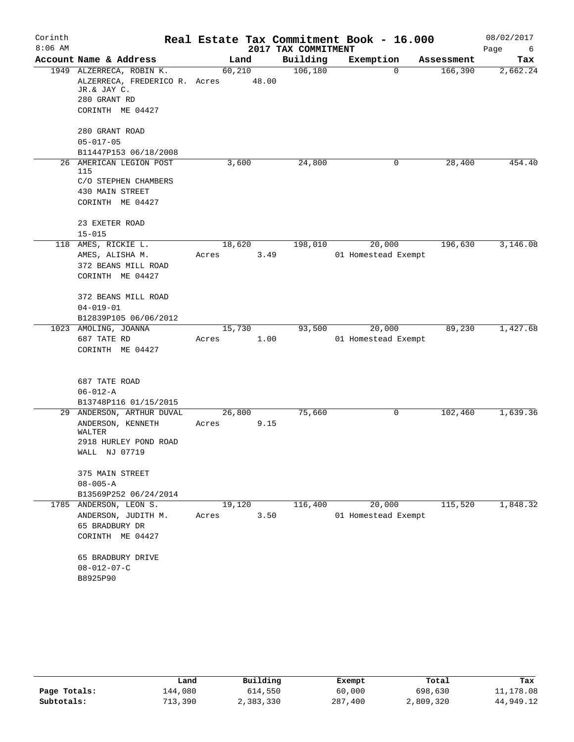| Corinth   |                                                                                          |                 |       |                     | Real Estate Tax Commitment Book - 16.000 |            | 08/02/2017  |
|-----------|------------------------------------------------------------------------------------------|-----------------|-------|---------------------|------------------------------------------|------------|-------------|
| $8:06$ AM |                                                                                          |                 |       | 2017 TAX COMMITMENT |                                          |            | Page<br>- 6 |
|           | Account Name & Address                                                                   | Land            |       | Building            | Exemption                                | Assessment | Tax         |
|           | 1949 ALZERRECA, ROBIN K.<br>ALZERRECA, FREDERICO R. Acres<br>JR.& JAY C.<br>280 GRANT RD | 60,210          | 48.00 | 106, 180            | $\Omega$                                 | 166,390    | 2,662.24    |
|           | CORINTH ME 04427                                                                         |                 |       |                     |                                          |            |             |
|           | 280 GRANT ROAD                                                                           |                 |       |                     |                                          |            |             |
|           | $05 - 017 - 05$                                                                          |                 |       |                     |                                          |            |             |
|           | B11447P153 06/18/2008<br>26 AMERICAN LEGION POST                                         | 3,600           |       | 24,800              | 0                                        | 28,400     | 454.40      |
|           | 115                                                                                      |                 |       |                     |                                          |            |             |
|           | C/O STEPHEN CHAMBERS                                                                     |                 |       |                     |                                          |            |             |
|           | 430 MAIN STREET                                                                          |                 |       |                     |                                          |            |             |
|           | CORINTH ME 04427                                                                         |                 |       |                     |                                          |            |             |
|           | 23 EXETER ROAD                                                                           |                 |       |                     |                                          |            |             |
|           | $15 - 015$                                                                               |                 |       |                     |                                          |            |             |
|           | 118 AMES, RICKIE L.                                                                      | 18,620<br>Acres | 3.49  | 198,010             | 20,000<br>01 Homestead Exempt            | 196,630    | 3,146.08    |
|           | AMES, ALISHA M.<br>372 BEANS MILL ROAD                                                   |                 |       |                     |                                          |            |             |
|           | CORINTH ME 04427                                                                         |                 |       |                     |                                          |            |             |
|           |                                                                                          |                 |       |                     |                                          |            |             |
|           | 372 BEANS MILL ROAD                                                                      |                 |       |                     |                                          |            |             |
|           | $04 - 019 - 01$                                                                          |                 |       |                     |                                          |            |             |
|           | B12839P105 06/06/2012                                                                    |                 |       |                     |                                          |            |             |
|           | 1023 AMOLING, JOANNA                                                                     | 15, 730         |       | 93,500              | 20,000                                   | 89,230     | 1,427.68    |
|           | 687 TATE RD                                                                              | Acres           | 1.00  |                     | 01 Homestead Exempt                      |            |             |
|           | CORINTH ME 04427                                                                         |                 |       |                     |                                          |            |             |
|           | 687 TATE ROAD                                                                            |                 |       |                     |                                          |            |             |
|           | $06 - 012 - A$                                                                           |                 |       |                     |                                          |            |             |
|           | B13748P116 01/15/2015                                                                    |                 |       |                     |                                          |            |             |
| 29        | ANDERSON, ARTHUR DUVAL                                                                   | 26,800          |       | 75,660              | 0                                        | 102,460    | 1,639.36    |
|           | ANDERSON, KENNETH<br>WALTER                                                              | Acres           | 9.15  |                     |                                          |            |             |
|           | 2918 HURLEY POND ROAD                                                                    |                 |       |                     |                                          |            |             |
|           | WALL NJ 07719                                                                            |                 |       |                     |                                          |            |             |
|           | 375 MAIN STREET                                                                          |                 |       |                     |                                          |            |             |
|           | $08 - 005 - A$                                                                           |                 |       |                     |                                          |            |             |
|           | B13569P252 06/24/2014                                                                    |                 |       |                     |                                          |            |             |
|           | 1785 ANDERSON, LEON S.                                                                   | 19,120          |       | 116,400             | 20,000                                   | 115,520    | 1,848.32    |
|           | ANDERSON, JUDITH M.                                                                      | Acres           | 3.50  |                     | 01 Homestead Exempt                      |            |             |
|           | 65 BRADBURY DR                                                                           |                 |       |                     |                                          |            |             |
|           | CORINTH ME 04427                                                                         |                 |       |                     |                                          |            |             |
|           | 65 BRADBURY DRIVE                                                                        |                 |       |                     |                                          |            |             |
|           | $08 - 012 - 07 - C$                                                                      |                 |       |                     |                                          |            |             |
|           | B8925P90                                                                                 |                 |       |                     |                                          |            |             |

|              | Land    | Building  | Exempt  | Total     | Tax       |
|--------------|---------|-----------|---------|-----------|-----------|
| Page Totals: | 144.080 | 614,550   | 60,000  | 698,630   | 11,178.08 |
| Subtotals:   | 713,390 | 2,383,330 | 287,400 | 2,809,320 | 44,949.12 |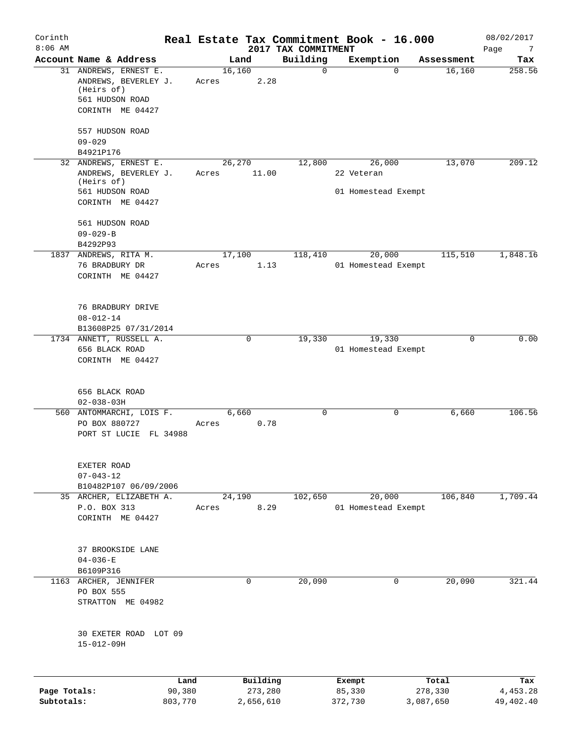| Corinth<br>$8:06$ AM       |                                                                                                    |        |                      | 2017 TAX COMMITMENT | Real Estate Tax Commitment Book - 16.000 |                      | 08/02/2017<br>Page<br>7 |
|----------------------------|----------------------------------------------------------------------------------------------------|--------|----------------------|---------------------|------------------------------------------|----------------------|-------------------------|
|                            | Account Name & Address                                                                             |        | Land                 | Building            | Exemption                                | Assessment           | Tax                     |
|                            | 31 ANDREWS, ERNEST E.<br>ANDREWS, BEVERLEY J.<br>(Heirs of)<br>561 HUDSON ROAD<br>CORINTH ME 04427 | Acres  | 16,160<br>2.28       | 0                   | $\Omega$                                 | 16,160               | 258.56                  |
|                            |                                                                                                    |        |                      |                     |                                          |                      |                         |
|                            | 557 HUDSON ROAD<br>$09 - 029$                                                                      |        |                      |                     |                                          |                      |                         |
|                            | B4921P176                                                                                          |        |                      |                     |                                          |                      |                         |
|                            | 32 ANDREWS, ERNEST E.                                                                              |        | 26,270               | 12,800              | 26,000                                   | 13,070               | 209.12                  |
|                            | ANDREWS, BEVERLEY J.<br>(Heirs of)                                                                 | Acres  | 11.00                |                     | 22 Veteran                               |                      |                         |
|                            | 561 HUDSON ROAD                                                                                    |        |                      |                     | 01 Homestead Exempt                      |                      |                         |
|                            | CORINTH ME 04427                                                                                   |        |                      |                     |                                          |                      |                         |
|                            | 561 HUDSON ROAD                                                                                    |        |                      |                     |                                          |                      |                         |
|                            | $09 - 029 - B$                                                                                     |        |                      |                     |                                          |                      |                         |
|                            | B4292P93                                                                                           |        |                      |                     |                                          |                      |                         |
|                            | 1837 ANDREWS, RITA M.<br>76 BRADBURY DR                                                            | Acres  | 17,100<br>1.13       | 118,410             | 20,000<br>01 Homestead Exempt            | 115,510              | 1,848.16                |
|                            | CORINTH ME 04427                                                                                   |        |                      |                     |                                          |                      |                         |
|                            | 76 BRADBURY DRIVE                                                                                  |        |                      |                     |                                          |                      |                         |
|                            | $08 - 012 - 14$                                                                                    |        |                      |                     |                                          |                      |                         |
|                            | B13608P25 07/31/2014                                                                               |        |                      |                     |                                          |                      |                         |
|                            | 1734 ANNETT, RUSSELL A.<br>656 BLACK ROAD                                                          |        | 0                    | 19,330              | 19,330<br>01 Homestead Exempt            | $\mathbf 0$          | 0.00                    |
|                            | CORINTH ME 04427                                                                                   |        |                      |                     |                                          |                      |                         |
|                            | 656 BLACK ROAD                                                                                     |        |                      |                     |                                          |                      |                         |
|                            | $02 - 038 - 03H$<br>560 ANTOMMARCHI, LOIS F.                                                       |        | 6,660                | 0                   | 0                                        | 6,660                | 106.56                  |
|                            | PO BOX 880727<br>PORT ST LUCIE FL 34988                                                            | Acres  | 0.78                 |                     |                                          |                      |                         |
|                            | EXETER ROAD                                                                                        |        |                      |                     |                                          |                      |                         |
|                            | $07 - 043 - 12$                                                                                    |        |                      |                     |                                          |                      |                         |
|                            | B10482P107 06/09/2006<br>35 ARCHER, ELIZABETH A.                                                   |        | 24,190               | 102,650             | 20,000                                   | 106,840              | 1,709.44                |
|                            | P.O. BOX 313                                                                                       | Acres  | 8.29                 |                     | 01 Homestead Exempt                      |                      |                         |
|                            | CORINTH ME 04427                                                                                   |        |                      |                     |                                          |                      |                         |
|                            | 37 BROOKSIDE LANE                                                                                  |        |                      |                     |                                          |                      |                         |
|                            | $04 - 036 - E$                                                                                     |        |                      |                     |                                          |                      |                         |
|                            | B6109P316                                                                                          |        |                      |                     |                                          |                      |                         |
| 1163                       | ARCHER, JENNIFER<br>PO BOX 555                                                                     |        | 0                    | 20,090              | 0                                        | 20,090               | 321.44                  |
|                            | STRATTON ME 04982                                                                                  |        |                      |                     |                                          |                      |                         |
|                            | 30 EXETER ROAD LOT 09<br>15-012-09H                                                                |        |                      |                     |                                          |                      |                         |
|                            |                                                                                                    |        |                      |                     |                                          |                      |                         |
|                            |                                                                                                    | Land   | Building             |                     | Exempt                                   | Total                | Tax                     |
| Page Totals:<br>Subtotals: | 803,770                                                                                            | 90,380 | 273,280<br>2,656,610 |                     | 85,330<br>372,730                        | 278,330<br>3,087,650 | 4,453.28<br>49, 402. 40 |
|                            |                                                                                                    |        |                      |                     |                                          |                      |                         |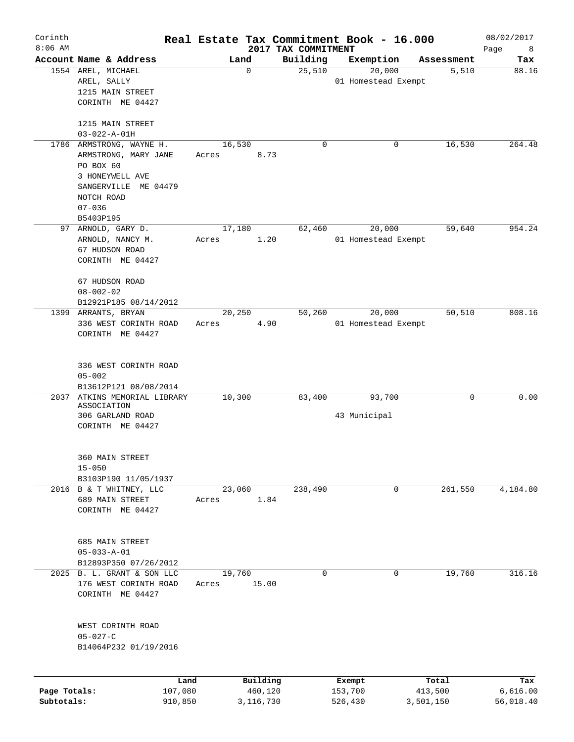| Corinth<br>$8:06$ AM |                                                                                  |       |                     |                                 | Real Estate Tax Commitment Book - 16.000 |                  | 08/02/2017       |
|----------------------|----------------------------------------------------------------------------------|-------|---------------------|---------------------------------|------------------------------------------|------------------|------------------|
|                      | Account Name & Address                                                           |       | Land                | 2017 TAX COMMITMENT<br>Building | Exemption                                | Assessment       | Page<br>8<br>Tax |
|                      | 1554 AREL, MICHAEL<br>AREL, SALLY                                                |       | $\mathbf 0$         | 25,510                          | 20,000<br>01 Homestead Exempt            | 5,510            | 88.16            |
|                      | 1215 MAIN STREET<br>CORINTH ME 04427                                             |       |                     |                                 |                                          |                  |                  |
|                      | 1215 MAIN STREET<br>$03 - 022 - A - 01H$                                         |       |                     |                                 |                                          |                  |                  |
|                      | 1786 ARMSTRONG, WAYNE H.<br>ARMSTRONG, MARY JANE<br>PO BOX 60<br>3 HONEYWELL AVE | Acres | 16,530<br>8.73      | 0                               | 0                                        | 16,530           | 264.48           |
|                      | SANGERVILLE ME 04479<br>NOTCH ROAD<br>$07 - 036$                                 |       |                     |                                 |                                          |                  |                  |
|                      | B5403P195<br>97 ARNOLD, GARY D.                                                  |       | 17,180              | 62,460                          | 20,000                                   | 59,640           | 954.24           |
|                      | ARNOLD, NANCY M.<br>67 HUDSON ROAD<br>CORINTH ME 04427                           | Acres | 1.20                |                                 | 01 Homestead Exempt                      |                  |                  |
|                      | 67 HUDSON ROAD<br>$08 - 002 - 02$<br>B12921P185 08/14/2012                       |       |                     |                                 |                                          |                  |                  |
|                      | 1399 ARRANTS, BRYAN                                                              |       | 20,250              | 50,260                          | 20,000                                   | 50,510           | 808.16           |
|                      | 336 WEST CORINTH ROAD<br>CORINTH ME 04427                                        | Acres | 4.90                |                                 | 01 Homestead Exempt                      |                  |                  |
|                      | 336 WEST CORINTH ROAD<br>$05 - 002$<br>B13612P121 08/08/2014                     |       |                     |                                 |                                          |                  |                  |
| 2037                 | ATKINS MEMORIAL LIBRARY                                                          |       | 10,300              | 83,400                          | 93,700                                   | 0                | 0.00             |
|                      | ASSOCIATION<br>306 GARLAND ROAD<br>CORINTH ME 04427                              |       |                     |                                 | 43 Municipal                             |                  |                  |
|                      | 360 MAIN STREET<br>$15 - 050$<br>B3103P190 11/05/1937                            |       |                     |                                 |                                          |                  |                  |
|                      | 2016 B & T WHITNEY, LLC                                                          |       | 23,060              | 238,490                         | 0                                        | 261,550          | 4,184.80         |
|                      | 689 MAIN STREET<br>CORINTH ME 04427                                              | Acres | 1.84                |                                 |                                          |                  |                  |
|                      | 685 MAIN STREET<br>$05 - 033 - A - 01$                                           |       |                     |                                 |                                          |                  |                  |
|                      | B12893P350 07/26/2012<br>2025 B. L. GRANT & SON LLC                              |       | 19,760              | $\Omega$                        | 0                                        | 19,760           | 316.16           |
|                      | 176 WEST CORINTH ROAD<br>CORINTH ME 04427                                        | Acres | 15.00               |                                 |                                          |                  |                  |
|                      | WEST CORINTH ROAD<br>$05 - 027 - C$<br>B14064P232 01/19/2016                     |       |                     |                                 |                                          |                  |                  |
| Page Totals:         | 107,080                                                                          | Land  | Building<br>460,120 |                                 | Exempt<br>153,700                        | Total<br>413,500 | Tax<br>6,616.00  |
| Subtotals:           | 910,850                                                                          |       | 3,116,730           |                                 | 526,430                                  | 3,501,150        | 56,018.40        |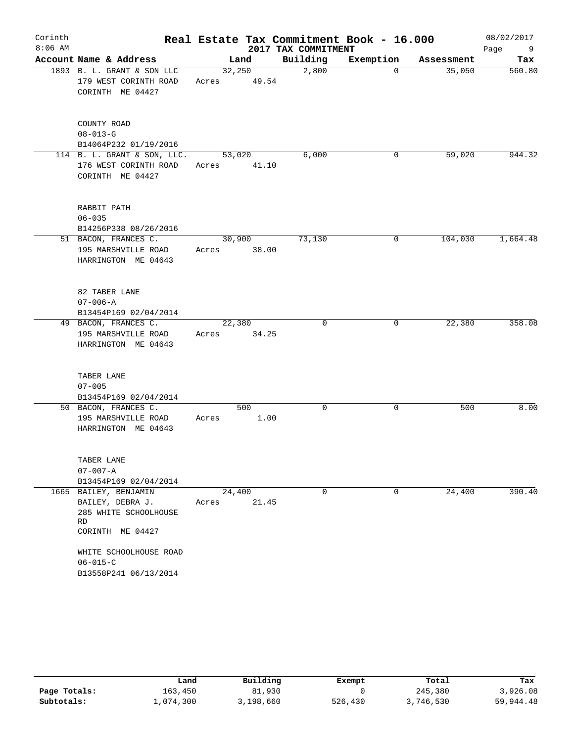| Corinth<br>$8:06$ AM |                                                                                              |                 |             | 2017 TAX COMMITMENT | Real Estate Tax Commitment Book - 16.000 |            | 08/02/2017<br>Page<br>9 |
|----------------------|----------------------------------------------------------------------------------------------|-----------------|-------------|---------------------|------------------------------------------|------------|-------------------------|
|                      | Account Name & Address                                                                       |                 | Land        | Building            | Exemption                                | Assessment | Tax                     |
|                      | 1893 B. L. GRANT & SON LLC<br>179 WEST CORINTH ROAD<br>CORINTH ME 04427                      | 32,250<br>Acres | 49.54       | 2,800               | $\Omega$                                 | 35,050     | 560.80                  |
|                      | COUNTY ROAD<br>$08 - 013 - G$<br>B14064P232 01/19/2016                                       |                 |             |                     |                                          |            |                         |
|                      | 114 B. L. GRANT & SON, LLC.<br>176 WEST CORINTH ROAD<br>CORINTH ME 04427                     | 53,020<br>Acres | 41.10       | 6,000               | 0                                        | 59,020     | 944.32                  |
|                      | RABBIT PATH<br>$06 - 035$<br>B14256P338 08/26/2016                                           |                 |             |                     |                                          |            |                         |
|                      | 51 BACON, FRANCES C.<br>195 MARSHVILLE ROAD<br>HARRINGTON ME 04643                           | 30,900<br>Acres | 38.00       | 73,130              | 0                                        | 104,030    | 1,664.48                |
|                      | 82 TABER LANE<br>$07 - 006 - A$<br>B13454P169 02/04/2014                                     |                 |             |                     |                                          |            |                         |
|                      | 49 BACON, FRANCES C.<br>195 MARSHVILLE ROAD<br>HARRINGTON ME 04643                           | 22,380<br>Acres | 34.25       | 0                   | 0                                        | 22,380     | 358.08                  |
|                      | TABER LANE<br>$07 - 005$<br>B13454P169 02/04/2014                                            |                 |             |                     |                                          |            |                         |
|                      | 50 BACON, FRANCES C.<br>195 MARSHVILLE ROAD<br>HARRINGTON ME 04643                           | Acres           | 500<br>1.00 | 0                   | 0                                        | 500        | 8.00                    |
|                      | TABER LANE<br>$07 - 007 - A$<br>B13454P169 02/04/2014                                        |                 |             |                     |                                          |            |                         |
|                      | 1665 BAILEY, BENJAMIN<br>BAILEY, DEBRA J.<br>285 WHITE SCHOOLHOUSE<br>RD<br>CORINTH ME 04427 | 24,400<br>Acres | 21.45       | 0                   | 0                                        | 24,400     | 390.40                  |
|                      | WHITE SCHOOLHOUSE ROAD<br>$06 - 015 - C$<br>B13558P241 06/13/2014                            |                 |             |                     |                                          |            |                         |

|              | Land      | Building  | Exempt  | Total     | Tax       |
|--------------|-----------|-----------|---------|-----------|-----------|
| Page Totals: | 163.450   | 81,930    |         | 245,380   | 3,926.08  |
| Subtotals:   | L.074.300 | 3,198,660 | 526,430 | 3,746,530 | 59,944.48 |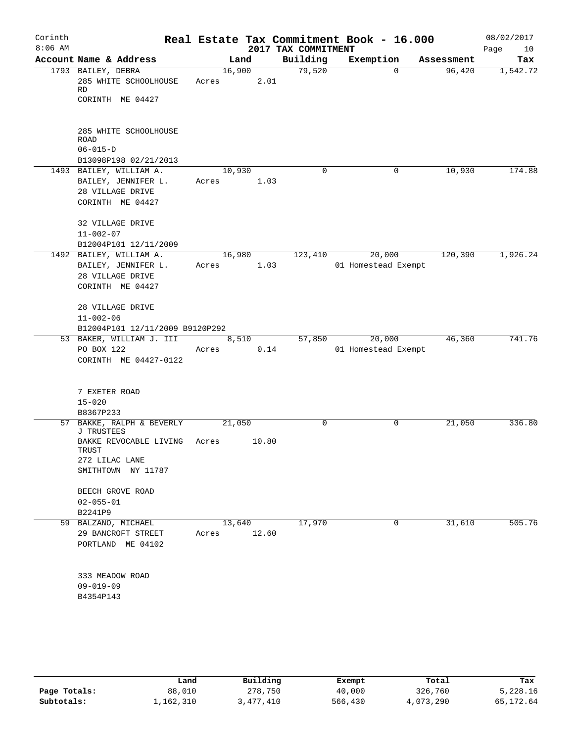| Corinth<br>$8:06$ AM |                                                                       |                 |       | 2017 TAX COMMITMENT | Real Estate Tax Commitment Book - 16.000 |            | 08/02/2017<br>Page<br>10 |
|----------------------|-----------------------------------------------------------------------|-----------------|-------|---------------------|------------------------------------------|------------|--------------------------|
|                      | Account Name & Address                                                |                 | Land  | Building            | Exemption                                | Assessment | Tax                      |
|                      | 1793 BAILEY, DEBRA<br>285 WHITE SCHOOLHOUSE<br>RD<br>CORINTH ME 04427 | 16,900<br>Acres | 2.01  | 79,520              | 0                                        | 96,420     | 1,542.72                 |
|                      | 285 WHITE SCHOOLHOUSE<br><b>ROAD</b>                                  |                 |       |                     |                                          |            |                          |
|                      | $06 - 015 - D$<br>B13098P198 02/21/2013                               |                 |       |                     |                                          |            |                          |
|                      | 1493 BAILEY, WILLIAM A.                                               | 10,930          |       | 0                   | 0                                        | 10,930     | 174.88                   |
|                      | BAILEY, JENNIFER L.<br>28 VILLAGE DRIVE<br>CORINTH ME 04427           | Acres           | 1.03  |                     |                                          |            |                          |
|                      | 32 VILLAGE DRIVE<br>$11 - 002 - 07$<br>B12004P101 12/11/2009          |                 |       |                     |                                          |            |                          |
|                      | 1492 BAILEY, WILLIAM A.<br>BAILEY, JENNIFER L.                        | 16,980<br>Acres | 1.03  | 123,410             | 20,000<br>01 Homestead Exempt            | 120,390    | 1,926.24                 |
|                      | 28 VILLAGE DRIVE<br>CORINTH ME 04427                                  |                 |       |                     |                                          |            |                          |
|                      | 28 VILLAGE DRIVE                                                      |                 |       |                     |                                          |            |                          |
|                      | $11 - 002 - 06$                                                       |                 |       |                     |                                          |            |                          |
|                      | B12004P101 12/11/2009 B9120P292                                       |                 |       |                     |                                          |            |                          |
|                      | 53 BAKER, WILLIAM J. III                                              |                 | 8,510 | 57,850              | 20,000                                   | 46,360     | 741.76                   |
|                      | PO BOX 122                                                            | Acres           | 0.14  |                     | 01 Homestead Exempt                      |            |                          |
|                      | CORINTH ME 04427-0122                                                 |                 |       |                     |                                          |            |                          |
|                      | 7 EXETER ROAD<br>$15 - 020$                                           |                 |       |                     |                                          |            |                          |
|                      | B8367P233                                                             |                 |       |                     |                                          |            |                          |
|                      | 57 BAKKE, RALPH & BEVERLY<br>J TRUSTEES                               | 21,050          |       | $\mathbf 0$         | 0                                        | 21,050     | 336.80                   |
|                      | BAKKE REVOCABLE LIVING<br>TRUST<br>272 LILAC LANE                     | Acres           | 10.80 |                     |                                          |            |                          |
|                      | SMITHTOWN NY 11787                                                    |                 |       |                     |                                          |            |                          |
|                      | BEECH GROVE ROAD                                                      |                 |       |                     |                                          |            |                          |
|                      | $02 - 055 - 01$                                                       |                 |       |                     |                                          |            |                          |
|                      | B2241P9                                                               |                 |       |                     |                                          |            |                          |
|                      | 59 BALZANO, MICHAEL<br>29 BANCROFT STREET<br>PORTLAND ME 04102        | 13,640<br>Acres | 12.60 | 17,970              | 0                                        | 31,610     | 505.76                   |
|                      | 333 MEADOW ROAD<br>$09 - 019 - 09$<br>B4354P143                       |                 |       |                     |                                          |            |                          |

|              | Land      | Building | Exempt  | Total     | Tax       |
|--------------|-----------|----------|---------|-----------|-----------|
| Page Totals: | 88,010    | 278,750  | 40,000  | 326,760   | 5,228.16  |
| Subtotals:   | 1,162,310 | ,477,410 | 566,430 | 4,073,290 | 65,172.64 |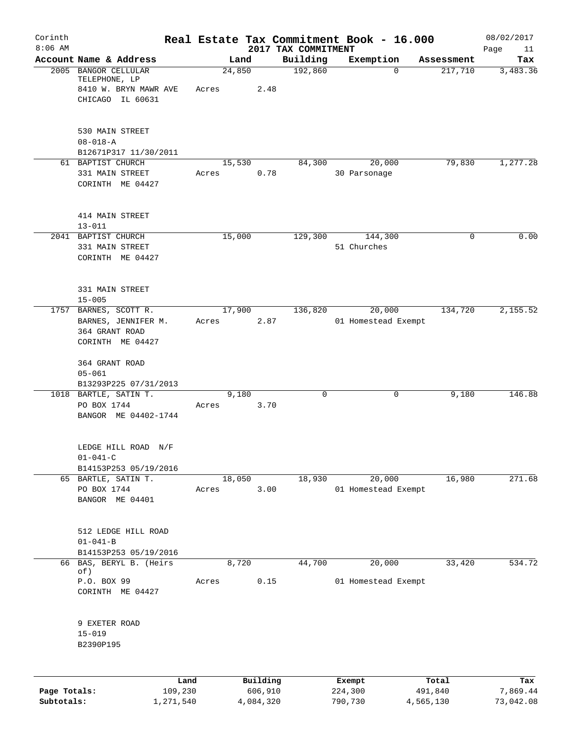| Corinth      |                                              |           |       |        |           |                                 |         | Real Estate Tax Commitment Book - 16.000 |            | 08/02/2017        |
|--------------|----------------------------------------------|-----------|-------|--------|-----------|---------------------------------|---------|------------------------------------------|------------|-------------------|
| $8:06$ AM    | Account Name & Address                       |           |       | Land   |           | 2017 TAX COMMITMENT<br>Building |         | Exemption                                | Assessment | Page<br>11<br>Tax |
|              | 2005 BANGOR CELLULAR                         |           |       | 24,850 |           | 192,860                         |         | $\Omega$                                 | 217,710    | 3,483.36          |
|              | TELEPHONE, LP                                |           |       |        |           |                                 |         |                                          |            |                   |
|              | 8410 W. BRYN MAWR AVE                        |           | Acres |        | 2.48      |                                 |         |                                          |            |                   |
|              | CHICAGO IL 60631                             |           |       |        |           |                                 |         |                                          |            |                   |
|              | 530 MAIN STREET                              |           |       |        |           |                                 |         |                                          |            |                   |
|              | $08 - 018 - A$                               |           |       |        |           |                                 |         |                                          |            |                   |
|              | B12671P317 11/30/2011                        |           |       |        |           |                                 |         |                                          |            |                   |
|              | 61 BAPTIST CHURCH                            |           |       | 15,530 |           | 84,300                          |         | 20,000                                   | 79,830     | 1,277.28          |
|              | 331 MAIN STREET<br>CORINTH ME 04427          |           | Acres |        | 0.78      |                                 |         | 30 Parsonage                             |            |                   |
|              |                                              |           |       |        |           |                                 |         |                                          |            |                   |
|              | 414 MAIN STREET                              |           |       |        |           |                                 |         |                                          |            |                   |
|              | $13 - 011$                                   |           |       |        |           |                                 |         |                                          |            |                   |
|              | 2041 BAPTIST CHURCH                          |           |       | 15,000 |           | 129,300                         |         | 144,300                                  | 0          | 0.00              |
|              | 331 MAIN STREET<br>CORINTH ME 04427          |           |       |        |           |                                 |         | 51 Churches                              |            |                   |
|              |                                              |           |       |        |           |                                 |         |                                          |            |                   |
|              | 331 MAIN STREET                              |           |       |        |           |                                 |         |                                          |            |                   |
|              | $15 - 005$                                   |           |       |        |           |                                 |         |                                          |            |                   |
|              | 1757 BARNES, SCOTT R.                        |           |       | 17,900 |           | 136,820                         |         | 20,000                                   | 134,720    | 2,155.52          |
|              | BARNES, JENNIFER M.<br>364 GRANT ROAD        |           | Acres |        | 2.87      |                                 |         | 01 Homestead Exempt                      |            |                   |
|              | CORINTH ME 04427                             |           |       |        |           |                                 |         |                                          |            |                   |
|              | 364 GRANT ROAD                               |           |       |        |           |                                 |         |                                          |            |                   |
|              | $05 - 061$                                   |           |       |        |           |                                 |         |                                          |            |                   |
|              | B13293P225 07/31/2013                        |           |       |        |           |                                 |         |                                          |            |                   |
|              | 1018 BARTLE, SATIN T.<br>PO BOX 1744         |           | Acres | 9,180  | 3.70      | $\mathbf 0$                     |         | 0                                        | 9,180      | 146.88            |
|              | BANGOR ME 04402-1744                         |           |       |        |           |                                 |         |                                          |            |                   |
|              |                                              |           |       |        |           |                                 |         |                                          |            |                   |
|              | LEDGE HILL ROAD N/F                          |           |       |        |           |                                 |         |                                          |            |                   |
|              | $01 - 041 - C$                               |           |       |        |           |                                 |         |                                          |            |                   |
|              | B14153P253 05/19/2016<br>65 BARTLE, SATIN T. |           |       | 18,050 |           | 18,930                          |         | 20,000                                   | 16,980     | 271.68            |
|              | PO BOX 1744                                  |           | Acres |        | 3.00      |                                 |         | 01 Homestead Exempt                      |            |                   |
|              | BANGOR ME 04401                              |           |       |        |           |                                 |         |                                          |            |                   |
|              | 512 LEDGE HILL ROAD                          |           |       |        |           |                                 |         |                                          |            |                   |
|              | $01 - 041 - B$                               |           |       |        |           |                                 |         |                                          |            |                   |
|              | B14153P253 05/19/2016                        |           |       |        |           |                                 |         |                                          |            |                   |
|              | 66 BAS, BERYL B. (Heirs                      |           |       | 8,720  |           | 44,700                          |         | 20,000                                   | 33,420     | 534.72            |
|              | of)<br>P.O. BOX 99                           |           | Acres |        | 0.15      |                                 |         | 01 Homestead Exempt                      |            |                   |
|              | CORINTH ME 04427                             |           |       |        |           |                                 |         |                                          |            |                   |
|              |                                              |           |       |        |           |                                 |         |                                          |            |                   |
|              | 9 EXETER ROAD<br>$15 - 019$                  |           |       |        |           |                                 |         |                                          |            |                   |
|              | B2390P195                                    |           |       |        |           |                                 |         |                                          |            |                   |
|              |                                              |           |       |        |           |                                 |         |                                          |            |                   |
|              |                                              | Land      |       |        | Building  |                                 | Exempt  |                                          | Total      | Tax               |
| Page Totals: |                                              | 109,230   |       |        | 606,910   |                                 | 224,300 |                                          | 491,840    | 7,869.44          |
| Subtotals:   |                                              | 1,271,540 |       |        | 4,084,320 |                                 | 790,730 |                                          | 4,565,130  | 73,042.08         |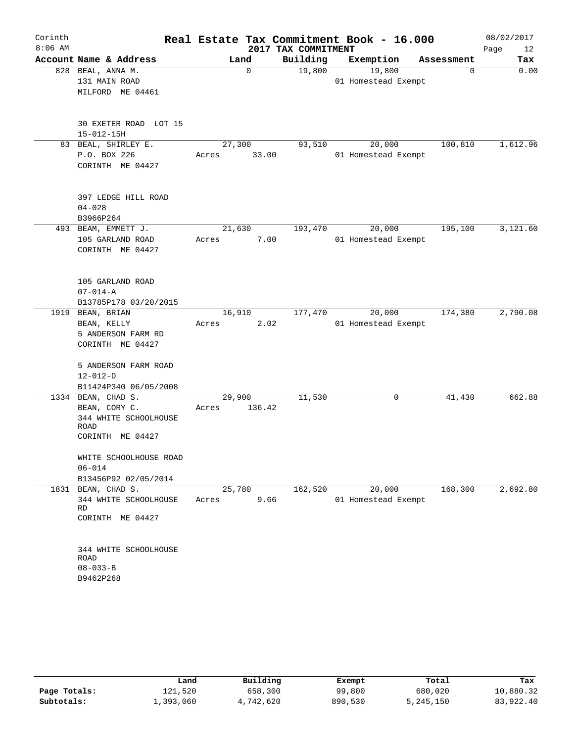| Corinth   |                               |        |             |                     | Real Estate Tax Commitment Book - 16.000 |             | 08/02/2017 |
|-----------|-------------------------------|--------|-------------|---------------------|------------------------------------------|-------------|------------|
| $8:06$ AM |                               |        |             | 2017 TAX COMMITMENT |                                          |             | Page<br>12 |
|           | Account Name & Address        |        | Land        | Building            | Exemption                                | Assessment  | Tax        |
|           | 828 BEAL, ANNA M.             |        | $\mathbf 0$ | 19,800              | 19,800                                   | $\mathbf 0$ | 0.00       |
|           | 131 MAIN ROAD                 |        |             |                     | 01 Homestead Exempt                      |             |            |
|           | MILFORD ME 04461              |        |             |                     |                                          |             |            |
|           | 30 EXETER ROAD LOT 15         |        |             |                     |                                          |             |            |
|           | $15 - 012 - 15H$              |        |             |                     |                                          |             |            |
|           | 83 BEAL, SHIRLEY E.           | 27,300 |             | 93,510              | 20,000                                   | 100,810     | 1,612.96   |
|           | P.O. BOX 226                  | Acres  | 33.00       |                     | 01 Homestead Exempt                      |             |            |
|           | CORINTH ME 04427              |        |             |                     |                                          |             |            |
|           | 397 LEDGE HILL ROAD           |        |             |                     |                                          |             |            |
|           | $04 - 028$                    |        |             |                     |                                          |             |            |
|           | B3966P264                     |        |             |                     |                                          |             |            |
|           | 493 BEAM, EMMETT J.           | 21,630 |             | 193,470             | 20,000                                   | 195,100     | 3,121.60   |
|           | 105 GARLAND ROAD              | Acres  | 7.00        |                     | 01 Homestead Exempt                      |             |            |
|           | CORINTH ME 04427              |        |             |                     |                                          |             |            |
|           |                               |        |             |                     |                                          |             |            |
|           | 105 GARLAND ROAD              |        |             |                     |                                          |             |            |
|           | $07 - 014 - A$                |        |             |                     |                                          |             |            |
|           | B13785P178 03/20/2015         |        |             |                     |                                          |             |            |
|           | 1919 BEAN, BRIAN              | 16,910 |             | 177,470             | 20,000                                   | 174,380     | 2,790.08   |
|           | BEAN, KELLY                   | Acres  | 2.02        |                     | 01 Homestead Exempt                      |             |            |
|           | 5 ANDERSON FARM RD            |        |             |                     |                                          |             |            |
|           | CORINTH ME 04427              |        |             |                     |                                          |             |            |
|           | 5 ANDERSON FARM ROAD          |        |             |                     |                                          |             |            |
|           | $12 - 012 - D$                |        |             |                     |                                          |             |            |
|           | B11424P340 06/05/2008         |        |             |                     |                                          |             |            |
|           | 1334 BEAN, CHAD S.            | 29,900 |             | 11,530              | 0                                        | 41,430      | 662.88     |
|           | BEAN, CORY C.                 | Acres  | 136.42      |                     |                                          |             |            |
|           | 344 WHITE SCHOOLHOUSE<br>ROAD |        |             |                     |                                          |             |            |
|           | CORINTH ME 04427              |        |             |                     |                                          |             |            |
|           |                               |        |             |                     |                                          |             |            |
|           | WHITE SCHOOLHOUSE ROAD        |        |             |                     |                                          |             |            |
|           | $06 - 014$                    |        |             |                     |                                          |             |            |
|           | B13456P92 02/05/2014          |        |             |                     |                                          |             |            |
|           | 1831 BEAN, CHAD S.            | 25,780 |             | 162,520             | 20,000                                   | 168,300     | 2,692.80   |
|           | 344 WHITE SCHOOLHOUSE         | Acres  | 9.66        |                     | 01 Homestead Exempt                      |             |            |
|           | RD.                           |        |             |                     |                                          |             |            |
|           | CORINTH ME 04427              |        |             |                     |                                          |             |            |
|           | 344 WHITE SCHOOLHOUSE         |        |             |                     |                                          |             |            |
|           | ROAD                          |        |             |                     |                                          |             |            |
|           | $08 - 033 - B$                |        |             |                     |                                          |             |            |
|           | B9462P268                     |        |             |                     |                                          |             |            |
|           |                               |        |             |                     |                                          |             |            |

|              | Land      | Building  | Exempt  | Total     | Tax       |
|--------------|-----------|-----------|---------|-----------|-----------|
| Page Totals: | 121,520   | 658,300   | 99,800  | 680,020   | 10,880.32 |
| Subtotals:   | 1,393,060 | 4,742,620 | 890,530 | 5,245,150 | 83,922.40 |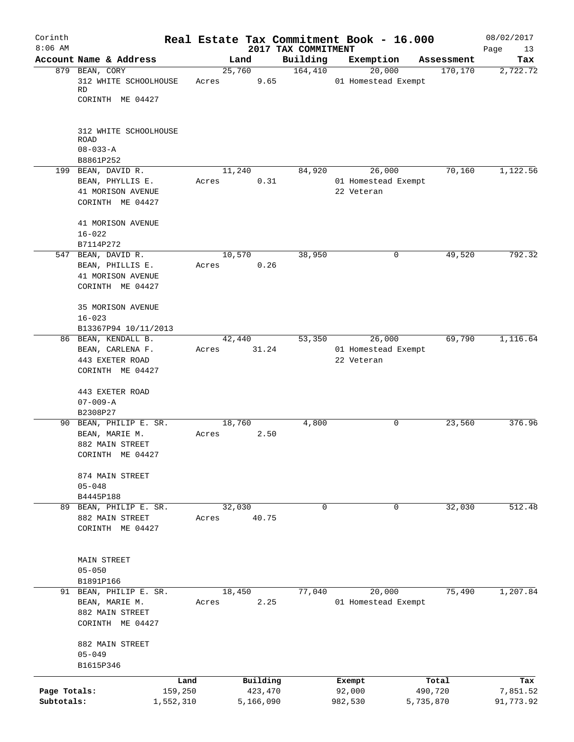| Corinth      |                                        |           |       |                |         | Real Estate Tax Commitment Book - 16.000 |                     |             |                        | 08/02/2017      |
|--------------|----------------------------------------|-----------|-------|----------------|---------|------------------------------------------|---------------------|-------------|------------------------|-----------------|
| $8:06$ AM    | Account Name & Address                 |           |       |                |         | 2017 TAX COMMITMENT                      |                     |             |                        | Page<br>13      |
|              | 879 BEAN, CORY                         |           |       | Land<br>25,760 |         | Building<br>164,410                      | Exemption           | 20,000      | Assessment<br>170, 170 | Tax<br>2,722.72 |
|              | 312 WHITE SCHOOLHOUSE<br>RD            |           | Acres |                | 9.65    |                                          | 01 Homestead Exempt |             |                        |                 |
|              | CORINTH ME 04427                       |           |       |                |         |                                          |                     |             |                        |                 |
|              | 312 WHITE SCHOOLHOUSE<br><b>ROAD</b>   |           |       |                |         |                                          |                     |             |                        |                 |
|              | $08 - 033 - A$                         |           |       |                |         |                                          |                     |             |                        |                 |
|              | B8861P252                              |           |       |                |         |                                          |                     |             |                        |                 |
|              | 199 BEAN, DAVID R.<br>BEAN, PHYLLIS E. |           | Acres | 11,240         | 0.31    | 84,920                                   | 01 Homestead Exempt | 26,000      | 70,160                 | 1,122.56        |
|              | 41 MORISON AVENUE                      |           |       |                |         |                                          | 22 Veteran          |             |                        |                 |
|              | CORINTH ME 04427                       |           |       |                |         |                                          |                     |             |                        |                 |
|              | 41 MORISON AVENUE<br>$16 - 022$        |           |       |                |         |                                          |                     |             |                        |                 |
|              | B7114P272                              |           |       |                |         |                                          |                     |             |                        |                 |
|              | 547 BEAN, DAVID R.                     |           |       | 10,570         |         | 38,950                                   |                     | 0           | 49,520                 | 792.32          |
|              | BEAN, PHILLIS E.                       |           | Acres |                | 0.26    |                                          |                     |             |                        |                 |
|              | 41 MORISON AVENUE                      |           |       |                |         |                                          |                     |             |                        |                 |
|              | CORINTH ME 04427                       |           |       |                |         |                                          |                     |             |                        |                 |
|              | 35 MORISON AVENUE<br>$16 - 023$        |           |       |                |         |                                          |                     |             |                        |                 |
|              | B13367P94 10/11/2013                   |           |       |                |         |                                          |                     |             |                        |                 |
|              | 86 BEAN, KENDALL B.                    |           |       | 42,440         |         | 53,350                                   |                     | 26,000      | 69,790                 | 1,116.64        |
|              | BEAN, CARLENA F.                       |           | Acres |                | 31.24   |                                          | 01 Homestead Exempt |             |                        |                 |
|              | 443 EXETER ROAD                        |           |       |                |         |                                          | 22 Veteran          |             |                        |                 |
|              | CORINTH ME 04427                       |           |       |                |         |                                          |                     |             |                        |                 |
|              | 443 EXETER ROAD                        |           |       |                |         |                                          |                     |             |                        |                 |
|              | $07 - 009 - A$                         |           |       |                |         |                                          |                     |             |                        |                 |
|              | B2308P27                               |           |       |                |         |                                          |                     |             |                        |                 |
|              | 90 BEAN, PHILIP E. SR.                 |           |       | 18,760         |         | 4,800                                    |                     | $\mathbf 0$ | 23,560                 | 376.96          |
|              | BEAN, MARIE M.                         |           | Acres |                | 2.50    |                                          |                     |             |                        |                 |
|              | 882 MAIN STREET                        |           |       |                |         |                                          |                     |             |                        |                 |
|              | CORINTH ME 04427                       |           |       |                |         |                                          |                     |             |                        |                 |
|              |                                        |           |       |                |         |                                          |                     |             |                        |                 |
|              | 874 MAIN STREET<br>$05 - 048$          |           |       |                |         |                                          |                     |             |                        |                 |
|              | B4445P188                              |           |       |                |         |                                          |                     |             |                        |                 |
|              | 89 BEAN, PHILIP E. SR.                 |           |       | 32,030         |         | $\Omega$                                 |                     | $\mathbf 0$ | 32,030                 | 512.48          |
|              | 882 MAIN STREET                        |           | Acres |                | 40.75   |                                          |                     |             |                        |                 |
|              | CORINTH ME 04427                       |           |       |                |         |                                          |                     |             |                        |                 |
|              | MAIN STREET                            |           |       |                |         |                                          |                     |             |                        |                 |
|              | $05 - 050$                             |           |       |                |         |                                          |                     |             |                        |                 |
|              | B1891P166                              |           |       |                |         |                                          |                     |             |                        |                 |
|              | 91 BEAN, PHILIP E. SR.                 |           |       | 18,450         |         | 77,040                                   |                     | 20,000      | 75,490                 | 1,207.84        |
|              | BEAN, MARIE M.                         |           | Acres |                | 2.25    |                                          | 01 Homestead Exempt |             |                        |                 |
|              | 882 MAIN STREET                        |           |       |                |         |                                          |                     |             |                        |                 |
|              | CORINTH ME 04427                       |           |       |                |         |                                          |                     |             |                        |                 |
|              | 882 MAIN STREET                        |           |       |                |         |                                          |                     |             |                        |                 |
|              | $05 - 049$<br>B1615P346                |           |       |                |         |                                          |                     |             |                        |                 |
|              |                                        |           |       |                |         |                                          |                     |             |                        |                 |
|              |                                        | Land      |       | Building       |         |                                          | Exempt              |             | Total                  | Tax             |
| Page Totals: |                                        | 159,250   |       |                | 423,470 |                                          | 92,000              |             | 490,720                | 7,851.52        |
| Subtotals:   |                                        | 1,552,310 |       | 5,166,090      |         |                                          | 982,530             |             | 5,735,870              | 91,773.92       |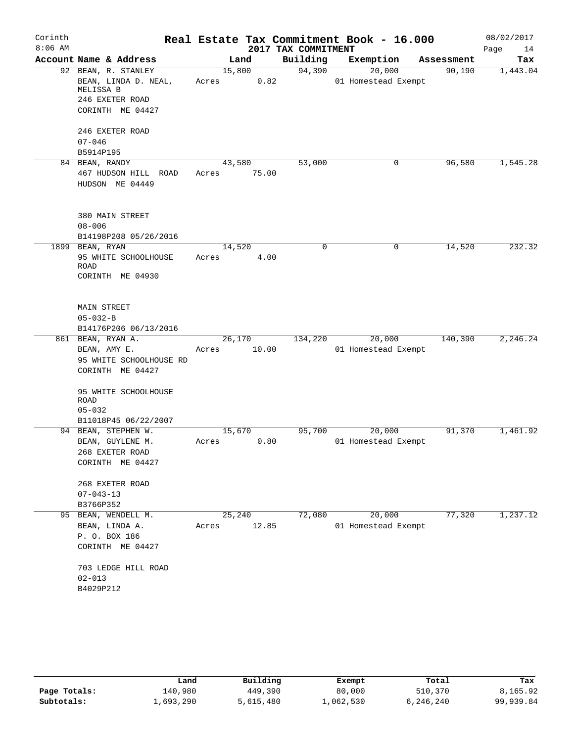| Corinth   |                                             |        |       |                     | Real Estate Tax Commitment Book - 16.000 |            | 08/02/2017 |
|-----------|---------------------------------------------|--------|-------|---------------------|------------------------------------------|------------|------------|
| $8:06$ AM |                                             |        |       | 2017 TAX COMMITMENT |                                          |            | Page<br>14 |
|           | Account Name & Address                      | Land   |       | Building            | Exemption                                | Assessment | Tax        |
|           | 92 BEAN, R. STANLEY                         | 15,800 |       | 94,390              | 20,000                                   | 90,190     | 1,443.04   |
|           | BEAN, LINDA D. NEAL,<br>MELISSA B           | Acres  | 0.82  |                     | 01 Homestead Exempt                      |            |            |
|           | 246 EXETER ROAD                             |        |       |                     |                                          |            |            |
|           | CORINTH ME 04427                            |        |       |                     |                                          |            |            |
|           |                                             |        |       |                     |                                          |            |            |
|           | 246 EXETER ROAD                             |        |       |                     |                                          |            |            |
|           | $07 - 046$                                  |        |       |                     |                                          |            |            |
|           | B5914P195                                   |        |       |                     |                                          |            |            |
|           | 84 BEAN, RANDY                              | 43,580 |       | 53,000              | 0                                        | 96,580     | 1,545.28   |
|           | 467 HUDSON HILL ROAD                        | Acres  | 75.00 |                     |                                          |            |            |
|           | HUDSON ME 04449                             |        |       |                     |                                          |            |            |
|           |                                             |        |       |                     |                                          |            |            |
|           | 380 MAIN STREET                             |        |       |                     |                                          |            |            |
|           | $08 - 006$                                  |        |       |                     |                                          |            |            |
|           | B14198P208 05/26/2016<br>1899 BEAN, RYAN    | 14,520 |       | 0                   | 0                                        | 14,520     | 232.32     |
|           | 95 WHITE SCHOOLHOUSE                        | Acres  | 4.00  |                     |                                          |            |            |
|           | ROAD                                        |        |       |                     |                                          |            |            |
|           | CORINTH ME 04930                            |        |       |                     |                                          |            |            |
|           |                                             |        |       |                     |                                          |            |            |
|           | <b>MAIN STREET</b>                          |        |       |                     |                                          |            |            |
|           | $05 - 032 - B$                              |        |       |                     |                                          |            |            |
|           | B14176P206 06/13/2016                       |        |       |                     |                                          |            |            |
|           | 861 BEAN, RYAN A.                           | 26,170 |       | 134,220             | 20,000                                   | 140,390    | 2, 246.24  |
|           | BEAN, AMY E.                                | Acres  | 10.00 |                     | 01 Homestead Exempt                      |            |            |
|           | 95 WHITE SCHOOLHOUSE RD                     |        |       |                     |                                          |            |            |
|           | CORINTH ME 04427                            |        |       |                     |                                          |            |            |
|           | 95 WHITE SCHOOLHOUSE                        |        |       |                     |                                          |            |            |
|           | <b>ROAD</b>                                 |        |       |                     |                                          |            |            |
|           | $05 - 032$                                  |        |       |                     |                                          |            |            |
|           | B11018P45 06/22/2007<br>94 BEAN, STEPHEN W. | 15,670 |       | 95,700              | 20,000                                   | 91,370     | 1,461.92   |
|           | BEAN, GUYLENE M.                            | Acres  | 0.80  |                     | 01 Homestead Exempt                      |            |            |
|           | 268 EXETER ROAD                             |        |       |                     |                                          |            |            |
|           | CORINTH ME 04427                            |        |       |                     |                                          |            |            |
|           | 268 EXETER ROAD                             |        |       |                     |                                          |            |            |
|           | $07 - 043 - 13$                             |        |       |                     |                                          |            |            |
|           | B3766P352                                   |        |       |                     |                                          |            |            |
|           | 95 BEAN, WENDELL M.                         | 25,240 |       | 72,080              | 20,000                                   | 77,320     | 1,237.12   |
|           | BEAN, LINDA A.                              | Acres  | 12.85 |                     | 01 Homestead Exempt                      |            |            |
|           | P. O. BOX 186                               |        |       |                     |                                          |            |            |
|           | CORINTH ME 04427                            |        |       |                     |                                          |            |            |
|           | 703 LEDGE HILL ROAD                         |        |       |                     |                                          |            |            |
|           | $02 - 013$                                  |        |       |                     |                                          |            |            |
|           | B4029P212                                   |        |       |                     |                                          |            |            |
|           |                                             |        |       |                     |                                          |            |            |

|              | Land      | Building  | Exempt    | Total     | Tax       |
|--------------|-----------|-----------|-----------|-----------|-----------|
| Page Totals: | 140,980   | 449,390   | 80,000    | 510,370   | 8,165.92  |
| Subtotals:   | 1,693,290 | 5,615,480 | ⊥,062,530 | 6,246,240 | 99,939.84 |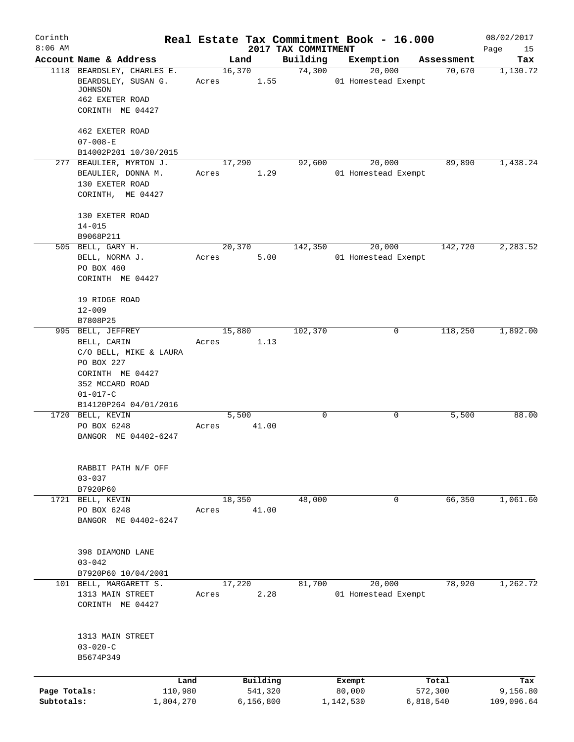| Corinth      |                                                      | Real Estate Tax Commitment Book - 16.000 |             |                     |           |                     |            | 08/02/2017      |
|--------------|------------------------------------------------------|------------------------------------------|-------------|---------------------|-----------|---------------------|------------|-----------------|
| $8:06$ AM    |                                                      |                                          |             | 2017 TAX COMMITMENT |           |                     | Assessment | Page<br>15      |
|              | Account Name & Address<br>1118 BEARDSLEY, CHARLES E. | Land                                     | 16,370      | Building<br>74,300  | Exemption | 20,000              | 70,670     | Tax<br>1,130.72 |
|              | BEARDSLEY, SUSAN G.<br>JOHNSON                       | Acres                                    | 1.55        |                     |           | 01 Homestead Exempt |            |                 |
|              | 462 EXETER ROAD                                      |                                          |             |                     |           |                     |            |                 |
|              | CORINTH ME 04427                                     |                                          |             |                     |           |                     |            |                 |
|              | 462 EXETER ROAD                                      |                                          |             |                     |           |                     |            |                 |
|              | $07 - 008 - E$<br>B14002P201 10/30/2015              |                                          |             |                     |           |                     |            |                 |
|              | 277 BEAULIER, MYRTON J.                              | 17,290                                   |             | 92,600              |           | 20,000              | 89,890     | 1,438.24        |
|              | BEAULIER, DONNA M.                                   | Acres                                    | 1.29        |                     |           | 01 Homestead Exempt |            |                 |
|              | 130 EXETER ROAD                                      |                                          |             |                     |           |                     |            |                 |
|              | CORINTH, ME 04427                                    |                                          |             |                     |           |                     |            |                 |
|              | 130 EXETER ROAD                                      |                                          |             |                     |           |                     |            |                 |
|              | $14 - 015$                                           |                                          |             |                     |           |                     |            |                 |
|              | B9068P211                                            |                                          |             |                     |           |                     |            |                 |
|              | 505 BELL, GARY H.                                    | 20,370                                   |             | 142,350             |           | 20,000              | 142,720    | 2,283.52        |
|              | BELL, NORMA J.                                       | Acres                                    | 5.00        |                     |           | 01 Homestead Exempt |            |                 |
|              | PO BOX 460<br>CORINTH ME 04427                       |                                          |             |                     |           |                     |            |                 |
|              |                                                      |                                          |             |                     |           |                     |            |                 |
|              | 19 RIDGE ROAD                                        |                                          |             |                     |           |                     |            |                 |
|              | $12 - 009$                                           |                                          |             |                     |           |                     |            |                 |
|              | B7808P25                                             |                                          |             |                     |           |                     |            |                 |
|              | 995 BELL, JEFFREY                                    | 15,880                                   |             | 102,370             |           | 0                   | 118,250    | 1,892.00        |
|              | BELL, CARIN                                          | Acres                                    | 1.13        |                     |           |                     |            |                 |
|              | C/O BELL, MIKE & LAURA                               |                                          |             |                     |           |                     |            |                 |
|              | PO BOX 227                                           |                                          |             |                     |           |                     |            |                 |
|              | CORINTH ME 04427                                     |                                          |             |                     |           |                     |            |                 |
|              | 352 MCCARD ROAD                                      |                                          |             |                     |           |                     |            |                 |
|              | $01 - 017 - C$                                       |                                          |             |                     |           |                     |            |                 |
|              | B14120P264 04/01/2016                                |                                          |             |                     |           |                     |            |                 |
|              | 1720 BELL, KEVIN                                     | 5,500                                    |             | $\mathbf 0$         |           | 0                   | 5,500      | 88.00           |
|              | PO BOX 6248<br>BANGOR ME 04402-6247                  | Acres                                    | 41.00       |                     |           |                     |            |                 |
|              |                                                      |                                          |             |                     |           |                     |            |                 |
|              | RABBIT PATH N/F OFF                                  |                                          |             |                     |           |                     |            |                 |
|              | $03 - 037$                                           |                                          |             |                     |           |                     |            |                 |
|              | B7920P60                                             |                                          |             |                     |           |                     |            |                 |
|              | 1721 BELL, KEVIN                                     | 18,350                                   |             | 48,000              |           | 0                   | 66,350     | 1,061.60        |
|              | PO BOX 6248                                          | Acres                                    | 41.00       |                     |           |                     |            |                 |
|              | BANGOR ME 04402-6247                                 |                                          |             |                     |           |                     |            |                 |
|              | 398 DIAMOND LANE                                     |                                          |             |                     |           |                     |            |                 |
|              | $03 - 042$                                           |                                          |             |                     |           |                     |            |                 |
|              | B7920P60 10/04/2001                                  |                                          |             |                     |           |                     |            |                 |
|              | 101 BELL, MARGARETT S.                               | 17,220                                   |             | 81,700              |           | 20,000              | 78,920     | 1,262.72        |
|              | 1313 MAIN STREET                                     | Acres                                    | 2.28        |                     |           | 01 Homestead Exempt |            |                 |
|              | CORINTH ME 04427                                     |                                          |             |                     |           |                     |            |                 |
|              | 1313 MAIN STREET                                     |                                          |             |                     |           |                     |            |                 |
|              | $03 - 020 - C$                                       |                                          |             |                     |           |                     |            |                 |
|              | B5674P349                                            |                                          |             |                     |           |                     |            |                 |
|              |                                                      |                                          |             |                     |           |                     |            |                 |
|              | Land                                                 |                                          | Building    |                     | Exempt    |                     | Total      | Tax             |
| Page Totals: | 110,980                                              |                                          | 541,320     |                     | 80,000    |                     | 572,300    | 9,156.80        |
| Subtotals:   | 1,804,270                                            |                                          | 6, 156, 800 |                     | 1,142,530 |                     | 6,818,540  | 109,096.64      |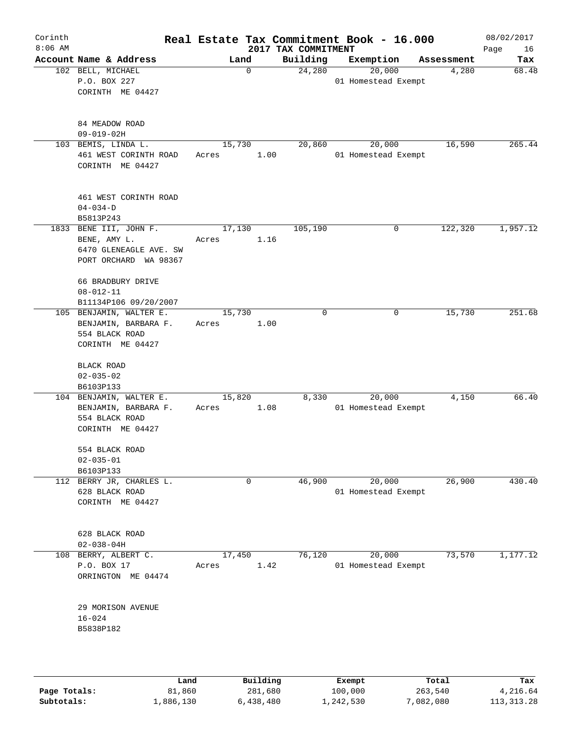| Corinth<br>$8:06$ AM |                                                                                           |                 |             | 2017 TAX COMMITMENT | Real Estate Tax Commitment Book - 16.000 |            | 08/02/2017<br>Page<br>16 |
|----------------------|-------------------------------------------------------------------------------------------|-----------------|-------------|---------------------|------------------------------------------|------------|--------------------------|
|                      | Account Name & Address                                                                    |                 | Land        | Building            | Exemption                                | Assessment | Tax                      |
|                      | 102 BELL, MICHAEL<br>P.O. BOX 227<br>CORINTH ME 04427                                     |                 | $\mathbf 0$ | 24,280              | 20,000<br>01 Homestead Exempt            | 4,280      | 68.48                    |
|                      | 84 MEADOW ROAD<br>$09 - 019 - 02H$                                                        |                 |             |                     |                                          |            |                          |
|                      | 103 BEMIS, LINDA L.<br>461 WEST CORINTH ROAD<br>CORINTH ME 04427                          | 15,730<br>Acres | 1.00        | 20,860              | 20,000<br>01 Homestead Exempt            | 16,590     | 265.44                   |
|                      | 461 WEST CORINTH ROAD<br>$04 - 034 - D$<br>B5813P243                                      |                 |             |                     |                                          |            |                          |
|                      | 1833 BENE III, JOHN F.<br>BENE, AMY L.<br>6470 GLENEAGLE AVE. SW<br>PORT ORCHARD WA 98367 | 17,130<br>Acres | 1.16        | 105,190             | 0                                        | 122,320    | 1,957.12                 |
|                      | 66 BRADBURY DRIVE<br>$08 - 012 - 11$<br>B11134P106 09/20/2007                             |                 |             |                     |                                          |            |                          |
|                      | 105 BENJAMIN, WALTER E.<br>BENJAMIN, BARBARA F.<br>554 BLACK ROAD<br>CORINTH ME 04427     | 15,730<br>Acres | 1.00        | $\mathbf 0$         | 0                                        | 15,730     | 251.68                   |
|                      | BLACK ROAD<br>$02 - 035 - 02$<br>B6103P133                                                |                 |             |                     |                                          |            |                          |
|                      | 104 BENJAMIN, WALTER E.<br>BENJAMIN, BARBARA F.<br>554 BLACK ROAD<br>CORINTH ME 04427     | 15,820<br>Acres | 1.08        | 8,330               | 20,000<br>01 Homestead Exempt            | 4,150      | 66.40                    |
|                      | 554 BLACK ROAD<br>$02 - 035 - 01$<br>B6103P133                                            |                 |             |                     |                                          |            |                          |
|                      | 112 BERRY JR, CHARLES L.<br>628 BLACK ROAD<br>CORINTH ME 04427                            |                 | $\mathbf 0$ | 46,900              | 20,000<br>01 Homestead Exempt            | 26,900     | 430.40                   |
|                      | 628 BLACK ROAD<br>$02 - 038 - 04H$                                                        |                 |             |                     |                                          |            |                          |
|                      | 108 BERRY, ALBERT C.<br>P.O. BOX 17<br>ORRINGTON ME 04474                                 | 17,450<br>Acres | 1.42        | 76,120              | 20,000<br>01 Homestead Exempt            | 73,570     | 1,177.12                 |
|                      | 29 MORISON AVENUE<br>$16 - 024$<br>B5838P182                                              |                 |             |                     |                                          |            |                          |
|                      |                                                                                           |                 |             |                     |                                          |            |                          |

|              | Land      | Building  | Exempt    | Total     | Tax          |
|--------------|-----------|-----------|-----------|-----------|--------------|
| Page Totals: | 81,860    | 281,680   | 100,000   | 263,540   | 4,216.64     |
| Subtotals:   | 1,886,130 | 6,438,480 | 1,242,530 | 7,082,080 | 113, 313, 28 |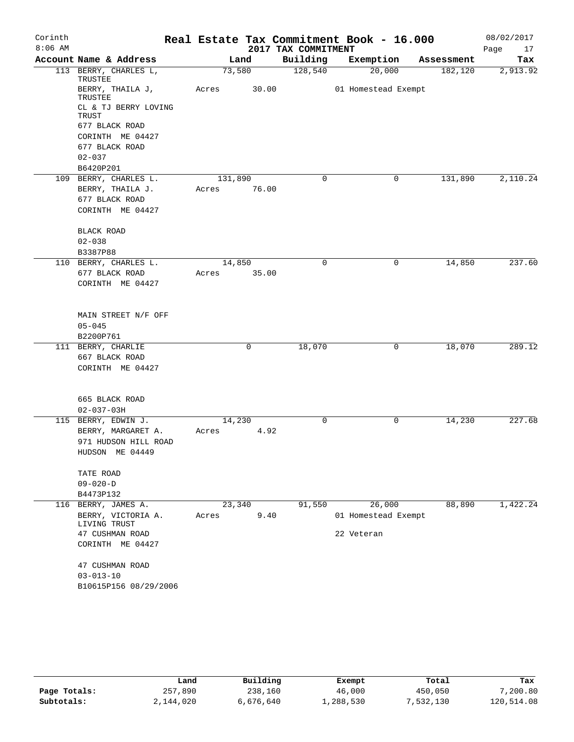| Corinth   |                                    |         |       |                     | Real Estate Tax Commitment Book - 16.000 |            | 08/02/2017 |
|-----------|------------------------------------|---------|-------|---------------------|------------------------------------------|------------|------------|
| $8:06$ AM |                                    |         |       | 2017 TAX COMMITMENT |                                          |            | Page<br>17 |
|           | Account Name & Address             |         | Land  | Building            | Exemption                                | Assessment | Tax        |
|           | 113 BERRY, CHARLES L,<br>TRUSTEE   | 73,580  |       | 128,540             | 20,000                                   | 182,120    | 2,913.92   |
|           | BERRY, THAILA J,<br>TRUSTEE        | Acres   | 30.00 |                     | 01 Homestead Exempt                      |            |            |
|           | CL & TJ BERRY LOVING<br>TRUST      |         |       |                     |                                          |            |            |
|           | 677 BLACK ROAD                     |         |       |                     |                                          |            |            |
|           | CORINTH ME 04427                   |         |       |                     |                                          |            |            |
|           | 677 BLACK ROAD                     |         |       |                     |                                          |            |            |
|           | $02 - 037$                         |         |       |                     |                                          |            |            |
|           | B6420P201                          |         |       |                     |                                          |            |            |
|           | 109 BERRY, CHARLES L.              | 131,890 |       | $\mathbf 0$         | 0                                        | 131,890    | 2,110.24   |
|           | BERRY, THAILA J.                   | Acres   | 76.00 |                     |                                          |            |            |
|           | 677 BLACK ROAD<br>CORINTH ME 04427 |         |       |                     |                                          |            |            |
|           | <b>BLACK ROAD</b>                  |         |       |                     |                                          |            |            |
|           | $02 - 038$                         |         |       |                     |                                          |            |            |
|           | B3387P88                           |         |       |                     |                                          |            |            |
|           | 110 BERRY, CHARLES L.              | 14,850  |       | $\Omega$            | 0                                        | 14,850     | 237.60     |
|           | 677 BLACK ROAD                     | Acres   | 35.00 |                     |                                          |            |            |
|           | CORINTH ME 04427                   |         |       |                     |                                          |            |            |
|           | MAIN STREET N/F OFF                |         |       |                     |                                          |            |            |
|           | $05 - 045$                         |         |       |                     |                                          |            |            |
|           | B2200P761                          |         |       |                     |                                          |            |            |
|           | 111 BERRY, CHARLIE                 |         | 0     | 18,070              | 0                                        | 18,070     | 289.12     |
|           | 667 BLACK ROAD                     |         |       |                     |                                          |            |            |
|           | CORINTH ME 04427                   |         |       |                     |                                          |            |            |
|           | 665 BLACK ROAD                     |         |       |                     |                                          |            |            |
|           | $02 - 037 - 03H$                   |         |       |                     |                                          |            |            |
|           | 115 BERRY, EDWIN J.                | 14,230  |       | $\Omega$            | 0                                        | 14,230     | 227.68     |
|           | BERRY, MARGARET A.                 | Acres   | 4.92  |                     |                                          |            |            |
|           | 971 HUDSON HILL ROAD               |         |       |                     |                                          |            |            |
|           | HUDSON ME 04449                    |         |       |                     |                                          |            |            |
|           | TATE ROAD                          |         |       |                     |                                          |            |            |
|           | $09 - 020 - D$                     |         |       |                     |                                          |            |            |
|           | B4473P132                          |         |       |                     |                                          |            |            |
|           | 116 BERRY, JAMES A.                | 23,340  |       | 91,550              | 26,000                                   | 88,890     | 1,422.24   |
|           | BERRY, VICTORIA A.<br>LIVING TRUST | Acres   | 9.40  |                     | 01 Homestead Exempt                      |            |            |
|           | 47 CUSHMAN ROAD                    |         |       |                     | 22 Veteran                               |            |            |
|           | CORINTH ME 04427                   |         |       |                     |                                          |            |            |
|           | 47 CUSHMAN ROAD                    |         |       |                     |                                          |            |            |
|           | $03 - 013 - 10$                    |         |       |                     |                                          |            |            |
|           | B10615P156 08/29/2006              |         |       |                     |                                          |            |            |

|              | Land      | Building  | Exempt    | Total     | Tax        |
|--------------|-----------|-----------|-----------|-----------|------------|
| Page Totals: | 257,890   | 238,160   | 46,000    | 450,050   | 7,200.80   |
| Subtotals:   | 2,144,020 | 6,676,640 | 1,288,530 | 7,532,130 | 120,514.08 |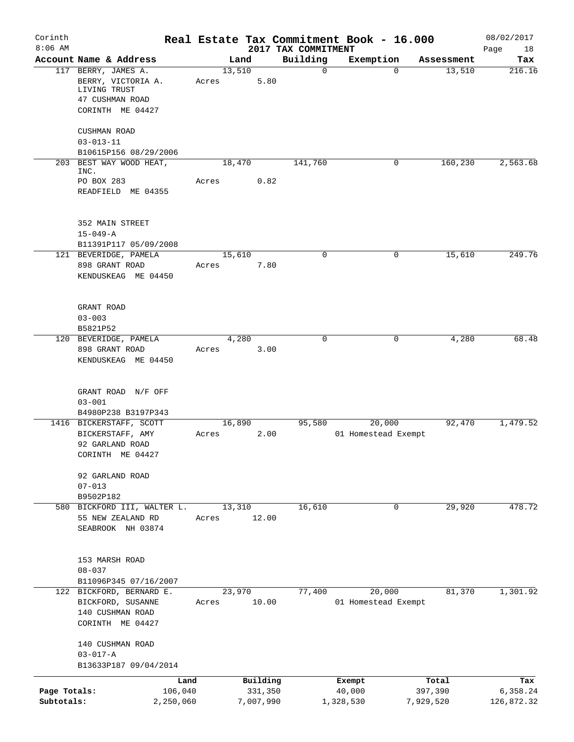| Corinth                    |                                                                       |       |        |                      |                                 | Real Estate Tax Commitment Book - 16.000 |                      | 08/02/2017             |
|----------------------------|-----------------------------------------------------------------------|-------|--------|----------------------|---------------------------------|------------------------------------------|----------------------|------------------------|
| $8:06$ AM                  | Account Name & Address                                                |       | Land   |                      | 2017 TAX COMMITMENT<br>Building | Exemption                                | Assessment           | Page<br>18<br>Tax      |
|                            | 117 BERRY, JAMES A.                                                   |       | 13,510 |                      | $\mathbf 0$                     | 0                                        | 13,510               | 216.16                 |
|                            | BERRY, VICTORIA A.<br>LIVING TRUST<br>47 CUSHMAN ROAD                 | Acres |        | 5.80                 |                                 |                                          |                      |                        |
|                            | CORINTH ME 04427                                                      |       |        |                      |                                 |                                          |                      |                        |
|                            | CUSHMAN ROAD                                                          |       |        |                      |                                 |                                          |                      |                        |
|                            | $03 - 013 - 11$<br>B10615P156 08/29/2006                              |       |        |                      |                                 |                                          |                      |                        |
|                            | 203 BEST WAY WOOD HEAT,<br>INC.                                       |       | 18,470 |                      | 141,760                         | 0                                        | 160, 230             | 2,563.68               |
|                            | PO BOX 283<br>READFIELD ME 04355                                      | Acres |        | 0.82                 |                                 |                                          |                      |                        |
|                            | 352 MAIN STREET<br>$15 - 049 - A$                                     |       |        |                      |                                 |                                          |                      |                        |
|                            | B11391P117 05/09/2008                                                 |       |        |                      |                                 |                                          |                      |                        |
|                            | 121 BEVERIDGE, PAMELA<br>898 GRANT ROAD<br>KENDUSKEAG ME 04450        | Acres | 15,610 | 7.80                 | 0                               | 0                                        | 15,610               | 249.76                 |
|                            | GRANT ROAD<br>$03 - 003$                                              |       |        |                      |                                 |                                          |                      |                        |
|                            | B5821P52                                                              |       |        |                      |                                 |                                          |                      |                        |
|                            | 120 BEVERIDGE, PAMELA                                                 |       | 4,280  |                      | 0                               | 0                                        | 4,280                | 68.48                  |
|                            | 898 GRANT ROAD<br>KENDUSKEAG ME 04450                                 | Acres |        | 3.00                 |                                 |                                          |                      |                        |
|                            | GRANT ROAD N/F OFF<br>$03 - 001$                                      |       |        |                      |                                 |                                          |                      |                        |
|                            | B4980P238 B3197P343<br>1416 BICKERSTAFF, SCOTT                        |       | 16,890 |                      | 95,580                          | 20,000                                   | 92,470               | 1,479.52               |
|                            | BICKERSTAFF, AMY<br>92 GARLAND ROAD<br>CORINTH ME 04427               | Acres |        | 2.00                 |                                 | 01 Homestead Exempt                      |                      |                        |
|                            | 92 GARLAND ROAD<br>$07 - 013$<br>B9502P182                            |       |        |                      |                                 |                                          |                      |                        |
|                            | 580 BICKFORD III, WALTER L.<br>55 NEW ZEALAND RD<br>SEABROOK NH 03874 | Acres | 13,310 | 12.00                | 16,610                          | 0                                        | 29,920               | 478.72                 |
|                            | 153 MARSH ROAD<br>$08 - 037$                                          |       |        |                      |                                 |                                          |                      |                        |
|                            | B11096P345 07/16/2007<br>122 BICKFORD, BERNARD E.                     |       | 23,970 |                      | 77,400                          | 20,000                                   | 81,370               | 1,301.92               |
|                            | BICKFORD, SUSANNE<br>140 CUSHMAN ROAD<br>CORINTH ME 04427             | Acres |        | 10.00                |                                 | 01 Homestead Exempt                      |                      |                        |
|                            | 140 CUSHMAN ROAD<br>$03 - 017 - A$                                    |       |        |                      |                                 |                                          |                      |                        |
|                            | B13633P187 09/04/2014                                                 |       |        |                      |                                 |                                          |                      |                        |
|                            | Land                                                                  |       |        | Building             |                                 | Exempt                                   | Total                | Tax                    |
| Page Totals:<br>Subtotals: | 106,040<br>2,250,060                                                  |       |        | 331,350<br>7,007,990 |                                 | 40,000<br>1,328,530                      | 397,390<br>7,929,520 | 6,358.24<br>126,872.32 |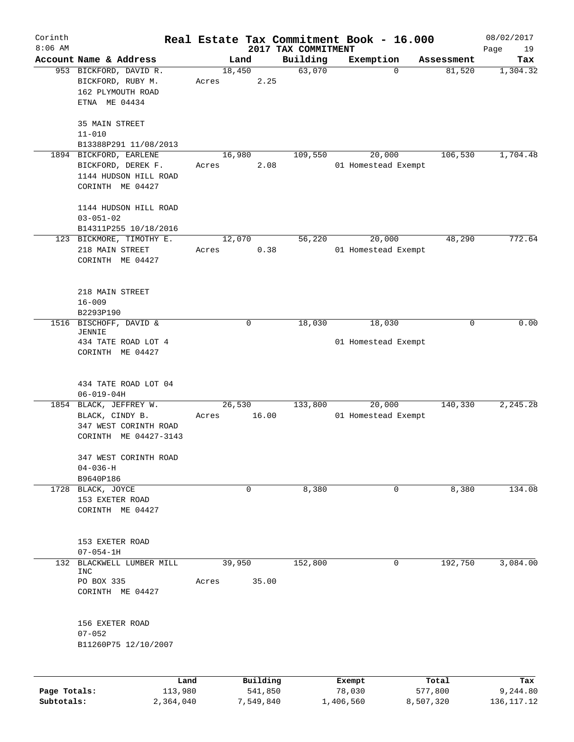| Corinth      |                                                                                             |                 |                     |                                 | Real Estate Tax Commitment Book - 16.000 |                  | 08/02/2017        |
|--------------|---------------------------------------------------------------------------------------------|-----------------|---------------------|---------------------------------|------------------------------------------|------------------|-------------------|
| $8:06$ AM    | Account Name & Address                                                                      |                 | Land                | 2017 TAX COMMITMENT<br>Building | Exemption                                | Assessment       | Page<br>19<br>Tax |
|              | 953 BICKFORD, DAVID R.<br>BICKFORD, RUBY M.<br>162 PLYMOUTH ROAD<br>ETNA ME 04434           | 18,450<br>Acres | 2.25                | 63,070                          | $\mathbf 0$                              | 81,520           | 1,304.32          |
|              | 35 MAIN STREET<br>$11 - 010$<br>B13388P291 11/08/2013                                       |                 |                     |                                 |                                          |                  |                   |
|              | 1894 BICKFORD, EARLENE<br>BICKFORD, DEREK F.<br>1144 HUDSON HILL ROAD<br>CORINTH ME 04427   | 16,980<br>Acres | 2.08                | 109,550                         | 20,000<br>01 Homestead Exempt            | 106,530          | 1,704.48          |
|              | 1144 HUDSON HILL ROAD<br>$03 - 051 - 02$<br>B14311P255 10/18/2016                           |                 |                     |                                 |                                          |                  |                   |
|              | 123 BICKMORE, TIMOTHY E.<br>218 MAIN STREET<br>CORINTH ME 04427                             | 12,070<br>Acres | 0.38                | 56,220                          | 20,000<br>01 Homestead Exempt            | 48,290           | 772.64            |
|              | 218 MAIN STREET<br>$16 - 009$<br>B2293P190                                                  |                 |                     |                                 |                                          |                  |                   |
|              | 1516 BISCHOFF, DAVID &<br><b>JENNIE</b><br>434 TATE ROAD LOT 4<br>CORINTH ME 04427          |                 | $\mathbf 0$         | 18,030                          | 18,030<br>01 Homestead Exempt            | 0                | 0.00              |
|              | 434 TATE ROAD LOT 04<br>$06 - 019 - 04H$                                                    |                 |                     |                                 |                                          |                  |                   |
|              | 1854 BLACK, JEFFREY W.<br>BLACK, CINDY B.<br>347 WEST CORINTH ROAD<br>CORINTH ME 04427-3143 | Acres           | 26,530<br>16.00     | 133,800                         | 20,000<br>01 Homestead Exempt            | 140,330          | 2,245.28          |
|              | 347 WEST CORINTH ROAD<br>$04 - 036 - H$<br>B9640P186                                        |                 |                     |                                 |                                          |                  |                   |
|              | 1728 BLACK, JOYCE<br>153 EXETER ROAD<br>CORINTH ME 04427                                    |                 | 0                   | 8,380                           | 0                                        | 8,380            | 134.08            |
|              | 153 EXETER ROAD<br>$07 - 054 - 1H$                                                          |                 |                     |                                 |                                          |                  |                   |
|              | 132 BLACKWELL LUMBER MILL<br>INC<br>PO BOX 335<br>CORINTH ME 04427                          | 39,950<br>Acres | 35.00               | 152,800                         | $\mathbf{0}$                             | 192,750          | 3,084.00          |
|              | 156 EXETER ROAD<br>$07 - 052$<br>B11260P75 12/10/2007                                       |                 |                     |                                 |                                          |                  |                   |
| Page Totals: | Land<br>113,980                                                                             |                 | Building<br>541,850 |                                 | Exempt<br>78,030                         | Total<br>577,800 | Tax<br>9,244.80   |
| Subtotals:   | 2,364,040                                                                                   |                 | 7,549,840           |                                 | 1,406,560                                | 8,507,320        | 136, 117. 12      |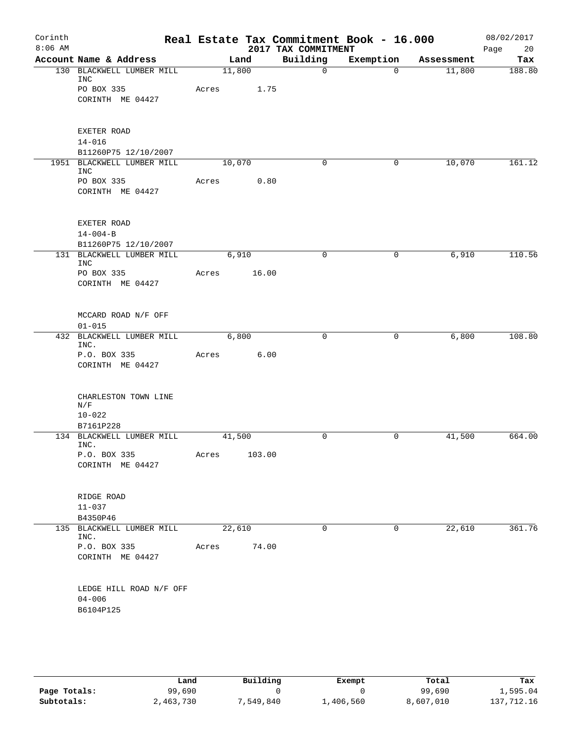| Account Name & Address<br>130 BLACKWELL LUMBER MILL<br>PO BOX 335<br>CORINTH ME 04427<br>EXETER ROAD<br>B11260P75 12/10/2007<br>1951 BLACKWELL LUMBER MILL<br>PO BOX 335<br>CORINTH ME 04427<br>EXETER ROAD<br>$14 - 004 - B$<br>B11260P75 12/10/2007<br>131 BLACKWELL LUMBER MILL | Acres<br>Acres                                                     | Land<br>11,800<br>1.75<br>10,070 | 0.80   | Building<br>$\mathbf 0$<br>$\Omega$ | Exemption<br>$\mathbf{0}$<br>$\mathbf{0}$ | Assessment<br>11,800<br>10,070 | Tax<br>188.80 |
|------------------------------------------------------------------------------------------------------------------------------------------------------------------------------------------------------------------------------------------------------------------------------------|--------------------------------------------------------------------|----------------------------------|--------|-------------------------------------|-------------------------------------------|--------------------------------|---------------|
|                                                                                                                                                                                                                                                                                    |                                                                    |                                  |        |                                     |                                           |                                |               |
|                                                                                                                                                                                                                                                                                    |                                                                    |                                  |        |                                     |                                           |                                | 161.12        |
|                                                                                                                                                                                                                                                                                    |                                                                    |                                  |        |                                     |                                           |                                |               |
|                                                                                                                                                                                                                                                                                    |                                                                    |                                  |        |                                     |                                           |                                |               |
|                                                                                                                                                                                                                                                                                    |                                                                    |                                  |        |                                     |                                           |                                |               |
|                                                                                                                                                                                                                                                                                    |                                                                    |                                  |        |                                     |                                           |                                |               |
| PO BOX 335<br>CORINTH ME 04427                                                                                                                                                                                                                                                     | Acres                                                              | 6,910<br>16.00                   |        | $\mathbf 0$                         | 0                                         | 6,910                          | 110.56        |
| MCCARD ROAD N/F OFF                                                                                                                                                                                                                                                                |                                                                    |                                  |        |                                     |                                           |                                |               |
| 432 BLACKWELL LUMBER MILL                                                                                                                                                                                                                                                          | Acres                                                              | 6,800                            | 6.00   | $\mathbf 0$                         | $\mathbf 0$                               | 6,800                          | 108.80        |
| P.O. BOX 335<br>CORINTH ME 04427                                                                                                                                                                                                                                                   |                                                                    |                                  |        |                                     |                                           |                                |               |
| CHARLESTON TOWN LINE                                                                                                                                                                                                                                                               |                                                                    |                                  |        |                                     |                                           |                                |               |
| B7161P228                                                                                                                                                                                                                                                                          |                                                                    |                                  |        |                                     |                                           |                                |               |
| 134 BLACKWELL LUMBER MILL                                                                                                                                                                                                                                                          |                                                                    | 41,500                           |        | $\mathbf 0$                         | $\mathsf{O}$                              | 41,500                         | 664.00        |
| P.O. BOX 335<br>CORINTH ME 04427                                                                                                                                                                                                                                                   |                                                                    |                                  |        |                                     |                                           |                                |               |
| RIDGE ROAD                                                                                                                                                                                                                                                                         |                                                                    |                                  |        |                                     |                                           |                                |               |
|                                                                                                                                                                                                                                                                                    |                                                                    |                                  |        |                                     |                                           |                                | 361.76        |
|                                                                                                                                                                                                                                                                                    |                                                                    |                                  |        |                                     |                                           |                                |               |
| CORINTH ME 04427                                                                                                                                                                                                                                                                   |                                                                    |                                  |        |                                     |                                           |                                |               |
|                                                                                                                                                                                                                                                                                    |                                                                    |                                  |        |                                     |                                           |                                |               |
|                                                                                                                                                                                                                                                                                    | B4350P46<br>135 BLACKWELL LUMBER MILL<br>P.O. BOX 335<br>B6104P125 | Acres<br>LEDGE HILL ROAD N/F OFF | 22,610 | Acres 103.00<br>74.00               | $\Omega$                                  | 0                              | 22,610        |

|              | Land      | Building  | Exempt    | Total     | Tax        |
|--------------|-----------|-----------|-----------|-----------|------------|
| Page Totals: | 99,690    |           |           | 99,690    | 1,595.04   |
| Subtotals:   | 2,463,730 | 7,549,840 | 1,406,560 | 8,607,010 | 137,712.16 |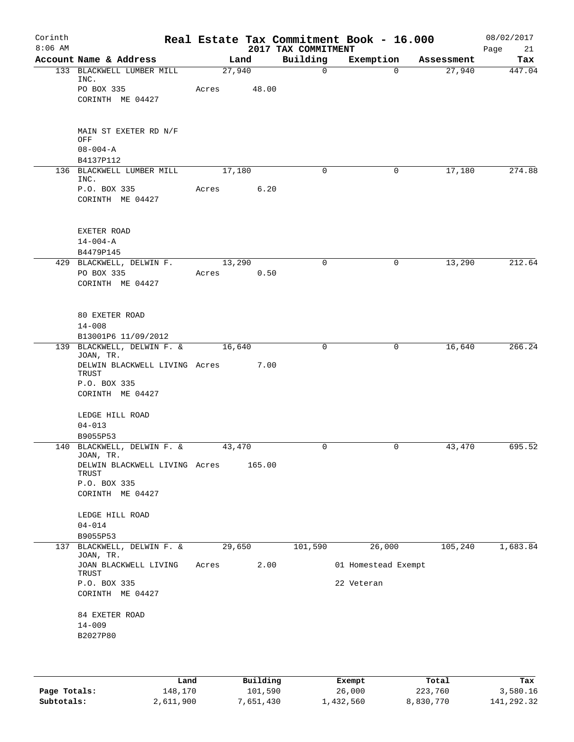| Corinth<br>$8:06$ AM |                                            |        |                        | 2017 TAX COMMITMENT | Real Estate Tax Commitment Book - 16.000 |            | 08/02/2017        |
|----------------------|--------------------------------------------|--------|------------------------|---------------------|------------------------------------------|------------|-------------------|
|                      | Account Name & Address                     | Land   |                        | Building            | Exemption                                | Assessment | Page<br>21<br>Tax |
|                      | 133 BLACKWELL LUMBER MILL<br>INC.          | 27,940 |                        | $\mathbf 0$         | $\mathbf 0$                              | 27,940     | 447.04            |
|                      | PO BOX 335                                 | Acres  | 48.00                  |                     |                                          |            |                   |
|                      | CORINTH ME 04427                           |        |                        |                     |                                          |            |                   |
|                      | MAIN ST EXETER RD N/F<br>OFF               |        |                        |                     |                                          |            |                   |
|                      | $08 - 004 - A$<br>B4137P112                |        |                        |                     |                                          |            |                   |
|                      | 136 BLACKWELL LUMBER MILL<br>INC.          | 17,180 |                        | 0                   | 0                                        | 17,180     | 274.88            |
|                      | P.O. BOX 335<br>CORINTH ME 04427           | Acres  | 6.20                   |                     |                                          |            |                   |
|                      | EXETER ROAD<br>$14 - 004 - A$              |        |                        |                     |                                          |            |                   |
|                      | B4479P145                                  |        |                        |                     |                                          |            |                   |
|                      | 429 BLACKWELL, DELWIN F.                   | 13,290 |                        | 0                   | 0                                        | 13,290     | 212.64            |
|                      | PO BOX 335<br>CORINTH ME 04427             | Acres  | 0.50                   |                     |                                          |            |                   |
|                      | 80 EXETER ROAD<br>$14 - 008$               |        |                        |                     |                                          |            |                   |
|                      | B13001P6 11/09/2012                        |        |                        |                     |                                          |            |                   |
|                      | 139 BLACKWELL, DELWIN F. &<br>JOAN, TR.    | 16,640 |                        | 0                   | 0                                        | 16,640     | 266.24            |
|                      | DELWIN BLACKWELL LIVING Acres<br>TRUST     |        | 7.00                   |                     |                                          |            |                   |
|                      | P.O. BOX 335<br>CORINTH ME 04427           |        |                        |                     |                                          |            |                   |
|                      | LEDGE HILL ROAD                            |        |                        |                     |                                          |            |                   |
|                      | $04 - 013$                                 |        |                        |                     |                                          |            |                   |
|                      | B9055P53<br>140 BLACKWELL, DELWIN F. &     | 43,470 |                        | 0                   | 0                                        | 43,470     | 695.52            |
|                      | JOAN, TR.<br>DELWIN BLACKWELL LIVING Acres |        | 165.00                 |                     |                                          |            |                   |
|                      | <b>TRUST</b>                               |        |                        |                     |                                          |            |                   |
|                      | P.O. BOX 335<br>CORINTH ME 04427           |        |                        |                     |                                          |            |                   |
|                      | LEDGE HILL ROAD                            |        |                        |                     |                                          |            |                   |
|                      | $04 - 014$                                 |        |                        |                     |                                          |            |                   |
| 137                  | B9055P53<br>BLACKWELL, DELWIN F. &         | 29,650 |                        | 101,590             | 26,000                                   | 105,240    | 1,683.84          |
|                      | JOAN, TR.<br>JOAN BLACKWELL LIVING         | Acres  | 2.00                   |                     | 01 Homestead Exempt                      |            |                   |
|                      | TRUST<br>P.O. BOX 335                      |        |                        |                     | 22 Veteran                               |            |                   |
|                      | CORINTH ME 04427                           |        |                        |                     |                                          |            |                   |
|                      | 84 EXETER ROAD                             |        |                        |                     |                                          |            |                   |
|                      | $14 - 009$<br>B2027P80                     |        |                        |                     |                                          |            |                   |
|                      |                                            |        |                        |                     |                                          |            |                   |
|                      |                                            |        |                        |                     |                                          |            |                   |
|                      | <b>Tond</b>                                |        | $D_{11}$ in $A$ in $A$ |                     | Pusamok                                  | $T - 1$    | <b>The st</b>     |

|              | Land      | Building  | Exempt    | Total     | Tax        |
|--------------|-----------|-----------|-----------|-----------|------------|
| Page Totals: | 148,170   | 101,590   | 26,000    | 223,760   | 3,580.16   |
| Subtotals:   | 2,611,900 | 7,651,430 | 1,432,560 | 8,830,770 | 141,292.32 |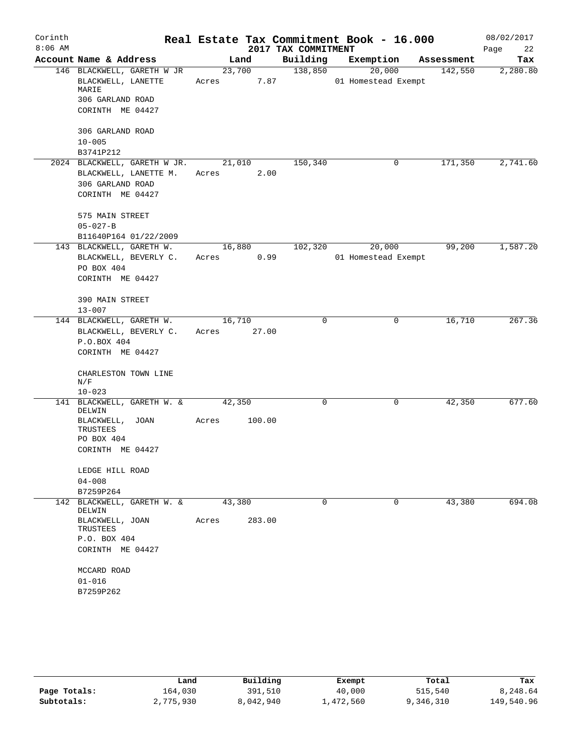| Corinth   |                                                               |                 |                     | Real Estate Tax Commitment Book - 16.000 |            | 08/02/2017 |
|-----------|---------------------------------------------------------------|-----------------|---------------------|------------------------------------------|------------|------------|
| $8:06$ AM |                                                               |                 | 2017 TAX COMMITMENT |                                          |            | 22<br>Page |
|           | Account Name & Address                                        | Land            | Building            | Exemption                                | Assessment | Tax        |
|           | 146 BLACKWELL, GARETH W JR<br>BLACKWELL, LANETTE<br>MARIE     | 23,700<br>Acres | 138,850<br>7.87     | 20,000<br>01 Homestead Exempt            | 142,550    | 2,280.80   |
|           | 306 GARLAND ROAD<br>CORINTH ME 04427                          |                 |                     |                                          |            |            |
|           |                                                               |                 |                     |                                          |            |            |
|           | 306 GARLAND ROAD<br>$10 - 005$                                |                 |                     |                                          |            |            |
|           | B3741P212                                                     |                 |                     |                                          |            |            |
|           | 2024 BLACKWELL, GARETH W JR. 21,010                           |                 | 150, 340            | 0                                        | 171,350    | 2,741.60   |
|           | BLACKWELL, LANETTE M.                                         | Acres           | 2.00                |                                          |            |            |
|           | 306 GARLAND ROAD                                              |                 |                     |                                          |            |            |
|           | CORINTH ME 04427                                              |                 |                     |                                          |            |            |
|           | 575 MAIN STREET                                               |                 |                     |                                          |            |            |
|           | $05 - 027 - B$                                                |                 |                     |                                          |            |            |
|           | B11640P164 01/22/2009                                         |                 |                     |                                          |            |            |
|           | 143 BLACKWELL, GARETH W.                                      | 16,880          | 102,320             | 20,000                                   | 99,200     | 1,587.20   |
|           | BLACKWELL, BEVERLY C.<br>PO BOX 404                           | Acres 0.99      |                     | 01 Homestead Exempt                      |            |            |
|           | CORINTH ME 04427                                              |                 |                     |                                          |            |            |
|           |                                                               |                 |                     |                                          |            |            |
|           | 390 MAIN STREET                                               |                 |                     |                                          |            |            |
|           | $13 - 007$                                                    |                 |                     |                                          |            |            |
|           | 144 BLACKWELL, GARETH W.<br>BLACKWELL, BEVERLY C. Acres 27.00 | 16,710          | $\Omega$            | 0                                        | 16,710     | 267.36     |
|           | P.O.BOX 404                                                   |                 |                     |                                          |            |            |
|           | CORINTH ME 04427                                              |                 |                     |                                          |            |            |
|           | CHARLESTON TOWN LINE                                          |                 |                     |                                          |            |            |
|           | N/F                                                           |                 |                     |                                          |            |            |
|           | $10 - 023$<br>141 BLACKWELL, GARETH W. &                      | 42,350          | 0                   | $\mathsf{O}$                             | 42,350     | 677.60     |
|           | DELWIN                                                        |                 |                     |                                          |            |            |
|           | BLACKWELL, JOAN<br>TRUSTEES                                   | Acres           | 100.00              |                                          |            |            |
|           | PO BOX 404                                                    |                 |                     |                                          |            |            |
|           | CORINTH ME 04427                                              |                 |                     |                                          |            |            |
|           | LEDGE HILL ROAD                                               |                 |                     |                                          |            |            |
|           | $04 - 008$                                                    |                 |                     |                                          |            |            |
|           | B7259P264                                                     |                 |                     |                                          |            |            |
|           | 142 BLACKWELL, GARETH W. &<br>DELWIN                          | 43,380          | 0                   | 0                                        | 43,380     | 694.08     |
|           | BLACKWELL, JOAN<br>TRUSTEES                                   | Acres           | 283.00              |                                          |            |            |
|           | P.O. BOX 404                                                  |                 |                     |                                          |            |            |
|           | CORINTH ME 04427                                              |                 |                     |                                          |            |            |
|           | MCCARD ROAD                                                   |                 |                     |                                          |            |            |
|           | $01 - 016$                                                    |                 |                     |                                          |            |            |
|           | B7259P262                                                     |                 |                     |                                          |            |            |
|           |                                                               |                 |                     |                                          |            |            |

|              | Land      | Building  | Exempt    | Total     | Tax        |
|--------------|-----------|-----------|-----------|-----------|------------|
| Page Totals: | 164.030   | 391,510   | 40,000    | 515,540   | 8,248.64   |
| Subtotals:   | 2,775,930 | 8,042,940 | ⊥,472,560 | 9,346,310 | 149,540.96 |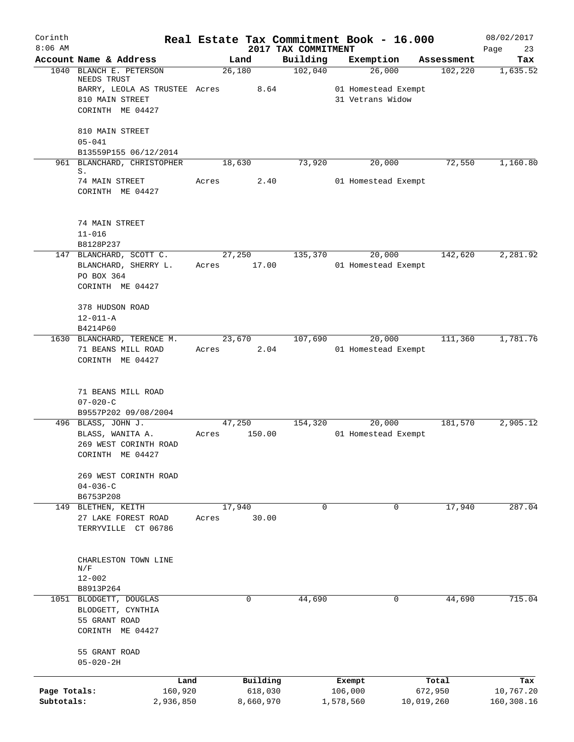| Corinth      |                                            |       |                     |                                 | Real Estate Tax Commitment Book - 16.000 |                  | 08/02/2017        |
|--------------|--------------------------------------------|-------|---------------------|---------------------------------|------------------------------------------|------------------|-------------------|
| $8:06$ AM    | Account Name & Address                     |       | Land                | 2017 TAX COMMITMENT<br>Building | Exemption                                | Assessment       | Page<br>23<br>Tax |
|              | 1040 BLANCH E. PETERSON                    |       | 26,180              | 102,040                         | 26,000                                   | 102,220          | 1,635.52          |
|              | NEEDS TRUST                                |       |                     |                                 |                                          |                  |                   |
|              | BARRY, LEOLA AS TRUSTEE Acres              |       | 8.64                |                                 | 01 Homestead Exempt                      |                  |                   |
|              | 810 MAIN STREET                            |       |                     |                                 | 31 Vetrans Widow                         |                  |                   |
|              | CORINTH ME 04427                           |       |                     |                                 |                                          |                  |                   |
|              | 810 MAIN STREET                            |       |                     |                                 |                                          |                  |                   |
|              | $05 - 041$                                 |       |                     |                                 |                                          |                  |                   |
|              | B13559P155 06/12/2014                      |       |                     |                                 |                                          |                  |                   |
|              | 961 BLANCHARD, CHRISTOPHER                 |       | 18,630              | 73,920                          | 20,000                                   | 72,550           | 1,160.80          |
|              | S.<br>74 MAIN STREET                       | Acres | 2.40                |                                 | 01 Homestead Exempt                      |                  |                   |
|              | CORINTH ME 04427                           |       |                     |                                 |                                          |                  |                   |
|              | 74 MAIN STREET                             |       |                     |                                 |                                          |                  |                   |
|              | $11 - 016$                                 |       |                     |                                 |                                          |                  |                   |
|              | B8128P237                                  |       |                     |                                 |                                          |                  |                   |
|              | 147 BLANCHARD, SCOTT C.                    |       | 27,250              | 135,370                         | 20,000                                   | 142,620          | 2,281.92          |
|              | BLANCHARD, SHERRY L.                       | Acres | 17.00               |                                 | 01 Homestead Exempt                      |                  |                   |
|              | PO BOX 364                                 |       |                     |                                 |                                          |                  |                   |
|              | CORINTH ME 04427                           |       |                     |                                 |                                          |                  |                   |
|              |                                            |       |                     |                                 |                                          |                  |                   |
|              | 378 HUDSON ROAD<br>$12 - 011 - A$          |       |                     |                                 |                                          |                  |                   |
|              | B4214P60                                   |       |                     |                                 |                                          |                  |                   |
|              | 1630 BLANCHARD, TERENCE M.                 |       | 23,670              | 107,690                         | 20,000                                   | 111,360          | 1,781.76          |
|              | 71 BEANS MILL ROAD                         | Acres | 2.04                |                                 | 01 Homestead Exempt                      |                  |                   |
|              | CORINTH ME 04427                           |       |                     |                                 |                                          |                  |                   |
|              | 71 BEANS MILL ROAD                         |       |                     |                                 |                                          |                  |                   |
|              | $07 - 020 - C$                             |       |                     |                                 |                                          |                  |                   |
|              | B9557P202 09/08/2004                       |       |                     |                                 |                                          |                  |                   |
|              | 496 BLASS, JOHN J.                         |       | 47,250              | 154,320                         | 20,000                                   | 181,570          | 2,905.12          |
|              | BLASS, WANITA A.<br>269 WEST CORINTH ROAD  | Acres | 150.00              |                                 | 01 Homestead Exempt                      |                  |                   |
|              | CORINTH ME 04427                           |       |                     |                                 |                                          |                  |                   |
|              |                                            |       |                     |                                 |                                          |                  |                   |
|              | 269 WEST CORINTH ROAD                      |       |                     |                                 |                                          |                  |                   |
|              | $04 - 036 - C$                             |       |                     |                                 |                                          |                  |                   |
|              | B6753P208                                  |       |                     |                                 |                                          |                  |                   |
|              | 149 BLETHEN, KEITH                         |       | 17,940              | 0                               | 0                                        | 17,940           | 287.04            |
|              | 27 LAKE FOREST ROAD<br>TERRYVILLE CT 06786 | Acres | 30.00               |                                 |                                          |                  |                   |
|              |                                            |       |                     |                                 |                                          |                  |                   |
|              | CHARLESTON TOWN LINE                       |       |                     |                                 |                                          |                  |                   |
|              | N/F                                        |       |                     |                                 |                                          |                  |                   |
|              | $12 - 002$                                 |       |                     |                                 |                                          |                  |                   |
|              | B8913P264                                  |       |                     |                                 |                                          |                  |                   |
| 1051         | BLODGETT, DOUGLAS                          |       | 0                   | 44,690                          | 0                                        | 44,690           | 715.04            |
|              | BLODGETT, CYNTHIA                          |       |                     |                                 |                                          |                  |                   |
|              | 55 GRANT ROAD<br>CORINTH ME 04427          |       |                     |                                 |                                          |                  |                   |
|              |                                            |       |                     |                                 |                                          |                  |                   |
|              | 55 GRANT ROAD                              |       |                     |                                 |                                          |                  |                   |
|              | $05 - 020 - 2H$                            |       |                     |                                 |                                          |                  |                   |
|              |                                            |       |                     |                                 |                                          |                  |                   |
| Page Totals: | Land<br>160,920                            |       | Building<br>618,030 |                                 | Exempt<br>106,000                        | Total<br>672,950 | Tax<br>10,767.20  |
| Subtotals:   | 2,936,850                                  |       | 8,660,970           |                                 | 1,578,560                                | 10,019,260       | 160,308.16        |
|              |                                            |       |                     |                                 |                                          |                  |                   |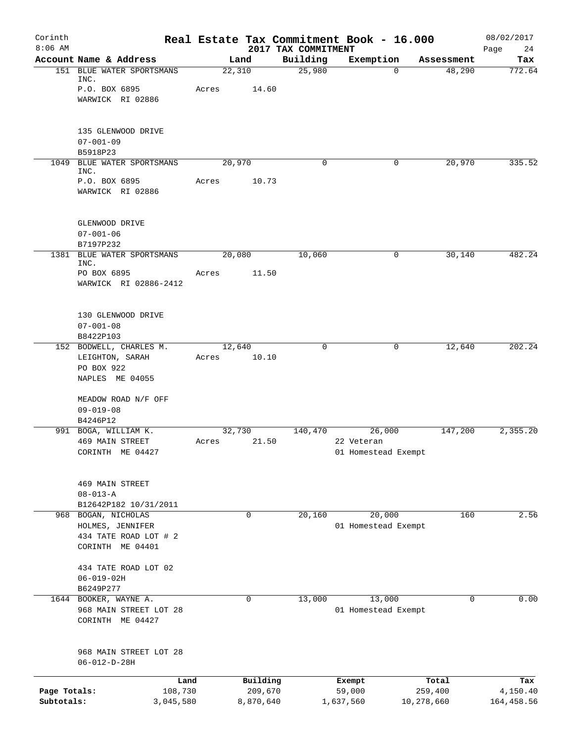| Corinth<br>$8:06$ AM |                                                                                      |                 |                      | Real Estate Tax Commitment Book - 16.000 |                                   |            |            | 08/02/2017             |
|----------------------|--------------------------------------------------------------------------------------|-----------------|----------------------|------------------------------------------|-----------------------------------|------------|------------|------------------------|
|                      | Account Name & Address                                                               |                 | Land                 | 2017 TAX COMMITMENT<br>Building          | Exemption                         |            | Assessment | 24<br>Page<br>Tax      |
|                      | 151 BLUE WATER SPORTSMANS<br>INC.                                                    | 22,310          |                      | 25,980                                   |                                   | $\Omega$   | 48,290     | 772.64                 |
|                      | P.O. BOX 6895<br>WARWICK RI 02886                                                    | Acres           | 14.60                |                                          |                                   |            |            |                        |
|                      | 135 GLENWOOD DRIVE<br>$07 - 001 - 09$<br>B5918P23                                    |                 |                      |                                          |                                   |            |            |                        |
|                      | 1049 BLUE WATER SPORTSMANS<br>INC.                                                   | 20,970          |                      | 0                                        |                                   | 0          | 20,970     | 335.52                 |
|                      | P.O. BOX 6895<br>WARWICK RI 02886                                                    | Acres           | 10.73                |                                          |                                   |            |            |                        |
|                      | GLENWOOD DRIVE<br>$07 - 001 - 06$<br>B7197P232                                       |                 |                      |                                          |                                   |            |            |                        |
|                      | 1381 BLUE WATER SPORTSMANS<br>INC.                                                   | 20,080          |                      | 10,060                                   |                                   | 0          | 30,140     | 482.24                 |
|                      | PO BOX 6895<br>WARWICK RI 02886-2412                                                 | Acres           | 11.50                |                                          |                                   |            |            |                        |
|                      | 130 GLENWOOD DRIVE<br>$07 - 001 - 08$<br>B8422P103                                   |                 |                      |                                          |                                   |            |            |                        |
|                      | 152 BODWELL, CHARLES M.<br>LEIGHTON, SARAH<br>PO BOX 922<br>NAPLES ME 04055          | 12,640<br>Acres | 10.10                | $\mathbf 0$                              |                                   | 0          | 12,640     | 202.24                 |
|                      | MEADOW ROAD N/F OFF<br>$09 - 019 - 08$<br>B4246P12                                   |                 |                      |                                          |                                   |            |            |                        |
|                      | 991 BOGA, WILLIAM K.                                                                 | 32,730          |                      | 140,470                                  |                                   | 26,000     | 147,200    | 2,355.20               |
|                      | 469 MAIN STREET<br>CORINTH ME 04427                                                  | Acres           | 21.50                |                                          | 22 Veteran<br>01 Homestead Exempt |            |            |                        |
|                      | 469 MAIN STREET<br>$08 - 013 - A$<br>B12642P182 10/31/2011                           |                 |                      |                                          |                                   |            |            |                        |
|                      | 968 BOGAN, NICHOLAS<br>HOLMES, JENNIFER<br>434 TATE ROAD LOT # 2<br>CORINTH ME 04401 |                 | $\mathbf 0$          | 20,160                                   | 01 Homestead Exempt               | 20,000     | 160        | 2.56                   |
|                      | 434 TATE ROAD LOT 02<br>$06 - 019 - 02H$<br>B6249P277                                |                 |                      |                                          |                                   |            |            |                        |
| 1644                 | BOOKER, WAYNE A.<br>968 MAIN STREET LOT 28<br>CORINTH ME 04427                       |                 | 0                    | 13,000                                   | 01 Homestead Exempt               | 13,000     | $\Omega$   | 0.00                   |
|                      | 968 MAIN STREET LOT 28<br>$06 - 012 - D - 28H$                                       |                 |                      |                                          |                                   |            |            |                        |
| Page Totals:         | Land                                                                                 |                 | Building             |                                          | Exempt                            |            | Total      | Tax                    |
| Subtotals:           | 108,730<br>3,045,580                                                                 |                 | 209,670<br>8,870,640 |                                          | 59,000<br>1,637,560               | 10,278,660 | 259,400    | 4,150.40<br>164,458.56 |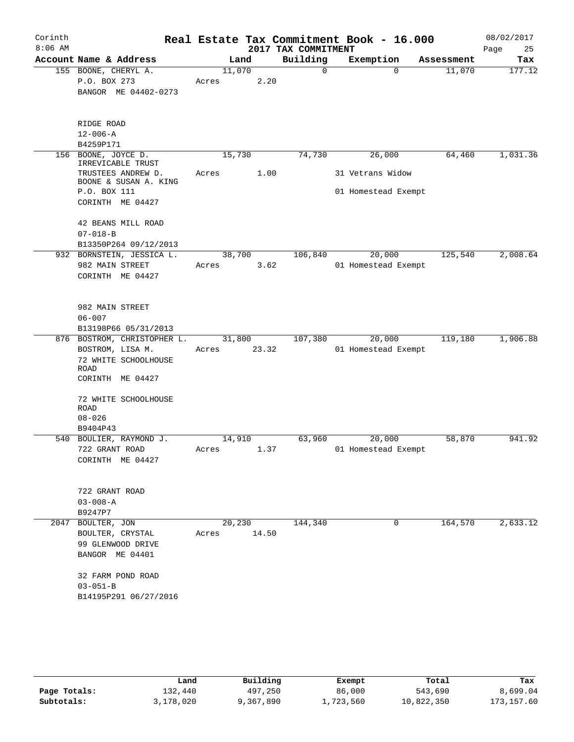| Corinth<br>$8:06$ AM |                                                                                                            |                 |       | 2017 TAX COMMITMENT | Real Estate Tax Commitment Book - 16.000 |            | 08/02/2017<br>25<br>Page |
|----------------------|------------------------------------------------------------------------------------------------------------|-----------------|-------|---------------------|------------------------------------------|------------|--------------------------|
|                      | Account Name & Address                                                                                     |                 | Land  | Building            | Exemption                                | Assessment | Tax                      |
|                      | 155 BOONE, CHERYL A.<br>P.O. BOX 273<br>BANGOR ME 04402-0273                                               | 11,070<br>Acres | 2.20  | $\mathbf 0$         | $\Omega$                                 | 11,070     | 177.12                   |
|                      | RIDGE ROAD<br>$12 - 006 - A$<br>B4259P171                                                                  |                 |       |                     |                                          |            |                          |
| 156                  | BOONE, JOYCE D.                                                                                            | 15,730          |       | 74,730              | 26,000                                   | 64,460     | 1,031.36                 |
|                      | IRREVICABLE TRUST<br>TRUSTEES ANDREW D.<br>BOONE & SUSAN A. KING<br>P.O. BOX 111<br>CORINTH ME 04427       | Acres           | 1.00  |                     | 31 Vetrans Widow<br>01 Homestead Exempt  |            |                          |
|                      | 42 BEANS MILL ROAD<br>$07 - 018 - B$<br>B13350P264 09/12/2013                                              |                 |       |                     |                                          |            |                          |
|                      | 932 BORNSTEIN, JESSICA L.<br>982 MAIN STREET<br>CORINTH ME 04427                                           | 38,700<br>Acres | 3.62  | 106,840             | 20,000<br>01 Homestead Exempt            | 125,540    | 2,008.64                 |
|                      | 982 MAIN STREET<br>$06 - 007$<br>B13198P66 05/31/2013                                                      |                 |       |                     |                                          |            |                          |
|                      | 876 BOSTROM, CHRISTOPHER L.<br>BOSTROM, LISA M.<br>72 WHITE SCHOOLHOUSE<br><b>ROAD</b><br>CORINTH ME 04427 | 31,800<br>Acres | 23.32 | 107,380             | 20,000<br>01 Homestead Exempt            | 119,180    | 1,906.88                 |
|                      | 72 WHITE SCHOOLHOUSE<br><b>ROAD</b><br>$08 - 026$                                                          |                 |       |                     |                                          |            |                          |
|                      | B9404P43<br>540 BOULIER, RAYMOND J.<br>722 GRANT ROAD<br>CORINTH ME 04427                                  | 14,910<br>Acres | 1.37  | 63,960              | 20,000<br>01 Homestead Exempt            | 58,870     | 941.92                   |
|                      | 722 GRANT ROAD<br>$03 - 008 - A$<br>B9247P7                                                                |                 |       |                     |                                          |            |                          |
|                      | 2047 BOULTER, JON<br>BOULTER, CRYSTAL<br>99 GLENWOOD DRIVE<br>BANGOR ME 04401                              | 20,230<br>Acres | 14.50 | 144,340             | 0                                        | 164,570    | 2,633.12                 |
|                      | 32 FARM POND ROAD<br>$03 - 051 - B$<br>B14195P291 06/27/2016                                               |                 |       |                     |                                          |            |                          |

|              | Land      | Building  | Exempt    | Total      | Tax         |
|--------------|-----------|-----------|-----------|------------|-------------|
| Page Totals: | 132,440   | 497,250   | 86,000    | 543,690    | 8,699.04    |
| Subtotals:   | 3,178,020 | 9,367,890 | 1,723,560 | 10,822,350 | 173, 157.60 |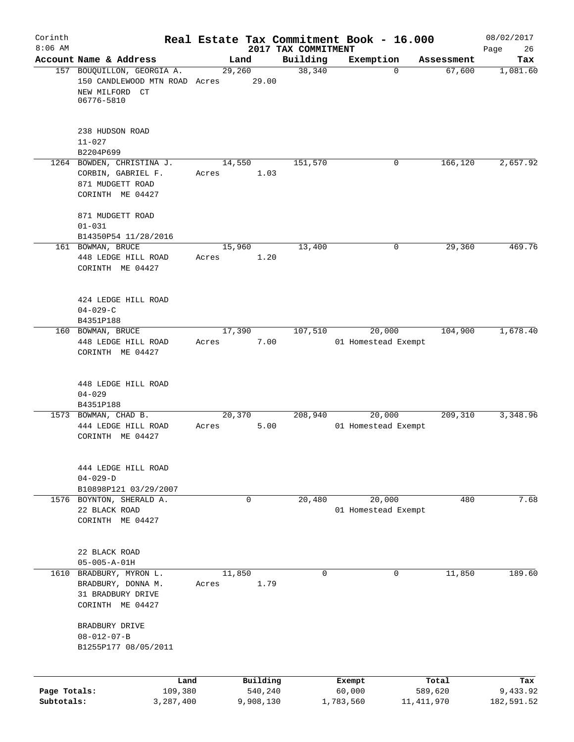| Corinth                    |                                                                                             |                  |                                 | Real Estate Tax Commitment Book - 16.000 |                         | 08/02/2017             |
|----------------------------|---------------------------------------------------------------------------------------------|------------------|---------------------------------|------------------------------------------|-------------------------|------------------------|
| $8:06$ AM                  | Account Name & Address                                                                      | Land             | 2017 TAX COMMITMENT<br>Building | Exemption                                | Assessment              | 26<br>Page<br>Tax      |
|                            | 157 BOUQUILLON, GEORGIA A.<br>150 CANDLEWOOD MTN ROAD Acres<br>NEW MILFORD CT<br>06776-5810 | 29,260<br>29.00  | 38,340                          | $\mathbf 0$                              | 67,600                  | 1,081.60               |
|                            | 238 HUDSON ROAD<br>$11 - 027$<br>B2204P699                                                  |                  |                                 |                                          |                         |                        |
|                            | 1264 BOWDEN, CHRISTINA J.<br>CORBIN, GABRIEL F.<br>871 MUDGETT ROAD<br>CORINTH ME 04427     | 14,550<br>Acres  | 151,570<br>1.03                 | 0                                        | 166,120                 | 2,657.92               |
|                            | 871 MUDGETT ROAD<br>$01 - 031$<br>B14350P54 11/28/2016                                      |                  |                                 |                                          |                         |                        |
|                            | 161 BOWMAN, BRUCE<br>448 LEDGE HILL ROAD<br>CORINTH ME 04427                                | 15,960<br>Acres  | 13,400<br>1.20                  | 0                                        | 29,360                  | 469.76                 |
|                            | 424 LEDGE HILL ROAD<br>$04 - 029 - C$<br>B4351P188                                          |                  |                                 |                                          |                         |                        |
|                            | 160 BOWMAN, BRUCE<br>448 LEDGE HILL ROAD<br>CORINTH ME 04427                                | 17,390<br>Acres  | 107,510<br>7.00                 | 20,000<br>01 Homestead Exempt            | 104,900                 | 1,678.40               |
|                            | 448 LEDGE HILL ROAD<br>$04 - 029$<br>B4351P188                                              |                  |                                 |                                          |                         |                        |
|                            | 1573 BOWMAN, CHAD B.<br>444 LEDGE HILL ROAD<br>CORINTH ME 04427                             | 20, 370<br>Acres | 208,940<br>5.00                 | 20,000<br>01 Homestead Exempt            | 209,310                 | 3,348.96               |
|                            | 444 LEDGE HILL ROAD<br>$04 - 029 - D$<br>B10898P121 03/29/2007                              |                  |                                 |                                          |                         |                        |
|                            | 1576 BOYNTON, SHERALD A.<br>22 BLACK ROAD<br>CORINTH ME 04427                               | $\mathbf 0$      | 20,480                          | 20,000<br>01 Homestead Exempt            | 480                     | 7.68                   |
|                            | 22 BLACK ROAD<br>$05 - 005 - A - 01H$                                                       |                  |                                 |                                          |                         |                        |
|                            | 1610 BRADBURY, MYRON L.<br>BRADBURY, DONNA M.<br>31 BRADBURY DRIVE<br>CORINTH ME 04427      | 11,850<br>Acres  | $\Omega$<br>1.79                | $\Omega$                                 | 11,850                  | 189.60                 |
|                            | BRADBURY DRIVE<br>$08 - 012 - 07 - B$<br>B1255P177 08/05/2011                               |                  |                                 |                                          |                         |                        |
|                            | Land                                                                                        | Building         |                                 | Exempt                                   | Total                   | Tax                    |
| Page Totals:<br>Subtotals: | 109,380<br>3,287,400                                                                        | 9,908,130        | 540,240                         | 60,000<br>1,783,560                      | 589,620<br>11, 411, 970 | 9,433.92<br>182,591.52 |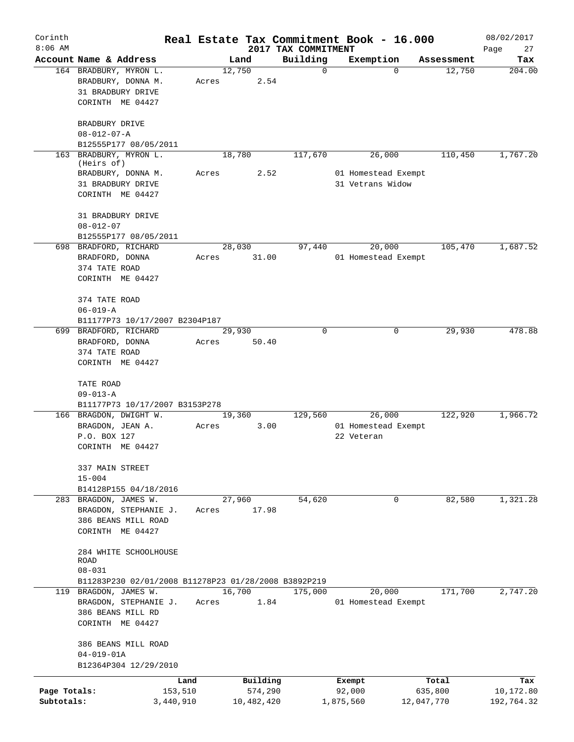| Corinth                    |                                                                |       |                       |                                 | Real Estate Tax Commitment Book - 16.000 |                       | 08/02/2017              |
|----------------------------|----------------------------------------------------------------|-------|-----------------------|---------------------------------|------------------------------------------|-----------------------|-------------------------|
| $8:06$ AM                  | Account Name & Address                                         |       | Land                  | 2017 TAX COMMITMENT<br>Building | Exemption                                | Assessment            | Page<br>27<br>Tax       |
|                            | 164 BRADBURY, MYRON L.<br>BRADBURY, DONNA M.                   | Acres | 12,750<br>2.54        | $\mathbf 0$                     | $\Omega$                                 | 12,750                | 204.00                  |
|                            | 31 BRADBURY DRIVE<br>CORINTH ME 04427                          |       |                       |                                 |                                          |                       |                         |
|                            | BRADBURY DRIVE<br>$08 - 012 - 07 - A$                          |       |                       |                                 |                                          |                       |                         |
|                            | B12555P177 08/05/2011                                          |       |                       |                                 |                                          |                       |                         |
|                            | 163 BRADBURY, MYRON L.<br>(Heirs of)                           |       | 18,780                | 117,670                         | 26,000                                   | 110,450               | 1,767.20                |
|                            | BRADBURY, DONNA M.<br>31 BRADBURY DRIVE<br>CORINTH ME 04427    | Acres | 2.52                  |                                 | 01 Homestead Exempt<br>31 Vetrans Widow  |                       |                         |
|                            | 31 BRADBURY DRIVE<br>$08 - 012 - 07$                           |       |                       |                                 |                                          |                       |                         |
|                            | B12555P177 08/05/2011                                          |       |                       |                                 |                                          |                       |                         |
|                            | 698 BRADFORD, RICHARD<br>BRADFORD, DONNA                       | Acres | 28,030<br>31.00       | 97,440                          | 20,000<br>01 Homestead Exempt            | 105,470               | 1,687.52                |
|                            | 374 TATE ROAD<br>CORINTH ME 04427                              |       |                       |                                 |                                          |                       |                         |
|                            | 374 TATE ROAD<br>$06 - 019 - A$                                |       |                       |                                 |                                          |                       |                         |
|                            | B11177P73 10/17/2007 B2304P187                                 |       |                       |                                 |                                          |                       |                         |
|                            | 699 BRADFORD, RICHARD                                          |       | 29,930                | $\Omega$                        | 0                                        | 29,930                | 478.88                  |
|                            | BRADFORD, DONNA                                                | Acres | 50.40                 |                                 |                                          |                       |                         |
|                            | 374 TATE ROAD<br>CORINTH ME 04427                              |       |                       |                                 |                                          |                       |                         |
|                            | TATE ROAD<br>$09 - 013 - A$                                    |       |                       |                                 |                                          |                       |                         |
|                            | B11177P73 10/17/2007 B3153P278                                 |       |                       |                                 |                                          |                       |                         |
|                            | 166 BRAGDON, DWIGHT W.                                         |       | 19,360                | 129,560                         | 26,000                                   | 122,920               | 1,966.72                |
|                            | BRAGDON, JEAN A.                                               | Acres | 3.00                  |                                 | 01 Homestead Exempt                      |                       |                         |
|                            | P.O. BOX 127<br>CORINTH ME 04427                               |       |                       |                                 | 22 Veteran                               |                       |                         |
|                            | 337 MAIN STREET<br>$15 - 004$                                  |       |                       |                                 |                                          |                       |                         |
|                            | B14128P155 04/18/2016                                          |       |                       |                                 |                                          |                       |                         |
|                            | 283 BRAGDON, JAMES W.                                          |       | 27,960                | 54,620                          | 0                                        | 82,580                | 1,321.28                |
|                            | BRAGDON, STEPHANIE J.                                          | Acres | 17.98                 |                                 |                                          |                       |                         |
|                            | 386 BEANS MILL ROAD<br>CORINTH ME 04427                        |       |                       |                                 |                                          |                       |                         |
|                            | 284 WHITE SCHOOLHOUSE<br><b>ROAD</b><br>$08 - 031$             |       |                       |                                 |                                          |                       |                         |
|                            | B11283P230 02/01/2008 B11278P23 01/28/2008 B3892P219           |       |                       |                                 |                                          |                       |                         |
|                            | 119 BRAGDON, JAMES W.                                          |       | 16,700                | 175,000                         | 20,000                                   | 171,700               | 2,747.20                |
|                            | BRAGDON, STEPHANIE J.<br>386 BEANS MILL RD<br>CORINTH ME 04427 | Acres | 1.84                  |                                 | 01 Homestead Exempt                      |                       |                         |
|                            | 386 BEANS MILL ROAD<br>$04 - 019 - 01A$                        |       |                       |                                 |                                          |                       |                         |
|                            | B12364P304 12/29/2010                                          |       |                       |                                 |                                          |                       |                         |
|                            |                                                                | Land  | Building              |                                 | Exempt                                   | Total                 | Tax                     |
| Page Totals:<br>Subtotals: | 153,510<br>3,440,910                                           |       | 574,290<br>10,482,420 |                                 | 92,000<br>1,875,560                      | 635,800<br>12,047,770 | 10,172.80<br>192,764.32 |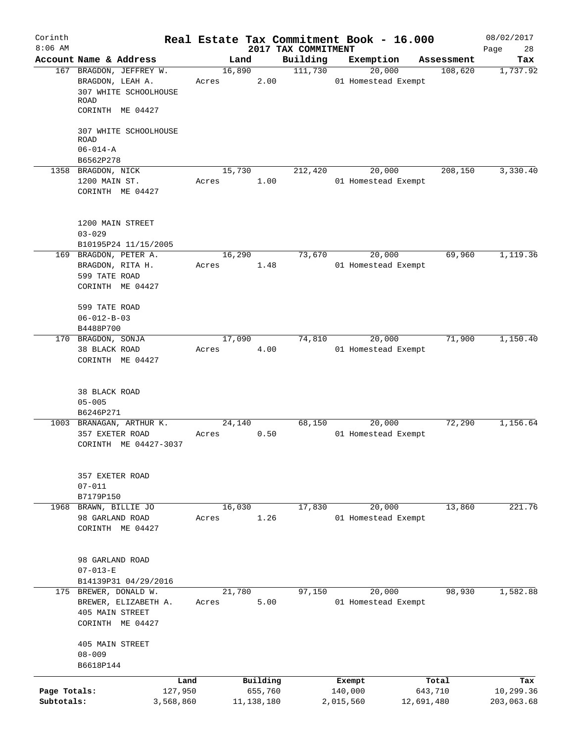| Corinth<br>$8:06$ AM       |                                                                                     |       |        |                         |                                 | Real Estate Tax Commitment Book - 16.000 |                                | 08/02/2017                     |
|----------------------------|-------------------------------------------------------------------------------------|-------|--------|-------------------------|---------------------------------|------------------------------------------|--------------------------------|--------------------------------|
|                            | Account Name & Address                                                              |       | Land   |                         | 2017 TAX COMMITMENT<br>Building | Exemption                                | Assessment                     | Page<br>28<br>Tax              |
|                            | 167 BRAGDON, JEFFREY W.<br>BRAGDON, LEAH A.<br>307 WHITE SCHOOLHOUSE<br><b>ROAD</b> | Acres | 16,890 | 2.00                    | 111,730                         | 20,000<br>01 Homestead Exempt            | 108,620                        | 1,737.92                       |
|                            | CORINTH ME 04427                                                                    |       |        |                         |                                 |                                          |                                |                                |
|                            | 307 WHITE SCHOOLHOUSE<br><b>ROAD</b><br>$06 - 014 - A$                              |       |        |                         |                                 |                                          |                                |                                |
|                            | B6562P278                                                                           |       |        |                         |                                 |                                          |                                |                                |
|                            | 1358 BRAGDON, NICK<br>1200 MAIN ST.<br>CORINTH ME 04427                             | Acres | 15,730 | 1.00                    | 212,420                         | 20,000<br>01 Homestead Exempt            | 208,150                        | 3,330.40                       |
|                            | 1200 MAIN STREET<br>$03 - 029$                                                      |       |        |                         |                                 |                                          |                                |                                |
|                            | B10195P24 11/15/2005                                                                |       |        |                         |                                 |                                          |                                |                                |
|                            | 169 BRAGDON, PETER A.<br>BRAGDON, RITA H.<br>599 TATE ROAD                          | Acres | 16,290 | 1.48                    | 73,670                          | 20,000<br>01 Homestead Exempt            | 69,960                         | 1,119.36                       |
|                            | CORINTH ME 04427                                                                    |       |        |                         |                                 |                                          |                                |                                |
|                            | 599 TATE ROAD<br>$06 - 012 - B - 03$<br>B4488P700                                   |       |        |                         |                                 |                                          |                                |                                |
|                            | 170 BRAGDON, SONJA                                                                  |       | 17,090 |                         | 74,810                          | 20,000                                   | 71,900                         | 1,150.40                       |
|                            | 38 BLACK ROAD<br>CORINTH ME 04427                                                   | Acres |        | 4.00                    |                                 | 01 Homestead Exempt                      |                                |                                |
|                            | 38 BLACK ROAD<br>$05 - 005$<br>B6246P271                                            |       |        |                         |                                 |                                          |                                |                                |
|                            | 1003 BRANAGAN, ARTHUR K.                                                            |       | 24,140 |                         | 68,150                          | 20,000                                   | 72,290                         | 1,156.64                       |
|                            | 357 EXETER ROAD<br>CORINTH ME 04427-3037                                            | Acres |        | 0.50                    |                                 | 01 Homestead Exempt                      |                                |                                |
|                            | 357 EXETER ROAD<br>$07 - 011$<br>B7179P150                                          |       |        |                         |                                 |                                          |                                |                                |
|                            | 1968 BRAWN, BILLIE JO                                                               |       | 16,030 |                         | 17,830                          | 20,000                                   | 13,860                         | 221.76                         |
|                            | 98 GARLAND ROAD<br>CORINTH ME 04427                                                 | Acres |        | 1.26                    |                                 | 01 Homestead Exempt                      |                                |                                |
|                            | 98 GARLAND ROAD<br>$07 - 013 - E$                                                   |       |        |                         |                                 |                                          |                                |                                |
|                            | B14139P31 04/29/2016<br>175 BREWER, DONALD W.                                       |       | 21,780 |                         | 97,150                          | 20,000                                   | 98,930                         | 1,582.88                       |
|                            | BREWER, ELIZABETH A.<br>405 MAIN STREET<br>CORINTH ME 04427                         | Acres |        | 5.00                    |                                 | 01 Homestead Exempt                      |                                |                                |
|                            | 405 MAIN STREET<br>$08 - 009$<br>B6618P144                                          |       |        |                         |                                 |                                          |                                |                                |
|                            |                                                                                     |       |        | Building                |                                 |                                          |                                |                                |
| Page Totals:<br>Subtotals: | Land<br>127,950<br>3,568,860                                                        |       |        | 655,760<br>11, 138, 180 |                                 | Exempt<br>140,000<br>2,015,560           | Total<br>643,710<br>12,691,480 | Tax<br>10,299.36<br>203,063.68 |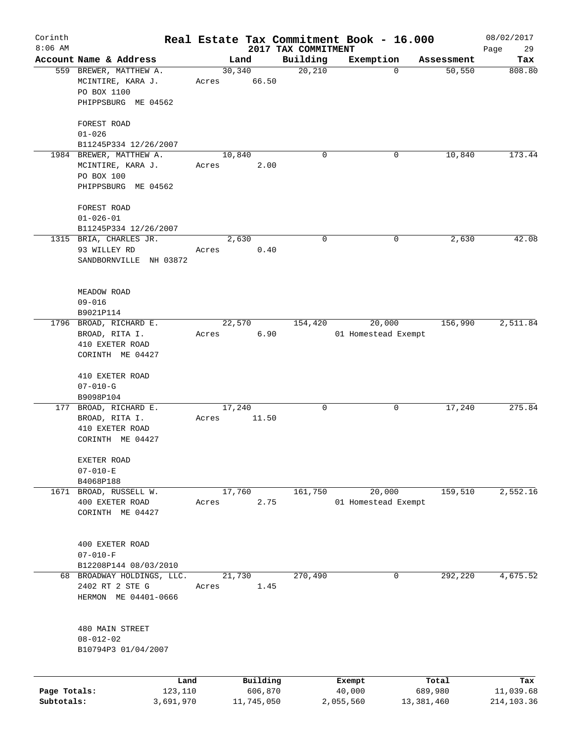| Corinth<br>$8:06$ AM |                                                            |       |                 | 2017 TAX COMMITMENT | Real Estate Tax Commitment Book - 16.000 |            | 08/02/2017        |
|----------------------|------------------------------------------------------------|-------|-----------------|---------------------|------------------------------------------|------------|-------------------|
|                      | Account Name & Address                                     |       | Land            | Building            | Exemption                                | Assessment | Page<br>29<br>Tax |
|                      | 559 BREWER, MATTHEW A.<br>MCINTIRE, KARA J.<br>PO BOX 1100 | Acres | 30,340<br>66.50 | 20,210              | $\mathbf 0$                              | 50,550     | 808.80            |
|                      | PHIPPSBURG ME 04562                                        |       |                 |                     |                                          |            |                   |
|                      | FOREST ROAD<br>$01 - 026$                                  |       |                 |                     |                                          |            |                   |
|                      | B11245P334 12/26/2007                                      |       |                 |                     |                                          |            |                   |
|                      | 1984 BREWER, MATTHEW A.                                    |       | 10,840          | $\Omega$            | 0                                        | 10,840     | 173.44            |
|                      | MCINTIRE, KARA J.<br>PO BOX 100                            | Acres | 2.00            |                     |                                          |            |                   |
|                      | PHIPPSBURG ME 04562                                        |       |                 |                     |                                          |            |                   |
|                      | FOREST ROAD                                                |       |                 |                     |                                          |            |                   |
|                      | $01 - 026 - 01$                                            |       |                 |                     |                                          |            |                   |
|                      | B11245P334 12/26/2007                                      |       |                 |                     |                                          |            |                   |
|                      | 1315 BRIA, CHARLES JR.                                     |       | 2,630           | 0                   | 0                                        | 2,630      | 42.08             |
|                      | 93 WILLEY RD                                               | Acres | 0.40            |                     |                                          |            |                   |
|                      | SANDBORNVILLE NH 03872                                     |       |                 |                     |                                          |            |                   |
|                      | MEADOW ROAD                                                |       |                 |                     |                                          |            |                   |
|                      | $09 - 016$                                                 |       |                 |                     |                                          |            |                   |
|                      | B9021P114<br>1796 BROAD, RICHARD E.                        |       | 22,570          | 154,420             | 20,000                                   | 156,990    | 2,511.84          |
|                      | BROAD, RITA I.                                             | Acres | 6.90            |                     | 01 Homestead Exempt                      |            |                   |
|                      | 410 EXETER ROAD                                            |       |                 |                     |                                          |            |                   |
|                      | CORINTH ME 04427                                           |       |                 |                     |                                          |            |                   |
|                      | 410 EXETER ROAD                                            |       |                 |                     |                                          |            |                   |
|                      | $07 - 010 - G$<br>B9098P104                                |       |                 |                     |                                          |            |                   |
|                      | 177 BROAD, RICHARD E.                                      |       | 17,240          | 0                   | 0                                        | 17,240     | 275.84            |
|                      | BROAD, RITA I.                                             | Acres | 11.50           |                     |                                          |            |                   |
|                      | 410 EXETER ROAD                                            |       |                 |                     |                                          |            |                   |
|                      | CORINTH ME 04427                                           |       |                 |                     |                                          |            |                   |
|                      | EXETER ROAD<br>$07 - 010 - E$                              |       |                 |                     |                                          |            |                   |
|                      | B4068P188                                                  |       |                 |                     |                                          |            |                   |
| 1671                 | BROAD, RUSSELL W.                                          |       | 17,760          | 161,750             | 20,000                                   | 159,510    | 2,552.16          |
|                      | 400 EXETER ROAD                                            | Acres | 2.75            |                     | 01 Homestead Exempt                      |            |                   |
|                      | CORINTH ME 04427                                           |       |                 |                     |                                          |            |                   |
|                      | 400 EXETER ROAD                                            |       |                 |                     |                                          |            |                   |
|                      | $07 - 010 - F$                                             |       |                 |                     |                                          |            |                   |
|                      | B12208P144 08/03/2010                                      |       |                 |                     |                                          |            |                   |
|                      | 68 BROADWAY HOLDINGS, LLC.                                 |       | 21,730          | 270,490             | 0                                        | 292,220    | 4,675.52          |
|                      | 2402 RT 2 STE G<br>HERMON ME 04401-0666                    | Acres | 1.45            |                     |                                          |            |                   |
|                      | 480 MAIN STREET                                            |       |                 |                     |                                          |            |                   |
|                      | $08 - 012 - 02$                                            |       |                 |                     |                                          |            |                   |
|                      | B10794P3 01/04/2007                                        |       |                 |                     |                                          |            |                   |
|                      | Land                                                       |       | Building        |                     | Exempt                                   | Total      | Tax               |
| Page Totals:         | 123,110                                                    |       | 606,870         |                     | 40,000                                   | 689,980    | 11,039.68         |
| Subtotals:           | 3,691,970                                                  |       | 11,745,050      |                     | 2,055,560                                | 13,381,460 | 214,103.36        |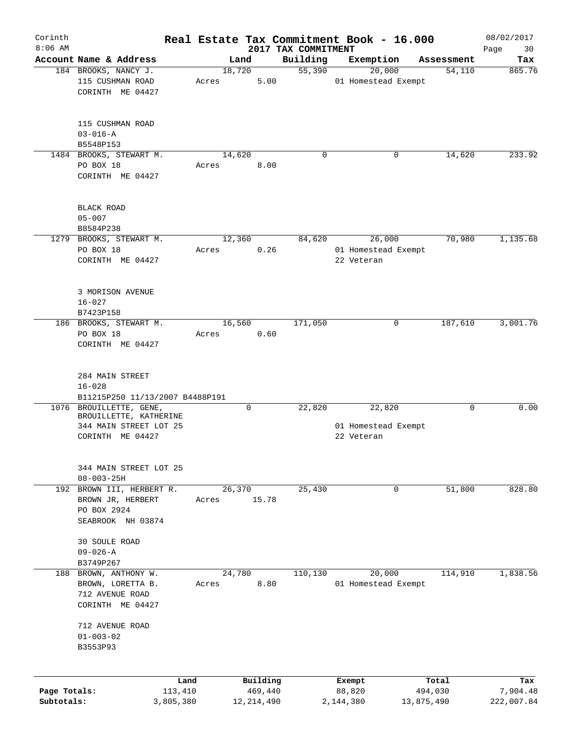| Corinth      |                                 |       |              |                     | Real Estate Tax Commitment Book - 16.000 |            | 08/02/2017 |
|--------------|---------------------------------|-------|--------------|---------------------|------------------------------------------|------------|------------|
| $8:06$ AM    | Account Name & Address          |       | Land         | 2017 TAX COMMITMENT |                                          | Assessment | Page<br>30 |
|              |                                 |       |              | Building            | Exemption                                | 54,110     | Tax        |
|              | 184 BROOKS, NANCY J.            |       | 18,720       | 55,390              | 20,000                                   |            | 865.76     |
|              | 115 CUSHMAN ROAD                | Acres | 5.00         |                     | 01 Homestead Exempt                      |            |            |
|              | CORINTH ME 04427                |       |              |                     |                                          |            |            |
|              |                                 |       |              |                     |                                          |            |            |
|              | 115 CUSHMAN ROAD                |       |              |                     |                                          |            |            |
|              | $03 - 016 - A$                  |       |              |                     |                                          |            |            |
|              | B5548P153                       |       |              |                     |                                          |            |            |
|              | 1484 BROOKS, STEWART M.         |       | 14,620       | 0                   | 0                                        | 14,620     | 233.92     |
|              | PO BOX 18                       | Acres | 8.00         |                     |                                          |            |            |
|              | CORINTH ME 04427                |       |              |                     |                                          |            |            |
|              |                                 |       |              |                     |                                          |            |            |
|              |                                 |       |              |                     |                                          |            |            |
|              | BLACK ROAD                      |       |              |                     |                                          |            |            |
|              | $05 - 007$                      |       |              |                     |                                          |            |            |
|              | B8584P238                       |       |              |                     |                                          |            |            |
|              | 1279 BROOKS, STEWART M.         |       | 12,360       | 84,620              | 26,000                                   | 70,980     | 1,135.68   |
|              | PO BOX 18                       | Acres | 0.26         |                     | 01 Homestead Exempt                      |            |            |
|              | CORINTH ME 04427                |       |              |                     | 22 Veteran                               |            |            |
|              |                                 |       |              |                     |                                          |            |            |
|              |                                 |       |              |                     |                                          |            |            |
|              | 3 MORISON AVENUE                |       |              |                     |                                          |            |            |
|              | $16 - 027$                      |       |              |                     |                                          |            |            |
|              | B7423P158                       |       |              |                     |                                          |            |            |
|              | 186 BROOKS, STEWART M.          |       | 16,560       | 171,050             | 0                                        | 187,610    | 3,001.76   |
|              | PO BOX 18                       | Acres | 0.60         |                     |                                          |            |            |
|              | CORINTH ME 04427                |       |              |                     |                                          |            |            |
|              |                                 |       |              |                     |                                          |            |            |
|              |                                 |       |              |                     |                                          |            |            |
|              | 284 MAIN STREET                 |       |              |                     |                                          |            |            |
|              | $16 - 028$                      |       |              |                     |                                          |            |            |
|              | B11215P250 11/13/2007 B4488P191 |       |              |                     |                                          |            |            |
|              | 1076 BROUILLETTE, GENE,         |       | $\mathbf 0$  | 22,820              | 22,820                                   | 0          | 0.00       |
|              | BROUILLETTE, KATHERINE          |       |              |                     |                                          |            |            |
|              | 344 MAIN STREET LOT 25          |       |              |                     | 01 Homestead Exempt                      |            |            |
|              | CORINTH ME 04427                |       |              |                     | 22 Veteran                               |            |            |
|              |                                 |       |              |                     |                                          |            |            |
|              | 344 MAIN STREET LOT 25          |       |              |                     |                                          |            |            |
|              | $08 - 003 - 25H$                |       |              |                     |                                          |            |            |
|              | 192 BROWN III, HERBERT R.       |       | 26,370       | 25,430              | 0                                        | 51,800     | 828.80     |
|              | BROWN JR, HERBERT               | Acres | 15.78        |                     |                                          |            |            |
|              | PO BOX 2924                     |       |              |                     |                                          |            |            |
|              | SEABROOK NH 03874               |       |              |                     |                                          |            |            |
|              |                                 |       |              |                     |                                          |            |            |
|              | 30 SOULE ROAD                   |       |              |                     |                                          |            |            |
|              | $09 - 026 - A$                  |       |              |                     |                                          |            |            |
|              | B3749P267                       |       |              |                     |                                          |            |            |
|              | 188 BROWN, ANTHONY W.           |       | 24,780       | 110,130             | 20,000                                   | 114,910    | 1,838.56   |
|              | BROWN, LORETTA B.               | Acres | 8.80         |                     | 01 Homestead Exempt                      |            |            |
|              | 712 AVENUE ROAD                 |       |              |                     |                                          |            |            |
|              | CORINTH ME 04427                |       |              |                     |                                          |            |            |
|              |                                 |       |              |                     |                                          |            |            |
|              | 712 AVENUE ROAD                 |       |              |                     |                                          |            |            |
|              | $01 - 003 - 02$                 |       |              |                     |                                          |            |            |
|              | B3553P93                        |       |              |                     |                                          |            |            |
|              |                                 |       |              |                     |                                          |            |            |
|              |                                 | Land  | Building     |                     | Exempt                                   | Total      | Tax        |
| Page Totals: | 113,410                         |       | 469,440      |                     | 88,820                                   | 494,030    | 7,904.48   |
| Subtotals:   | 3,805,380                       |       | 12, 214, 490 |                     | 2,144,380                                | 13,875,490 | 222,007.84 |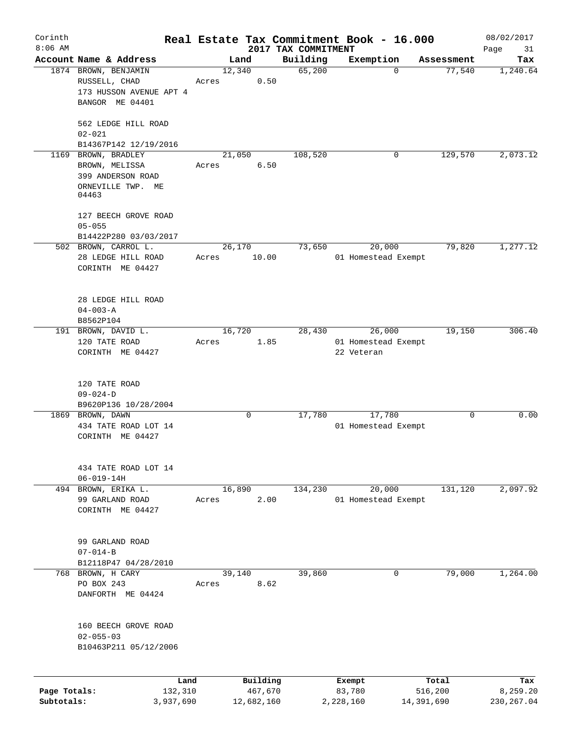| Corinth                    |                                        |       |                       |                     | Real Estate Tax Commitment Book - 16.000 |                                     | 08/02/2017              |
|----------------------------|----------------------------------------|-------|-----------------------|---------------------|------------------------------------------|-------------------------------------|-------------------------|
| $8:06$ AM                  | Account Name & Address                 |       |                       | 2017 TAX COMMITMENT |                                          |                                     | Page<br>31              |
|                            | 1874 BROWN, BENJAMIN                   |       | Land<br>12,340        | Building<br>65,200  | Exemption                                | Assessment<br>77,540<br>$\mathbf 0$ | Tax<br>1,240.64         |
|                            | RUSSELL, CHAD                          | Acres | 0.50                  |                     |                                          |                                     |                         |
|                            | 173 HUSSON AVENUE APT 4                |       |                       |                     |                                          |                                     |                         |
|                            | BANGOR ME 04401                        |       |                       |                     |                                          |                                     |                         |
|                            |                                        |       |                       |                     |                                          |                                     |                         |
|                            | 562 LEDGE HILL ROAD                    |       |                       |                     |                                          |                                     |                         |
|                            | $02 - 021$                             |       |                       |                     |                                          |                                     |                         |
|                            | B14367P142 12/19/2016                  |       |                       |                     |                                          |                                     |                         |
|                            | 1169 BROWN, BRADLEY                    |       | 21,050                | 108,520             |                                          | 129,570<br>0                        | 2,073.12                |
|                            | BROWN, MELISSA                         | Acres | 6.50                  |                     |                                          |                                     |                         |
|                            | 399 ANDERSON ROAD                      |       |                       |                     |                                          |                                     |                         |
|                            | ORNEVILLE TWP. ME<br>04463             |       |                       |                     |                                          |                                     |                         |
|                            | 127 BEECH GROVE ROAD                   |       |                       |                     |                                          |                                     |                         |
|                            | $05 - 055$                             |       |                       |                     |                                          |                                     |                         |
|                            | B14422P280 03/03/2017                  |       |                       |                     |                                          |                                     |                         |
|                            | 502 BROWN, CARROL L.                   |       | 26,170                | 73,650              | 20,000                                   | 79,820                              | 1,277.12                |
|                            | 28 LEDGE HILL ROAD                     | Acres | 10.00                 |                     | 01 Homestead Exempt                      |                                     |                         |
|                            | CORINTH ME 04427                       |       |                       |                     |                                          |                                     |                         |
|                            |                                        |       |                       |                     |                                          |                                     |                         |
|                            | 28 LEDGE HILL ROAD                     |       |                       |                     |                                          |                                     |                         |
|                            | $04 - 003 - A$                         |       |                       |                     |                                          |                                     |                         |
|                            | B8562P104                              |       |                       |                     |                                          |                                     |                         |
|                            | 191 BROWN, DAVID L.                    |       | 16,720                | 28,430              | 26,000                                   | 19,150                              | 306.40                  |
|                            | 120 TATE ROAD                          | Acres | 1.85                  |                     | 01 Homestead Exempt                      |                                     |                         |
|                            | CORINTH ME 04427                       |       |                       |                     | 22 Veteran                               |                                     |                         |
|                            | 120 TATE ROAD                          |       |                       |                     |                                          |                                     |                         |
|                            | $09 - 024 - D$                         |       |                       |                     |                                          |                                     |                         |
|                            | B9620P136 10/28/2004                   |       |                       |                     |                                          |                                     |                         |
|                            | 1869 BROWN, DAWN                       |       | 0                     | 17,780              | 17,780                                   |                                     | 0.00<br>0               |
|                            | 434 TATE ROAD LOT 14                   |       |                       |                     | 01 Homestead Exempt                      |                                     |                         |
|                            | CORINTH ME 04427                       |       |                       |                     |                                          |                                     |                         |
|                            |                                        |       |                       |                     |                                          |                                     |                         |
|                            | 434 TATE ROAD LOT 14                   |       |                       |                     |                                          |                                     |                         |
|                            | $06 - 019 - 14H$                       |       |                       |                     |                                          |                                     |                         |
|                            | 494 BROWN, ERIKA L.<br>99 GARLAND ROAD |       | 16,890<br>2.00        | 134,230             | 20,000                                   | 131,120                             | 2,097.92                |
|                            | CORINTH ME 04427                       | Acres |                       |                     | 01 Homestead Exempt                      |                                     |                         |
|                            |                                        |       |                       |                     |                                          |                                     |                         |
|                            | 99 GARLAND ROAD                        |       |                       |                     |                                          |                                     |                         |
|                            | $07 - 014 - B$                         |       |                       |                     |                                          |                                     |                         |
|                            | B12118P47 04/28/2010                   |       |                       |                     |                                          |                                     |                         |
|                            | 768 BROWN, H CARY                      |       | 39,140                | 39,860              |                                          | 79,000<br>$\mathbf 0$               | 1,264.00                |
|                            | PO BOX 243                             | Acres | 8.62                  |                     |                                          |                                     |                         |
|                            | DANFORTH ME 04424                      |       |                       |                     |                                          |                                     |                         |
|                            |                                        |       |                       |                     |                                          |                                     |                         |
|                            | 160 BEECH GROVE ROAD                   |       |                       |                     |                                          |                                     |                         |
|                            | $02 - 055 - 03$                        |       |                       |                     |                                          |                                     |                         |
|                            | B10463P211 05/12/2006                  |       |                       |                     |                                          |                                     |                         |
|                            |                                        |       |                       |                     |                                          |                                     |                         |
|                            | Land                                   |       | Building              |                     | Exempt                                   | Total                               | Tax                     |
| Page Totals:<br>Subtotals: | 132,310<br>3,937,690                   |       | 467,670<br>12,682,160 |                     | 83,780<br>2,228,160                      | 516,200<br>14,391,690               | 8,259.20<br>230, 267.04 |
|                            |                                        |       |                       |                     |                                          |                                     |                         |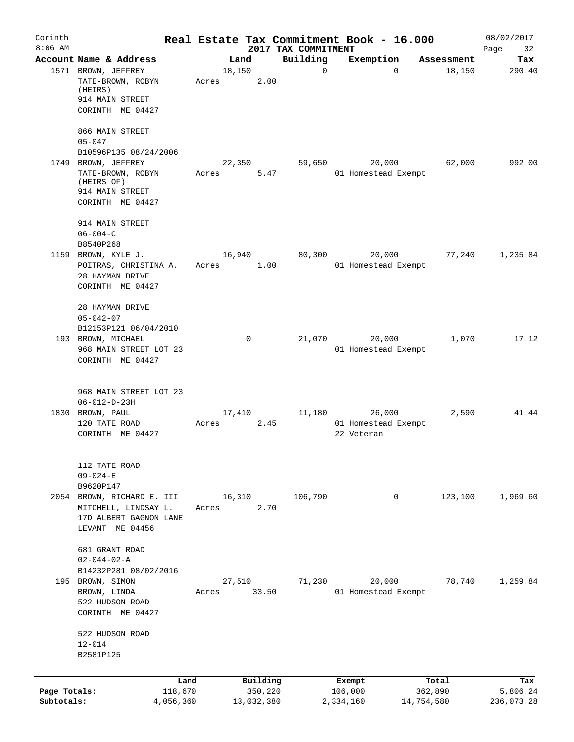| Corinth<br>$8:06$ AM       |                                                                                                 |       |                       | 2017 TAX COMMITMENT | Real Estate Tax Commitment Book - 16.000    |                       | 08/02/2017<br>Page<br>32 |
|----------------------------|-------------------------------------------------------------------------------------------------|-------|-----------------------|---------------------|---------------------------------------------|-----------------------|--------------------------|
|                            | Account Name & Address                                                                          |       | Land                  | Building            | Exemption                                   | Assessment            | Tax                      |
|                            | 1571 BROWN, JEFFREY<br>TATE-BROWN, ROBYN<br>(HEIRS)<br>914 MAIN STREET<br>CORINTH ME 04427      | Acres | 18,150<br>2.00        | $\mathbf 0$         | $\Omega$                                    | 18,150                | 290.40                   |
|                            | 866 MAIN STREET<br>$05 - 047$<br>B10596P135 08/24/2006                                          |       |                       |                     |                                             |                       |                          |
|                            | 1749 BROWN, JEFFREY<br>TATE-BROWN, ROBYN<br>(HEIRS OF)<br>914 MAIN STREET<br>CORINTH ME 04427   | Acres | 22,350<br>5.47        | 59,650              | 20,000<br>01 Homestead Exempt               | 62,000                | 992.00                   |
|                            | 914 MAIN STREET<br>$06 - 004 - C$<br>B8540P268                                                  |       |                       |                     |                                             |                       |                          |
|                            | 1159 BROWN, KYLE J.<br>POITRAS, CHRISTINA A.<br>28 HAYMAN DRIVE<br>CORINTH ME 04427             | Acres | 16,940<br>1.00        | 80,300              | 20,000<br>01 Homestead Exempt               | 77,240                | 1,235.84                 |
|                            | 28 HAYMAN DRIVE<br>$05 - 042 - 07$<br>B12153P121 06/04/2010                                     |       |                       |                     |                                             |                       |                          |
|                            | 193 BROWN, MICHAEL<br>968 MAIN STREET LOT 23<br>CORINTH ME 04427                                |       | 0                     | 21,070              | 20,000<br>01 Homestead Exempt               | 1,070                 | 17.12                    |
|                            | 968 MAIN STREET LOT 23<br>$06 - 012 - D - 23H$                                                  |       |                       |                     |                                             |                       |                          |
| 1830                       | BROWN, PAUL<br>120 TATE ROAD<br>CORINTH ME 04427                                                | Acres | 17,410<br>2.45        | 11,180              | 26,000<br>01 Homestead Exempt<br>22 Veteran | 2,590                 | 41.44                    |
|                            | 112 TATE ROAD<br>$09 - 024 - E$<br>B9620P147                                                    |       |                       |                     |                                             |                       |                          |
|                            | 2054 BROWN, RICHARD E. III<br>MITCHELL, LINDSAY L.<br>17D ALBERT GAGNON LANE<br>LEVANT ME 04456 | Acres | 16,310<br>2.70        | 106,790             | $\mathbf 0$                                 | 123,100               | 1,969.60                 |
|                            | 681 GRANT ROAD<br>$02 - 044 - 02 - A$<br>B14232P281 08/02/2016                                  |       |                       |                     |                                             |                       |                          |
|                            | 195 BROWN, SIMON<br>BROWN, LINDA<br>522 HUDSON ROAD<br>CORINTH ME 04427                         | Acres | 27,510<br>33.50       | 71,230              | 20,000<br>01 Homestead Exempt               | 78,740                | 1,259.84                 |
|                            | 522 HUDSON ROAD<br>$12 - 014$<br>B2581P125                                                      |       |                       |                     |                                             |                       |                          |
|                            |                                                                                                 | Land  | Building              |                     | Exempt                                      | Total                 | Tax                      |
| Page Totals:<br>Subtotals: | 118,670<br>4,056,360                                                                            |       | 350,220<br>13,032,380 |                     | 106,000<br>2,334,160                        | 362,890<br>14,754,580 | 5,806.24<br>236,073.28   |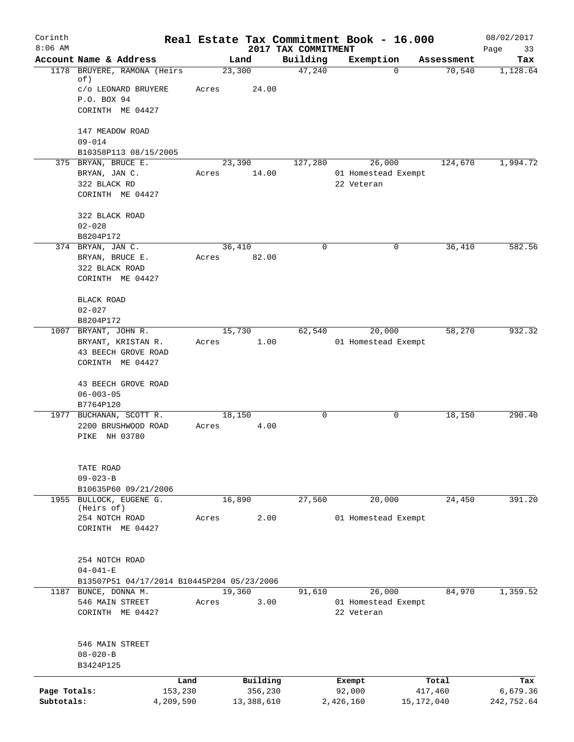| Corinth      |                                                                    |           |            |                                 | Real Estate Tax Commitment Book - 16.000 |            |            | 08/02/2017        |
|--------------|--------------------------------------------------------------------|-----------|------------|---------------------------------|------------------------------------------|------------|------------|-------------------|
| $8:06$ AM    | Account Name & Address                                             |           | Land       | 2017 TAX COMMITMENT<br>Building | Exemption                                |            | Assessment | Page<br>33<br>Tax |
|              | 1178 BRUYERE, RAMONA (Heirs                                        |           | 23,300     | 47,240                          |                                          | $\Omega$   | 70,540     | 1,128.64          |
|              | of)                                                                |           |            |                                 |                                          |            |            |                   |
|              | c/o LEONARD BRUYERE<br>P.O. BOX 94                                 | Acres     | 24.00      |                                 |                                          |            |            |                   |
|              | CORINTH ME 04427                                                   |           |            |                                 |                                          |            |            |                   |
|              | 147 MEADOW ROAD                                                    |           |            |                                 |                                          |            |            |                   |
|              | $09 - 014$                                                         |           |            |                                 |                                          |            |            |                   |
|              | B10358P113 08/15/2005                                              |           |            |                                 |                                          |            |            |                   |
|              | 375 BRYAN, BRUCE E.                                                |           | 23,390     | 127,280                         | 26,000                                   |            | 124,670    | 1,994.72          |
|              | BRYAN, JAN C.                                                      | Acres     | 14.00      |                                 | 01 Homestead Exempt                      |            |            |                   |
|              | 322 BLACK RD                                                       |           |            |                                 | 22 Veteran                               |            |            |                   |
|              | CORINTH ME 04427                                                   |           |            |                                 |                                          |            |            |                   |
|              | 322 BLACK ROAD                                                     |           |            |                                 |                                          |            |            |                   |
|              | $02 - 028$                                                         |           |            |                                 |                                          |            |            |                   |
|              | B8204P172                                                          |           |            |                                 |                                          |            |            |                   |
|              | 374 BRYAN, JAN C.                                                  |           | 36,410     | $\mathbf 0$                     |                                          | 0          | 36,410     | 582.56            |
|              | BRYAN, BRUCE E.                                                    | Acres     | 82.00      |                                 |                                          |            |            |                   |
|              | 322 BLACK ROAD                                                     |           |            |                                 |                                          |            |            |                   |
|              | CORINTH ME 04427                                                   |           |            |                                 |                                          |            |            |                   |
|              | BLACK ROAD                                                         |           |            |                                 |                                          |            |            |                   |
|              | $02 - 027$                                                         |           |            |                                 |                                          |            |            |                   |
|              | B8204P172                                                          |           |            |                                 |                                          |            |            |                   |
|              | 1007 BRYANT, JOHN R.                                               |           | 15,730     | 62,540                          | 20,000                                   |            | 58,270     | 932.32            |
|              | BRYANT, KRISTAN R.                                                 | Acres     | 1.00       |                                 | 01 Homestead Exempt                      |            |            |                   |
|              | 43 BEECH GROVE ROAD<br>CORINTH ME 04427                            |           |            |                                 |                                          |            |            |                   |
|              |                                                                    |           |            |                                 |                                          |            |            |                   |
|              | 43 BEECH GROVE ROAD                                                |           |            |                                 |                                          |            |            |                   |
|              | $06 - 003 - 05$                                                    |           |            |                                 |                                          |            |            |                   |
|              | B7764P120                                                          |           |            |                                 |                                          |            |            |                   |
|              | 1977 BUCHANAN, SCOTT R.                                            |           | 18,150     | $\mathsf{O}$                    |                                          | 0          | 18,150     | 290.40            |
|              | 2200 BRUSHWOOD ROAD                                                | Acres     | 4.00       |                                 |                                          |            |            |                   |
|              | PIKE NH 03780                                                      |           |            |                                 |                                          |            |            |                   |
|              |                                                                    |           |            |                                 |                                          |            |            |                   |
|              | TATE ROAD<br>$09 - 023 - B$                                        |           |            |                                 |                                          |            |            |                   |
|              | B10635P60 09/21/2006                                               |           |            |                                 |                                          |            |            |                   |
|              | 1955 BULLOCK, EUGENE G.                                            |           | 16,890     | 27,560                          | 20,000                                   |            | 24,450     | 391.20            |
|              | (Heirs of)                                                         |           |            |                                 |                                          |            |            |                   |
|              | 254 NOTCH ROAD                                                     | Acres     | 2.00       |                                 | 01 Homestead Exempt                      |            |            |                   |
|              | CORINTH ME 04427                                                   |           |            |                                 |                                          |            |            |                   |
|              |                                                                    |           |            |                                 |                                          |            |            |                   |
|              | 254 NOTCH ROAD                                                     |           |            |                                 |                                          |            |            |                   |
|              | $04 - 041 - E$                                                     |           |            |                                 |                                          |            |            |                   |
|              | B13507P51 04/17/2014 B10445P204 05/23/2006<br>1187 BUNCE, DONNA M. |           | 19,360     | 91,610                          | 26,000                                   |            | 84,970     | 1,359.52          |
|              | 546 MAIN STREET                                                    | Acres     | 3.00       |                                 | 01 Homestead Exempt                      |            |            |                   |
|              | CORINTH ME 04427                                                   |           |            |                                 | 22 Veteran                               |            |            |                   |
|              |                                                                    |           |            |                                 |                                          |            |            |                   |
|              | 546 MAIN STREET                                                    |           |            |                                 |                                          |            |            |                   |
|              | $08 - 020 - B$                                                     |           |            |                                 |                                          |            |            |                   |
|              | B3424P125                                                          |           |            |                                 |                                          |            |            |                   |
|              |                                                                    | Land      | Building   |                                 | Exempt                                   |            | Total      | Tax               |
| Page Totals: |                                                                    | 153,230   | 356,230    |                                 | 92,000                                   |            | 417,460    | 6,679.36          |
| Subtotals:   |                                                                    | 4,209,590 | 13,388,610 |                                 | 2,426,160                                | 15,172,040 |            | 242,752.64        |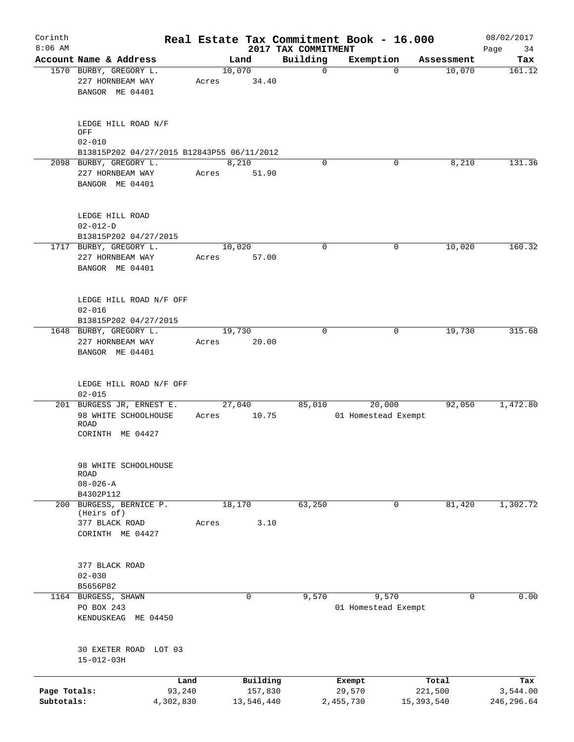| Corinth<br>$8:06$ AM       |                                                         |        |                       |                                 | Real Estate Tax Commitment Book - 16.000 |                         | 08/02/2017              |
|----------------------------|---------------------------------------------------------|--------|-----------------------|---------------------------------|------------------------------------------|-------------------------|-------------------------|
|                            | Account Name & Address                                  |        | Land                  | 2017 TAX COMMITMENT<br>Building | Exemption                                | Assessment              | Page<br>34<br>Tax       |
|                            | 1570 BURBY, GREGORY L.                                  |        | 10,070                | $\mathbf 0$                     | $\Omega$                                 | 10,070                  | 161.12                  |
|                            | 227 HORNBEAM WAY<br>BANGOR ME 04401                     | Acres  | 34.40                 |                                 |                                          |                         |                         |
|                            |                                                         |        |                       |                                 |                                          |                         |                         |
|                            | LEDGE HILL ROAD N/F<br>OFF                              |        |                       |                                 |                                          |                         |                         |
|                            | $02 - 010$                                              |        |                       |                                 |                                          |                         |                         |
|                            | B13815P202 04/27/2015 B12843P55 06/11/2012              |        |                       |                                 |                                          |                         |                         |
|                            | 2098 BURBY, GREGORY L.                                  |        | 8,210                 | $\Omega$                        | 0                                        | 8,210                   | 131.36                  |
|                            | 227 HORNBEAM WAY<br>BANGOR ME 04401                     | Acres  | 51.90                 |                                 |                                          |                         |                         |
|                            | LEDGE HILL ROAD                                         |        |                       |                                 |                                          |                         |                         |
|                            | $02 - 012 - D$                                          |        |                       |                                 |                                          |                         |                         |
|                            | B13815P202 04/27/2015                                   |        |                       |                                 |                                          |                         |                         |
|                            | 1717 BURBY, GREGORY L.                                  |        | 10,020                | $\mathbf 0$                     | 0                                        | 10,020                  | 160.32                  |
|                            | 227 HORNBEAM WAY<br>BANGOR ME 04401                     | Acres  | 57.00                 |                                 |                                          |                         |                         |
|                            |                                                         |        |                       |                                 |                                          |                         |                         |
|                            | LEDGE HILL ROAD N/F OFF<br>$02 - 016$                   |        |                       |                                 |                                          |                         |                         |
|                            | B13815P202 04/27/2015                                   |        |                       |                                 |                                          |                         |                         |
|                            | 1648 BURBY, GREGORY L.                                  |        | 19,730                | $\Omega$                        | 0                                        | 19,730                  | 315.68                  |
|                            | 227 HORNBEAM WAY                                        | Acres  | 20.00                 |                                 |                                          |                         |                         |
|                            | BANGOR ME 04401                                         |        |                       |                                 |                                          |                         |                         |
|                            | LEDGE HILL ROAD N/F OFF<br>$02 - 015$                   |        |                       |                                 |                                          |                         |                         |
|                            | 201 BURGESS JR, ERNEST E.                               |        | 27,040                | 85,010                          | 20,000                                   | 92,050                  | 1,472.80                |
|                            | 98 WHITE SCHOOLHOUSE<br><b>ROAD</b><br>CORINTH ME 04427 |        | Acres 10.75           |                                 | 01 Homestead Exempt                      |                         |                         |
|                            |                                                         |        |                       |                                 |                                          |                         |                         |
|                            | 98 WHITE SCHOOLHOUSE<br><b>ROAD</b>                     |        |                       |                                 |                                          |                         |                         |
|                            | $08 - 026 - A$<br>B4302P112                             |        |                       |                                 |                                          |                         |                         |
| 200                        | BURGESS, BERNICE P.                                     |        | 18,170                | 63,250                          | $\mathbf 0$                              | 81,420                  | 1,302.72                |
|                            | (Heirs of)                                              |        |                       |                                 |                                          |                         |                         |
|                            | 377 BLACK ROAD<br>CORINTH ME 04427                      | Acres  | 3.10                  |                                 |                                          |                         |                         |
|                            | 377 BLACK ROAD                                          |        |                       |                                 |                                          |                         |                         |
|                            | $02 - 030$<br>B5656P82                                  |        |                       |                                 |                                          |                         |                         |
|                            | 1164 BURGESS, SHAWN                                     |        | $\mathbf 0$           | 9,570                           | 9,570                                    | 0                       | 0.00                    |
|                            | PO BOX 243<br>KENDUSKEAG ME 04450                       |        |                       |                                 | 01 Homestead Exempt                      |                         |                         |
|                            | 30 EXETER ROAD LOT 03                                   |        |                       |                                 |                                          |                         |                         |
|                            | $15 - 012 - 03H$                                        |        |                       |                                 |                                          |                         |                         |
|                            |                                                         | Land   | Building              |                                 | Exempt                                   | Total                   | Tax                     |
| Page Totals:<br>Subtotals: | 4,302,830                                               | 93,240 | 157,830<br>13,546,440 |                                 | 29,570<br>2,455,730                      | 221,500<br>15, 393, 540 | 3,544.00<br>246, 296.64 |
|                            |                                                         |        |                       |                                 |                                          |                         |                         |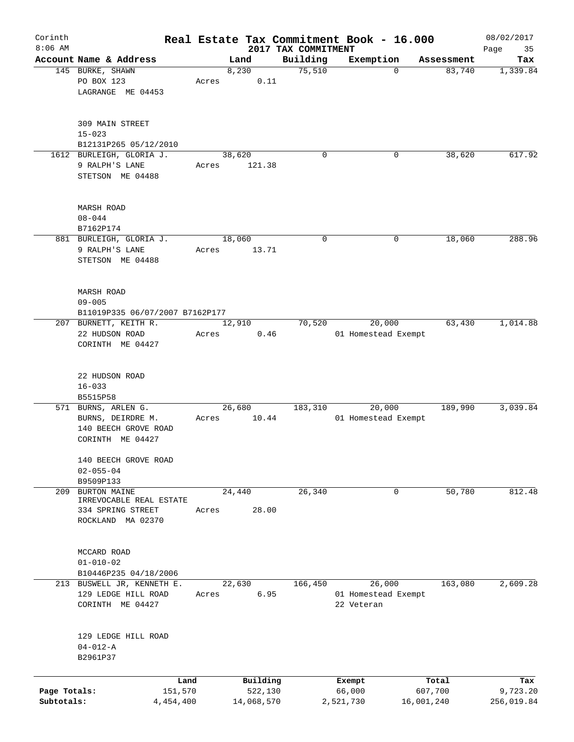| Corinth      |                                            |       |                     |                     | Real Estate Tax Commitment Book - 16.000 |                                     | 08/02/2017      |
|--------------|--------------------------------------------|-------|---------------------|---------------------|------------------------------------------|-------------------------------------|-----------------|
| $8:06$ AM    | Account Name & Address                     |       |                     | 2017 TAX COMMITMENT |                                          |                                     | 35<br>Page      |
|              | 145 BURKE, SHAWN                           |       | Land<br>8,230       | Building<br>75,510  | Exemption                                | Assessment<br>83,740<br>$\mathbf 0$ | Tax<br>1,339.84 |
|              | PO BOX 123                                 | Acres | 0.11                |                     |                                          |                                     |                 |
|              | LAGRANGE ME 04453                          |       |                     |                     |                                          |                                     |                 |
|              |                                            |       |                     |                     |                                          |                                     |                 |
|              | 309 MAIN STREET                            |       |                     |                     |                                          |                                     |                 |
|              | $15 - 023$                                 |       |                     |                     |                                          |                                     |                 |
|              | B12131P265 05/12/2010                      |       |                     |                     |                                          |                                     |                 |
|              | 1612 BURLEIGH, GLORIA J.<br>9 RALPH'S LANE | Acres | 38,620<br>121.38    | $\Omega$            |                                          | 38,620<br>0                         | 617.92          |
|              | STETSON ME 04488                           |       |                     |                     |                                          |                                     |                 |
|              |                                            |       |                     |                     |                                          |                                     |                 |
|              | <b>MARSH ROAD</b>                          |       |                     |                     |                                          |                                     |                 |
|              | $08 - 044$                                 |       |                     |                     |                                          |                                     |                 |
|              | B7162P174                                  |       |                     |                     |                                          |                                     |                 |
|              | 881 BURLEIGH, GLORIA J.                    |       | 18,060              | 0                   |                                          | 18,060<br>0                         | 288.96          |
|              | 9 RALPH'S LANE                             | Acres | 13.71               |                     |                                          |                                     |                 |
|              | STETSON ME 04488                           |       |                     |                     |                                          |                                     |                 |
|              | MARSH ROAD                                 |       |                     |                     |                                          |                                     |                 |
|              | $09 - 005$                                 |       |                     |                     |                                          |                                     |                 |
|              | B11019P335 06/07/2007 B7162P177            |       |                     |                     |                                          |                                     |                 |
|              | 207 BURNETT, KEITH R.                      |       | 12,910              | 70,520              | 20,000                                   | 63,430                              | 1,014.88        |
|              | 22 HUDSON ROAD                             | Acres | 0.46                |                     | 01 Homestead Exempt                      |                                     |                 |
|              | CORINTH ME 04427                           |       |                     |                     |                                          |                                     |                 |
|              |                                            |       |                     |                     |                                          |                                     |                 |
|              | 22 HUDSON ROAD                             |       |                     |                     |                                          |                                     |                 |
|              | $16 - 033$                                 |       |                     |                     |                                          |                                     |                 |
|              | B5515P58                                   |       |                     |                     |                                          |                                     |                 |
|              | 571 BURNS, ARLEN G.                        |       | 26,680              | 183,310             | 20,000                                   | 189,990                             | 3,039.84        |
|              | BURNS, DEIRDRE M.                          | Acres | 10.44               |                     | 01 Homestead Exempt                      |                                     |                 |
|              | 140 BEECH GROVE ROAD                       |       |                     |                     |                                          |                                     |                 |
|              | CORINTH ME 04427                           |       |                     |                     |                                          |                                     |                 |
|              | 140 BEECH GROVE ROAD                       |       |                     |                     |                                          |                                     |                 |
|              | $02 - 055 - 04$                            |       |                     |                     |                                          |                                     |                 |
|              | B9509P133                                  |       |                     |                     |                                          |                                     |                 |
| 209          | <b>BURTON MAINE</b>                        |       | 24,440              | 26,340              |                                          | 50,780<br>0                         | 812.48          |
|              | IRREVOCABLE REAL ESTATE                    |       |                     |                     |                                          |                                     |                 |
|              | 334 SPRING STREET                          | Acres | 28.00               |                     |                                          |                                     |                 |
|              | ROCKLAND MA 02370                          |       |                     |                     |                                          |                                     |                 |
|              | MCCARD ROAD                                |       |                     |                     |                                          |                                     |                 |
|              | $01 - 010 - 02$                            |       |                     |                     |                                          |                                     |                 |
|              | B10446P235 04/18/2006                      |       |                     |                     |                                          |                                     |                 |
|              | 213 BUSWELL JR, KENNETH E.                 |       | 22,630              | 166,450             | 26,000                                   | 163,080                             | 2,609.28        |
|              | 129 LEDGE HILL ROAD                        | Acres | 6.95                |                     | 01 Homestead Exempt                      |                                     |                 |
|              | CORINTH ME 04427                           |       |                     |                     | 22 Veteran                               |                                     |                 |
|              |                                            |       |                     |                     |                                          |                                     |                 |
|              | 129 LEDGE HILL ROAD                        |       |                     |                     |                                          |                                     |                 |
|              | $04 - 012 - A$                             |       |                     |                     |                                          |                                     |                 |
|              | B2961P37                                   |       |                     |                     |                                          |                                     |                 |
|              |                                            |       |                     |                     |                                          |                                     |                 |
| Page Totals: | Land<br>151,570                            |       | Building<br>522,130 |                     | Exempt<br>66,000                         | Total<br>607,700                    | Tax<br>9,723.20 |
| Subtotals:   | 4,454,400                                  |       | 14,068,570          |                     | 2,521,730                                | 16,001,240                          | 256,019.84      |
|              |                                            |       |                     |                     |                                          |                                     |                 |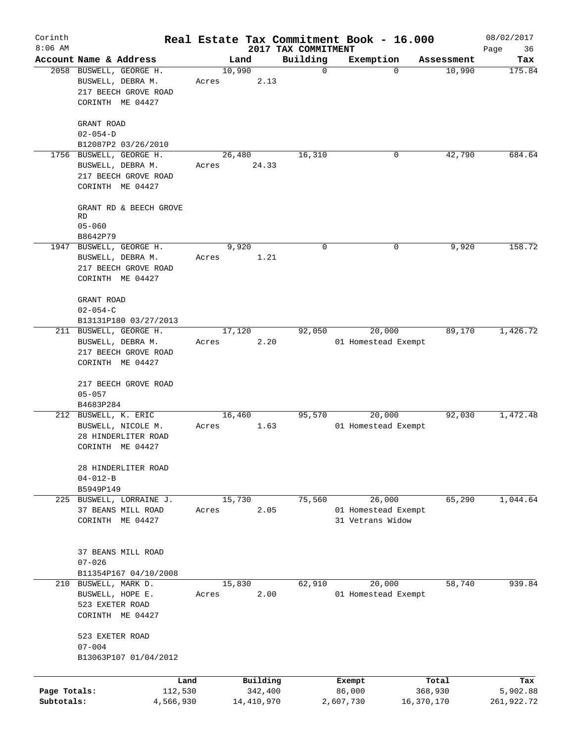| Corinth<br>$8:06$ AM       |                                                                                                      |                          |                                 | Real Estate Tax Commitment Book - 16.000          |                       | 08/02/2017             |
|----------------------------|------------------------------------------------------------------------------------------------------|--------------------------|---------------------------------|---------------------------------------------------|-----------------------|------------------------|
|                            | Account Name & Address                                                                               | Land                     | 2017 TAX COMMITMENT<br>Building | Exemption                                         | Assessment            | Page<br>36<br>Tax      |
|                            | 2058 BUSWELL, GEORGE H.<br>BUSWELL, DEBRA M.<br>217 BEECH GROVE ROAD<br>CORINTH ME 04427             | 10,990<br>2.13<br>Acres  | $\mathbf 0$                     | $\Omega$                                          | 10,990                | 175.84                 |
|                            | GRANT ROAD<br>$02 - 054 - D$<br>B12087P2 03/26/2010                                                  |                          |                                 |                                                   |                       |                        |
|                            | 1756 BUSWELL, GEORGE H.<br>BUSWELL, DEBRA M.<br>217 BEECH GROVE ROAD<br>CORINTH ME 04427             | 26,480<br>24.33<br>Acres | 16,310                          | 0                                                 | 42,790                | 684.64                 |
|                            | GRANT RD & BEECH GROVE<br>RD<br>$05 - 060$                                                           |                          |                                 |                                                   |                       |                        |
|                            | B8642P79<br>1947 BUSWELL, GEORGE H.<br>BUSWELL, DEBRA M.<br>217 BEECH GROVE ROAD<br>CORINTH ME 04427 | 9,920<br>1.21<br>Acres   | $\mathbf 0$                     | 0                                                 | 9,920                 | 158.72                 |
|                            | GRANT ROAD<br>$02 - 054 - C$<br>B13131P180 03/27/2013                                                |                          |                                 |                                                   |                       |                        |
|                            | 211 BUSWELL, GEORGE H.<br>BUSWELL, DEBRA M.<br>217 BEECH GROVE ROAD<br>CORINTH ME 04427              | 17,120<br>2.20<br>Acres  | 92,050                          | 20,000<br>01 Homestead Exempt                     | 89,170                | 1,426.72               |
|                            | 217 BEECH GROVE ROAD<br>$05 - 057$<br>B4683P284                                                      |                          |                                 |                                                   |                       |                        |
|                            | 212 BUSWELL, K. ERIC<br>BUSWELL, NICOLE M.<br>28 HINDERLITER ROAD<br>CORINTH ME 04427                | 16,460<br>1.63<br>Acres  | 95,570                          | 20,000<br>01 Homestead Exempt                     | 92,030                | 1,472.48               |
|                            | 28 HINDERLITER ROAD<br>$04 - 012 - B$<br>B5949P149                                                   |                          |                                 |                                                   |                       |                        |
|                            | 225 BUSWELL, LORRAINE J.<br>37 BEANS MILL ROAD<br>CORINTH ME 04427                                   | 15,730<br>2.05<br>Acres  | 75,560                          | 26,000<br>01 Homestead Exempt<br>31 Vetrans Widow | 65,290                | 1,044.64               |
|                            | 37 BEANS MILL ROAD<br>$07 - 026$<br>B11354P167 04/10/2008                                            |                          |                                 |                                                   |                       |                        |
|                            | 210 BUSWELL, MARK D.<br>BUSWELL, HOPE E.<br>523 EXETER ROAD<br>CORINTH ME 04427                      | 15,830<br>2.00<br>Acres  | 62,910                          | 20,000<br>01 Homestead Exempt                     | 58,740                | 939.84                 |
|                            | 523 EXETER ROAD<br>$07 - 004$<br>B13063P107 01/04/2012                                               |                          |                                 |                                                   |                       |                        |
|                            | Land                                                                                                 | Building                 |                                 | Exempt                                            | Total                 | Tax                    |
| Page Totals:<br>Subtotals: | 112,530<br>4,566,930                                                                                 | 342,400<br>14,410,970    |                                 | 86,000<br>2,607,730                               | 368,930<br>16,370,170 | 5,902.88<br>261,922.72 |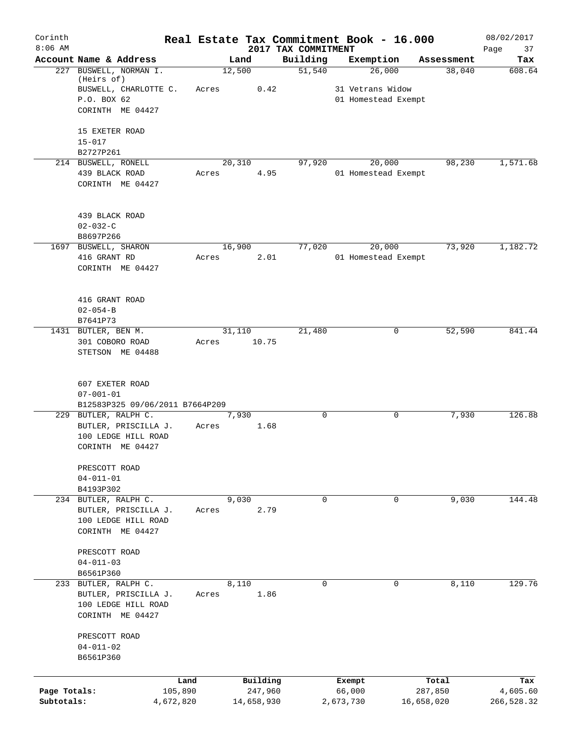| Corinth      |                                              |           |                 |            |                     |           | Real Estate Tax Commitment Book - 16.000 |                      | 08/02/2017    |
|--------------|----------------------------------------------|-----------|-----------------|------------|---------------------|-----------|------------------------------------------|----------------------|---------------|
| $8:06$ AM    | Account Name & Address                       |           |                 |            | 2017 TAX COMMITMENT |           | Exemption                                |                      | 37<br>Page    |
|              | 227 BUSWELL, NORMAN I.<br>(Heirs of)         |           | Land<br>12,500  |            | Building<br>51,540  |           | 26,000                                   | Assessment<br>38,040 | Tax<br>608.64 |
|              | BUSWELL, CHARLOTTE C.                        |           | Acres           | 0.42       |                     |           | 31 Vetrans Widow                         |                      |               |
|              | P.O. BOX 62                                  |           |                 |            |                     |           | 01 Homestead Exempt                      |                      |               |
|              | CORINTH ME 04427                             |           |                 |            |                     |           |                                          |                      |               |
|              | 15 EXETER ROAD                               |           |                 |            |                     |           |                                          |                      |               |
|              | $15 - 017$<br>B2727P261                      |           |                 |            |                     |           |                                          |                      |               |
|              | 214 BUSWELL, RONELL                          |           | 20,310          |            | 97,920              |           | 20,000                                   | 98,230               | 1,571.68      |
|              | 439 BLACK ROAD                               |           | Acres           | 4.95       |                     |           | 01 Homestead Exempt                      |                      |               |
|              | CORINTH ME 04427                             |           |                 |            |                     |           |                                          |                      |               |
|              | 439 BLACK ROAD                               |           |                 |            |                     |           |                                          |                      |               |
|              | $02 - 032 - C$                               |           |                 |            |                     |           |                                          |                      |               |
|              | B8697P266                                    |           |                 |            |                     |           |                                          |                      |               |
|              | 1697 BUSWELL, SHARON<br>416 GRANT RD         |           | 16,900<br>Acres | 2.01       | 77,020              |           | 20,000<br>01 Homestead Exempt            | 73,920               | 1,182.72      |
|              | CORINTH ME 04427                             |           |                 |            |                     |           |                                          |                      |               |
|              | 416 GRANT ROAD                               |           |                 |            |                     |           |                                          |                      |               |
|              | $02 - 054 - B$                               |           |                 |            |                     |           |                                          |                      |               |
|              | B7641P73                                     |           |                 |            |                     |           |                                          |                      |               |
|              | 1431 BUTLER, BEN M.                          |           | 31,110          |            | 21,480              |           | 0                                        | 52,590               | 841.44        |
|              | 301 COBORO ROAD                              |           | Acres           | 10.75      |                     |           |                                          |                      |               |
|              | STETSON ME 04488                             |           |                 |            |                     |           |                                          |                      |               |
|              | 607 EXETER ROAD                              |           |                 |            |                     |           |                                          |                      |               |
|              | $07 - 001 - 01$                              |           |                 |            |                     |           |                                          |                      |               |
|              | B12583P325 09/06/2011 B7664P209              |           | 7,930           |            | $\mathbf 0$         |           | 0                                        | 7,930                | 126.88        |
|              | 229 BUTLER, RALPH C.<br>BUTLER, PRISCILLA J. |           | Acres           | 1.68       |                     |           |                                          |                      |               |
|              | 100 LEDGE HILL ROAD                          |           |                 |            |                     |           |                                          |                      |               |
|              | CORINTH ME 04427                             |           |                 |            |                     |           |                                          |                      |               |
|              | PRESCOTT ROAD                                |           |                 |            |                     |           |                                          |                      |               |
|              | $04 - 011 - 01$<br>B4193P302                 |           |                 |            |                     |           |                                          |                      |               |
|              | 234 BUTLER, RALPH C.                         |           | 9,030           |            | 0                   |           | 0                                        | 9,030                | 144.48        |
|              | BUTLER, PRISCILLA J.                         |           | Acres           | 2.79       |                     |           |                                          |                      |               |
|              | 100 LEDGE HILL ROAD                          |           |                 |            |                     |           |                                          |                      |               |
|              | CORINTH ME 04427                             |           |                 |            |                     |           |                                          |                      |               |
|              | PRESCOTT ROAD                                |           |                 |            |                     |           |                                          |                      |               |
|              | $04 - 011 - 03$                              |           |                 |            |                     |           |                                          |                      |               |
|              | B6561P360                                    |           |                 |            |                     |           |                                          |                      |               |
|              | 233 BUTLER, RALPH C.                         |           | 8,110           |            | $\Omega$            |           | 0                                        | 8,110                | 129.76        |
|              | BUTLER, PRISCILLA J.                         |           | Acres           | 1.86       |                     |           |                                          |                      |               |
|              | 100 LEDGE HILL ROAD<br>CORINTH ME 04427      |           |                 |            |                     |           |                                          |                      |               |
|              | PRESCOTT ROAD                                |           |                 |            |                     |           |                                          |                      |               |
|              | $04 - 011 - 02$                              |           |                 |            |                     |           |                                          |                      |               |
|              | B6561P360                                    |           |                 |            |                     |           |                                          |                      |               |
|              |                                              | Land      |                 | Building   |                     | Exempt    |                                          | Total                | Tax           |
| Page Totals: |                                              | 105,890   |                 | 247,960    |                     | 66,000    |                                          | 287,850              | 4,605.60      |
| Subtotals:   |                                              | 4,672,820 |                 | 14,658,930 |                     | 2,673,730 |                                          | 16,658,020           | 266,528.32    |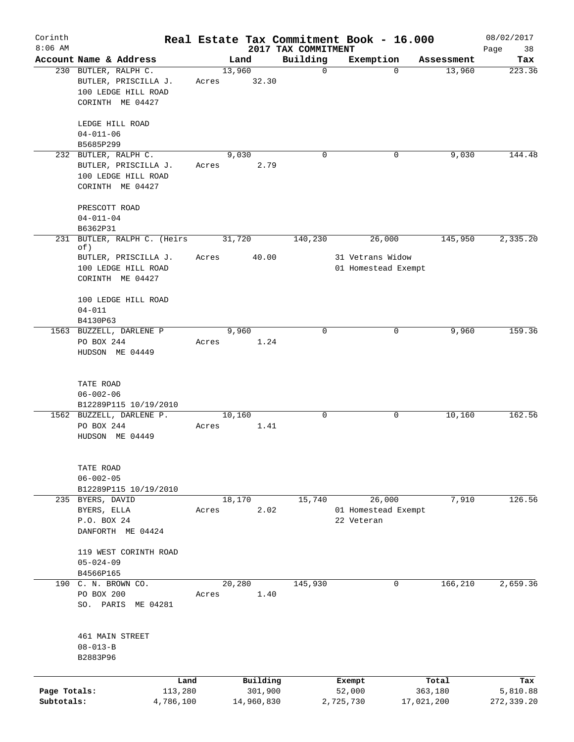| Corinth<br>$8:06$ AM       |                                                 |                                                                 |                 |                       | 2017 TAX COMMITMENT | Real Estate Tax Commitment Book - 16.000    |                       | 08/02/2017             |
|----------------------------|-------------------------------------------------|-----------------------------------------------------------------|-----------------|-----------------------|---------------------|---------------------------------------------|-----------------------|------------------------|
|                            |                                                 | Account Name & Address                                          |                 | Land                  | Building            | Exemption                                   | Assessment            | Page<br>38<br>Tax      |
|                            | 230 BUTLER, RALPH C.                            | BUTLER, PRISCILLA J.<br>100 LEDGE HILL ROAD<br>CORINTH ME 04427 | 13,960<br>Acres | 32.30                 | $\mathbf 0$         | $\Omega$                                    | 13,960                | 223.36                 |
|                            | LEDGE HILL ROAD<br>$04 - 011 - 06$<br>B5685P299 |                                                                 |                 |                       |                     |                                             |                       |                        |
|                            | 232 BUTLER, RALPH C.                            | BUTLER, PRISCILLA J.<br>100 LEDGE HILL ROAD<br>CORINTH ME 04427 | Acres           | 9,030<br>2.79         | $\mathbf 0$         | 0                                           | 9,030                 | 144.48                 |
|                            | PRESCOTT ROAD<br>$04 - 011 - 04$<br>B6362P31    |                                                                 |                 |                       |                     |                                             |                       |                        |
| 231                        | of)                                             | BUTLER, RALPH C. (Heirs                                         |                 | 31,720                | 140,230             | 26,000                                      | 145,950               | 2,335.20               |
|                            |                                                 | BUTLER, PRISCILLA J.<br>100 LEDGE HILL ROAD<br>CORINTH ME 04427 | Acres           | 40.00                 |                     | 31 Vetrans Widow<br>01 Homestead Exempt     |                       |                        |
|                            | $04 - 011$<br>B4130P63                          | 100 LEDGE HILL ROAD                                             |                 |                       |                     |                                             |                       |                        |
|                            | PO BOX 244                                      | 1563 BUZZELL, DARLENE P<br>HUDSON ME 04449                      | Acres           | 9,960<br>1.24         | $\Omega$            | 0                                           | 9,960                 | 159.36                 |
|                            | TATE ROAD<br>$06 - 002 - 06$                    | B12289P115 10/19/2010                                           |                 |                       |                     |                                             |                       |                        |
|                            | PO BOX 244                                      | 1562 BUZZELL, DARLENE P.<br>HUDSON ME 04449                     | 10,160<br>Acres | 1.41                  | $\mathbf 0$         | 0                                           | 10,160                | 162.56                 |
|                            | TATE ROAD<br>$06 - 002 - 05$                    | B12289P115 10/19/2010                                           |                 |                       |                     |                                             |                       |                        |
|                            | 235 BYERS, DAVID<br>BYERS, ELLA<br>P.O. BOX 24  | DANFORTH ME 04424                                               | Acres           | 18,170<br>2.02        | 15,740              | 26,000<br>01 Homestead Exempt<br>22 Veteran | 7,910                 | 126.56                 |
|                            | $05 - 024 - 09$<br>B4566P165                    | 119 WEST CORINTH ROAD                                           |                 |                       |                     |                                             |                       |                        |
|                            | 190 C. N. BROWN CO.<br>PO BOX 200               | SO. PARIS ME 04281                                              | 20,280<br>Acres | 1.40                  | 145,930             | $\mathbf 0$                                 | 166,210               | 2,659.36               |
|                            | $08 - 013 - B$<br>B2883P96                      | 461 MAIN STREET                                                 |                 |                       |                     |                                             |                       |                        |
|                            |                                                 | Land                                                            |                 | Building              |                     | Exempt                                      | Total                 | Tax                    |
| Page Totals:<br>Subtotals: |                                                 | 113,280<br>4,786,100                                            |                 | 301,900<br>14,960,830 |                     | 52,000<br>2,725,730                         | 363,180<br>17,021,200 | 5,810.88<br>272,339.20 |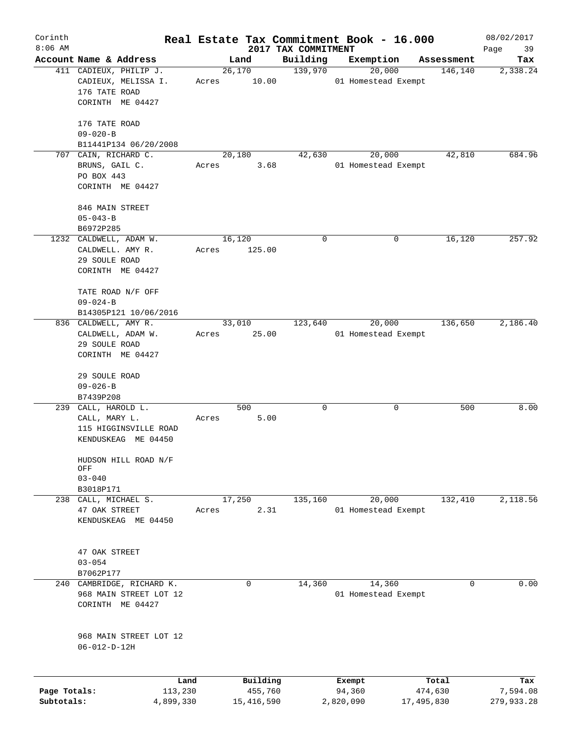| Corinth      |                                                       |         |                         |                                 | Real Estate Tax Commitment Book - 16.000 |                       | 08/02/2017             |
|--------------|-------------------------------------------------------|---------|-------------------------|---------------------------------|------------------------------------------|-----------------------|------------------------|
| $8:06$ AM    | Account Name & Address                                |         | Land                    | 2017 TAX COMMITMENT<br>Building | Exemption                                | Assessment            | 39<br>Page<br>Tax      |
|              | 411 CADIEUX, PHILIP J.                                |         | 26,170                  | 139,970                         | 20,000                                   | 146,140               | 2,338.24               |
|              | CADIEUX, MELISSA I.<br>176 TATE ROAD                  | Acres   | 10.00                   |                                 | 01 Homestead Exempt                      |                       |                        |
|              | CORINTH ME 04427                                      |         |                         |                                 |                                          |                       |                        |
|              | 176 TATE ROAD                                         |         |                         |                                 |                                          |                       |                        |
|              | $09 - 020 - B$<br>B11441P134 06/20/2008               |         |                         |                                 |                                          |                       |                        |
|              | 707 CAIN, RICHARD C.                                  |         | 20,180                  | 42,630                          | 20,000                                   | 42,810                | 684.96                 |
|              | BRUNS, GAIL C.<br>PO BOX 443                          | Acres   | 3.68                    |                                 | 01 Homestead Exempt                      |                       |                        |
|              | CORINTH ME 04427                                      |         |                         |                                 |                                          |                       |                        |
|              | 846 MAIN STREET<br>$05 - 043 - B$                     |         |                         |                                 |                                          |                       |                        |
|              | B6972P285                                             |         |                         |                                 |                                          |                       |                        |
|              | 1232 CALDWELL, ADAM W.                                |         | 16,120                  | 0                               | 0                                        | 16,120                | 257.92                 |
|              | CALDWELL. AMY R.<br>29 SOULE ROAD<br>CORINTH ME 04427 | Acres   | 125.00                  |                                 |                                          |                       |                        |
|              |                                                       |         |                         |                                 |                                          |                       |                        |
|              | TATE ROAD N/F OFF<br>$09 - 024 - B$                   |         |                         |                                 |                                          |                       |                        |
|              | B14305P121 10/06/2016                                 |         |                         |                                 |                                          |                       |                        |
|              | 836 CALDWELL, AMY R.                                  |         | 33,010                  | 123,640                         | 20,000                                   | 136,650               | 2,186.40               |
|              | CALDWELL, ADAM W.<br>29 SOULE ROAD                    | Acres   | 25.00                   |                                 | 01 Homestead Exempt                      |                       |                        |
|              | CORINTH ME 04427                                      |         |                         |                                 |                                          |                       |                        |
|              |                                                       |         |                         |                                 |                                          |                       |                        |
|              | 29 SOULE ROAD                                         |         |                         |                                 |                                          |                       |                        |
|              | $09 - 026 - B$<br>B7439P208                           |         |                         |                                 |                                          |                       |                        |
|              | 239 CALL, HAROLD L.                                   |         | 500                     | 0                               | 0                                        | 500                   | 8.00                   |
|              | CALL, MARY L.                                         | Acres   | 5.00                    |                                 |                                          |                       |                        |
|              | 115 HIGGINSVILLE ROAD                                 |         |                         |                                 |                                          |                       |                        |
|              | KENDUSKEAG ME 04450                                   |         |                         |                                 |                                          |                       |                        |
|              | HUDSON HILL ROAD N/F<br>OFF                           |         |                         |                                 |                                          |                       |                        |
|              | $03 - 040$                                            |         |                         |                                 |                                          |                       |                        |
|              | B3018P171                                             |         | 17,250                  |                                 | 20,000                                   | 132,410               |                        |
| 238          | CALL, MICHAEL S.<br>47 OAK STREET                     | Acres   | 2.31                    | 135,160                         | 01 Homestead Exempt                      |                       | 2,118.56               |
|              | KENDUSKEAG ME 04450                                   |         |                         |                                 |                                          |                       |                        |
|              |                                                       |         |                         |                                 |                                          |                       |                        |
|              |                                                       |         |                         |                                 |                                          |                       |                        |
|              | 47 OAK STREET<br>$03 - 054$                           |         |                         |                                 |                                          |                       |                        |
|              | B7062P177                                             |         |                         |                                 |                                          |                       |                        |
|              | 240 CAMBRIDGE, RICHARD K.                             |         | $\mathbf 0$             | 14,360                          | 14,360                                   | 0                     | 0.00                   |
|              | 968 MAIN STREET LOT 12                                |         |                         |                                 | 01 Homestead Exempt                      |                       |                        |
|              | CORINTH ME 04427                                      |         |                         |                                 |                                          |                       |                        |
|              | 968 MAIN STREET LOT 12                                |         |                         |                                 |                                          |                       |                        |
|              | $06 - 012 - D - 12H$                                  |         |                         |                                 |                                          |                       |                        |
|              |                                                       |         |                         |                                 |                                          |                       |                        |
| Page Totals: |                                                       | Land    | Building                |                                 | Exempt                                   | Total                 | Tax                    |
| Subtotals:   | 4,899,330                                             | 113,230 | 455,760<br>15, 416, 590 |                                 | 94,360<br>2,820,090                      | 474,630<br>17,495,830 | 7,594.08<br>279,933.28 |
|              |                                                       |         |                         |                                 |                                          |                       |                        |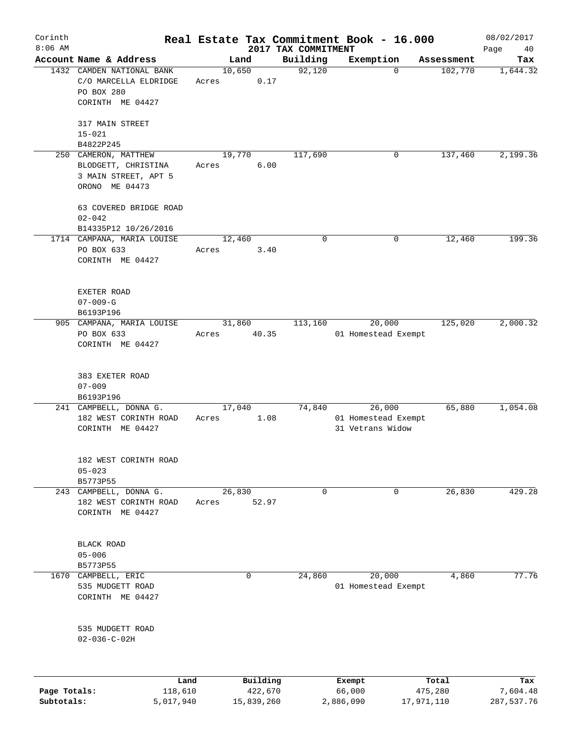| Corinth      |                                                                                       |                 |                     |                     | Real Estate Tax Commitment Book - 16.000          |                  | 08/02/2017      |
|--------------|---------------------------------------------------------------------------------------|-----------------|---------------------|---------------------|---------------------------------------------------|------------------|-----------------|
| $8:06$ AM    |                                                                                       |                 |                     | 2017 TAX COMMITMENT |                                                   |                  | Page<br>40      |
|              | Account Name & Address                                                                |                 | Land                | Building            | Exemption                                         | Assessment       | Tax             |
|              | 1432 CAMDEN NATIONAL BANK<br>C/O MARCELLA ELDRIDGE<br>PO BOX 280<br>CORINTH ME 04427  | Acres           | 10,650<br>0.17      | 92,120              | $\Omega$                                          | 102,770          | 1,644.32        |
|              | 317 MAIN STREET<br>$15 - 021$                                                         |                 |                     |                     |                                                   |                  |                 |
|              | B4822P245                                                                             |                 |                     |                     |                                                   |                  |                 |
|              | 250 CAMERON, MATTHEW<br>BLODGETT, CHRISTINA<br>3 MAIN STREET, APT 5<br>ORONO ME 04473 | Acres           | 19,770<br>6.00      | 117,690             | 0                                                 | 137,460          | 2,199.36        |
|              | 63 COVERED BRIDGE ROAD<br>$02 - 042$                                                  |                 |                     |                     |                                                   |                  |                 |
|              | B14335P12 10/26/2016                                                                  |                 |                     |                     |                                                   |                  |                 |
|              | 1714 CAMPANA, MARIA LOUISE<br>PO BOX 633<br>CORINTH ME 04427                          | 12,460<br>Acres | 3.40                | 0                   | 0                                                 | 12,460           | 199.36          |
|              | EXETER ROAD<br>$07 - 009 - G$<br>B6193P196                                            |                 |                     |                     |                                                   |                  |                 |
|              | 905 CAMPANA, MARIA LOUISE                                                             |                 | 31,860              | 113,160             | 20,000                                            | 125,020          | 2,000.32        |
|              | PO BOX 633<br>CORINTH ME 04427                                                        | Acres           | 40.35               |                     | 01 Homestead Exempt                               |                  |                 |
|              | 383 EXETER ROAD<br>$07 - 009$<br>B6193P196                                            |                 |                     |                     |                                                   |                  |                 |
|              | 241 CAMPBELL, DONNA G.<br>182 WEST CORINTH ROAD<br>CORINTH ME 04427                   | Acres           | 17,040<br>1.08      | 74,840              | 26,000<br>01 Homestead Exempt<br>31 Vetrans Widow | 65,880           | 1,054.08        |
|              | 182 WEST CORINTH ROAD<br>$05 - 023$<br>B5773P55                                       |                 |                     |                     |                                                   |                  |                 |
|              | 243 CAMPBELL, DONNA G.<br>182 WEST CORINTH ROAD<br>CORINTH ME 04427                   | Acres           | 26,830<br>52.97     | 0                   | 0                                                 | 26,830           | 429.28          |
|              | <b>BLACK ROAD</b><br>$05 - 006$<br>B5773P55                                           |                 |                     |                     |                                                   |                  |                 |
|              | 1670 CAMPBELL, ERIC<br>535 MUDGETT ROAD<br>CORINTH ME 04427                           |                 | 0                   | 24,860              | 20,000<br>01 Homestead Exempt                     | 4,860            | 77.76           |
|              | 535 MUDGETT ROAD<br>$02 - 036 - C - 02H$                                              |                 |                     |                     |                                                   |                  |                 |
| Page Totals: | Land<br>118,610                                                                       |                 | Building<br>422,670 |                     | Exempt<br>66,000                                  | Total<br>475,280 | Tax<br>7,604.48 |
| Subtotals:   | 5,017,940                                                                             |                 | 15,839,260          |                     | 2,886,090                                         | 17,971,110       | 287,537.76      |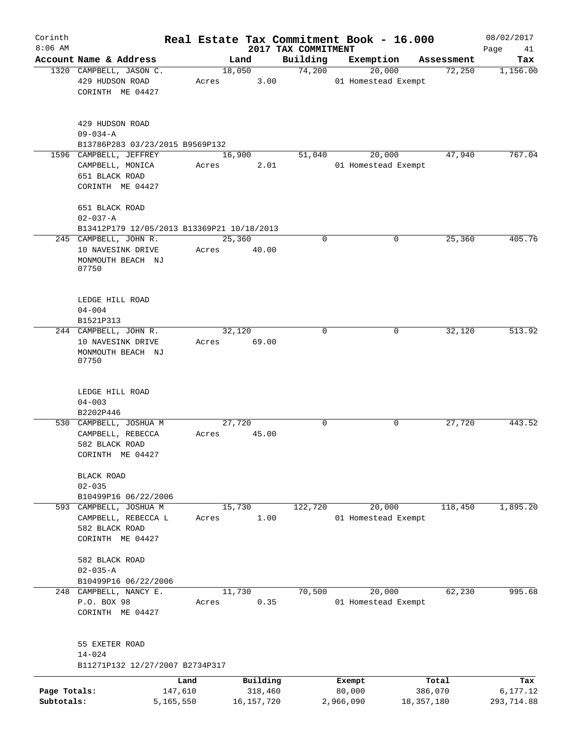| Corinth                    |                                                                                     |                 |                         |                                 | Real Estate Tax Commitment Book - 16.000 |                       | 08/02/2017             |
|----------------------------|-------------------------------------------------------------------------------------|-----------------|-------------------------|---------------------------------|------------------------------------------|-----------------------|------------------------|
| $8:06$ AM                  | Account Name & Address                                                              |                 | Land                    | 2017 TAX COMMITMENT<br>Building | Exemption                                |                       | Page<br>41<br>Tax      |
|                            | 1320 CAMPBELL, JASON C.                                                             |                 | 18,050                  | 74,200                          | 20,000                                   | Assessment<br>72,250  | 1,156.00               |
|                            | 429 HUDSON ROAD<br>CORINTH ME 04427                                                 | Acres           | 3.00                    |                                 | 01 Homestead Exempt                      |                       |                        |
|                            | 429 HUDSON ROAD<br>$09 - 034 - A$                                                   |                 |                         |                                 |                                          |                       |                        |
|                            | B13786P283 03/23/2015 B9569P132                                                     |                 |                         |                                 |                                          |                       |                        |
|                            | 1596 CAMPBELL, JEFFREY<br>CAMPBELL, MONICA<br>651 BLACK ROAD<br>CORINTH ME 04427    | Acres           | 16,900<br>2.01          | 51,040                          | 20,000<br>01 Homestead Exempt            | 47,940                | 767.04                 |
|                            | 651 BLACK ROAD<br>$02 - 037 - A$                                                    |                 |                         |                                 |                                          |                       |                        |
|                            | B13412P179 12/05/2013 B13369P21 10/18/2013                                          |                 |                         |                                 |                                          |                       |                        |
|                            | 245 CAMPBELL, JOHN R.<br>10 NAVESINK DRIVE<br>MONMOUTH BEACH NJ<br>07750            | 25,360<br>Acres | 40.00                   | 0                               | 0                                        | 25,360                | 405.76                 |
|                            | LEDGE HILL ROAD<br>$04 - 004$<br>B1521P313                                          |                 |                         |                                 |                                          |                       |                        |
|                            | 244 CAMPBELL, JOHN R.<br>10 NAVESINK DRIVE<br>MONMOUTH BEACH NJ<br>07750            | 32,120<br>Acres | 69.00                   | $\Omega$                        | $\Omega$                                 | 32,120                | 513.92                 |
|                            | LEDGE HILL ROAD<br>$04 - 003$                                                       |                 |                         |                                 |                                          |                       |                        |
|                            | B2202P446                                                                           |                 |                         |                                 |                                          |                       |                        |
|                            | 530 CAMPBELL, JOSHUA M<br>CAMPBELL, REBECCA<br>582 BLACK ROAD<br>CORINTH ME 04427   | 27,720<br>Acres | 45.00                   | 0                               | 0                                        | 27,720                | 443.52                 |
|                            | BLACK ROAD<br>$02 - 035$                                                            |                 |                         |                                 |                                          |                       |                        |
|                            | B10499P16 06/22/2006                                                                |                 |                         |                                 |                                          |                       |                        |
|                            | 593 CAMPBELL, JOSHUA M<br>CAMPBELL, REBECCA L<br>582 BLACK ROAD<br>CORINTH ME 04427 | 15,730<br>Acres | 1.00                    | 122,720                         | 20,000<br>01 Homestead Exempt            | 118,450               | 1,895.20               |
|                            | 582 BLACK ROAD<br>$02 - 035 - A$                                                    |                 |                         |                                 |                                          |                       |                        |
|                            | B10499P16 06/22/2006                                                                |                 |                         |                                 |                                          |                       |                        |
|                            | 248 CAMPBELL, NANCY E.<br>P.O. BOX 98<br>CORINTH ME 04427                           | 11,730<br>Acres | 0.35                    | 70,500                          | 20,000<br>01 Homestead Exempt            | 62,230                | 995.68                 |
|                            | 55 EXETER ROAD<br>$14 - 024$<br>B11271P132 12/27/2007 B2734P317                     |                 |                         |                                 |                                          |                       |                        |
|                            | Land                                                                                |                 | Building                |                                 | Exempt                                   | Total                 | Tax                    |
| Page Totals:<br>Subtotals: | 147,610<br>5,165,550                                                                |                 | 318,460<br>16, 157, 720 |                                 | 80,000<br>2,966,090                      | 386,070<br>18,357,180 | 6,177.12<br>293,714.88 |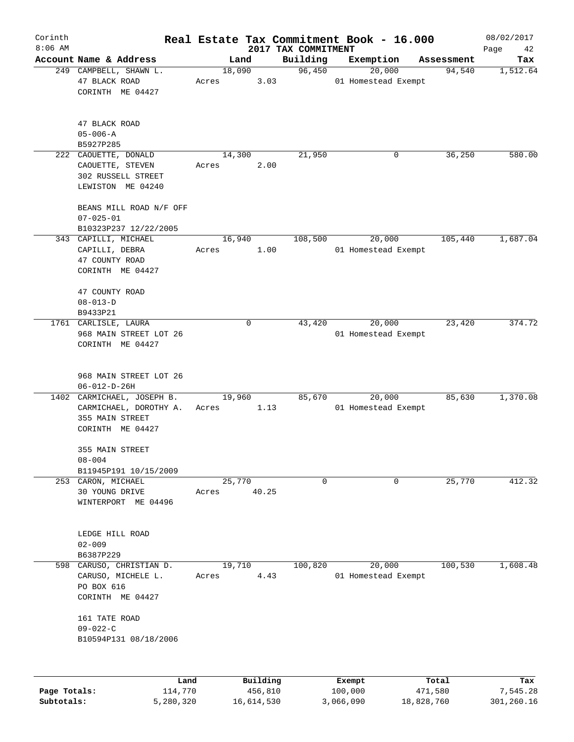| Corinth      |                                                                                             |                 |                     |                                 | Real Estate Tax Commitment Book - 16.000 |                  | 08/02/2017        |
|--------------|---------------------------------------------------------------------------------------------|-----------------|---------------------|---------------------------------|------------------------------------------|------------------|-------------------|
| $8:06$ AM    | Account Name & Address                                                                      | Land            |                     | 2017 TAX COMMITMENT<br>Building | Exemption                                | Assessment       | Page<br>42<br>Tax |
|              | 249 CAMPBELL, SHAWN L.                                                                      | 18,090          |                     | 96,450                          | 20,000                                   | 94,540           | 1,512.64          |
|              | 47 BLACK ROAD<br>CORINTH ME 04427                                                           | Acres           | 3.03                |                                 | 01 Homestead Exempt                      |                  |                   |
|              | 47 BLACK ROAD<br>$05 - 006 - A$<br>B5927P285                                                |                 |                     |                                 |                                          |                  |                   |
|              | 222 CAOUETTE, DONALD                                                                        | 14,300          |                     | 21,950                          | 0                                        | 36,250           | 580.00            |
|              | CAOUETTE, STEVEN<br>302 RUSSELL STREET<br>LEWISTON ME 04240                                 | Acres           | 2.00                |                                 |                                          |                  |                   |
|              | BEANS MILL ROAD N/F OFF<br>$07 - 025 - 01$<br>B10323P237 12/22/2005                         |                 |                     |                                 |                                          |                  |                   |
|              | 343 CAPILLI, MICHAEL                                                                        | 16,940          |                     | 108,500                         | 20,000                                   | 105,440          | 1,687.04          |
|              | CAPILLI, DEBRA<br>47 COUNTY ROAD<br>CORINTH ME 04427                                        | Acres           | 1.00                |                                 | 01 Homestead Exempt                      |                  |                   |
|              | 47 COUNTY ROAD<br>$08 - 013 - D$<br>B9433P21                                                |                 |                     |                                 |                                          |                  |                   |
|              | 1761 CARLISLE, LAURA<br>968 MAIN STREET LOT 26<br>CORINTH ME 04427                          |                 | 0                   | 43,420                          | 20,000<br>01 Homestead Exempt            | 23,420           | 374.72            |
|              | 968 MAIN STREET LOT 26<br>$06 - 012 - D - 26H$                                              |                 |                     |                                 |                                          |                  |                   |
|              | 1402 CARMICHAEL, JOSEPH B.<br>CARMICHAEL, DOROTHY A.<br>355 MAIN STREET<br>CORINTH ME 04427 | 19,960<br>Acres | 1.13                | 85,670                          | 20,000<br>01 Homestead Exempt            | 85,630           | 1,370.08          |
|              | 355 MAIN STREET<br>$08 - 004$                                                               |                 |                     |                                 |                                          |                  |                   |
|              | B11945P191 10/15/2009<br>253 CARON, MICHAEL                                                 | 25,770          |                     | 0                               | 0                                        | 25,770           | 412.32            |
|              | 30 YOUNG DRIVE<br>WINTERPORT ME 04496                                                       | Acres           | 40.25               |                                 |                                          |                  |                   |
|              | LEDGE HILL ROAD<br>$02 - 009$<br>B6387P229                                                  |                 |                     |                                 |                                          |                  |                   |
| 598          | CARUSO, CHRISTIAN D.                                                                        | 19,710          |                     | 100,820                         | 20,000                                   | 100,530          | 1,608.48          |
|              | CARUSO, MICHELE L.<br>PO BOX 616<br>CORINTH ME 04427                                        | Acres           | 4.43                |                                 | 01 Homestead Exempt                      |                  |                   |
|              | 161 TATE ROAD<br>$09 - 022 - C$<br>B10594P131 08/18/2006                                    |                 |                     |                                 |                                          |                  |                   |
|              |                                                                                             |                 |                     |                                 |                                          |                  |                   |
| Page Totals: | Land<br>114,770                                                                             |                 | Building<br>456,810 |                                 | Exempt<br>100,000                        | Total<br>471,580 | Tax<br>7,545.28   |

**Subtotals:** 5,280,320 16,614,530 3,066,090 18,828,760 301,260.16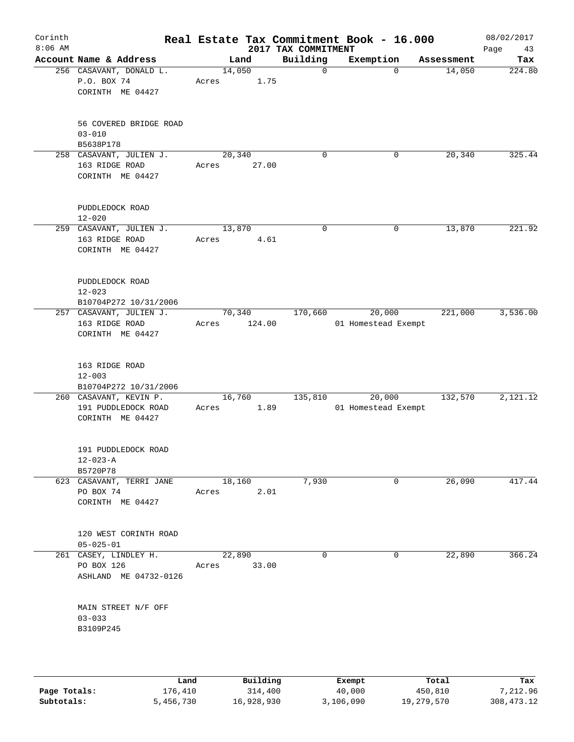| Corinth<br>$8:06$ AM |                                                                   |                       |        | 2017 TAX COMMITMENT | Real Estate Tax Commitment Book - 16.000 |            | 08/02/2017<br>Page<br>43 |
|----------------------|-------------------------------------------------------------------|-----------------------|--------|---------------------|------------------------------------------|------------|--------------------------|
|                      | Account Name & Address                                            | Land                  |        | Building            | Exemption                                | Assessment | Tax                      |
|                      | 256 CASAVANT, DONALD L.<br>P.O. BOX 74<br>CORINTH ME 04427        | 14,050<br>Acres       | 1.75   | $\mathbf 0$         | $\Omega$                                 | 14,050     | 224.80                   |
|                      | 56 COVERED BRIDGE ROAD<br>$03 - 010$<br>B5638P178                 |                       |        |                     |                                          |            |                          |
|                      | 258 CASAVANT, JULIEN J.<br>163 RIDGE ROAD<br>CORINTH ME 04427     | 20,340<br>Acres       | 27.00  | 0                   | 0                                        | 20,340     | 325.44                   |
|                      | PUDDLEDOCK ROAD<br>$12 - 020$                                     |                       |        |                     |                                          |            |                          |
|                      | 259 CASAVANT, JULIEN J.<br>163 RIDGE ROAD<br>CORINTH ME 04427     | 13,870<br>Acres       | 4.61   | $\mathbf 0$         | $\mathbf 0$                              | 13,870     | 221.92                   |
|                      | PUDDLEDOCK ROAD<br>$12 - 023$<br>B10704P272 10/31/2006            |                       |        |                     |                                          |            |                          |
|                      | 257 CASAVANT, JULIEN J.<br>163 RIDGE ROAD<br>CORINTH ME 04427     | 70,340<br>Acres       | 124.00 | 170,660             | 20,000<br>01 Homestead Exempt            | 221,000    | 3,536.00                 |
|                      | 163 RIDGE ROAD<br>$12 - 003$<br>B10704P272 10/31/2006             |                       |        |                     |                                          |            |                          |
|                      | 260 CASAVANT, KEVIN P.<br>191 PUDDLEDOCK ROAD<br>CORINTH ME 04427 | 16,760<br>Acres       | 1.89   | 135,810             | 20,000<br>01 Homestead Exempt            | 132,570    | 2,121.12                 |
|                      | 191 PUDDLEDOCK ROAD<br>$12 - 023 - A$<br>B5720P78                 |                       |        |                     |                                          |            |                          |
|                      | 623 CASAVANT, TERRI JANE<br>PO BOX 74<br>CORINTH ME 04427         | 18,160<br>Acres       | 2.01   | 7,930               | 0                                        | 26,090     | 417.44                   |
|                      | 120 WEST CORINTH ROAD<br>$05 - 025 - 01$                          |                       |        |                     |                                          |            |                          |
|                      | 261 CASEY, LINDLEY H.<br>PO BOX 126<br>ASHLAND ME 04732-0126      | 22,890<br>Acres 33.00 |        | 0                   | 0                                        | 22,890     | 366.24                   |
|                      | MAIN STREET N/F OFF<br>$03 - 033$<br>B3109P245                    |                       |        |                     |                                          |            |                          |
|                      |                                                                   |                       |        |                     |                                          |            |                          |
|                      |                                                                   |                       |        |                     |                                          |            |                          |

|              | Land      | Building   | Exempt    | Total      | Tax        |
|--------------|-----------|------------|-----------|------------|------------|
| Page Totals: | 176.410   | 314,400    | 40,000    | 450,810    | 7,212.96   |
| Subtotals:   | 5,456,730 | 16,928,930 | 3,106,090 | 19,279,570 | 308,473.12 |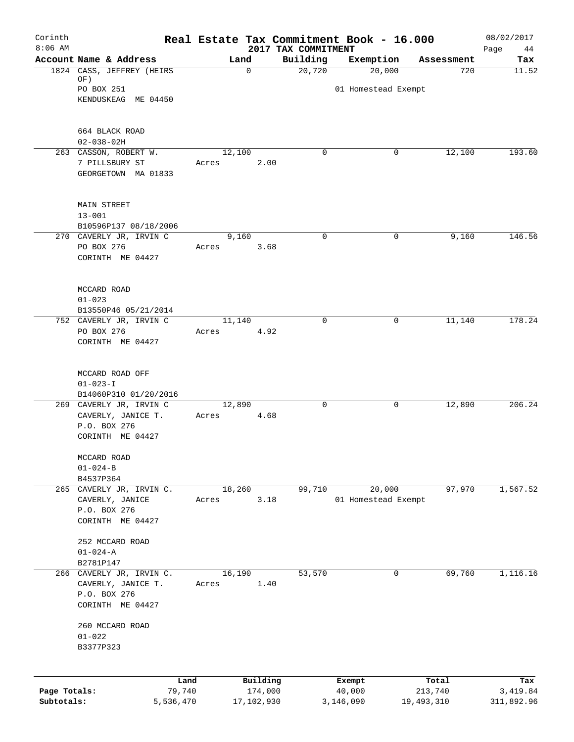| Corinth<br>$8:06$ AM |                                                 |                 | 2017 TAX COMMITMENT | Real Estate Tax Commitment Book - 16.000 |            | 08/02/2017<br>Page<br>44 |
|----------------------|-------------------------------------------------|-----------------|---------------------|------------------------------------------|------------|--------------------------|
|                      | Account Name & Address                          | Land            | Building            | Exemption                                | Assessment | Tax                      |
|                      | 1824 CASS, JEFFREY (HEIRS                       | 0               | 20,720              | 20,000                                   | 720        | 11.52                    |
|                      | OF)<br>PO BOX 251                               |                 |                     |                                          |            |                          |
|                      | KENDUSKEAG ME 04450                             |                 |                     | 01 Homestead Exempt                      |            |                          |
|                      |                                                 |                 |                     |                                          |            |                          |
|                      | 664 BLACK ROAD                                  |                 |                     |                                          |            |                          |
|                      | $02 - 038 - 02H$                                |                 |                     |                                          |            |                          |
|                      | 263 CASSON, ROBERT W.                           | 12,100          | $\Omega$            | 0                                        | 12,100     | 193.60                   |
|                      | 7 PILLSBURY ST<br>GEORGETOWN MA 01833           | Acres           | 2.00                |                                          |            |                          |
|                      | <b>MAIN STREET</b>                              |                 |                     |                                          |            |                          |
|                      | $13 - 001$                                      |                 |                     |                                          |            |                          |
|                      | B10596P137 08/18/2006                           |                 |                     |                                          |            |                          |
|                      | 270 CAVERLY JR, IRVIN C                         | 9,160           | $\mathbf 0$         | 0                                        | 9,160      | 146.56                   |
|                      | PO BOX 276<br>CORINTH ME 04427                  | Acres           | 3.68                |                                          |            |                          |
|                      |                                                 |                 |                     |                                          |            |                          |
|                      | MCCARD ROAD                                     |                 |                     |                                          |            |                          |
|                      | $01 - 023$                                      |                 |                     |                                          |            |                          |
|                      | B13550P46 05/21/2014<br>752 CAVERLY JR, IRVIN C | 11,140          | $\Omega$            | $\mathbf 0$                              | 11,140     | 178.24                   |
|                      | PO BOX 276                                      | Acres           | 4.92                |                                          |            |                          |
|                      | CORINTH ME 04427                                |                 |                     |                                          |            |                          |
|                      | MCCARD ROAD OFF                                 |                 |                     |                                          |            |                          |
|                      | $01 - 023 - I$                                  |                 |                     |                                          |            |                          |
|                      | B14060P310 01/20/2016                           |                 |                     |                                          |            |                          |
|                      | 269 CAVERLY JR, IRVIN C                         | 12,890          | 0                   | 0                                        | 12,890     | 206.24                   |
|                      | CAVERLY, JANICE T.                              | Acres           | 4.68                |                                          |            |                          |
|                      | P.O. BOX 276<br>CORINTH ME 04427                |                 |                     |                                          |            |                          |
|                      |                                                 |                 |                     |                                          |            |                          |
|                      | MCCARD ROAD                                     |                 |                     |                                          |            |                          |
|                      | $01 - 024 - B$<br>B4537P364                     |                 |                     |                                          |            |                          |
|                      | 265 CAVERLY JR, IRVIN C.                        | 18,260          | 99,710              | 20,000                                   | 97,970     | 1,567.52                 |
|                      | CAVERLY, JANICE                                 | Acres           | 3.18                | 01 Homestead Exempt                      |            |                          |
|                      | P.O. BOX 276                                    |                 |                     |                                          |            |                          |
|                      | CORINTH ME 04427                                |                 |                     |                                          |            |                          |
|                      | 252 MCCARD ROAD                                 |                 |                     |                                          |            |                          |
|                      | $01 - 024 - A$                                  |                 |                     |                                          |            |                          |
|                      | B2781P147                                       |                 |                     |                                          |            |                          |
|                      | 266 CAVERLY JR, IRVIN C.<br>CAVERLY, JANICE T.  | 16,190<br>Acres | 53,570<br>1.40      | 0                                        | 69,760     | 1,116.16                 |
|                      | P.O. BOX 276                                    |                 |                     |                                          |            |                          |
|                      | CORINTH ME 04427                                |                 |                     |                                          |            |                          |
|                      | 260 MCCARD ROAD                                 |                 |                     |                                          |            |                          |
|                      | $01 - 022$                                      |                 |                     |                                          |            |                          |
|                      | B3377P323                                       |                 |                     |                                          |            |                          |
|                      |                                                 |                 | Building            |                                          | Total      |                          |
| Page Totals:         | Land<br>79,740                                  |                 | 174,000             | Exempt<br>40,000                         | 213,740    | Tax<br>3,419.84          |
| Subtotals:           | 5,536,470                                       | 17,102,930      |                     | 3,146,090                                | 19,493,310 | 311,892.96               |
|                      |                                                 |                 |                     |                                          |            |                          |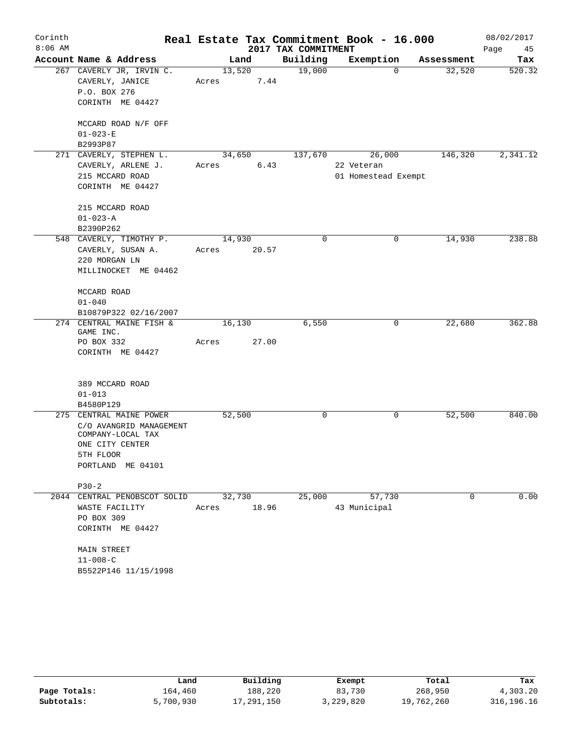| Corinth   |                                                                                                                              |                 |                 |                     | Real Estate Tax Commitment Book - 16.000    |                    | 08/02/2017 |
|-----------|------------------------------------------------------------------------------------------------------------------------------|-----------------|-----------------|---------------------|---------------------------------------------|--------------------|------------|
| $8:06$ AM |                                                                                                                              |                 |                 | 2017 TAX COMMITMENT |                                             |                    | Page<br>45 |
|           | Account Name & Address                                                                                                       |                 | Land            | Building            | Exemption                                   | Assessment         | Tax        |
|           | 267 CAVERLY JR, IRVIN C.<br>CAVERLY, JANICE<br>P.O. BOX 276<br>CORINTH ME 04427                                              | 13,520<br>Acres | 7.44            | 19,000              |                                             | 32,520<br>$\Omega$ | 520.32     |
|           | MCCARD ROAD N/F OFF<br>$01 - 023 - E$<br>B2993P87                                                                            |                 |                 |                     |                                             |                    |            |
|           | 271 CAVERLY, STEPHEN L.<br>CAVERLY, ARLENE J.<br>215 MCCARD ROAD<br>CORINTH ME 04427                                         | 34,650<br>Acres | 6.43            | 137,670             | 26,000<br>22 Veteran<br>01 Homestead Exempt | 146,320            | 2,341.12   |
|           | 215 MCCARD ROAD<br>$01 - 023 - A$<br>B2390P262                                                                               |                 |                 |                     |                                             |                    |            |
|           | 548 CAVERLY, TIMOTHY P.<br>CAVERLY, SUSAN A.<br>220 MORGAN LN<br>MILLINOCKET ME 04462                                        | 14,930<br>Acres | 20.57           | 0                   |                                             | 14,930<br>0        | 238.88     |
|           | MCCARD ROAD<br>$01 - 040$<br>B10879P322 02/16/2007                                                                           |                 |                 |                     |                                             |                    |            |
|           | 274 CENTRAL MAINE FISH &<br>GAME INC.<br>PO BOX 332<br>CORINTH ME 04427                                                      | 16,130<br>Acres | 27.00           | 6,550               |                                             | 22,680<br>0        | 362.88     |
|           | 389 MCCARD ROAD<br>$01 - 013$<br>B4580P129                                                                                   |                 |                 |                     |                                             |                    |            |
|           | 275 CENTRAL MAINE POWER<br>C/O AVANGRID MANAGEMENT<br>COMPANY-LOCAL TAX<br>ONE CITY CENTER<br>5TH FLOOR<br>PORTLAND ME 04101 | 52,500          |                 | 0                   |                                             | 0<br>52,500        | 840.00     |
|           | $P30-2$                                                                                                                      |                 |                 |                     |                                             |                    |            |
|           | 2044 CENTRAL PENOBSCOT SOLID<br>WASTE FACILITY<br>PO BOX 309<br>CORINTH ME 04427                                             | Acres           | 32,730<br>18.96 | 25,000              | 57,730<br>43 Municipal                      | $\Omega$           | 0.00       |
|           | <b>MAIN STREET</b><br>$11 - 008 - C$<br>B5522P146 11/15/1998                                                                 |                 |                 |                     |                                             |                    |            |

|              | Land      | Building   | Exempt    | Total      | Tax          |
|--------------|-----------|------------|-----------|------------|--------------|
| Page Totals: | 164.460   | 188,220    | 83,730    | 268,950    | 4,303.20     |
| Subtotals:   | 5,700,930 | 17,291,150 | 3,229,820 | 19,762,260 | 316, 196. 16 |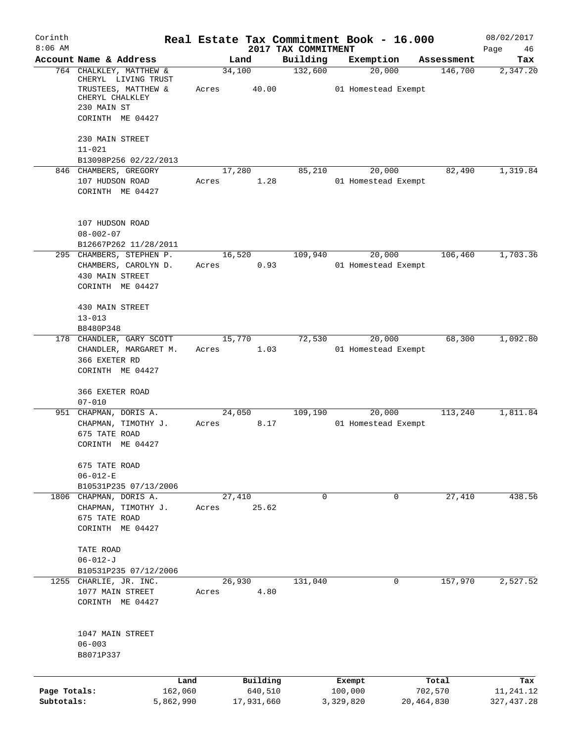| Corinth      |                                                             |       |                 |                                 | Real Estate Tax Commitment Book - 16.000 |            | 08/02/2017        |
|--------------|-------------------------------------------------------------|-------|-----------------|---------------------------------|------------------------------------------|------------|-------------------|
| $8:06$ AM    | Account Name & Address                                      |       | Land            | 2017 TAX COMMITMENT<br>Building | Exemption                                | Assessment | Page<br>46<br>Tax |
|              | 764 CHALKLEY, MATTHEW &<br>CHERYL LIVING TRUST              |       | 34,100          | 132,600                         | 20,000                                   | 146,700    | 2,347.20          |
|              | TRUSTEES, MATTHEW &<br>CHERYL CHALKLEY                      | Acres | 40.00           |                                 | 01 Homestead Exempt                      |            |                   |
|              | 230 MAIN ST<br>CORINTH ME 04427                             |       |                 |                                 |                                          |            |                   |
|              | 230 MAIN STREET<br>$11 - 021$                               |       |                 |                                 |                                          |            |                   |
|              | B13098P256 02/22/2013                                       |       |                 |                                 |                                          |            |                   |
|              | 846 CHAMBERS, GREGORY                                       |       | 17,280          | 85,210                          | 20,000                                   | 82,490     | 1,319.84          |
|              | 107 HUDSON ROAD<br>CORINTH ME 04427                         | Acres | 1.28            |                                 | 01 Homestead Exempt                      |            |                   |
|              | 107 HUDSON ROAD<br>$08 - 002 - 07$                          |       |                 |                                 |                                          |            |                   |
|              | B12667P262 11/28/2011                                       |       |                 |                                 |                                          |            |                   |
|              | 295 CHAMBERS, STEPHEN P.                                    |       | 16,520          | 109,940                         | 20,000                                   | 106,460    | 1,703.36          |
|              | CHAMBERS, CAROLYN D.<br>430 MAIN STREET<br>CORINTH ME 04427 | Acres | 0.93            |                                 | 01 Homestead Exempt                      |            |                   |
|              | 430 MAIN STREET                                             |       |                 |                                 |                                          |            |                   |
|              | $13 - 013$                                                  |       |                 |                                 |                                          |            |                   |
|              | B8480P348<br>178 CHANDLER, GARY SCOTT                       |       | 15,770          | 72,530                          | 20,000                                   | 68,300     | 1,092.80          |
|              | CHANDLER, MARGARET M.                                       | Acres | 1.03            |                                 | 01 Homestead Exempt                      |            |                   |
|              | 366 EXETER RD                                               |       |                 |                                 |                                          |            |                   |
|              | CORINTH ME 04427                                            |       |                 |                                 |                                          |            |                   |
|              | 366 EXETER ROAD                                             |       |                 |                                 |                                          |            |                   |
| 951          | $07 - 010$<br>CHAPMAN, DORIS A.                             |       | 24,050          | 109,190                         | 20,000                                   | 113,240    | 1,811.84          |
|              | CHAPMAN, TIMOTHY J.                                         | Acres | 8.17            |                                 | 01 Homestead Exempt                      |            |                   |
|              | 675 TATE ROAD                                               |       |                 |                                 |                                          |            |                   |
|              | CORINTH ME 04427                                            |       |                 |                                 |                                          |            |                   |
|              | 675 TATE ROAD                                               |       |                 |                                 |                                          |            |                   |
|              | $06 - 012 - E$                                              |       |                 |                                 |                                          |            |                   |
|              | B10531P235 07/13/2006                                       |       |                 |                                 |                                          |            |                   |
| 1806         | CHAPMAN, DORIS A.<br>CHAPMAN, TIMOTHY J.                    | Acres | 27,410<br>25.62 | 0                               | 0                                        | 27,410     | 438.56            |
|              | 675 TATE ROAD                                               |       |                 |                                 |                                          |            |                   |
|              | CORINTH ME 04427                                            |       |                 |                                 |                                          |            |                   |
|              | TATE ROAD                                                   |       |                 |                                 |                                          |            |                   |
|              | $06 - 012 - J$                                              |       |                 |                                 |                                          |            |                   |
|              | B10531P235 07/12/2006                                       |       |                 |                                 |                                          |            |                   |
|              | 1255 CHARLIE, JR. INC.                                      |       | 26,930          | 131,040                         | 0                                        | 157,970    | 2,527.52          |
|              | 1077 MAIN STREET<br>CORINTH ME 04427                        | Acres | 4.80            |                                 |                                          |            |                   |
|              |                                                             |       |                 |                                 |                                          |            |                   |
|              | 1047 MAIN STREET                                            |       |                 |                                 |                                          |            |                   |
|              | $06 - 003$                                                  |       |                 |                                 |                                          |            |                   |
|              | B8071P337                                                   |       |                 |                                 |                                          |            |                   |
|              | Land                                                        |       | Building        |                                 | Exempt                                   | Total      | Tax               |
| Page Totals: | 162,060                                                     |       | 640,510         |                                 | 100,000                                  | 702,570    | 11,241.12         |
| Subtotals:   | 5,862,990                                                   |       | 17,931,660      |                                 | 3,329,820                                | 20,464,830 | 327, 437.28       |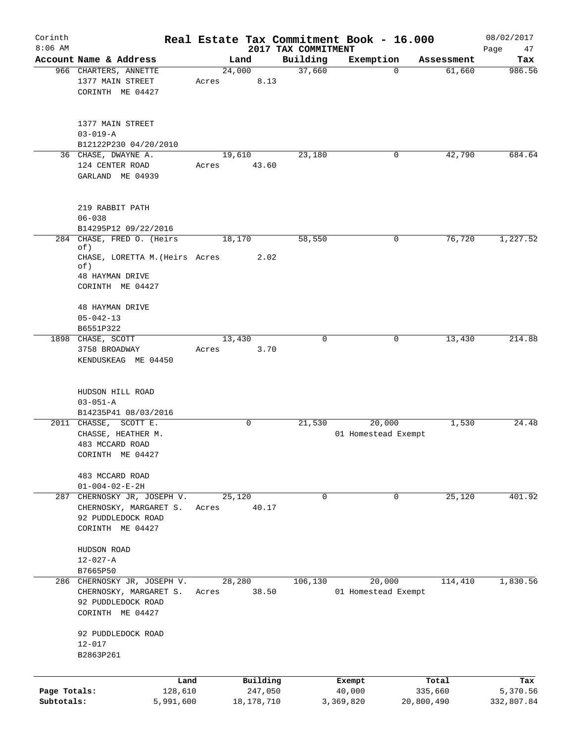| Corinth      |                                       |       |             |                     | Real Estate Tax Commitment Book - 16.000 |            | 08/02/2017 |
|--------------|---------------------------------------|-------|-------------|---------------------|------------------------------------------|------------|------------|
| $8:06$ AM    | Account Name & Address                |       |             | 2017 TAX COMMITMENT |                                          |            | Page<br>47 |
|              |                                       |       | Land        | Building            | Exemption<br>$\mathbf 0$                 | Assessment | Tax        |
|              | 966 CHARTERS, ANNETTE                 |       | 24,000      | 37,660              |                                          | 61,660     | 986.56     |
|              | 1377 MAIN STREET                      | Acres | 8.13        |                     |                                          |            |            |
|              | CORINTH ME 04427                      |       |             |                     |                                          |            |            |
|              |                                       |       |             |                     |                                          |            |            |
|              | 1377 MAIN STREET                      |       |             |                     |                                          |            |            |
|              | $03 - 019 - A$                        |       |             |                     |                                          |            |            |
|              | B12122P230 04/20/2010                 |       |             |                     |                                          |            |            |
|              | 36 CHASE, DWAYNE A.                   |       | 19,610      | 23,180              | 0                                        | 42,790     | 684.64     |
|              | 124 CENTER ROAD                       | Acres | 43.60       |                     |                                          |            |            |
|              | GARLAND ME 04939                      |       |             |                     |                                          |            |            |
|              |                                       |       |             |                     |                                          |            |            |
|              |                                       |       |             |                     |                                          |            |            |
|              | 219 RABBIT PATH                       |       |             |                     |                                          |            |            |
|              | $06 - 038$                            |       |             |                     |                                          |            |            |
|              | B14295P12 09/22/2016                  |       |             |                     |                                          |            |            |
|              | 284 CHASE, FRED O. (Heirs             |       | 18,170      | 58,550              | 0                                        | 76,720     | 1,227.52   |
|              | of)                                   |       |             |                     |                                          |            |            |
|              | CHASE, LORETTA M. (Heirs Acres<br>of) |       | 2.02        |                     |                                          |            |            |
|              | <b>48 HAYMAN DRIVE</b>                |       |             |                     |                                          |            |            |
|              | CORINTH ME 04427                      |       |             |                     |                                          |            |            |
|              |                                       |       |             |                     |                                          |            |            |
|              | <b>48 HAYMAN DRIVE</b>                |       |             |                     |                                          |            |            |
|              | $05 - 042 - 13$                       |       |             |                     |                                          |            |            |
|              | B6551P322                             |       |             |                     |                                          |            |            |
|              | 1898 CHASE, SCOTT                     |       | 13,430      | 0                   | 0                                        | 13,430     | 214.88     |
|              | 3758 BROADWAY                         | Acres | 3.70        |                     |                                          |            |            |
|              | KENDUSKEAG ME 04450                   |       |             |                     |                                          |            |            |
|              |                                       |       |             |                     |                                          |            |            |
|              |                                       |       |             |                     |                                          |            |            |
|              | HUDSON HILL ROAD                      |       |             |                     |                                          |            |            |
|              | $03 - 051 - A$                        |       |             |                     |                                          |            |            |
|              | B14235P41 08/03/2016                  |       |             |                     |                                          |            |            |
|              | 2011 CHASSE, SCOTT E.                 |       | $\mathbf 0$ | 21,530              | 20,000                                   | 1,530      | 24.48      |
|              | CHASSE, HEATHER M.                    |       |             |                     | 01 Homestead Exempt                      |            |            |
|              | 483 MCCARD ROAD                       |       |             |                     |                                          |            |            |
|              | CORINTH ME 04427                      |       |             |                     |                                          |            |            |
|              |                                       |       |             |                     |                                          |            |            |
|              | 483 MCCARD ROAD                       |       |             |                     |                                          |            |            |
|              | $01 - 004 - 02 - E - 2H$              |       |             |                     |                                          |            |            |
| 287          | CHERNOSKY JR, JOSEPH V.               |       | 25,120      | $\mathbf 0$         | 0                                        | 25,120     | 401.92     |
|              | CHERNOSKY, MARGARET S.                | Acres | 40.17       |                     |                                          |            |            |
|              | 92 PUDDLEDOCK ROAD                    |       |             |                     |                                          |            |            |
|              | CORINTH ME 04427                      |       |             |                     |                                          |            |            |
|              |                                       |       |             |                     |                                          |            |            |
|              | HUDSON ROAD                           |       |             |                     |                                          |            |            |
|              | $12 - 027 - A$                        |       |             |                     |                                          |            |            |
|              | B7665P50                              |       |             |                     |                                          |            |            |
|              | 286 CHERNOSKY JR, JOSEPH V.           |       | 28,280      | 106,130             | 20,000                                   | 114,410    | 1,830.56   |
|              | CHERNOSKY, MARGARET S.                | Acres | 38.50       |                     | 01 Homestead Exempt                      |            |            |
|              | 92 PUDDLEDOCK ROAD                    |       |             |                     |                                          |            |            |
|              | CORINTH ME 04427                      |       |             |                     |                                          |            |            |
|              |                                       |       |             |                     |                                          |            |            |
|              | 92 PUDDLEDOCK ROAD                    |       |             |                     |                                          |            |            |
|              | $12 - 017$                            |       |             |                     |                                          |            |            |
|              | B2863P261                             |       |             |                     |                                          |            |            |
|              |                                       |       |             |                     |                                          |            |            |
|              | Land                                  |       | Building    |                     | Exempt                                   | Total      | Tax        |
| Page Totals: | 128,610                               |       | 247,050     |                     | 40,000                                   | 335,660    | 5,370.56   |
| Subtotals:   | 5,991,600                             |       | 18,178,710  |                     | 3,369,820                                | 20,800,490 | 332,807.84 |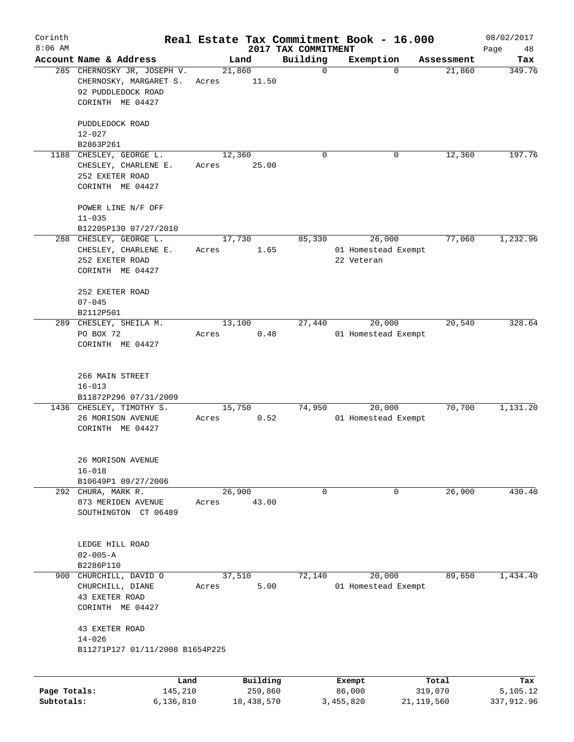| Corinth                    |                                                                                                 |       |                       |                                 | Real Estate Tax Commitment Book - 16.000    |                         | 08/02/2017             |
|----------------------------|-------------------------------------------------------------------------------------------------|-------|-----------------------|---------------------------------|---------------------------------------------|-------------------------|------------------------|
| $8:06$ AM                  | Account Name & Address                                                                          |       | Land                  | 2017 TAX COMMITMENT<br>Building | Exemption                                   | Assessment              | Page<br>48<br>Tax      |
|                            | 285 CHERNOSKY JR, JOSEPH V.<br>CHERNOSKY, MARGARET S.<br>92 PUDDLEDOCK ROAD<br>CORINTH ME 04427 | Acres | 21,860<br>11.50       | 0                               | $\Omega$                                    | 21,860                  | 349.76                 |
|                            | PUDDLEDOCK ROAD<br>$12 - 027$                                                                   |       |                       |                                 |                                             |                         |                        |
|                            | B2863P261                                                                                       |       |                       |                                 |                                             |                         |                        |
| 1188                       | CHESLEY, GEORGE L.<br>CHESLEY, CHARLENE E.<br>252 EXETER ROAD<br>CORINTH ME 04427               | Acres | 12,360<br>25.00       | 0                               | 0                                           | 12,360                  | 197.76                 |
|                            | POWER LINE N/F OFF<br>$11 - 035$                                                                |       |                       |                                 |                                             |                         |                        |
|                            | B12205P130 07/27/2010                                                                           |       |                       |                                 |                                             |                         |                        |
|                            | 288 CHESLEY, GEORGE L.<br>CHESLEY, CHARLENE E.<br>252 EXETER ROAD<br>CORINTH ME 04427           | Acres | 17,730<br>1.65        | 85,330                          | 26,000<br>01 Homestead Exempt<br>22 Veteran | 77,060                  | 1,232.96               |
|                            | 252 EXETER ROAD<br>$07 - 045$                                                                   |       |                       |                                 |                                             |                         |                        |
|                            | B2112P501                                                                                       |       |                       |                                 |                                             |                         |                        |
| 289                        | CHESLEY, SHEILA M.<br>PO BOX 72<br>CORINTH ME 04427                                             | Acres | 13,100<br>0.48        | 27,440                          | 20,000<br>01 Homestead Exempt               | 20,540                  | 328.64                 |
|                            | 266 MAIN STREET<br>$16 - 013$<br>B11872P296 07/31/2009                                          |       |                       |                                 |                                             |                         |                        |
|                            | 1436 CHESLEY, TIMOTHY S.<br>26 MORISON AVENUE<br>CORINTH ME 04427                               | Acres | 15,750<br>0.52        | 74,950                          | 20,000<br>01 Homestead Exempt               | 70,700                  | 1,131.20               |
|                            | 26 MORISON AVENUE<br>$16 - 018$<br>B10649P1 09/27/2006                                          |       |                       |                                 |                                             |                         |                        |
|                            | 292 CHURA, MARK R.                                                                              |       | 26,900                | 0                               | 0                                           | 26,900                  | 430.40                 |
|                            | 873 MERIDEN AVENUE<br>SOUTHINGTON CT 06489                                                      | Acres | 43.00                 |                                 |                                             |                         |                        |
|                            | LEDGE HILL ROAD<br>$02 - 005 - A$                                                               |       |                       |                                 |                                             |                         |                        |
|                            | B2286P110                                                                                       |       |                       |                                 |                                             |                         |                        |
| 900                        | CHURCHILL, DAVID O<br>CHURCHILL, DIANE<br>43 EXETER ROAD<br>CORINTH ME 04427                    | Acres | 37,510<br>5.00        | 72,140                          | 20,000<br>01 Homestead Exempt               | 89,650                  | 1,434.40               |
|                            | 43 EXETER ROAD<br>$14 - 026$<br>B11271P127 01/11/2008 B1654P225                                 |       |                       |                                 |                                             |                         |                        |
|                            | Land                                                                                            |       | Building              |                                 | Exempt                                      | Total                   | Tax                    |
| Page Totals:<br>Subtotals: | 145,210<br>6,136,810                                                                            |       | 259,860<br>18,438,570 |                                 | 86,000<br>3,455,820                         | 319,070<br>21, 119, 560 | 5,105.12<br>337,912.96 |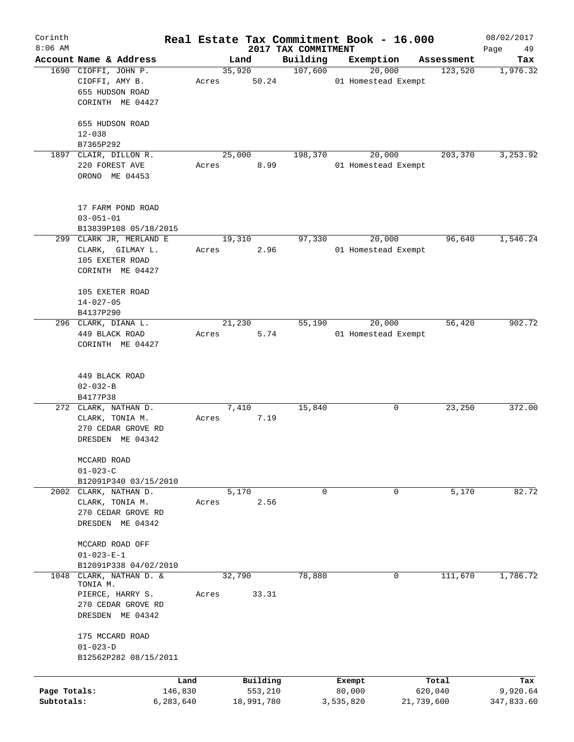| Corinth      |                                      |         |            |                                 | Real Estate Tax Commitment Book - 16.000 |            | 08/02/2017        |
|--------------|--------------------------------------|---------|------------|---------------------------------|------------------------------------------|------------|-------------------|
| $8:06$ AM    | Account Name & Address               |         | Land       | 2017 TAX COMMITMENT<br>Building | Exemption                                | Assessment | Page<br>49<br>Tax |
|              | 1690 CIOFFI, JOHN P.                 |         | 35,920     | 107,600                         | 20,000                                   | 123,520    | 1,976.32          |
|              | CIOFFI, AMY B.<br>655 HUDSON ROAD    | Acres   | 50.24      |                                 | 01 Homestead Exempt                      |            |                   |
|              | CORINTH ME 04427                     |         |            |                                 |                                          |            |                   |
|              | 655 HUDSON ROAD<br>$12 - 038$        |         |            |                                 |                                          |            |                   |
|              | B7365P292                            |         |            |                                 |                                          |            |                   |
|              | 1897 CLAIR, DILLON R.                |         | 25,000     | 198,370                         | 20,000                                   | 203,370    | 3,253.92          |
|              | 220 FOREST AVE<br>ORONO ME 04453     | Acres   | 8.99       |                                 | 01 Homestead Exempt                      |            |                   |
|              | 17 FARM POND ROAD<br>$03 - 051 - 01$ |         |            |                                 |                                          |            |                   |
|              | B13839P108 05/18/2015                |         |            |                                 |                                          |            |                   |
|              | 299 CLARK JR, MERLAND E              |         | 19,310     | 97,330                          | 20,000                                   | 96,640     | 1,546.24          |
|              | CLARK, GILMAY L.                     | Acres   | 2.96       |                                 | 01 Homestead Exempt                      |            |                   |
|              | 105 EXETER ROAD                      |         |            |                                 |                                          |            |                   |
|              | CORINTH ME 04427                     |         |            |                                 |                                          |            |                   |
|              | 105 EXETER ROAD                      |         |            |                                 |                                          |            |                   |
|              | $14 - 027 - 05$                      |         |            |                                 |                                          |            |                   |
|              | B4137P290                            |         |            |                                 |                                          |            |                   |
|              | 296 CLARK, DIANA L.                  |         | 21,230     | 55,190                          | 20,000                                   | 56,420     | 902.72            |
|              | 449 BLACK ROAD                       | Acres   | 5.74       |                                 | 01 Homestead Exempt                      |            |                   |
|              | CORINTH ME 04427                     |         |            |                                 |                                          |            |                   |
|              |                                      |         |            |                                 |                                          |            |                   |
|              | 449 BLACK ROAD                       |         |            |                                 |                                          |            |                   |
|              | $02 - 032 - B$                       |         |            |                                 |                                          |            |                   |
|              | B4177P38                             |         |            |                                 |                                          |            |                   |
|              | 272 CLARK, NATHAN D.                 |         | 7,410      | 15,840                          | 0                                        | 23,250     | 372.00            |
|              | CLARK, TONIA M.                      | Acres   | 7.19       |                                 |                                          |            |                   |
|              | 270 CEDAR GROVE RD                   |         |            |                                 |                                          |            |                   |
|              | DRESDEN ME 04342                     |         |            |                                 |                                          |            |                   |
|              | MCCARD ROAD                          |         |            |                                 |                                          |            |                   |
|              | $01 - 023 - C$                       |         |            |                                 |                                          |            |                   |
|              | B12091P340 03/15/2010                |         |            |                                 |                                          |            |                   |
|              | 2002 CLARK, NATHAN D.                |         | 5,170      | 0                               | 0                                        | 5,170      | 82.72             |
|              | CLARK, TONIA M.                      | Acres   | 2.56       |                                 |                                          |            |                   |
|              | 270 CEDAR GROVE RD                   |         |            |                                 |                                          |            |                   |
|              | DRESDEN ME 04342                     |         |            |                                 |                                          |            |                   |
|              |                                      |         |            |                                 |                                          |            |                   |
|              | MCCARD ROAD OFF                      |         |            |                                 |                                          |            |                   |
|              | $01 - 023 - E - 1$                   |         |            |                                 |                                          |            |                   |
|              | B12091P338 04/02/2010                |         |            |                                 |                                          |            |                   |
| 1048         | CLARK, NATHAN D. &                   |         | 32,790     | 78,880                          | 0                                        | 111,670    | 1,786.72          |
|              | TONIA M.                             |         |            |                                 |                                          |            |                   |
|              | PIERCE, HARRY S.                     | Acres   | 33.31      |                                 |                                          |            |                   |
|              | 270 CEDAR GROVE RD                   |         |            |                                 |                                          |            |                   |
|              | DRESDEN ME 04342                     |         |            |                                 |                                          |            |                   |
|              | 175 MCCARD ROAD                      |         |            |                                 |                                          |            |                   |
|              | $01 - 023 - D$                       |         |            |                                 |                                          |            |                   |
|              | B12562P282 08/15/2011                |         |            |                                 |                                          |            |                   |
|              |                                      |         |            |                                 |                                          |            |                   |
|              |                                      | Land    | Building   |                                 | Exempt                                   | Total      | Tax               |
| Page Totals: |                                      | 146,830 | 553,210    |                                 | 80,000                                   | 620,040    | 9,920.64          |
| Subtotals:   | 6,283,640                            |         | 18,991,780 |                                 | 3,535,820                                | 21,739,600 | 347,833.60        |
|              |                                      |         |            |                                 |                                          |            |                   |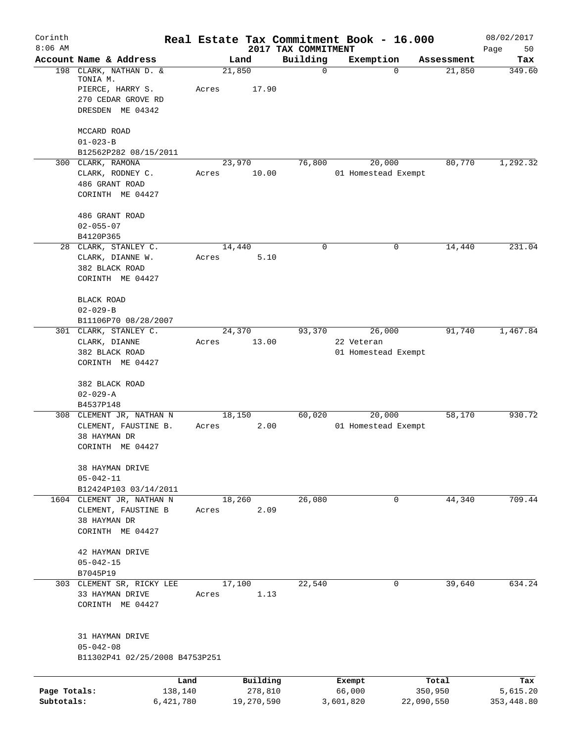| Corinth<br>$8:06$ AM |                                                                                                  |                 |            | Real Estate Tax Commitment Book - 16.000 |            |                     |            | 08/02/2017        |
|----------------------|--------------------------------------------------------------------------------------------------|-----------------|------------|------------------------------------------|------------|---------------------|------------|-------------------|
|                      | Account Name & Address                                                                           | Land            |            | 2017 TAX COMMITMENT<br>Building          | Exemption  |                     | Assessment | Page<br>50<br>Tax |
|                      | 198 CLARK, NATHAN D. &<br>TONIA M.<br>PIERCE, HARRY S.<br>270 CEDAR GROVE RD<br>DRESDEN ME 04342 | 21,850<br>Acres | 17.90      | 0                                        |            | $\Omega$            | 21,850     | 349.60            |
|                      | MCCARD ROAD                                                                                      |                 |            |                                          |            |                     |            |                   |
|                      | $01 - 023 - B$                                                                                   |                 |            |                                          |            |                     |            |                   |
|                      | B12562P282 08/15/2011<br>300 CLARK, RAMONA                                                       | 23,970          |            | 76,800                                   |            | 20,000              | 80,770     | 1,292.32          |
|                      | CLARK, RODNEY C.<br>486 GRANT ROAD<br>CORINTH ME 04427                                           | Acres           | 10.00      |                                          |            | 01 Homestead Exempt |            |                   |
|                      |                                                                                                  |                 |            |                                          |            |                     |            |                   |
|                      | 486 GRANT ROAD<br>$02 - 055 - 07$                                                                |                 |            |                                          |            |                     |            |                   |
|                      | B4120P365                                                                                        |                 |            |                                          |            |                     |            |                   |
|                      | 28 CLARK, STANLEY C.<br>CLARK, DIANNE W.<br>382 BLACK ROAD<br>CORINTH ME 04427                   | 14,440<br>Acres | 5.10       | 0                                        |            | 0                   | 14,440     | 231.04            |
|                      | BLACK ROAD                                                                                       |                 |            |                                          |            |                     |            |                   |
|                      | $02 - 029 - B$                                                                                   |                 |            |                                          |            |                     |            |                   |
|                      | B11106P70 08/28/2007<br>301 CLARK, STANLEY C.                                                    | 24,370          |            | 93,370                                   |            | 26,000              | 91,740     | 1,467.84          |
|                      | CLARK, DIANNE                                                                                    | Acres           | 13.00      |                                          | 22 Veteran |                     |            |                   |
|                      | 382 BLACK ROAD<br>CORINTH ME 04427                                                               |                 |            |                                          |            | 01 Homestead Exempt |            |                   |
|                      | 382 BLACK ROAD                                                                                   |                 |            |                                          |            |                     |            |                   |
|                      | $02 - 029 - A$                                                                                   |                 |            |                                          |            |                     |            |                   |
|                      | B4537P148<br>308 CLEMENT JR, NATHAN N                                                            | 18,150          |            | 60,020                                   |            | 20,000              | 58,170     | 930.72            |
|                      | CLEMENT, FAUSTINE B.                                                                             | Acres           | 2.00       |                                          |            | 01 Homestead Exempt |            |                   |
|                      | 38 HAYMAN DR<br>CORINTH ME 04427                                                                 |                 |            |                                          |            |                     |            |                   |
|                      | 38 HAYMAN DRIVE                                                                                  |                 |            |                                          |            |                     |            |                   |
|                      | $05 - 042 - 11$<br>B12424P103 03/14/2011                                                         |                 |            |                                          |            |                     |            |                   |
|                      | 1604 CLEMENT JR, NATHAN N                                                                        | 18,260          |            | 26,080                                   |            | $\mathbf 0$         | 44,340     | 709.44            |
|                      | CLEMENT, FAUSTINE B                                                                              | Acres           | 2.09       |                                          |            |                     |            |                   |
|                      | 38 HAYMAN DR<br>CORINTH ME 04427                                                                 |                 |            |                                          |            |                     |            |                   |
|                      | 42 HAYMAN DRIVE                                                                                  |                 |            |                                          |            |                     |            |                   |
|                      | $05 - 042 - 15$<br>B7045P19                                                                      |                 |            |                                          |            |                     |            |                   |
|                      | 303 CLEMENT SR, RICKY LEE                                                                        | 17,100          |            | 22,540                                   |            | 0                   | 39,640     | 634.24            |
|                      | 33 HAYMAN DRIVE<br>CORINTH ME 04427                                                              | Acres           | 1.13       |                                          |            |                     |            |                   |
|                      | 31 HAYMAN DRIVE                                                                                  |                 |            |                                          |            |                     |            |                   |
|                      | $05 - 042 - 08$<br>B11302P41 02/25/2008 B4753P251                                                |                 |            |                                          |            |                     |            |                   |
|                      | Land                                                                                             |                 | Building   |                                          | Exempt     |                     | Total      | Tax               |
| Page Totals:         | 138,140                                                                                          |                 | 278,810    |                                          | 66,000     |                     | 350,950    | 5,615.20          |
| Subtotals:           | 6,421,780                                                                                        |                 | 19,270,590 |                                          | 3,601,820  |                     | 22,090,550 | 353, 448.80       |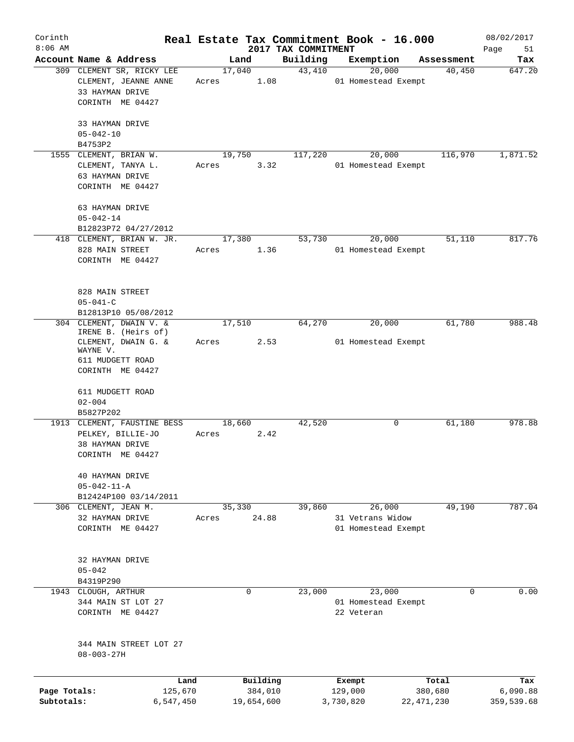| Corinth                    |                                                                                                                           |       |                       |                                 | Real Estate Tax Commitment Book - 16.000          |                         | 08/02/2017             |
|----------------------------|---------------------------------------------------------------------------------------------------------------------------|-------|-----------------------|---------------------------------|---------------------------------------------------|-------------------------|------------------------|
| $8:06$ AM                  | Account Name & Address                                                                                                    |       | Land                  | 2017 TAX COMMITMENT<br>Building | Exemption                                         | Assessment              | Page<br>51<br>Tax      |
|                            | 309 CLEMENT SR, RICKY LEE<br>CLEMENT, JEANNE ANNE<br>33 HAYMAN DRIVE<br>CORINTH ME 04427                                  | Acres | 17,040<br>1.08        | 43,410                          | 20,000<br>01 Homestead Exempt                     | 40,450                  | 647.20                 |
|                            | 33 HAYMAN DRIVE<br>$05 - 042 - 10$<br>B4753P2                                                                             |       |                       |                                 |                                                   |                         |                        |
|                            | 1555 CLEMENT, BRIAN W.<br>CLEMENT, TANYA L.<br>63 HAYMAN DRIVE<br>CORINTH ME 04427                                        | Acres | 19,750<br>3.32        | 117,220                         | 20,000<br>01 Homestead Exempt                     | 116,970                 | 1,871.52               |
|                            | 63 HAYMAN DRIVE<br>$05 - 042 - 14$<br>B12823P72 04/27/2012<br>418 CLEMENT, BRIAN W. JR.                                   |       | 17,380                | 53,730                          | 20,000                                            | 51,110                  | 817.76                 |
|                            | 828 MAIN STREET<br>CORINTH ME 04427                                                                                       | Acres | 1.36                  |                                 | 01 Homestead Exempt                               |                         |                        |
|                            | 828 MAIN STREET<br>$05 - 041 - C$<br>B12813P10 05/08/2012                                                                 |       |                       |                                 |                                                   |                         |                        |
|                            | 304 CLEMENT, DWAIN V. &<br>IRENE B. (Heirs of)<br>CLEMENT, DWAIN G. &<br>WAYNE V.<br>611 MUDGETT ROAD<br>CORINTH ME 04427 | Acres | 17,510<br>2.53        | 64,270                          | 20,000<br>01 Homestead Exempt                     | 61,780                  | 988.48                 |
|                            | 611 MUDGETT ROAD<br>$02 - 004$<br>B5827P202                                                                               |       |                       |                                 |                                                   |                         |                        |
|                            | 1913 CLEMENT, FAUSTINE BESS<br>PELKEY, BILLIE-JO<br>38 HAYMAN DRIVE<br>CORINTH ME 04427                                   | Acres | 18,660<br>2.42        | 42,520                          | 0                                                 | 61,180                  | 978.88                 |
|                            | 40 HAYMAN DRIVE<br>$05 - 042 - 11 - A$<br>B12424P100 03/14/2011                                                           |       |                       |                                 |                                                   |                         |                        |
|                            | 306 CLEMENT, JEAN M.<br>32 HAYMAN DRIVE<br>CORINTH ME 04427                                                               | Acres | 35,330<br>24.88       | 39,860                          | 26,000<br>31 Vetrans Widow<br>01 Homestead Exempt | 49,190                  | 787.04                 |
|                            | 32 HAYMAN DRIVE<br>$05 - 042$<br>B4319P290                                                                                |       |                       |                                 |                                                   |                         |                        |
|                            | 1943 CLOUGH, ARTHUR<br>344 MAIN ST LOT 27<br>CORINTH ME 04427                                                             |       | 0                     | 23,000                          | 23,000<br>01 Homestead Exempt<br>22 Veteran       | 0                       | 0.00                   |
|                            | 344 MAIN STREET LOT 27<br>$08 - 003 - 27H$                                                                                |       |                       |                                 |                                                   |                         |                        |
|                            | Land                                                                                                                      |       | Building              |                                 | Exempt                                            | Total                   | Tax                    |
| Page Totals:<br>Subtotals: | 125,670<br>6,547,450                                                                                                      |       | 384,010<br>19,654,600 |                                 | 129,000<br>3,730,820                              | 380,680<br>22, 471, 230 | 6,090.88<br>359,539.68 |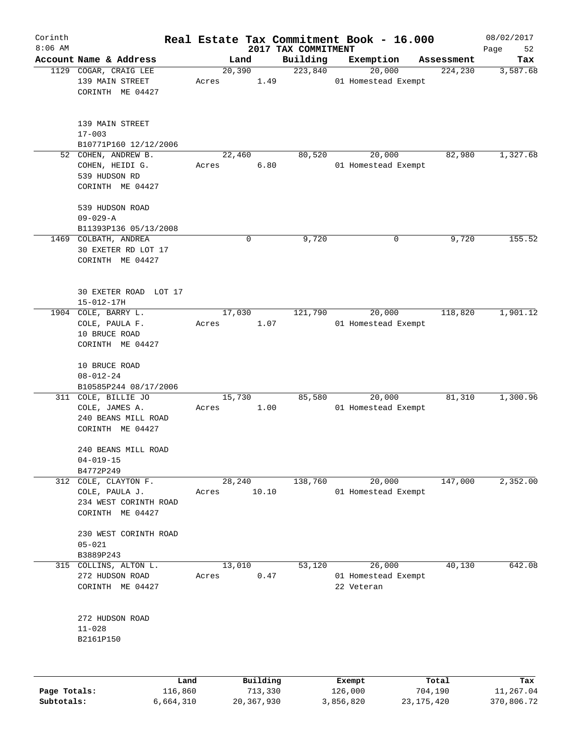| Corinth      |                                                                                  |                 |                     |                                 | Real Estate Tax Commitment Book - 16.000    |                  | 08/02/2017        |
|--------------|----------------------------------------------------------------------------------|-----------------|---------------------|---------------------------------|---------------------------------------------|------------------|-------------------|
| $8:06$ AM    | Account Name & Address                                                           |                 | Land                | 2017 TAX COMMITMENT<br>Building | Exemption                                   | Assessment       | Page<br>52<br>Tax |
|              | 1129 COGAR, CRAIG LEE                                                            | 20,390          |                     | 223,840                         | 20,000                                      | 224,230          | 3,587.68          |
|              | 139 MAIN STREET<br>CORINTH ME 04427                                              | Acres           | 1.49                |                                 | 01 Homestead Exempt                         |                  |                   |
|              | 139 MAIN STREET<br>$17 - 003$                                                    |                 |                     |                                 |                                             |                  |                   |
|              | B10771P160 12/12/2006                                                            |                 |                     |                                 |                                             | 82,980           |                   |
|              | 52 COHEN, ANDREW B.<br>COHEN, HEIDI G.<br>539 HUDSON RD<br>CORINTH ME 04427      | 22,460<br>Acres | 6.80                | 80,520                          | 20,000<br>01 Homestead Exempt               |                  | 1,327.68          |
|              | 539 HUDSON ROAD                                                                  |                 |                     |                                 |                                             |                  |                   |
|              | $09 - 029 - A$                                                                   |                 |                     |                                 |                                             |                  |                   |
|              | B11393P136 05/13/2008                                                            |                 |                     |                                 |                                             |                  |                   |
|              | 1469 COLBATH, ANDREA<br>30 EXETER RD LOT 17<br>CORINTH ME 04427                  |                 | 0                   | 9,720                           | 0                                           | 9,720            | 155.52            |
|              | 30 EXETER ROAD LOT 17<br>$15 - 012 - 17H$                                        |                 |                     |                                 |                                             |                  |                   |
|              | 1904 COLE, BARRY L.<br>COLE, PAULA F.<br>10 BRUCE ROAD<br>CORINTH ME 04427       | 17,030<br>Acres | 1.07                | 121,790                         | 20,000<br>01 Homestead Exempt               | 118,820          | 1,901.12          |
|              | 10 BRUCE ROAD<br>$08 - 012 - 24$<br>B10585P244 08/17/2006                        |                 |                     |                                 |                                             |                  |                   |
|              | 311 COLE, BILLIE JO<br>COLE, JAMES A.<br>240 BEANS MILL ROAD<br>CORINTH ME 04427 | 15,730<br>Acres | 1.00                | 85,580                          | 20,000<br>01 Homestead Exempt               | 81,310           | 1,300.96          |
|              | 240 BEANS MILL ROAD<br>$04 - 019 - 15$<br>B4772P249                              |                 |                     |                                 |                                             |                  |                   |
| 312          | COLE, CLAYTON F.<br>COLE, PAULA J.<br>234 WEST CORINTH ROAD<br>CORINTH ME 04427  | 28,240<br>Acres | 10.10               | 138,760                         | 20,000<br>01 Homestead Exempt               | 147,000          | 2,352.00          |
|              | 230 WEST CORINTH ROAD<br>$05 - 021$<br>B3889P243                                 |                 |                     |                                 |                                             |                  |                   |
| 315          | COLLINS, ALTON L.<br>272 HUDSON ROAD<br>CORINTH ME 04427                         | 13,010<br>Acres | 0.47                | 53,120                          | 26,000<br>01 Homestead Exempt<br>22 Veteran | 40,130           | 642.08            |
|              | 272 HUDSON ROAD<br>$11 - 028$<br>B2161P150                                       |                 |                     |                                 |                                             |                  |                   |
| Page Totals: | 116,860                                                                          | Land            | Building<br>713,330 |                                 | Exempt<br>126,000                           | Total<br>704,190 | Tax<br>11,267.04  |
| Subtotals:   | 6,664,310                                                                        |                 | 20,367,930          |                                 | 3,856,820                                   | 23, 175, 420     | 370,806.72        |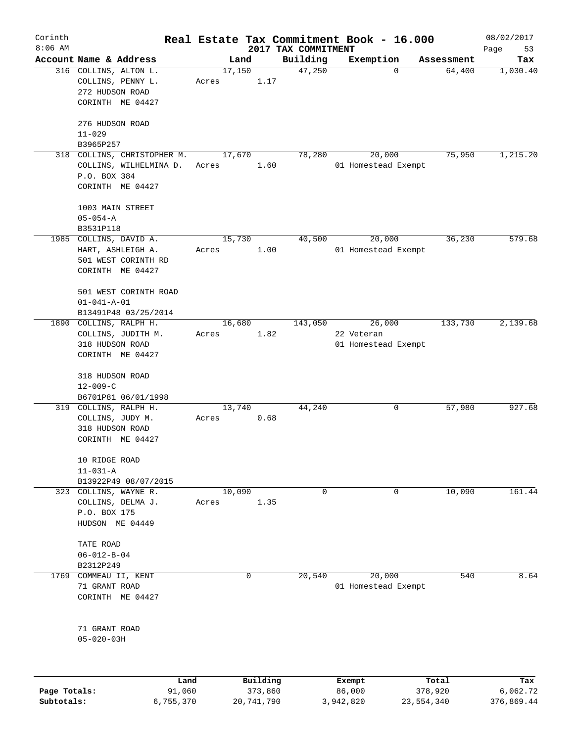| Corinth      |                                                                                           |                 |                                 | Real Estate Tax Commitment Book - 16.000    |                  | 08/02/2017        |
|--------------|-------------------------------------------------------------------------------------------|-----------------|---------------------------------|---------------------------------------------|------------------|-------------------|
| $8:06$ AM    | Account Name & Address                                                                    | Land            | 2017 TAX COMMITMENT<br>Building | Exemption                                   | Assessment       | Page<br>53<br>Tax |
|              | 316 COLLINS, ALTON L.<br>COLLINS, PENNY L.<br>272 HUDSON ROAD<br>CORINTH ME 04427         | 17,150<br>Acres | 47,250<br>1.17                  | $\mathbf 0$                                 | 64,400           | 1,030.40          |
|              | 276 HUDSON ROAD<br>$11 - 029$<br>B3965P257                                                |                 |                                 |                                             |                  |                   |
|              | 318 COLLINS, CHRISTOPHER M.<br>COLLINS, WILHELMINA D.<br>P.O. BOX 384<br>CORINTH ME 04427 | 17,670<br>Acres | 78,280<br>1.60                  | 20,000<br>01 Homestead Exempt               | 75,950           | 1,215.20          |
|              | 1003 MAIN STREET<br>$05 - 054 - A$<br>B3531P118                                           |                 |                                 |                                             |                  |                   |
|              | 1985 COLLINS, DAVID A.<br>HART, ASHLEIGH A.<br>501 WEST CORINTH RD<br>CORINTH ME 04427    | 15,730<br>Acres | 40,500<br>1.00                  | 20,000<br>01 Homestead Exempt               | 36,230           | 579.68            |
|              | 501 WEST CORINTH ROAD<br>$01 - 041 - A - 01$<br>B13491P48 03/25/2014                      |                 |                                 |                                             |                  |                   |
|              | 1890 COLLINS, RALPH H.<br>COLLINS, JUDITH M.<br>318 HUDSON ROAD<br>CORINTH ME 04427       | 16,680<br>Acres | 143,050<br>1.82                 | 26,000<br>22 Veteran<br>01 Homestead Exempt | 133,730          | 2,139.68          |
|              | 318 HUDSON ROAD<br>$12 - 009 - C$<br>B6701P81 06/01/1998                                  |                 |                                 |                                             |                  |                   |
|              | 319 COLLINS, RALPH H.<br>COLLINS, JUDY M.<br>318 HUDSON ROAD<br>CORINTH ME 04427          | 13,740<br>Acres | 44,240<br>0.68                  | 0                                           | 57,980           | 927.68            |
|              | 10 RIDGE ROAD<br>$11 - 031 - A$<br>B13922P49 08/07/2015                                   |                 |                                 |                                             |                  |                   |
|              | 323 COLLINS, WAYNE R.<br>COLLINS, DELMA J.<br>P.O. BOX 175<br>HUDSON ME 04449             | 10,090<br>Acres | 0<br>1.35                       | 0                                           | 10,090           | 161.44            |
|              | TATE ROAD<br>$06 - 012 - B - 04$<br>B2312P249                                             |                 |                                 |                                             |                  |                   |
| 1769         | COMMEAU II, KENT<br>71 GRANT ROAD<br>CORINTH ME 04427                                     | 0               | 20,540                          | 20,000<br>01 Homestead Exempt               | 540              | 8.64              |
|              | 71 GRANT ROAD<br>$05 - 020 - 03H$                                                         |                 |                                 |                                             |                  |                   |
|              |                                                                                           |                 |                                 |                                             |                  |                   |
| Page Totals: | Land<br>91,060                                                                            |                 | Building<br>373,860             | Exempt<br>86,000                            | Total<br>378,920 | Tax<br>6,062.72   |

**Subtotals:** 6,755,370 20,741,790 3,942,820 23,554,340 376,869.44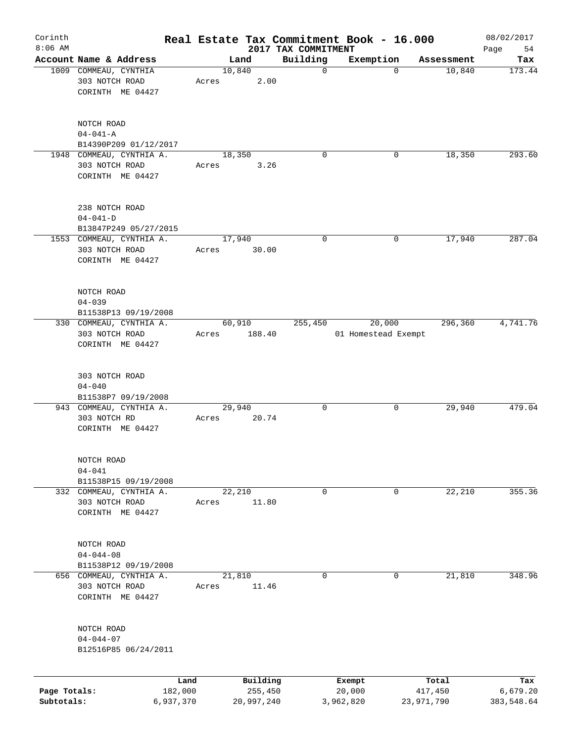| Corinth<br>$8:06$ AM |                                            |       |            |                                 | Real Estate Tax Commitment Book - 16.000 |            | 08/02/2017        |
|----------------------|--------------------------------------------|-------|------------|---------------------------------|------------------------------------------|------------|-------------------|
|                      | Account Name & Address                     |       | Land       | 2017 TAX COMMITMENT<br>Building | Exemption                                | Assessment | Page<br>54<br>Tax |
|                      | 1009 COMMEAU, CYNTHIA                      |       | 10,840     | $\mathbf 0$                     | $\mathbf 0$                              | 10,840     | 173.44            |
|                      | 303 NOTCH ROAD                             | Acres | 2.00       |                                 |                                          |            |                   |
|                      | CORINTH ME 04427                           |       |            |                                 |                                          |            |                   |
|                      |                                            |       |            |                                 |                                          |            |                   |
|                      |                                            |       |            |                                 |                                          |            |                   |
|                      | NOTCH ROAD                                 |       |            |                                 |                                          |            |                   |
|                      | $04 - 041 - A$                             |       |            |                                 |                                          |            |                   |
|                      | B14390P209 01/12/2017                      |       |            |                                 |                                          |            |                   |
|                      | 1948 COMMEAU, CYNTHIA A.<br>303 NOTCH ROAD |       | 18,350     | $\Omega$                        | 0                                        | 18,350     | 293.60            |
|                      | CORINTH ME 04427                           | Acres | 3.26       |                                 |                                          |            |                   |
|                      |                                            |       |            |                                 |                                          |            |                   |
|                      |                                            |       |            |                                 |                                          |            |                   |
|                      | 238 NOTCH ROAD                             |       |            |                                 |                                          |            |                   |
|                      | $04 - 041 - D$                             |       |            |                                 |                                          |            |                   |
|                      | B13847P249 05/27/2015                      |       |            |                                 |                                          |            |                   |
|                      | 1553 COMMEAU, CYNTHIA A.                   |       | 17,940     | 0                               | 0                                        | 17,940     | 287.04            |
|                      | 303 NOTCH ROAD                             | Acres | 30.00      |                                 |                                          |            |                   |
|                      | CORINTH ME 04427                           |       |            |                                 |                                          |            |                   |
|                      |                                            |       |            |                                 |                                          |            |                   |
|                      | NOTCH ROAD                                 |       |            |                                 |                                          |            |                   |
|                      | $04 - 039$                                 |       |            |                                 |                                          |            |                   |
|                      | B11538P13 09/19/2008                       |       |            |                                 |                                          |            |                   |
|                      | 330 COMMEAU, CYNTHIA A.                    |       | 60,910     | 255,450                         | 20,000                                   | 296,360    | 4,741.76          |
|                      | 303 NOTCH ROAD                             | Acres | 188.40     |                                 | 01 Homestead Exempt                      |            |                   |
|                      | CORINTH ME 04427                           |       |            |                                 |                                          |            |                   |
|                      |                                            |       |            |                                 |                                          |            |                   |
|                      | 303 NOTCH ROAD                             |       |            |                                 |                                          |            |                   |
|                      | $04 - 040$                                 |       |            |                                 |                                          |            |                   |
|                      | B11538P7 09/19/2008                        |       |            |                                 |                                          |            |                   |
|                      | 943 COMMEAU, CYNTHIA A.                    |       | 29,940     | 0                               | 0                                        | 29,940     | 479.04            |
|                      | 303 NOTCH RD                               | Acres | 20.74      |                                 |                                          |            |                   |
|                      | CORINTH ME 04427                           |       |            |                                 |                                          |            |                   |
|                      |                                            |       |            |                                 |                                          |            |                   |
|                      |                                            |       |            |                                 |                                          |            |                   |
|                      | NOTCH ROAD<br>$04 - 041$                   |       |            |                                 |                                          |            |                   |
|                      | B11538P15 09/19/2008                       |       |            |                                 |                                          |            |                   |
|                      | 332 COMMEAU, CYNTHIA A.                    |       | 22,210     | 0                               | 0                                        | 22,210     | 355.36            |
|                      | 303 NOTCH ROAD                             | Acres | 11.80      |                                 |                                          |            |                   |
|                      | CORINTH ME 04427                           |       |            |                                 |                                          |            |                   |
|                      |                                            |       |            |                                 |                                          |            |                   |
|                      |                                            |       |            |                                 |                                          |            |                   |
|                      | NOTCH ROAD                                 |       |            |                                 |                                          |            |                   |
|                      | $04 - 044 - 08$                            |       |            |                                 |                                          |            |                   |
|                      | B11538P12 09/19/2008                       |       |            |                                 |                                          |            |                   |
|                      | 656 COMMEAU, CYNTHIA A.                    |       | 21,810     | 0                               | 0                                        | 21,810     | 348.96            |
|                      | 303 NOTCH ROAD<br>CORINTH ME 04427         | Acres | 11.46      |                                 |                                          |            |                   |
|                      |                                            |       |            |                                 |                                          |            |                   |
|                      |                                            |       |            |                                 |                                          |            |                   |
|                      | NOTCH ROAD                                 |       |            |                                 |                                          |            |                   |
|                      | $04 - 044 - 07$                            |       |            |                                 |                                          |            |                   |
|                      | B12516P85 06/24/2011                       |       |            |                                 |                                          |            |                   |
|                      |                                            |       |            |                                 |                                          |            |                   |
|                      |                                            | Land  | Building   |                                 | Exempt                                   | Total      | Tax               |
| Page Totals:         | 182,000                                    |       | 255,450    |                                 | 20,000                                   | 417,450    | 6,679.20          |
| Subtotals:           | 6,937,370                                  |       | 20,997,240 |                                 | 3,962,820                                | 23,971,790 | 383,548.64        |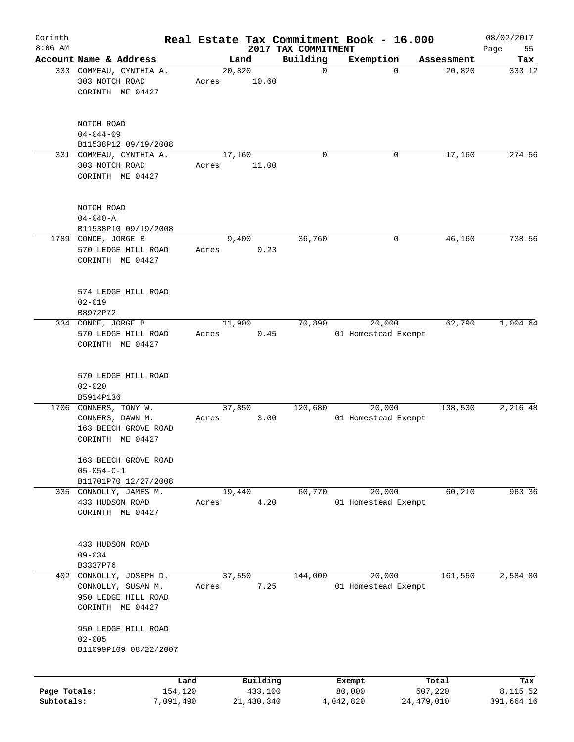| Corinth                    |                                                                                       |         |                       |                                 | Real Estate Tax Commitment Book - 16.000 |                         | 08/02/2017             |
|----------------------------|---------------------------------------------------------------------------------------|---------|-----------------------|---------------------------------|------------------------------------------|-------------------------|------------------------|
| $8:06$ AM                  | Account Name & Address                                                                |         | Land                  | 2017 TAX COMMITMENT<br>Building | Exemption                                | Assessment              | Page<br>55             |
|                            | 333 COMMEAU, CYNTHIA A.                                                               |         | 20,820                | $\mathbf 0$                     | $\mathbf 0$                              | 20,820                  | Tax<br>333.12          |
|                            | 303 NOTCH ROAD<br>CORINTH ME 04427                                                    | Acres   | 10.60                 |                                 |                                          |                         |                        |
|                            | NOTCH ROAD<br>$04 - 044 - 09$<br>B11538P12 09/19/2008                                 |         |                       |                                 |                                          |                         |                        |
|                            | 331 COMMEAU, CYNTHIA A.                                                               |         | 17,160                | $\mathbf 0$                     | 0                                        | 17,160                  | 274.56                 |
|                            | 303 NOTCH ROAD<br>CORINTH ME 04427                                                    | Acres   | 11.00                 |                                 |                                          |                         |                        |
|                            | NOTCH ROAD<br>$04 - 040 - A$<br>B11538P10 09/19/2008                                  |         |                       |                                 |                                          |                         |                        |
|                            | 1789 CONDE, JORGE B                                                                   |         | 9,400                 | 36,760                          | 0                                        | 46,160                  | 738.56                 |
|                            | 570 LEDGE HILL ROAD<br>CORINTH ME 04427                                               | Acres   | 0.23                  |                                 |                                          |                         |                        |
|                            | 574 LEDGE HILL ROAD<br>$02 - 019$<br>B8972P72                                         |         |                       |                                 |                                          |                         |                        |
|                            | 334 CONDE, JORGE B                                                                    |         | 11,900                | 70,890                          | 20,000                                   | 62,790                  | 1,004.64               |
|                            | 570 LEDGE HILL ROAD<br>CORINTH ME 04427                                               | Acres   | 0.45                  |                                 | 01 Homestead Exempt                      |                         |                        |
|                            | 570 LEDGE HILL ROAD<br>$02 - 020$                                                     |         |                       |                                 |                                          |                         |                        |
|                            | B5914P136                                                                             |         |                       |                                 |                                          |                         |                        |
|                            | 1706 CONNERS, TONY W.<br>CONNERS, DAWN M.<br>163 BEECH GROVE ROAD<br>CORINTH ME 04427 | Acres   | 37,850<br>3.00        | 120,680                         | 20,000<br>01 Homestead Exempt            | 138,530                 | 2,216.48               |
|                            | 163 BEECH GROVE ROAD<br>$05 - 054 - C - 1$<br>B11701P70 12/27/2008                    |         |                       |                                 |                                          |                         |                        |
|                            | 335 CONNOLLY, JAMES M.                                                                |         | 19,440                | 60,770                          | 20,000                                   | 60,210                  | 963.36                 |
|                            | 433 HUDSON ROAD<br>CORINTH ME 04427                                                   | Acres   | 4.20                  |                                 | 01 Homestead Exempt                      |                         |                        |
|                            | 433 HUDSON ROAD<br>$09 - 034$                                                         |         |                       |                                 |                                          |                         |                        |
|                            | B3337P76                                                                              |         |                       | 144,000                         |                                          | 161,550                 | 2,584.80               |
| 402                        | CONNOLLY, JOSEPH D.<br>CONNOLLY, SUSAN M.<br>950 LEDGE HILL ROAD<br>CORINTH ME 04427  | Acres   | 37,550<br>7.25        |                                 | 20,000<br>01 Homestead Exempt            |                         |                        |
|                            | 950 LEDGE HILL ROAD<br>$02 - 005$<br>B11099P109 08/22/2007                            |         |                       |                                 |                                          |                         |                        |
|                            |                                                                                       |         |                       |                                 |                                          |                         |                        |
|                            |                                                                                       | Land    | Building              |                                 | Exempt                                   | Total                   | Tax                    |
| Page Totals:<br>Subtotals: | 7,091,490                                                                             | 154,120 | 433,100<br>21,430,340 |                                 | 80,000<br>4,042,820                      | 507,220<br>24, 479, 010 | 8,115.52<br>391,664.16 |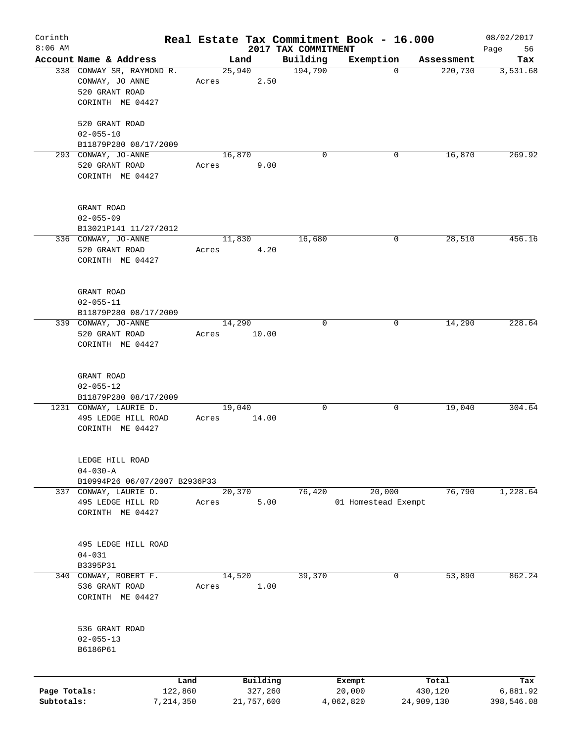| Corinth      |                                                 |       |                     |                     | Real Estate Tax Commitment Book - 16.000 |                  | 08/02/2017      |
|--------------|-------------------------------------------------|-------|---------------------|---------------------|------------------------------------------|------------------|-----------------|
| $8:06$ AM    |                                                 |       |                     | 2017 TAX COMMITMENT |                                          |                  | 56<br>Page      |
|              | Account Name & Address                          |       | Land                | Building            | Exemption<br>$\mathbf 0$                 | Assessment       | Tax             |
|              | 338 CONWAY SR, RAYMOND R.<br>CONWAY, JO ANNE    | Acres | 25,940<br>2.50      | 194,790             |                                          | 220,730          | 3,531.68        |
|              | 520 GRANT ROAD<br>CORINTH ME 04427              |       |                     |                     |                                          |                  |                 |
|              |                                                 |       |                     |                     |                                          |                  |                 |
|              | 520 GRANT ROAD                                  |       |                     |                     |                                          |                  |                 |
|              | $02 - 055 - 10$<br>B11879P280 08/17/2009        |       |                     |                     |                                          |                  |                 |
|              | 293 CONWAY, JO-ANNE                             |       | 16,870              | $\Omega$            | 0                                        | 16,870           | 269.92          |
|              | 520 GRANT ROAD                                  | Acres | 9.00                |                     |                                          |                  |                 |
|              | CORINTH ME 04427                                |       |                     |                     |                                          |                  |                 |
|              | GRANT ROAD                                      |       |                     |                     |                                          |                  |                 |
|              | $02 - 055 - 09$                                 |       |                     |                     |                                          |                  |                 |
|              | B13021P141 11/27/2012                           |       |                     |                     |                                          |                  |                 |
|              | 336 CONWAY, JO-ANNE                             |       | 11,830              | 16,680              | 0                                        | 28,510           | 456.16          |
|              | 520 GRANT ROAD                                  | Acres | 4.20                |                     |                                          |                  |                 |
|              | CORINTH ME 04427                                |       |                     |                     |                                          |                  |                 |
|              | GRANT ROAD                                      |       |                     |                     |                                          |                  |                 |
|              | $02 - 055 - 11$                                 |       |                     |                     |                                          |                  |                 |
|              | B11879P280 08/17/2009                           |       |                     |                     |                                          |                  |                 |
|              | 339 CONWAY, JO-ANNE                             |       | 14,290              | 0                   | 0                                        | 14,290           | 228.64          |
|              | 520 GRANT ROAD                                  | Acres | 10.00               |                     |                                          |                  |                 |
|              | CORINTH ME 04427                                |       |                     |                     |                                          |                  |                 |
|              |                                                 |       |                     |                     |                                          |                  |                 |
|              | GRANT ROAD                                      |       |                     |                     |                                          |                  |                 |
|              | $02 - 055 - 12$<br>B11879P280 08/17/2009        |       |                     |                     |                                          |                  |                 |
|              | 1231 CONWAY, LAURIE D.                          |       | 19,040              | 0                   | 0                                        | 19,040           | 304.64          |
|              | 495 LEDGE HILL ROAD                             | Acres | 14.00               |                     |                                          |                  |                 |
|              | CORINTH ME 04427                                |       |                     |                     |                                          |                  |                 |
|              |                                                 |       |                     |                     |                                          |                  |                 |
|              | LEDGE HILL ROAD                                 |       |                     |                     |                                          |                  |                 |
|              | $04 - 030 - A$<br>B10994P26 06/07/2007 B2936P33 |       |                     |                     |                                          |                  |                 |
|              | 337 CONWAY, LAURIE D.                           |       | 20,370              | 76,420              | 20,000                                   | 76,790           | 1,228.64        |
|              | 495 LEDGE HILL RD                               |       | 5.00                |                     | 01 Homestead Exempt                      |                  |                 |
|              | CORINTH ME 04427                                | Acres |                     |                     |                                          |                  |                 |
|              |                                                 |       |                     |                     |                                          |                  |                 |
|              | 495 LEDGE HILL ROAD                             |       |                     |                     |                                          |                  |                 |
|              | $04 - 031$                                      |       |                     |                     |                                          |                  |                 |
|              | B3395P31                                        |       |                     |                     |                                          |                  |                 |
| 340          | CONWAY, ROBERT F.                               |       | 14,520              | 39,370              | 0                                        | 53,890           | 862.24          |
|              | 536 GRANT ROAD                                  | Acres | 1.00                |                     |                                          |                  |                 |
|              | CORINTH ME 04427                                |       |                     |                     |                                          |                  |                 |
|              | 536 GRANT ROAD                                  |       |                     |                     |                                          |                  |                 |
|              | $02 - 055 - 13$                                 |       |                     |                     |                                          |                  |                 |
|              | B6186P61                                        |       |                     |                     |                                          |                  |                 |
|              |                                                 |       |                     |                     |                                          |                  |                 |
| Page Totals: | Land<br>122,860                                 |       | Building<br>327,260 |                     | Exempt<br>20,000                         | Total<br>430,120 | Tax<br>6,881.92 |
| Subtotals:   | 7,214,350                                       |       | 21,757,600          |                     | 4,062,820                                | 24,909,130       | 398,546.08      |
|              |                                                 |       |                     |                     |                                          |                  |                 |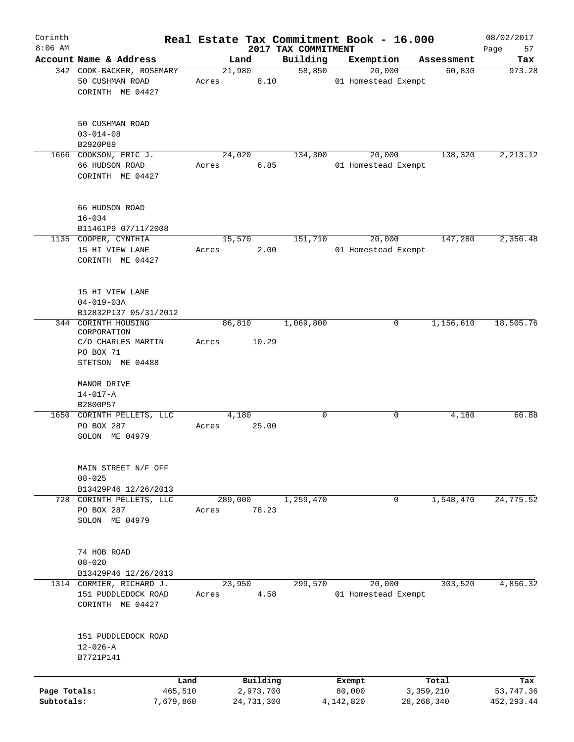| Corinth<br>$8:06$ AM       |                                                                                           |                  |                         |                                 | Real Estate Tax Commitment Book - 16.000 |                           | 08/02/2017               |
|----------------------------|-------------------------------------------------------------------------------------------|------------------|-------------------------|---------------------------------|------------------------------------------|---------------------------|--------------------------|
|                            | Account Name & Address                                                                    |                  | Land                    | 2017 TAX COMMITMENT<br>Building | Exemption                                | Assessment                | Page<br>57<br>Tax        |
|                            | 342 COOK-BACKER, ROSEMARY<br>50 CUSHMAN ROAD<br>CORINTH ME 04427                          | Acres            | 21,980<br>8.10          | 58,850                          | 20,000<br>01 Homestead Exempt            | 60,830                    | 973.28                   |
|                            | 50 CUSHMAN ROAD<br>$03 - 014 - 08$<br>B2920P89                                            |                  |                         |                                 |                                          |                           |                          |
|                            | 1666 COOKSON, ERIC J.<br>66 HUDSON ROAD<br>CORINTH ME 04427                               | Acres            | 24,020<br>6.85          | 134,300                         | 20,000<br>01 Homestead Exempt            | 138,320                   | 2, 213.12                |
|                            | 66 HUDSON ROAD<br>$16 - 034$<br>B11461P9 07/11/2008                                       |                  |                         |                                 |                                          |                           |                          |
|                            | 1135 COOPER, CYNTHIA<br>15 HI VIEW LANE<br>CORINTH ME 04427                               | Acres            | 15,570<br>2.00          | 151,710                         | 20,000<br>01 Homestead Exempt            | 147,280                   | 2,356.48                 |
|                            | 15 HI VIEW LANE<br>$04 - 019 - 03A$<br>B12832P137 05/31/2012                              |                  |                         |                                 |                                          |                           |                          |
|                            | 344 CORINTH HOUSING<br>CORPORATION<br>C/O CHARLES MARTIN<br>PO BOX 71<br>STETSON ME 04488 | Acres            | 86,810<br>10.29         | 1,069,800                       | 0                                        | 1,156,610                 | 18,505.76                |
|                            | MANOR DRIVE<br>$14 - 017 - A$<br>B2800P57                                                 |                  |                         |                                 |                                          |                           |                          |
|                            | 1650 CORINTH PELLETS, LLC<br>PO BOX 287<br>SOLON ME 04979                                 | Acres            | 4,180<br>25.00          | $\mathbf 0$                     | 0                                        | 4,180                     | 66.88                    |
|                            | MAIN STREET N/F OFF<br>$08 - 025$<br>B13429P46 12/26/2013                                 |                  |                         |                                 |                                          |                           |                          |
|                            | 728 CORINTH PELLETS, LLC<br>PO BOX 287<br>SOLON ME 04979                                  | 289,000<br>Acres | 78.23                   | 1,259,470                       | 0                                        | 1,548,470                 | 24,775.52                |
|                            | 74 HOB ROAD<br>$08 - 020$<br>B13429P46 12/26/2013                                         |                  |                         |                                 |                                          |                           |                          |
|                            | 1314 CORMIER, RICHARD J.<br>151 PUDDLEDOCK ROAD<br>CORINTH ME 04427                       | Acres            | 23,950<br>4.58          | 299,570                         | 20,000<br>01 Homestead Exempt            | 303,520                   | 4,856.32                 |
|                            | 151 PUDDLEDOCK ROAD<br>$12 - 026 - A$<br>B7721P141                                        |                  |                         |                                 |                                          |                           |                          |
|                            | Land                                                                                      |                  | Building                |                                 | Exempt                                   | Total                     | Tax                      |
| Page Totals:<br>Subtotals: | 465,510<br>7,679,860                                                                      |                  | 2,973,700<br>24,731,300 |                                 | 80,000<br>4,142,820                      | 3,359,210<br>28, 268, 340 | 53,747.36<br>452, 293.44 |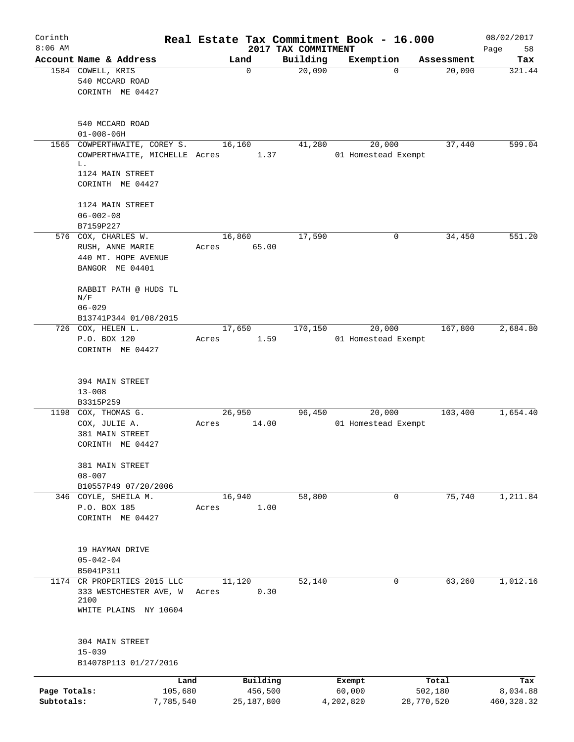| Corinth<br>$8:06$ AM       |                                                                                                             |       |                                     | 2017 TAX COMMITMENT | Real Estate Tax Commitment Book - 16.000 |                                | 08/02/2017<br>58<br>Page       |
|----------------------------|-------------------------------------------------------------------------------------------------------------|-------|-------------------------------------|---------------------|------------------------------------------|--------------------------------|--------------------------------|
|                            | Account Name & Address                                                                                      |       | Land                                | Building            | Exemption                                | Assessment                     | Tax                            |
|                            | 1584 COWELL, KRIS<br>540 MCCARD ROAD<br>CORINTH ME 04427                                                    |       | 0                                   | 20,090              | $\Omega$                                 | 20,090                         | 321.44                         |
|                            | 540 MCCARD ROAD<br>$01 - 008 - 06H$                                                                         |       |                                     |                     |                                          |                                |                                |
|                            | 1565 COWPERTHWAITE, COREY S.<br>COWPERTHWAITE, MICHELLE Acres<br>L.<br>1124 MAIN STREET<br>CORINTH ME 04427 |       | 16,160<br>1.37                      | 41,280              | 20,000<br>01 Homestead Exempt            | 37,440                         | 599.04                         |
|                            | 1124 MAIN STREET<br>$06 - 002 - 08$                                                                         |       |                                     |                     |                                          |                                |                                |
|                            | B7159P227<br>576 COX, CHARLES W.                                                                            |       | 16,860                              | 17,590              | 0                                        | 34,450                         | 551.20                         |
|                            | RUSH, ANNE MARIE<br>440 MT. HOPE AVENUE<br>BANGOR ME 04401                                                  | Acres | 65.00                               |                     |                                          |                                |                                |
|                            | RABBIT PATH @ HUDS TL<br>N/F<br>$06 - 029$                                                                  |       |                                     |                     |                                          |                                |                                |
|                            | B13741P344 01/08/2015                                                                                       |       |                                     |                     |                                          |                                |                                |
|                            | 726 COX, HELEN L.<br>P.O. BOX 120<br>CORINTH ME 04427                                                       | Acres | 17,650<br>1.59                      | 170,150             | 20,000<br>01 Homestead Exempt            | 167,800                        | 2,684.80                       |
|                            | 394 MAIN STREET<br>$13 - 008$<br>B3315P259                                                                  |       |                                     |                     |                                          |                                |                                |
|                            | 1198 COX, THOMAS G.<br>COX, JULIE A.<br>381 MAIN STREET<br>CORINTH ME 04427                                 | Acres | 26,950<br>14.00                     | 96,450              | 20,000<br>01 Homestead Exempt            | 103,400                        | 1,654.40                       |
|                            | 381 MAIN STREET<br>$08 - 007$<br>B10557P49 07/20/2006                                                       |       |                                     |                     |                                          |                                |                                |
|                            | 346 COYLE, SHEILA M.<br>P.O. BOX 185<br>CORINTH ME 04427                                                    | Acres | 16,940<br>1.00                      | 58,800              | $\mathbf 0$                              | 75,740                         | 1,211.84                       |
|                            | 19 HAYMAN DRIVE<br>$05 - 042 - 04$<br>B5041P311                                                             |       |                                     |                     |                                          |                                |                                |
| 1174                       | CR PROPERTIES 2015 LLC<br>333 WESTCHESTER AVE, W<br>2100<br>WHITE PLAINS NY 10604                           | Acres | 11,120<br>0.30                      | 52,140              | 0                                        | 63,260                         | 1,012.16                       |
|                            | 304 MAIN STREET<br>$15 - 039$<br>B14078P113 01/27/2016                                                      |       |                                     |                     |                                          |                                |                                |
| Page Totals:<br>Subtotals: | 105,680<br>7,785,540                                                                                        | Land  | Building<br>456,500<br>25, 187, 800 |                     | Exempt<br>60,000<br>4,202,820            | Total<br>502,180<br>28,770,520 | Tax<br>8,034.88<br>460, 328.32 |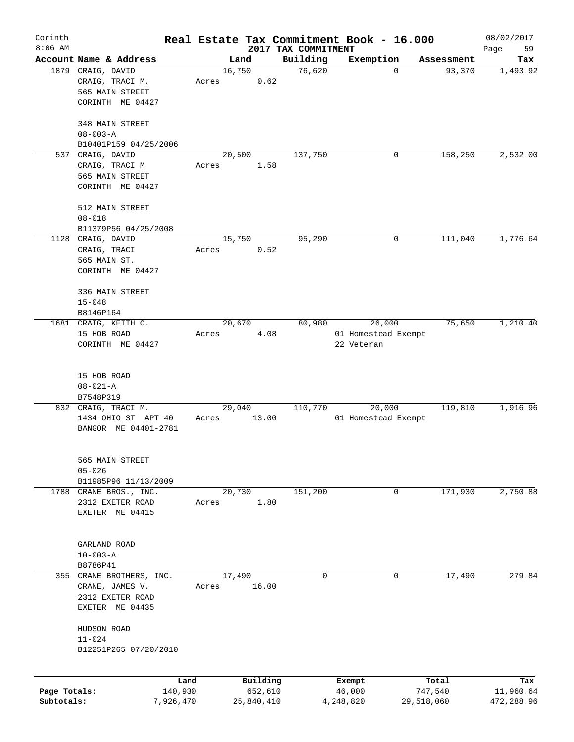| Corinth                    |                                     |                      |       |        |                       |                     | Real Estate Tax Commitment Book - 16.000 |             |                       | 08/02/2017              |
|----------------------------|-------------------------------------|----------------------|-------|--------|-----------------------|---------------------|------------------------------------------|-------------|-----------------------|-------------------------|
| $8:06$ AM                  |                                     |                      |       |        |                       | 2017 TAX COMMITMENT |                                          |             |                       | 59<br>Page              |
|                            | Account Name & Address              |                      |       | Land   |                       | Building            | Exemption                                |             | Assessment            | Tax                     |
|                            | 1879 CRAIG, DAVID                   |                      |       | 16,750 |                       | 76,620              |                                          | $\mathbf 0$ | 93,370                | 1,493.92                |
|                            | CRAIG, TRACI M.                     |                      | Acres |        | 0.62                  |                     |                                          |             |                       |                         |
|                            | 565 MAIN STREET                     |                      |       |        |                       |                     |                                          |             |                       |                         |
|                            | CORINTH ME 04427                    |                      |       |        |                       |                     |                                          |             |                       |                         |
|                            | 348 MAIN STREET                     |                      |       |        |                       |                     |                                          |             |                       |                         |
|                            | $08 - 003 - A$                      |                      |       |        |                       |                     |                                          |             |                       |                         |
|                            | B10401P159 04/25/2006               |                      |       |        |                       |                     |                                          |             |                       |                         |
|                            | 537 CRAIG, DAVID                    |                      |       | 20,500 |                       | 137,750             |                                          | 0           | 158,250               | 2,532.00                |
|                            | CRAIG, TRACI M                      |                      | Acres |        | 1.58                  |                     |                                          |             |                       |                         |
|                            | 565 MAIN STREET                     |                      |       |        |                       |                     |                                          |             |                       |                         |
|                            | CORINTH ME 04427                    |                      |       |        |                       |                     |                                          |             |                       |                         |
|                            |                                     |                      |       |        |                       |                     |                                          |             |                       |                         |
|                            | 512 MAIN STREET                     |                      |       |        |                       |                     |                                          |             |                       |                         |
|                            | $08 - 018$                          |                      |       |        |                       |                     |                                          |             |                       |                         |
|                            | B11379P56 04/25/2008                |                      |       |        |                       |                     |                                          |             |                       |                         |
|                            | 1128 CRAIG, DAVID                   |                      |       | 15,750 |                       | 95,290              |                                          | 0           | 111,040               | 1,776.64                |
|                            | CRAIG, TRACI                        |                      | Acres |        | 0.52                  |                     |                                          |             |                       |                         |
|                            | 565 MAIN ST.                        |                      |       |        |                       |                     |                                          |             |                       |                         |
|                            | CORINTH ME 04427                    |                      |       |        |                       |                     |                                          |             |                       |                         |
|                            |                                     |                      |       |        |                       |                     |                                          |             |                       |                         |
|                            | 336 MAIN STREET                     |                      |       |        |                       |                     |                                          |             |                       |                         |
|                            | $15 - 048$                          |                      |       |        |                       |                     |                                          |             |                       |                         |
|                            | B8146P164                           |                      |       |        |                       |                     |                                          |             |                       |                         |
|                            | 1681 CRAIG, KEITH O.                |                      |       | 20,670 |                       | 80,980              | 26,000                                   |             | 75,650                | 1,210.40                |
|                            | 15 HOB ROAD                         |                      | Acres |        | 4.08                  |                     | 01 Homestead Exempt                      |             |                       |                         |
|                            | CORINTH ME 04427                    |                      |       |        |                       |                     | 22 Veteran                               |             |                       |                         |
|                            |                                     |                      |       |        |                       |                     |                                          |             |                       |                         |
|                            |                                     |                      |       |        |                       |                     |                                          |             |                       |                         |
|                            | 15 HOB ROAD                         |                      |       |        |                       |                     |                                          |             |                       |                         |
|                            | $08 - 021 - A$                      |                      |       |        |                       |                     |                                          |             |                       |                         |
|                            | B7548P319                           |                      |       |        |                       |                     |                                          |             |                       |                         |
|                            | 832 CRAIG, TRACI M.                 |                      |       | 29,040 |                       | 110,770             | 20,000                                   |             | 119,810               | 1,916.96                |
|                            | 1434 OHIO ST APT 40                 |                      | Acres |        | 13.00                 |                     | 01 Homestead Exempt                      |             |                       |                         |
|                            | BANGOR ME 04401-2781                |                      |       |        |                       |                     |                                          |             |                       |                         |
|                            |                                     |                      |       |        |                       |                     |                                          |             |                       |                         |
|                            | 565 MAIN STREET                     |                      |       |        |                       |                     |                                          |             |                       |                         |
|                            | $05 - 026$                          |                      |       |        |                       |                     |                                          |             |                       |                         |
|                            | B11985P96 11/13/2009                |                      |       |        |                       |                     |                                          |             |                       |                         |
|                            | 1788 CRANE BROS., INC.              |                      |       | 20,730 |                       | 151,200             |                                          | 0           | 171,930               | 2,750.88                |
|                            | 2312 EXETER ROAD                    |                      | Acres |        | 1.80                  |                     |                                          |             |                       |                         |
|                            | EXETER ME 04415                     |                      |       |        |                       |                     |                                          |             |                       |                         |
|                            |                                     |                      |       |        |                       |                     |                                          |             |                       |                         |
|                            |                                     |                      |       |        |                       |                     |                                          |             |                       |                         |
|                            | GARLAND ROAD                        |                      |       |        |                       |                     |                                          |             |                       |                         |
|                            | $10 - 003 - A$                      |                      |       |        |                       |                     |                                          |             |                       |                         |
|                            | B8786P41                            |                      |       |        |                       |                     |                                          |             |                       |                         |
|                            | 355 CRANE BROTHERS, INC.            |                      |       | 17,490 |                       | 0                   |                                          | 0           | 17,490                | 279.84                  |
|                            | CRANE, JAMES V.                     |                      | Acres |        | 16.00                 |                     |                                          |             |                       |                         |
|                            | 2312 EXETER ROAD                    |                      |       |        |                       |                     |                                          |             |                       |                         |
|                            | EXETER ME 04435                     |                      |       |        |                       |                     |                                          |             |                       |                         |
|                            |                                     |                      |       |        |                       |                     |                                          |             |                       |                         |
|                            | HUDSON ROAD                         |                      |       |        |                       |                     |                                          |             |                       |                         |
|                            | $11 - 024$<br>B12251P265 07/20/2010 |                      |       |        |                       |                     |                                          |             |                       |                         |
|                            |                                     |                      |       |        |                       |                     |                                          |             |                       |                         |
|                            |                                     |                      |       |        |                       |                     |                                          |             |                       |                         |
|                            |                                     | Land                 |       |        | Building              |                     | Exempt                                   |             | Total                 | Tax                     |
| Page Totals:<br>Subtotals: |                                     | 140,930<br>7,926,470 |       |        | 652,610<br>25,840,410 |                     | 46,000<br>4,248,820                      |             | 747,540<br>29,518,060 | 11,960.64<br>472,288.96 |
|                            |                                     |                      |       |        |                       |                     |                                          |             |                       |                         |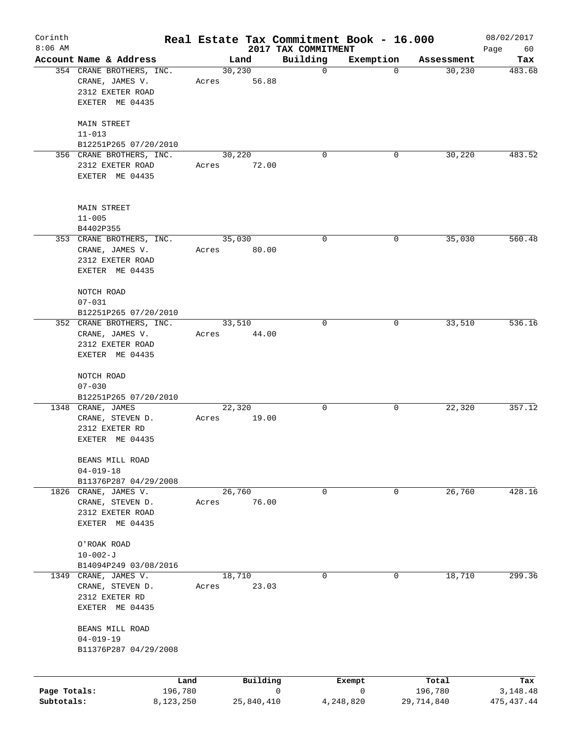| Corinth<br>$8:06$ AM       |                                                                                    |                      |                  |            | Real Estate Tax Commitment Book - 16.000<br>2017 TAX COMMITMENT |                |                       | 08/02/2017             |
|----------------------------|------------------------------------------------------------------------------------|----------------------|------------------|------------|-----------------------------------------------------------------|----------------|-----------------------|------------------------|
|                            | Account Name & Address                                                             |                      |                  | Land       | Building                                                        | Exemption      | Assessment            | Page<br>60<br>Tax      |
|                            | 354 CRANE BROTHERS, INC.<br>CRANE, JAMES V.<br>2312 EXETER ROAD<br>EXETER ME 04435 |                      | 30, 230<br>Acres | 56.88      | $\mathbf 0$                                                     | $\mathbf 0$    | 30,230                | 483.68                 |
|                            | <b>MAIN STREET</b><br>$11 - 013$<br>B12251P265 07/20/2010                          |                      |                  |            |                                                                 |                |                       |                        |
|                            | 356 CRANE BROTHERS, INC.                                                           |                      | 30,220           |            | $\Omega$                                                        | 0              | 30, 220               | 483.52                 |
|                            | 2312 EXETER ROAD<br>EXETER ME 04435                                                |                      | Acres            | 72.00      |                                                                 |                |                       |                        |
|                            | MAIN STREET<br>$11 - 005$                                                          |                      |                  |            |                                                                 |                |                       |                        |
|                            | B4402P355<br>353 CRANE BROTHERS, INC.                                              |                      | 35,030           |            | 0                                                               | 0              | 35,030                | 560.48                 |
|                            | CRANE, JAMES V.<br>2312 EXETER ROAD<br>EXETER ME 04435                             |                      | Acres            | 80.00      |                                                                 |                |                       |                        |
|                            | NOTCH ROAD<br>$07 - 031$                                                           |                      |                  |            |                                                                 |                |                       |                        |
|                            | B12251P265 07/20/2010                                                              |                      |                  |            |                                                                 |                |                       |                        |
|                            | 352 CRANE BROTHERS, INC.<br>CRANE, JAMES V.<br>2312 EXETER ROAD<br>EXETER ME 04435 |                      | 33,510<br>Acres  | 44.00      | 0                                                               | 0              | 33,510                | 536.16                 |
|                            | NOTCH ROAD<br>$07 - 030$                                                           |                      |                  |            |                                                                 |                |                       |                        |
|                            | B12251P265 07/20/2010<br>1348 CRANE, JAMES                                         |                      | 22,320           |            | 0                                                               | 0              | 22,320                | 357.12                 |
|                            | CRANE, STEVEN D.<br>2312 EXETER RD<br>EXETER ME 04435                              |                      | Acres            | 19.00      |                                                                 |                |                       |                        |
|                            | BEANS MILL ROAD<br>$04 - 019 - 18$                                                 |                      |                  |            |                                                                 |                |                       |                        |
|                            | B11376P287 04/29/2008                                                              |                      |                  |            |                                                                 |                |                       | 428.16                 |
|                            | 1826 CRANE, JAMES V.<br>CRANE, STEVEN D.<br>2312 EXETER ROAD<br>EXETER ME 04435    |                      | 26,760<br>Acres  | 76.00      | 0                                                               | 0              | 26,760                |                        |
|                            | O'ROAK ROAD<br>$10 - 002 - J$                                                      |                      |                  |            |                                                                 |                |                       |                        |
| 1349                       | B14094P249 03/08/2016<br>CRANE, JAMES V.<br>CRANE, STEVEN D.                       |                      | 18,710<br>Acres  | 23.03      | 0                                                               | 0              | 18,710                | 299.36                 |
|                            | 2312 EXETER RD<br>EXETER ME 04435                                                  |                      |                  |            |                                                                 |                |                       |                        |
|                            | BEANS MILL ROAD<br>$04 - 019 - 19$<br>B11376P287 04/29/2008                        |                      |                  |            |                                                                 |                |                       |                        |
|                            |                                                                                    |                      |                  |            |                                                                 |                |                       |                        |
|                            |                                                                                    | Land                 |                  | Building   |                                                                 | Exempt         | Total                 | Tax                    |
| Page Totals:<br>Subtotals: |                                                                                    | 196,780<br>8,123,250 |                  | 25,840,410 | 0                                                               | 0<br>4,248,820 | 196,780<br>29,714,840 | 3,148.48<br>475,437.44 |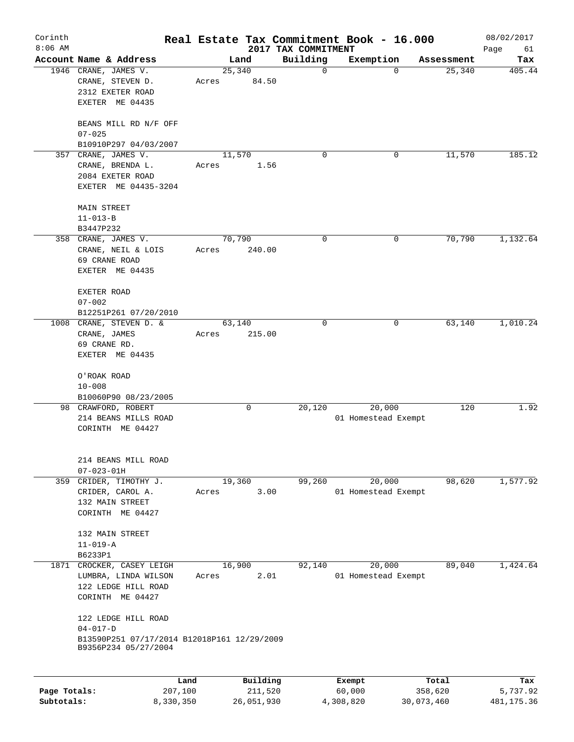| Corinth<br>$8:06$ AM |                                                                                                              |                 |                 |                     | 2017 TAX COMMITMENT | Real Estate Tax Commitment Book - 16.000 |                    | 08/02/2017<br>Page<br>61 |
|----------------------|--------------------------------------------------------------------------------------------------------------|-----------------|-----------------|---------------------|---------------------|------------------------------------------|--------------------|--------------------------|
|                      | Account Name & Address                                                                                       |                 |                 | Land                | Building            | Exemption                                | Assessment         | Tax                      |
|                      | 1946 CRANE, JAMES V.<br>CRANE, STEVEN D.<br>2312 EXETER ROAD<br>EXETER ME 04435                              |                 | 25,340<br>Acres | 84.50               | 0                   |                                          | 25,340<br>$\Omega$ | 405.44                   |
|                      | BEANS MILL RD N/F OFF<br>$07 - 025$                                                                          |                 |                 |                     |                     |                                          |                    |                          |
|                      | B10910P297 04/03/2007<br>357 CRANE, JAMES V.                                                                 |                 | 11,570          |                     | $\Omega$            |                                          | 11,570<br>0        | 185.12                   |
|                      | CRANE, BRENDA L.<br>2084 EXETER ROAD<br>EXETER ME 04435-3204                                                 |                 | Acres           | 1.56                |                     |                                          |                    |                          |
|                      | MAIN STREET                                                                                                  |                 |                 |                     |                     |                                          |                    |                          |
|                      | $11 - 013 - B$                                                                                               |                 |                 |                     |                     |                                          |                    |                          |
|                      | B3447P232                                                                                                    |                 |                 |                     |                     |                                          |                    |                          |
|                      | 358 CRANE, JAMES V.                                                                                          |                 | 70,790          |                     | 0                   |                                          | 70,790<br>0        | 1,132.64                 |
|                      | CRANE, NEIL & LOIS<br>69 CRANE ROAD<br>EXETER ME 04435                                                       |                 | Acres           | 240.00              |                     |                                          |                    |                          |
|                      | EXETER ROAD<br>$07 - 002$                                                                                    |                 |                 |                     |                     |                                          |                    |                          |
|                      | B12251P261 07/20/2010                                                                                        |                 |                 |                     |                     |                                          |                    |                          |
|                      | 1008 CRANE, STEVEN D. &<br>CRANE, JAMES<br>69 CRANE RD.<br>EXETER ME 04435                                   |                 | 63,140<br>Acres | 215.00              | 0                   |                                          | 63,140<br>0        | 1,010.24                 |
|                      | O'ROAK ROAD<br>$10 - 008$<br>B10060P90 08/23/2005<br>98 CRAWFORD, ROBERT                                     |                 |                 | 0                   | 20,120              | 20,000                                   | 120                | 1.92                     |
|                      | 214 BEANS MILLS ROAD<br>CORINTH ME 04427                                                                     |                 |                 |                     |                     | 01 Homestead Exempt                      |                    |                          |
|                      | 214 BEANS MILL ROAD<br>$07 - 023 - 01H$                                                                      |                 |                 |                     |                     |                                          |                    |                          |
|                      | 359 CRIDER, TIMOTHY J.                                                                                       |                 | 19,360          |                     | 99,260              | 20,000                                   | 98,620             | 1,577.92                 |
|                      | CRIDER, CAROL A.<br>132 MAIN STREET<br>CORINTH ME 04427                                                      |                 | Acres           | 3.00                |                     | 01 Homestead Exempt                      |                    |                          |
|                      | 132 MAIN STREET<br>$11 - 019 - A$<br>B6233P1                                                                 |                 |                 |                     |                     |                                          |                    |                          |
| 1871                 | CROCKER, CASEY LEIGH                                                                                         |                 | 16,900          |                     | 92,140              | 20,000                                   | 89,040             | 1,424.64                 |
|                      | LUMBRA, LINDA WILSON<br>122 LEDGE HILL ROAD<br>CORINTH ME 04427                                              |                 | Acres           | 2.01                |                     | 01 Homestead Exempt                      |                    |                          |
|                      | 122 LEDGE HILL ROAD<br>$04 - 017 - D$<br>B13590P251 07/17/2014 B12018P161 12/29/2009<br>B9356P234 05/27/2004 |                 |                 |                     |                     |                                          |                    |                          |
| Page Totals:         |                                                                                                              | Land<br>207,100 |                 | Building<br>211,520 |                     | Exempt<br>60,000                         | Total<br>358,620   | Tax<br>5,737.92          |
| Subtotals:           |                                                                                                              | 8,330,350       |                 | 26,051,930          |                     | 4,308,820                                | 30,073,460         | 481, 175.36              |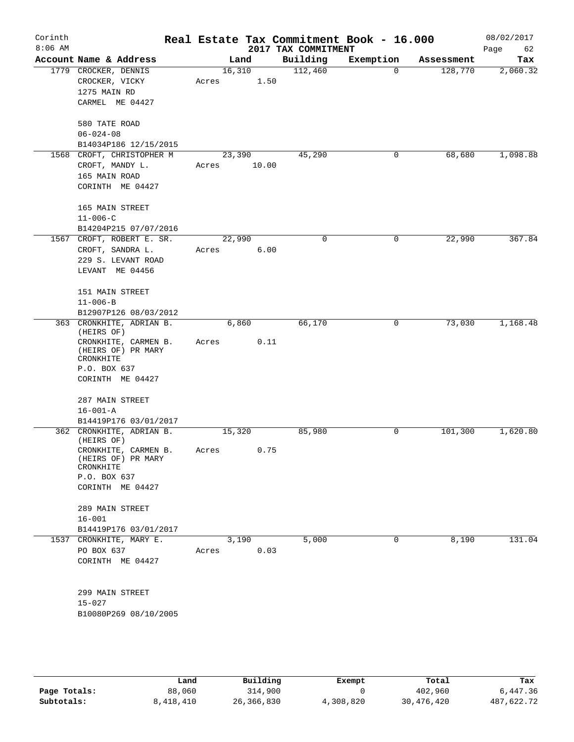| Corinth<br>$8:06$ AM |                                                         |        |       | 2017 TAX COMMITMENT | Real Estate Tax Commitment Book - 16.000 |            | 08/02/2017<br>Page<br>62 |
|----------------------|---------------------------------------------------------|--------|-------|---------------------|------------------------------------------|------------|--------------------------|
|                      | Account Name & Address                                  | Land   |       | Building            | Exemption                                | Assessment | Tax                      |
|                      | 1779 CROCKER, DENNIS                                    | 16,310 |       | 112,460             | $\Omega$                                 | 128,770    | 2,060.32                 |
|                      | CROCKER, VICKY                                          | Acres  | 1.50  |                     |                                          |            |                          |
|                      | 1275 MAIN RD                                            |        |       |                     |                                          |            |                          |
|                      | CARMEL ME 04427                                         |        |       |                     |                                          |            |                          |
|                      | 580 TATE ROAD                                           |        |       |                     |                                          |            |                          |
|                      | $06 - 024 - 08$                                         |        |       |                     |                                          |            |                          |
|                      | B14034P186 12/15/2015                                   |        |       |                     |                                          |            |                          |
|                      | 1568 CROFT, CHRISTOPHER M                               | 23,390 |       | 45,290              | 0                                        | 68,680     | 1,098.88                 |
|                      | CROFT, MANDY L.                                         | Acres  | 10.00 |                     |                                          |            |                          |
|                      | 165 MAIN ROAD                                           |        |       |                     |                                          |            |                          |
|                      | CORINTH ME 04427                                        |        |       |                     |                                          |            |                          |
|                      | 165 MAIN STREET                                         |        |       |                     |                                          |            |                          |
|                      | $11 - 006 - C$                                          |        |       |                     |                                          |            |                          |
|                      | B14204P215 07/07/2016                                   |        |       |                     |                                          |            | 367.84                   |
|                      | 1567 CROFT, ROBERT E. SR.                               | 22,990 |       | 0                   | 0                                        | 22,990     |                          |
|                      | CROFT, SANDRA L.<br>229 S. LEVANT ROAD                  | Acres  | 6.00  |                     |                                          |            |                          |
|                      | LEVANT ME 04456                                         |        |       |                     |                                          |            |                          |
|                      |                                                         |        |       |                     |                                          |            |                          |
|                      | 151 MAIN STREET                                         |        |       |                     |                                          |            |                          |
|                      | $11 - 006 - B$                                          |        |       |                     |                                          |            |                          |
|                      | B12907P126 08/03/2012                                   |        |       |                     |                                          |            |                          |
|                      | 363 CRONKHITE, ADRIAN B.<br>(HEIRS OF)                  | 6,860  |       | 66,170              | 0                                        | 73,030     | 1,168.48                 |
|                      | CRONKHITE, CARMEN B.<br>(HEIRS OF) PR MARY<br>CRONKHITE | Acres  | 0.11  |                     |                                          |            |                          |
|                      | P.O. BOX 637                                            |        |       |                     |                                          |            |                          |
|                      | CORINTH ME 04427                                        |        |       |                     |                                          |            |                          |
|                      | 287 MAIN STREET                                         |        |       |                     |                                          |            |                          |
|                      | $16 - 001 - A$                                          |        |       |                     |                                          |            |                          |
|                      | B14419P176 03/01/2017                                   |        |       |                     |                                          |            |                          |
|                      | 362 CRONKHITE, ADRIAN B.<br>(HEIRS OF)                  | 15,320 |       | 85,980              | 0                                        | 101,300    | 1,620.80                 |
|                      | CRONKHITE, CARMEN B.<br>(HEIRS OF) PR MARY<br>CRONKHITE | Acres  | 0.75  |                     |                                          |            |                          |
|                      | P.O. BOX 637                                            |        |       |                     |                                          |            |                          |
|                      | CORINTH ME 04427                                        |        |       |                     |                                          |            |                          |
|                      | 289 MAIN STREET                                         |        |       |                     |                                          |            |                          |
|                      | $16 - 001$                                              |        |       |                     |                                          |            |                          |
|                      | B14419P176 03/01/2017                                   |        |       |                     |                                          |            |                          |
|                      | 1537 CRONKHITE, MARY E.                                 | 3,190  |       | 5,000               | 0                                        | 8,190      | 131.04                   |
|                      | PO BOX 637                                              | Acres  | 0.03  |                     |                                          |            |                          |
|                      | CORINTH ME 04427                                        |        |       |                     |                                          |            |                          |
|                      |                                                         |        |       |                     |                                          |            |                          |
|                      | 299 MAIN STREET<br>$15 - 027$                           |        |       |                     |                                          |            |                          |
|                      | B10080P269 08/10/2005                                   |        |       |                     |                                          |            |                          |
|                      |                                                         |        |       |                     |                                          |            |                          |
|                      |                                                         |        |       |                     |                                          |            |                          |
|                      |                                                         |        |       |                     |                                          |            |                          |

|              | Land      | Building   | Exempt    | Total      | Tax        |
|--------------|-----------|------------|-----------|------------|------------|
| Page Totals: | 88,060    | 314,900    |           | 402,960    | 6,447.36   |
| Subtotals:   | 8,418,410 | 26,366,830 | 4,308,820 | 30,476,420 | 487,622.72 |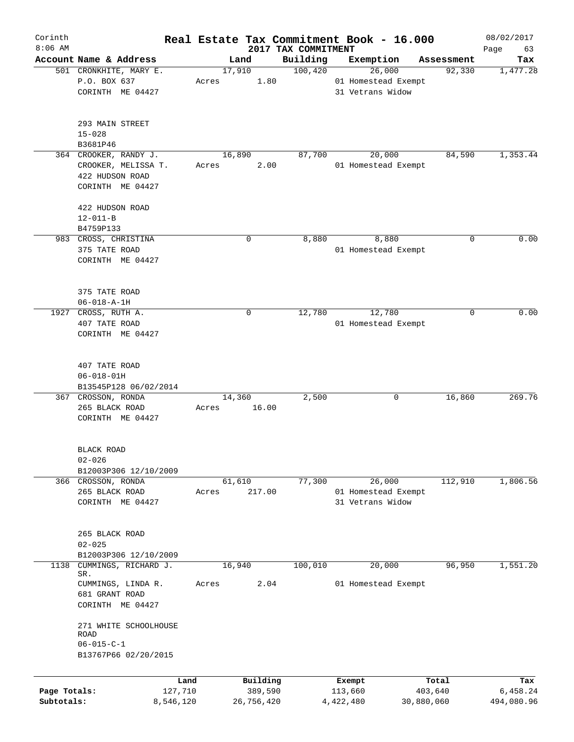| Corinth<br>$8:06$ AM |                                               |                     |                                 | Real Estate Tax Commitment Book - 16.000 |                  | 08/02/2017        |
|----------------------|-----------------------------------------------|---------------------|---------------------------------|------------------------------------------|------------------|-------------------|
|                      | Account Name & Address                        | Land                | 2017 TAX COMMITMENT<br>Building | Exemption                                | Assessment       | Page<br>63<br>Tax |
|                      | 501 CRONKHITE, MARY E.                        | 17,910              | 100,420                         | 26,000                                   | 92,330           | 1,477.28          |
|                      | P.O. BOX 637                                  | 1.80<br>Acres       |                                 | 01 Homestead Exempt                      |                  |                   |
|                      | CORINTH ME 04427                              |                     |                                 | 31 Vetrans Widow                         |                  |                   |
|                      |                                               |                     |                                 |                                          |                  |                   |
|                      | 293 MAIN STREET                               |                     |                                 |                                          |                  |                   |
|                      | $15 - 028$                                    |                     |                                 |                                          |                  |                   |
|                      | B3681P46                                      |                     |                                 |                                          |                  |                   |
|                      | 364 CROOKER, RANDY J.                         | 16,890              | 87,700                          | 20,000                                   | 84,590           | 1,353.44          |
|                      | CROOKER, MELISSA T.                           | 2.00<br>Acres       |                                 | 01 Homestead Exempt                      |                  |                   |
|                      | 422 HUDSON ROAD                               |                     |                                 |                                          |                  |                   |
|                      | CORINTH ME 04427                              |                     |                                 |                                          |                  |                   |
|                      |                                               |                     |                                 |                                          |                  |                   |
|                      | 422 HUDSON ROAD                               |                     |                                 |                                          |                  |                   |
|                      | $12 - 011 - B$                                |                     |                                 |                                          |                  |                   |
|                      | B4759P133<br>983 CROSS, CHRISTINA             | 0                   | 8,880                           | 8,880                                    | 0                | 0.00              |
|                      | 375 TATE ROAD                                 |                     |                                 | 01 Homestead Exempt                      |                  |                   |
|                      | CORINTH ME 04427                              |                     |                                 |                                          |                  |                   |
|                      |                                               |                     |                                 |                                          |                  |                   |
|                      |                                               |                     |                                 |                                          |                  |                   |
|                      | 375 TATE ROAD                                 |                     |                                 |                                          |                  |                   |
|                      | $06 - 018 - A - 1H$                           |                     |                                 |                                          |                  |                   |
| 1927                 | CROSS, RUTH A.                                | 0                   | 12,780                          | 12,780                                   | 0                | 0.00              |
|                      | 407 TATE ROAD                                 |                     |                                 | 01 Homestead Exempt                      |                  |                   |
|                      | CORINTH ME 04427                              |                     |                                 |                                          |                  |                   |
|                      |                                               |                     |                                 |                                          |                  |                   |
|                      | 407 TATE ROAD                                 |                     |                                 |                                          |                  |                   |
|                      | $06 - 018 - 01H$                              |                     |                                 |                                          |                  |                   |
|                      | B13545P128 06/02/2014                         |                     |                                 |                                          |                  |                   |
|                      | 367 CROSSON, RONDA                            | 14,360              | 2,500                           | 0                                        | 16,860           | 269.76            |
|                      | 265 BLACK ROAD                                | 16.00<br>Acres      |                                 |                                          |                  |                   |
|                      | CORINTH ME 04427                              |                     |                                 |                                          |                  |                   |
|                      |                                               |                     |                                 |                                          |                  |                   |
|                      | BLACK ROAD                                    |                     |                                 |                                          |                  |                   |
|                      | $02 - 026$                                    |                     |                                 |                                          |                  |                   |
|                      | B12003P306 12/10/2009                         |                     |                                 |                                          |                  |                   |
|                      | 366 CROSSON, RONDA                            | 61,610              | 77,300                          | 26,000                                   | 112,910          | 1,806.56          |
|                      | 265 BLACK ROAD                                | 217.00<br>Acres     |                                 | 01 Homestead Exempt                      |                  |                   |
|                      | CORINTH ME 04427                              |                     |                                 | 31 Vetrans Widow                         |                  |                   |
|                      |                                               |                     |                                 |                                          |                  |                   |
|                      |                                               |                     |                                 |                                          |                  |                   |
|                      | 265 BLACK ROAD                                |                     |                                 |                                          |                  |                   |
|                      | $02 - 025$                                    |                     |                                 |                                          |                  |                   |
| 1138                 | B12003P306 12/10/2009<br>CUMMINGS, RICHARD J. | 16,940              | 100,010                         | 20,000                                   | 96,950           | 1,551.20          |
|                      | SR.                                           |                     |                                 |                                          |                  |                   |
|                      | CUMMINGS, LINDA R.                            | 2.04<br>Acres       |                                 | 01 Homestead Exempt                      |                  |                   |
|                      | 681 GRANT ROAD                                |                     |                                 |                                          |                  |                   |
|                      | CORINTH ME 04427                              |                     |                                 |                                          |                  |                   |
|                      | 271 WHITE SCHOOLHOUSE                         |                     |                                 |                                          |                  |                   |
|                      | ROAD                                          |                     |                                 |                                          |                  |                   |
|                      | $06 - 015 - C - 1$                            |                     |                                 |                                          |                  |                   |
|                      | B13767P66 02/20/2015                          |                     |                                 |                                          |                  |                   |
|                      |                                               |                     |                                 |                                          |                  |                   |
| Page Totals:         | Land<br>127,710                               | Building<br>389,590 |                                 | Exempt<br>113,660                        | Total<br>403,640 | Tax<br>6,458.24   |
| Subtotals:           | 8,546,120                                     | 26,756,420          |                                 | 4,422,480                                | 30,880,060       | 494,080.96        |
|                      |                                               |                     |                                 |                                          |                  |                   |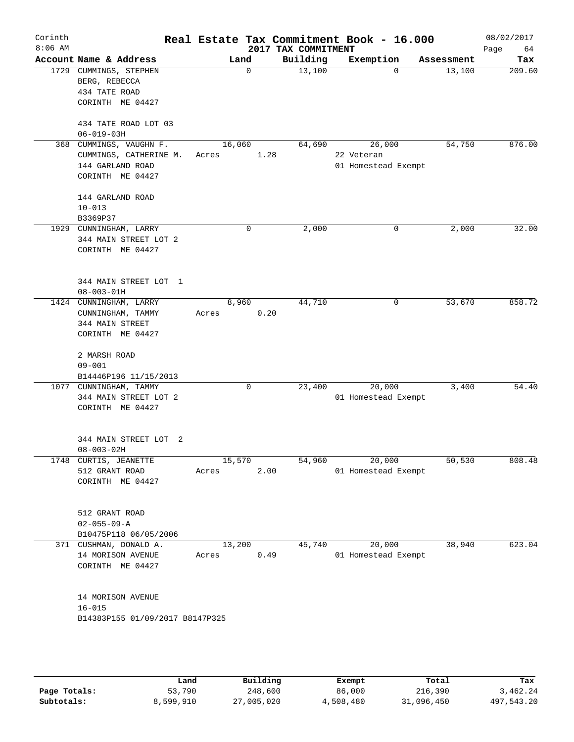| Corinth<br>$8:06$ AM |                                                                                           |                 |             | 2017 TAX COMMITMENT | Real Estate Tax Commitment Book - 16.000    |            | 08/02/2017<br>Page<br>64 |
|----------------------|-------------------------------------------------------------------------------------------|-----------------|-------------|---------------------|---------------------------------------------|------------|--------------------------|
|                      | Account Name & Address                                                                    | Land            |             | Building            | Exemption                                   | Assessment | Tax                      |
|                      | 1729 CUMMINGS, STEPHEN<br>BERG, REBECCA<br>434 TATE ROAD<br>CORINTH ME 04427              |                 | $\mathbf 0$ | 13,100              | $\Omega$                                    | 13,100     | 209.60                   |
|                      | 434 TATE ROAD LOT 03                                                                      |                 |             |                     |                                             |            |                          |
|                      | $06 - 019 - 03H$                                                                          |                 |             |                     |                                             |            |                          |
|                      | 368 CUMMINGS, VAUGHN F.<br>CUMMINGS, CATHERINE M.<br>144 GARLAND ROAD<br>CORINTH ME 04427 | 16,060<br>Acres | 1.28        | 64,690              | 26,000<br>22 Veteran<br>01 Homestead Exempt | 54,750     | 876.00                   |
|                      | 144 GARLAND ROAD<br>$10 - 013$                                                            |                 |             |                     |                                             |            |                          |
|                      | B3369P37                                                                                  |                 |             |                     |                                             |            |                          |
|                      | 1929 CUNNINGHAM, LARRY<br>344 MAIN STREET LOT 2<br>CORINTH ME 04427                       |                 | $\mathbf 0$ | 2,000               | $\mathbf 0$                                 | 2,000      | 32.00                    |
|                      | 344 MAIN STREET LOT 1<br>$08 - 003 - 01H$                                                 |                 |             |                     |                                             |            |                          |
|                      | 1424 CUNNINGHAM, LARRY<br>CUNNINGHAM, TAMMY<br>344 MAIN STREET<br>CORINTH ME 04427        | 8,960<br>Acres  | 0.20        | 44,710              | 0                                           | 53,670     | 858.72                   |
|                      | 2 MARSH ROAD<br>$09 - 001$<br>B14446P196 11/15/2013                                       |                 |             |                     |                                             |            |                          |
|                      | 1077 CUNNINGHAM, TAMMY<br>344 MAIN STREET LOT 2<br>CORINTH ME 04427                       |                 | 0           | 23,400              | 20,000<br>01 Homestead Exempt               | 3,400      | 54.40                    |
|                      | 344 MAIN STREET LOT 2<br>$08 - 003 - 02H$                                                 |                 |             |                     |                                             |            |                          |
|                      | 1748 CURTIS, JEANETTE<br>512 GRANT ROAD<br>CORINTH ME 04427                               | 15,570<br>Acres | 2.00        | 54,960              | 20,000<br>01 Homestead Exempt               | 50,530     | 808.48                   |
|                      | 512 GRANT ROAD<br>$02 - 055 - 09 - A$<br>B10475P118 06/05/2006                            |                 |             |                     |                                             |            |                          |
|                      | 371 CUSHMAN, DONALD A.<br>14 MORISON AVENUE<br>CORINTH ME 04427                           | 13,200<br>Acres | 0.49        | 45,740              | 20,000<br>01 Homestead Exempt               | 38,940     | 623.04                   |
|                      | 14 MORISON AVENUE<br>$16 - 015$<br>B14383P155 01/09/2017 B8147P325                        |                 |             |                     |                                             |            |                          |
|                      |                                                                                           |                 |             |                     |                                             |            |                          |

|              | Land      | Building   | Exempt    | Total      | Tax        |
|--------------|-----------|------------|-----------|------------|------------|
| Page Totals: | 53,790    | 248,600    | 86,000    | 216,390    | 3,462.24   |
| Subtotals:   | 8,599,910 | 27,005,020 | 4,508,480 | 31,096,450 | 497,543.20 |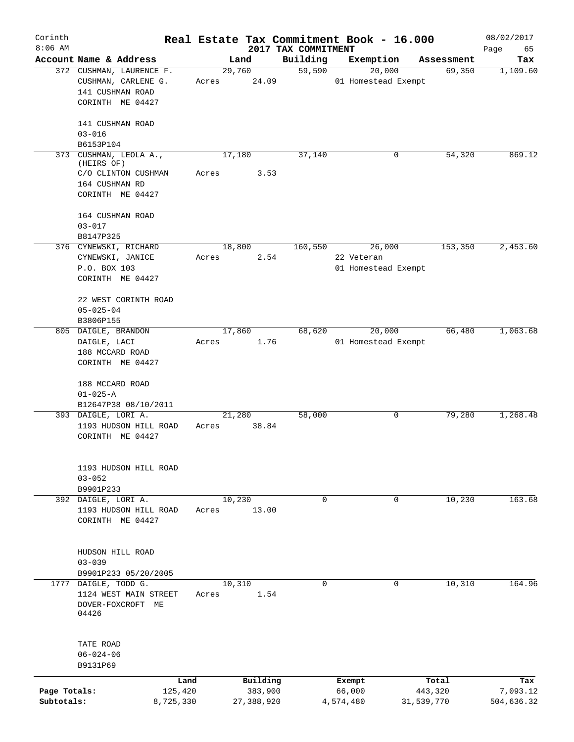| Corinth<br>$8:06$ AM       |                                                                                                             |                          | 2017 TAX COMMITMENT | Real Estate Tax Commitment Book - 16.000    |                       | 08/02/2017<br>Page<br>65 |
|----------------------------|-------------------------------------------------------------------------------------------------------------|--------------------------|---------------------|---------------------------------------------|-----------------------|--------------------------|
|                            | Account Name & Address                                                                                      | Land                     | Building            | Exemption                                   | Assessment            | Tax                      |
|                            | 372 CUSHMAN, LAURENCE F.<br>CUSHMAN, CARLENE G.<br>141 CUSHMAN ROAD<br>CORINTH ME 04427<br>141 CUSHMAN ROAD | 29,760<br>24.09<br>Acres | 59,590              | 20,000<br>01 Homestead Exempt               | 69,350                | 1,109.60                 |
|                            | $03 - 016$<br>B6153P104                                                                                     |                          |                     |                                             |                       |                          |
|                            | 373 CUSHMAN, LEOLA A.,                                                                                      | 17,180                   | 37,140              | 0                                           | 54,320                | 869.12                   |
|                            | (HEIRS OF)<br>C/O CLINTON CUSHMAN<br>164 CUSHMAN RD<br>CORINTH ME 04427                                     | 3.53<br>Acres            |                     |                                             |                       |                          |
|                            | 164 CUSHMAN ROAD<br>$03 - 017$<br>B8147P325                                                                 |                          |                     |                                             |                       |                          |
|                            | 376 CYNEWSKI, RICHARD<br>CYNEWSKI, JANICE<br>P.O. BOX 103<br>CORINTH ME 04427                               | 18,800<br>2.54<br>Acres  | 160,550             | 26,000<br>22 Veteran<br>01 Homestead Exempt | 153,350               | 2,453.60                 |
|                            | 22 WEST CORINTH ROAD<br>$05 - 025 - 04$<br>B3806P155                                                        |                          |                     |                                             |                       |                          |
|                            | 805 DAIGLE, BRANDON<br>DAIGLE, LACI<br>188 MCCARD ROAD<br>CORINTH ME 04427                                  | 17,860<br>1.76<br>Acres  | 68,620              | 20,000<br>01 Homestead Exempt               | 66,480                | 1,063.68                 |
|                            | 188 MCCARD ROAD<br>$01 - 025 - A$<br>B12647P38 08/10/2011                                                   |                          |                     |                                             |                       |                          |
|                            | 393 DAIGLE, LORI A.<br>1193 HUDSON HILL ROAD<br>CORINTH ME 04427                                            | 21,280<br>38.84<br>Acres | 58,000              | 0                                           | 79,280                | 1,268.48                 |
|                            | 1193 HUDSON HILL ROAD<br>$03 - 052$<br>B9901P233                                                            |                          |                     |                                             |                       |                          |
|                            | 392 DAIGLE, LORI A.<br>1193 HUDSON HILL ROAD<br>CORINTH ME 04427                                            | 10,230<br>13.00<br>Acres | $\mathbf 0$         | $\mathbf 0$                                 | 10,230                | 163.68                   |
|                            | HUDSON HILL ROAD<br>$03 - 039$<br>B9901P233 05/20/2005                                                      |                          |                     |                                             |                       |                          |
|                            | 1777 DAIGLE, TODD G.<br>1124 WEST MAIN STREET<br>DOVER-FOXCROFT ME<br>04426                                 | 10,310<br>1.54<br>Acres  | $\mathbf 0$         | 0                                           | 10,310                | 164.96                   |
|                            | TATE ROAD<br>$06 - 024 - 06$<br>B9131P69                                                                    |                          |                     |                                             |                       |                          |
|                            | Land                                                                                                        | Building                 |                     | Exempt                                      | Total                 | Tax                      |
| Page Totals:<br>Subtotals: | 125,420<br>8,725,330                                                                                        | 383,900<br>27,388,920    |                     | 66,000<br>4,574,480                         | 443,320<br>31,539,770 | 7,093.12<br>504,636.32   |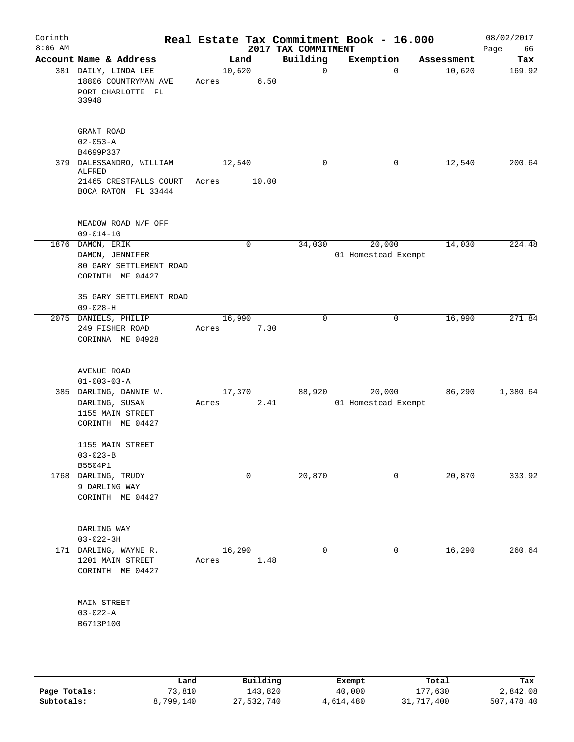|                                                                                     |                                                 |             |                                                        |                                                      |                          | 08/02/2017<br>Page<br>66                                                                         |
|-------------------------------------------------------------------------------------|-------------------------------------------------|-------------|--------------------------------------------------------|------------------------------------------------------|--------------------------|--------------------------------------------------------------------------------------------------|
| Account Name & Address                                                              |                                                 |             | Building                                               | Exemption                                            | Assessment               | Tax                                                                                              |
| 381 DAILY, LINDA LEE<br>18806 COUNTRYMAN AVE<br>PORT CHARLOTTE FL<br>33948          | Acres                                           |             | $\mathbf 0$                                            | $\mathbf 0$                                          | 10,620                   | 169.92                                                                                           |
| GRANT ROAD<br>$02 - 053 - A$<br>B4699P337                                           |                                                 |             |                                                        |                                                      |                          |                                                                                                  |
| 379 DALESSANDRO, WILLIAM<br>ALFRED<br>21465 CRESTFALLS COURT<br>BOCA RATON FL 33444 | Acres                                           |             | 0                                                      | 0                                                    | 12,540                   | 200.64                                                                                           |
| MEADOW ROAD N/F OFF<br>$09 - 014 - 10$                                              |                                                 |             |                                                        |                                                      |                          |                                                                                                  |
| 1876 DAMON, ERIK<br>DAMON, JENNIFER<br>80 GARY SETTLEMENT ROAD<br>CORINTH ME 04427  |                                                 | $\mathbf 0$ | 34,030                                                 | 20,000                                               | 14,030                   | 224.48                                                                                           |
| $09 - 028 - H$                                                                      |                                                 |             |                                                        |                                                      |                          | 271.84                                                                                           |
| 249 FISHER ROAD<br>CORINNA ME 04928                                                 | Acres                                           |             |                                                        |                                                      |                          |                                                                                                  |
| AVENUE ROAD<br>$01 - 003 - 03 - A$                                                  |                                                 |             |                                                        |                                                      |                          |                                                                                                  |
| 385 DARLING, DANNIE W.<br>DARLING, SUSAN<br>1155 MAIN STREET<br>CORINTH ME 04427    | Acres                                           |             | 88,920                                                 | 20,000                                               | 86,290                   | 1,380.64                                                                                         |
| 1155 MAIN STREET<br>$03 - 023 - B$<br>B5504P1                                       |                                                 |             |                                                        |                                                      |                          |                                                                                                  |
| 1768 DARLING, TRUDY<br>9 DARLING WAY<br>CORINTH ME 04427                            |                                                 | 0           | 20,870                                                 | 0                                                    | 20,870                   | 333.92                                                                                           |
| DARLING WAY<br>$03 - 022 - 3H$                                                      |                                                 |             |                                                        |                                                      |                          |                                                                                                  |
| 171 DARLING, WAYNE R.<br>1201 MAIN STREET<br>CORINTH ME 04427                       | Acres                                           |             | 0                                                      | $\mathbf 0$                                          | 16,290                   | 260.64                                                                                           |
| MAIN STREET<br>$03 - 022 - A$                                                       |                                                 |             |                                                        |                                                      |                          |                                                                                                  |
|                                                                                     | 35 GARY SETTLEMENT ROAD<br>2075 DANIELS, PHILIP |             | Land<br>10,620<br>12,540<br>16,990<br>17,370<br>16,290 | 6.50<br>10.00<br>$\mathbf 0$<br>7.30<br>2.41<br>1.48 | 2017 TAX COMMITMENT<br>0 | Real Estate Tax Commitment Book - 16.000<br>01 Homestead Exempt<br>16,990<br>01 Homestead Exempt |

|              | Land      | Building   | Exempt    | Total      | Tax        |
|--------------|-----------|------------|-----------|------------|------------|
| Page Totals: | 73,810    | 143,820    | 40,000    | 177,630    | 2,842.08   |
| Subtotals:   | 8,799,140 | 27,532,740 | 4,614,480 | 31,717,400 | 507,478.40 |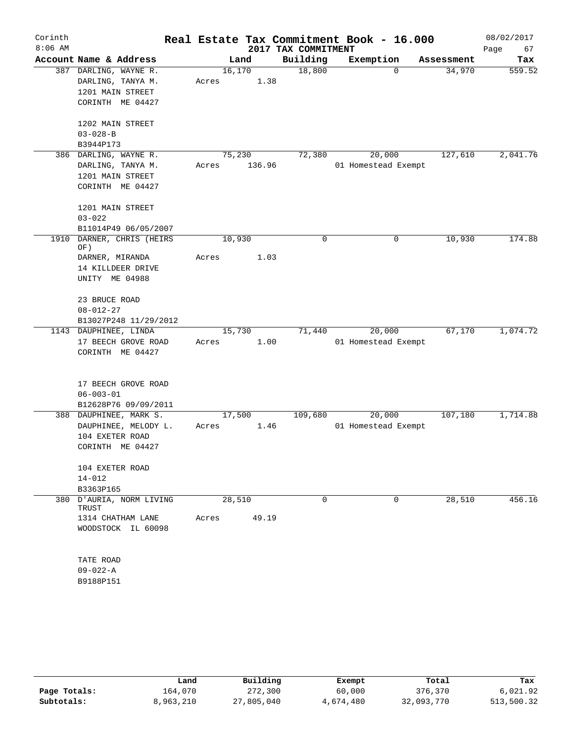| Corinth   |                                   |       |         |                     | Real Estate Tax Commitment Book - 16.000 |            | 08/02/2017 |
|-----------|-----------------------------------|-------|---------|---------------------|------------------------------------------|------------|------------|
| $8:06$ AM |                                   |       |         | 2017 TAX COMMITMENT |                                          |            | Page<br>67 |
|           | Account Name & Address            |       | Land    | Building            | Exemption                                | Assessment | Tax        |
|           | 387 DARLING, WAYNE R.             |       | 16, 170 | 18,800              | $\Omega$                                 | 34,970     | 559.52     |
|           | DARLING, TANYA M.                 | Acres | 1.38    |                     |                                          |            |            |
|           | 1201 MAIN STREET                  |       |         |                     |                                          |            |            |
|           | CORINTH ME 04427                  |       |         |                     |                                          |            |            |
|           | 1202 MAIN STREET                  |       |         |                     |                                          |            |            |
|           | $03 - 028 - B$                    |       |         |                     |                                          |            |            |
|           | B3944P173                         |       |         |                     |                                          |            |            |
|           | 386 DARLING, WAYNE R.             |       | 75,230  | 72,380              | 20,000                                   | 127,610    | 2,041.76   |
|           | DARLING, TANYA M.                 | Acres | 136.96  |                     | 01 Homestead Exempt                      |            |            |
|           | 1201 MAIN STREET                  |       |         |                     |                                          |            |            |
|           | CORINTH ME 04427                  |       |         |                     |                                          |            |            |
|           | 1201 MAIN STREET                  |       |         |                     |                                          |            |            |
|           | $03 - 022$                        |       |         |                     |                                          |            |            |
|           | B11014P49 06/05/2007              |       |         |                     |                                          |            |            |
| 1910      | DARNER, CHRIS (HEIRS<br>OF)       |       | 10,930  | 0                   | 0                                        | 10,930     | 174.88     |
|           | DARNER, MIRANDA                   | Acres | 1.03    |                     |                                          |            |            |
|           | 14 KILLDEER DRIVE                 |       |         |                     |                                          |            |            |
|           | UNITY ME 04988                    |       |         |                     |                                          |            |            |
|           | 23 BRUCE ROAD                     |       |         |                     |                                          |            |            |
|           | $08 - 012 - 27$                   |       |         |                     |                                          |            |            |
|           | B13027P248 11/29/2012             |       |         |                     |                                          |            |            |
|           | 1143 DAUPHINEE, LINDA             |       | 15,730  | 71,440              | 20,000                                   | 67,170     | 1,074.72   |
|           | 17 BEECH GROVE ROAD               | Acres | 1.00    |                     | 01 Homestead Exempt                      |            |            |
|           | CORINTH ME 04427                  |       |         |                     |                                          |            |            |
|           | 17 BEECH GROVE ROAD               |       |         |                     |                                          |            |            |
|           | $06 - 003 - 01$                   |       |         |                     |                                          |            |            |
|           | B12628P76 09/09/2011              |       |         |                     |                                          |            |            |
|           | 388 DAUPHINEE, MARK S.            |       | 17,500  | 109,680             | 20,000                                   | 107,180    | 1,714.88   |
|           | DAUPHINEE, MELODY L.              | Acres | 1.46    |                     | 01 Homestead Exempt                      |            |            |
|           | 104 EXETER ROAD                   |       |         |                     |                                          |            |            |
|           | CORINTH ME 04427                  |       |         |                     |                                          |            |            |
|           | 104 EXETER ROAD                   |       |         |                     |                                          |            |            |
|           | $14 - 012$                        |       |         |                     |                                          |            |            |
|           | B3363P165                         |       |         |                     |                                          |            |            |
|           | 380 D'AURIA, NORM LIVING<br>TRUST |       | 28,510  | $\Omega$            | 0                                        | 28,510     | 456.16     |
|           | 1314 CHATHAM LANE                 | Acres | 49.19   |                     |                                          |            |            |
|           | WOODSTOCK IL 60098                |       |         |                     |                                          |            |            |
|           | TATE ROAD                         |       |         |                     |                                          |            |            |
|           | $09 - 022 - A$                    |       |         |                     |                                          |            |            |
|           | B9188P151                         |       |         |                     |                                          |            |            |
|           |                                   |       |         |                     |                                          |            |            |

|              | Land      | Building   | Exempt    | Total      | Tax        |
|--------------|-----------|------------|-----------|------------|------------|
| Page Totals: | 164,070   | 272,300    | 60,000    | 376,370    | 6,021.92   |
| Subtotals:   | 8,963,210 | 27,805,040 | 4,674,480 | 32,093,770 | 513,500.32 |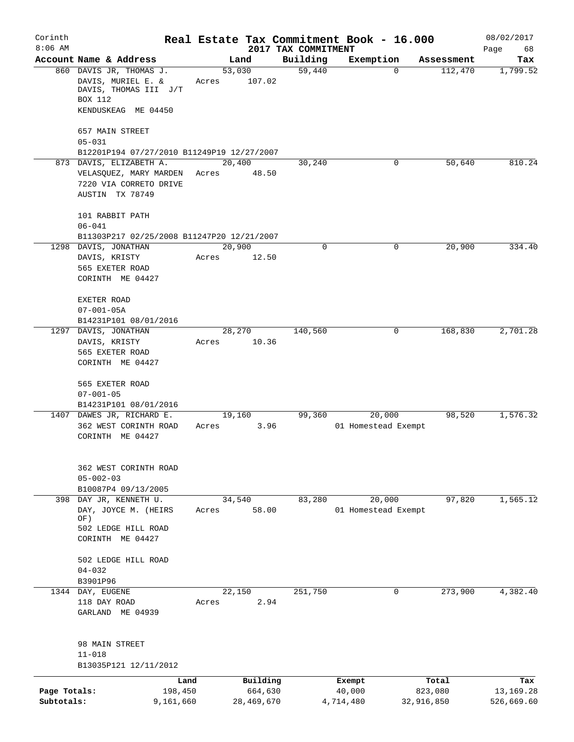| Corinth      |                                                                    |        |            |                     | Real Estate Tax Commitment Book - 16.000 |            |                       | 08/02/2017      |
|--------------|--------------------------------------------------------------------|--------|------------|---------------------|------------------------------------------|------------|-----------------------|-----------------|
| $8:06$ AM    | Account Name & Address                                             |        |            | 2017 TAX COMMITMENT |                                          |            |                       | Page<br>68      |
|              | 860 DAVIS JR, THOMAS J.                                            | 53,030 | Land       | Building<br>59,440  | Exemption                                | $\Omega$   | Assessment<br>112,470 | Tax<br>1,799.52 |
|              | DAVIS, MURIEL E. &<br>DAVIS, THOMAS III J/T                        | Acres  | 107.02     |                     |                                          |            |                       |                 |
|              | <b>BOX 112</b>                                                     |        |            |                     |                                          |            |                       |                 |
|              | KENDUSKEAG ME 04450                                                |        |            |                     |                                          |            |                       |                 |
|              | 657 MAIN STREET<br>$05 - 031$                                      |        |            |                     |                                          |            |                       |                 |
|              | B12201P194 07/27/2010 B11249P19 12/27/2007                         |        |            |                     |                                          |            |                       |                 |
|              | 873 DAVIS, ELIZABETH A.                                            | 20,400 |            | 30,240              |                                          | 0          | 50,640                | 810.24          |
|              | VELASQUEZ, MARY MARDEN                                             | Acres  | 48.50      |                     |                                          |            |                       |                 |
|              | 7220 VIA CORRETO DRIVE                                             |        |            |                     |                                          |            |                       |                 |
|              | AUSTIN TX 78749                                                    |        |            |                     |                                          |            |                       |                 |
|              | 101 RABBIT PATH                                                    |        |            |                     |                                          |            |                       |                 |
|              | $06 - 041$                                                         |        |            |                     |                                          |            |                       |                 |
|              | B11303P217 02/25/2008 B11247P20 12/21/2007<br>1298 DAVIS, JONATHAN | 20,900 |            | 0                   |                                          | 0          | 20,900                | 334.40          |
|              | DAVIS, KRISTY                                                      | Acres  | 12.50      |                     |                                          |            |                       |                 |
|              | 565 EXETER ROAD                                                    |        |            |                     |                                          |            |                       |                 |
|              | CORINTH ME 04427                                                   |        |            |                     |                                          |            |                       |                 |
|              | EXETER ROAD                                                        |        |            |                     |                                          |            |                       |                 |
|              | $07 - 001 - 05A$                                                   |        |            |                     |                                          |            |                       |                 |
|              | B14231P101 08/01/2016                                              |        |            |                     |                                          |            |                       |                 |
|              | 1297 DAVIS, JONATHAN                                               |        | 28,270     | 140,560             |                                          | 0          | 168,830               | 2,701.28        |
|              | DAVIS, KRISTY<br>565 EXETER ROAD                                   | Acres  | 10.36      |                     |                                          |            |                       |                 |
|              | CORINTH ME 04427                                                   |        |            |                     |                                          |            |                       |                 |
|              |                                                                    |        |            |                     |                                          |            |                       |                 |
|              | 565 EXETER ROAD                                                    |        |            |                     |                                          |            |                       |                 |
|              | $07 - 001 - 05$<br>B14231P101 08/01/2016                           |        |            |                     |                                          |            |                       |                 |
|              | 1407 DAWES JR, RICHARD E.                                          | 19,160 |            | 99,360              | 20,000                                   |            | 98,520                | 1,576.32        |
|              | 362 WEST CORINTH ROAD                                              | Acres  | 3.96       |                     | 01 Homestead Exempt                      |            |                       |                 |
|              | CORINTH ME 04427                                                   |        |            |                     |                                          |            |                       |                 |
|              |                                                                    |        |            |                     |                                          |            |                       |                 |
|              | 362 WEST CORINTH ROAD<br>$05 - 002 - 03$                           |        |            |                     |                                          |            |                       |                 |
|              | B10087P4 09/13/2005                                                |        |            |                     |                                          |            |                       |                 |
| 398          | DAY JR, KENNETH U.                                                 | 34,540 |            | 83,280              | 20,000                                   |            | 97,820                | 1,565.12        |
|              | DAY, JOYCE M. (HEIRS                                               | Acres  | 58.00      |                     | 01 Homestead Exempt                      |            |                       |                 |
|              | OF)<br>502 LEDGE HILL ROAD                                         |        |            |                     |                                          |            |                       |                 |
|              | CORINTH ME 04427                                                   |        |            |                     |                                          |            |                       |                 |
|              | 502 LEDGE HILL ROAD                                                |        |            |                     |                                          |            |                       |                 |
|              | $04 - 032$                                                         |        |            |                     |                                          |            |                       |                 |
|              | B3901P96                                                           |        |            |                     |                                          |            |                       |                 |
|              | 1344 DAY, EUGENE                                                   | 22,150 |            | 251,750             |                                          | 0          | 273,900               | 4,382.40        |
|              | 118 DAY ROAD<br>GARLAND ME 04939                                   | Acres  | 2.94       |                     |                                          |            |                       |                 |
|              |                                                                    |        |            |                     |                                          |            |                       |                 |
|              | 98 MAIN STREET                                                     |        |            |                     |                                          |            |                       |                 |
|              | $11 - 018$<br>B13035P121 12/11/2012                                |        |            |                     |                                          |            |                       |                 |
|              | Land                                                               |        | Building   |                     | Exempt                                   |            | Total                 | Tax             |
| Page Totals: | 198,450                                                            |        | 664,630    |                     | 40,000                                   | 823,080    |                       | 13,169.28       |
| Subtotals:   | 9,161,660                                                          |        | 28,469,670 |                     | 4,714,480                                | 32,916,850 |                       | 526,669.60      |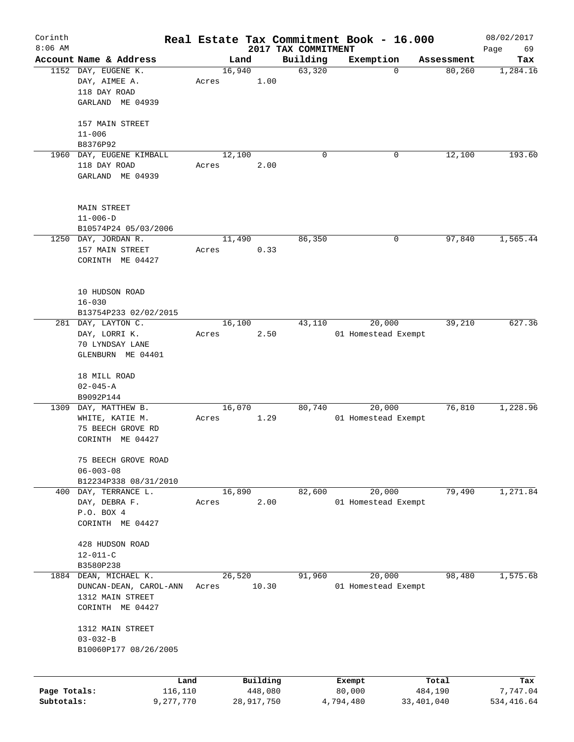| Corinth      |                               |       |        |                       |                     | Real Estate Tax Commitment Book - 16.000 |                         |            | 08/02/2017              |
|--------------|-------------------------------|-------|--------|-----------------------|---------------------|------------------------------------------|-------------------------|------------|-------------------------|
| $8:06$ AM    |                               |       |        |                       | 2017 TAX COMMITMENT |                                          |                         |            | Page<br>69              |
|              | Account Name & Address        |       | Land   |                       | Building            | Exemption                                |                         | Assessment | Tax                     |
|              | 1152 DAY, EUGENE K.           |       | 16,940 |                       | 63,320              |                                          | $\mathbf 0$             | 80,260     | 1,284.16                |
|              | DAY, AIMEE A.                 | Acres |        | 1.00                  |                     |                                          |                         |            |                         |
|              | 118 DAY ROAD                  |       |        |                       |                     |                                          |                         |            |                         |
|              | GARLAND ME 04939              |       |        |                       |                     |                                          |                         |            |                         |
|              |                               |       |        |                       |                     |                                          |                         |            |                         |
|              | 157 MAIN STREET               |       |        |                       |                     |                                          |                         |            |                         |
|              | $11 - 006$                    |       |        |                       |                     |                                          |                         |            |                         |
|              | B8376P92                      |       |        |                       |                     |                                          |                         |            |                         |
|              | 1960 DAY, EUGENE KIMBALL      |       | 12,100 |                       | $\Omega$            | 0                                        |                         | 12,100     | 193.60                  |
|              | 118 DAY ROAD                  | Acres |        | 2.00                  |                     |                                          |                         |            |                         |
|              | GARLAND ME 04939              |       |        |                       |                     |                                          |                         |            |                         |
|              |                               |       |        |                       |                     |                                          |                         |            |                         |
|              |                               |       |        |                       |                     |                                          |                         |            |                         |
|              | MAIN STREET<br>$11 - 006 - D$ |       |        |                       |                     |                                          |                         |            |                         |
|              |                               |       |        |                       |                     |                                          |                         |            |                         |
|              | B10574P24 05/03/2006          |       |        |                       |                     |                                          |                         |            |                         |
|              | 1250 DAY, JORDAN R.           |       | 11,490 |                       | 86,350              |                                          | 0                       | 97,840     | 1,565.44                |
|              | 157 MAIN STREET               | Acres |        | 0.33                  |                     |                                          |                         |            |                         |
|              | CORINTH ME 04427              |       |        |                       |                     |                                          |                         |            |                         |
|              |                               |       |        |                       |                     |                                          |                         |            |                         |
|              | 10 HUDSON ROAD                |       |        |                       |                     |                                          |                         |            |                         |
|              |                               |       |        |                       |                     |                                          |                         |            |                         |
|              | $16 - 030$                    |       |        |                       |                     |                                          |                         |            |                         |
|              | B13754P233 02/02/2015         |       |        |                       |                     |                                          |                         |            |                         |
|              | 281 DAY, LAYTON C.            |       | 16,100 |                       | 43,110              | 20,000                                   |                         | 39,210     | 627.36                  |
|              | DAY, LORRI K.                 | Acres |        | 2.50                  |                     | 01 Homestead Exempt                      |                         |            |                         |
|              | 70 LYNDSAY LANE               |       |        |                       |                     |                                          |                         |            |                         |
|              | GLENBURN ME 04401             |       |        |                       |                     |                                          |                         |            |                         |
|              |                               |       |        |                       |                     |                                          |                         |            |                         |
|              | 18 MILL ROAD                  |       |        |                       |                     |                                          |                         |            |                         |
|              | $02 - 045 - A$                |       |        |                       |                     |                                          |                         |            |                         |
| 1309         | B9092P144<br>DAY, MATTHEW B.  |       | 16,070 |                       | 80,740              | 20,000                                   |                         | 76,810     | 1,228.96                |
|              | WHITE, KATIE M.               | Acres |        | 1.29                  |                     | 01 Homestead Exempt                      |                         |            |                         |
|              | 75 BEECH GROVE RD             |       |        |                       |                     |                                          |                         |            |                         |
|              | CORINTH ME 04427              |       |        |                       |                     |                                          |                         |            |                         |
|              |                               |       |        |                       |                     |                                          |                         |            |                         |
|              | 75 BEECH GROVE ROAD           |       |        |                       |                     |                                          |                         |            |                         |
|              | $06 - 003 - 08$               |       |        |                       |                     |                                          |                         |            |                         |
|              | B12234P338 08/31/2010         |       |        |                       |                     |                                          |                         |            |                         |
|              | 400 DAY, TERRANCE L.          |       | 16,890 |                       | 82,600              | 20,000                                   |                         | 79,490     | 1,271.84                |
|              | DAY, DEBRA F.                 | Acres |        | 2.00                  |                     | 01 Homestead Exempt                      |                         |            |                         |
|              | P.O. BOX 4                    |       |        |                       |                     |                                          |                         |            |                         |
|              | CORINTH ME 04427              |       |        |                       |                     |                                          |                         |            |                         |
|              |                               |       |        |                       |                     |                                          |                         |            |                         |
|              | 428 HUDSON ROAD               |       |        |                       |                     |                                          |                         |            |                         |
|              | $12 - 011 - C$                |       |        |                       |                     |                                          |                         |            |                         |
|              | B3580P238                     |       |        |                       |                     |                                          |                         |            |                         |
| 1884         | DEAN, MICHAEL K.              |       | 26,520 |                       | 91,960              | 20,000                                   |                         | 98,480     | 1,575.68                |
|              | DUNCAN-DEAN, CAROL-ANN        | Acres |        | 10.30                 |                     | 01 Homestead Exempt                      |                         |            |                         |
|              | 1312 MAIN STREET              |       |        |                       |                     |                                          |                         |            |                         |
|              | CORINTH ME 04427              |       |        |                       |                     |                                          |                         |            |                         |
|              |                               |       |        |                       |                     |                                          |                         |            |                         |
|              | 1312 MAIN STREET              |       |        |                       |                     |                                          |                         |            |                         |
|              | $03 - 032 - B$                |       |        |                       |                     |                                          |                         |            |                         |
|              | B10060P177 08/26/2005         |       |        |                       |                     |                                          |                         |            |                         |
|              |                               |       |        |                       |                     |                                          |                         |            |                         |
|              |                               |       |        |                       |                     |                                          |                         |            |                         |
| Page Totals: |                               | Land  |        | Building              |                     | Exempt                                   |                         | Total      | Tax                     |
| Subtotals:   | 116,110<br>9,277,770          |       |        | 448,080<br>28,917,750 |                     | 80,000<br>4,794,480                      | 484,190<br>33, 401, 040 |            | 7,747.04<br>534, 416.64 |
|              |                               |       |        |                       |                     |                                          |                         |            |                         |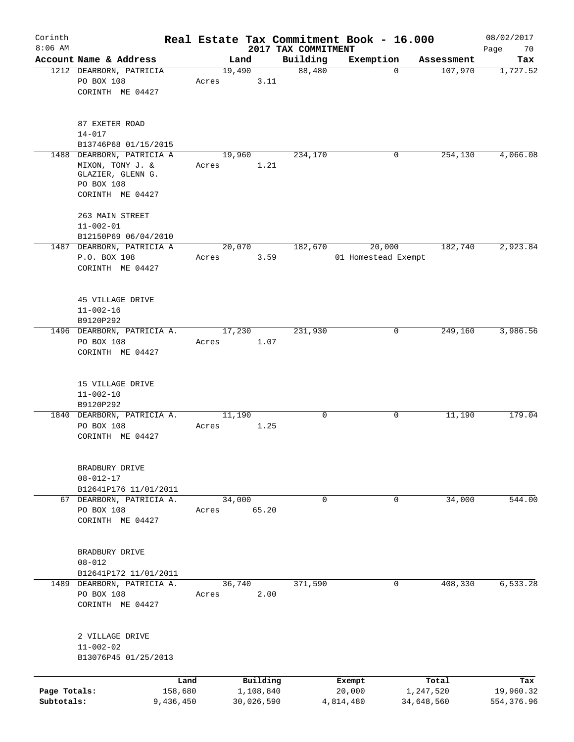| Corinth                    |                                                                                                      |                      |                 |                         |                                 | Real Estate Tax Commitment Book - 16.000 |                         |            | 08/02/2017               |
|----------------------------|------------------------------------------------------------------------------------------------------|----------------------|-----------------|-------------------------|---------------------------------|------------------------------------------|-------------------------|------------|--------------------------|
| $8:06$ AM                  | Account Name & Address                                                                               |                      |                 | Land                    | 2017 TAX COMMITMENT<br>Building | Exemption                                |                         | Assessment | Page<br>70<br>Tax        |
|                            | 1212 DEARBORN, PATRICIA<br>PO BOX 108<br>CORINTH ME 04427                                            |                      | 19,490<br>Acres | 3.11                    | 88,480                          |                                          | $\mathbf 0$             | 107,970    | 1,727.52                 |
|                            | 87 EXETER ROAD<br>$14 - 017$<br>B13746P68 01/15/2015                                                 |                      |                 |                         |                                 |                                          |                         |            |                          |
|                            | 1488 DEARBORN, PATRICIA A<br>MIXON, TONY J. &<br>GLAZIER, GLENN G.<br>PO BOX 108<br>CORINTH ME 04427 |                      | 19,960<br>Acres | 1.21                    | 234,170                         |                                          | 0                       | 254,130    | 4,066.08                 |
|                            | 263 MAIN STREET<br>$11 - 002 - 01$<br>B12150P69 06/04/2010                                           |                      |                 |                         |                                 |                                          |                         |            |                          |
|                            | 1487 DEARBORN, PATRICIA A<br>P.O. BOX 108<br>CORINTH ME 04427                                        |                      | Acres           | 20,070<br>3.59          | 182,670                         | 20,000<br>01 Homestead Exempt            |                         | 182,740    | 2,923.84                 |
|                            | 45 VILLAGE DRIVE<br>$11 - 002 - 16$<br>B9120P292                                                     |                      |                 |                         |                                 |                                          |                         |            |                          |
|                            | 1496 DEARBORN, PATRICIA A.<br>PO BOX 108<br>CORINTH ME 04427                                         |                      | 17,230<br>Acres | 1.07                    | 231,930                         |                                          | 0                       | 249,160    | 3,986.56                 |
|                            | 15 VILLAGE DRIVE<br>$11 - 002 - 10$<br>B9120P292                                                     |                      |                 |                         |                                 |                                          |                         |            |                          |
|                            | 1840 DEARBORN, PATRICIA A.<br>PO BOX 108<br>CORINTH ME 04427                                         |                      | 11,190<br>Acres | 1.25                    | 0                               |                                          | 0                       | 11,190     | 179.04                   |
|                            | BRADBURY DRIVE<br>$08 - 012 - 17$<br>B12641P176 11/01/2011                                           |                      |                 |                         |                                 |                                          |                         |            |                          |
|                            | 67 DEARBORN, PATRICIA A.<br>PO BOX 108<br>CORINTH ME 04427                                           |                      | 34,000<br>Acres | 65.20                   | $\mathbf 0$                     |                                          | 0                       | 34,000     | 544.00                   |
|                            | BRADBURY DRIVE<br>$08 - 012$<br>B12641P172 11/01/2011                                                |                      |                 |                         |                                 |                                          |                         |            |                          |
|                            | 1489 DEARBORN, PATRICIA A.<br>PO BOX 108<br>CORINTH ME 04427                                         |                      | 36,740<br>Acres | 2.00                    | 371,590                         |                                          | $\mathbf 0$             | 408,330    | 6,533.28                 |
|                            | 2 VILLAGE DRIVE<br>$11 - 002 - 02$<br>B13076P45 01/25/2013                                           |                      |                 |                         |                                 |                                          |                         |            |                          |
|                            |                                                                                                      | Land                 |                 | Building                |                                 | Exempt                                   |                         | Total      | Tax                      |
| Page Totals:<br>Subtotals: |                                                                                                      | 158,680<br>9,436,450 |                 | 1,108,840<br>30,026,590 |                                 | 20,000<br>4,814,480                      | 1,247,520<br>34,648,560 |            | 19,960.32<br>554, 376.96 |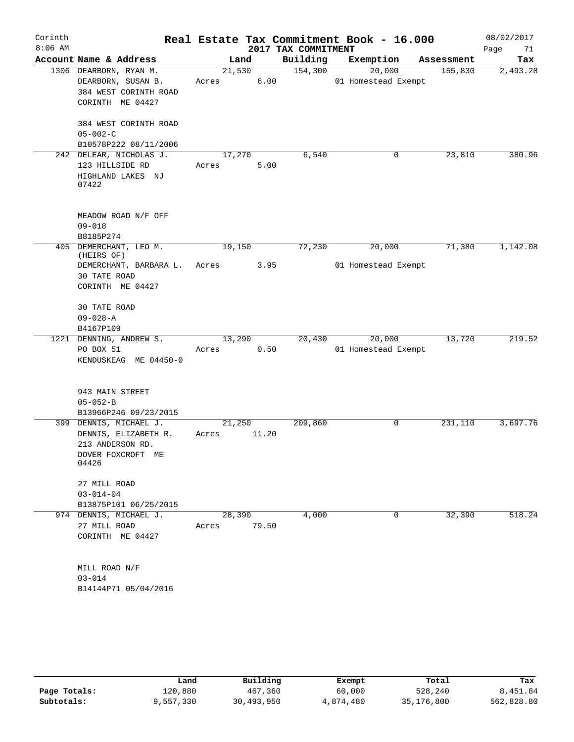| Corinth   |                                                |        |        |                     | Real Estate Tax Commitment Book - 16.000 |            | 08/02/2017 |
|-----------|------------------------------------------------|--------|--------|---------------------|------------------------------------------|------------|------------|
| $8:06$ AM |                                                |        |        | 2017 TAX COMMITMENT |                                          |            | 71<br>Page |
|           | Account Name & Address                         |        | Land   | Building            | Exemption                                | Assessment | Tax        |
|           | 1306 DEARBORN, RYAN M.                         |        | 21,530 | 154,300             | 20,000                                   | 155,830    | 2,493.28   |
|           | DEARBORN, SUSAN B.                             | Acres  | 6.00   |                     | 01 Homestead Exempt                      |            |            |
|           | 384 WEST CORINTH ROAD                          |        |        |                     |                                          |            |            |
|           | CORINTH ME 04427                               |        |        |                     |                                          |            |            |
|           | 384 WEST CORINTH ROAD                          |        |        |                     |                                          |            |            |
|           | $05 - 002 - C$                                 |        |        |                     |                                          |            |            |
|           | B10578P222 08/11/2006                          |        |        |                     |                                          |            |            |
|           | 242 DELEAR, NICHOLAS J.                        | 17,270 |        | 6,540               | 0                                        | 23,810     | 380.96     |
|           | 123 HILLSIDE RD                                | Acres  | 5.00   |                     |                                          |            |            |
|           | HIGHLAND LAKES NJ                              |        |        |                     |                                          |            |            |
|           | 07422                                          |        |        |                     |                                          |            |            |
|           |                                                |        |        |                     |                                          |            |            |
|           | MEADOW ROAD N/F OFF                            |        |        |                     |                                          |            |            |
|           | $09 - 018$                                     |        |        |                     |                                          |            |            |
|           | B8185P274                                      |        |        |                     |                                          |            |            |
|           | 405 DEMERCHANT, LEO M.<br>(HEIRS OF)           | 19,150 |        | 72,230              | 20,000                                   | 71,380     | 1,142.08   |
|           | DEMERCHANT, BARBARA L.                         | Acres  | 3.95   |                     | 01 Homestead Exempt                      |            |            |
|           | 30 TATE ROAD                                   |        |        |                     |                                          |            |            |
|           | CORINTH ME 04427                               |        |        |                     |                                          |            |            |
|           |                                                |        |        |                     |                                          |            |            |
|           | 30 TATE ROAD<br>$09 - 028 - A$                 |        |        |                     |                                          |            |            |
|           | B4167P109                                      |        |        |                     |                                          |            |            |
|           | 1221 DENNING, ANDREW S.                        | 13,290 |        | 20,430              | 20,000                                   | 13,720     | 219.52     |
|           | PO BOX 51                                      | Acres  | 0.50   |                     | 01 Homestead Exempt                      |            |            |
|           | KENDUSKEAG ME 04450-0                          |        |        |                     |                                          |            |            |
|           |                                                |        |        |                     |                                          |            |            |
|           |                                                |        |        |                     |                                          |            |            |
|           | 943 MAIN STREET                                |        |        |                     |                                          |            |            |
|           | $05 - 052 - B$                                 |        |        |                     |                                          |            |            |
|           | B13966P246 09/23/2015                          | 21,250 |        | 209,860             | 0                                        | 231,110    | 3,697.76   |
|           | 399 DENNIS, MICHAEL J.<br>DENNIS, ELIZABETH R. | Acres  | 11.20  |                     |                                          |            |            |
|           | 213 ANDERSON RD.                               |        |        |                     |                                          |            |            |
|           | DOVER FOXCROFT ME                              |        |        |                     |                                          |            |            |
|           | 04426                                          |        |        |                     |                                          |            |            |
|           |                                                |        |        |                     |                                          |            |            |
|           | 27 MILL ROAD                                   |        |        |                     |                                          |            |            |
|           | $03 - 014 - 04$<br>B13875P101 06/25/2015       |        |        |                     |                                          |            |            |
|           | 974 DENNIS, MICHAEL J.                         | 28,390 |        | 4,000               | $\mathbf 0$                              | 32,390     | 518.24     |
|           | 27 MILL ROAD                                   | Acres  | 79.50  |                     |                                          |            |            |
|           | CORINTH ME 04427                               |        |        |                     |                                          |            |            |
|           |                                                |        |        |                     |                                          |            |            |
|           |                                                |        |        |                     |                                          |            |            |
|           | MILL ROAD N/F                                  |        |        |                     |                                          |            |            |
|           | $03 - 014$                                     |        |        |                     |                                          |            |            |
|           | B14144P71 05/04/2016                           |        |        |                     |                                          |            |            |
|           |                                                |        |        |                     |                                          |            |            |

|              | Land      | Building   | Exempt    | Total      | Tax        |
|--------------|-----------|------------|-----------|------------|------------|
| Page Totals: | 120,880   | 467,360    | 60,000    | 528,240    | 8,451.84   |
| Subtotals:   | 9,557,330 | 30,493,950 | 4,874,480 | 35,176,800 | 562,828.80 |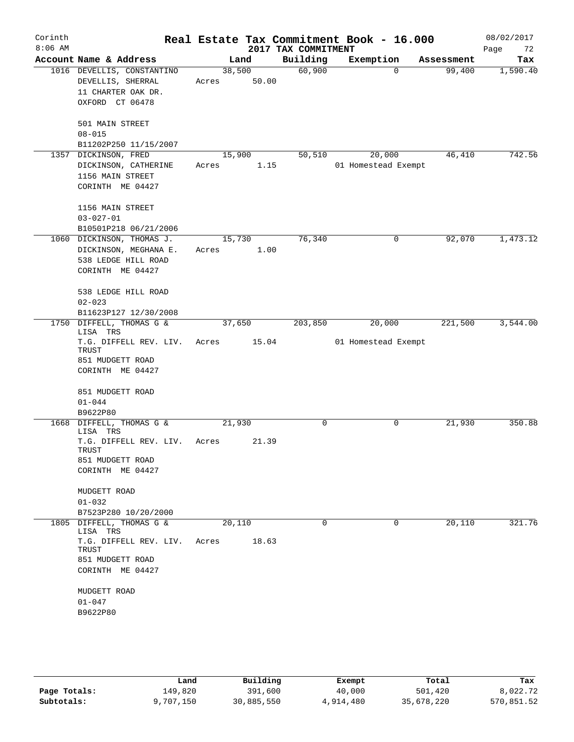| Corinth<br>$8:06$ AM |                                                  |        |        | 2017 TAX COMMITMENT | Real Estate Tax Commitment Book - 16.000 |            | 08/02/2017<br>72<br>Page |
|----------------------|--------------------------------------------------|--------|--------|---------------------|------------------------------------------|------------|--------------------------|
|                      | Account Name & Address                           |        | Land   | Building            | Exemption                                | Assessment | Tax                      |
|                      | 1016 DEVELLIS, CONSTANTINO                       |        | 38,500 | 60,900              | $\Omega$                                 | 99,400     | 1,590.40                 |
|                      | DEVELLIS, SHERRAL                                | Acres  | 50.00  |                     |                                          |            |                          |
|                      | 11 CHARTER OAK DR.                               |        |        |                     |                                          |            |                          |
|                      | OXFORD CT 06478                                  |        |        |                     |                                          |            |                          |
|                      | 501 MAIN STREET                                  |        |        |                     |                                          |            |                          |
|                      | $08 - 015$                                       |        |        |                     |                                          |            |                          |
|                      | B11202P250 11/15/2007                            |        |        |                     |                                          |            |                          |
|                      | 1357 DICKINSON, FRED                             | 15,900 |        | 50,510              | 20,000                                   | 46,410     | 742.56                   |
|                      | DICKINSON, CATHERINE                             | Acres  | 1.15   |                     | 01 Homestead Exempt                      |            |                          |
|                      | 1156 MAIN STREET                                 |        |        |                     |                                          |            |                          |
|                      | CORINTH ME 04427                                 |        |        |                     |                                          |            |                          |
|                      | 1156 MAIN STREET                                 |        |        |                     |                                          |            |                          |
|                      | $03 - 027 - 01$                                  |        |        |                     |                                          |            |                          |
|                      | B10501P218 06/21/2006                            |        |        |                     |                                          |            |                          |
|                      | 1060 DICKINSON, THOMAS J.                        | 15,730 |        | 76,340              | 0                                        | 92,070     | 1,473.12                 |
|                      | DICKINSON, MEGHANA E.                            | Acres  | 1.00   |                     |                                          |            |                          |
|                      | 538 LEDGE HILL ROAD                              |        |        |                     |                                          |            |                          |
|                      | CORINTH ME 04427                                 |        |        |                     |                                          |            |                          |
|                      | 538 LEDGE HILL ROAD                              |        |        |                     |                                          |            |                          |
|                      | $02 - 023$                                       |        |        |                     |                                          |            |                          |
|                      | B11623P127 12/30/2008                            |        |        |                     |                                          |            |                          |
| 1750                 | DIFFELL, THOMAS G &                              | 37,650 |        | 203,850             | 20,000                                   | 221,500    | 3,544.00                 |
|                      | LISA TRS<br>T.G. DIFFELL REV. LIV.               | Acres  | 15.04  |                     | 01 Homestead Exempt                      |            |                          |
|                      | TRUST                                            |        |        |                     |                                          |            |                          |
|                      | 851 MUDGETT ROAD                                 |        |        |                     |                                          |            |                          |
|                      | CORINTH ME 04427                                 |        |        |                     |                                          |            |                          |
|                      |                                                  |        |        |                     |                                          |            |                          |
|                      | 851 MUDGETT ROAD<br>$01 - 044$                   |        |        |                     |                                          |            |                          |
|                      | B9622P80                                         |        |        |                     |                                          |            |                          |
| 1668                 | DIFFELL, THOMAS G &                              | 21,930 |        | 0                   | 0                                        | 21,930     | 350.88                   |
|                      | LISA TRS                                         |        |        |                     |                                          |            |                          |
|                      | T.G. DIFFELL REV. LIV.<br>TRUST                  | Acres  | 21.39  |                     |                                          |            |                          |
|                      | 851 MUDGETT ROAD                                 |        |        |                     |                                          |            |                          |
|                      | CORINTH ME 04427                                 |        |        |                     |                                          |            |                          |
|                      |                                                  |        |        |                     |                                          |            |                          |
|                      | MUDGETT ROAD                                     |        |        |                     |                                          |            |                          |
|                      | $01 - 032$                                       |        |        |                     |                                          |            |                          |
|                      | B7523P280 10/20/2000<br>1805 DIFFELL, THOMAS G & | 20,110 |        | 0                   | 0                                        | 20,110     | 321.76                   |
|                      | LISA TRS                                         |        |        |                     |                                          |            |                          |
|                      | T.G. DIFFELL REV. LIV.                           | Acres  | 18.63  |                     |                                          |            |                          |
|                      | TRUST                                            |        |        |                     |                                          |            |                          |
|                      | 851 MUDGETT ROAD<br>CORINTH ME 04427             |        |        |                     |                                          |            |                          |
|                      |                                                  |        |        |                     |                                          |            |                          |
|                      | MUDGETT ROAD                                     |        |        |                     |                                          |            |                          |
|                      | $01 - 047$                                       |        |        |                     |                                          |            |                          |
|                      | B9622P80                                         |        |        |                     |                                          |            |                          |
|                      |                                                  |        |        |                     |                                          |            |                          |
|                      |                                                  |        |        |                     |                                          |            |                          |
|                      |                                                  |        |        |                     |                                          |            |                          |

|              | Land      | Building   | Exempt    | Total      | Tax        |
|--------------|-----------|------------|-----------|------------|------------|
| Page Totals: | 149,820   | 391,600    | 40,000    | 501,420    | 8,022.72   |
| Subtotals:   | 9,707,150 | 30,885,550 | 4,914,480 | 35,678,220 | 570,851.52 |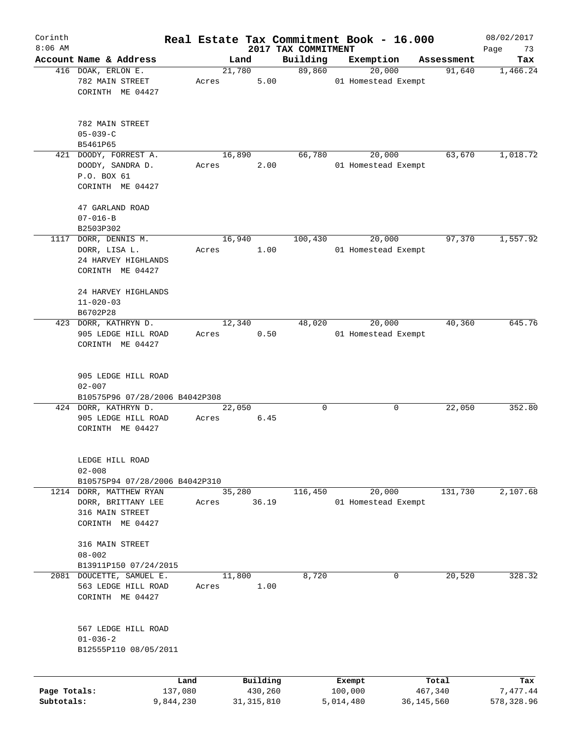| Corinth      |                                         |           |       |        |              | Real Estate Tax Commitment Book - 16.000 |           |                               |                      | 08/02/2017        |
|--------------|-----------------------------------------|-----------|-------|--------|--------------|------------------------------------------|-----------|-------------------------------|----------------------|-------------------|
| $8:06$ AM    | Account Name & Address                  |           |       | Land   |              | 2017 TAX COMMITMENT<br>Building          |           | Exemption                     |                      | Page<br>73<br>Tax |
|              | 416 DOAK, ERLON E.<br>782 MAIN STREET   |           | Acres | 21,780 | 5.00         | 89,860                                   |           | 20,000<br>01 Homestead Exempt | Assessment<br>91,640 | 1,466.24          |
|              | CORINTH ME 04427                        |           |       |        |              |                                          |           |                               |                      |                   |
|              | 782 MAIN STREET<br>$05 - 039 - C$       |           |       |        |              |                                          |           |                               |                      |                   |
|              | B5461P65                                |           |       |        |              |                                          |           |                               |                      |                   |
|              | 421 DOODY, FORREST A.                   |           |       | 16,890 |              | 66,780                                   |           | 20,000                        | 63,670               | 1,018.72          |
|              | DOODY, SANDRA D.                        |           | Acres |        | 2.00         |                                          |           | 01 Homestead Exempt           |                      |                   |
|              | P.O. BOX 61<br>CORINTH ME 04427         |           |       |        |              |                                          |           |                               |                      |                   |
|              | 47 GARLAND ROAD                         |           |       |        |              |                                          |           |                               |                      |                   |
|              | $07 - 016 - B$                          |           |       |        |              |                                          |           |                               |                      |                   |
|              | B2503P302                               |           |       |        |              |                                          |           |                               |                      |                   |
|              | 1117 DORR, DENNIS M.                    |           |       | 16,940 |              | 100,430                                  |           | 20,000                        | 97,370               | 1,557.92          |
|              | DORR, LISA L.                           |           | Acres |        | 1.00         |                                          |           | 01 Homestead Exempt           |                      |                   |
|              | 24 HARVEY HIGHLANDS                     |           |       |        |              |                                          |           |                               |                      |                   |
|              | CORINTH ME 04427                        |           |       |        |              |                                          |           |                               |                      |                   |
|              | 24 HARVEY HIGHLANDS                     |           |       |        |              |                                          |           |                               |                      |                   |
|              | $11 - 020 - 03$                         |           |       |        |              |                                          |           |                               |                      |                   |
|              | B6702P28                                |           |       |        |              |                                          |           |                               |                      |                   |
|              | 423 DORR, KATHRYN D.                    |           |       | 12,340 |              | 48,020                                   |           | 20,000                        | 40,360               | 645.76            |
|              | 905 LEDGE HILL ROAD<br>CORINTH ME 04427 |           | Acres |        | 0.50         |                                          |           | 01 Homestead Exempt           |                      |                   |
|              |                                         |           |       |        |              |                                          |           |                               |                      |                   |
|              | 905 LEDGE HILL ROAD<br>$02 - 007$       |           |       |        |              |                                          |           |                               |                      |                   |
|              | B10575P96 07/28/2006 B4042P308          |           |       |        |              |                                          |           |                               |                      |                   |
|              | 424 DORR, KATHRYN D.                    |           |       | 22,050 |              | 0                                        |           | 0                             | 22,050               | 352.80            |
|              | 905 LEDGE HILL ROAD                     |           | Acres |        | 6.45         |                                          |           |                               |                      |                   |
|              | CORINTH ME 04427                        |           |       |        |              |                                          |           |                               |                      |                   |
|              | LEDGE HILL ROAD                         |           |       |        |              |                                          |           |                               |                      |                   |
|              | $02 - 008$                              |           |       |        |              |                                          |           |                               |                      |                   |
|              | B10575P94 07/28/2006 B4042P310          |           |       |        |              |                                          |           |                               |                      |                   |
|              | 1214 DORR, MATTHEW RYAN                 |           |       | 35,280 |              | 116,450                                  |           | 20,000                        | 131,730              | 2,107.68          |
|              | DORR, BRITTANY LEE                      |           | Acres |        | 36.19        |                                          |           | 01 Homestead Exempt           |                      |                   |
|              | 316 MAIN STREET                         |           |       |        |              |                                          |           |                               |                      |                   |
|              | CORINTH ME 04427                        |           |       |        |              |                                          |           |                               |                      |                   |
|              |                                         |           |       |        |              |                                          |           |                               |                      |                   |
|              | 316 MAIN STREET<br>$08 - 002$           |           |       |        |              |                                          |           |                               |                      |                   |
|              | B13911P150 07/24/2015                   |           |       |        |              |                                          |           |                               |                      |                   |
| 2081         | DOUCETTE, SAMUEL E.                     |           |       | 11,800 |              | 8,720                                    |           | 0                             | 20,520               | 328.32            |
|              | 563 LEDGE HILL ROAD                     |           | Acres |        | 1.00         |                                          |           |                               |                      |                   |
|              | CORINTH ME 04427                        |           |       |        |              |                                          |           |                               |                      |                   |
|              |                                         |           |       |        |              |                                          |           |                               |                      |                   |
|              | 567 LEDGE HILL ROAD                     |           |       |        |              |                                          |           |                               |                      |                   |
|              | $01 - 036 - 2$                          |           |       |        |              |                                          |           |                               |                      |                   |
|              | B12555P110 08/05/2011                   |           |       |        |              |                                          |           |                               |                      |                   |
|              |                                         | Land      |       |        | Building     |                                          | Exempt    |                               | Total                | Tax               |
| Page Totals: |                                         | 137,080   |       |        | 430,260      |                                          | 100,000   |                               | 467,340              | 7,477.44          |
| Subtotals:   |                                         | 9,844,230 |       |        | 31, 315, 810 |                                          | 5,014,480 |                               | 36, 145, 560         | 578,328.96        |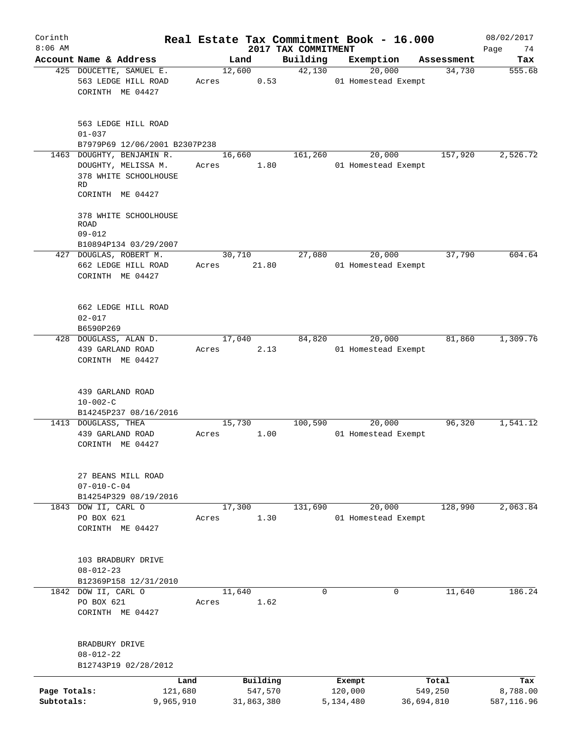| Corinth<br>$8:06$ AM       |                                                                               |       |                                   |                                 | Real Estate Tax Commitment Book - 16.000 |                                | 08/02/2017                    |
|----------------------------|-------------------------------------------------------------------------------|-------|-----------------------------------|---------------------------------|------------------------------------------|--------------------------------|-------------------------------|
|                            | Account Name & Address                                                        |       | Land                              | 2017 TAX COMMITMENT<br>Building | Exemption                                | Assessment                     | Page<br>74<br>Tax             |
|                            | 425 DOUCETTE, SAMUEL E.<br>563 LEDGE HILL ROAD<br>CORINTH ME 04427            | Acres | 12,600<br>0.53                    | 42,130                          | 20,000<br>01 Homestead Exempt            | 34,730                         | 555.68                        |
|                            | 563 LEDGE HILL ROAD<br>$01 - 037$<br>B7979P69 12/06/2001 B2307P238            |       |                                   |                                 |                                          |                                |                               |
|                            | 1463 DOUGHTY, BENJAMIN R.                                                     |       | 16,660                            | 161,260                         | 20,000                                   | 157,920                        | 2,526.72                      |
|                            | DOUGHTY, MELISSA M.<br>378 WHITE SCHOOLHOUSE<br><b>RD</b><br>CORINTH ME 04427 | Acres | 1.80                              |                                 | 01 Homestead Exempt                      |                                |                               |
|                            | 378 WHITE SCHOOLHOUSE<br>ROAD<br>$09 - 012$                                   |       |                                   |                                 |                                          |                                |                               |
|                            | B10894P134 03/29/2007<br>427 DOUGLAS, ROBERT M.                               |       | 30,710                            | 27,080                          | 20,000                                   | 37,790                         | 604.64                        |
|                            | 662 LEDGE HILL ROAD<br>CORINTH ME 04427                                       | Acres | 21.80                             |                                 | 01 Homestead Exempt                      |                                |                               |
|                            | 662 LEDGE HILL ROAD<br>$02 - 017$<br>B6590P269                                |       |                                   |                                 |                                          |                                |                               |
|                            | 428 DOUGLASS, ALAN D.                                                         |       | 17,040                            | 84,820                          | 20,000                                   | 81,860                         | 1,309.76                      |
|                            | 439 GARLAND ROAD<br>CORINTH ME 04427                                          | Acres | 2.13                              |                                 | 01 Homestead Exempt                      |                                |                               |
|                            | 439 GARLAND ROAD<br>$10 - 002 - C$                                            |       |                                   |                                 |                                          |                                |                               |
|                            | B14245P237 08/16/2016                                                         |       |                                   |                                 |                                          |                                |                               |
|                            | 1413 DOUGLASS, THEA<br>439 GARLAND ROAD<br>CORINTH ME 04427                   | Acres | 15,730<br>1.00                    | 100,590                         | 20,000<br>01 Homestead Exempt            | 96,320                         | 1,541.12                      |
|                            | 27 BEANS MILL ROAD<br>$07 - 010 - C - 04$<br>B14254P329 08/19/2016            |       |                                   |                                 |                                          |                                |                               |
|                            | 1843 DOW II, CARL O                                                           |       | 17,300                            | 131,690                         | 20,000                                   | 128,990                        | 2,063.84                      |
|                            | PO BOX 621<br>CORINTH ME 04427                                                | Acres | 1.30                              |                                 | 01 Homestead Exempt                      |                                |                               |
|                            | 103 BRADBURY DRIVE<br>$08 - 012 - 23$                                         |       |                                   |                                 |                                          |                                |                               |
|                            | B12369P158 12/31/2010<br>1842 DOW II, CARL O                                  |       | 11,640                            | 0                               | 0                                        | 11,640                         | 186.24                        |
|                            | PO BOX 621<br>CORINTH ME 04427                                                | Acres | 1.62                              |                                 |                                          |                                |                               |
|                            | BRADBURY DRIVE<br>$08 - 012 - 22$<br>B12743P19 02/28/2012                     |       |                                   |                                 |                                          |                                |                               |
|                            |                                                                               |       |                                   |                                 |                                          |                                |                               |
| Page Totals:<br>Subtotals: | Land<br>121,680<br>9,965,910                                                  |       | Building<br>547,570<br>31,863,380 |                                 | Exempt<br>120,000<br>5,134,480           | Total<br>549,250<br>36,694,810 | Tax<br>8,788.00<br>587,116.96 |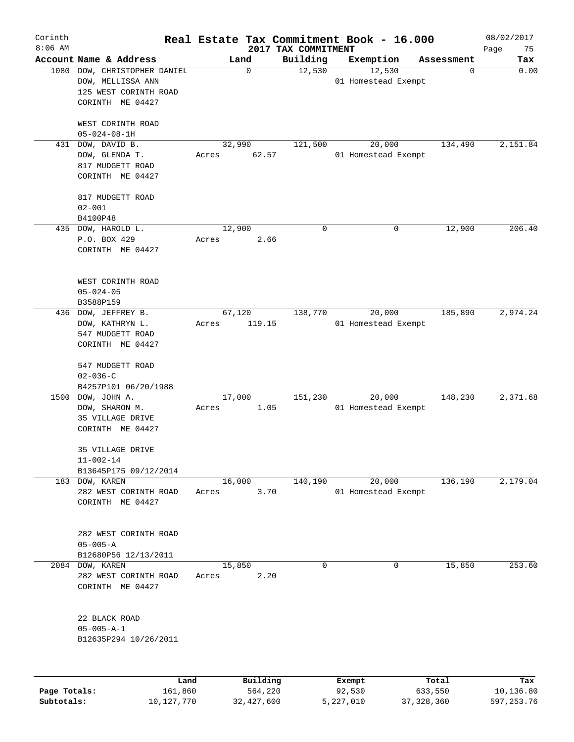| Corinth<br>$8:06$ AM       |                                                                                           |                 |                                     | 2017 TAX COMMITMENT | Real Estate Tax Commitment Book - 16.000 |                                  | 08/02/2017<br>75               |
|----------------------------|-------------------------------------------------------------------------------------------|-----------------|-------------------------------------|---------------------|------------------------------------------|----------------------------------|--------------------------------|
|                            | Account Name & Address                                                                    | Land            |                                     | Building            | Exemption                                | Assessment                       | Page<br>Tax                    |
| 1080                       | DOW, CHRISTOPHER DANIEL<br>DOW, MELLISSA ANN<br>125 WEST CORINTH ROAD<br>CORINTH ME 04427 |                 | 0                                   | 12,530              | 12,530<br>01 Homestead Exempt            |                                  | 0.00<br>0                      |
|                            | WEST CORINTH ROAD<br>$05 - 024 - 08 - 1H$                                                 |                 |                                     |                     |                                          |                                  |                                |
| 431                        | DOW, DAVID B.<br>DOW, GLENDA T.<br>817 MUDGETT ROAD<br>CORINTH ME 04427                   | 32,990<br>Acres | 62.57                               | 121,500             | 20,000<br>01 Homestead Exempt            | 134,490                          | 2,151.84                       |
|                            | 817 MUDGETT ROAD<br>$02 - 001$<br>B4100P48                                                |                 |                                     |                     |                                          |                                  |                                |
|                            | 435 DOW, HAROLD L.<br>P.O. BOX 429<br>CORINTH ME 04427                                    | 12,900<br>Acres | 2.66                                | $\mathbf 0$         |                                          | 12,900<br>0                      | 206.40                         |
|                            | WEST CORINTH ROAD<br>$05 - 024 - 05$<br>B3588P159                                         |                 |                                     |                     |                                          |                                  |                                |
| 436                        | DOW, JEFFREY B.<br>DOW, KATHRYN L.<br>547 MUDGETT ROAD<br>CORINTH ME 04427                | 67,120<br>Acres | 119.15                              | 138,770             | 20,000<br>01 Homestead Exempt            | 185,890                          | 2,974.24                       |
|                            | 547 MUDGETT ROAD<br>$02 - 036 - C$<br>B4257P101 06/20/1988                                |                 |                                     |                     |                                          |                                  |                                |
| 1500                       | DOW, JOHN A.<br>DOW, SHARON M.<br>35 VILLAGE DRIVE<br>CORINTH ME 04427                    | 17,000<br>Acres | 1.05                                | 151,230             | 20,000<br>01 Homestead Exempt            | 148,230                          | 2,371.68                       |
|                            | 35 VILLAGE DRIVE<br>$11 - 002 - 14$<br>B13645P175 09/12/2014                              |                 |                                     |                     |                                          |                                  |                                |
|                            | 183 DOW, KAREN<br>282 WEST CORINTH ROAD<br>CORINTH ME 04427                               | 16,000<br>Acres | 3.70                                | 140,190             | 20,000<br>01 Homestead Exempt            | 136,190                          | 2,179.04                       |
|                            | 282 WEST CORINTH ROAD<br>$05 - 005 - A$<br>B12680P56 12/13/2011                           |                 |                                     |                     |                                          |                                  |                                |
| 2084                       | DOW, KAREN<br>282 WEST CORINTH ROAD<br>CORINTH ME 04427                                   | 15,850<br>Acres | 2.20                                | $\mathbf 0$         |                                          | 15,850<br>0                      | 253.60                         |
|                            | 22 BLACK ROAD<br>$05 - 005 - A - 1$<br>B12635P294 10/26/2011                              |                 |                                     |                     |                                          |                                  |                                |
| Page Totals:<br>Subtotals: | 161,860<br>10, 127, 770                                                                   | Land            | Building<br>564,220<br>32, 427, 600 |                     | Exempt<br>92,530<br>5,227,010            | Total<br>633,550<br>37, 328, 360 | Tax<br>10,136.80<br>597,253.76 |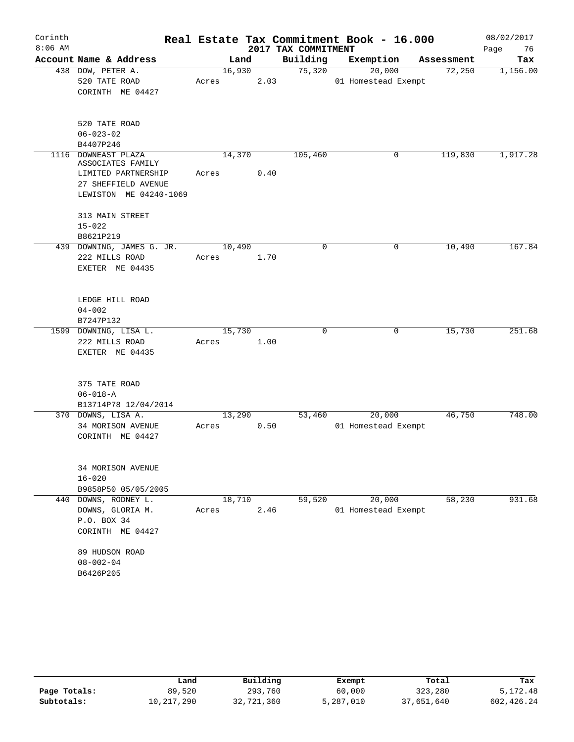| Corinth   |                                             |       |                |                     | Real Estate Tax Commitment Book - 16.000 |            | 08/02/2017 |
|-----------|---------------------------------------------|-------|----------------|---------------------|------------------------------------------|------------|------------|
| $8:06$ AM |                                             |       |                | 2017 TAX COMMITMENT |                                          |            | Page<br>76 |
|           | Account Name & Address                      |       | Land           | Building            | Exemption                                | Assessment | Tax        |
|           | 438 DOW, PETER A.                           |       | 16,930         | 75,320              | 20,000                                   | 72,250     | 1,156.00   |
|           | 520 TATE ROAD                               | Acres | 2.03           |                     | 01 Homestead Exempt                      |            |            |
|           | CORINTH ME 04427                            |       |                |                     |                                          |            |            |
|           | 520 TATE ROAD                               |       |                |                     |                                          |            |            |
|           | $06 - 023 - 02$                             |       |                |                     |                                          |            |            |
|           | B4407P246                                   |       |                |                     |                                          |            |            |
|           | 1116 DOWNEAST PLAZA<br>ASSOCIATES FAMILY    |       | 14,370         | 105,460             | 0                                        | 119,830    | 1,917.28   |
|           | LIMITED PARTNERSHIP<br>27 SHEFFIELD AVENUE  | Acres | 0.40           |                     |                                          |            |            |
|           | LEWISTON ME 04240-1069                      |       |                |                     |                                          |            |            |
|           | 313 MAIN STREET<br>$15 - 022$               |       |                |                     |                                          |            |            |
|           | B8621P219                                   |       |                |                     |                                          |            |            |
|           | 439 DOWNING, JAMES G. JR.                   |       | 10,490         | 0                   | 0                                        | 10,490     | 167.84     |
|           | 222 MILLS ROAD                              | Acres | 1.70           |                     |                                          |            |            |
|           | EXETER ME 04435                             |       |                |                     |                                          |            |            |
|           | LEDGE HILL ROAD                             |       |                |                     |                                          |            |            |
|           | $04 - 002$                                  |       |                |                     |                                          |            |            |
|           | B7247P132                                   |       |                |                     |                                          |            |            |
|           | 1599 DOWNING, LISA L.                       |       | 15,730         | $\Omega$            | 0                                        | 15,730     | 251.68     |
|           | 222 MILLS ROAD                              | Acres | 1.00           |                     |                                          |            |            |
|           | EXETER ME 04435                             |       |                |                     |                                          |            |            |
|           |                                             |       |                |                     |                                          |            |            |
|           | 375 TATE ROAD                               |       |                |                     |                                          |            |            |
|           | $06 - 018 - A$                              |       |                |                     |                                          |            |            |
|           | B13714P78 12/04/2014                        |       |                |                     |                                          |            | 748.00     |
|           | 370 DOWNS, LISA A.                          | Acres | 13,290<br>0.50 | 53,460              | 20,000<br>01 Homestead Exempt            | 46,750     |            |
|           | 34 MORISON AVENUE<br>CORINTH ME 04427       |       |                |                     |                                          |            |            |
|           |                                             |       |                |                     |                                          |            |            |
|           | 34 MORISON AVENUE                           |       |                |                     |                                          |            |            |
|           | $16 - 020$                                  |       |                |                     |                                          |            |            |
|           | B9858P50 05/05/2005<br>440 DOWNS, RODNEY L. |       | 18,710         | 59,520              | 20,000                                   | 58,230     | 931.68     |
|           | DOWNS, GLORIA M.                            | Acres | 2.46           |                     | 01 Homestead Exempt                      |            |            |
|           | P.O. BOX 34                                 |       |                |                     |                                          |            |            |
|           | CORINTH ME 04427                            |       |                |                     |                                          |            |            |
|           | 89 HUDSON ROAD                              |       |                |                     |                                          |            |            |
|           | $08 - 002 - 04$                             |       |                |                     |                                          |            |            |
|           | B6426P205                                   |       |                |                     |                                          |            |            |

|              | Land       | Building   | Exempt    | Total      | Tax        |
|--------------|------------|------------|-----------|------------|------------|
| Page Totals: | 89,520     | 293,760    | 60,000    | 323,280    | 5,172.48   |
| Subtotals:   | 10,217,290 | 32,721,360 | 5,287,010 | 37,651,640 | 602,426.24 |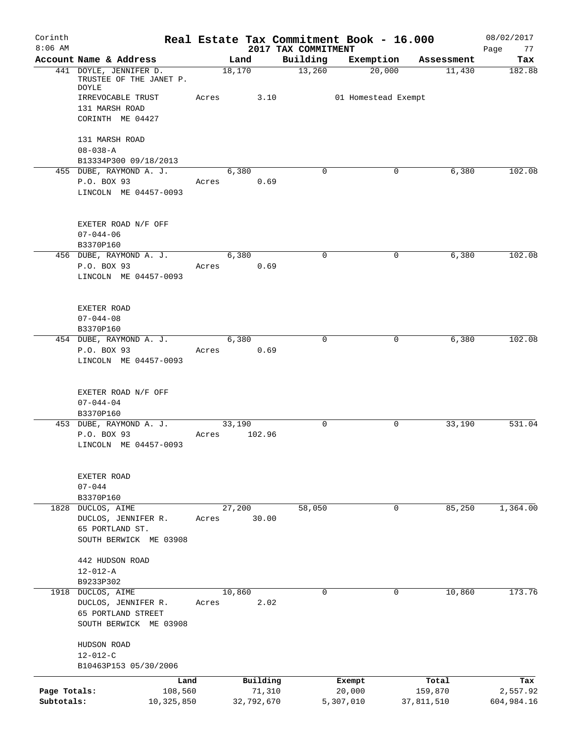| Corinth<br>$8:06$ AM       |                                                                     |       |                      | 2017 TAX COMMITMENT | Real Estate Tax Commitment Book - 16.000 |                       | 08/02/2017             |
|----------------------------|---------------------------------------------------------------------|-------|----------------------|---------------------|------------------------------------------|-----------------------|------------------------|
|                            | Account Name & Address                                              |       | Land                 | Building            | Exemption                                | Assessment            | Page<br>77<br>Tax      |
|                            | 441 DOYLE, JENNIFER D.<br>TRUSTEE OF THE JANET P.<br><b>DOYLE</b>   |       | 18,170               | 13,260              | 20,000                                   | 11,430                | 182.88                 |
|                            | IRREVOCABLE TRUST<br>131 MARSH ROAD<br>CORINTH ME 04427             | Acres | 3.10                 |                     | 01 Homestead Exempt                      |                       |                        |
|                            | 131 MARSH ROAD<br>$08 - 038 - A$<br>B13334P300 09/18/2013           |       |                      |                     |                                          |                       |                        |
|                            | 455 DUBE, RAYMOND A. J.<br>P.O. BOX 93<br>LINCOLN ME 04457-0093     | Acres | 6,380<br>0.69        | $\mathbf 0$         | 0                                        | 6,380                 | 102.08                 |
|                            | EXETER ROAD N/F OFF<br>$07 - 044 - 06$<br>B3370P160                 |       |                      |                     |                                          |                       |                        |
|                            | 456 DUBE, RAYMOND A. J.                                             |       | 6,380                | $\mathbf 0$         | 0                                        | 6,380                 | 102.08                 |
|                            | P.O. BOX 93<br>LINCOLN ME 04457-0093                                | Acres | 0.69                 |                     |                                          |                       |                        |
|                            | EXETER ROAD<br>$07 - 044 - 08$<br>B3370P160                         |       |                      |                     |                                          |                       |                        |
|                            | 454 DUBE, RAYMOND A. J.                                             |       | 6,380                | 0                   | 0                                        | 6,380                 | 102.08                 |
|                            | P.O. BOX 93<br>LINCOLN ME 04457-0093                                | Acres | 0.69                 |                     |                                          |                       |                        |
|                            | EXETER ROAD N/F OFF<br>$07 - 044 - 04$<br>B3370P160                 |       |                      |                     |                                          |                       |                        |
|                            | 453 DUBE, RAYMOND A. J.                                             |       | 33,190               | $\mathbf 0$         | 0                                        | 33,190                | 531.04                 |
|                            | P.O. BOX 93<br>LINCOLN ME 04457-0093                                | Acres | 102.96               |                     |                                          |                       |                        |
|                            | EXETER ROAD<br>$07 - 044$<br>B3370P160                              |       |                      |                     |                                          |                       |                        |
| 1828                       | DUCLOS, AIME                                                        |       | 27,200               | 58,050              | 0                                        | 85,250                | 1,364.00               |
|                            | DUCLOS, JENNIFER R.<br>65 PORTLAND ST.<br>SOUTH BERWICK ME 03908    | Acres | 30.00                |                     |                                          |                       |                        |
|                            | 442 HUDSON ROAD<br>$12 - 012 - A$<br>B9233P302                      |       |                      |                     |                                          |                       |                        |
|                            | 1918 DUCLOS, AIME                                                   |       | 10,860               | 0                   | 0                                        | 10,860                | 173.76                 |
|                            | DUCLOS, JENNIFER R.<br>65 PORTLAND STREET<br>SOUTH BERWICK ME 03908 | Acres | 2.02                 |                     |                                          |                       |                        |
|                            | HUDSON ROAD<br>$12 - 012 - C$                                       |       |                      |                     |                                          |                       |                        |
|                            | B10463P153 05/30/2006                                               |       |                      |                     |                                          |                       |                        |
|                            | Land                                                                |       | Building             |                     | Exempt                                   | Total                 | Tax                    |
| Page Totals:<br>Subtotals: | 108,560<br>10,325,850                                               |       | 71,310<br>32,792,670 |                     | 20,000<br>5,307,010                      | 159,870<br>37,811,510 | 2,557.92<br>604,984.16 |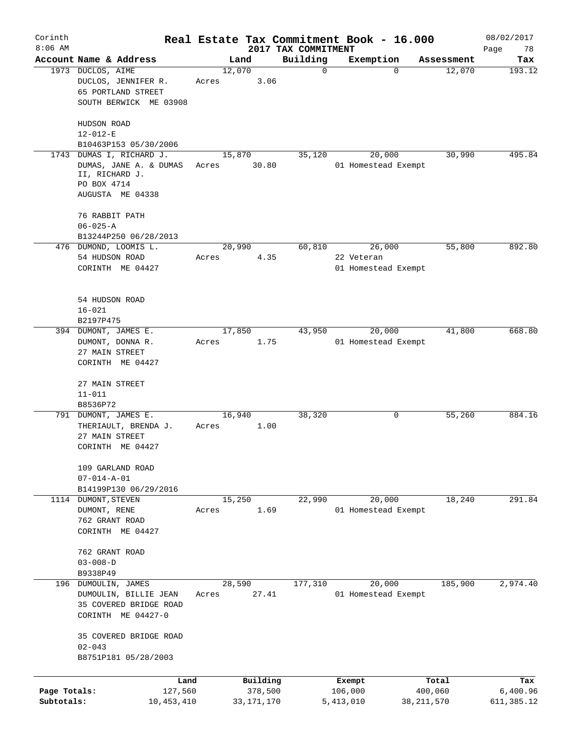| Corinth<br>$8:06$ AM       |                                                                                                    |                 |                         |                                 | Real Estate Tax Commitment Book - 16.000    |                         | 08/02/2017              |
|----------------------------|----------------------------------------------------------------------------------------------------|-----------------|-------------------------|---------------------------------|---------------------------------------------|-------------------------|-------------------------|
|                            | Account Name & Address                                                                             |                 | Land                    | 2017 TAX COMMITMENT<br>Building | Exemption                                   | Assessment              | Page<br>78<br>Tax       |
|                            | 1973 DUCLOS, AIME<br>DUCLOS, JENNIFER R.<br>65 PORTLAND STREET<br>SOUTH BERWICK ME 03908           | 12,070<br>Acres | 3.06                    | $\mathbf 0$                     | 0                                           | 12,070                  | 193.12                  |
|                            | HUDSON ROAD<br>$12 - 012 - E$                                                                      |                 |                         |                                 |                                             |                         |                         |
|                            | B10463P153 05/30/2006                                                                              |                 |                         |                                 |                                             |                         |                         |
| 1743                       | DUMAS I, RICHARD J.<br>DUMAS, JANE A. & DUMAS<br>II, RICHARD J.<br>PO BOX 4714<br>AUGUSTA ME 04338 | 15,870<br>Acres | 30.80                   | 35,120                          | 20,000<br>01 Homestead Exempt               | 30,990                  | 495.84                  |
|                            | 76 RABBIT PATH<br>$06 - 025 - A$<br>B13244P250 06/28/2013                                          |                 |                         |                                 |                                             |                         |                         |
|                            | 476 DUMOND, LOOMIS L.<br>54 HUDSON ROAD<br>CORINTH ME 04427                                        | 20,990<br>Acres | 4.35                    | 60,810                          | 26,000<br>22 Veteran<br>01 Homestead Exempt | 55,800                  | 892.80                  |
|                            | 54 HUDSON ROAD<br>$16 - 021$<br>B2197P475                                                          |                 |                         |                                 |                                             |                         |                         |
|                            | 394 DUMONT, JAMES E.<br>DUMONT, DONNA R.<br>27 MAIN STREET<br>CORINTH ME 04427                     | 17,850<br>Acres | 1.75                    | 43,950                          | 20,000<br>01 Homestead Exempt               | 41,800                  | 668.80                  |
|                            | 27 MAIN STREET<br>$11 - 011$<br>B8536P72                                                           |                 |                         |                                 |                                             |                         |                         |
|                            | 791 DUMONT, JAMES E.<br>THERIAULT, BRENDA J.<br>27 MAIN STREET<br>CORINTH ME 04427                 | 16,940<br>Acres | 1.00                    | 38,320                          | 0                                           | 55,260                  | 884.16                  |
|                            | 109 GARLAND ROAD<br>$07 - 014 - A - 01$<br>B14199P130 06/29/2016                                   |                 |                         |                                 |                                             |                         |                         |
| 1114                       | DUMONT, STEVEN<br>DUMONT, RENE<br>762 GRANT ROAD<br>CORINTH ME 04427                               | 15,250<br>Acres | 1.69                    | 22,990                          | 20,000<br>01 Homestead Exempt               | 18,240                  | 291.84                  |
|                            | 762 GRANT ROAD<br>$03 - 008 - D$<br>B9338P49                                                       |                 |                         |                                 |                                             |                         |                         |
| 196                        | DUMOULIN, JAMES<br>DUMOULIN, BILLIE JEAN<br>35 COVERED BRIDGE ROAD<br>CORINTH ME 04427-0           | 28,590<br>Acres | 27.41                   | 177,310                         | 20,000<br>01 Homestead Exempt               | 185,900                 | 2,974.40                |
|                            | 35 COVERED BRIDGE ROAD<br>$02 - 043$<br>B8751P181 05/28/2003                                       |                 |                         |                                 |                                             |                         |                         |
|                            | Land                                                                                               |                 | Building                |                                 | Exempt                                      | Total                   | Tax                     |
| Page Totals:<br>Subtotals: | 127,560<br>10,453,410                                                                              |                 | 378,500<br>33, 171, 170 |                                 | 106,000<br>5,413,010                        | 400,060<br>38, 211, 570 | 6,400.96<br>611, 385.12 |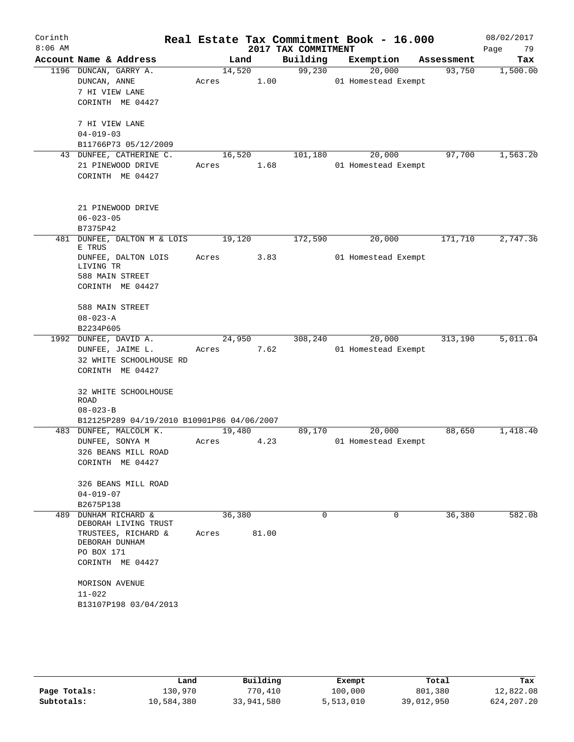| Corinth<br>$8:06$ AM |                                                                                                                     |                 |       | 2017 TAX COMMITMENT | Real Estate Tax Commitment Book - 16.000 |            | 08/02/2017<br>79<br>Page |
|----------------------|---------------------------------------------------------------------------------------------------------------------|-----------------|-------|---------------------|------------------------------------------|------------|--------------------------|
|                      | Account Name & Address                                                                                              | Land            |       | Building            | Exemption                                | Assessment | Tax                      |
|                      | 1196 DUNCAN, GARRY A.<br>DUNCAN, ANNE<br>7 HI VIEW LANE<br>CORINTH ME 04427                                         | 14,520<br>Acres | 1.00  | 99,230              | 20,000<br>01 Homestead Exempt            | 93,750     | 1,500.00                 |
|                      | 7 HI VIEW LANE<br>$04 - 019 - 03$<br>B11766P73 05/12/2009                                                           |                 |       |                     |                                          |            |                          |
|                      | 43 DUNFEE, CATHERINE C.<br>21 PINEWOOD DRIVE<br>CORINTH ME 04427                                                    | 16,520<br>Acres | 1.68  | 101,180             | 20,000<br>01 Homestead Exempt            | 97,700     | 1,563.20                 |
|                      | 21 PINEWOOD DRIVE<br>$06 - 023 - 05$<br>B7375P42                                                                    |                 |       |                     |                                          |            |                          |
| 481                  | DUNFEE, DALTON M & LOIS                                                                                             | 19,120          |       | 172,590             | 20,000                                   | 171,710    | 2,747.36                 |
|                      | E TRUS<br>DUNFEE, DALTON LOIS<br>LIVING TR<br>588 MAIN STREET<br>CORINTH ME 04427                                   | Acres           | 3.83  |                     | 01 Homestead Exempt                      |            |                          |
|                      | 588 MAIN STREET<br>$08 - 023 - A$<br>B2234P605                                                                      |                 |       |                     |                                          |            |                          |
|                      | 1992 DUNFEE, DAVID A.                                                                                               | 24,950          |       | 308,240             | 20,000                                   | 313,190    | 5,011.04                 |
|                      | DUNFEE, JAIME L.<br>32 WHITE SCHOOLHOUSE RD<br>CORINTH ME 04427<br>32 WHITE SCHOOLHOUSE                             | Acres           | 7.62  |                     | 01 Homestead Exempt                      |            |                          |
|                      | ROAD<br>$08 - 023 - B$                                                                                              |                 |       |                     |                                          |            |                          |
|                      | B12125P289 04/19/2010 B10901P86 04/06/2007                                                                          |                 |       |                     |                                          |            |                          |
|                      | 483 DUNFEE, MALCOLM K.<br>DUNFEE, SONYA M<br>326 BEANS MILL ROAD<br>CORINTH ME 04427                                | 19,480<br>Acres | 4.23  | 89,170              | 20,000<br>01 Homestead Exempt            | 88,650     | 1,418.40                 |
|                      | 326 BEANS MILL ROAD<br>$04 - 019 - 07$<br>B2675P138                                                                 |                 |       |                     |                                          |            |                          |
| 489                  | DUNHAM RICHARD &<br>DEBORAH LIVING TRUST<br>TRUSTEES, RICHARD &<br>DEBORAH DUNHAM<br>PO BOX 171<br>CORINTH ME 04427 | 36,380<br>Acres | 81.00 | 0                   | $\Omega$                                 | 36,380     | 582.08                   |
|                      | MORISON AVENUE<br>$11 - 022$<br>B13107P198 03/04/2013                                                               |                 |       |                     |                                          |            |                          |

|              | Land       | Building   | Exempt    | Total      | Tax          |
|--------------|------------|------------|-----------|------------|--------------|
| Page Totals: | 130,970    | 770,410    | 100,000   | 801,380    | 12,822.08    |
| Subtotals:   | 10,584,380 | 33,941,580 | 5,513,010 | 39,012,950 | 624, 207. 20 |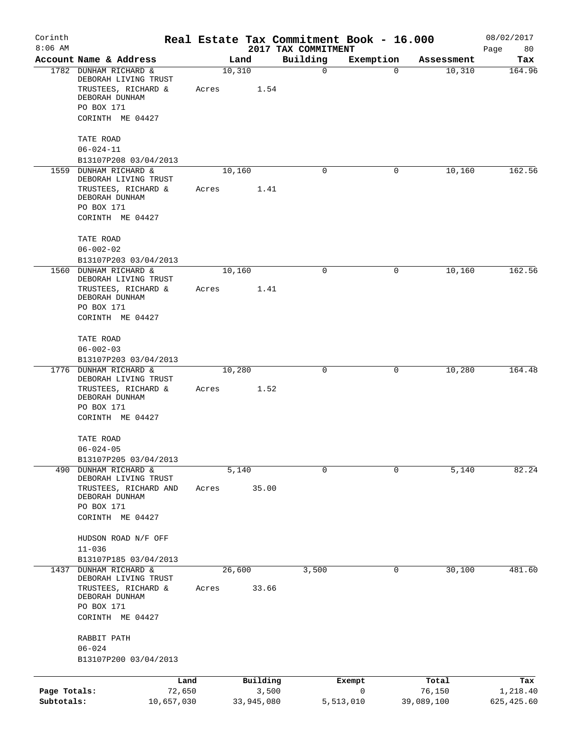| Corinth<br>$8:06$ AM |                                                       |       |        |            | Real Estate Tax Commitment Book - 16.000<br>2017 TAX COMMITMENT |             |            | 08/02/2017<br>Page<br>80 |
|----------------------|-------------------------------------------------------|-------|--------|------------|-----------------------------------------------------------------|-------------|------------|--------------------------|
|                      | Account Name & Address                                |       | Land   |            | Building                                                        | Exemption   | Assessment | Tax                      |
|                      | 1782 DUNHAM RICHARD &<br>DEBORAH LIVING TRUST         |       | 10,310 |            | 0                                                               | 0           | 10,310     | 164.96                   |
|                      | TRUSTEES, RICHARD &<br>DEBORAH DUNHAM                 | Acres |        | 1.54       |                                                                 |             |            |                          |
|                      | PO BOX 171<br>CORINTH ME 04427                        |       |        |            |                                                                 |             |            |                          |
|                      | TATE ROAD<br>$06 - 024 - 11$                          |       |        |            |                                                                 |             |            |                          |
|                      | B13107P208 03/04/2013                                 |       |        |            |                                                                 |             |            |                          |
|                      | 1559 DUNHAM RICHARD &<br>DEBORAH LIVING TRUST         |       | 10,160 |            | 0                                                               | 0           | 10,160     | 162.56                   |
|                      | TRUSTEES, RICHARD &<br>DEBORAH DUNHAM                 | Acres |        | 1.41       |                                                                 |             |            |                          |
|                      | PO BOX 171<br>CORINTH ME 04427                        |       |        |            |                                                                 |             |            |                          |
|                      | TATE ROAD<br>$06 - 002 - 02$                          |       |        |            |                                                                 |             |            |                          |
|                      | B13107P203 03/04/2013                                 |       |        |            |                                                                 |             |            |                          |
|                      | 1560 DUNHAM RICHARD &<br>DEBORAH LIVING TRUST         |       | 10,160 |            | 0                                                               | 0           | 10,160     | 162.56                   |
|                      | TRUSTEES, RICHARD &<br>DEBORAH DUNHAM                 | Acres |        | 1.41       |                                                                 |             |            |                          |
|                      | PO BOX 171<br>CORINTH ME 04427                        |       |        |            |                                                                 |             |            |                          |
|                      | TATE ROAD                                             |       |        |            |                                                                 |             |            |                          |
|                      | $06 - 002 - 03$<br>B13107P203 03/04/2013              |       |        |            |                                                                 |             |            |                          |
| 1776                 | DUNHAM RICHARD &<br>DEBORAH LIVING TRUST              |       | 10,280 |            | 0                                                               | 0           | 10,280     | 164.48                   |
|                      | TRUSTEES, RICHARD &<br>DEBORAH DUNHAM                 | Acres |        | 1.52       |                                                                 |             |            |                          |
|                      | PO BOX 171<br>CORINTH ME 04427                        |       |        |            |                                                                 |             |            |                          |
|                      | TATE ROAD                                             |       |        |            |                                                                 |             |            |                          |
|                      | $06 - 024 - 05$<br>B13107P205 03/04/2013              |       |        |            |                                                                 |             |            |                          |
| 490                  | DUNHAM RICHARD &<br>DEBORAH LIVING TRUST              |       | 5,140  |            | 0                                                               | $\mathbf 0$ | 5,140      | 82.24                    |
|                      | TRUSTEES, RICHARD AND<br>DEBORAH DUNHAM<br>PO BOX 171 | Acres |        | 35.00      |                                                                 |             |            |                          |
|                      | CORINTH ME 04427                                      |       |        |            |                                                                 |             |            |                          |
|                      | HUDSON ROAD N/F OFF                                   |       |        |            |                                                                 |             |            |                          |
|                      | $11 - 036$<br>B13107P185 03/04/2013                   |       |        |            |                                                                 |             |            |                          |
| 1437                 | DUNHAM RICHARD &<br>DEBORAH LIVING TRUST              |       | 26,600 |            | 3,500                                                           | 0           | 30,100     | 481.60                   |
|                      | TRUSTEES, RICHARD &<br>DEBORAH DUNHAM                 | Acres |        | 33.66      |                                                                 |             |            |                          |
|                      | PO BOX 171<br>CORINTH ME 04427                        |       |        |            |                                                                 |             |            |                          |
|                      | RABBIT PATH                                           |       |        |            |                                                                 |             |            |                          |
|                      | $06 - 024$<br>B13107P200 03/04/2013                   |       |        |            |                                                                 |             |            |                          |
|                      |                                                       |       |        |            |                                                                 |             |            |                          |
|                      | Land                                                  |       |        | Building   |                                                                 | Exempt      | Total      | Tax                      |
| Page Totals:         | 72,650                                                |       |        | 3,500      |                                                                 | $\mathbf 0$ | 76,150     | 1,218.40                 |
| Subtotals:           | 10,657,030                                            |       |        | 33,945,080 |                                                                 | 5,513,010   | 39,089,100 | 625, 425.60              |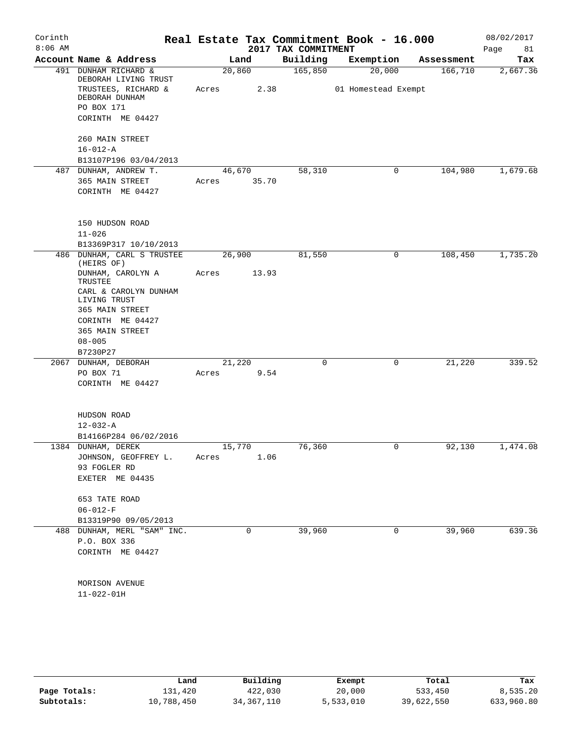| Corinth<br>$8:06$ AM |                                                               |        |       | 2017 TAX COMMITMENT | Real Estate Tax Commitment Book - 16.000 |            | 08/02/2017<br>Page<br>81 |
|----------------------|---------------------------------------------------------------|--------|-------|---------------------|------------------------------------------|------------|--------------------------|
|                      | Account Name & Address                                        |        | Land  | Building            | Exemption                                | Assessment | Tax                      |
|                      | 491 DUNHAM RICHARD &                                          | 20,860 |       | 165,850             | 20,000                                   | 166,710    | 2,667.36                 |
|                      | DEBORAH LIVING TRUST<br>TRUSTEES, RICHARD &<br>DEBORAH DUNHAM | Acres  | 2.38  |                     | 01 Homestead Exempt                      |            |                          |
|                      | PO BOX 171                                                    |        |       |                     |                                          |            |                          |
|                      | CORINTH ME 04427                                              |        |       |                     |                                          |            |                          |
|                      | 260 MAIN STREET                                               |        |       |                     |                                          |            |                          |
|                      | $16 - 012 - A$                                                |        |       |                     |                                          |            |                          |
|                      | B13107P196 03/04/2013<br>487 DUNHAM, ANDREW T.                | 46,670 |       | 58,310              | 0                                        | 104,980    | 1,679.68                 |
|                      | 365 MAIN STREET                                               | Acres  | 35.70 |                     |                                          |            |                          |
|                      | CORINTH ME 04427                                              |        |       |                     |                                          |            |                          |
|                      | 150 HUDSON ROAD                                               |        |       |                     |                                          |            |                          |
|                      | $11 - 026$                                                    |        |       |                     |                                          |            |                          |
|                      | B13369P317 10/10/2013                                         |        |       |                     |                                          |            |                          |
|                      | 486 DUNHAM, CARL S TRUSTEE<br>(HEIRS OF)                      | 26,900 |       | 81,550              | 0                                        | 108,450    | 1,735.20                 |
|                      | DUNHAM, CAROLYN A<br>TRUSTEE                                  | Acres  | 13.93 |                     |                                          |            |                          |
|                      | CARL & CAROLYN DUNHAM<br>LIVING TRUST                         |        |       |                     |                                          |            |                          |
|                      | 365 MAIN STREET                                               |        |       |                     |                                          |            |                          |
|                      | CORINTH ME 04427                                              |        |       |                     |                                          |            |                          |
|                      | 365 MAIN STREET                                               |        |       |                     |                                          |            |                          |
|                      | $08 - 005$<br>B7230P27                                        |        |       |                     |                                          |            |                          |
|                      | 2067 DUNHAM, DEBORAH                                          | 21,220 |       | 0                   | 0                                        | 21,220     | 339.52                   |
|                      | PO BOX 71<br>CORINTH ME 04427                                 | Acres  | 9.54  |                     |                                          |            |                          |
|                      | HUDSON ROAD                                                   |        |       |                     |                                          |            |                          |
|                      | $12 - 032 - A$                                                |        |       |                     |                                          |            |                          |
|                      | B14166P284 06/02/2016                                         |        |       |                     |                                          |            |                          |
|                      | 1384 DUNHAM, DEREK                                            | 15,770 |       | 76,360              | 0                                        | 92,130     | 1,474.08                 |
|                      | JOHNSON, GEOFFREY L.                                          | Acres  | 1.06  |                     |                                          |            |                          |
|                      | 93 FOGLER RD                                                  |        |       |                     |                                          |            |                          |
|                      | EXETER ME 04435                                               |        |       |                     |                                          |            |                          |
|                      | 653 TATE ROAD                                                 |        |       |                     |                                          |            |                          |
|                      | $06 - 012 - F$                                                |        |       |                     |                                          |            |                          |
|                      | B13319P90 09/05/2013<br>488 DUNHAM, MERL "SAM" INC.           |        | 0     | 39,960              | 0                                        | 39,960     | 639.36                   |
|                      | P.O. BOX 336                                                  |        |       |                     |                                          |            |                          |
|                      | CORINTH ME 04427                                              |        |       |                     |                                          |            |                          |
|                      | MORISON AVENUE                                                |        |       |                     |                                          |            |                          |
|                      | $11 - 022 - 01H$                                              |        |       |                     |                                          |            |                          |
|                      |                                                               |        |       |                     |                                          |            |                          |
|                      |                                                               |        |       |                     |                                          |            |                          |
|                      |                                                               |        |       |                     |                                          |            |                          |

|              | Land       | Building   | Exempt    | Total      | Tax        |
|--------------|------------|------------|-----------|------------|------------|
| Page Totals: | 131,420    | 422,030    | 20,000    | 533,450    | 8,535.20   |
| Subtotals:   | 10,788,450 | 34,367,110 | 5,533,010 | 39,622,550 | 633,960.80 |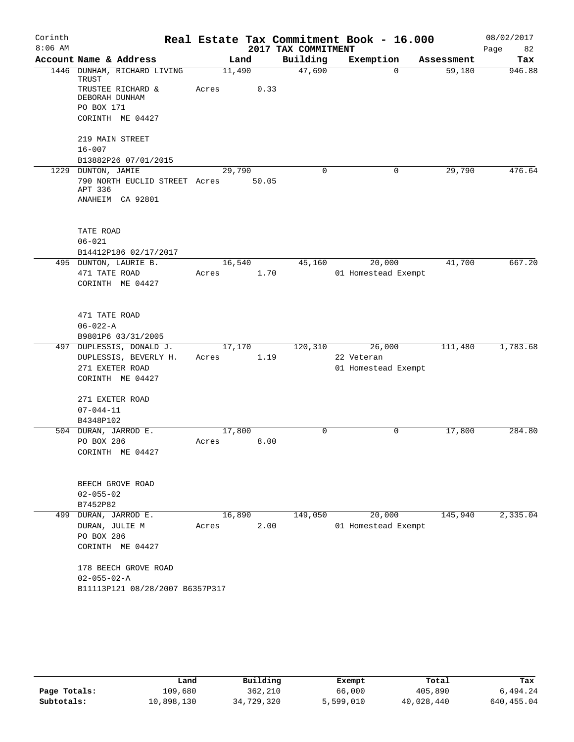| Corinth<br>$8:06$ AM |                                                              |        |       | 2017 TAX COMMITMENT | Real Estate Tax Commitment Book - 16.000 |            | 08/02/2017<br>82 |
|----------------------|--------------------------------------------------------------|--------|-------|---------------------|------------------------------------------|------------|------------------|
|                      | Account Name & Address                                       |        | Land  | Building            | Exemption                                | Assessment | Page<br>Tax      |
|                      | 1446 DUNHAM, RICHARD LIVING                                  | 11,490 |       | 47,690              | $\Omega$                                 | 59,180     | 946.88           |
|                      | TRUST<br>TRUSTEE RICHARD &<br>DEBORAH DUNHAM<br>PO BOX 171   | Acres  | 0.33  |                     |                                          |            |                  |
|                      | CORINTH ME 04427                                             |        |       |                     |                                          |            |                  |
|                      | 219 MAIN STREET<br>$16 - 007$                                |        |       |                     |                                          |            |                  |
|                      | B13882P26 07/01/2015                                         |        |       |                     |                                          |            |                  |
|                      | 1229 DUNTON, JAMIE                                           | 29,790 |       | 0                   | 0                                        | 29,790     | 476.64           |
|                      | 790 NORTH EUCLID STREET Acres<br>APT 336<br>ANAHEIM CA 92801 |        | 50.05 |                     |                                          |            |                  |
|                      |                                                              |        |       |                     |                                          |            |                  |
|                      | TATE ROAD                                                    |        |       |                     |                                          |            |                  |
|                      | $06 - 021$                                                   |        |       |                     |                                          |            |                  |
|                      | B14412P186 02/17/2017                                        |        |       |                     |                                          |            |                  |
|                      | 495 DUNTON, LAURIE B.                                        | 16,540 |       | 45,160              | 20,000                                   | 41,700     | 667.20           |
|                      | 471 TATE ROAD                                                | Acres  | 1.70  |                     | 01 Homestead Exempt                      |            |                  |
|                      | CORINTH ME 04427                                             |        |       |                     |                                          |            |                  |
|                      | 471 TATE ROAD                                                |        |       |                     |                                          |            |                  |
|                      | $06 - 022 - A$                                               |        |       |                     |                                          |            |                  |
|                      | B9801P6 03/31/2005                                           |        |       |                     |                                          |            |                  |
|                      | 497 DUPLESSIS, DONALD J.                                     | 17,170 |       | 120,310             | 26,000                                   | 111,480    | 1,783.68         |
|                      | DUPLESSIS, BEVERLY H.                                        | Acres  | 1.19  |                     | 22 Veteran                               |            |                  |
|                      | 271 EXETER ROAD                                              |        |       |                     | 01 Homestead Exempt                      |            |                  |
|                      | CORINTH ME 04427                                             |        |       |                     |                                          |            |                  |
|                      | 271 EXETER ROAD                                              |        |       |                     |                                          |            |                  |
|                      | $07 - 044 - 11$                                              |        |       |                     |                                          |            |                  |
|                      | B4348P102                                                    |        |       |                     |                                          |            |                  |
|                      | 504 DURAN, JARROD E.                                         | 17,800 |       | 0                   | 0                                        | 17,800     | 284.80           |
|                      | PO BOX 286                                                   | Acres  | 8.00  |                     |                                          |            |                  |
|                      | CORINTH ME 04427                                             |        |       |                     |                                          |            |                  |
|                      | BEECH GROVE ROAD                                             |        |       |                     |                                          |            |                  |
|                      | $02 - 055 - 02$                                              |        |       |                     |                                          |            |                  |
|                      | B7452P82                                                     |        |       |                     |                                          |            |                  |
|                      | 499 DURAN, JARROD E.                                         | 16,890 |       | 149,050             | 20,000                                   | 145,940    | 2,335.04         |
|                      | DURAN, JULIE M                                               | Acres  | 2.00  |                     | 01 Homestead Exempt                      |            |                  |
|                      | PO BOX 286                                                   |        |       |                     |                                          |            |                  |
|                      | CORINTH ME 04427                                             |        |       |                     |                                          |            |                  |
|                      | 178 BEECH GROVE ROAD                                         |        |       |                     |                                          |            |                  |
|                      | $02 - 055 - 02 - A$                                          |        |       |                     |                                          |            |                  |
|                      | B11113P121 08/28/2007 B6357P317                              |        |       |                     |                                          |            |                  |

|              | Land       | Building   | Exempt    | Total      | Tax        |
|--------------|------------|------------|-----------|------------|------------|
| Page Totals: | 109,680    | 362,210    | 66,000    | 405,890    | 6,494.24   |
| Subtotals:   | 10,898,130 | 34,729,320 | 5,599,010 | 40,028,440 | 640,455.04 |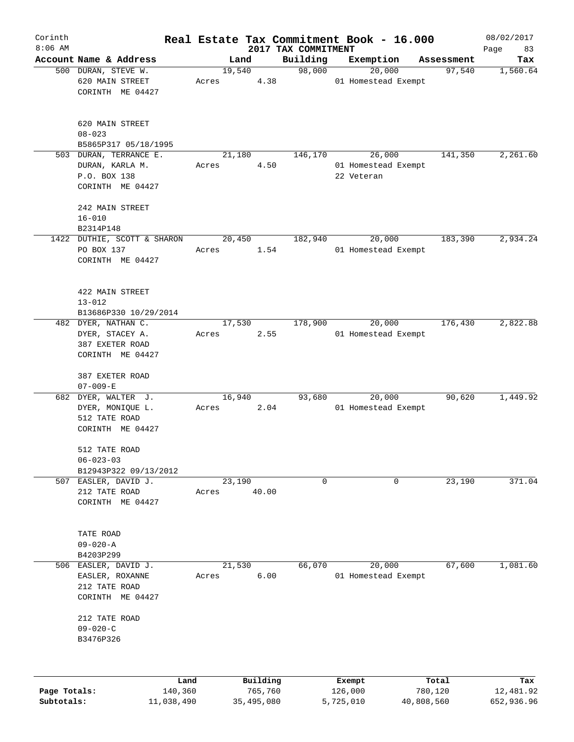| Corinth      |                                         |                 |                     |                                 | Real Estate Tax Commitment Book - 16.000 |                      | 08/02/2017        |
|--------------|-----------------------------------------|-----------------|---------------------|---------------------------------|------------------------------------------|----------------------|-------------------|
| $8:06$ AM    | Account Name & Address                  | Land            |                     | 2017 TAX COMMITMENT<br>Building |                                          |                      | Page<br>83<br>Tax |
|              | 500 DURAN, STEVE W.                     | 19,540          |                     | 98,000                          | Exemption<br>20,000                      | Assessment<br>97,540 | 1,560.64          |
|              | 620 MAIN STREET<br>CORINTH ME 04427     | Acres           | 4.38                |                                 | 01 Homestead Exempt                      |                      |                   |
|              | 620 MAIN STREET<br>$08 - 023$           |                 |                     |                                 |                                          |                      |                   |
|              | B5865P317 05/18/1995                    |                 |                     |                                 |                                          |                      |                   |
|              | 503 DURAN, TERRANCE E.                  | 21,180          |                     | 146,170                         | 26,000                                   | 141,350              | 2,261.60          |
|              | DURAN, KARLA M.                         | Acres           | 4.50                |                                 | 01 Homestead Exempt                      |                      |                   |
|              | P.O. BOX 138                            |                 |                     |                                 | 22 Veteran                               |                      |                   |
|              | CORINTH ME 04427                        |                 |                     |                                 |                                          |                      |                   |
|              | 242 MAIN STREET                         |                 |                     |                                 |                                          |                      |                   |
|              | $16 - 010$                              |                 |                     |                                 |                                          |                      |                   |
|              | B2314P148                               |                 |                     |                                 |                                          |                      |                   |
|              | 1422 DUTHIE, SCOTT & SHARON             | 20,450          |                     | 182,940                         | 20,000                                   | 183,390              | 2,934.24          |
|              | PO BOX 137                              | Acres           | 1.54                |                                 | 01 Homestead Exempt                      |                      |                   |
|              | CORINTH ME 04427                        |                 |                     |                                 |                                          |                      |                   |
|              | 422 MAIN STREET                         |                 |                     |                                 |                                          |                      |                   |
|              | $13 - 012$                              |                 |                     |                                 |                                          |                      |                   |
|              | B13686P330 10/29/2014                   |                 |                     |                                 |                                          |                      |                   |
|              | 482 DYER, NATHAN C.                     | 17,530          |                     | 178,900                         | 20,000                                   | 176,430              | 2,822.88          |
|              | DYER, STACEY A.                         | Acres           | 2.55                |                                 | 01 Homestead Exempt                      |                      |                   |
|              | 387 EXETER ROAD                         |                 |                     |                                 |                                          |                      |                   |
|              | CORINTH ME 04427                        |                 |                     |                                 |                                          |                      |                   |
|              | 387 EXETER ROAD                         |                 |                     |                                 |                                          |                      |                   |
|              | $07 - 009 - E$                          |                 |                     |                                 |                                          |                      |                   |
|              | 682 DYER, WALTER J.                     | 16,940          |                     | 93,680                          | 20,000                                   | 90,620               | 1,449.92          |
|              | DYER, MONIQUE L.                        | Acres           | 2.04                |                                 | 01 Homestead Exempt                      |                      |                   |
|              | 512 TATE ROAD                           |                 |                     |                                 |                                          |                      |                   |
|              | CORINTH ME 04427                        |                 |                     |                                 |                                          |                      |                   |
|              | 512 TATE ROAD                           |                 |                     |                                 |                                          |                      |                   |
|              | $06 - 023 - 03$                         |                 |                     |                                 |                                          |                      |                   |
|              | B12943P322 09/13/2012                   |                 |                     |                                 |                                          |                      |                   |
| 507          | EASLER, DAVID J.                        | 23,190          |                     | 0                               | 0                                        | 23,190               | 371.04            |
|              | 212 TATE ROAD                           | Acres           | 40.00               |                                 |                                          |                      |                   |
|              | CORINTH ME 04427                        |                 |                     |                                 |                                          |                      |                   |
|              |                                         |                 |                     |                                 |                                          |                      |                   |
|              | TATE ROAD                               |                 |                     |                                 |                                          |                      |                   |
|              | $09 - 020 - A$                          |                 |                     |                                 |                                          |                      |                   |
|              | B4203P299                               |                 |                     | 66,070                          |                                          | 67,600               | 1,081.60          |
|              | 506 EASLER, DAVID J.<br>EASLER, ROXANNE | 21,530<br>Acres | 6.00                |                                 | 20,000<br>01 Homestead Exempt            |                      |                   |
|              | 212 TATE ROAD                           |                 |                     |                                 |                                          |                      |                   |
|              | CORINTH ME 04427                        |                 |                     |                                 |                                          |                      |                   |
|              | 212 TATE ROAD                           |                 |                     |                                 |                                          |                      |                   |
|              | $09 - 020 - C$                          |                 |                     |                                 |                                          |                      |                   |
|              | B3476P326                               |                 |                     |                                 |                                          |                      |                   |
|              |                                         |                 |                     |                                 |                                          |                      |                   |
|              |                                         |                 |                     |                                 |                                          |                      |                   |
| Page Totals: | Land<br>140,360                         |                 | Building<br>765,760 |                                 | Exempt<br>126,000                        | Total<br>780,120     | Tax<br>12,481.92  |
| Subtotals:   | 11,038,490                              |                 | 35,495,080          |                                 | 5,725,010                                | 40,808,560           | 652,936.96        |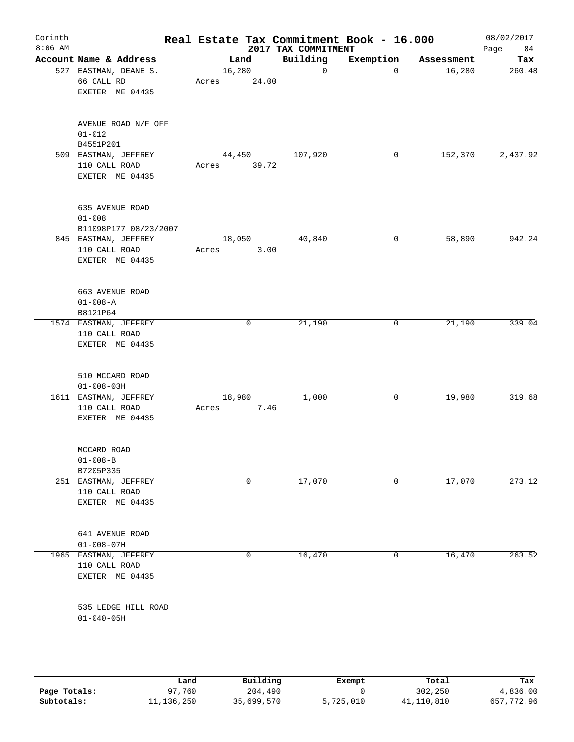| Corinth<br>$8:06$ AM |                                                           |                 |              | 2017 TAX COMMITMENT | Real Estate Tax Commitment Book - 16.000 |            | 08/02/2017<br>84<br>Page |
|----------------------|-----------------------------------------------------------|-----------------|--------------|---------------------|------------------------------------------|------------|--------------------------|
|                      | Account Name & Address                                    | Land            |              | Building            | Exemption                                | Assessment | Tax                      |
|                      | 527 EASTMAN, DEANE S.<br>66 CALL RD<br>EXETER ME 04435    | 16,280<br>Acres | 24.00        | $\mathbf 0$         | 0                                        | 16,280     | 260.48                   |
|                      | AVENUE ROAD N/F OFF<br>$01 - 012$<br>B4551P201            |                 |              |                     |                                          |            |                          |
|                      | 509 EASTMAN, JEFFREY<br>110 CALL ROAD<br>EXETER ME 04435  | 44,450<br>Acres | 39.72        | 107,920             | 0                                        | 152,370    | 2,437.92                 |
|                      | 635 AVENUE ROAD<br>$01 - 008$<br>B11098P177 08/23/2007    |                 |              |                     |                                          |            |                          |
|                      | 845 EASTMAN, JEFFREY<br>110 CALL ROAD<br>EXETER ME 04435  | 18,050<br>Acres | 3.00         | 40,840              | 0                                        | 58,890     | 942.24                   |
|                      | 663 AVENUE ROAD<br>$01 - 008 - A$<br>B8121P64             |                 |              |                     |                                          |            |                          |
|                      | 1574 EASTMAN, JEFFREY<br>110 CALL ROAD<br>EXETER ME 04435 |                 | $\mathsf{O}$ | 21,190              | $\mathsf{O}$                             | 21,190     | 339.04                   |
|                      | 510 MCCARD ROAD<br>$01 - 008 - 03H$                       |                 |              |                     |                                          |            |                          |
|                      | 1611 EASTMAN, JEFFREY<br>110 CALL ROAD<br>EXETER ME 04435 | 18,980<br>Acres | 7.46         | 1,000               | 0                                        | 19,980     | 319.68                   |
|                      | MCCARD ROAD<br>$01 - 008 - B$<br>B7205P335                |                 |              |                     |                                          |            |                          |
|                      | 251 EASTMAN, JEFFREY<br>110 CALL ROAD<br>EXETER ME 04435  |                 | 0            | 17,070              | 0                                        | 17,070     | 273.12                   |
|                      | 641 AVENUE ROAD<br>$01 - 008 - 07H$                       |                 |              |                     |                                          |            |                          |
|                      | 1965 EASTMAN, JEFFREY<br>110 CALL ROAD<br>EXETER ME 04435 |                 | 0            | 16,470              | $\mathbf 0$                              | 16,470     | 263.52                   |
|                      | 535 LEDGE HILL ROAD<br>$01 - 040 - 05H$                   |                 |              |                     |                                          |            |                          |

|              | Land       | Building   | Exempt    | Total      | Tax        |
|--------------|------------|------------|-----------|------------|------------|
| Page Totals: | 97,760     | 204,490    |           | 302,250    | 4,836.00   |
| Subtotals:   | 11,136,250 | 35,699,570 | 5,725,010 | 41,110,810 | 657,772.96 |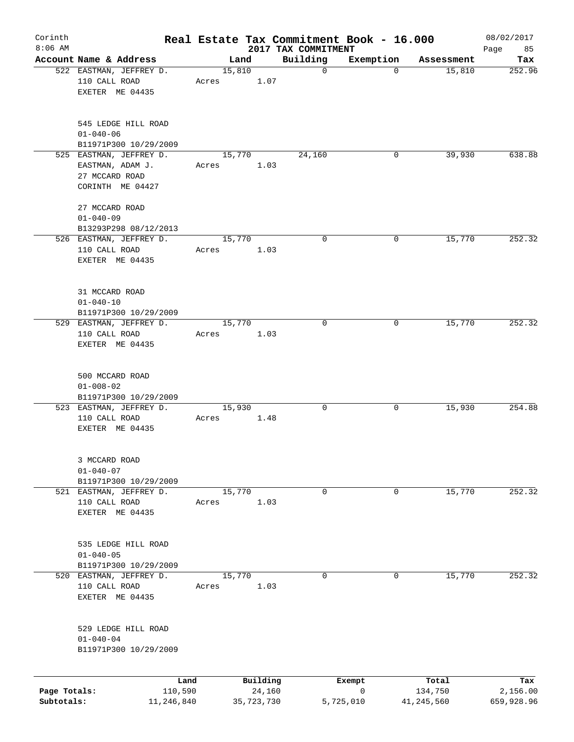| Corinth      |                                                                                   |                 |       |                |                    | Real Estate Tax Commitment Book - 16.000 |                |                      | 08/02/2017      |
|--------------|-----------------------------------------------------------------------------------|-----------------|-------|----------------|--------------------|------------------------------------------|----------------|----------------------|-----------------|
| $8:06$ AM    | Account Name & Address                                                            |                 |       |                |                    | 2017 TAX COMMITMENT                      |                |                      | 85<br>Page      |
|              | 522 EASTMAN, JEFFREY D.<br>110 CALL ROAD<br>EXETER ME 04435                       |                 | Acres | Land<br>15,810 | 1.07               | Building<br>$\mathbf 0$                  | Exemption<br>0 | Assessment<br>15,810 | Tax<br>252.96   |
|              | 545 LEDGE HILL ROAD<br>$01 - 040 - 06$<br>B11971P300 10/29/2009                   |                 |       |                |                    |                                          |                |                      |                 |
|              | 525 EASTMAN, JEFFREY D.<br>EASTMAN, ADAM J.<br>27 MCCARD ROAD<br>CORINTH ME 04427 |                 | Acres | 15,770         | 1.03               | 24,160                                   | 0              | 39,930               | 638.88          |
|              | 27 MCCARD ROAD<br>$01 - 040 - 09$<br>B13293P298 08/12/2013                        |                 |       |                |                    |                                          |                |                      |                 |
|              | 526 EASTMAN, JEFFREY D.<br>110 CALL ROAD<br>EXETER ME 04435                       |                 | Acres | 15,770         | 1.03               | 0                                        | 0              | 15,770               | 252.32          |
|              | 31 MCCARD ROAD<br>$01 - 040 - 10$<br>B11971P300 10/29/2009                        |                 |       |                |                    |                                          |                |                      |                 |
|              | 529 EASTMAN, JEFFREY D.<br>110 CALL ROAD<br>EXETER ME 04435                       |                 | Acres | 15,770         | 1.03               | $\Omega$                                 | 0              | 15,770               | 252.32          |
|              | 500 MCCARD ROAD<br>$01 - 008 - 02$<br>B11971P300 10/29/2009                       |                 |       |                |                    |                                          |                |                      |                 |
|              | 523 EASTMAN, JEFFREY D.<br>110 CALL ROAD<br>EXETER ME 04435                       |                 | Acres | 15,930         | 1.48               | 0                                        | 0              | 15,930               | 254.88          |
|              | 3 MCCARD ROAD<br>$01 - 040 - 07$<br>B11971P300 10/29/2009                         |                 |       |                |                    |                                          |                |                      |                 |
|              | 521 EASTMAN, JEFFREY D.<br>110 CALL ROAD<br>EXETER ME 04435                       |                 | Acres | 15,770         | 1.03               | 0                                        | 0              | 15,770               | 252.32          |
|              | 535 LEDGE HILL ROAD<br>$01 - 040 - 05$<br>B11971P300 10/29/2009                   |                 |       |                |                    |                                          |                |                      |                 |
|              | 520 EASTMAN, JEFFREY D.<br>110 CALL ROAD<br>EXETER ME 04435                       |                 | Acres | 15,770         | 1.03               | 0                                        | 0              | 15,770               | 252.32          |
|              | 529 LEDGE HILL ROAD<br>$01 - 040 - 04$<br>B11971P300 10/29/2009                   |                 |       |                |                    |                                          |                |                      |                 |
| Page Totals: |                                                                                   | Land<br>110,590 |       |                | Building<br>24,160 |                                          | Exempt<br>0    | Total<br>134,750     | Tax<br>2,156.00 |
| Subtotals:   |                                                                                   | 11,246,840      |       |                | 35,723,730         |                                          | 5,725,010      | 41,245,560           | 659,928.96      |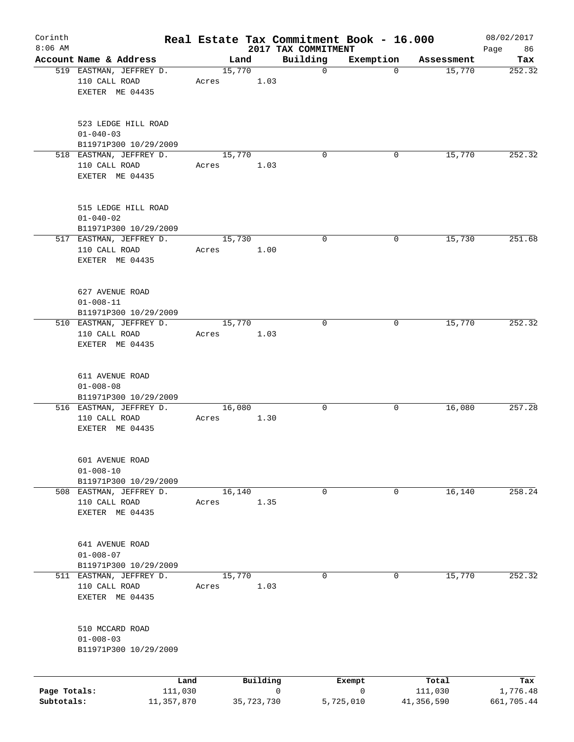| Corinth<br>$8:06$ AM |                                                                 |                 |       |        |            | Real Estate Tax Commitment Book - 16.000 |             |                  | 08/02/2017        |
|----------------------|-----------------------------------------------------------------|-----------------|-------|--------|------------|------------------------------------------|-------------|------------------|-------------------|
|                      | Account Name & Address                                          |                 |       | Land   |            | 2017 TAX COMMITMENT<br>Building          | Exemption   | Assessment       | 86<br>Page<br>Tax |
|                      | 519 EASTMAN, JEFFREY D.<br>110 CALL ROAD<br>EXETER ME 04435     |                 | Acres | 15,770 | 1.03       | $\mathbf 0$                              | $\mathbf 0$ | 15,770           | 252.32            |
|                      | 523 LEDGE HILL ROAD<br>$01 - 040 - 03$<br>B11971P300 10/29/2009 |                 |       |        |            |                                          |             |                  |                   |
|                      | 518 EASTMAN, JEFFREY D.<br>110 CALL ROAD<br>EXETER ME 04435     |                 | Acres | 15,770 | 1.03       | $\Omega$                                 | 0           | 15,770           | 252.32            |
|                      | 515 LEDGE HILL ROAD<br>$01 - 040 - 02$<br>B11971P300 10/29/2009 |                 |       |        |            |                                          |             |                  |                   |
|                      | 517 EASTMAN, JEFFREY D.<br>110 CALL ROAD<br>EXETER ME 04435     |                 | Acres | 15,730 | 1.00       | $\mathbf 0$                              | 0           | 15,730           | 251.68            |
|                      | 627 AVENUE ROAD<br>$01 - 008 - 11$<br>B11971P300 10/29/2009     |                 |       |        |            |                                          |             |                  |                   |
|                      | 510 EASTMAN, JEFFREY D.<br>110 CALL ROAD<br>EXETER ME 04435     |                 | Acres | 15,770 | 1.03       | $\mathbf 0$                              | 0           | 15,770           | 252.32            |
|                      | 611 AVENUE ROAD<br>$01 - 008 - 08$<br>B11971P300 10/29/2009     |                 |       |        |            |                                          |             |                  |                   |
|                      | 516 EASTMAN, JEFFREY D.<br>110 CALL ROAD<br>EXETER ME 04435     |                 | Acres | 16,080 | 1.30       | 0                                        | 0           | 16,080           | 257.28            |
|                      | 601 AVENUE ROAD<br>$01 - 008 - 10$<br>B11971P300 10/29/2009     |                 |       |        |            |                                          |             |                  |                   |
|                      | 508 EASTMAN, JEFFREY D.<br>110 CALL ROAD<br>EXETER ME 04435     |                 | Acres | 16,140 | 1.35       | 0                                        | 0           | 16,140           | 258.24            |
|                      | 641 AVENUE ROAD<br>$01 - 008 - 07$<br>B11971P300 10/29/2009     |                 |       |        |            |                                          |             |                  |                   |
|                      | 511 EASTMAN, JEFFREY D.<br>110 CALL ROAD<br>EXETER ME 04435     |                 | Acres | 15,770 | 1.03       | 0                                        | 0           | 15,770           | 252.32            |
|                      | 510 MCCARD ROAD<br>$01 - 008 - 03$<br>B11971P300 10/29/2009     |                 |       |        |            |                                          |             |                  |                   |
| Page Totals:         |                                                                 | Land<br>111,030 |       |        | Building   | $\mathbf 0$                              | Exempt<br>0 | Total<br>111,030 | Tax<br>1,776.48   |
| Subtotals:           |                                                                 | 11,357,870      |       |        | 35,723,730 |                                          | 5,725,010   | 41,356,590       | 661,705.44        |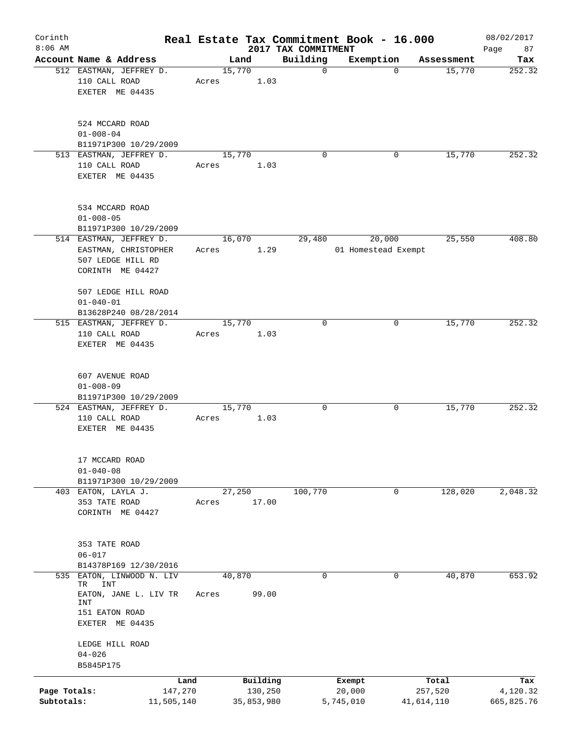| Corinth                    |                                                                                                         |                               |       |        |                                   |                                 | Real Estate Tax Commitment Book - 16.000 |             |                  | 08/02/2017                    |
|----------------------------|---------------------------------------------------------------------------------------------------------|-------------------------------|-------|--------|-----------------------------------|---------------------------------|------------------------------------------|-------------|------------------|-------------------------------|
| $8:06$ AM                  | Account Name & Address                                                                                  |                               |       | Land   |                                   | 2017 TAX COMMITMENT<br>Building | Exemption                                |             | Assessment       | 87<br>Page<br>Tax             |
|                            | 512 EASTMAN, JEFFREY D.<br>110 CALL ROAD<br>EXETER ME 04435                                             |                               | Acres | 15,770 | 1.03                              | $\mathbf 0$                     |                                          | $\mathbf 0$ | 15,770           | 252.32                        |
|                            | 524 MCCARD ROAD<br>$01 - 008 - 04$<br>B11971P300 10/29/2009                                             |                               |       |        |                                   |                                 |                                          |             |                  |                               |
|                            | 513 EASTMAN, JEFFREY D.<br>110 CALL ROAD<br>EXETER ME 04435                                             |                               | Acres | 15,770 | 1.03                              | $\Omega$                        |                                          | 0           | 15,770           | 252.32                        |
|                            | 534 MCCARD ROAD<br>$01 - 008 - 05$<br>B11971P300 10/29/2009                                             |                               |       |        |                                   |                                 |                                          |             |                  |                               |
|                            | 514 EASTMAN, JEFFREY D.<br>EASTMAN, CHRISTOPHER<br>507 LEDGE HILL RD<br>CORINTH ME 04427                |                               | Acres | 16,070 | 1.29                              | 29,480                          | 20,000<br>01 Homestead Exempt            |             | 25,550           | 408.80                        |
|                            | 507 LEDGE HILL ROAD<br>$01 - 040 - 01$<br>B13628P240 08/28/2014                                         |                               |       |        |                                   |                                 |                                          |             |                  |                               |
|                            | 515 EASTMAN, JEFFREY D.<br>110 CALL ROAD<br>EXETER ME 04435                                             |                               | Acres | 15,770 | 1.03                              | $\mathbf 0$                     |                                          | 0           | 15,770           | 252.32                        |
|                            | 607 AVENUE ROAD<br>$01 - 008 - 09$<br>B11971P300 10/29/2009                                             |                               |       |        |                                   |                                 |                                          |             |                  |                               |
|                            | 524 EASTMAN, JEFFREY D.<br>110 CALL ROAD<br>EXETER ME 04435                                             |                               | Acres | 15,770 | 1.03                              | 0                               |                                          | 0           | 15,770           | 252.32                        |
|                            | 17 MCCARD ROAD<br>$01 - 040 - 08$<br>B11971P300 10/29/2009                                              |                               |       |        |                                   |                                 |                                          |             |                  |                               |
|                            | 403 EATON, LAYLA J.<br>353 TATE ROAD<br>CORINTH ME 04427                                                |                               | Acres | 27,250 | 17.00                             | 100,770                         |                                          | 0           | 128,020          | 2,048.32                      |
|                            | 353 TATE ROAD<br>$06 - 017$<br>B14378P169 12/30/2016                                                    |                               |       |        |                                   |                                 |                                          |             |                  |                               |
| 535                        | EATON, LINWOOD N. LIV<br>TR<br>INT<br>EATON, JANE L. LIV TR<br>INT<br>151 EATON ROAD<br>EXETER ME 04435 |                               | Acres | 40,870 | 99.00                             | 0                               |                                          | 0           | 40,870           | 653.92                        |
|                            | LEDGE HILL ROAD<br>$04 - 026$<br>B5845P175                                                              |                               |       |        |                                   |                                 |                                          |             |                  |                               |
| Page Totals:<br>Subtotals: |                                                                                                         | Land<br>147,270<br>11,505,140 |       |        | Building<br>130,250<br>35,853,980 |                                 | Exempt<br>20,000<br>5,745,010            | 41,614,110  | Total<br>257,520 | Tax<br>4,120.32<br>665,825.76 |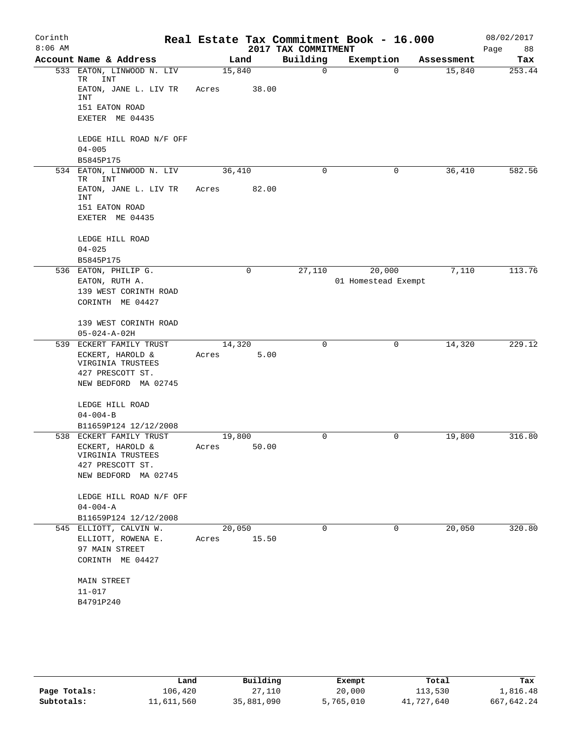| Corinth   |                                                 |        |       |                         | Real Estate Tax Commitment Book - 16.000 |                      | 08/02/2017    |
|-----------|-------------------------------------------------|--------|-------|-------------------------|------------------------------------------|----------------------|---------------|
| $8:06$ AM |                                                 |        |       | 2017 TAX COMMITMENT     |                                          |                      | Page<br>88    |
| 533       | Account Name & Address<br>EATON, LINWOOD N. LIV | 15,840 | Land  | Building<br>$\mathbf 0$ | Exemption<br>$\Omega$                    | Assessment<br>15,840 | Tax<br>253.44 |
|           | TR<br>INT<br>EATON, JANE L. LIV TR              | Acres  | 38.00 |                         |                                          |                      |               |
|           | INT                                             |        |       |                         |                                          |                      |               |
|           | 151 EATON ROAD<br>EXETER ME 04435               |        |       |                         |                                          |                      |               |
|           | LEDGE HILL ROAD N/F OFF                         |        |       |                         |                                          |                      |               |
|           | $04 - 005$                                      |        |       |                         |                                          |                      |               |
| 534       | B5845P175<br>EATON, LINWOOD N. LIV              |        |       | 0                       | $\mathbf 0$                              |                      | 582.56        |
|           | TR<br>INT                                       | 36,410 |       |                         |                                          | 36,410               |               |
|           | EATON, JANE L. LIV TR<br>INT                    | Acres  | 82.00 |                         |                                          |                      |               |
|           | 151 EATON ROAD                                  |        |       |                         |                                          |                      |               |
|           | EXETER ME 04435                                 |        |       |                         |                                          |                      |               |
|           | LEDGE HILL ROAD                                 |        |       |                         |                                          |                      |               |
|           | $04 - 025$                                      |        |       |                         |                                          |                      |               |
|           | B5845P175                                       |        |       |                         |                                          |                      |               |
|           | 536 EATON, PHILIP G.                            |        | 0     | 27,110                  | 20,000                                   | 7,110                | 113.76        |
|           | EATON, RUTH A.                                  |        |       |                         | 01 Homestead Exempt                      |                      |               |
|           | 139 WEST CORINTH ROAD<br>CORINTH ME 04427       |        |       |                         |                                          |                      |               |
|           |                                                 |        |       |                         |                                          |                      |               |
|           | 139 WEST CORINTH ROAD                           |        |       |                         |                                          |                      |               |
|           | $05 - 024 - A - 02H$<br>539 ECKERT FAMILY TRUST | 14,320 |       | 0                       | 0                                        | 14,320               | 229.12        |
|           | ECKERT, HAROLD &                                | Acres  | 5.00  |                         |                                          |                      |               |
|           | VIRGINIA TRUSTEES                               |        |       |                         |                                          |                      |               |
|           | 427 PRESCOTT ST.                                |        |       |                         |                                          |                      |               |
|           | NEW BEDFORD MA 02745                            |        |       |                         |                                          |                      |               |
|           | LEDGE HILL ROAD                                 |        |       |                         |                                          |                      |               |
|           | $04 - 004 - B$                                  |        |       |                         |                                          |                      |               |
|           | B11659P124 12/12/2008                           |        |       |                         |                                          |                      |               |
|           | 538 ECKERT FAMILY TRUST                         | 19,800 |       | $\mathbf 0$             | 0                                        | 19,800               | 316.80        |
|           | ECKERT, HAROLD &                                | Acres  | 50.00 |                         |                                          |                      |               |
|           | VIRGINIA TRUSTEES<br>427 PRESCOTT ST.           |        |       |                         |                                          |                      |               |
|           | NEW BEDFORD MA 02745                            |        |       |                         |                                          |                      |               |
|           |                                                 |        |       |                         |                                          |                      |               |
|           | LEDGE HILL ROAD N/F OFF<br>$04 - 004 - A$       |        |       |                         |                                          |                      |               |
|           | B11659P124 12/12/2008                           |        |       |                         |                                          |                      |               |
|           | 545 ELLIOTT, CALVIN W.                          | 20,050 |       | 0                       | 0                                        | 20,050               | 320.80        |
|           | ELLIOTT, ROWENA E.                              | Acres  | 15.50 |                         |                                          |                      |               |
|           | 97 MAIN STREET                                  |        |       |                         |                                          |                      |               |
|           | CORINTH ME 04427                                |        |       |                         |                                          |                      |               |
|           | MAIN STREET                                     |        |       |                         |                                          |                      |               |
|           | 11-017                                          |        |       |                         |                                          |                      |               |
|           | B4791P240                                       |        |       |                         |                                          |                      |               |
|           |                                                 |        |       |                         |                                          |                      |               |

|              | Land       | Building   | Exempt    | Total      | Tax        |
|--------------|------------|------------|-----------|------------|------------|
| Page Totals: | 106,420    | 27,110     | 20,000    | 113,530    | 1,816.48   |
| Subtotals:   | 11,611,560 | 35,881,090 | 5,765,010 | 41,727,640 | 667,642.24 |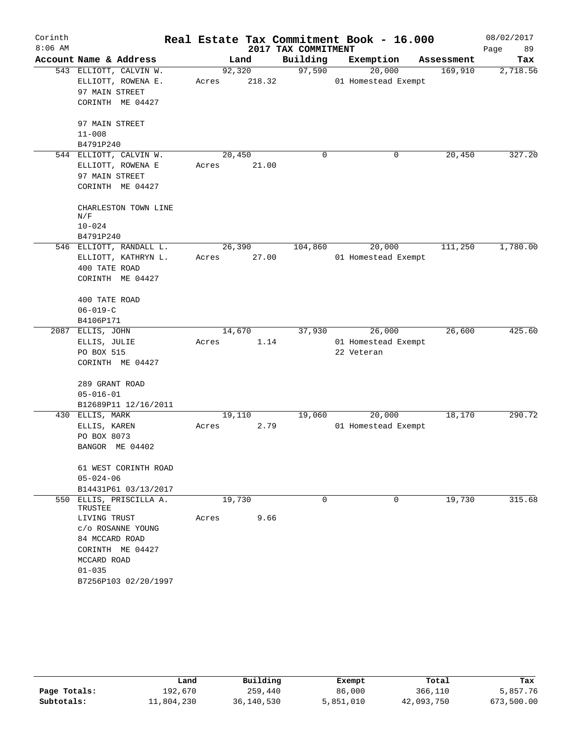| Corinth   |                                      |       |             |                     | Real Estate Tax Commitment Book - 16.000 |            | 08/02/2017 |
|-----------|--------------------------------------|-------|-------------|---------------------|------------------------------------------|------------|------------|
| $8:06$ AM |                                      |       |             | 2017 TAX COMMITMENT |                                          |            | 89<br>Page |
|           | Account Name & Address               |       | Land        | Building            | Exemption                                | Assessment | Tax        |
|           | 543 ELLIOTT, CALVIN W.               |       | 92,320      | 97,590              | 20,000                                   | 169,910    | 2,718.56   |
|           | ELLIOTT, ROWENA E.                   | Acres | 218.32      |                     | 01 Homestead Exempt                      |            |            |
|           | 97 MAIN STREET                       |       |             |                     |                                          |            |            |
|           | CORINTH ME 04427                     |       |             |                     |                                          |            |            |
|           | 97 MAIN STREET                       |       |             |                     |                                          |            |            |
|           | $11 - 008$                           |       |             |                     |                                          |            |            |
|           | B4791P240                            |       |             |                     |                                          |            |            |
|           | 544 ELLIOTT, CALVIN W.               |       | 20,450      | $\mathbf 0$         | 0                                        | 20,450     | 327.20     |
|           | ELLIOTT, ROWENA E                    |       | Acres 21.00 |                     |                                          |            |            |
|           | 97 MAIN STREET                       |       |             |                     |                                          |            |            |
|           | CORINTH ME 04427                     |       |             |                     |                                          |            |            |
|           | CHARLESTON TOWN LINE                 |       |             |                     |                                          |            |            |
|           | N/F                                  |       |             |                     |                                          |            |            |
|           | $10 - 024$                           |       |             |                     |                                          |            |            |
|           | B4791P240<br>546 ELLIOTT, RANDALL L. |       | 26,390      | 104,860             | 20,000                                   | 111,250    | 1,780.00   |
|           |                                      |       | Acres 27.00 |                     | 01 Homestead Exempt                      |            |            |
|           | ELLIOTT, KATHRYN L.<br>400 TATE ROAD |       |             |                     |                                          |            |            |
|           | CORINTH ME 04427                     |       |             |                     |                                          |            |            |
|           |                                      |       |             |                     |                                          |            |            |
|           | 400 TATE ROAD                        |       |             |                     |                                          |            |            |
|           | $06 - 019 - C$                       |       |             |                     |                                          |            |            |
|           | B4106P171                            |       |             |                     |                                          |            |            |
|           | 2087 ELLIS, JOHN                     |       | 14,670      |                     | 37,930<br>26,000                         | 26,600     | 425.60     |
|           | ELLIS, JULIE                         | Acres | 1.14        |                     | 01 Homestead Exempt                      |            |            |
|           | PO BOX 515                           |       |             |                     | 22 Veteran                               |            |            |
|           | CORINTH ME 04427                     |       |             |                     |                                          |            |            |
|           | 289 GRANT ROAD                       |       |             |                     |                                          |            |            |
|           | $05 - 016 - 01$                      |       |             |                     |                                          |            |            |
|           | B12689P11 12/16/2011                 |       |             |                     |                                          |            |            |
|           | 430 ELLIS, MARK                      |       | 19,110      | 19,060              | 20,000                                   | 18,170     | 290.72     |
|           | ELLIS, KAREN                         | Acres | 2.79        |                     | 01 Homestead Exempt                      |            |            |
|           | PO BOX 8073                          |       |             |                     |                                          |            |            |
|           | BANGOR ME 04402                      |       |             |                     |                                          |            |            |
|           | 61 WEST CORINTH ROAD                 |       |             |                     |                                          |            |            |
|           | $05 - 024 - 06$                      |       |             |                     |                                          |            |            |
|           | B14431P61 03/13/2017                 |       |             |                     |                                          |            |            |
|           | 550 ELLIS, PRISCILLA A.<br>TRUSTEE   |       | 19,730      | 0                   | 0                                        | 19,730     | 315.68     |
|           | LIVING TRUST                         | Acres | 9.66        |                     |                                          |            |            |
|           | c/o ROSANNE YOUNG                    |       |             |                     |                                          |            |            |
|           | 84 MCCARD ROAD                       |       |             |                     |                                          |            |            |
|           | CORINTH ME 04427                     |       |             |                     |                                          |            |            |
|           | MCCARD ROAD                          |       |             |                     |                                          |            |            |
|           | $01 - 035$                           |       |             |                     |                                          |            |            |
|           | B7256P103 02/20/1997                 |       |             |                     |                                          |            |            |

|              | Land       | Building   | Exempt    | Total      | Tax        |
|--------------|------------|------------|-----------|------------|------------|
| Page Totals: | 192,670    | 259,440    | 86,000    | 366,110    | 5,857.76   |
| Subtotals:   | 11,804,230 | 36,140,530 | 5,851,010 | 42,093,750 | 673,500.00 |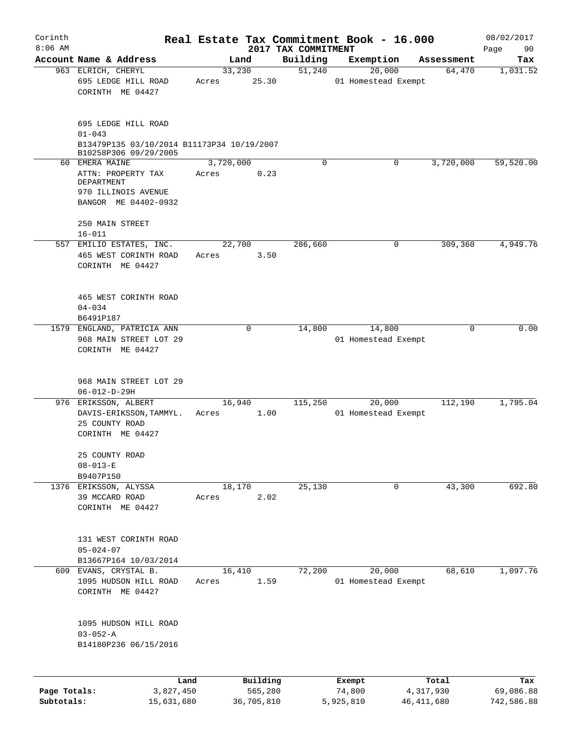| Corinth      |                                                                          |           |                |                                 | Real Estate Tax Commitment Book - 16.000 |                      | 08/02/2017      |
|--------------|--------------------------------------------------------------------------|-----------|----------------|---------------------------------|------------------------------------------|----------------------|-----------------|
| $8:06$ AM    | Account Name & Address                                                   |           |                | 2017 TAX COMMITMENT<br>Building |                                          |                      | Page<br>90      |
|              | 963 ELRICH, CHERYL                                                       |           | Land<br>33,230 | 51,240                          | Exemption<br>20,000                      | Assessment<br>64,470 | Tax<br>1,031.52 |
|              | 695 LEDGE HILL ROAD<br>CORINTH ME 04427                                  | Acres     | 25.30          |                                 | 01 Homestead Exempt                      |                      |                 |
|              | 695 LEDGE HILL ROAD<br>$01 - 043$                                        |           |                |                                 |                                          |                      |                 |
|              | B13479P135 03/10/2014 B11173P34 10/19/2007<br>B10258P306 09/29/2005      |           |                |                                 |                                          |                      |                 |
|              | 60 EMERA MAINE                                                           | 3,720,000 |                | $\Omega$                        | 0                                        | 3,720,000            | 59,520.00       |
|              | ATTN: PROPERTY TAX<br>DEPARTMENT                                         | Acres     | 0.23           |                                 |                                          |                      |                 |
|              | 970 ILLINOIS AVENUE<br>BANGOR ME 04402-0932                              |           |                |                                 |                                          |                      |                 |
|              | 250 MAIN STREET<br>$16 - 011$                                            |           |                |                                 |                                          |                      |                 |
|              | 557 EMILIO ESTATES, INC.                                                 |           | 22,700         | 286,660                         | 0                                        | 309,360              | 4,949.76        |
|              | 465 WEST CORINTH ROAD<br>CORINTH ME 04427                                | Acres     | 3.50           |                                 |                                          |                      |                 |
|              | 465 WEST CORINTH ROAD<br>$04 - 034$                                      |           |                |                                 |                                          |                      |                 |
|              | B6491P187                                                                |           |                |                                 |                                          |                      |                 |
|              | 1579 ENGLAND, PATRICIA ANN<br>968 MAIN STREET LOT 29<br>CORINTH ME 04427 |           | 0              | 14,800                          | 14,800<br>01 Homestead Exempt            | 0                    | 0.00            |
|              | 968 MAIN STREET LOT 29<br>$06 - 012 - D - 29H$                           |           |                |                                 |                                          |                      |                 |
|              | 976 ERIKSSON, ALBERT                                                     |           | 16,940         | 115,250                         | 20,000                                   | 112,190              | 1,795.04        |
|              | DAVIS-ERIKSSON, TAMMYL.<br>25 COUNTY ROAD<br>CORINTH ME 04427            | Acres     | 1.00           |                                 | 01 Homestead Exempt                      |                      |                 |
|              | 25 COUNTY ROAD<br>$08 - 013 - E$<br>B9407P150                            |           |                |                                 |                                          |                      |                 |
|              | 1376 ERIKSSON, ALYSSA                                                    |           | 18,170         | 25,130                          | 0                                        | 43,300               | 692.80          |
|              | 39 MCCARD ROAD<br>CORINTH ME 04427                                       | Acres     | 2.02           |                                 |                                          |                      |                 |
|              | 131 WEST CORINTH ROAD<br>$05 - 024 - 07$                                 |           |                |                                 |                                          |                      |                 |
|              | B13667P164 10/03/2014<br>609 EVANS, CRYSTAL B.                           |           | 16,410         | 72,200                          | 20,000                                   | 68,610               | 1,097.76        |
|              | 1095 HUDSON HILL ROAD<br>CORINTH ME 04427                                | Acres     | 1.59           |                                 | 01 Homestead Exempt                      |                      |                 |
|              | 1095 HUDSON HILL ROAD<br>$03 - 052 - A$                                  |           |                |                                 |                                          |                      |                 |
|              | B14180P236 06/15/2016                                                    |           |                |                                 |                                          |                      |                 |
|              | Land                                                                     |           | Building       |                                 | Exempt                                   | Total                | Tax             |
| Page Totals: | 3,827,450                                                                |           | 565,280        |                                 | 74,800                                   | 4,317,930            | 69,086.88       |
| Subtotals:   | 15,631,680                                                               |           | 36,705,810     |                                 | 5,925,810                                | 46, 411, 680         | 742,586.88      |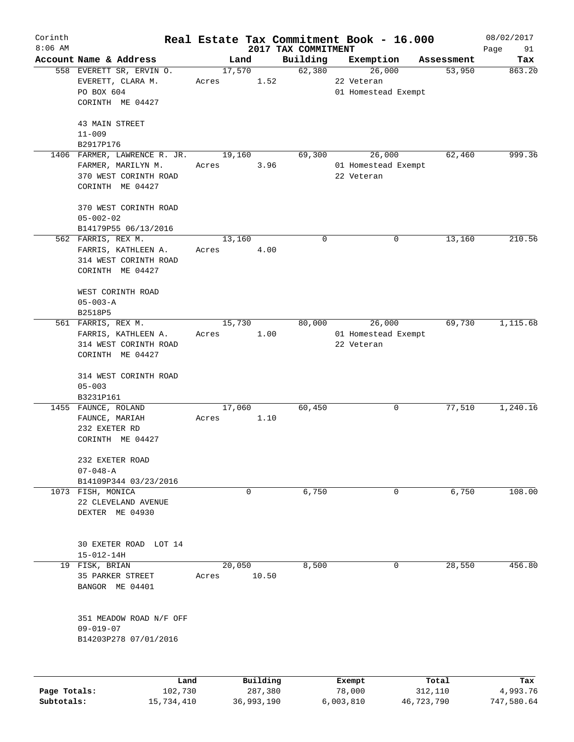| Corinth      |                              |       |            |                                 | Real Estate Tax Commitment Book - 16.000 |            | 08/02/2017        |
|--------------|------------------------------|-------|------------|---------------------------------|------------------------------------------|------------|-------------------|
| $8:06$ AM    | Account Name & Address       |       | Land       | 2017 TAX COMMITMENT<br>Building | Exemption                                | Assessment | Page<br>91<br>Tax |
|              | 558 EVERETT SR, ERVIN O.     |       | 17,570     | 62,380                          | 26,000                                   | 53,950     | 863.20            |
|              | EVERETT, CLARA M.            | Acres | 1.52       |                                 | 22 Veteran                               |            |                   |
|              | PO BOX 604                   |       |            |                                 | 01 Homestead Exempt                      |            |                   |
|              | CORINTH ME 04427             |       |            |                                 |                                          |            |                   |
|              |                              |       |            |                                 |                                          |            |                   |
|              | 43 MAIN STREET               |       |            |                                 |                                          |            |                   |
|              | $11 - 009$                   |       |            |                                 |                                          |            |                   |
|              | B2917P176                    |       |            |                                 |                                          |            |                   |
|              | 1406 FARMER, LAWRENCE R. JR. |       | 19,160     | 69,300                          | 26,000                                   | 62,460     | 999.36            |
|              | FARMER, MARILYN M.           | Acres | 3.96       |                                 | 01 Homestead Exempt                      |            |                   |
|              | 370 WEST CORINTH ROAD        |       |            |                                 | 22 Veteran                               |            |                   |
|              | CORINTH ME 04427             |       |            |                                 |                                          |            |                   |
|              | 370 WEST CORINTH ROAD        |       |            |                                 |                                          |            |                   |
|              | $05 - 002 - 02$              |       |            |                                 |                                          |            |                   |
|              | B14179P55 06/13/2016         |       |            |                                 |                                          |            |                   |
|              | 562 FARRIS, REX M.           |       | 13,160     | 0                               | $\mathbf 0$                              | 13,160     | 210.56            |
|              | FARRIS, KATHLEEN A.          | Acres | 4.00       |                                 |                                          |            |                   |
|              |                              |       |            |                                 |                                          |            |                   |
|              | 314 WEST CORINTH ROAD        |       |            |                                 |                                          |            |                   |
|              | CORINTH ME 04427             |       |            |                                 |                                          |            |                   |
|              | WEST CORINTH ROAD            |       |            |                                 |                                          |            |                   |
|              | $05 - 003 - A$               |       |            |                                 |                                          |            |                   |
|              | B2518P5                      |       |            |                                 |                                          |            |                   |
|              | 561 FARRIS, REX M.           |       | 15,730     | 80,000                          | 26,000                                   | 69,730     | 1,115.68          |
|              | FARRIS, KATHLEEN A.          | Acres | 1.00       |                                 | 01 Homestead Exempt                      |            |                   |
|              | 314 WEST CORINTH ROAD        |       |            |                                 | 22 Veteran                               |            |                   |
|              | CORINTH ME 04427             |       |            |                                 |                                          |            |                   |
|              |                              |       |            |                                 |                                          |            |                   |
|              | 314 WEST CORINTH ROAD        |       |            |                                 |                                          |            |                   |
|              | $05 - 003$                   |       |            |                                 |                                          |            |                   |
|              | B3231P161                    |       |            |                                 |                                          |            |                   |
|              | 1455 FAUNCE, ROLAND          |       | 17,060     | 60,450                          | 0                                        | 77,510     | 1,240.16          |
|              | FAUNCE, MARIAH               | Acres | 1.10       |                                 |                                          |            |                   |
|              | 232 EXETER RD                |       |            |                                 |                                          |            |                   |
|              | CORINTH ME 04427             |       |            |                                 |                                          |            |                   |
|              |                              |       |            |                                 |                                          |            |                   |
|              | 232 EXETER ROAD              |       |            |                                 |                                          |            |                   |
|              | $07 - 048 - A$               |       |            |                                 |                                          |            |                   |
|              | B14109P344 03/23/2016        |       |            |                                 |                                          |            |                   |
|              | 1073 FISH, MONICA            |       | 0          | 6,750                           | 0                                        | 6,750      | 108.00            |
|              | 22 CLEVELAND AVENUE          |       |            |                                 |                                          |            |                   |
|              | DEXTER ME 04930              |       |            |                                 |                                          |            |                   |
|              |                              |       |            |                                 |                                          |            |                   |
|              |                              |       |            |                                 |                                          |            |                   |
|              | 30 EXETER ROAD LOT 14        |       |            |                                 |                                          |            |                   |
|              | $15 - 012 - 14H$             |       |            |                                 |                                          |            |                   |
|              | 19 FISK, BRIAN               |       | 20,050     | 8,500                           | 0                                        | 28,550     | 456.80            |
|              | 35 PARKER STREET             | Acres | 10.50      |                                 |                                          |            |                   |
|              | BANGOR ME 04401              |       |            |                                 |                                          |            |                   |
|              |                              |       |            |                                 |                                          |            |                   |
|              | 351 MEADOW ROAD N/F OFF      |       |            |                                 |                                          |            |                   |
|              | $09 - 019 - 07$              |       |            |                                 |                                          |            |                   |
|              | B14203P278 07/01/2016        |       |            |                                 |                                          |            |                   |
|              |                              |       |            |                                 |                                          |            |                   |
|              |                              |       |            |                                 |                                          |            |                   |
|              |                              | Land  | Building   |                                 | Exempt                                   | Total      | Tax               |
| Page Totals: | 102,730                      |       | 287,380    |                                 | 78,000                                   | 312,110    | 4,993.76          |
| Subtotals:   | 15,734,410                   |       | 36,993,190 |                                 | 6,003,810                                | 46,723,790 | 747,580.64        |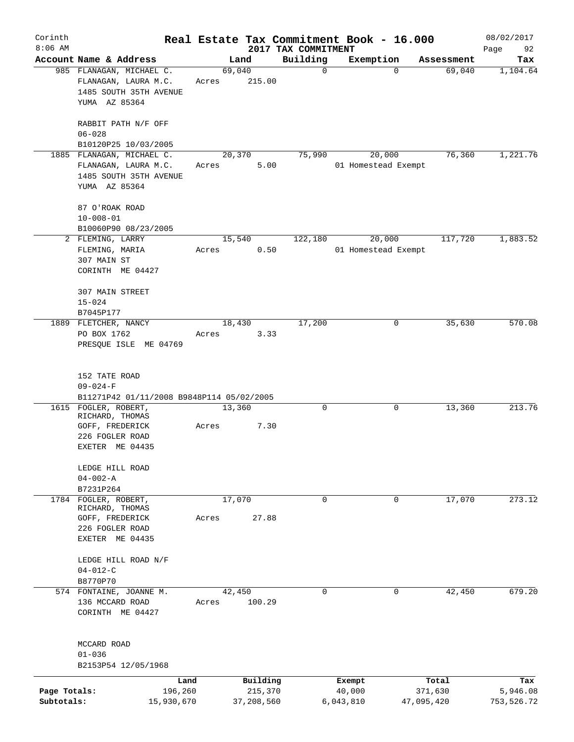| Corinth      |                                                                 |            |                |            |                         | Real Estate Tax Commitment Book - 16.000 |                      | 08/02/2017      |
|--------------|-----------------------------------------------------------------|------------|----------------|------------|-------------------------|------------------------------------------|----------------------|-----------------|
| $8:06$ AM    |                                                                 |            |                |            | 2017 TAX COMMITMENT     |                                          |                      | Page<br>92      |
|              | Account Name & Address<br>985 FLANAGAN, MICHAEL C.              |            | Land<br>69,040 |            | Building<br>$\mathbf 0$ | Exemption<br>$\mathbf 0$                 | Assessment<br>69,040 | Tax<br>1,104.64 |
|              | FLANAGAN, LAURA M.C.<br>1485 SOUTH 35TH AVENUE<br>YUMA AZ 85364 | Acres      |                | 215.00     |                         |                                          |                      |                 |
|              | RABBIT PATH N/F OFF<br>$06 - 028$                               |            |                |            |                         |                                          |                      |                 |
|              | B10120P25 10/03/2005                                            |            |                |            |                         |                                          |                      |                 |
|              | 1885 FLANAGAN, MICHAEL C.                                       |            | 20,370         |            | 75,990                  | 20,000                                   | 76,360               | 1,221.76        |
|              | FLANAGAN, LAURA M.C.<br>1485 SOUTH 35TH AVENUE<br>YUMA AZ 85364 | Acres      |                | 5.00       |                         | 01 Homestead Exempt                      |                      |                 |
|              | 87 O'ROAK ROAD<br>$10 - 008 - 01$                               |            |                |            |                         |                                          |                      |                 |
|              | B10060P90 08/23/2005                                            |            |                |            |                         |                                          |                      |                 |
|              | 2 FLEMING, LARRY                                                |            | 15,540         |            | 122,180                 | 20,000                                   | 117,720              | 1,883.52        |
|              | FLEMING, MARIA<br>307 MAIN ST<br>CORINTH ME 04427               | Acres      |                | 0.50       |                         | 01 Homestead Exempt                      |                      |                 |
|              |                                                                 |            |                |            |                         |                                          |                      |                 |
|              | 307 MAIN STREET                                                 |            |                |            |                         |                                          |                      |                 |
|              | $15 - 024$                                                      |            |                |            |                         |                                          |                      |                 |
|              | B7045P177                                                       |            |                |            |                         |                                          |                      |                 |
|              | 1889 FLETCHER, NANCY                                            |            | 18,430         |            | 17,200                  | 0                                        | 35,630               | 570.08          |
|              | PO BOX 1762                                                     | Acres      |                | 3.33       |                         |                                          |                      |                 |
|              | PRESQUE ISLE ME 04769                                           |            |                |            |                         |                                          |                      |                 |
|              | 152 TATE ROAD<br>$09 - 024 - F$                                 |            |                |            |                         |                                          |                      |                 |
|              | B11271P42 01/11/2008 B9848P114 05/02/2005                       |            |                |            |                         |                                          |                      |                 |
|              | 1615 FOGLER, ROBERT,                                            |            | 13,360         |            | 0                       | 0                                        | 13,360               | 213.76          |
|              | RICHARD, THOMAS<br>GOFF, FREDERICK                              | Acres      |                | 7.30       |                         |                                          |                      |                 |
|              | 226 FOGLER ROAD                                                 |            |                |            |                         |                                          |                      |                 |
|              | EXETER ME 04435                                                 |            |                |            |                         |                                          |                      |                 |
|              | LEDGE HILL ROAD                                                 |            |                |            |                         |                                          |                      |                 |
|              | $04 - 002 - A$                                                  |            |                |            |                         |                                          |                      |                 |
|              | B7231P264                                                       |            |                |            |                         |                                          |                      |                 |
| 1784         | FOGLER, ROBERT,<br>RICHARD, THOMAS                              |            | 17,070         |            | $\mathbf 0$             | $\Omega$                                 | 17,070               | 273.12          |
|              | GOFF, FREDERICK                                                 | Acres      |                | 27.88      |                         |                                          |                      |                 |
|              | 226 FOGLER ROAD<br>EXETER ME 04435                              |            |                |            |                         |                                          |                      |                 |
|              | LEDGE HILL ROAD N/F                                             |            |                |            |                         |                                          |                      |                 |
|              | $04 - 012 - C$                                                  |            |                |            |                         |                                          |                      |                 |
|              | B8770P70                                                        |            |                |            |                         |                                          |                      |                 |
|              | 574 FONTAINE, JOANNE M.                                         |            | 42,450         |            | 0                       | 0                                        | 42,450               | 679.20          |
|              | 136 MCCARD ROAD<br>CORINTH ME 04427                             | Acres      |                | 100.29     |                         |                                          |                      |                 |
|              | MCCARD ROAD                                                     |            |                |            |                         |                                          |                      |                 |
|              | $01 - 036$                                                      |            |                |            |                         |                                          |                      |                 |
|              | B2153P54 12/05/1968                                             |            |                |            |                         |                                          |                      |                 |
|              |                                                                 | Land       |                | Building   |                         | Exempt                                   | Total                | Tax             |
| Page Totals: |                                                                 | 196,260    |                | 215,370    |                         | 40,000                                   | 371,630              | 5,946.08        |
| Subtotals:   |                                                                 | 15,930,670 |                | 37,208,560 |                         | 6,043,810                                | 47,095,420           | 753,526.72      |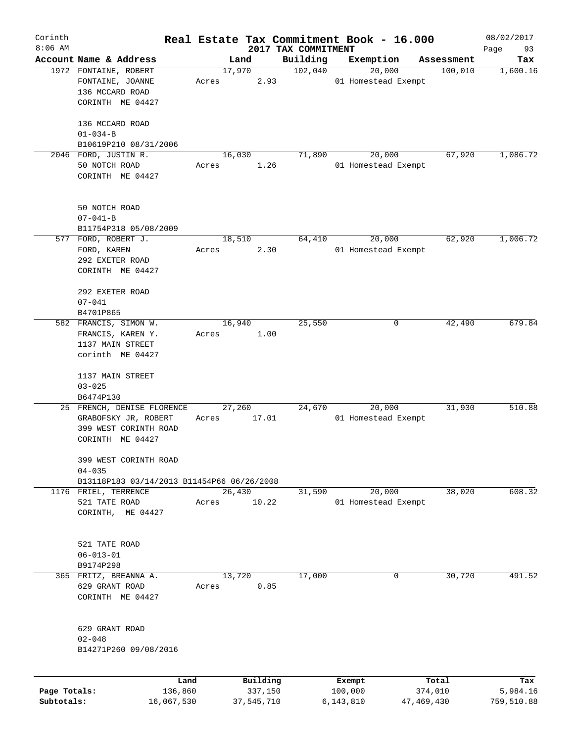| Corinth      |                                                          |         |                |            |                     | Real Estate Tax Commitment Book - 16.000 |            |                       | 08/02/2017 |
|--------------|----------------------------------------------------------|---------|----------------|------------|---------------------|------------------------------------------|------------|-----------------------|------------|
| $8:06$ AM    |                                                          |         |                |            | 2017 TAX COMMITMENT |                                          |            |                       | Page<br>93 |
|              | Account Name & Address<br>1972 FONTAINE, ROBERT          |         | Land<br>17,970 |            | Building<br>102,040 | Exemption<br>20,000                      |            | Assessment<br>100,010 | Tax        |
|              | FONTAINE, JOANNE                                         | Acres   |                | 2.93       |                     | 01 Homestead Exempt                      |            |                       | 1,600.16   |
|              | 136 MCCARD ROAD                                          |         |                |            |                     |                                          |            |                       |            |
|              | CORINTH ME 04427                                         |         |                |            |                     |                                          |            |                       |            |
|              |                                                          |         |                |            |                     |                                          |            |                       |            |
|              | 136 MCCARD ROAD                                          |         |                |            |                     |                                          |            |                       |            |
|              | $01 - 034 - B$                                           |         |                |            |                     |                                          |            |                       |            |
|              | B10619P210 08/31/2006                                    |         |                |            |                     |                                          |            |                       |            |
|              | 2046 FORD, JUSTIN R.                                     |         | 16,030         |            | 71,890              | 20,000                                   |            | 67,920                | 1,086.72   |
|              | 50 NOTCH ROAD                                            | Acres   |                | 1.26       |                     | 01 Homestead Exempt                      |            |                       |            |
|              | CORINTH ME 04427                                         |         |                |            |                     |                                          |            |                       |            |
|              |                                                          |         |                |            |                     |                                          |            |                       |            |
|              | 50 NOTCH ROAD                                            |         |                |            |                     |                                          |            |                       |            |
|              | $07 - 041 - B$                                           |         |                |            |                     |                                          |            |                       |            |
|              | B11754P318 05/08/2009                                    |         |                |            |                     |                                          |            |                       |            |
|              | 577 FORD, ROBERT J.                                      |         | 18,510         |            | 64,410              | 20,000                                   |            | 62,920                | 1,006.72   |
|              | FORD, KAREN                                              | Acres   |                | 2.30       |                     | 01 Homestead Exempt                      |            |                       |            |
|              | 292 EXETER ROAD                                          |         |                |            |                     |                                          |            |                       |            |
|              | CORINTH ME 04427                                         |         |                |            |                     |                                          |            |                       |            |
|              |                                                          |         |                |            |                     |                                          |            |                       |            |
|              | 292 EXETER ROAD                                          |         |                |            |                     |                                          |            |                       |            |
|              | $07 - 041$                                               |         |                |            |                     |                                          |            |                       |            |
|              | B4701P865                                                |         |                |            |                     |                                          |            |                       |            |
|              | 582 FRANCIS, SIMON W.                                    |         | 16,940         |            | 25,550              |                                          | 0          | 42,490                | 679.84     |
|              | FRANCIS, KAREN Y.                                        | Acres   |                | 1.00       |                     |                                          |            |                       |            |
|              | 1137 MAIN STREET                                         |         |                |            |                     |                                          |            |                       |            |
|              | corinth ME 04427                                         |         |                |            |                     |                                          |            |                       |            |
|              | 1137 MAIN STREET                                         |         |                |            |                     |                                          |            |                       |            |
|              | $03 - 025$                                               |         |                |            |                     |                                          |            |                       |            |
|              | B6474P130                                                |         |                |            |                     |                                          |            |                       |            |
|              | 25 FRENCH, DENISE FLORENCE                               |         | 27,260         |            | 24,670              | 20,000                                   |            | 31,930                | 510.88     |
|              | GRABOFSKY JR, ROBERT                                     | Acres   |                | 17.01      |                     | 01 Homestead Exempt                      |            |                       |            |
|              | 399 WEST CORINTH ROAD                                    |         |                |            |                     |                                          |            |                       |            |
|              | CORINTH ME 04427                                         |         |                |            |                     |                                          |            |                       |            |
|              |                                                          |         |                |            |                     |                                          |            |                       |            |
|              | 399 WEST CORINTH ROAD                                    |         |                |            |                     |                                          |            |                       |            |
|              | $04 - 035$<br>B13118P183 03/14/2013 B11454P66 06/26/2008 |         |                |            |                     |                                          |            |                       |            |
|              | 1176 FRIEL, TERRENCE                                     |         | 26,430         |            | 31,590              | 20,000                                   |            | 38,020                | 608.32     |
|              | 521 TATE ROAD                                            | Acres   |                | 10.22      |                     | 01 Homestead Exempt                      |            |                       |            |
|              | CORINTH, ME 04427                                        |         |                |            |                     |                                          |            |                       |            |
|              |                                                          |         |                |            |                     |                                          |            |                       |            |
|              |                                                          |         |                |            |                     |                                          |            |                       |            |
|              | 521 TATE ROAD                                            |         |                |            |                     |                                          |            |                       |            |
|              | $06 - 013 - 01$                                          |         |                |            |                     |                                          |            |                       |            |
|              | B9174P298                                                |         |                |            |                     |                                          |            |                       |            |
|              | 365 FRITZ, BREANNA A.                                    |         | 13,720         |            | 17,000              |                                          | 0          | 30,720                | 491.52     |
|              | 629 GRANT ROAD                                           | Acres   |                | 0.85       |                     |                                          |            |                       |            |
|              | CORINTH ME 04427                                         |         |                |            |                     |                                          |            |                       |            |
|              |                                                          |         |                |            |                     |                                          |            |                       |            |
|              | 629 GRANT ROAD                                           |         |                |            |                     |                                          |            |                       |            |
|              | $02 - 048$                                               |         |                |            |                     |                                          |            |                       |            |
|              | B14271P260 09/08/2016                                    |         |                |            |                     |                                          |            |                       |            |
|              |                                                          |         |                |            |                     |                                          |            |                       |            |
|              |                                                          | Land    |                | Building   |                     | Exempt                                   |            | Total                 | Tax        |
| Page Totals: |                                                          | 136,860 |                | 337,150    |                     | 100,000                                  |            | 374,010               | 5,984.16   |
| Subtotals:   | 16,067,530                                               |         |                | 37,545,710 |                     | 6,143,810                                | 47,469,430 |                       | 759,510.88 |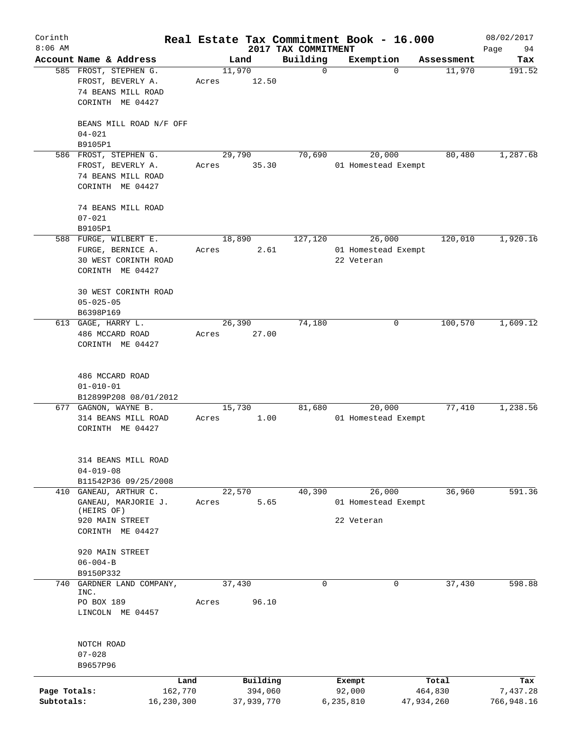| Corinth<br>$8:06$ AM       |                                                                                        |       |                       | 2017 TAX COMMITMENT | Real Estate Tax Commitment Book - 16.000    |                       | 08/02/2017<br>Page<br>94 |
|----------------------------|----------------------------------------------------------------------------------------|-------|-----------------------|---------------------|---------------------------------------------|-----------------------|--------------------------|
|                            | Account Name & Address                                                                 |       | Land                  | Building            | Exemption                                   | Assessment            | Tax                      |
|                            | 585 FROST, STEPHEN G.<br>FROST, BEVERLY A.<br>74 BEANS MILL ROAD<br>CORINTH ME 04427   | Acres | 11,970<br>12.50       | $\mathbf 0$         | $\Omega$                                    | 11,970                | 191.52                   |
|                            | BEANS MILL ROAD N/F OFF<br>$04 - 021$<br>B9105P1                                       |       |                       |                     |                                             |                       |                          |
|                            | 586 FROST, STEPHEN G.                                                                  |       | 29,790                | 70,690              | 20,000                                      | 80,480                | 1,287.68                 |
|                            | FROST, BEVERLY A.<br>74 BEANS MILL ROAD<br>CORINTH ME 04427                            | Acres | 35.30                 |                     | 01 Homestead Exempt                         |                       |                          |
|                            | 74 BEANS MILL ROAD<br>$07 - 021$                                                       |       |                       |                     |                                             |                       |                          |
|                            | B9105P1                                                                                |       |                       |                     |                                             |                       |                          |
|                            | 588 FURGE, WILBERT E.<br>FURGE, BERNICE A.<br>30 WEST CORINTH ROAD<br>CORINTH ME 04427 | Acres | 18,890<br>2.61        | 127,120             | 26,000<br>01 Homestead Exempt<br>22 Veteran | 120,010               | 1,920.16                 |
|                            | 30 WEST CORINTH ROAD<br>$05 - 025 - 05$<br>B6398P169                                   |       |                       |                     |                                             |                       |                          |
|                            | $613$ GAGE, HARRY L.                                                                   |       | 26,390                | 74,180              | 0                                           | 100,570               | 1,609.12                 |
|                            | 486 MCCARD ROAD<br>CORINTH ME 04427                                                    | Acres | 27.00                 |                     |                                             |                       |                          |
|                            | 486 MCCARD ROAD<br>$01 - 010 - 01$<br>B12899P208 08/01/2012                            |       |                       |                     |                                             |                       |                          |
|                            | 677 GAGNON, WAYNE B.                                                                   |       | 15,730                | 81,680              | 20,000                                      | 77,410                | 1,238.56                 |
|                            | 314 BEANS MILL ROAD<br>CORINTH ME 04427                                                | Acres | 1.00                  |                     | 01 Homestead Exempt                         |                       |                          |
|                            | 314 BEANS MILL ROAD<br>$04 - 019 - 08$                                                 |       |                       |                     |                                             |                       |                          |
| 410                        | B11542P36 09/25/2008<br>GANEAU, ARTHUR C.                                              |       | 22,570                | 40,390              | 26,000                                      | 36,960                | 591.36                   |
|                            | GANEAU, MARJORIE J.<br>(HEIRS OF)                                                      | Acres | 5.65                  |                     | 01 Homestead Exempt                         |                       |                          |
|                            | 920 MAIN STREET<br>CORINTH ME 04427                                                    |       |                       |                     | 22 Veteran                                  |                       |                          |
|                            | 920 MAIN STREET<br>$06 - 004 - B$<br>B9150P332                                         |       |                       |                     |                                             |                       |                          |
| 740                        | GARDNER LAND COMPANY,                                                                  |       | 37,430                | $\mathbf 0$         | 0                                           | 37,430                | 598.88                   |
|                            | INC.<br>PO BOX 189<br>LINCOLN ME 04457                                                 | Acres | 96.10                 |                     |                                             |                       |                          |
|                            | NOTCH ROAD<br>$07 - 028$<br>B9657P96                                                   |       |                       |                     |                                             |                       |                          |
|                            | Land                                                                                   |       | Building              |                     | Exempt                                      | Total                 | Tax                      |
| Page Totals:<br>Subtotals: | 162,770<br>16,230,300                                                                  |       | 394,060<br>37,939,770 |                     | 92,000<br>6,235,810                         | 464,830<br>47,934,260 | 7,437.28<br>766,948.16   |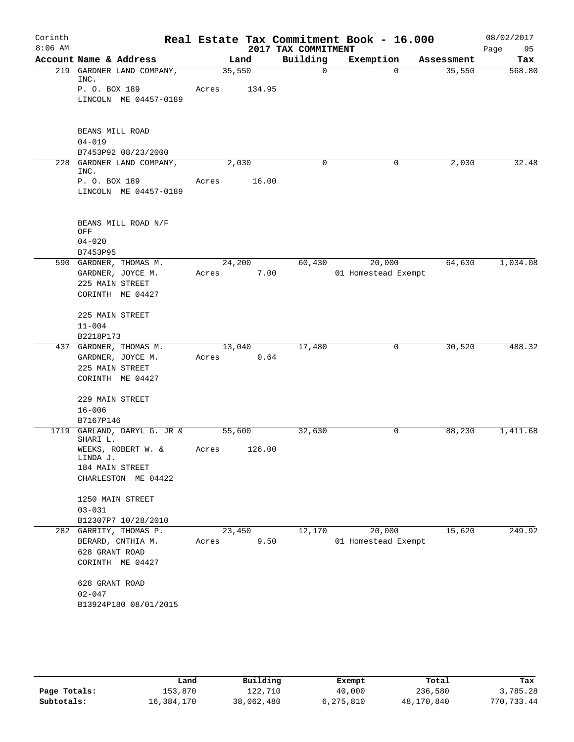| Corinth<br>$8:06$ AM |                                      |        |        | 2017 TAX COMMITMENT | Real Estate Tax Commitment Book - 16.000 |            | 08/02/2017<br>95<br>Page |
|----------------------|--------------------------------------|--------|--------|---------------------|------------------------------------------|------------|--------------------------|
|                      | Account Name & Address               | Land   |        | Building            | Exemption                                | Assessment | Tax                      |
|                      | 219 GARDNER LAND COMPANY,<br>INC.    | 35,550 |        | 0                   | $\Omega$                                 | 35,550     | 568.80                   |
|                      | P. O. BOX 189                        | Acres  | 134.95 |                     |                                          |            |                          |
|                      | LINCOLN ME 04457-0189                |        |        |                     |                                          |            |                          |
|                      | BEANS MILL ROAD                      |        |        |                     |                                          |            |                          |
|                      | $04 - 019$                           |        |        |                     |                                          |            |                          |
|                      | B7453P92 08/23/2000                  |        |        |                     |                                          |            |                          |
|                      | 228 GARDNER LAND COMPANY,            | 2,030  |        | $\Omega$            | 0                                        | 2,030      | 32.48                    |
|                      | INC.<br>P. O. BOX 189                | Acres  | 16.00  |                     |                                          |            |                          |
|                      | LINCOLN ME 04457-0189                |        |        |                     |                                          |            |                          |
|                      |                                      |        |        |                     |                                          |            |                          |
|                      | BEANS MILL ROAD N/F<br>OFF           |        |        |                     |                                          |            |                          |
|                      | $04 - 020$                           |        |        |                     |                                          |            |                          |
|                      | B7453P95                             |        |        |                     |                                          |            |                          |
|                      | 590 GARDNER, THOMAS M.               | 24,200 |        | 60,430              | 20,000                                   | 64,630     | 1,034.08                 |
|                      | GARDNER, JOYCE M.                    | Acres  | 7.00   |                     | 01 Homestead Exempt                      |            |                          |
|                      | 225 MAIN STREET<br>CORINTH ME 04427  |        |        |                     |                                          |            |                          |
|                      |                                      |        |        |                     |                                          |            |                          |
|                      | 225 MAIN STREET                      |        |        |                     |                                          |            |                          |
|                      | $11 - 004$                           |        |        |                     |                                          |            |                          |
|                      | B2218P173                            |        |        |                     |                                          |            |                          |
|                      | 437 GARDNER, THOMAS M.               | 13,040 |        | 17,480              | 0                                        | 30,520     | 488.32                   |
|                      | GARDNER, JOYCE M.<br>225 MAIN STREET | Acres  | 0.64   |                     |                                          |            |                          |
|                      | CORINTH ME 04427                     |        |        |                     |                                          |            |                          |
|                      |                                      |        |        |                     |                                          |            |                          |
|                      | 229 MAIN STREET                      |        |        |                     |                                          |            |                          |
|                      | $16 - 006$                           |        |        |                     |                                          |            |                          |
|                      | B7167P146                            |        |        |                     |                                          |            |                          |
| 1719                 | GARLAND, DARYL G. JR &<br>SHARI L.   | 55,600 |        | 32,630              | 0                                        | 88,230     | 1,411.68                 |
|                      | WEEKS, ROBERT W. &<br>LINDA J.       | Acres  | 126.00 |                     |                                          |            |                          |
|                      | 184 MAIN STREET                      |        |        |                     |                                          |            |                          |
|                      | CHARLESTON ME 04422                  |        |        |                     |                                          |            |                          |
|                      | 1250 MAIN STREET                     |        |        |                     |                                          |            |                          |
|                      | $03 - 031$                           |        |        |                     |                                          |            |                          |
|                      | B12307P7 10/28/2010                  |        |        |                     |                                          |            |                          |
| 282                  | GARRITY, THOMAS P.                   | 23,450 |        | 12,170              | 20,000                                   | 15,620     | 249.92                   |
|                      | BERARD, CNTHIA M.<br>628 GRANT ROAD  | Acres  | 9.50   |                     | 01 Homestead Exempt                      |            |                          |
|                      | CORINTH ME 04427                     |        |        |                     |                                          |            |                          |
|                      |                                      |        |        |                     |                                          |            |                          |
|                      | 628 GRANT ROAD                       |        |        |                     |                                          |            |                          |
|                      | $02 - 047$<br>B13924P180 08/01/2015  |        |        |                     |                                          |            |                          |
|                      |                                      |        |        |                     |                                          |            |                          |
|                      |                                      |        |        |                     |                                          |            |                          |

|              | Land       | Building   | Exempt    | Total      | Tax        |
|--------------|------------|------------|-----------|------------|------------|
| Page Totals: | 153,870    | 122,710    | 40,000    | 236,580    | 3,785.28   |
| Subtotals:   | 16,384,170 | 38,062,480 | 6,275,810 | 48,170,840 | 770,733.44 |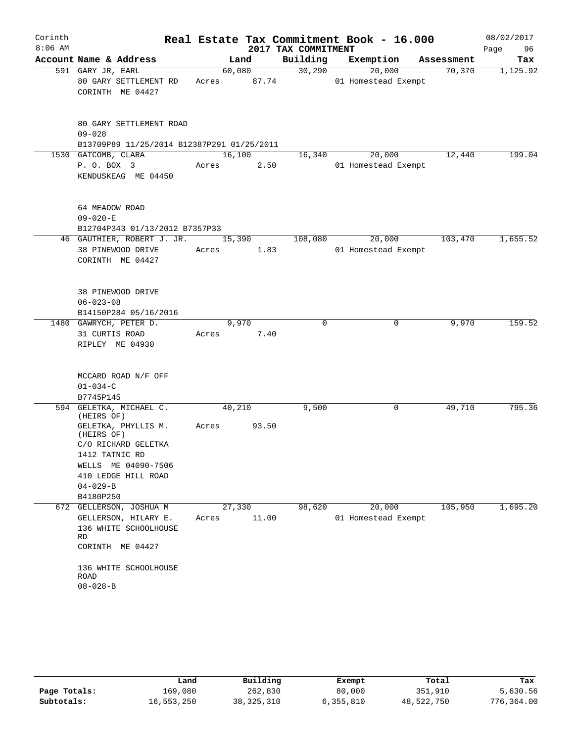| Corinth   |                                                              |        |       |                     | Real Estate Tax Commitment Book - 16.000 |             | 08/02/2017 |
|-----------|--------------------------------------------------------------|--------|-------|---------------------|------------------------------------------|-------------|------------|
| $8:06$ AM |                                                              |        |       | 2017 TAX COMMITMENT |                                          |             | Page<br>96 |
|           | Account Name & Address                                       |        | Land  | Building            | Exemption                                | Assessment  | Tax        |
|           | 591 GARY JR, EARL                                            | 60,080 |       | 30,290              | 20,000                                   | 70,370      | 1,125.92   |
|           | 80 GARY SETTLEMENT RD                                        | Acres  | 87.74 |                     | 01 Homestead Exempt                      |             |            |
|           | CORINTH ME 04427                                             |        |       |                     |                                          |             |            |
|           |                                                              |        |       |                     |                                          |             |            |
|           |                                                              |        |       |                     |                                          |             |            |
|           | 80 GARY SETTLEMENT ROAD                                      |        |       |                     |                                          |             |            |
|           | $09 - 028$                                                   |        |       |                     |                                          |             |            |
|           | B13709P89 11/25/2014 B12387P291 01/25/2011                   |        |       |                     |                                          |             |            |
|           | 1530 GATCOMB, CLARA                                          | 16,100 |       | 16,340              | 20,000                                   | 12,440      | 199.04     |
|           | P. O. BOX 3                                                  | Acres  | 2.50  |                     | 01 Homestead Exempt                      |             |            |
|           | KENDUSKEAG ME 04450                                          |        |       |                     |                                          |             |            |
|           |                                                              |        |       |                     |                                          |             |            |
|           |                                                              |        |       |                     |                                          |             |            |
|           | 64 MEADOW ROAD                                               |        |       |                     |                                          |             |            |
|           | $09 - 020 - E$                                               |        |       |                     |                                          |             |            |
|           | B12704P343 01/13/2012 B7357P33<br>46 GAUTHIER, ROBERT J. JR. | 15,390 |       |                     |                                          | 103,470     | 1,655.52   |
|           | 38 PINEWOOD DRIVE                                            | Acres  | 1.83  | 108,080             | 20,000<br>01 Homestead Exempt            |             |            |
|           | CORINTH ME 04427                                             |        |       |                     |                                          |             |            |
|           |                                                              |        |       |                     |                                          |             |            |
|           |                                                              |        |       |                     |                                          |             |            |
|           | 38 PINEWOOD DRIVE                                            |        |       |                     |                                          |             |            |
|           | $06 - 023 - 08$                                              |        |       |                     |                                          |             |            |
|           | B14150P284 05/16/2016                                        |        |       |                     |                                          |             |            |
|           | 1480 GAWRYCH, PETER D.                                       |        | 9,970 | $\mathbf 0$         |                                          | 9,970<br>0  | 159.52     |
|           | 31 CURTIS ROAD                                               | Acres  | 7.40  |                     |                                          |             |            |
|           | RIPLEY ME 04930                                              |        |       |                     |                                          |             |            |
|           |                                                              |        |       |                     |                                          |             |            |
|           |                                                              |        |       |                     |                                          |             |            |
|           | MCCARD ROAD N/F OFF                                          |        |       |                     |                                          |             |            |
|           | $01 - 034 - C$                                               |        |       |                     |                                          |             |            |
|           | B7745P145                                                    |        |       |                     |                                          |             |            |
|           | 594 GELETKA, MICHAEL C.                                      | 40,210 |       | 9,500               |                                          | 49,710<br>0 | 795.36     |
|           | (HEIRS OF)<br>GELETKA, PHYLLIS M.                            |        |       |                     |                                          |             |            |
|           | (HEIRS OF)                                                   | Acres  | 93.50 |                     |                                          |             |            |
|           | C/O RICHARD GELETKA                                          |        |       |                     |                                          |             |            |
|           | 1412 TATNIC RD                                               |        |       |                     |                                          |             |            |
|           | WELLS ME 04090-7506                                          |        |       |                     |                                          |             |            |
|           | 410 LEDGE HILL ROAD                                          |        |       |                     |                                          |             |            |
|           | $04 - 029 - B$                                               |        |       |                     |                                          |             |            |
|           | B4180P250                                                    |        |       |                     |                                          |             |            |
|           | 672 GELLERSON, JOSHUA M                                      | 27,330 |       | 98,620              | 20,000                                   | 105,950     | 1,695.20   |
|           | GELLERSON, HILARY E.                                         | Acres  | 11.00 |                     | 01 Homestead Exempt                      |             |            |
|           | 136 WHITE SCHOOLHOUSE                                        |        |       |                     |                                          |             |            |
|           | RD                                                           |        |       |                     |                                          |             |            |
|           | CORINTH ME 04427                                             |        |       |                     |                                          |             |            |
|           |                                                              |        |       |                     |                                          |             |            |
|           | 136 WHITE SCHOOLHOUSE<br>ROAD                                |        |       |                     |                                          |             |            |
|           | $08 - 028 - B$                                               |        |       |                     |                                          |             |            |
|           |                                                              |        |       |                     |                                          |             |            |

|              | Land       | Building     | Exempt    | Total      | Tax        |
|--------------|------------|--------------|-----------|------------|------------|
| Page Totals: | 169,080    | 262,830      | 80,000    | 351,910    | 5,630.56   |
| Subtotals:   | 16,553,250 | 38, 325, 310 | 6,355,810 | 48,522,750 | 776,364.00 |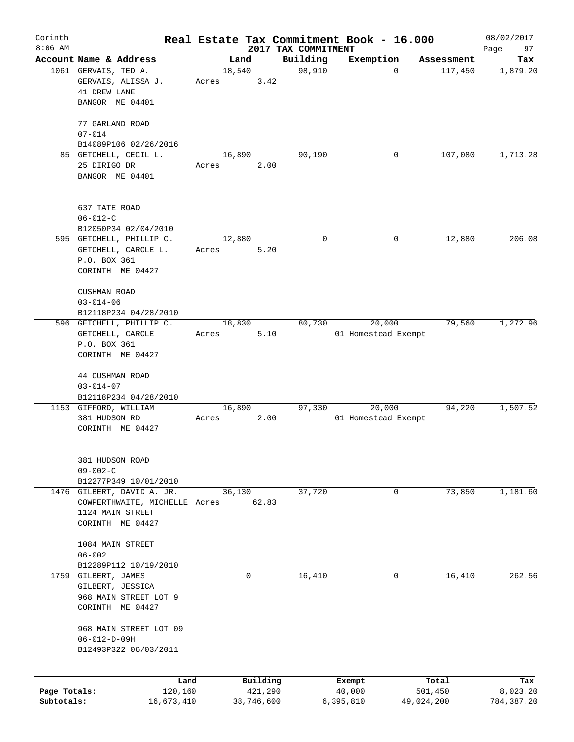| Corinth      |                                                   |       |                     |                     | Real Estate Tax Commitment Book - 16.000 |                        | 08/02/2017      |
|--------------|---------------------------------------------------|-------|---------------------|---------------------|------------------------------------------|------------------------|-----------------|
| $8:06$ AM    |                                                   |       |                     | 2017 TAX COMMITMENT |                                          |                        | 97<br>Page      |
|              | Account Name & Address                            |       | Land                | Building            | Exemption                                | Assessment             | Tax             |
|              | 1061 GERVAIS, TED A.                              |       | 18,540              | 98,910              |                                          | $\mathbf 0$<br>117,450 | 1,879.20        |
|              | GERVAIS, ALISSA J.<br>41 DREW LANE                | Acres |                     | 3.42                |                                          |                        |                 |
|              | BANGOR ME 04401                                   |       |                     |                     |                                          |                        |                 |
|              |                                                   |       |                     |                     |                                          |                        |                 |
|              | 77 GARLAND ROAD                                   |       |                     |                     |                                          |                        |                 |
|              | $07 - 014$                                        |       |                     |                     |                                          |                        |                 |
|              | B14089P106 02/26/2016                             |       |                     |                     |                                          |                        |                 |
|              | 85 GETCHELL, CECIL L.                             |       | 16,890              | 90,190              |                                          | 0<br>107,080           | 1,713.28        |
|              | 25 DIRIGO DR                                      | Acres | 2.00                |                     |                                          |                        |                 |
|              | BANGOR ME 04401                                   |       |                     |                     |                                          |                        |                 |
|              |                                                   |       |                     |                     |                                          |                        |                 |
|              |                                                   |       |                     |                     |                                          |                        |                 |
|              | 637 TATE ROAD                                     |       |                     |                     |                                          |                        |                 |
|              | $06 - 012 - C$                                    |       |                     |                     |                                          |                        |                 |
|              | B12050P34 02/04/2010                              |       |                     |                     |                                          |                        |                 |
|              | 595 GETCHELL, PHILLIP C.                          |       | 12,880              | 0                   |                                          | 0<br>12,880            | 206.08          |
|              | GETCHELL, CAROLE L.                               | Acres | 5.20                |                     |                                          |                        |                 |
|              | P.O. BOX 361                                      |       |                     |                     |                                          |                        |                 |
|              | CORINTH ME 04427                                  |       |                     |                     |                                          |                        |                 |
|              | <b>CUSHMAN ROAD</b>                               |       |                     |                     |                                          |                        |                 |
|              | $03 - 014 - 06$                                   |       |                     |                     |                                          |                        |                 |
|              |                                                   |       |                     |                     |                                          |                        |                 |
|              | B12118P234 04/28/2010<br>596 GETCHELL, PHILLIP C. |       | 18,830              | 80,730              | 20,000                                   | 79,560                 | 1,272.96        |
|              | GETCHELL, CAROLE                                  |       | 5.10                |                     | 01 Homestead Exempt                      |                        |                 |
|              | P.O. BOX 361                                      | Acres |                     |                     |                                          |                        |                 |
|              | CORINTH ME 04427                                  |       |                     |                     |                                          |                        |                 |
|              |                                                   |       |                     |                     |                                          |                        |                 |
|              | 44 CUSHMAN ROAD                                   |       |                     |                     |                                          |                        |                 |
|              | $03 - 014 - 07$                                   |       |                     |                     |                                          |                        |                 |
|              | B12118P234 04/28/2010                             |       |                     |                     |                                          |                        |                 |
|              | 1153 GIFFORD, WILLIAM                             |       | 16,890              | 97,330              | 20,000                                   | 94,220                 | 1,507.52        |
|              | 381 HUDSON RD                                     | Acres |                     | 2.00                | 01 Homestead Exempt                      |                        |                 |
|              | CORINTH ME 04427                                  |       |                     |                     |                                          |                        |                 |
|              |                                                   |       |                     |                     |                                          |                        |                 |
|              |                                                   |       |                     |                     |                                          |                        |                 |
|              | 381 HUDSON ROAD                                   |       |                     |                     |                                          |                        |                 |
|              | $09 - 002 - C$                                    |       |                     |                     |                                          |                        |                 |
|              | B12277P349 10/01/2010                             |       |                     |                     |                                          |                        |                 |
|              | 1476 GILBERT, DAVID A. JR.                        |       | 36,130              | 37,720              |                                          | 73,850<br>0            | 1,181.60        |
|              | COWPERTHWAITE, MICHELLE Acres                     |       | 62.83               |                     |                                          |                        |                 |
|              | 1124 MAIN STREET                                  |       |                     |                     |                                          |                        |                 |
|              | CORINTH ME 04427                                  |       |                     |                     |                                          |                        |                 |
|              | 1084 MAIN STREET                                  |       |                     |                     |                                          |                        |                 |
|              | $06 - 002$                                        |       |                     |                     |                                          |                        |                 |
|              | B12289P112 10/19/2010                             |       |                     |                     |                                          |                        |                 |
|              | 1759 GILBERT, JAMES                               |       | 0                   | 16,410              |                                          | 16,410<br>0            | 262.56          |
|              | GILBERT, JESSICA                                  |       |                     |                     |                                          |                        |                 |
|              | 968 MAIN STREET LOT 9                             |       |                     |                     |                                          |                        |                 |
|              | CORINTH ME 04427                                  |       |                     |                     |                                          |                        |                 |
|              |                                                   |       |                     |                     |                                          |                        |                 |
|              | 968 MAIN STREET LOT 09                            |       |                     |                     |                                          |                        |                 |
|              | $06 - 012 - D - 09H$                              |       |                     |                     |                                          |                        |                 |
|              | B12493P322 06/03/2011                             |       |                     |                     |                                          |                        |                 |
|              |                                                   |       |                     |                     |                                          |                        |                 |
|              |                                                   |       |                     |                     |                                          |                        |                 |
| Page Totals: | Land<br>120,160                                   |       | Building<br>421,290 |                     | Exempt<br>40,000                         | Total<br>501,450       | Tax<br>8,023.20 |
| Subtotals:   | 16,673,410                                        |       | 38,746,600          |                     | 6,395,810                                | 49,024,200             | 784,387.20      |
|              |                                                   |       |                     |                     |                                          |                        |                 |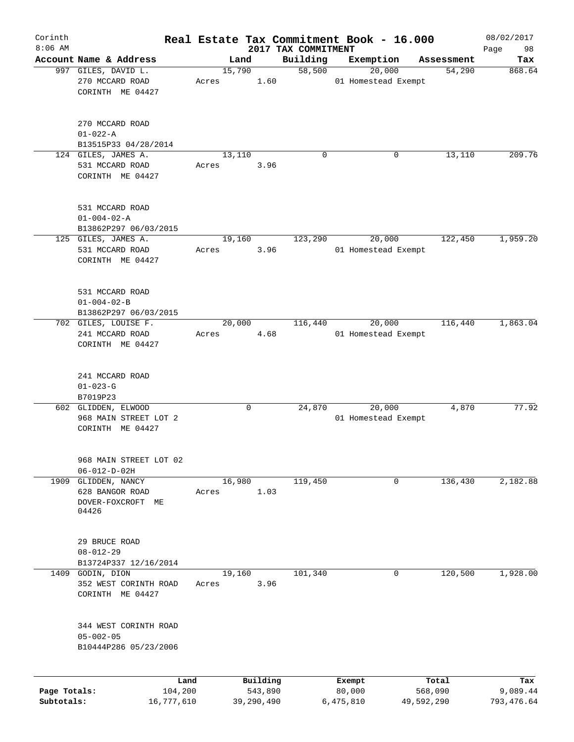| Corinth<br>$8:06$ AM |                                              |         |       |        |            |                                 | Real Estate Tax Commitment Book - 16.000 |            |            | 08/02/2017        |
|----------------------|----------------------------------------------|---------|-------|--------|------------|---------------------------------|------------------------------------------|------------|------------|-------------------|
|                      | Account Name & Address                       |         |       | Land   |            | 2017 TAX COMMITMENT<br>Building | Exemption                                |            | Assessment | Page<br>98<br>Tax |
|                      | 997 GILES, DAVID L.                          |         |       | 15,790 |            | 58,500                          | 20,000                                   |            | 54,290     | 868.64            |
|                      | 270 MCCARD ROAD                              |         | Acres |        | 1.60       |                                 | 01 Homestead Exempt                      |            |            |                   |
|                      | CORINTH ME 04427                             |         |       |        |            |                                 |                                          |            |            |                   |
|                      |                                              |         |       |        |            |                                 |                                          |            |            |                   |
|                      | 270 MCCARD ROAD                              |         |       |        |            |                                 |                                          |            |            |                   |
|                      | $01 - 022 - A$                               |         |       |        |            |                                 |                                          |            |            |                   |
|                      | B13515P33 04/28/2014                         |         |       |        |            |                                 |                                          |            |            |                   |
|                      | 124 GILES, JAMES A.                          |         |       | 13,110 |            | 0                               |                                          | 0          | 13,110     | 209.76            |
|                      | 531 MCCARD ROAD<br>CORINTH ME 04427          |         | Acres |        | 3.96       |                                 |                                          |            |            |                   |
|                      | 531 MCCARD ROAD                              |         |       |        |            |                                 |                                          |            |            |                   |
|                      | $01 - 004 - 02 - A$                          |         |       |        |            |                                 |                                          |            |            |                   |
|                      | B13862P297 06/03/2015                        |         |       |        |            |                                 |                                          |            |            |                   |
|                      | 125 GILES, JAMES A.                          |         |       | 19,160 |            | 123,290                         | 20,000                                   |            | 122,450    | 1,959.20          |
|                      | 531 MCCARD ROAD                              |         | Acres |        | 3.96       |                                 | 01 Homestead Exempt                      |            |            |                   |
|                      | CORINTH ME 04427                             |         |       |        |            |                                 |                                          |            |            |                   |
|                      |                                              |         |       |        |            |                                 |                                          |            |            |                   |
|                      | 531 MCCARD ROAD                              |         |       |        |            |                                 |                                          |            |            |                   |
|                      | $01 - 004 - 02 - B$                          |         |       |        |            |                                 |                                          |            |            |                   |
|                      | B13862P297 06/03/2015                        |         |       |        |            |                                 |                                          |            |            |                   |
|                      | 702 GILES, LOUISE F.                         |         |       | 20,000 |            | 116,440                         | 20,000                                   |            | 116,440    | 1,863.04          |
|                      | 241 MCCARD ROAD                              |         | Acres |        | 4.68       |                                 | 01 Homestead Exempt                      |            |            |                   |
|                      | CORINTH ME 04427                             |         |       |        |            |                                 |                                          |            |            |                   |
|                      | 241 MCCARD ROAD                              |         |       |        |            |                                 |                                          |            |            |                   |
|                      | $01 - 023 - G$                               |         |       |        |            |                                 |                                          |            |            |                   |
|                      | B7019P23                                     |         |       |        |            |                                 |                                          |            |            |                   |
|                      | 602 GLIDDEN, ELWOOD                          |         |       | 0      |            | 24,870                          | 20,000                                   |            | 4,870      | 77.92             |
|                      | 968 MAIN STREET LOT 2                        |         |       |        |            |                                 | 01 Homestead Exempt                      |            |            |                   |
|                      | CORINTH ME 04427                             |         |       |        |            |                                 |                                          |            |            |                   |
|                      |                                              |         |       |        |            |                                 |                                          |            |            |                   |
|                      | 968 MAIN STREET LOT 02                       |         |       |        |            |                                 |                                          |            |            |                   |
| 1909                 | $06 - 012 - D - 02H$                         |         |       |        |            |                                 |                                          |            |            |                   |
|                      | GLIDDEN, NANCY                               |         | Acres | 16,980 |            | 119,450                         |                                          | 0          | 136,430    | 2,182.88          |
|                      | 628 BANGOR ROAD                              |         |       |        | 1.03       |                                 |                                          |            |            |                   |
|                      | DOVER-FOXCROFT ME<br>04426                   |         |       |        |            |                                 |                                          |            |            |                   |
|                      |                                              |         |       |        |            |                                 |                                          |            |            |                   |
|                      | 29 BRUCE ROAD                                |         |       |        |            |                                 |                                          |            |            |                   |
|                      | $08 - 012 - 29$                              |         |       |        |            |                                 |                                          |            |            |                   |
|                      | B13724P337 12/16/2014                        |         |       |        |            |                                 |                                          |            |            |                   |
|                      | 1409 GODIN, DION                             |         |       | 19,160 |            | 101,340                         |                                          | 0          | 120,500    | 1,928.00          |
|                      | 352 WEST CORINTH ROAD<br>CORINTH<br>ME 04427 |         | Acres |        | 3.96       |                                 |                                          |            |            |                   |
|                      |                                              |         |       |        |            |                                 |                                          |            |            |                   |
|                      | 344 WEST CORINTH ROAD                        |         |       |        |            |                                 |                                          |            |            |                   |
|                      | $05 - 002 - 05$                              |         |       |        |            |                                 |                                          |            |            |                   |
|                      | B10444P286 05/23/2006                        |         |       |        |            |                                 |                                          |            |            |                   |
|                      |                                              | Land    |       |        | Building   |                                 | Exempt                                   |            | Total      | Tax               |
| Page Totals:         |                                              | 104,200 |       |        | 543,890    |                                 | 80,000                                   |            | 568,090    | 9,089.44          |
| Subtotals:           | 16,777,610                                   |         |       |        | 39,290,490 |                                 | 6,475,810                                | 49,592,290 |            | 793, 476.64       |
|                      |                                              |         |       |        |            |                                 |                                          |            |            |                   |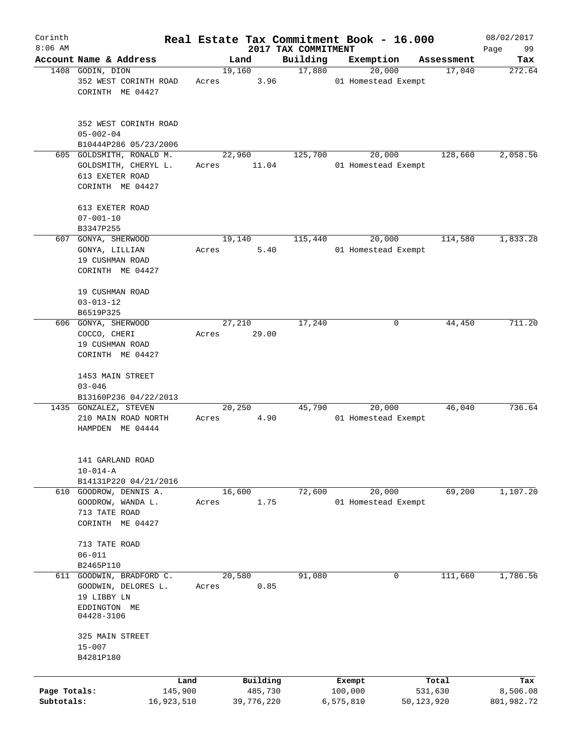| Corinth                    |                                                                                         |       |                       |                     | Real Estate Tax Commitment Book - 16.000 |                       | 08/02/2017             |
|----------------------------|-----------------------------------------------------------------------------------------|-------|-----------------------|---------------------|------------------------------------------|-----------------------|------------------------|
| $8:06$ AM                  | Account Name & Address                                                                  |       |                       | 2017 TAX COMMITMENT |                                          |                       | 99<br>Page             |
|                            | 1408 GODIN, DION                                                                        |       | Land<br>19,160        | Building<br>17,880  | Exemption<br>20,000                      | Assessment<br>17,040  | Tax<br>272.64          |
|                            | 352 WEST CORINTH ROAD<br>CORINTH ME 04427                                               | Acres | 3.96                  |                     | 01 Homestead Exempt                      |                       |                        |
|                            | 352 WEST CORINTH ROAD<br>$05 - 002 - 04$                                                |       |                       |                     |                                          |                       |                        |
|                            | B10444P286 05/23/2006                                                                   |       |                       |                     |                                          |                       |                        |
|                            | 605 GOLDSMITH, RONALD M.<br>GOLDSMITH, CHERYL L.<br>613 EXETER ROAD<br>CORINTH ME 04427 | Acres | 22,960<br>11.04       | 125,700             | 20,000<br>01 Homestead Exempt            | 128,660               | 2,058.56               |
|                            | 613 EXETER ROAD<br>$07 - 001 - 10$<br>B3347P255                                         |       |                       |                     |                                          |                       |                        |
|                            | 607 GONYA, SHERWOOD                                                                     |       | 19,140                | 115,440             | 20,000                                   | 114,580               | 1,833.28               |
|                            | GONYA, LILLIAN<br>19 CUSHMAN ROAD<br>CORINTH ME 04427                                   | Acres | 5.40                  |                     | 01 Homestead Exempt                      |                       |                        |
|                            | 19 CUSHMAN ROAD<br>$03 - 013 - 12$<br>B6519P325                                         |       |                       |                     |                                          |                       |                        |
|                            | 606 GONYA, SHERWOOD                                                                     |       | 27,210                | 17,240              | 0                                        | 44,450                | 711.20                 |
|                            | COCCO, CHERI<br>19 CUSHMAN ROAD<br>CORINTH ME 04427                                     | Acres | 29.00                 |                     |                                          |                       |                        |
|                            |                                                                                         |       |                       |                     |                                          |                       |                        |
|                            | 1453 MAIN STREET<br>$03 - 046$                                                          |       |                       |                     |                                          |                       |                        |
|                            | B13160P236 04/22/2013                                                                   |       |                       |                     |                                          |                       |                        |
|                            | 1435 GONZALEZ, STEVEN<br>210 MAIN ROAD NORTH<br>HAMPDEN ME 04444                        | Acres | 20,250<br>4.90        | 45,790              | 20,000<br>01 Homestead Exempt            | 46,040                | 736.64                 |
|                            | 141 GARLAND ROAD<br>$10 - 014 - A$<br>B14131P220 04/21/2016                             |       |                       |                     |                                          |                       |                        |
|                            | 610 GOODROW, DENNIS A.                                                                  |       | 16,600                | 72,600              | 20,000                                   | 69,200                | 1,107.20               |
|                            | GOODROW, WANDA L.<br>713 TATE ROAD<br>CORINTH ME 04427                                  | Acres | 1.75                  |                     | 01 Homestead Exempt                      |                       |                        |
|                            | 713 TATE ROAD<br>$06 - 011$                                                             |       |                       |                     |                                          |                       |                        |
|                            | B2465P110                                                                               |       |                       |                     |                                          |                       |                        |
| 611                        | GOODWIN, BRADFORD C.<br>GOODWIN, DELORES L.                                             | Acres | 20,580<br>0.85        | 91,080              | 0                                        | 111,660               | 1,786.56               |
|                            | 19 LIBBY LN                                                                             |       |                       |                     |                                          |                       |                        |
|                            | EDDINGTON ME<br>04428-3106                                                              |       |                       |                     |                                          |                       |                        |
|                            | 325 MAIN STREET<br>$15 - 007$<br>B4281P180                                              |       |                       |                     |                                          |                       |                        |
|                            |                                                                                         |       |                       |                     |                                          |                       |                        |
|                            |                                                                                         | Land  | Building              |                     | Exempt                                   | Total                 | Tax                    |
| Page Totals:<br>Subtotals: | 145,900<br>16,923,510                                                                   |       | 485,730<br>39,776,220 |                     | 100,000<br>6,575,810                     | 531,630<br>50,123,920 | 8,506.08<br>801,982.72 |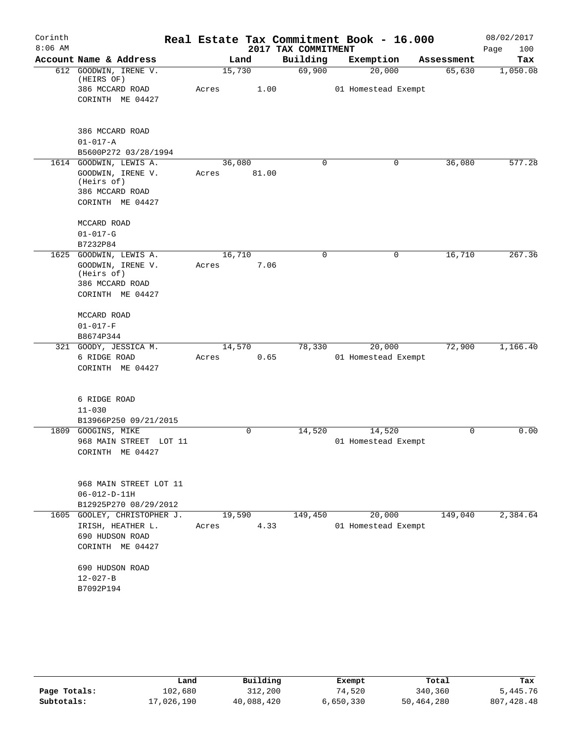| Corinth<br>$8:06$ AM |                                                                                                  |                 |       | 2017 TAX COMMITMENT | Real Estate Tax Commitment Book - 16.000 |            | 08/02/2017<br>Page<br>100 |
|----------------------|--------------------------------------------------------------------------------------------------|-----------------|-------|---------------------|------------------------------------------|------------|---------------------------|
|                      | Account Name & Address                                                                           |                 | Land  | Building            | Exemption                                | Assessment | Tax                       |
|                      | 612 GOODWIN, IRENE V.<br>(HEIRS OF)                                                              | 15,730          |       | 69,900              | 20,000                                   | 65,630     | 1,050.08                  |
|                      | 386 MCCARD ROAD<br>CORINTH ME 04427                                                              | Acres           | 1.00  |                     | 01 Homestead Exempt                      |            |                           |
|                      | 386 MCCARD ROAD<br>$01 - 017 - A$<br>B5600P272 03/28/1994                                        |                 |       |                     |                                          |            |                           |
|                      | 1614 GOODWIN, LEWIS A.<br>GOODWIN, IRENE V.<br>(Heirs of)<br>386 MCCARD ROAD<br>CORINTH ME 04427 | 36,080<br>Acres | 81.00 | $\Omega$            | 0                                        | 36,080     | 577.28                    |
|                      | MCCARD ROAD<br>$01 - 017 - G$                                                                    |                 |       |                     |                                          |            |                           |
|                      | B7232P84<br>1625 GOODWIN, LEWIS A.                                                               | 16,710          |       | 0                   | 0                                        | 16,710     | 267.36                    |
|                      | GOODWIN, IRENE V.<br>(Heirs of)<br>386 MCCARD ROAD<br>CORINTH ME 04427                           | Acres           | 7.06  |                     |                                          |            |                           |
|                      | MCCARD ROAD<br>$01 - 017 - F$                                                                    |                 |       |                     |                                          |            |                           |
|                      | B8674P344                                                                                        |                 |       |                     |                                          |            |                           |
|                      | 321 GOODY, JESSICA M.<br>6 RIDGE ROAD<br>CORINTH ME 04427                                        | 14,570<br>Acres | 0.65  | 78,330              | 20,000<br>01 Homestead Exempt            | 72,900     | 1,166.40                  |
|                      | 6 RIDGE ROAD<br>$11 - 030$                                                                       |                 |       |                     |                                          |            |                           |
|                      | B13966P250 09/21/2015                                                                            |                 |       |                     |                                          |            |                           |
| 1809                 | GOOGINS, MIKE<br>968 MAIN STREET LOT 11<br>CORINTH ME 04427                                      |                 | 0     | 14,520              | 14,520<br>01 Homestead Exempt            | 0          | 0.00                      |
|                      | 968 MAIN STREET LOT 11<br>$06 - 012 - D - 11H$<br>B12925P270 08/29/2012                          |                 |       |                     |                                          |            |                           |
| 1605                 | GOOLEY, CHRISTOPHER J.                                                                           | 19,590          |       | 149,450             | 20,000                                   | 149,040    | 2,384.64                  |
|                      | IRISH, HEATHER L.<br>690 HUDSON ROAD<br>CORINTH ME 04427                                         | Acres           | 4.33  |                     | 01 Homestead Exempt                      |            |                           |
|                      | 690 HUDSON ROAD<br>$12 - 027 - B$<br>B7092P194                                                   |                 |       |                     |                                          |            |                           |

|              | Land       | Building   | Exempt    | Total      | Tax         |
|--------------|------------|------------|-----------|------------|-------------|
| Page Totals: | 102,680    | 312,200    | 74,520    | 340,360    | 5,445.76    |
| Subtotals:   | 17,026,190 | 40,088,420 | 6,650,330 | 50,464,280 | 807, 428.48 |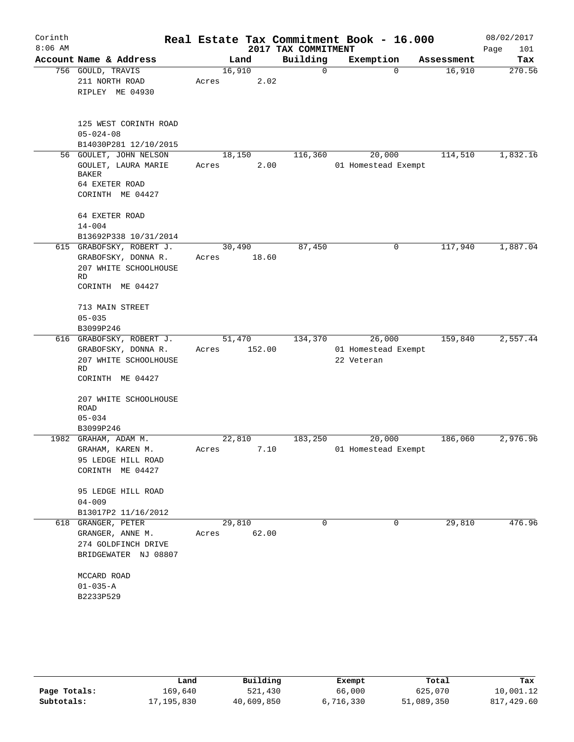| Corinth<br>$8:06$ AM |                                                                                                           |                 |        | 2017 TAX COMMITMENT | Real Estate Tax Commitment Book - 16.000    |            | 08/02/2017<br>Page<br>101 |
|----------------------|-----------------------------------------------------------------------------------------------------------|-----------------|--------|---------------------|---------------------------------------------|------------|---------------------------|
|                      | Account Name & Address                                                                                    | Land            |        | Building            | Exemption                                   | Assessment | Tax                       |
|                      | 756 GOULD, TRAVIS<br>211 NORTH ROAD<br>RIPLEY ME 04930                                                    | 16,910<br>Acres | 2.02   | 0                   | $\mathbf 0$                                 | 16,910     | 270.56                    |
|                      | 125 WEST CORINTH ROAD<br>$05 - 024 - 08$<br>B14030P281 12/10/2015                                         |                 |        |                     |                                             |            |                           |
|                      | 56 GOULET, JOHN NELSON<br>GOULET, LAURA MARIE<br><b>BAKER</b><br>64 EXETER ROAD<br>CORINTH ME 04427       | 18,150<br>Acres | 2.00   | 116,360             | 20,000<br>01 Homestead Exempt               | 114,510    | 1,832.16                  |
|                      | 64 EXETER ROAD<br>$14 - 004$<br>B13692P338 10/31/2014                                                     |                 |        |                     |                                             |            |                           |
|                      | 615 GRABOFSKY, ROBERT J.<br>GRABOFSKY, DONNA R.<br>207 WHITE SCHOOLHOUSE<br><b>RD</b><br>CORINTH ME 04427 | 30,490<br>Acres | 18.60  | 87,450              | 0                                           | 117,940    | 1,887.04                  |
|                      | 713 MAIN STREET<br>$05 - 035$<br>B3099P246                                                                |                 |        |                     |                                             |            |                           |
|                      | 616 GRABOFSKY, ROBERT J.<br>GRABOFSKY, DONNA R.<br>207 WHITE SCHOOLHOUSE<br>RD<br>CORINTH ME 04427        | 51,470<br>Acres | 152.00 | 134,370             | 26,000<br>01 Homestead Exempt<br>22 Veteran | 159,840    | 2,557.44                  |
|                      | 207 WHITE SCHOOLHOUSE<br>ROAD<br>$05 - 034$<br>B3099P246                                                  |                 |        |                     |                                             |            |                           |
|                      | 1982 GRAHAM, ADAM M.<br>GRAHAM, KAREN M.<br>95 LEDGE HILL ROAD<br>CORINTH ME 04427                        | 22,810<br>Acres | 7.10   | 183,250             | 20,000<br>01 Homestead Exempt               | 186,060    | 2,976.96                  |
|                      | 95 LEDGE HILL ROAD<br>$04 - 009$<br>B13017P2 11/16/2012                                                   |                 |        |                     |                                             |            |                           |
|                      | 618 GRANGER, PETER<br>GRANGER, ANNE M.<br>274 GOLDFINCH DRIVE<br>BRIDGEWATER NJ 08807                     | 29,810<br>Acres | 62.00  | 0                   | 0                                           | 29,810     | 476.96                    |
|                      | MCCARD ROAD<br>$01 - 035 - A$<br>B2233P529                                                                |                 |        |                     |                                             |            |                           |

|              | Land         | Building   | Exempt    | Total      | Tax        |
|--------------|--------------|------------|-----------|------------|------------|
| Page Totals: | 169,640      | 521,430    | 66,000    | 625,070    | 10,001.12  |
| Subtotals:   | 17, 195, 830 | 40,609,850 | 6,716,330 | 51,089,350 | 817,429.60 |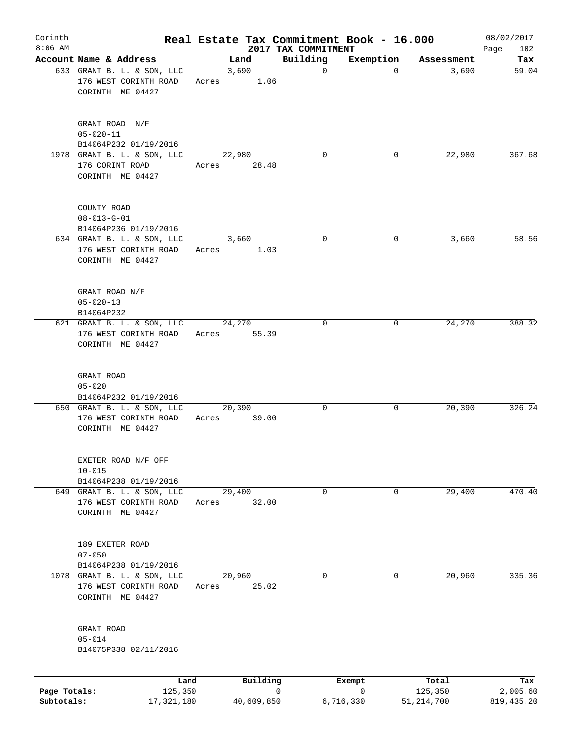| Corinth<br>$8:06$ AM       |                                                                          |       |                 | Real Estate Tax Commitment Book - 16.000<br>2017 TAX COMMITMENT |                |                         | 08/02/2017<br>102<br>Page |
|----------------------------|--------------------------------------------------------------------------|-------|-----------------|-----------------------------------------------------------------|----------------|-------------------------|---------------------------|
|                            | Account Name & Address                                                   |       | Land            | Building                                                        | Exemption      | Assessment              | Tax                       |
|                            | 633 GRANT B. L. & SON, LLC<br>176 WEST CORINTH ROAD<br>CORINTH ME 04427  | Acres | 3,690<br>1.06   | $\mathbf 0$                                                     | $\Omega$       | 3,690                   | 59.04                     |
|                            | GRANT ROAD N/F<br>$05 - 020 - 11$<br>B14064P232 01/19/2016               |       |                 |                                                                 |                |                         |                           |
|                            | 1978 GRANT B. L. & SON, LLC<br>176 CORINT ROAD<br>CORINTH ME 04427       | Acres | 22,980<br>28.48 | 0                                                               | 0              | 22,980                  | 367.68                    |
|                            | COUNTY ROAD<br>$08 - 013 - G - 01$<br>B14064P236 01/19/2016              |       |                 |                                                                 |                |                         |                           |
|                            | 634 GRANT B. L. & SON, LLC<br>176 WEST CORINTH ROAD<br>CORINTH ME 04427  | Acres | 3,660<br>1.03   | 0                                                               | $\mathbf 0$    | 3,660                   | 58.56                     |
|                            | GRANT ROAD N/F<br>$05 - 020 - 13$<br>B14064P232                          |       |                 |                                                                 |                |                         |                           |
|                            | 621 GRANT B. L. & SON, LLC<br>176 WEST CORINTH ROAD<br>CORINTH ME 04427  | Acres | 24,270<br>55.39 | 0                                                               | 0              | 24,270                  | 388.32                    |
|                            | GRANT ROAD<br>$05 - 020$<br>B14064P232 01/19/2016                        |       |                 |                                                                 |                |                         |                           |
|                            | 650 GRANT B. L. & SON, LLC<br>176 WEST CORINTH ROAD<br>CORINTH ME 04427  | Acres | 20,390<br>39.00 | 0                                                               | 0              | 20, 390                 | 326.24                    |
|                            | EXETER ROAD N/F OFF<br>$10 - 015$<br>B14064P238 01/19/2016               |       |                 |                                                                 |                |                         |                           |
|                            | 649 GRANT B. L. & SON, LLC<br>176 WEST CORINTH ROAD<br>CORINTH ME 04427  | Acres | 29,400<br>32.00 | 0                                                               | 0              | 29,400                  | 470.40                    |
|                            | 189 EXETER ROAD<br>$07 - 050$<br>B14064P238 01/19/2016                   |       |                 |                                                                 |                |                         |                           |
|                            | 1078 GRANT B. L. & SON, LLC<br>176 WEST CORINTH ROAD<br>CORINTH ME 04427 | Acres | 20,960<br>25.02 | 0                                                               | 0              | 20,960                  | 335.36                    |
|                            | GRANT ROAD<br>$05 - 014$<br>B14075P338 02/11/2016                        |       |                 |                                                                 |                |                         |                           |
|                            |                                                                          | Land  | Building        |                                                                 | Exempt         | Total                   | Tax                       |
| Page Totals:<br>Subtotals: | 125,350<br>17,321,180                                                    |       | 40,609,850      | 0                                                               | 0<br>6,716,330 | 125,350<br>51, 214, 700 | 2,005.60<br>819, 435.20   |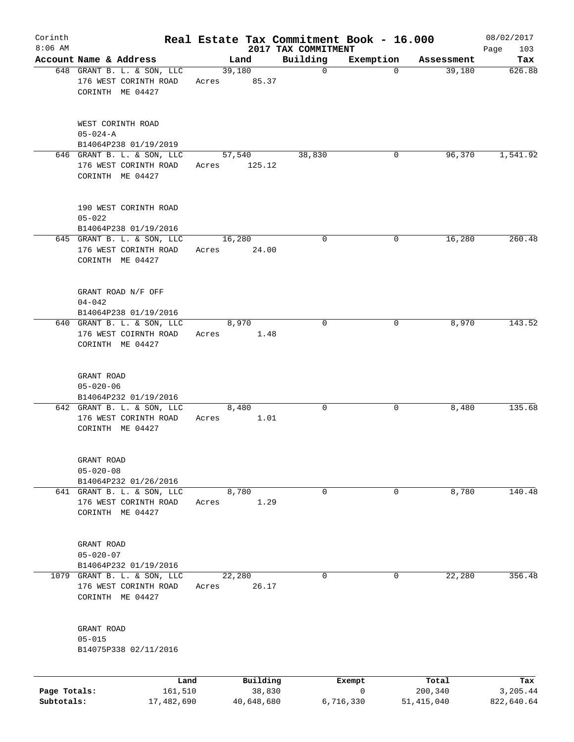| Corinth      |                                                                          |                 |       |                         |                         | Real Estate Tax Commitment Book - 16.000 |                      | 08/02/2017      |
|--------------|--------------------------------------------------------------------------|-----------------|-------|-------------------------|-------------------------|------------------------------------------|----------------------|-----------------|
| $8:06$ AM    | Account Name & Address                                                   |                 |       |                         | 2017 TAX COMMITMENT     |                                          |                      | 103<br>Page     |
|              | 648 GRANT B. L. & SON, LLC<br>176 WEST CORINTH ROAD<br>CORINTH ME 04427  |                 | Acres | Land<br>39,180<br>85.37 | Building<br>$\mathbf 0$ | Exemption<br>$\Omega$                    | Assessment<br>39,180 | Tax<br>626.88   |
|              | WEST CORINTH ROAD<br>$05 - 024 - A$<br>B14064P238 01/19/2019             |                 |       |                         |                         |                                          |                      |                 |
|              | 646 GRANT B. L. & SON, LLC<br>176 WEST CORINTH ROAD<br>CORINTH ME 04427  |                 | Acres | 57,540<br>125.12        | 38,830                  | 0                                        | 96,370               | 1,541.92        |
|              | 190 WEST CORINTH ROAD<br>$05 - 022$<br>B14064P238 01/19/2016             |                 |       |                         |                         |                                          |                      |                 |
|              | 645 GRANT B. L. & SON, LLC<br>176 WEST CORINTH ROAD<br>CORINTH ME 04427  |                 | Acres | 16,280<br>24.00         | $\mathbf 0$             | 0                                        | 16,280               | 260.48          |
|              | GRANT ROAD N/F OFF<br>$04 - 042$<br>B14064P238 01/19/2016                |                 |       |                         |                         |                                          |                      |                 |
|              | 640 GRANT B. L. & SON, LLC<br>176 WEST COIRNTH ROAD<br>CORINTH ME 04427  |                 | Acres | 8,970<br>1.48           | $\Omega$                | 0                                        | 8,970                | 143.52          |
|              | GRANT ROAD<br>$05 - 020 - 06$<br>B14064P232 01/19/2016                   |                 |       |                         |                         |                                          |                      |                 |
|              | 642 GRANT B. L. & SON, LLC<br>176 WEST CORINTH ROAD<br>CORINTH ME 04427  |                 | Acres | 8,480<br>1.01           | 0                       | 0                                        | 8,480                | 135.68          |
|              | GRANT ROAD<br>$05 - 020 - 08$<br>B14064P232 01/26/2016                   |                 |       |                         |                         |                                          |                      |                 |
|              | 641 GRANT B. L. & SON, LLC<br>176 WEST CORINTH ROAD<br>CORINTH ME 04427  |                 | Acres | 8,780<br>1.29           | 0                       | 0                                        | 8,780                | 140.48          |
|              | GRANT ROAD<br>$05 - 020 - 07$<br>B14064P232 01/19/2016                   |                 |       |                         |                         |                                          |                      |                 |
|              | 1079 GRANT B. L. & SON, LLC<br>176 WEST CORINTH ROAD<br>CORINTH ME 04427 |                 | Acres | 22,280<br>26.17         | 0                       | 0                                        | 22,280               | 356.48          |
|              | GRANT ROAD<br>$05 - 015$<br>B14075P338 02/11/2016                        |                 |       |                         |                         |                                          |                      |                 |
| Page Totals: |                                                                          | Land<br>161,510 |       | Building<br>38,830      |                         | Exempt<br>0                              | Total<br>200,340     | Tax<br>3,205.44 |
| Subtotals:   |                                                                          | 17,482,690      |       | 40,648,680              |                         | 6,716,330                                | 51,415,040           | 822,640.64      |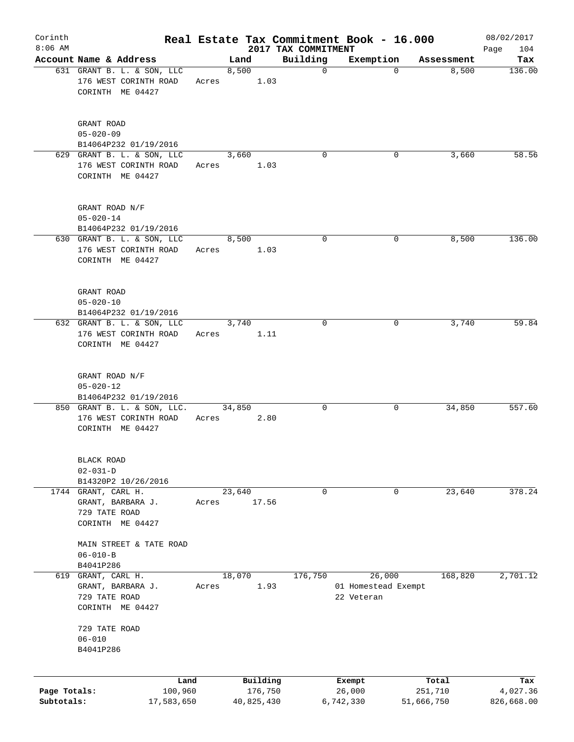| Corinth<br>$8:06$ AM       |                                                                          |       |        |                       |                                 | Real Estate Tax Commitment Book - 16.000 |                       | 08/02/2017             |
|----------------------------|--------------------------------------------------------------------------|-------|--------|-----------------------|---------------------------------|------------------------------------------|-----------------------|------------------------|
|                            | Account Name & Address                                                   |       | Land   |                       | 2017 TAX COMMITMENT<br>Building | Exemption                                | Assessment            | 104<br>Page<br>Tax     |
|                            | 631 GRANT B. L. & SON, LLC<br>176 WEST CORINTH ROAD<br>CORINTH ME 04427  | Acres | 8,500  | 1.03                  | $\mathbf 0$                     | $\Omega$                                 | 8,500                 | 136.00                 |
|                            | GRANT ROAD<br>$05 - 020 - 09$<br>B14064P232 01/19/2016                   |       |        |                       |                                 |                                          |                       |                        |
|                            | 629 GRANT B. L. & SON, LLC                                               |       | 3,660  |                       | $\Omega$                        | 0                                        | 3,660                 | 58.56                  |
|                            | 176 WEST CORINTH ROAD<br>CORINTH ME 04427                                | Acres |        | 1.03                  |                                 |                                          |                       |                        |
|                            | GRANT ROAD N/F<br>$05 - 020 - 14$<br>B14064P232 01/19/2016               |       |        |                       |                                 |                                          |                       |                        |
|                            | 630 GRANT B. L. & SON, LLC<br>176 WEST CORINTH ROAD<br>CORINTH ME 04427  | Acres | 8,500  | 1.03                  | 0                               | 0                                        | 8,500                 | 136.00                 |
|                            | GRANT ROAD<br>$05 - 020 - 10$<br>B14064P232 01/19/2016                   |       |        |                       |                                 |                                          |                       |                        |
|                            | 632 GRANT B. L. & SON, LLC<br>176 WEST CORINTH ROAD<br>CORINTH ME 04427  | Acres | 3,740  | 1.11                  | $\Omega$                        | 0                                        | 3,740                 | 59.84                  |
|                            | GRANT ROAD N/F<br>$05 - 020 - 12$<br>B14064P232 01/19/2016               |       |        |                       |                                 |                                          |                       |                        |
|                            | 850 GRANT B. L. & SON, LLC.<br>176 WEST CORINTH ROAD<br>CORINTH ME 04427 | Acres | 34,850 | 2.80                  | 0                               | 0                                        | 34,850                | 557.60                 |
|                            | BLACK ROAD<br>$02 - 031 - D$                                             |       |        |                       |                                 |                                          |                       |                        |
|                            | B14320P2 10/26/2016<br>1744 GRANT, CARL H.                               |       | 23,640 |                       | 0                               | 0                                        | 23,640                | 378.24                 |
|                            | GRANT, BARBARA J.<br>729 TATE ROAD<br>CORINTH ME 04427                   | Acres |        | 17.56                 |                                 |                                          |                       |                        |
|                            | MAIN STREET & TATE ROAD<br>$06 - 010 - B$<br>B4041P286                   |       |        |                       |                                 |                                          |                       |                        |
|                            | 619 GRANT, CARL H.                                                       |       | 18,070 |                       | 176,750                         | 26,000                                   | 168,820               | 2,701.12               |
|                            | GRANT, BARBARA J.<br>729 TATE ROAD<br>CORINTH ME 04427                   | Acres |        | 1.93                  |                                 | 01 Homestead Exempt<br>22 Veteran        |                       |                        |
|                            | 729 TATE ROAD<br>$06 - 010$                                              |       |        |                       |                                 |                                          |                       |                        |
|                            | B4041P286                                                                |       |        |                       |                                 |                                          |                       |                        |
|                            |                                                                          |       |        |                       |                                 |                                          |                       |                        |
|                            | Land                                                                     |       |        | Building              |                                 | Exempt                                   | Total                 | Tax                    |
| Page Totals:<br>Subtotals: | 100,960<br>17,583,650                                                    |       |        | 176,750<br>40,825,430 |                                 | 26,000<br>6,742,330                      | 251,710<br>51,666,750 | 4,027.36<br>826,668.00 |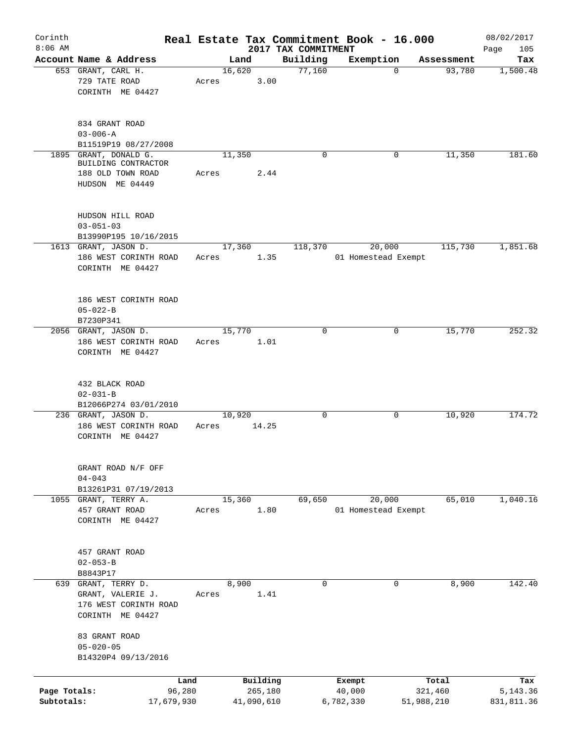| Corinth      |                                          |       |            |                                 | Real Estate Tax Commitment Book - 16.000 |            | 08/02/2017      |
|--------------|------------------------------------------|-------|------------|---------------------------------|------------------------------------------|------------|-----------------|
| $8:06$ AM    | Account Name & Address                   |       | Land       | 2017 TAX COMMITMENT<br>Building | Exemption                                | Assessment | 105<br>Page     |
|              | 653 GRANT, CARL H.                       |       | 16,620     | 77,160                          | 0                                        | 93,780     | Tax<br>1,500.48 |
|              | 729 TATE ROAD                            | Acres | 3.00       |                                 |                                          |            |                 |
|              | CORINTH ME 04427                         |       |            |                                 |                                          |            |                 |
|              |                                          |       |            |                                 |                                          |            |                 |
|              |                                          |       |            |                                 |                                          |            |                 |
|              | 834 GRANT ROAD                           |       |            |                                 |                                          |            |                 |
|              | $03 - 006 - A$                           |       |            |                                 |                                          |            |                 |
|              | B11519P19 08/27/2008                     |       |            |                                 |                                          |            |                 |
| 1895         | GRANT, DONALD G.                         |       | 11,350     | $\Omega$                        | 0                                        | 11,350     | 181.60          |
|              | BUILDING CONTRACTOR<br>188 OLD TOWN ROAD | Acres | 2.44       |                                 |                                          |            |                 |
|              | HUDSON ME 04449                          |       |            |                                 |                                          |            |                 |
|              |                                          |       |            |                                 |                                          |            |                 |
|              |                                          |       |            |                                 |                                          |            |                 |
|              | HUDSON HILL ROAD                         |       |            |                                 |                                          |            |                 |
|              | $03 - 051 - 03$                          |       |            |                                 |                                          |            |                 |
|              | B13990P195 10/16/2015                    |       |            |                                 |                                          |            |                 |
|              | 1613 GRANT, JASON D.                     |       | 17,360     | 118,370                         | 20,000                                   | 115,730    | 1,851.68        |
|              | 186 WEST CORINTH ROAD                    | Acres | 1.35       |                                 | 01 Homestead Exempt                      |            |                 |
|              | CORINTH ME 04427                         |       |            |                                 |                                          |            |                 |
|              |                                          |       |            |                                 |                                          |            |                 |
|              |                                          |       |            |                                 |                                          |            |                 |
|              | 186 WEST CORINTH ROAD                    |       |            |                                 |                                          |            |                 |
|              | $05 - 022 - B$                           |       |            |                                 |                                          |            |                 |
|              | B7230P341<br>2056 GRANT, JASON D.        |       | 15,770     | $\Omega$                        | $\Omega$                                 | 15,770     | 252.32          |
|              | 186 WEST CORINTH ROAD                    | Acres | 1.01       |                                 |                                          |            |                 |
|              | CORINTH ME 04427                         |       |            |                                 |                                          |            |                 |
|              |                                          |       |            |                                 |                                          |            |                 |
|              |                                          |       |            |                                 |                                          |            |                 |
|              | 432 BLACK ROAD                           |       |            |                                 |                                          |            |                 |
|              | $02 - 031 - B$                           |       |            |                                 |                                          |            |                 |
|              | B12066P274 03/01/2010                    |       |            |                                 |                                          |            |                 |
|              | 236 GRANT, JASON D.                      |       | 10,920     | $\mathsf{O}$                    | 0                                        | 10,920     | 174.72          |
|              | 186 WEST CORINTH ROAD                    | Acres | 14.25      |                                 |                                          |            |                 |
|              | CORINTH ME 04427                         |       |            |                                 |                                          |            |                 |
|              |                                          |       |            |                                 |                                          |            |                 |
|              | GRANT ROAD N/F OFF                       |       |            |                                 |                                          |            |                 |
|              | $04 - 043$                               |       |            |                                 |                                          |            |                 |
|              | B13261P31 07/19/2013                     |       |            |                                 |                                          |            |                 |
|              | 1055 GRANT, TERRY A.                     |       | 15,360     | 69,650                          | 20,000                                   | 65,010     | 1,040.16        |
|              | 457 GRANT ROAD                           | Acres | 1.80       |                                 | 01 Homestead Exempt                      |            |                 |
|              | CORINTH ME 04427                         |       |            |                                 |                                          |            |                 |
|              |                                          |       |            |                                 |                                          |            |                 |
|              |                                          |       |            |                                 |                                          |            |                 |
|              | 457 GRANT ROAD                           |       |            |                                 |                                          |            |                 |
|              | $02 - 053 - B$                           |       |            |                                 |                                          |            |                 |
|              | B8843P17                                 |       |            |                                 |                                          |            |                 |
|              | 639 GRANT, TERRY D.<br>GRANT, VALERIE J. |       | 8,900      | $\mathbf 0$                     | 0                                        | 8,900      | 142.40          |
|              | 176 WEST CORINTH ROAD                    | Acres | 1.41       |                                 |                                          |            |                 |
|              | CORINTH ME 04427                         |       |            |                                 |                                          |            |                 |
|              |                                          |       |            |                                 |                                          |            |                 |
|              | 83 GRANT ROAD                            |       |            |                                 |                                          |            |                 |
|              | $05 - 020 - 05$                          |       |            |                                 |                                          |            |                 |
|              | B14320P4 09/13/2016                      |       |            |                                 |                                          |            |                 |
|              |                                          |       |            |                                 |                                          |            |                 |
|              |                                          | Land  | Building   |                                 | Exempt                                   | Total      | Tax             |
| Page Totals: | 96,280                                   |       | 265,180    |                                 | 40,000                                   | 321,460    | 5, 143. 36      |
| Subtotals:   | 17,679,930                               |       | 41,090,610 |                                 | 6,782,330                                | 51,988,210 | 831,811.36      |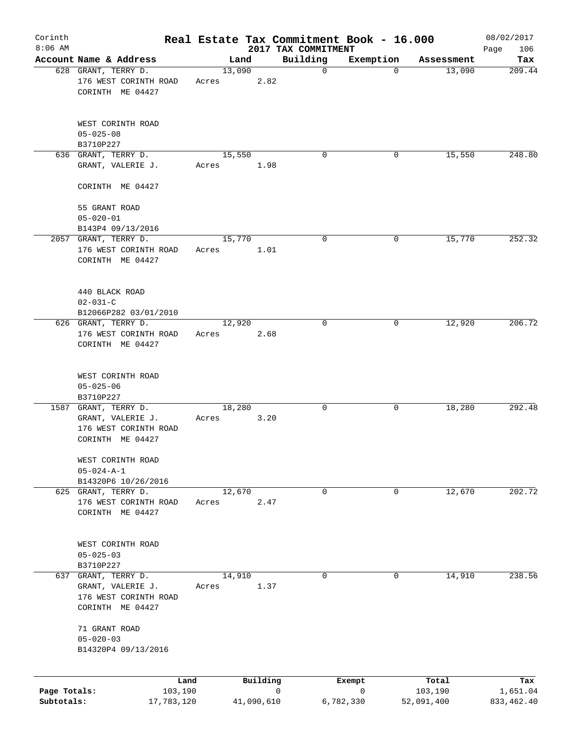| Corinth                    |                                                                                       |                 |            | Real Estate Tax Commitment Book - 16.000 |                |                       | 08/02/2017              |
|----------------------------|---------------------------------------------------------------------------------------|-----------------|------------|------------------------------------------|----------------|-----------------------|-------------------------|
| $8:06$ AM                  | Account Name & Address                                                                |                 | Land       | 2017 TAX COMMITMENT<br>Building          | Exemption      | Assessment            | 106<br>Page<br>Tax      |
|                            | 628 GRANT, TERRY D.                                                                   | 13,090          |            | $\mathbf 0$                              | $\mathbf 0$    | 13,090                | 209.44                  |
|                            | 176 WEST CORINTH ROAD<br>CORINTH ME 04427                                             | Acres           | 2.82       |                                          |                |                       |                         |
|                            | WEST CORINTH ROAD<br>$05 - 025 - 08$                                                  |                 |            |                                          |                |                       |                         |
|                            | B3710P227<br>636 GRANT, TERRY D.                                                      | 15,550          |            | $\mathbf 0$                              | 0              | 15,550                | 248.80                  |
|                            | GRANT, VALERIE J.                                                                     | Acres           | 1.98       |                                          |                |                       |                         |
|                            | CORINTH ME 04427                                                                      |                 |            |                                          |                |                       |                         |
|                            | 55 GRANT ROAD<br>$05 - 020 - 01$                                                      |                 |            |                                          |                |                       |                         |
|                            | B143P4 09/13/2016                                                                     |                 |            |                                          |                |                       |                         |
|                            | 2057 GRANT, TERRY D.<br>176 WEST CORINTH ROAD<br>CORINTH ME 04427                     | 15,770<br>Acres | 1.01       | 0                                        | 0              | 15,770                | 252.32                  |
|                            | 440 BLACK ROAD<br>$02 - 031 - C$                                                      |                 |            |                                          |                |                       |                         |
|                            | B12066P282 03/01/2010<br>626 GRANT, TERRY D.                                          | 12,920          |            | $\mathbf 0$                              |                | 12,920                | 206.72                  |
|                            | 176 WEST CORINTH ROAD<br>CORINTH ME 04427                                             | Acres           | 2.68       |                                          | 0              |                       |                         |
|                            | WEST CORINTH ROAD<br>$05 - 025 - 06$<br>B3710P227                                     |                 |            |                                          |                |                       |                         |
|                            | 1587 GRANT, TERRY D.                                                                  | 18,280          |            | 0                                        | 0              | 18,280                | 292.48                  |
|                            | GRANT, VALERIE J.<br>176 WEST CORINTH ROAD<br>CORINTH ME 04427                        | Acres           | 3.20       |                                          |                |                       |                         |
|                            | WEST CORINTH ROAD<br>$05 - 024 - A - 1$                                               |                 |            |                                          |                |                       |                         |
|                            | B14320P6 10/26/2016                                                                   |                 |            |                                          |                |                       |                         |
|                            | 625 GRANT, TERRY D.<br>176 WEST CORINTH ROAD<br>CORINTH ME 04427                      | 12,670<br>Acres | 2.47       | 0                                        | 0              | 12,670                | 202.72                  |
|                            | WEST CORINTH ROAD<br>$05 - 025 - 03$<br>B3710P227                                     |                 |            |                                          |                |                       |                         |
|                            | 637 GRANT, TERRY D.<br>GRANT, VALERIE J.<br>176 WEST CORINTH ROAD<br>CORINTH ME 04427 | 14,910<br>Acres | 1.37       | 0                                        | 0              | 14,910                | 238.56                  |
|                            | 71 GRANT ROAD<br>$05 - 020 - 03$<br>B14320P4 09/13/2016                               |                 |            |                                          |                |                       |                         |
|                            | Land                                                                                  |                 | Building   |                                          | Exempt         | Total                 | Tax                     |
| Page Totals:<br>Subtotals: | 103,190<br>17,783,120                                                                 |                 | 41,090,610 | $\mathbf 0$                              | 0<br>6,782,330 | 103,190<br>52,091,400 | 1,651.04<br>833, 462.40 |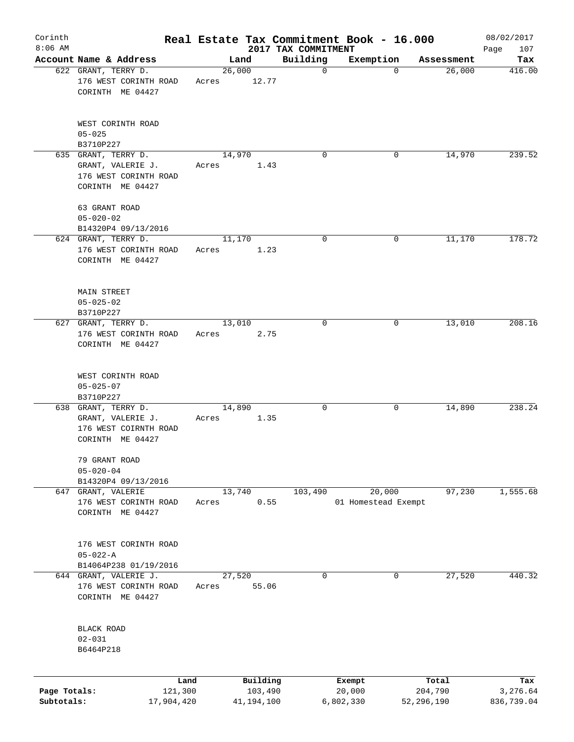| Corinth      |                                                                                       |                 |            |                                 | Real Estate Tax Commitment Book - 16.000 |            | 08/02/2017         |
|--------------|---------------------------------------------------------------------------------------|-----------------|------------|---------------------------------|------------------------------------------|------------|--------------------|
| $8:06$ AM    | Account Name & Address                                                                |                 | Land       | 2017 TAX COMMITMENT<br>Building | Exemption                                | Assessment | 107<br>Page<br>Tax |
|              | 622 GRANT, TERRY D.                                                                   | 26,000          |            | $\mathbf 0$                     | 0                                        | 26,000     | 416.00             |
|              | 176 WEST CORINTH ROAD<br>CORINTH ME 04427                                             | Acres           | 12.77      |                                 |                                          |            |                    |
|              | WEST CORINTH ROAD<br>$05 - 025$                                                       |                 |            |                                 |                                          |            |                    |
|              | B3710P227                                                                             |                 |            |                                 |                                          |            |                    |
|              | 635 GRANT, TERRY D.<br>GRANT, VALERIE J.<br>176 WEST CORINTH ROAD<br>CORINTH ME 04427 | 14,970<br>Acres | 1.43       | $\Omega$                        | 0                                        | 14,970     | 239.52             |
|              | 63 GRANT ROAD<br>$05 - 020 - 02$                                                      |                 |            |                                 |                                          |            |                    |
|              | B14320P4 09/13/2016                                                                   |                 |            |                                 |                                          |            |                    |
|              | 624 GRANT, TERRY D.<br>176 WEST CORINTH ROAD<br>CORINTH ME 04427                      | 11,170<br>Acres | 1.23       | 0                               | 0                                        | 11,170     | 178.72             |
|              | MAIN STREET<br>$05 - 025 - 02$<br>B3710P227                                           |                 |            |                                 |                                          |            |                    |
|              | 627 GRANT, TERRY D.<br>176 WEST CORINTH ROAD<br>CORINTH ME 04427                      | 13,010<br>Acres | 2.75       | 0                               | 0                                        | 13,010     | 208.16             |
|              | WEST CORINTH ROAD<br>$05 - 025 - 07$<br>B3710P227                                     |                 |            |                                 |                                          |            |                    |
|              | 638 GRANT, TERRY D.<br>GRANT, VALERIE J.<br>176 WEST COIRNTH ROAD<br>CORINTH ME 04427 | 14,890<br>Acres | 1.35       | 0                               | 0                                        | 14,890     | 238.24             |
|              | 79 GRANT ROAD<br>$05 - 020 - 04$<br>B14320P4 09/13/2016                               |                 |            |                                 |                                          |            |                    |
|              | 647 GRANT, VALERIE<br>176 WEST CORINTH ROAD<br>CORINTH ME 04427                       | 13,740<br>Acres | 0.55       | 103,490                         | 20,000<br>01 Homestead Exempt            | 97,230     | 1,555.68           |
|              | 176 WEST CORINTH ROAD<br>$05 - 022 - A$<br>B14064P238 01/19/2016                      |                 |            |                                 |                                          |            |                    |
|              | 644 GRANT, VALERIE J.<br>176 WEST CORINTH ROAD<br>CORINTH ME 04427                    | 27,520<br>Acres | 55.06      | 0                               | 0                                        | 27,520     | 440.32             |
|              | <b>BLACK ROAD</b><br>$02 - 031$<br>B6464P218                                          |                 |            |                                 |                                          |            |                    |
|              | Land                                                                                  |                 | Building   |                                 | Exempt                                   | Total      | Tax                |
| Page Totals: | 121,300                                                                               |                 | 103,490    |                                 | 20,000                                   | 204,790    | 3,276.64           |
| Subtotals:   | 17,904,420                                                                            |                 | 41,194,100 |                                 | 6,802,330                                | 52,296,190 | 836,739.04         |
|              |                                                                                       |                 |            |                                 |                                          |            |                    |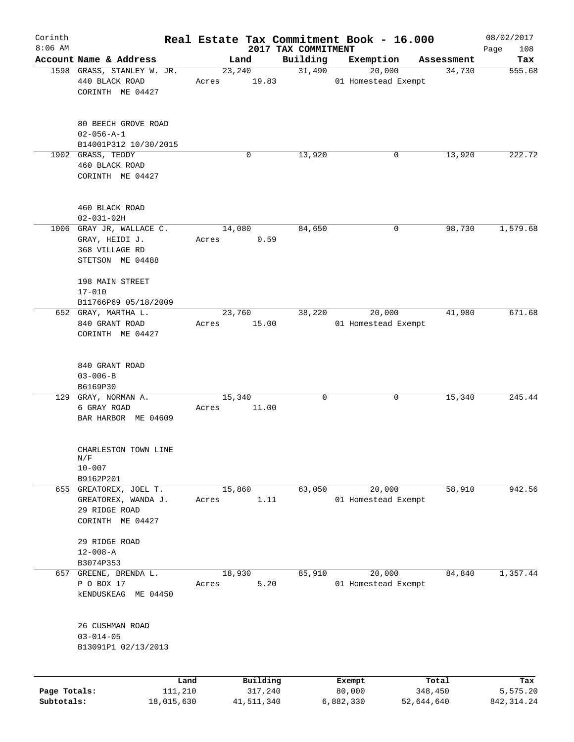| Corinth<br>$8:06$ AM |                                                                |                 |        |                     |                                 | Real Estate Tax Commitment Book - 16.000 |                  | 08/02/2017         |
|----------------------|----------------------------------------------------------------|-----------------|--------|---------------------|---------------------------------|------------------------------------------|------------------|--------------------|
|                      | Account Name & Address                                         |                 |        | Land                | 2017 TAX COMMITMENT<br>Building | Exemption                                | Assessment       | Page<br>108<br>Tax |
|                      | 1598 GRASS, STANLEY W. JR.                                     |                 |        | 23,240              | 31,490                          | 20,000                                   | 34,730           | 555.68             |
|                      | 440 BLACK ROAD<br>CORINTH ME 04427                             |                 | Acres  | 19.83               |                                 | 01 Homestead Exempt                      |                  |                    |
|                      | 80 BEECH GROVE ROAD<br>$02 - 056 - A - 1$                      |                 |        |                     |                                 |                                          |                  |                    |
|                      | B14001P312 10/30/2015                                          |                 |        |                     |                                 |                                          |                  |                    |
|                      | 1902 GRASS, TEDDY<br>460 BLACK ROAD<br>CORINTH ME 04427        |                 |        | 0                   | 13,920                          | 0                                        | 13,920           | 222.72             |
|                      | 460 BLACK ROAD<br>$02 - 031 - 02H$                             |                 |        |                     |                                 |                                          |                  |                    |
|                      | 1006 GRAY JR, WALLACE C.                                       |                 |        | 14,080              | 84,650                          | 0                                        | 98,730           | 1,579.68           |
|                      | GRAY, HEIDI J.<br>368 VILLAGE RD<br>STETSON ME 04488           |                 | Acres  | 0.59                |                                 |                                          |                  |                    |
|                      | 198 MAIN STREET<br>$17 - 010$                                  |                 |        |                     |                                 |                                          |                  |                    |
|                      | B11766P69 05/18/2009<br>652 GRAY, MARTHA L.                    |                 |        | 23,760              | 38,220                          | 20,000                                   | 41,980           | 671.68             |
|                      | 840 GRANT ROAD<br>CORINTH ME 04427                             |                 | Acres  | 15.00               |                                 | 01 Homestead Exempt                      |                  |                    |
|                      | 840 GRANT ROAD<br>$03 - 006 - B$                               |                 |        |                     |                                 |                                          |                  |                    |
|                      | B6169P30<br>129 GRAY, NORMAN A.                                |                 | 15,340 |                     | $\mathbf 0$                     | 0                                        | 15,340           | 245.44             |
|                      | 6 GRAY ROAD<br>BAR HARBOR ME 04609                             |                 | Acres  | 11.00               |                                 |                                          |                  |                    |
|                      | CHARLESTON TOWN LINE<br>N/F<br>$10 - 007$                      |                 |        |                     |                                 |                                          |                  |                    |
|                      | B9162P201                                                      |                 |        |                     |                                 |                                          |                  |                    |
|                      | 655 GREATOREX, JOEL T.<br>GREATOREX, WANDA J.<br>29 RIDGE ROAD |                 | Acres  | 15,860<br>1.11      | 63,050                          | 20,000<br>01 Homestead Exempt            | 58,910           | 942.56             |
|                      | CORINTH ME 04427<br>29 RIDGE ROAD                              |                 |        |                     |                                 |                                          |                  |                    |
|                      | $12 - 008 - A$<br>B3074P353                                    |                 |        |                     |                                 |                                          |                  |                    |
|                      | 657 GREENE, BRENDA L.                                          |                 |        | 18,930              | 85,910                          | 20,000                                   | 84,840           | 1,357.44           |
|                      | P O BOX 17<br><b>kENDUSKEAG ME 04450</b>                       |                 | Acres  | 5.20                |                                 | 01 Homestead Exempt                      |                  |                    |
|                      | 26 CUSHMAN ROAD<br>$03 - 014 - 05$<br>B13091P1 02/13/2013      |                 |        |                     |                                 |                                          |                  |                    |
| Page Totals:         |                                                                | Land<br>111,210 |        | Building<br>317,240 |                                 | Exempt<br>80,000                         | Total<br>348,450 | Tax<br>5,575.20    |
| Subtotals:           |                                                                | 18,015,630      |        | 41,511,340          |                                 | 6,882,330                                | 52,644,640       | 842, 314.24        |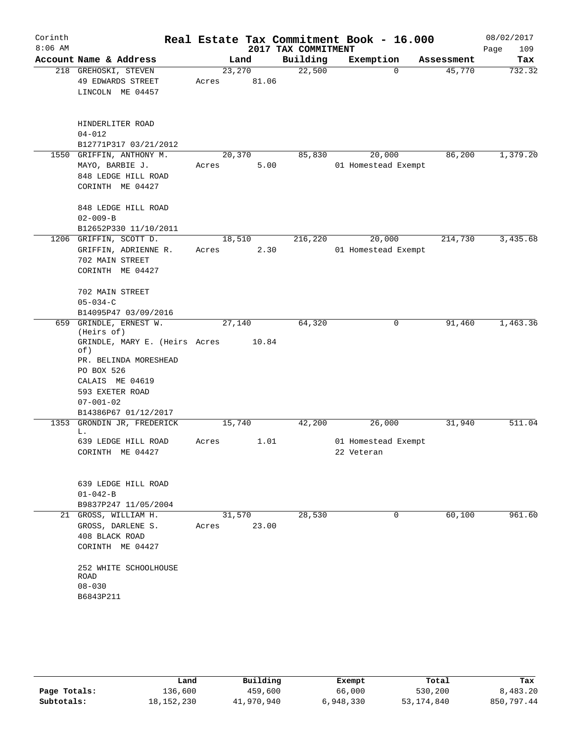| Corinth   |                                      |        |       |                                 | Real Estate Tax Commitment Book - 16.000 |          |                      | 08/02/2017    |
|-----------|--------------------------------------|--------|-------|---------------------------------|------------------------------------------|----------|----------------------|---------------|
| $8:06$ AM | Account Name & Address               |        |       | 2017 TAX COMMITMENT<br>Building |                                          |          |                      | Page<br>109   |
|           | 218 GREHOSKI, STEVEN                 | 23,270 | Land  | 22,500                          | Exemption                                | $\Omega$ | Assessment<br>45,770 | Tax<br>732.32 |
|           | 49 EDWARDS STREET                    | Acres  | 81.06 |                                 |                                          |          |                      |               |
|           | LINCOLN ME 04457                     |        |       |                                 |                                          |          |                      |               |
|           |                                      |        |       |                                 |                                          |          |                      |               |
|           | HINDERLITER ROAD                     |        |       |                                 |                                          |          |                      |               |
|           | $04 - 012$                           |        |       |                                 |                                          |          |                      |               |
|           | B12771P317 03/21/2012                |        |       |                                 |                                          |          |                      |               |
| 1550      | GRIFFIN, ANTHONY M.                  | 20,370 |       | 85,830                          | 20,000                                   |          | 86,200               | 1,379.20      |
|           | MAYO, BARBIE J.                      | Acres  | 5.00  |                                 | 01 Homestead Exempt                      |          |                      |               |
|           | 848 LEDGE HILL ROAD                  |        |       |                                 |                                          |          |                      |               |
|           | CORINTH ME 04427                     |        |       |                                 |                                          |          |                      |               |
|           | 848 LEDGE HILL ROAD                  |        |       |                                 |                                          |          |                      |               |
|           | $02 - 009 - B$                       |        |       |                                 |                                          |          |                      |               |
|           | B12652P330 11/10/2011                |        |       |                                 |                                          |          |                      |               |
|           | 1206 GRIFFIN, SCOTT D.               | 18,510 |       | 216,220                         | 20,000                                   |          | 214,730              | 3,435.68      |
|           | GRIFFIN, ADRIENNE R.                 | Acres  | 2.30  |                                 | 01 Homestead Exempt                      |          |                      |               |
|           | 702 MAIN STREET                      |        |       |                                 |                                          |          |                      |               |
|           | CORINTH ME 04427                     |        |       |                                 |                                          |          |                      |               |
|           | 702 MAIN STREET                      |        |       |                                 |                                          |          |                      |               |
|           | $05 - 034 - C$                       |        |       |                                 |                                          |          |                      |               |
|           | B14095P47 03/09/2016                 |        |       |                                 |                                          |          |                      |               |
| 659       | GRINDLE, ERNEST W.<br>(Heirs of)     | 27,140 |       | 64,320                          |                                          | 0        | 91,460               | 1,463.36      |
|           | GRINDLE, MARY E. (Heirs Acres<br>of) |        | 10.84 |                                 |                                          |          |                      |               |
|           | PR. BELINDA MORESHEAD                |        |       |                                 |                                          |          |                      |               |
|           | PO BOX 526                           |        |       |                                 |                                          |          |                      |               |
|           | CALAIS ME 04619                      |        |       |                                 |                                          |          |                      |               |
|           | 593 EXETER ROAD                      |        |       |                                 |                                          |          |                      |               |
|           | $07 - 001 - 02$                      |        |       |                                 |                                          |          |                      |               |
|           | B14386P67 01/12/2017                 |        |       |                                 |                                          |          |                      |               |
| 1353      | GRONDIN JR, FREDERICK<br>L.          | 15,740 |       | 42,200                          | 26,000                                   |          | 31,940               | 511.04        |
|           | 639 LEDGE HILL ROAD                  | Acres  | 1.01  |                                 | 01 Homestead Exempt                      |          |                      |               |
|           | CORINTH ME 04427                     |        |       |                                 | 22 Veteran                               |          |                      |               |
|           |                                      |        |       |                                 |                                          |          |                      |               |
|           | 639 LEDGE HILL ROAD                  |        |       |                                 |                                          |          |                      |               |
|           | $01 - 042 - B$                       |        |       |                                 |                                          |          |                      |               |
|           | B9837P247 11/05/2004                 |        |       |                                 |                                          |          |                      |               |
|           | 21 GROSS, WILLIAM H.                 | 31,570 |       | 28,530                          |                                          | 0        | 60,100               | 961.60        |
|           | GROSS, DARLENE S.                    | Acres  | 23.00 |                                 |                                          |          |                      |               |
|           | 408 BLACK ROAD                       |        |       |                                 |                                          |          |                      |               |
|           | CORINTH ME 04427                     |        |       |                                 |                                          |          |                      |               |
|           | 252 WHITE SCHOOLHOUSE                |        |       |                                 |                                          |          |                      |               |
|           | ROAD                                 |        |       |                                 |                                          |          |                      |               |
|           | $08 - 030$                           |        |       |                                 |                                          |          |                      |               |
|           | B6843P211                            |        |       |                                 |                                          |          |                      |               |

|              | Land         | Building   | Exempt    | Total        | Tax        |
|--------------|--------------|------------|-----------|--------------|------------|
| Page Totals: | 136,600      | 459,600    | 66,000    | 530,200      | 8,483.20   |
| Subtotals:   | 18, 152, 230 | 41,970,940 | 6,948,330 | 53, 174, 840 | 850,797.44 |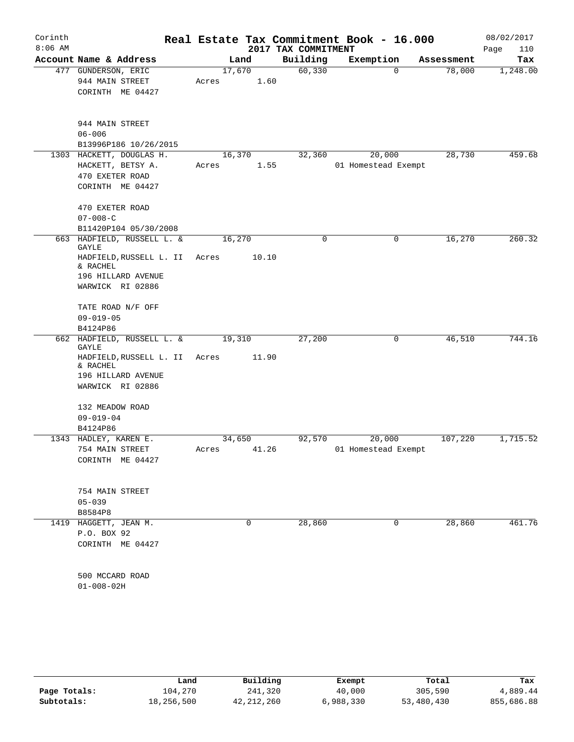| Corinth   |                                     |        |       |                                 | Real Estate Tax Commitment Book - 16.000 |            | 08/02/2017         |
|-----------|-------------------------------------|--------|-------|---------------------------------|------------------------------------------|------------|--------------------|
| $8:06$ AM | Account Name & Address              |        | Land  | 2017 TAX COMMITMENT<br>Building | Exemption                                | Assessment | Page<br>110<br>Tax |
|           | 477 GUNDERSON, ERIC                 | 17,670 |       | 60, 330                         | $\mathbf 0$                              | 78,000     | 1,248.00           |
|           | 944 MAIN STREET                     | Acres  | 1.60  |                                 |                                          |            |                    |
|           | CORINTH ME 04427                    |        |       |                                 |                                          |            |                    |
|           |                                     |        |       |                                 |                                          |            |                    |
|           | 944 MAIN STREET                     |        |       |                                 |                                          |            |                    |
|           | $06 - 006$                          |        |       |                                 |                                          |            |                    |
|           | B13996P186 10/26/2015               |        |       |                                 |                                          |            |                    |
|           | 1303 HACKETT, DOUGLAS H.            | 16,370 |       | 32, 360                         | 20,000                                   | 28,730     | 459.68             |
|           | HACKETT, BETSY A.                   | Acres  | 1.55  |                                 | 01 Homestead Exempt                      |            |                    |
|           | 470 EXETER ROAD                     |        |       |                                 |                                          |            |                    |
|           | CORINTH ME 04427                    |        |       |                                 |                                          |            |                    |
|           | 470 EXETER ROAD                     |        |       |                                 |                                          |            |                    |
|           | $07 - 008 - C$                      |        |       |                                 |                                          |            |                    |
|           | B11420P104 05/30/2008               |        |       |                                 |                                          |            |                    |
|           | 663 HADFIELD, RUSSELL L. &<br>GAYLE | 16,270 |       | 0                               | 0                                        | 16,270     | 260.32             |
|           | HADFIELD, RUSSELL L. II<br>& RACHEL | Acres  | 10.10 |                                 |                                          |            |                    |
|           | 196 HILLARD AVENUE                  |        |       |                                 |                                          |            |                    |
|           | WARWICK RI 02886                    |        |       |                                 |                                          |            |                    |
|           | TATE ROAD N/F OFF                   |        |       |                                 |                                          |            |                    |
|           | $09 - 019 - 05$                     |        |       |                                 |                                          |            |                    |
|           | B4124P86                            |        |       |                                 |                                          |            |                    |
|           | 662 HADFIELD, RUSSELL L. &<br>GAYLE | 19,310 |       | 27,200                          | 0                                        | 46,510     | 744.16             |
|           | HADFIELD, RUSSELL L. II<br>& RACHEL | Acres  | 11.90 |                                 |                                          |            |                    |
|           | 196 HILLARD AVENUE                  |        |       |                                 |                                          |            |                    |
|           | WARWICK RI 02886                    |        |       |                                 |                                          |            |                    |
|           | 132 MEADOW ROAD                     |        |       |                                 |                                          |            |                    |
|           | $09 - 019 - 04$                     |        |       |                                 |                                          |            |                    |
|           | B4124P86                            |        |       |                                 |                                          |            |                    |
|           | 1343 HADLEY, KAREN E.               | 34,650 |       | 92,570                          | 20,000                                   | 107,220    | 1,715.52           |
|           | 754 MAIN STREET                     | Acres  | 41.26 |                                 | 01 Homestead Exempt                      |            |                    |
|           | CORINTH ME 04427                    |        |       |                                 |                                          |            |                    |
|           |                                     |        |       |                                 |                                          |            |                    |
|           | 754 MAIN STREET<br>$05 - 039$       |        |       |                                 |                                          |            |                    |
|           | B8584P8                             |        |       |                                 |                                          |            |                    |
|           | 1419 HAGGETT, JEAN M.               |        | 0     | 28,860                          | 0                                        | 28,860     | 461.76             |
|           | P.O. BOX 92                         |        |       |                                 |                                          |            |                    |
|           | CORINTH ME 04427                    |        |       |                                 |                                          |            |                    |
|           |                                     |        |       |                                 |                                          |            |                    |
|           | 500 MCCARD ROAD<br>$01 - 008 - 02H$ |        |       |                                 |                                          |            |                    |
|           |                                     |        |       |                                 |                                          |            |                    |

|              | Land       | Building   | Exempt    | Total      | Tax        |
|--------------|------------|------------|-----------|------------|------------|
| Page Totals: | 104,270    | 241,320    | 40,000    | 305,590    | 4,889.44   |
| Subtotals:   | 18,256,500 | 42,212,260 | 6,988,330 | 53,480,430 | 855,686.88 |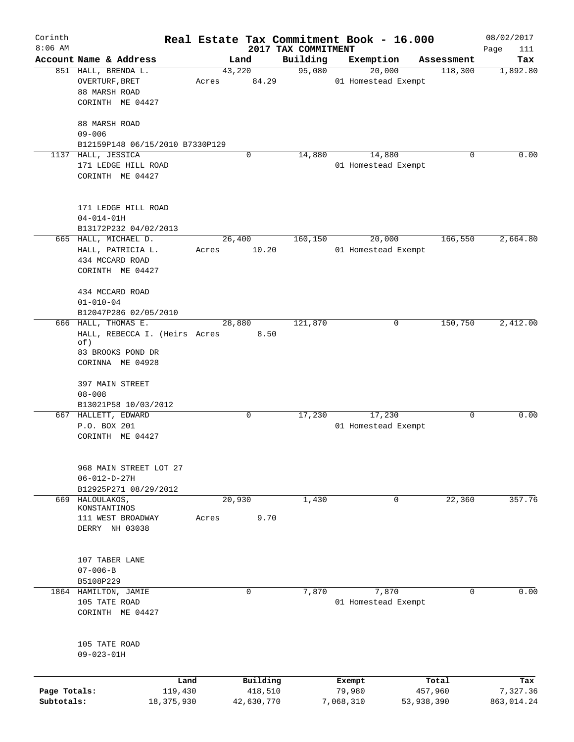| Corinth<br>$8:06$ AM       |                                                                                                      |                 |                       |                                 | Real Estate Tax Commitment Book - 16.000 |                       | 08/02/2017             |
|----------------------------|------------------------------------------------------------------------------------------------------|-----------------|-----------------------|---------------------------------|------------------------------------------|-----------------------|------------------------|
|                            | Account Name & Address                                                                               |                 | Land                  | 2017 TAX COMMITMENT<br>Building | Exemption                                | Assessment            | Page<br>111<br>Tax     |
|                            | 851 HALL, BRENDA L.<br><b>OVERTURF, BRET</b><br>88 MARSH ROAD<br>CORINTH ME 04427                    | 43,220<br>Acres | 84.29                 | 95,080                          | 20,000<br>01 Homestead Exempt            | 118,300               | 1,892.80               |
|                            | 88 MARSH ROAD<br>$09 - 006$<br>B12159P148 06/15/2010 B7330P129                                       |                 |                       |                                 |                                          |                       |                        |
| 1137                       | HALL, JESSICA<br>171 LEDGE HILL ROAD<br>CORINTH ME 04427                                             |                 | 0                     | 14,880                          | 14,880<br>01 Homestead Exempt            | 0                     | 0.00                   |
|                            | 171 LEDGE HILL ROAD<br>$04 - 014 - 01H$<br>B13172P232 04/02/2013                                     |                 |                       |                                 |                                          |                       |                        |
|                            | 665 HALL, MICHAEL D.<br>HALL, PATRICIA L.<br>434 MCCARD ROAD<br>CORINTH ME 04427                     | 26,400<br>Acres | 10.20                 | 160,150                         | 20,000<br>01 Homestead Exempt            | 166,550               | 2,664.80               |
|                            | 434 MCCARD ROAD<br>$01 - 010 - 04$<br>B12047P286 02/05/2010                                          |                 |                       |                                 |                                          |                       |                        |
|                            | 666 HALL, THOMAS E.<br>HALL, REBECCA I. (Heirs Acres<br>of)<br>83 BROOKS POND DR<br>CORINNA ME 04928 | 28,880          | 8.50                  | 121,870                         | 0                                        | 150,750               | 2,412.00               |
|                            | 397 MAIN STREET<br>$08 - 008$<br>B13021P58 10/03/2012                                                |                 |                       |                                 |                                          |                       |                        |
|                            | 667 HALLETT, EDWARD<br>P.O. BOX 201<br>CORINTH ME 04427                                              |                 | 0                     | 17,230                          | 17,230<br>01 Homestead Exempt            | 0                     | 0.00                   |
|                            | 968 MAIN STREET LOT 27<br>$06 - 012 - D - 27H$<br>B12925P271 08/29/2012                              |                 |                       |                                 |                                          |                       |                        |
| 669                        | HALOULAKOS,<br>KONSTANTINOS                                                                          | 20,930          |                       | 1,430                           | 0                                        | 22,360                | 357.76                 |
|                            | 111 WEST BROADWAY<br>DERRY NH 03038                                                                  | Acres           | 9.70                  |                                 |                                          |                       |                        |
|                            | 107 TABER LANE<br>$07 - 006 - B$<br>B5108P229                                                        |                 |                       |                                 |                                          |                       |                        |
|                            | 1864 HAMILTON, JAMIE<br>105 TATE ROAD<br>CORINTH ME 04427                                            |                 | 0                     | 7,870                           | 7,870<br>01 Homestead Exempt             | 0                     | 0.00                   |
|                            | 105 TATE ROAD<br>$09 - 023 - 01H$                                                                    |                 |                       |                                 |                                          |                       |                        |
|                            |                                                                                                      | Land            | Building              |                                 | Exempt                                   | Total                 | Tax                    |
| Page Totals:<br>Subtotals: | 119,430<br>18, 375, 930                                                                              |                 | 418,510<br>42,630,770 |                                 | 79,980<br>7,068,310                      | 457,960<br>53,938,390 | 7,327.36<br>863,014.24 |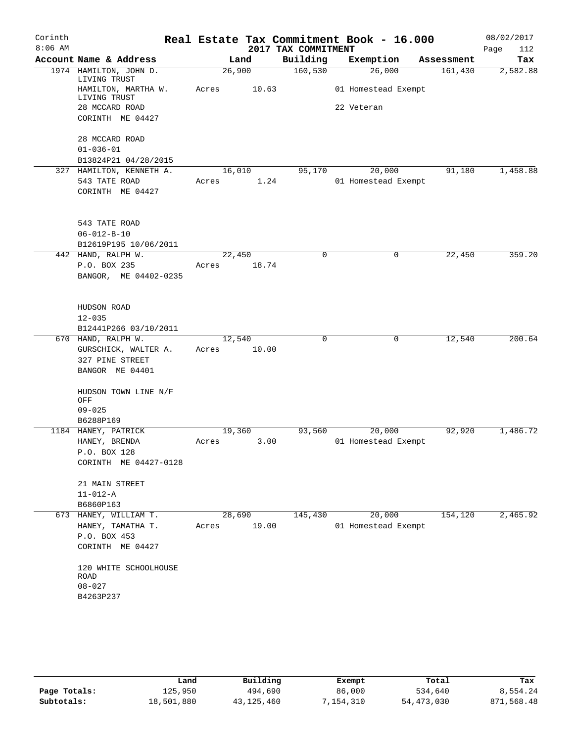| Corinth   |                                        |        |       |                     | Real Estate Tax Commitment Book - 16.000 |            | 08/02/2017  |
|-----------|----------------------------------------|--------|-------|---------------------|------------------------------------------|------------|-------------|
| $8:06$ AM |                                        |        |       | 2017 TAX COMMITMENT |                                          |            | Page<br>112 |
|           | Account Name & Address                 |        | Land  | Building            | Exemption                                | Assessment | Tax         |
|           | 1974 HAMILTON, JOHN D.<br>LIVING TRUST | 26,900 |       | 160, 530            | 26,000                                   | 161,430    | 2,582.88    |
|           | HAMILTON, MARTHA W.<br>LIVING TRUST    | Acres  | 10.63 |                     | 01 Homestead Exempt                      |            |             |
|           | 28 MCCARD ROAD                         |        |       |                     | 22 Veteran                               |            |             |
|           | CORINTH ME 04427                       |        |       |                     |                                          |            |             |
|           | 28 MCCARD ROAD                         |        |       |                     |                                          |            |             |
|           | $01 - 036 - 01$                        |        |       |                     |                                          |            |             |
|           | B13824P21 04/28/2015                   |        |       |                     |                                          |            |             |
|           | 327 HAMILTON, KENNETH A.               | 16,010 |       | 95,170              | 20,000                                   | 91,180     | 1,458.88    |
|           | 543 TATE ROAD<br>CORINTH ME 04427      | Acres  | 1.24  |                     | 01 Homestead Exempt                      |            |             |
|           | 543 TATE ROAD                          |        |       |                     |                                          |            |             |
|           | $06 - 012 - B - 10$                    |        |       |                     |                                          |            |             |
|           | B12619P195 10/06/2011                  |        |       |                     |                                          |            |             |
|           | 442 HAND, RALPH W.                     | 22,450 |       | 0                   | 0                                        | 22,450     | 359.20      |
|           | P.O. BOX 235<br>BANGOR, ME 04402-0235  | Acres  | 18.74 |                     |                                          |            |             |
|           | HUDSON ROAD<br>$12 - 035$              |        |       |                     |                                          |            |             |
|           | B12441P266 03/10/2011                  |        |       |                     |                                          |            |             |
|           | 670 HAND, RALPH W.                     | 12,540 |       | 0                   | 0                                        | 12,540     | 200.64      |
|           | GURSCHICK, WALTER A.                   | Acres  | 10.00 |                     |                                          |            |             |
|           | 327 PINE STREET                        |        |       |                     |                                          |            |             |
|           | BANGOR ME 04401                        |        |       |                     |                                          |            |             |
|           | HUDSON TOWN LINE N/F<br>OFF            |        |       |                     |                                          |            |             |
|           | $09 - 025$                             |        |       |                     |                                          |            |             |
|           | B6288P169                              |        |       |                     |                                          |            |             |
|           | 1184 HANEY, PATRICK                    | 19,360 |       | 93,560              | 20,000                                   | 92,920     | 1,486.72    |
|           | HANEY, BRENDA<br>P.O. BOX 128          | Acres  | 3.00  |                     | 01 Homestead Exempt                      |            |             |
|           | CORINTH ME 04427-0128                  |        |       |                     |                                          |            |             |
|           | 21 MAIN STREET                         |        |       |                     |                                          |            |             |
|           | $11 - 012 - A$                         |        |       |                     |                                          |            |             |
|           | B6860P163                              |        |       |                     |                                          |            |             |
|           | 673 HANEY, WILLIAM T.                  | 28,690 |       | 145,430             | 20,000                                   | 154, 120   | 2,465.92    |
|           | HANEY, TAMATHA T.                      | Acres  | 19.00 |                     | 01 Homestead Exempt                      |            |             |
|           | P.O. BOX 453<br>CORINTH ME 04427       |        |       |                     |                                          |            |             |
|           | 120 WHITE SCHOOLHOUSE                  |        |       |                     |                                          |            |             |
|           | ROAD                                   |        |       |                     |                                          |            |             |
|           | $08 - 027$                             |        |       |                     |                                          |            |             |
|           | B4263P237                              |        |       |                     |                                          |            |             |
|           |                                        |        |       |                     |                                          |            |             |

|              | Land       | Building     | Exempt   | Total      | Tax        |
|--------------|------------|--------------|----------|------------|------------|
| Page Totals: | 125,950    | 494,690      | 86,000   | 534,640    | 8,554.24   |
| Subtotals:   | 18,501,880 | 43, 125, 460 | ,154,310 | 54,473,030 | 871,568.48 |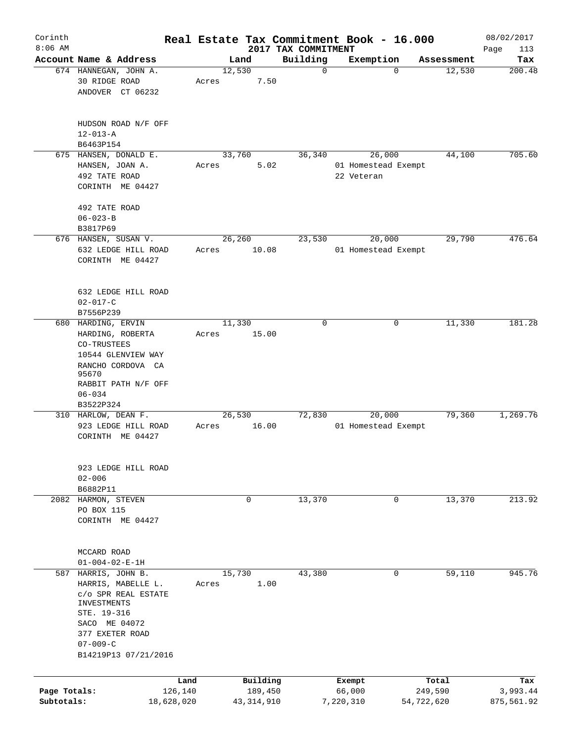| $8:06$ AM<br>2017 TAX COMMITMENT<br>Account Name & Address<br>Building<br>Exemption<br>Land<br>Assessment<br>12,530<br>12,530<br>674 HANNEGAN, JOHN A.<br>$\mathbf 0$<br>$\mathbf 0$<br>30 RIDGE ROAD<br>7.50<br>Acres<br>ANDOVER CT 06232<br>HUDSON ROAD N/F OFF | Page<br>113<br>Tax<br>200.48<br>705.60 |
|-------------------------------------------------------------------------------------------------------------------------------------------------------------------------------------------------------------------------------------------------------------------|----------------------------------------|
|                                                                                                                                                                                                                                                                   |                                        |
|                                                                                                                                                                                                                                                                   |                                        |
|                                                                                                                                                                                                                                                                   |                                        |
| $12 - 013 - A$                                                                                                                                                                                                                                                    |                                        |
| B6463P154                                                                                                                                                                                                                                                         |                                        |
| 675 HANSEN, DONALD E.<br>33,760<br>36,340<br>26,000<br>44,100<br>HANSEN, JOAN A.<br>5.02<br>01 Homestead Exempt<br>Acres<br>492 TATE ROAD<br>22 Veteran<br>CORINTH ME 04427                                                                                       |                                        |
| 492 TATE ROAD                                                                                                                                                                                                                                                     |                                        |
| $06 - 023 - B$<br>B3817P69                                                                                                                                                                                                                                        |                                        |
| 26,260<br>23,530<br>29,790<br>676 HANSEN, SUSAN V.<br>20,000                                                                                                                                                                                                      | 476.64                                 |
| 632 LEDGE HILL ROAD<br>01 Homestead Exempt<br>Acres<br>10.08<br>CORINTH ME 04427                                                                                                                                                                                  |                                        |
| 632 LEDGE HILL ROAD<br>$02 - 017 - C$<br>B7556P239                                                                                                                                                                                                                |                                        |
| 680 HARDING, ERVIN<br>11,330<br>11,330<br>0<br>0                                                                                                                                                                                                                  | 181.28                                 |
| HARDING, ROBERTA<br>15.00<br>Acres<br>CO-TRUSTEES                                                                                                                                                                                                                 |                                        |
| 10544 GLENVIEW WAY<br>RANCHO CORDOVA CA<br>95670<br>RABBIT PATH N/F OFF                                                                                                                                                                                           |                                        |
| $06 - 034$                                                                                                                                                                                                                                                        |                                        |
| B3522P324<br>20,000<br>26,530<br>72,830<br>79,360<br>310 HARLOW, DEAN F.                                                                                                                                                                                          | 1,269.76                               |
| 16.00<br>923 LEDGE HILL ROAD<br>01 Homestead Exempt<br>Acres<br>CORINTH ME 04427                                                                                                                                                                                  |                                        |
| 923 LEDGE HILL ROAD<br>$02 - 006$                                                                                                                                                                                                                                 |                                        |
| B6882P11                                                                                                                                                                                                                                                          |                                        |
| 13,370<br>13,370<br>2082 HARMON, STEVEN<br>$\mathbf 0$<br>0<br>PO BOX 115<br>CORINTH ME 04427                                                                                                                                                                     | 213.92                                 |
| MCCARD ROAD<br>$01 - 004 - 02 - E - 1H$                                                                                                                                                                                                                           |                                        |
| 15,730<br>43,380<br>587 HARRIS, JOHN B.<br>0<br>59,110<br>1.00<br>HARRIS, MABELLE L.<br>Acres<br>C/O SPR REAL ESTATE<br>INVESTMENTS                                                                                                                               | 945.76                                 |
| STE. 19-316<br>SACO ME 04072<br>377 EXETER ROAD<br>$07 - 009 - C$                                                                                                                                                                                                 |                                        |
| B14219P13 07/21/2016                                                                                                                                                                                                                                              |                                        |
| Building<br>Total<br>Land<br>Exempt                                                                                                                                                                                                                               | Tax                                    |
| 66,000<br>Page Totals:<br>126,140<br>189,450<br>249,590                                                                                                                                                                                                           | 3,993.44                               |
| Subtotals:<br>18,628,020<br>43, 314, 910<br>7,220,310<br>54,722,620                                                                                                                                                                                               | 875,561.92                             |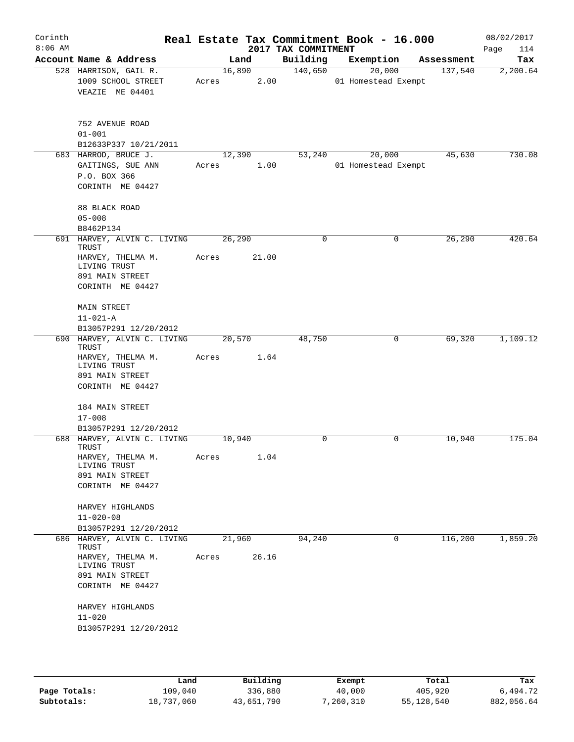| Corinth<br>$8:06$ AM |                                                                |                 |       | 2017 TAX COMMITMENT | Real Estate Tax Commitment Book - 16.000 |            | 08/02/2017<br>Page<br>114 |
|----------------------|----------------------------------------------------------------|-----------------|-------|---------------------|------------------------------------------|------------|---------------------------|
|                      | Account Name & Address                                         |                 | Land  | Building            | Exemption                                | Assessment | Tax                       |
|                      | 528 HARRISON, GAIL R.<br>1009 SCHOOL STREET<br>VEAZIE ME 04401 | 16,890<br>Acres | 2.00  | 140,650             | 20,000<br>01 Homestead Exempt            | 137,540    | 2,200.64                  |
|                      | 752 AVENUE ROAD<br>$01 - 001$                                  |                 |       |                     |                                          |            |                           |
|                      | B12633P337 10/21/2011<br>683 HARROD, BRUCE J.                  |                 |       | 53,240              | 20,000                                   | 45,630     | 730.08                    |
|                      | GAITINGS, SUE ANN<br>P.O. BOX 366<br>CORINTH ME 04427          | 12,390<br>Acres | 1.00  |                     | 01 Homestead Exempt                      |            |                           |
|                      | 88 BLACK ROAD<br>$05 - 008$<br>B8462P134                       |                 |       |                     |                                          |            |                           |
| 691                  | HARVEY, ALVIN C. LIVING<br>TRUST                               | 26,290          |       | $\mathbf 0$         | $\mathbf 0$                              | 26,290     | 420.64                    |
|                      | HARVEY, THELMA M.<br>LIVING TRUST                              | Acres           | 21.00 |                     |                                          |            |                           |
|                      | 891 MAIN STREET<br>CORINTH ME 04427                            |                 |       |                     |                                          |            |                           |
|                      | <b>MAIN STREET</b><br>$11 - 021 - A$                           |                 |       |                     |                                          |            |                           |
|                      | B13057P291 12/20/2012                                          |                 |       |                     |                                          |            |                           |
|                      | 690 HARVEY, ALVIN C. LIVING<br>TRUST                           | 20,570          |       | 48,750              | $\mathbf 0$                              | 69,320     | 1,109.12                  |
|                      | HARVEY, THELMA M.<br>LIVING TRUST<br>891 MAIN STREET           | Acres           | 1.64  |                     |                                          |            |                           |
|                      | CORINTH ME 04427                                               |                 |       |                     |                                          |            |                           |
|                      | 184 MAIN STREET<br>$17 - 008$                                  |                 |       |                     |                                          |            |                           |
|                      | B13057P291 12/20/2012                                          |                 |       |                     |                                          |            |                           |
|                      | 688 HARVEY, ALVIN C. LIVING<br>TRUST                           | 10,940          |       | 0                   | $\mathsf{O}$                             | 10,940     | 175.04                    |
|                      | HARVEY, THELMA M.<br>LIVING TRUST<br>891 MAIN STREET           | Acres           | 1.04  |                     |                                          |            |                           |
|                      | CORINTH ME 04427                                               |                 |       |                     |                                          |            |                           |
|                      | HARVEY HIGHLANDS                                               |                 |       |                     |                                          |            |                           |
|                      | $11 - 020 - 08$<br>B13057P291 12/20/2012                       |                 |       |                     |                                          |            |                           |
|                      | 686 HARVEY, ALVIN C. LIVING<br>TRUST                           | 21,960          |       | 94,240              | $\mathbf 0$                              | 116,200    | 1,859.20                  |
|                      | HARVEY, THELMA M.<br>LIVING TRUST<br>891 MAIN STREET           | Acres           | 26.16 |                     |                                          |            |                           |
|                      | CORINTH ME 04427                                               |                 |       |                     |                                          |            |                           |
|                      | HARVEY HIGHLANDS                                               |                 |       |                     |                                          |            |                           |
|                      | $11 - 020$<br>B13057P291 12/20/2012                            |                 |       |                     |                                          |            |                           |
|                      |                                                                |                 |       |                     |                                          |            |                           |

|              | Land       | Building   | Exempt    | Total      | Tax        |
|--------------|------------|------------|-----------|------------|------------|
| Page Totals: | 109,040    | 336,880    | 40,000    | 405,920    | 6,494.72   |
| Subtotals:   | 18,737,060 | 43,651,790 | 7,260,310 | 55,128,540 | 882,056.64 |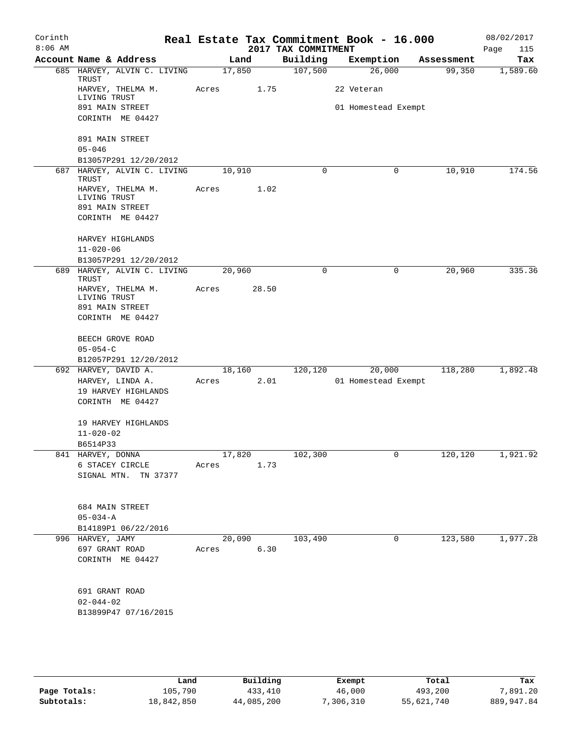| Corinth<br>$8:06$ AM |                   |                                                  |            |        | 2017 TAX COMMITMENT | Real Estate Tax Commitment Book - 16.000 |            | 08/02/2017<br>Page<br>115 |
|----------------------|-------------------|--------------------------------------------------|------------|--------|---------------------|------------------------------------------|------------|---------------------------|
|                      |                   | Account Name & Address                           |            | Land   | Building            | Exemption                                | Assessment | Tax                       |
|                      | TRUST             | 685 HARVEY, ALVIN C. LIVING                      |            | 17,850 | 107,500             | 26,000                                   | 99,350     | 1,589.60                  |
|                      | LIVING TRUST      | HARVEY, THELMA M.                                | Acres      | 1.75   |                     | 22 Veteran                               |            |                           |
|                      |                   | 891 MAIN STREET                                  |            |        |                     | 01 Homestead Exempt                      |            |                           |
|                      |                   | CORINTH ME 04427                                 |            |        |                     |                                          |            |                           |
|                      |                   | 891 MAIN STREET                                  |            |        |                     |                                          |            |                           |
|                      | $05 - 046$        |                                                  |            |        |                     |                                          |            |                           |
|                      |                   | B13057P291 12/20/2012                            |            |        |                     |                                          |            |                           |
| 687                  | TRUST             | HARVEY, ALVIN C. LIVING                          |            | 10,910 | 0                   | 0                                        | 10,910     | 174.56                    |
|                      | LIVING TRUST      | HARVEY, THELMA M.                                | Acres      | 1.02   |                     |                                          |            |                           |
|                      |                   | 891 MAIN STREET                                  |            |        |                     |                                          |            |                           |
|                      |                   | CORINTH ME 04427                                 |            |        |                     |                                          |            |                           |
|                      |                   | HARVEY HIGHLANDS                                 |            |        |                     |                                          |            |                           |
|                      | $11 - 020 - 06$   |                                                  |            |        |                     |                                          |            |                           |
| 689                  |                   | B13057P291 12/20/2012<br>HARVEY, ALVIN C. LIVING |            | 20,960 | $\mathbf 0$         | 0                                        | 20,960     | 335.36                    |
|                      | TRUST             | HARVEY, THELMA M.                                | Acres      | 28.50  |                     |                                          |            |                           |
|                      | LIVING TRUST      | 891 MAIN STREET                                  |            |        |                     |                                          |            |                           |
|                      |                   | CORINTH ME 04427                                 |            |        |                     |                                          |            |                           |
|                      |                   | BEECH GROVE ROAD                                 |            |        |                     |                                          |            |                           |
|                      | $05 - 054 - C$    |                                                  |            |        |                     |                                          |            |                           |
|                      |                   | B12057P291 12/20/2012                            |            |        |                     |                                          |            |                           |
|                      |                   | 692 HARVEY, DAVID A.                             |            | 18,160 | 120,120             | 20,000                                   | 118,280    | 1,892.48                  |
|                      |                   | HARVEY, LINDA A.                                 | Acres      | 2.01   |                     | 01 Homestead Exempt                      |            |                           |
|                      |                   | 19 HARVEY HIGHLANDS                              |            |        |                     |                                          |            |                           |
|                      |                   | CORINTH ME 04427                                 |            |        |                     |                                          |            |                           |
|                      |                   | 19 HARVEY HIGHLANDS                              |            |        |                     |                                          |            |                           |
|                      | $11 - 020 - 02$   |                                                  |            |        |                     |                                          |            |                           |
|                      | B6514P33          |                                                  |            |        |                     |                                          |            | 1,921.92                  |
|                      | 841 HARVEY, DONNA | 6 STACEY CIRCLE                                  |            | 17,820 | 102,300             | $\overline{0}$                           | 120, 120   |                           |
|                      |                   | SIGNAL MTN. TN 37377                             | Acres      | 1.73   |                     |                                          |            |                           |
|                      |                   |                                                  |            |        |                     |                                          |            |                           |
|                      |                   | 684 MAIN STREET                                  |            |        |                     |                                          |            |                           |
|                      | $05 - 034 - A$    |                                                  |            |        |                     |                                          |            |                           |
|                      |                   | B14189P1 06/22/2016                              |            |        |                     |                                          |            |                           |
|                      | 996 HARVEY, JAMY  |                                                  |            | 20,090 | 103,490             | 0                                        | 123,580    | 1,977.28                  |
|                      |                   | 697 GRANT ROAD<br>CORINTH ME 04427               | Acres 6.30 |        |                     |                                          |            |                           |
|                      |                   |                                                  |            |        |                     |                                          |            |                           |
|                      | 691 GRANT ROAD    |                                                  |            |        |                     |                                          |            |                           |
|                      | $02 - 044 - 02$   |                                                  |            |        |                     |                                          |            |                           |
|                      |                   | B13899P47 07/16/2015                             |            |        |                     |                                          |            |                           |
|                      |                   |                                                  |            |        |                     |                                          |            |                           |

|              | Land       | Building   | Exempt    | Total      | Tax        |
|--------------|------------|------------|-----------|------------|------------|
| Page Totals: | 105,790    | 433,410    | 46,000    | 493,200    | 7,891.20   |
| Subtotals:   | 18,842,850 | 44,085,200 | 7,306,310 | 55,621,740 | 889,947.84 |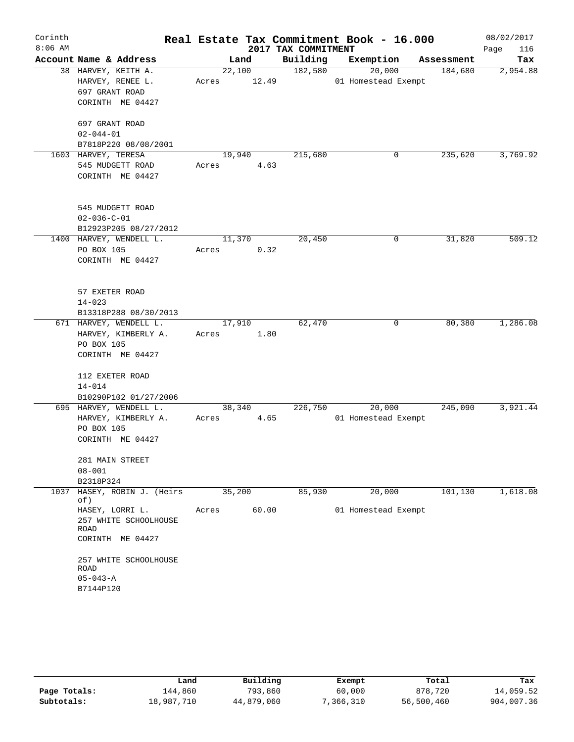| Corinth   |                                     |        |       |                     | Real Estate Tax Commitment Book - 16.000 |            | 08/02/2017  |
|-----------|-------------------------------------|--------|-------|---------------------|------------------------------------------|------------|-------------|
| $8:06$ AM |                                     |        |       | 2017 TAX COMMITMENT |                                          |            | Page<br>116 |
|           | Account Name & Address              |        | Land  | Building            | Exemption                                | Assessment | Tax         |
|           | 38 HARVEY, KEITH A.                 | 22,100 |       | 182,580             | 20,000                                   | 184,680    | 2,954.88    |
|           | HARVEY, RENEE L.                    | Acres  | 12.49 |                     | 01 Homestead Exempt                      |            |             |
|           | 697 GRANT ROAD                      |        |       |                     |                                          |            |             |
|           | CORINTH ME 04427                    |        |       |                     |                                          |            |             |
|           | 697 GRANT ROAD                      |        |       |                     |                                          |            |             |
|           | $02 - 044 - 01$                     |        |       |                     |                                          |            |             |
|           | B7818P220 08/08/2001                |        |       |                     |                                          |            |             |
|           | 1603 HARVEY, TERESA                 | 19,940 |       | 215,680             | 0                                        | 235,620    | 3,769.92    |
|           | 545 MUDGETT ROAD                    | Acres  | 4.63  |                     |                                          |            |             |
|           | CORINTH ME 04427                    |        |       |                     |                                          |            |             |
|           | 545 MUDGETT ROAD                    |        |       |                     |                                          |            |             |
|           | $02 - 036 - C - 01$                 |        |       |                     |                                          |            |             |
|           | B12923P205 08/27/2012               |        |       |                     |                                          |            |             |
|           | 1400 HARVEY, WENDELL L.             | 11,370 |       | 20,450              | 0                                        | 31,820     | 509.12      |
|           | PO BOX 105                          | Acres  | 0.32  |                     |                                          |            |             |
|           | CORINTH ME 04427                    |        |       |                     |                                          |            |             |
|           | 57 EXETER ROAD                      |        |       |                     |                                          |            |             |
|           | $14 - 023$                          |        |       |                     |                                          |            |             |
|           | B13318P288 08/30/2013               |        |       |                     |                                          |            |             |
|           | 671 HARVEY, WENDELL L.              | 17,910 |       | 62,470              | 0                                        | 80,380     | 1,286.08    |
|           | HARVEY, KIMBERLY A.                 | Acres  | 1.80  |                     |                                          |            |             |
|           | PO BOX 105                          |        |       |                     |                                          |            |             |
|           | CORINTH ME 04427                    |        |       |                     |                                          |            |             |
|           | 112 EXETER ROAD                     |        |       |                     |                                          |            |             |
|           | $14 - 014$<br>B10290P102 01/27/2006 |        |       |                     |                                          |            |             |
|           | 695 HARVEY, WENDELL L.              | 38,340 |       | 226,750             | 20,000                                   | 245,090    | 3,921.44    |
|           | HARVEY, KIMBERLY A.                 | Acres  | 4.65  |                     | 01 Homestead Exempt                      |            |             |
|           | PO BOX 105                          |        |       |                     |                                          |            |             |
|           | CORINTH ME 04427                    |        |       |                     |                                          |            |             |
|           | 281 MAIN STREET                     |        |       |                     |                                          |            |             |
|           | $08 - 001$                          |        |       |                     |                                          |            |             |
|           | B2318P324                           |        |       |                     |                                          |            |             |
| 1037      | HASEY, ROBIN J. (Heirs<br>of)       | 35,200 |       | 85,930              | 20,000                                   | 101,130    | 1,618.08    |
|           | HASEY, LORRI L.                     | Acres  | 60.00 |                     | 01 Homestead Exempt                      |            |             |
|           | 257 WHITE SCHOOLHOUSE<br>ROAD       |        |       |                     |                                          |            |             |
|           | CORINTH ME 04427                    |        |       |                     |                                          |            |             |
|           | 257 WHITE SCHOOLHOUSE<br>ROAD       |        |       |                     |                                          |            |             |
|           | $05 - 043 - A$                      |        |       |                     |                                          |            |             |
|           | B7144P120                           |        |       |                     |                                          |            |             |
|           |                                     |        |       |                     |                                          |            |             |

|              | Land       | Building   | Exempt    | Total      | Tax        |
|--------------|------------|------------|-----------|------------|------------|
| Page Totals: | 144,860    | 793,860    | 60,000    | 878,720    | 14,059.52  |
| Subtotals:   | 18,987,710 | 44,879,060 | 7,366,310 | 56,500,460 | 904,007.36 |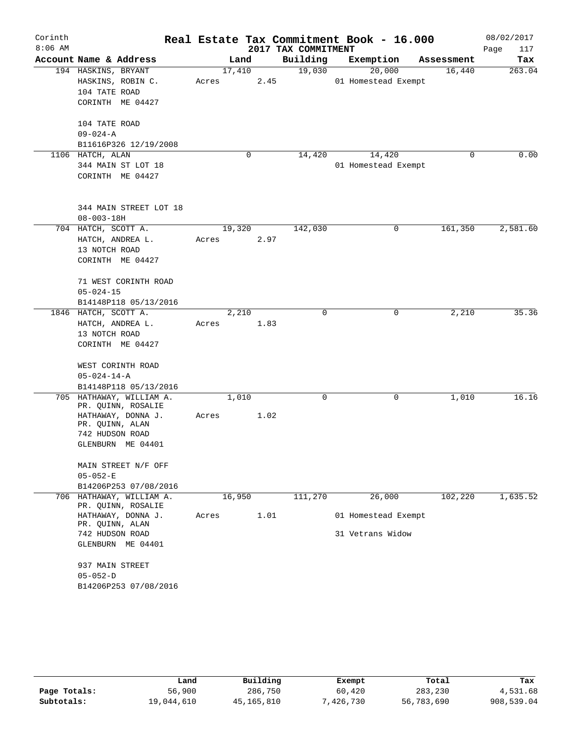| Corinth   |                                                |       |        |      |                     | Real Estate Tax Commitment Book - 16.000 |             |            | 08/02/2017  |
|-----------|------------------------------------------------|-------|--------|------|---------------------|------------------------------------------|-------------|------------|-------------|
| $8:06$ AM |                                                |       |        |      | 2017 TAX COMMITMENT |                                          |             |            | Page<br>117 |
|           | Account Name & Address                         |       | Land   |      | Building            | Exemption                                |             | Assessment | Tax         |
|           | 194 HASKINS, BRYANT                            |       | 17,410 |      | 19,030              | 20,000                                   |             | 16,440     | 263.04      |
|           | HASKINS, ROBIN C.                              | Acres |        | 2.45 |                     | 01 Homestead Exempt                      |             |            |             |
|           | 104 TATE ROAD                                  |       |        |      |                     |                                          |             |            |             |
|           | CORINTH ME 04427                               |       |        |      |                     |                                          |             |            |             |
|           | 104 TATE ROAD                                  |       |        |      |                     |                                          |             |            |             |
|           | $09 - 024 - A$                                 |       |        |      |                     |                                          |             |            |             |
|           | B11616P326 12/19/2008                          |       |        |      |                     |                                          |             |            |             |
|           | 1106 HATCH, ALAN                               |       |        | 0    | 14,420              | 14,420                                   |             | 0          | 0.00        |
|           | 344 MAIN ST LOT 18<br>CORINTH ME 04427         |       |        |      |                     | 01 Homestead Exempt                      |             |            |             |
|           | 344 MAIN STREET LOT 18<br>$08 - 003 - 18H$     |       |        |      |                     |                                          |             |            |             |
|           | 704 HATCH, SCOTT A.                            |       | 19,320 |      | 142,030             |                                          | 0           | 161,350    | 2,581.60    |
|           | HATCH, ANDREA L.                               | Acres |        | 2.97 |                     |                                          |             |            |             |
|           | 13 NOTCH ROAD                                  |       |        |      |                     |                                          |             |            |             |
|           | CORINTH ME 04427                               |       |        |      |                     |                                          |             |            |             |
|           | 71 WEST CORINTH ROAD                           |       |        |      |                     |                                          |             |            |             |
|           | $05 - 024 - 15$                                |       |        |      |                     |                                          |             |            |             |
|           | B14148P118 05/13/2016                          |       |        |      |                     |                                          |             |            |             |
|           | 1846 HATCH, SCOTT A.                           |       | 2,210  |      | $\mathbf 0$         |                                          | $\mathbf 0$ | 2,210      | 35.36       |
|           | HATCH, ANDREA L.                               | Acres |        | 1.83 |                     |                                          |             |            |             |
|           | 13 NOTCH ROAD                                  |       |        |      |                     |                                          |             |            |             |
|           | CORINTH ME 04427                               |       |        |      |                     |                                          |             |            |             |
|           | WEST CORINTH ROAD                              |       |        |      |                     |                                          |             |            |             |
|           | $05 - 024 - 14 - A$                            |       |        |      |                     |                                          |             |            |             |
|           | B14148P118 05/13/2016                          |       |        |      |                     |                                          |             |            |             |
|           | 705 HATHAWAY, WILLIAM A.<br>PR. QUINN, ROSALIE |       | 1,010  |      | $\mathbf 0$         |                                          | $\mathbf 0$ | 1,010      | 16.16       |
|           | HATHAWAY, DONNA J.                             | Acres |        | 1.02 |                     |                                          |             |            |             |
|           | PR. QUINN, ALAN<br>742 HUDSON ROAD             |       |        |      |                     |                                          |             |            |             |
|           | GLENBURN ME 04401                              |       |        |      |                     |                                          |             |            |             |
|           |                                                |       |        |      |                     |                                          |             |            |             |
|           | MAIN STREET N/F OFF                            |       |        |      |                     |                                          |             |            |             |
|           | $05 - 052 - E$                                 |       |        |      |                     |                                          |             |            |             |
|           | B14206P253 07/08/2016                          |       |        |      |                     |                                          |             |            |             |
| 706       | HATHAWAY, WILLIAM A.                           |       | 16,950 |      | 111,270             | 26,000                                   |             | 102,220    | 1,635.52    |
|           | PR. QUINN, ROSALIE<br>HATHAWAY, DONNA J.       | Acres |        | 1.01 |                     | 01 Homestead Exempt                      |             |            |             |
|           | PR. QUINN, ALAN                                |       |        |      |                     |                                          |             |            |             |
|           | 742 HUDSON ROAD                                |       |        |      |                     | 31 Vetrans Widow                         |             |            |             |
|           | GLENBURN ME 04401                              |       |        |      |                     |                                          |             |            |             |
|           | 937 MAIN STREET                                |       |        |      |                     |                                          |             |            |             |
|           | $05 - 052 - D$                                 |       |        |      |                     |                                          |             |            |             |
|           | B14206P253 07/08/2016                          |       |        |      |                     |                                          |             |            |             |

|              | Land       | Building   | Exempt    | Total      | Tax        |
|--------------|------------|------------|-----------|------------|------------|
| Page Totals: | 56,900     | 286,750    | 60,420    | 283,230    | 4,531.68   |
| Subtotals:   | 19,044,610 | 45,165,810 | 7,426,730 | 56,783,690 | 908,539.04 |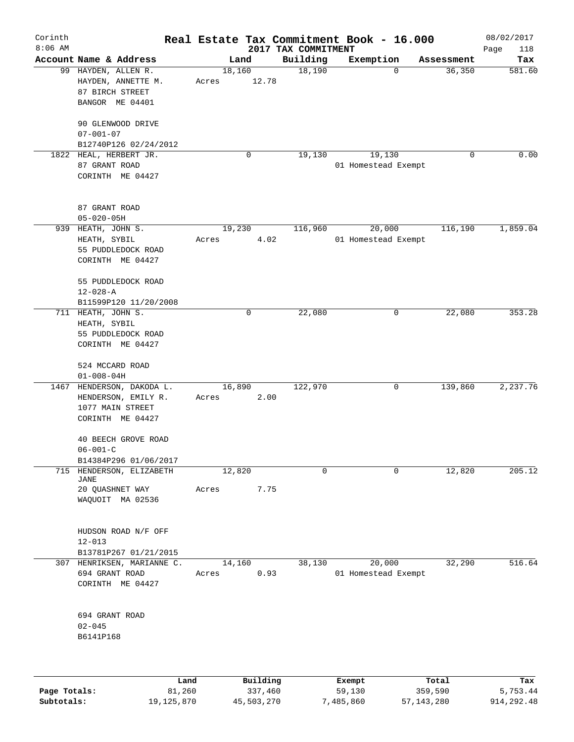| Corinth<br>$8:06$ AM |                                                                                           |                 |          | 2017 TAX COMMITMENT | Real Estate Tax Commitment Book - 16.000 |             | 08/02/2017<br>Page<br>118 |
|----------------------|-------------------------------------------------------------------------------------------|-----------------|----------|---------------------|------------------------------------------|-------------|---------------------------|
|                      | Account Name & Address                                                                    |                 | Land     | Building            | Exemption                                | Assessment  | Tax                       |
|                      | 99 HAYDEN, ALLEN R.<br>HAYDEN, ANNETTE M.<br>87 BIRCH STREET<br>BANGOR ME 04401           | 18,160<br>Acres | 12.78    | 18,190              | $\Omega$                                 | 36,350      | 581.60                    |
|                      | 90 GLENWOOD DRIVE<br>$07 - 001 - 07$<br>B12740P126 02/24/2012                             |                 |          |                     |                                          |             |                           |
|                      | 1822 HEAL, HERBERT JR.<br>87 GRANT ROAD<br>CORINTH ME 04427                               |                 | 0        | 19,130              | 19,130<br>01 Homestead Exempt            | $\mathbf 0$ | 0.00                      |
|                      | 87 GRANT ROAD<br>$05 - 020 - 05H$                                                         |                 |          |                     |                                          |             |                           |
| 939                  | HEATH, JOHN S.<br>HEATH, SYBIL<br>55 PUDDLEDOCK ROAD<br>CORINTH ME 04427                  | 19,230<br>Acres | 4.02     | 116,960             | 20,000<br>01 Homestead Exempt            | 116,190     | 1,859.04                  |
|                      | 55 PUDDLEDOCK ROAD<br>$12 - 028 - A$<br>B11599P120 11/20/2008                             |                 |          |                     |                                          |             |                           |
|                      | 711 HEATH, JOHN S.<br>HEATH, SYBIL<br>55 PUDDLEDOCK ROAD<br>CORINTH ME 04427              |                 | 0        | 22,080              | 0                                        | 22,080      | 353.28                    |
|                      | 524 MCCARD ROAD<br>$01 - 008 - 04H$                                                       |                 |          |                     |                                          |             |                           |
| 1467                 | HENDERSON, DAKODA L.<br>HENDERSON, EMILY R.<br>1077 MAIN STREET<br>CORINTH ME 04427       | 16,890<br>Acres | 2.00     | 122,970             | 0                                        | 139,860     | 2,237.76                  |
|                      | 40 BEECH GROVE ROAD<br>$06 - 001 - C$<br>B14384P296 01/06/2017                            |                 |          |                     |                                          |             |                           |
| 715                  | HENDERSON, ELIZABETH<br>JANE                                                              | 12,820          |          | 0                   | $\Omega$                                 | 12,820      | 205.12                    |
|                      | 20 QUASHNET WAY<br>WAQUOIT MA 02536                                                       | Acres           | 7.75     |                     |                                          |             |                           |
|                      | HUDSON ROAD N/F OFF<br>$12 - 013$                                                         |                 |          |                     |                                          |             |                           |
|                      | B13781P267 01/21/2015<br>307 HENRIKSEN, MARIANNE C.<br>694 GRANT ROAD<br>CORINTH ME 04427 | 14,160<br>Acres | 0.93     | 38,130              | 20,000<br>01 Homestead Exempt            | 32,290      | 516.64                    |
|                      | 694 GRANT ROAD<br>$02 - 045$<br>B6141P168                                                 |                 |          |                     |                                          |             |                           |
|                      |                                                                                           |                 |          |                     |                                          |             |                           |
|                      | Land                                                                                      |                 | Building |                     | Exempt                                   | Total       | Tax                       |

|              | Lanu       | <b>Building</b> | вхещрс    | TOLAT      | rax.       |
|--------------|------------|-----------------|-----------|------------|------------|
| Page Totals: | 81,260     | 337,460         | 59,130    | 359,590    | 5,753.44   |
| Subtotals:   | 19,125,870 | 45,503,270      | 7,485,860 | 57,143,280 | 914,292.48 |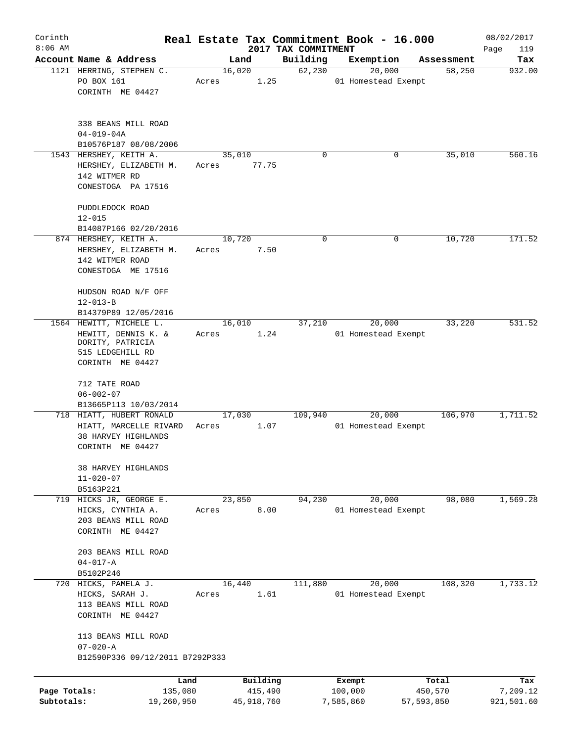| Corinth                    |                                                                                         |                 |                         |                     | Real Estate Tax Commitment Book - 16.000 |                       | 08/02/2017             |
|----------------------------|-----------------------------------------------------------------------------------------|-----------------|-------------------------|---------------------|------------------------------------------|-----------------------|------------------------|
| $8:06$ AM                  | Account Name & Address                                                                  | Land            |                         | 2017 TAX COMMITMENT |                                          |                       | Page<br>119            |
|                            | 1121 HERRING, STEPHEN C.                                                                | 16,020          |                         | Building<br>62,230  | Exemption<br>20,000                      | Assessment<br>58,250  | Tax<br>932.00          |
|                            | PO BOX 161<br>CORINTH ME 04427                                                          | Acres           | 1.25                    |                     | 01 Homestead Exempt                      |                       |                        |
|                            | 338 BEANS MILL ROAD<br>$04 - 019 - 04A$<br>B10576P187 08/08/2006                        |                 |                         |                     |                                          |                       |                        |
|                            | 1543 HERSHEY, KEITH A.                                                                  | 35,010          |                         | 0                   | 0                                        | 35,010                | 560.16                 |
|                            | HERSHEY, ELIZABETH M.<br>142 WITMER RD<br>CONESTOGA PA 17516                            | Acres           | 77.75                   |                     |                                          |                       |                        |
|                            | PUDDLEDOCK ROAD<br>$12 - 015$                                                           |                 |                         |                     |                                          |                       |                        |
|                            | B14087P166 02/20/2016                                                                   |                 |                         |                     |                                          |                       |                        |
|                            | 874 HERSHEY, KEITH A.<br>HERSHEY, ELIZABETH M.<br>142 WITMER ROAD<br>CONESTOGA ME 17516 | 10,720<br>Acres | 7.50                    | 0                   | 0                                        | 10,720                | 171.52                 |
|                            | HUDSON ROAD N/F OFF<br>$12 - 013 - B$                                                   |                 |                         |                     |                                          |                       |                        |
|                            | B14379P89 12/05/2016<br>1564 HEWITT, MICHELE L.                                         | 16,010          |                         | 37,210              | 20,000                                   | 33,220                | 531.52                 |
|                            | HEWITT, DENNIS K. &<br>DORITY, PATRICIA<br>515 LEDGEHILL RD<br>CORINTH ME 04427         | Acres           | 1.24                    |                     | 01 Homestead Exempt                      |                       |                        |
|                            | 712 TATE ROAD<br>$06 - 002 - 07$<br>B13665P113 10/03/2014                               |                 |                         |                     |                                          |                       |                        |
|                            | 718 HIATT, HUBERT RONALD                                                                | 17,030          |                         | 109,940             | 20,000                                   | 106,970               | 1,711.52               |
|                            | HIATT, MARCELLE RIVARD<br>38 HARVEY HIGHLANDS<br>CORINTH ME 04427                       | Acres           | 1.07                    |                     | 01 Homestead Exempt                      |                       |                        |
|                            | 38 HARVEY HIGHLANDS<br>$11 - 020 - 07$<br>B5163P221                                     |                 |                         |                     |                                          |                       |                        |
|                            | 719 HICKS JR, GEORGE E.<br>HICKS, CYNTHIA A.<br>203 BEANS MILL ROAD<br>CORINTH ME 04427 | 23,850<br>Acres | 8.00                    | 94,230              | 20,000<br>01 Homestead Exempt            | 98,080                | 1,569.28               |
|                            | 203 BEANS MILL ROAD<br>$04 - 017 - A$<br>B5102P246                                      |                 |                         |                     |                                          |                       |                        |
|                            | 720 HICKS, PAMELA J.<br>HICKS, SARAH J.<br>113 BEANS MILL ROAD<br>CORINTH ME 04427      | 16,440<br>Acres | 1.61                    | 111,880             | 20,000<br>01 Homestead Exempt            | 108,320               | 1,733.12               |
|                            | 113 BEANS MILL ROAD<br>$07 - 020 - A$<br>B12590P336 09/12/2011 B7292P333                |                 |                         |                     |                                          |                       |                        |
|                            | Land                                                                                    |                 | Building                |                     | Exempt                                   | Total                 | Tax                    |
| Page Totals:<br>Subtotals: | 135,080<br>19,260,950                                                                   |                 | 415,490<br>45, 918, 760 |                     | 100,000<br>7,585,860                     | 450,570<br>57,593,850 | 7,209.12<br>921,501.60 |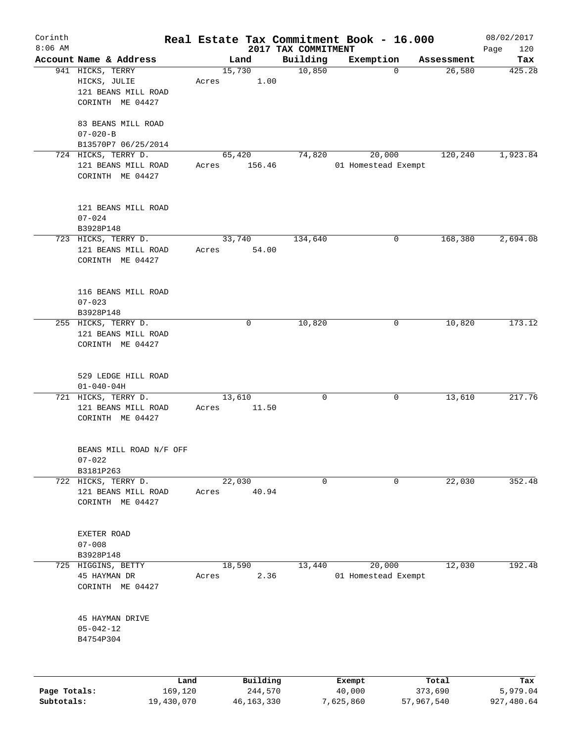| Corinth      |                                         |       |                     |                                 | Real Estate Tax Commitment Book - 16.000 |                  | 08/02/2017         |
|--------------|-----------------------------------------|-------|---------------------|---------------------------------|------------------------------------------|------------------|--------------------|
| $8:06$ AM    | Account Name & Address                  |       | Land                | 2017 TAX COMMITMENT<br>Building | Exemption                                | Assessment       | Page<br>120<br>Tax |
|              | 941 HICKS, TERRY                        |       | 15,730              | 10,850                          | 0                                        | 26,580           | 425.28             |
|              | HICKS, JULIE                            | Acres | 1.00                |                                 |                                          |                  |                    |
|              | 121 BEANS MILL ROAD                     |       |                     |                                 |                                          |                  |                    |
|              | CORINTH ME 04427                        |       |                     |                                 |                                          |                  |                    |
|              | 83 BEANS MILL ROAD<br>$07 - 020 - B$    |       |                     |                                 |                                          |                  |                    |
|              | B13570P7 06/25/2014                     |       |                     |                                 |                                          |                  |                    |
|              | 724 HICKS, TERRY D.                     |       | 65,420              | 74,820                          | 20,000                                   | 120,240          | 1,923.84           |
|              | 121 BEANS MILL ROAD<br>CORINTH ME 04427 | Acres | 156.46              |                                 | 01 Homestead Exempt                      |                  |                    |
|              | 121 BEANS MILL ROAD                     |       |                     |                                 |                                          |                  |                    |
|              | $07 - 024$                              |       |                     |                                 |                                          |                  |                    |
|              | B3928P148                               |       |                     |                                 |                                          |                  |                    |
|              | 723 HICKS, TERRY D.                     |       | 33,740              | 134,640                         | 0                                        | 168,380          | 2,694.08           |
|              | 121 BEANS MILL ROAD<br>CORINTH ME 04427 | Acres | 54.00               |                                 |                                          |                  |                    |
|              | 116 BEANS MILL ROAD                     |       |                     |                                 |                                          |                  |                    |
|              | $07 - 023$                              |       |                     |                                 |                                          |                  |                    |
|              | B3928P148                               |       |                     |                                 |                                          |                  |                    |
|              | 255 HICKS, TERRY D.                     |       | 0                   | 10,820                          | 0                                        | 10,820           | 173.12             |
|              | 121 BEANS MILL ROAD                     |       |                     |                                 |                                          |                  |                    |
|              | CORINTH ME 04427                        |       |                     |                                 |                                          |                  |                    |
|              |                                         |       |                     |                                 |                                          |                  |                    |
|              | 529 LEDGE HILL ROAD                     |       |                     |                                 |                                          |                  |                    |
|              | $01 - 040 - 04H$                        |       |                     |                                 |                                          |                  |                    |
|              | 721 HICKS, TERRY D.                     |       | 13,610              | $\mathsf{O}$                    | 0                                        | 13,610           | 217.76             |
|              | 121 BEANS MILL ROAD                     | Acres | 11.50               |                                 |                                          |                  |                    |
|              | CORINTH ME 04427                        |       |                     |                                 |                                          |                  |                    |
|              | BEANS MILL ROAD N/F OFF                 |       |                     |                                 |                                          |                  |                    |
|              | $07 - 022$                              |       |                     |                                 |                                          |                  |                    |
|              | B3181P263                               |       |                     |                                 |                                          |                  |                    |
|              | 722 HICKS, TERRY D.                     |       | 22,030              | 0                               | 0                                        | 22,030           | 352.48             |
|              | 121 BEANS MILL ROAD                     | Acres | 40.94               |                                 |                                          |                  |                    |
|              | CORINTH ME 04427                        |       |                     |                                 |                                          |                  |                    |
|              |                                         |       |                     |                                 |                                          |                  |                    |
|              | EXETER ROAD                             |       |                     |                                 |                                          |                  |                    |
|              | $07 - 008$                              |       |                     |                                 |                                          |                  |                    |
|              | B3928P148                               |       |                     |                                 |                                          |                  |                    |
|              | 725 HIGGINS, BETTY                      |       | 18,590              | 13,440                          | 20,000                                   | 12,030           | 192.48             |
|              | 45 HAYMAN DR                            | Acres | 2.36                |                                 | 01 Homestead Exempt                      |                  |                    |
|              | CORINTH ME 04427                        |       |                     |                                 |                                          |                  |                    |
|              |                                         |       |                     |                                 |                                          |                  |                    |
|              | 45 HAYMAN DRIVE<br>$05 - 042 - 12$      |       |                     |                                 |                                          |                  |                    |
|              | B4754P304                               |       |                     |                                 |                                          |                  |                    |
|              |                                         |       |                     |                                 |                                          |                  |                    |
|              |                                         |       |                     |                                 |                                          |                  |                    |
| Page Totals: | Land<br>169,120                         |       | Building<br>244,570 |                                 | Exempt<br>40,000                         | Total<br>373,690 | Tax<br>5,979.04    |
|              |                                         |       |                     |                                 |                                          |                  |                    |

**Subtotals:** 19,430,070 46,163,330 7,625,860 57,967,540 927,480.64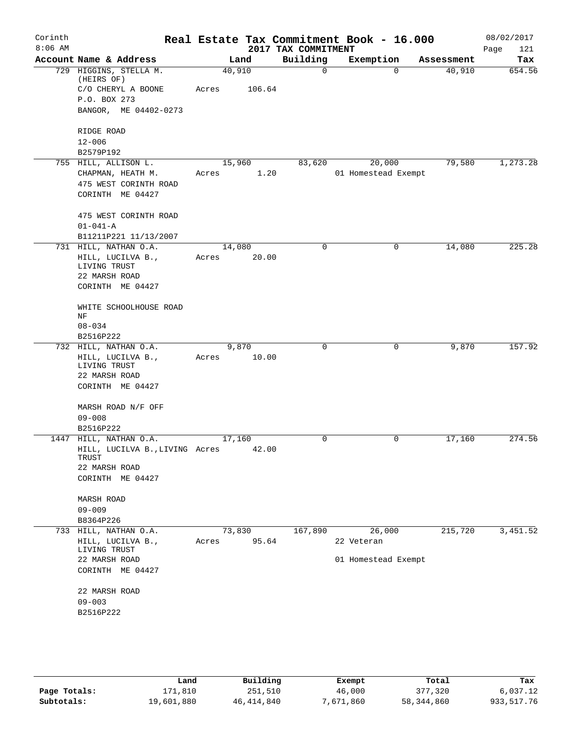| Corinth<br>$8:06$ AM |                                         |        |        | 2017 TAX COMMITMENT | Real Estate Tax Commitment Book - 16.000 |                    | 08/02/2017<br>Page<br>121 |
|----------------------|-----------------------------------------|--------|--------|---------------------|------------------------------------------|--------------------|---------------------------|
|                      | Account Name & Address                  |        | Land   | Building            | Exemption                                | Assessment         | Tax                       |
|                      | 729 HIGGINS, STELLA M.<br>(HEIRS OF)    | 40,910 |        | $\mathbf 0$         |                                          | 40,910<br>$\Omega$ | 654.56                    |
|                      | C/O CHERYL A BOONE                      | Acres  | 106.64 |                     |                                          |                    |                           |
|                      | P.O. BOX 273                            |        |        |                     |                                          |                    |                           |
|                      | BANGOR, ME 04402-0273                   |        |        |                     |                                          |                    |                           |
|                      | RIDGE ROAD                              |        |        |                     |                                          |                    |                           |
|                      | $12 - 006$                              |        |        |                     |                                          |                    |                           |
|                      | B2579P192                               |        |        |                     |                                          |                    |                           |
|                      | 755 HILL, ALLISON L.                    |        | 15,960 | 83,620              | 20,000                                   | 79,580             | 1,273.28                  |
|                      | CHAPMAN, HEATH M.                       | Acres  | 1.20   |                     | 01 Homestead Exempt                      |                    |                           |
|                      | 475 WEST CORINTH ROAD                   |        |        |                     |                                          |                    |                           |
|                      | CORINTH ME 04427                        |        |        |                     |                                          |                    |                           |
|                      | 475 WEST CORINTH ROAD                   |        |        |                     |                                          |                    |                           |
|                      | $01 - 041 - A$                          |        |        |                     |                                          |                    |                           |
|                      | B11211P221 11/13/2007                   |        |        |                     |                                          |                    |                           |
|                      | 731 HILL, NATHAN O.A.                   | 14,080 |        | $\mathbf 0$         |                                          | 0<br>14,080        | 225.28                    |
|                      | HILL, LUCILVA B.,                       | Acres  | 20.00  |                     |                                          |                    |                           |
|                      | LIVING TRUST                            |        |        |                     |                                          |                    |                           |
|                      | 22 MARSH ROAD                           |        |        |                     |                                          |                    |                           |
|                      | CORINTH ME 04427                        |        |        |                     |                                          |                    |                           |
|                      | WHITE SCHOOLHOUSE ROAD                  |        |        |                     |                                          |                    |                           |
|                      | ΝF                                      |        |        |                     |                                          |                    |                           |
|                      | $08 - 034$                              |        |        |                     |                                          |                    |                           |
|                      | B2516P222                               |        |        |                     |                                          |                    |                           |
|                      | 732 HILL, NATHAN O.A.                   |        | 9,870  | 0                   |                                          | 9,870<br>0         | 157.92                    |
|                      | HILL, LUCILVA B.,<br>LIVING TRUST       | Acres  | 10.00  |                     |                                          |                    |                           |
|                      | 22 MARSH ROAD                           |        |        |                     |                                          |                    |                           |
|                      | CORINTH ME 04427                        |        |        |                     |                                          |                    |                           |
|                      | MARSH ROAD N/F OFF                      |        |        |                     |                                          |                    |                           |
|                      | $09 - 008$                              |        |        |                     |                                          |                    |                           |
|                      | B2516P222                               |        |        |                     |                                          |                    |                           |
|                      | 1447 HILL, NATHAN O.A.                  | 17,160 |        | 0                   |                                          | 0<br>17,160        | 274.56                    |
|                      | HILL, LUCILVA B., LIVING Acres<br>TRUST |        | 42.00  |                     |                                          |                    |                           |
|                      | 22 MARSH ROAD                           |        |        |                     |                                          |                    |                           |
|                      | CORINTH ME 04427                        |        |        |                     |                                          |                    |                           |
|                      | MARSH ROAD                              |        |        |                     |                                          |                    |                           |
|                      | $09 - 009$                              |        |        |                     |                                          |                    |                           |
|                      | B8364P226                               |        |        |                     |                                          |                    |                           |
|                      | 733 HILL, NATHAN O.A.                   | 73,830 |        | 167,890             | 26,000                                   | 215,720            | 3,451.52                  |
|                      | HILL, LUCILVA B.,<br>LIVING TRUST       | Acres  | 95.64  |                     | 22 Veteran                               |                    |                           |
|                      | 22 MARSH ROAD                           |        |        |                     | 01 Homestead Exempt                      |                    |                           |
|                      | CORINTH ME 04427                        |        |        |                     |                                          |                    |                           |
|                      | 22 MARSH ROAD                           |        |        |                     |                                          |                    |                           |
|                      | $09 - 003$                              |        |        |                     |                                          |                    |                           |
|                      | B2516P222                               |        |        |                     |                                          |                    |                           |
|                      |                                         |        |        |                     |                                          |                    |                           |
|                      |                                         |        |        |                     |                                          |                    |                           |
|                      |                                         |        |        |                     |                                          |                    |                           |

|              | Land       | Building   | Exempt    | Total      | Tax        |
|--------------|------------|------------|-----------|------------|------------|
| Page Totals: | 171,810    | 251,510    | 46,000    | 377,320    | 6,037.12   |
| Subtotals:   | 19,601,880 | 46,414,840 | 7,671,860 | 58,344,860 | 933,517.76 |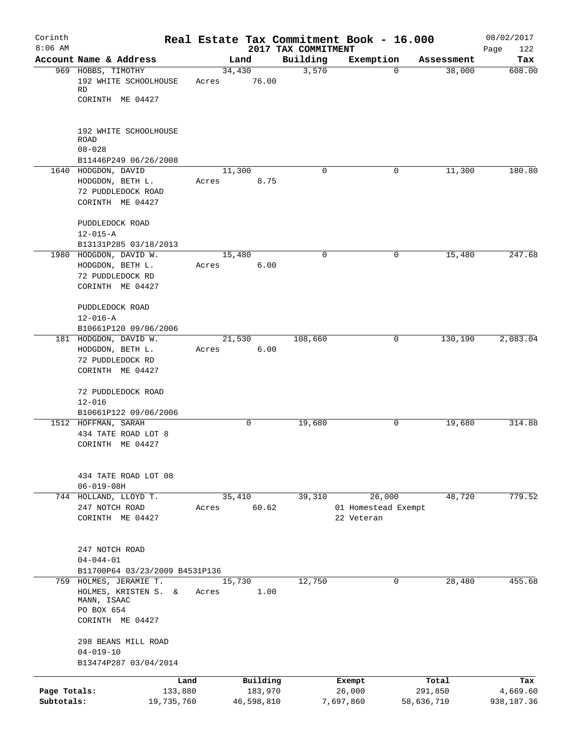| Corinth<br>$8:06$ AM |                                                                                                 |            |       |        |            |                                 | Real Estate Tax Commitment Book - 16.000    |            |            | 08/02/2017         |
|----------------------|-------------------------------------------------------------------------------------------------|------------|-------|--------|------------|---------------------------------|---------------------------------------------|------------|------------|--------------------|
|                      | Account Name & Address                                                                          |            |       | Land   |            | 2017 TAX COMMITMENT<br>Building | Exemption                                   |            | Assessment | Page<br>122<br>Tax |
|                      | 969 HOBBS, TIMOTHY                                                                              |            |       | 34,430 |            | 3,570                           |                                             | 0          | 38,000     | 608.00             |
|                      | 192 WHITE SCHOOLHOUSE<br>RD                                                                     |            | Acres |        | 76.00      |                                 |                                             |            |            |                    |
|                      | CORINTH ME 04427                                                                                |            |       |        |            |                                 |                                             |            |            |                    |
|                      | 192 WHITE SCHOOLHOUSE<br>ROAD<br>$08 - 028$                                                     |            |       |        |            |                                 |                                             |            |            |                    |
|                      | B11446P249 06/26/2008                                                                           |            |       |        |            |                                 |                                             |            |            |                    |
|                      | 1640 HODGDON, DAVID<br>HODGDON, BETH L.<br>72 PUDDLEDOCK ROAD<br>CORINTH ME 04427               |            | Acres | 11,300 | 8.75       | 0                               |                                             | 0          | 11,300     | 180.80             |
|                      | PUDDLEDOCK ROAD<br>$12 - 015 - A$                                                               |            |       |        |            |                                 |                                             |            |            |                    |
|                      | B13131P285 03/18/2013                                                                           |            |       |        |            | 0                               |                                             | 0          |            | 247.68             |
|                      | 1980 HODGDON, DAVID W.<br>HODGDON, BETH L.<br>72 PUDDLEDOCK RD                                  |            | Acres | 15,480 | 6.00       |                                 |                                             |            | 15,480     |                    |
|                      | CORINTH ME 04427<br>PUDDLEDOCK ROAD                                                             |            |       |        |            |                                 |                                             |            |            |                    |
|                      | $12 - 016 - A$                                                                                  |            |       |        |            |                                 |                                             |            |            |                    |
|                      | B10661P120 09/06/2006<br>181 HODGDON, DAVID W.                                                  |            |       | 21,530 |            | 108,660                         |                                             | 0          | 130,190    | 2,083.04           |
|                      | HODGDON, BETH L.<br>72 PUDDLEDOCK RD<br>CORINTH ME 04427                                        |            | Acres |        | 6.00       |                                 |                                             |            |            |                    |
|                      | 72 PUDDLEDOCK ROAD<br>$12 - 016$                                                                |            |       |        |            |                                 |                                             |            |            |                    |
|                      | B10661P122 09/06/2006                                                                           |            |       |        |            |                                 |                                             |            |            |                    |
|                      | 1512 HOFFMAN, SARAH<br>434 TATE ROAD LOT 8<br>CORINTH ME 04427                                  |            |       | 0      |            | 19,680                          |                                             | 0          | 19,680     | 314.88             |
|                      | 434 TATE ROAD LOT 08<br>$06 - 019 - 08H$                                                        |            |       |        |            |                                 |                                             |            |            |                    |
|                      | 744 HOLLAND, LLOYD T.<br>247 NOTCH ROAD<br>CORINTH ME 04427                                     |            | Acres | 35,410 | 60.62      | 39,310                          | 26,000<br>01 Homestead Exempt<br>22 Veteran |            | 48,720     | 779.52             |
|                      | 247 NOTCH ROAD<br>$04 - 044 - 01$<br>B11700P64 03/23/2009 B4531P136                             |            |       |        |            |                                 |                                             |            |            |                    |
|                      | 759 HOLMES, JERAMIE T.<br>HOLMES, KRISTEN S. &<br>MANN, ISAAC<br>PO BOX 654<br>CORINTH ME 04427 |            | Acres | 15,730 | 1.00       | 12,750                          |                                             | 0          | 28,480     | 455.68             |
|                      | 298 BEANS MILL ROAD<br>$04 - 019 - 10$<br>B13474P287 03/04/2014                                 |            |       |        |            |                                 |                                             |            |            |                    |
|                      |                                                                                                 | Land       |       |        | Building   |                                 | Exempt                                      |            | Total      | Tax                |
| Page Totals:         |                                                                                                 | 133,880    |       |        | 183,970    |                                 | 26,000                                      |            | 291,850    | 4,669.60           |
| Subtotals:           |                                                                                                 | 19,735,760 |       |        | 46,598,810 |                                 | 7,697,860                                   | 58,636,710 |            | 938,187.36         |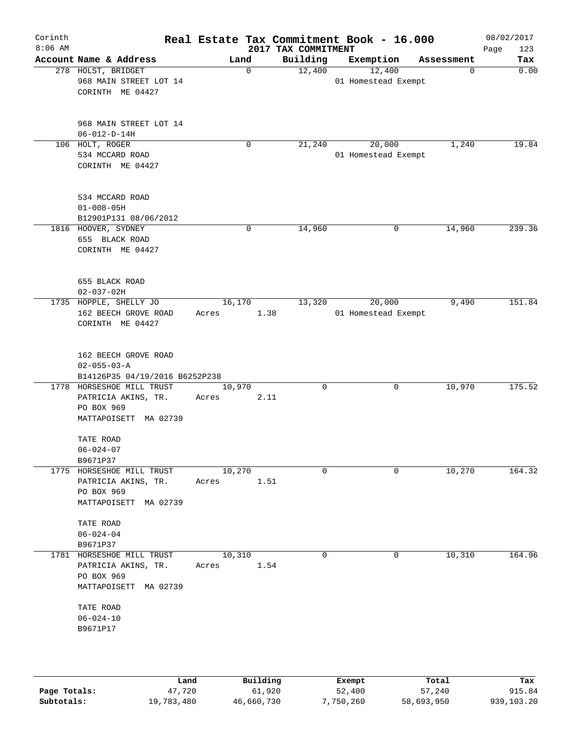| Corinth<br>$8:06$ AM |                                                                                         |                  |             | 2017 TAX COMMITMENT | Real Estate Tax Commitment Book - 16.000 |            | 08/02/2017<br>Page<br>123 |
|----------------------|-----------------------------------------------------------------------------------------|------------------|-------------|---------------------|------------------------------------------|------------|---------------------------|
|                      | Account Name & Address                                                                  | Land             |             | Building            | Exemption                                | Assessment | Tax                       |
|                      | 278 HOLST, BRIDGET<br>968 MAIN STREET LOT 14<br>CORINTH ME 04427                        |                  | $\mathbf 0$ | 12,400              | 12,400<br>01 Homestead Exempt            | 0          | 0.00                      |
|                      | 968 MAIN STREET LOT 14<br>$06 - 012 - D - 14H$                                          |                  |             |                     |                                          |            |                           |
|                      | 106 HOLT, ROGER<br>534 MCCARD ROAD<br>CORINTH ME 04427                                  |                  | 0           | 21,240              | 20,000<br>01 Homestead Exempt            | 1,240      | 19.84                     |
|                      | 534 MCCARD ROAD<br>$01 - 008 - 05H$<br>B12901P131 08/06/2012                            |                  |             |                     |                                          |            |                           |
|                      | 1816 HOOVER, SYDNEY<br>655 BLACK ROAD<br>CORINTH ME 04427                               |                  | 0           | 14,960              | 0                                        | 14,960     | 239.36                    |
|                      | 655 BLACK ROAD<br>$02 - 037 - 02H$                                                      |                  |             |                     |                                          |            |                           |
|                      | 1735 HOPPLE, SHELLY JO<br>162 BEECH GROVE ROAD<br>CORINTH ME 04427                      | 16, 170<br>Acres | 1.38        | 13,320              | 20,000<br>01 Homestead Exempt            | 9,490      | 151.84                    |
|                      | 162 BEECH GROVE ROAD<br>$02 - 055 - 03 - A$<br>B14126P35 04/19/2016 B6252P238           |                  |             |                     |                                          |            |                           |
|                      | 1778 HORSESHOE MILL TRUST<br>PATRICIA AKINS, TR.<br>PO BOX 969<br>MATTAPOISETT MA 02739 | 10,970<br>Acres  | 2.11        | $\Omega$            | 0                                        | 10,970     | 175.52                    |
|                      | TATE ROAD<br>$06 - 024 - 07$<br>B9671P37                                                |                  |             |                     |                                          |            |                           |
|                      | 1775 HORSESHOE MILL TRUST<br>PATRICIA AKINS, TR.<br>PO BOX 969<br>MATTAPOISETT MA 02739 | 10,270<br>Acres  | 1.51        | $\Omega$            | $\Omega$                                 | 10,270     | 164.32                    |
|                      | TATE ROAD<br>$06 - 024 - 04$<br>B9671P37                                                |                  |             |                     |                                          |            |                           |
|                      | 1781 HORSESHOE MILL TRUST<br>PATRICIA AKINS, TR.<br>PO BOX 969<br>MATTAPOISETT MA 02739 | 10,310<br>Acres  | 1.54        | $\mathbf 0$         | 0                                        | 10,310     | 164.96                    |
|                      | TATE ROAD<br>$06 - 024 - 10$<br>B9671P17                                                |                  |             |                     |                                          |            |                           |
|                      |                                                                                         |                  |             |                     |                                          |            |                           |

|              | Land       | Building   | Exempt    | Total      | Tax        |
|--------------|------------|------------|-----------|------------|------------|
| Page Totals: | 47,720     | 61,920     | 52,400    | 57,240     | 915.84     |
| Subtotals:   | 19,783,480 | 46,660,730 | 7,750,260 | 58,693,950 | 939,103.20 |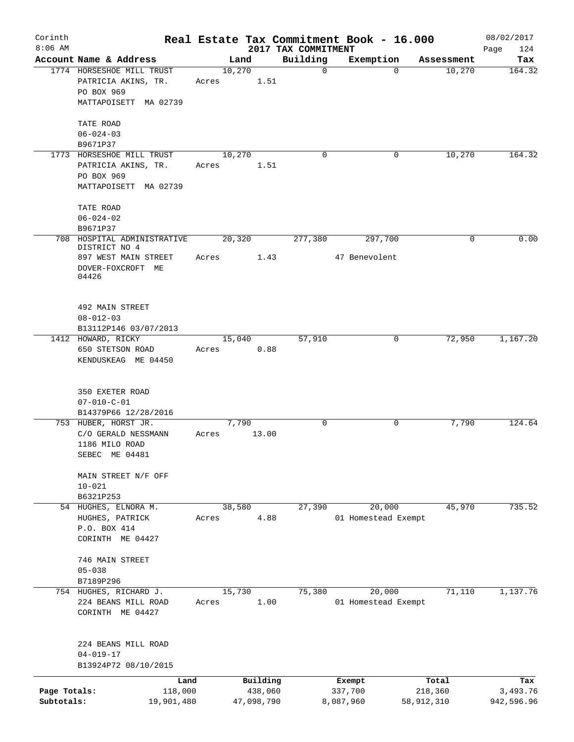| Corinth<br>$8:06$ AM       |                                                                                         |       |                       | 2017 TAX COMMITMENT | Real Estate Tax Commitment Book - 16.000 |                       | 08/02/2017<br>Page<br>124 |
|----------------------------|-----------------------------------------------------------------------------------------|-------|-----------------------|---------------------|------------------------------------------|-----------------------|---------------------------|
|                            | Account Name & Address                                                                  |       | Land                  | Building            | Exemption                                | Assessment            | Tax                       |
|                            | 1774 HORSESHOE MILL TRUST<br>PATRICIA AKINS, TR.<br>PO BOX 969<br>MATTAPOISETT MA 02739 | Acres | 10,270<br>1.51        | $\mathbf 0$         | $\Omega$                                 | 10,270                | 164.32                    |
|                            | TATE ROAD<br>$06 - 024 - 03$<br>B9671P37                                                |       |                       |                     |                                          |                       |                           |
|                            | 1773 HORSESHOE MILL TRUST<br>PATRICIA AKINS, TR.<br>PO BOX 969<br>MATTAPOISETT MA 02739 | Acres | 10,270<br>1.51        | 0                   | 0                                        | 10,270                | 164.32                    |
|                            | TATE ROAD<br>$06 - 024 - 02$<br>B9671P37                                                |       |                       |                     |                                          |                       |                           |
|                            | 708 HOSPITAL ADMINISTRATIVE                                                             |       | 20,320                | 277,380             | 297,700                                  | 0                     | 0.00                      |
|                            | DISTRICT NO 4<br>897 WEST MAIN STREET<br>DOVER-FOXCROFT ME<br>04426                     | Acres | 1.43                  |                     | 47 Benevolent                            |                       |                           |
|                            | 492 MAIN STREET<br>$08 - 012 - 03$<br>B13112P146 03/07/2013                             |       |                       |                     |                                          |                       |                           |
|                            | 1412 HOWARD, RICKY<br>650 STETSON ROAD<br>KENDUSKEAG ME 04450                           | Acres | 15,040<br>0.88        | 57,910              | 0                                        | 72,950                | 1,167.20                  |
|                            | 350 EXETER ROAD<br>$07 - 010 - C - 01$<br>B14379P66 12/28/2016                          |       |                       |                     |                                          |                       |                           |
|                            | 753 HUBER, HORST JR.                                                                    |       | 7,790                 | 0                   | 0                                        | 7,790                 | 124.64                    |
|                            | C/O GERALD NESSMANN<br>1186 MILO ROAD<br>SEBEC ME 04481                                 | Acres | 13.00                 |                     |                                          |                       |                           |
|                            | MAIN STREET N/F OFF<br>$10 - 021$<br>B6321P253                                          |       |                       |                     |                                          |                       |                           |
|                            | 54 HUGHES, ELNORA M.                                                                    |       | 38,580                | 27,390              | 20,000                                   | 45,970                | 735.52                    |
|                            | HUGHES, PATRICK<br>P.O. BOX 414<br>CORINTH ME 04427                                     | Acres | 4.88                  |                     | 01 Homestead Exempt                      |                       |                           |
|                            | 746 MAIN STREET<br>$05 - 038$<br>B7189P296                                              |       |                       |                     |                                          |                       |                           |
|                            | 754 HUGHES, RICHARD J.<br>224 BEANS MILL ROAD<br>CORINTH ME 04427                       | Acres | 15,730<br>1.00        | 75,380              | 20,000<br>01 Homestead Exempt            | 71,110                | 1,137.76                  |
|                            | 224 BEANS MILL ROAD<br>$04 - 019 - 17$<br>B13924P72 08/10/2015                          |       |                       |                     |                                          |                       |                           |
|                            | Land                                                                                    |       | Building              |                     | Exempt                                   | Total                 | Tax                       |
| Page Totals:<br>Subtotals: | 118,000<br>19,901,480                                                                   |       | 438,060<br>47,098,790 |                     | 337,700<br>8,087,960                     | 218,360<br>58,912,310 | 3,493.76<br>942,596.96    |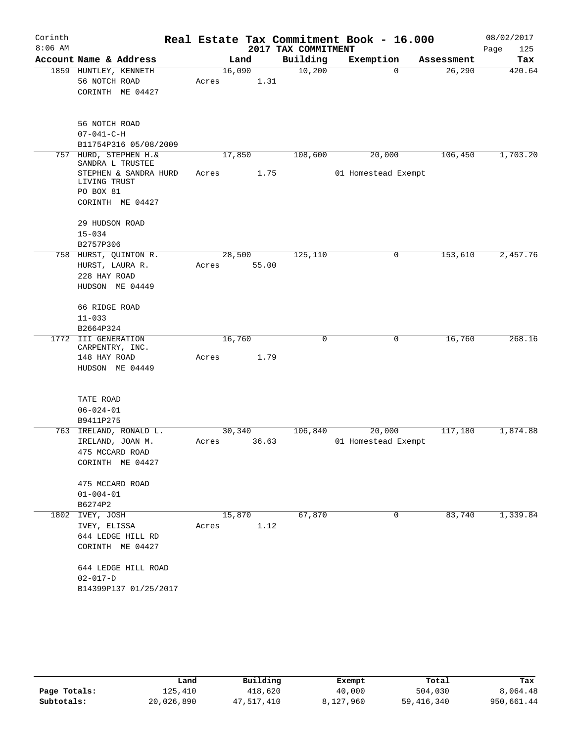| Corinth<br>$8:06$ AM |                                                                                            |       |                 | 2017 TAX COMMITMENT | Real Estate Tax Commitment Book - 16.000 |            | 08/02/2017<br>Page<br>125 |
|----------------------|--------------------------------------------------------------------------------------------|-------|-----------------|---------------------|------------------------------------------|------------|---------------------------|
|                      | Account Name & Address                                                                     |       | Land            | Building            | Exemption                                | Assessment | Tax                       |
|                      | 1859 HUNTLEY, KENNETH<br>56 NOTCH ROAD<br>CORINTH ME 04427                                 | Acres | 16,090<br>1.31  | 10,200              | $\mathbf 0$                              | 26,290     | 420.64                    |
|                      | 56 NOTCH ROAD<br>$07 - 041 - C - H$<br>B11754P316 05/08/2009                               |       |                 |                     |                                          |            |                           |
| 757                  | HURD, STEPHEN H. &                                                                         |       | 17,850          | 108,600             | 20,000                                   | 106,450    | 1,703.20                  |
|                      | SANDRA L TRUSTEE<br>STEPHEN & SANDRA HURD<br>LIVING TRUST<br>PO BOX 81<br>CORINTH ME 04427 | Acres | 1.75            |                     | 01 Homestead Exempt                      |            |                           |
|                      | 29 HUDSON ROAD<br>$15 - 034$<br>B2757P306                                                  |       |                 |                     |                                          |            |                           |
|                      | 758 HURST, QUINTON R.<br>HURST, LAURA R.<br>228 HAY ROAD<br>HUDSON ME 04449                | Acres | 28,500<br>55.00 | 125,110             | 0                                        | 153,610    | 2,457.76                  |
|                      | 66 RIDGE ROAD<br>$11 - 033$<br>B2664P324                                                   |       |                 |                     |                                          |            |                           |
|                      | 1772 III GENERATION                                                                        |       | 16,760          | 0                   | 0                                        | 16,760     | 268.16                    |
|                      | CARPENTRY, INC.<br>148 HAY ROAD<br>HUDSON ME 04449                                         | Acres | 1.79            |                     |                                          |            |                           |
|                      | TATE ROAD<br>$06 - 024 - 01$<br>B9411P275                                                  |       |                 |                     |                                          |            |                           |
| 763                  | IRELAND, RONALD L.                                                                         |       | 30,340          | 106,840             | 20,000                                   | 117,180    | 1,874.88                  |
|                      | IRELAND, JOAN M.<br>475 MCCARD ROAD<br>CORINTH ME 04427                                    | Acres | 36.63           |                     | 01 Homestead Exempt                      |            |                           |
|                      | 475 MCCARD ROAD<br>$01 - 004 - 01$<br>B6274P2                                              |       |                 |                     |                                          |            |                           |
| 1802                 | IVEY, JOSH<br>IVEY, ELISSA<br>644 LEDGE HILL RD<br>CORINTH ME 04427                        | Acres | 15,870<br>1.12  | 67,870              | 0                                        | 83,740     | 1,339.84                  |
|                      | 644 LEDGE HILL ROAD<br>$02 - 017 - D$<br>B14399P137 01/25/2017                             |       |                 |                     |                                          |            |                           |

|              | Land       | Building   | Exempt    | Total        | Tax        |
|--------------|------------|------------|-----------|--------------|------------|
| Page Totals: | 125,410    | 418,620    | 40,000    | 504,030      | 8,064.48   |
| Subtotals:   | 20,026,890 | 47,517,410 | 8,127,960 | 59, 416, 340 | 950,661.44 |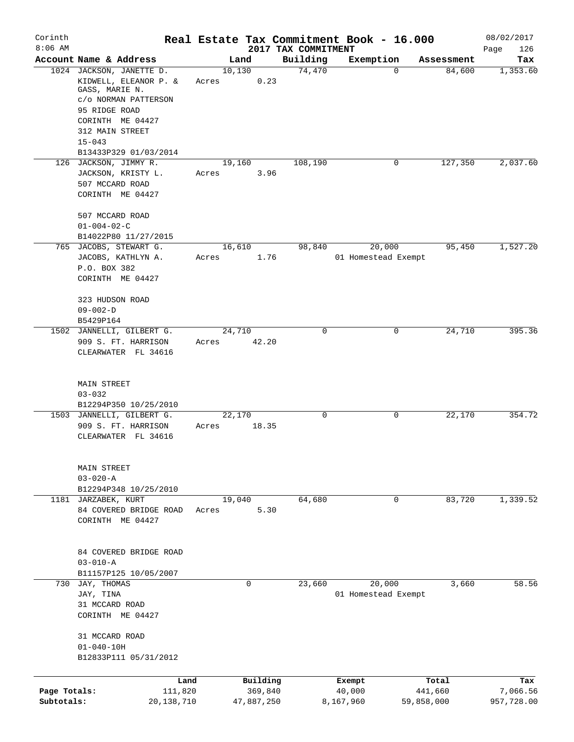| Corinth      |                                                                                             |                         |                     | Real Estate Tax Commitment Book - 16.000 |            | 08/02/2017  |
|--------------|---------------------------------------------------------------------------------------------|-------------------------|---------------------|------------------------------------------|------------|-------------|
| $8:06$ AM    |                                                                                             |                         | 2017 TAX COMMITMENT |                                          |            | Page<br>126 |
|              | Account Name & Address                                                                      | Land                    | Building            | Exemption                                | Assessment | Tax         |
|              | 1024 JACKSON, JANETTE D.<br>KIDWELL, ELEANOR P. &<br>GASS, MARIE N.<br>c/o NORMAN PATTERSON | 10,130<br>0.23<br>Acres | 74,470              | $\Omega$                                 | 84,600     | 1,353.60    |
|              | 95 RIDGE ROAD                                                                               |                         |                     |                                          |            |             |
|              | CORINTH ME 04427<br>312 MAIN STREET                                                         |                         |                     |                                          |            |             |
|              | $15 - 043$<br>B13433P329 01/03/2014                                                         |                         |                     |                                          |            |             |
|              | 126 JACKSON, JIMMY R.                                                                       | 19,160                  | 108,190             | 0                                        | 127,350    | 2,037.60    |
|              | JACKSON, KRISTY L.                                                                          | 3.96<br>Acres           |                     |                                          |            |             |
|              | 507 MCCARD ROAD<br>CORINTH ME 04427                                                         |                         |                     |                                          |            |             |
|              | 507 MCCARD ROAD<br>$01 - 004 - 02 - C$                                                      |                         |                     |                                          |            |             |
|              | B14022P80 11/27/2015                                                                        |                         |                     |                                          |            |             |
|              | 765 JACOBS, STEWART G.                                                                      | 16,610                  | 98,840              | 20,000                                   | 95,450     | 1,527.20    |
|              | JACOBS, KATHLYN A.                                                                          | 1.76<br>Acres           |                     | 01 Homestead Exempt                      |            |             |
|              | P.O. BOX 382<br>CORINTH ME 04427                                                            |                         |                     |                                          |            |             |
|              | 323 HUDSON ROAD                                                                             |                         |                     |                                          |            |             |
|              | $09 - 002 - D$<br>B5429P164                                                                 |                         |                     |                                          |            |             |
|              | 1502 JANNELLI, GILBERT G.                                                                   | 24,710                  | $\Omega$            | 0                                        | 24,710     | 395.36      |
|              | 909 S. FT. HARRISON                                                                         | 42.20<br>Acres          |                     |                                          |            |             |
|              | CLEARWATER FL 34616                                                                         |                         |                     |                                          |            |             |
|              | <b>MAIN STREET</b>                                                                          |                         |                     |                                          |            |             |
|              | $03 - 032$<br>B12294P350 10/25/2010                                                         |                         |                     |                                          |            |             |
|              | 1503 JANNELLI, GILBERT G.                                                                   | 22,170                  | $\mathbf 0$         | 0                                        | 22,170     | 354.72      |
|              | 909 S. FT. HARRISON                                                                         | 18.35<br>Acres          |                     |                                          |            |             |
|              | CLEARWATER FL 34616                                                                         |                         |                     |                                          |            |             |
|              | MAIN STREET                                                                                 |                         |                     |                                          |            |             |
|              | $03 - 020 - A$<br>B12294P348 10/25/2010                                                     |                         |                     |                                          |            |             |
|              | 1181 JARZABEK, KURT                                                                         | 19,040                  | 64,680              | 0                                        | 83,720     | 1,339.52    |
|              | 84 COVERED BRIDGE ROAD<br>CORINTH ME 04427                                                  | 5.30<br>Acres           |                     |                                          |            |             |
|              |                                                                                             |                         |                     |                                          |            |             |
|              | 84 COVERED BRIDGE ROAD<br>$03 - 010 - A$                                                    |                         |                     |                                          |            |             |
|              | B11157P125 10/05/2007                                                                       |                         |                     |                                          |            |             |
|              | 730 JAY, THOMAS                                                                             | 0                       | 23,660              | 20,000                                   | 3,660      | 58.56       |
|              | JAY, TINA                                                                                   |                         |                     | 01 Homestead Exempt                      |            |             |
|              | 31 MCCARD ROAD<br>CORINTH ME 04427                                                          |                         |                     |                                          |            |             |
|              | 31 MCCARD ROAD                                                                              |                         |                     |                                          |            |             |
|              | $01 - 040 - 10H$                                                                            |                         |                     |                                          |            |             |
|              | B12833P111 05/31/2012                                                                       |                         |                     |                                          |            |             |
|              | Land                                                                                        | Building                |                     | Exempt                                   | Total      | Tax         |
| Page Totals: | 111,820                                                                                     | 369,840                 |                     | 40,000                                   | 441,660    | 7,066.56    |
| Subtotals:   | 20, 138, 710                                                                                | 47,887,250              |                     | 8,167,960                                | 59,858,000 | 957,728.00  |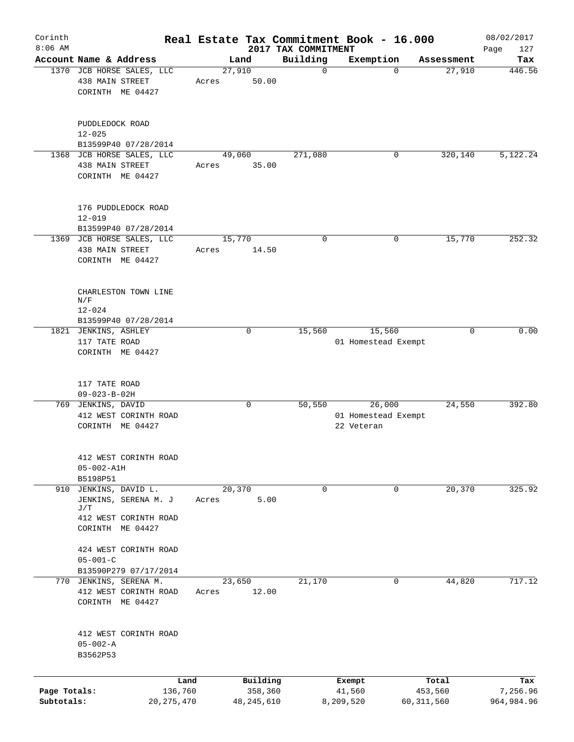| Corinth                    |                                                                  |                         |                 |                         | Real Estate Tax Commitment Book - 16.000 |                     |                                   |              |            | 08/02/2017             |
|----------------------------|------------------------------------------------------------------|-------------------------|-----------------|-------------------------|------------------------------------------|---------------------|-----------------------------------|--------------|------------|------------------------|
| $8:06$ AM                  |                                                                  |                         |                 |                         | 2017 TAX COMMITMENT                      |                     |                                   |              |            | 127<br>Page            |
|                            | Account Name & Address<br>1370 JCB HORSE SALES, LLC              |                         | 27,910          | Land                    | Building<br>$\mathbf 0$                  |                     | Exemption                         | $\Omega$     | Assessment | Tax<br>446.56          |
|                            | 438 MAIN STREET<br>CORINTH ME 04427                              |                         | Acres           | 50.00                   |                                          |                     |                                   |              | 27,910     |                        |
|                            | PUDDLEDOCK ROAD<br>$12 - 025$                                    |                         |                 |                         |                                          |                     |                                   |              |            |                        |
|                            | B13599P40 07/28/2014<br>1368 JCB HORSE SALES, LLC                |                         |                 |                         | 271,080                                  |                     |                                   |              |            |                        |
|                            | 438 MAIN STREET<br>CORINTH ME 04427                              |                         | Acres           | 49,060<br>35.00         |                                          |                     |                                   | 0            | 320,140    | 5,122.24               |
|                            | 176 PUDDLEDOCK ROAD<br>$12 - 019$                                |                         |                 |                         |                                          |                     |                                   |              |            |                        |
|                            | B13599P40 07/28/2014                                             |                         |                 |                         |                                          |                     |                                   |              |            |                        |
|                            | 1369 JCB HORSE SALES, LLC<br>438 MAIN STREET<br>CORINTH ME 04427 |                         | 15,770<br>Acres | 14.50                   | 0                                        |                     |                                   | 0            | 15,770     | 252.32                 |
|                            | CHARLESTON TOWN LINE<br>N/F<br>$12 - 024$                        |                         |                 |                         |                                          |                     |                                   |              |            |                        |
|                            | B13599P40 07/28/2014                                             |                         |                 |                         |                                          |                     |                                   |              |            |                        |
|                            | 1821 JENKINS, ASHLEY                                             |                         |                 | $\mathbf 0$             | 15,560                                   |                     | 15,560                            |              | $\Omega$   | 0.00                   |
|                            | 117 TATE ROAD                                                    |                         |                 |                         |                                          |                     | 01 Homestead Exempt               |              |            |                        |
|                            | CORINTH ME 04427                                                 |                         |                 |                         |                                          |                     |                                   |              |            |                        |
|                            | 117 TATE ROAD<br>$09 - 023 - B - 02H$                            |                         |                 |                         |                                          |                     |                                   |              |            |                        |
|                            | 769 JENKINS, DAVID                                               |                         |                 | $\mathbf 0$             | 50,550                                   |                     | 26,000                            |              | 24,550     | 392.80                 |
|                            | 412 WEST CORINTH ROAD<br>CORINTH ME 04427                        |                         |                 |                         |                                          |                     | 01 Homestead Exempt<br>22 Veteran |              |            |                        |
|                            | 412 WEST CORINTH ROAD<br>$05 - 002 - A1H$                        |                         |                 |                         |                                          |                     |                                   |              |            |                        |
|                            | B5198P51                                                         |                         |                 |                         |                                          |                     |                                   |              |            |                        |
|                            | 910 JENKINS, DAVID L.<br>JENKINS, SERENA M. J<br>J/T             |                         | 20,370<br>Acres | 5.00                    | $\mathbf 0$                              |                     |                                   | 0            | 20,370     | 325.92                 |
|                            | 412 WEST CORINTH ROAD<br>CORINTH ME 04427                        |                         |                 |                         |                                          |                     |                                   |              |            |                        |
|                            | 424 WEST CORINTH ROAD<br>$05 - 001 - C$                          |                         |                 |                         |                                          |                     |                                   |              |            |                        |
|                            | B13590P279 07/17/2014                                            |                         |                 |                         |                                          |                     |                                   |              |            |                        |
|                            | 770 JENKINS, SERENA M.                                           |                         | 23,650          |                         | 21,170                                   |                     |                                   | 0            | 44,820     | 717.12                 |
|                            | 412 WEST CORINTH ROAD<br>CORINTH ME 04427                        |                         | Acres           | 12.00                   |                                          |                     |                                   |              |            |                        |
|                            | 412 WEST CORINTH ROAD<br>$05 - 002 - A$<br>B3562P53              |                         |                 |                         |                                          |                     |                                   |              |            |                        |
|                            |                                                                  | Land                    |                 | Building                |                                          | Exempt              |                                   |              | Total      | Tax                    |
| Page Totals:<br>Subtotals: |                                                                  | 136,760<br>20, 275, 470 |                 | 358,360<br>48, 245, 610 |                                          | 41,560<br>8,209,520 |                                   | 60, 311, 560 | 453,560    | 7,256.96<br>964,984.96 |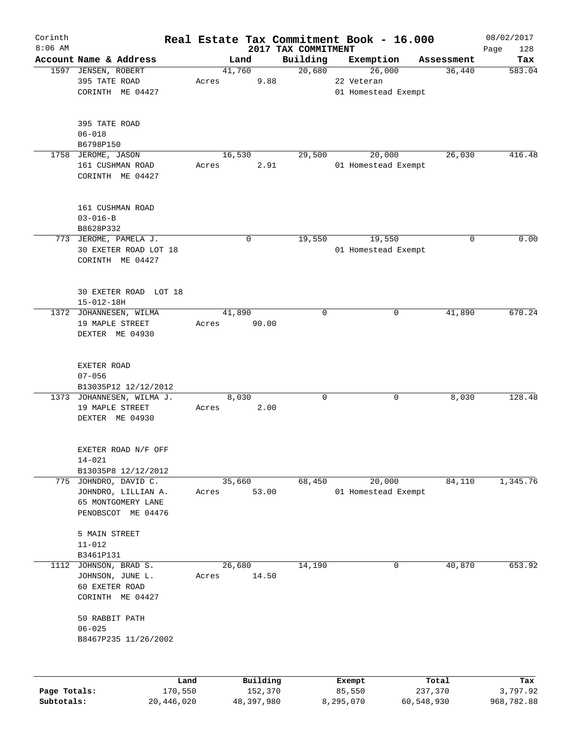| $8:06$ AM    |                                               |       |                     | 2017 TAX COMMITMENT |                     |                      |                 |
|--------------|-----------------------------------------------|-------|---------------------|---------------------|---------------------|----------------------|-----------------|
|              |                                               |       | Land                | Building            |                     |                      | Page<br>128     |
|              | Account Name & Address<br>1597 JENSEN, ROBERT |       | 41,760              | 20,680              | Exemption<br>26,000 | Assessment<br>36,440 | Tax<br>583.04   |
|              | 395 TATE ROAD                                 | Acres | 9.88                |                     | 22 Veteran          |                      |                 |
|              | CORINTH ME 04427                              |       |                     |                     | 01 Homestead Exempt |                      |                 |
|              | 395 TATE ROAD                                 |       |                     |                     |                     |                      |                 |
|              | $06 - 018$                                    |       |                     |                     |                     |                      |                 |
|              | B6798P150                                     |       |                     |                     |                     |                      |                 |
|              | 1758 JEROME, JASON                            |       | 16,530              | 29,500              | 20,000              | 26,030               | 416.48          |
|              | 161 CUSHMAN ROAD<br>CORINTH ME 04427          | Acres | 2.91                |                     | 01 Homestead Exempt |                      |                 |
|              | 161 CUSHMAN ROAD                              |       |                     |                     |                     |                      |                 |
|              | $03 - 016 - B$                                |       |                     |                     |                     |                      |                 |
|              | B8628P332                                     |       |                     |                     |                     |                      |                 |
|              | 773 JEROME, PAMELA J.                         |       | 0                   | 19,550              | 19,550              | 0                    | 0.00            |
|              | 30 EXETER ROAD LOT 18<br>CORINTH ME 04427     |       |                     |                     | 01 Homestead Exempt |                      |                 |
|              | 30 EXETER ROAD LOT 18                         |       |                     |                     |                     |                      |                 |
|              | $15 - 012 - 18H$                              |       |                     |                     |                     |                      |                 |
|              | 1372 JOHANNESEN, WILMA                        |       | 41,890              | $\mathbf 0$         | 0                   | 41,890               | 670.24          |
|              | 19 MAPLE STREET                               | Acres | 90.00               |                     |                     |                      |                 |
|              | DEXTER ME 04930                               |       |                     |                     |                     |                      |                 |
|              | EXETER ROAD                                   |       |                     |                     |                     |                      |                 |
|              | $07 - 056$                                    |       |                     |                     |                     |                      |                 |
|              | B13035P12 12/12/2012                          |       |                     |                     |                     |                      |                 |
|              | 1373 JOHANNESEN, WILMA J.                     |       | 8,030               | $\mathbf 0$         | 0                   | 8,030                | 128.48          |
|              | 19 MAPLE STREET                               | Acres | 2.00                |                     |                     |                      |                 |
|              | DEXTER ME 04930                               |       |                     |                     |                     |                      |                 |
|              | EXETER ROAD N/F OFF                           |       |                     |                     |                     |                      |                 |
|              | $14 - 021$                                    |       |                     |                     |                     |                      |                 |
|              | B13035P8 12/12/2012                           |       |                     |                     |                     |                      |                 |
|              | 775 JOHNDRO, DAVID C.                         |       | 35,660              | 68,450              | 20,000              | 84,110               | 1,345.76        |
|              | JOHNDRO, LILLIAN A.                           | Acres | 53.00               |                     | 01 Homestead Exempt |                      |                 |
|              | 65 MONTGOMERY LANE<br>PENOBSCOT ME 04476      |       |                     |                     |                     |                      |                 |
|              | 5 MAIN STREET                                 |       |                     |                     |                     |                      |                 |
|              | $11 - 012$                                    |       |                     |                     |                     |                      |                 |
|              | B3461P131                                     |       |                     |                     |                     |                      |                 |
| 1112         | JOHNSON, BRAD S.                              |       | 26,680              | 14,190              | 0                   | 40,870               | 653.92          |
|              | JOHNSON, JUNE L.                              | Acres | 14.50               |                     |                     |                      |                 |
|              | 60 EXETER ROAD                                |       |                     |                     |                     |                      |                 |
|              | CORINTH ME 04427                              |       |                     |                     |                     |                      |                 |
|              | 50 RABBIT PATH                                |       |                     |                     |                     |                      |                 |
|              | $06 - 025$                                    |       |                     |                     |                     |                      |                 |
|              | B8467P235 11/26/2002                          |       |                     |                     |                     |                      |                 |
|              |                                               |       |                     |                     |                     |                      |                 |
| Page Totals: | 170,550                                       | Land  | Building<br>152,370 |                     | Exempt<br>85,550    | Total<br>237,370     | Tax<br>3,797.92 |
| Subtotals:   | 20,446,020                                    |       | 48,397,980          |                     | 8,295,070           | 60,548,930           | 968,782.88      |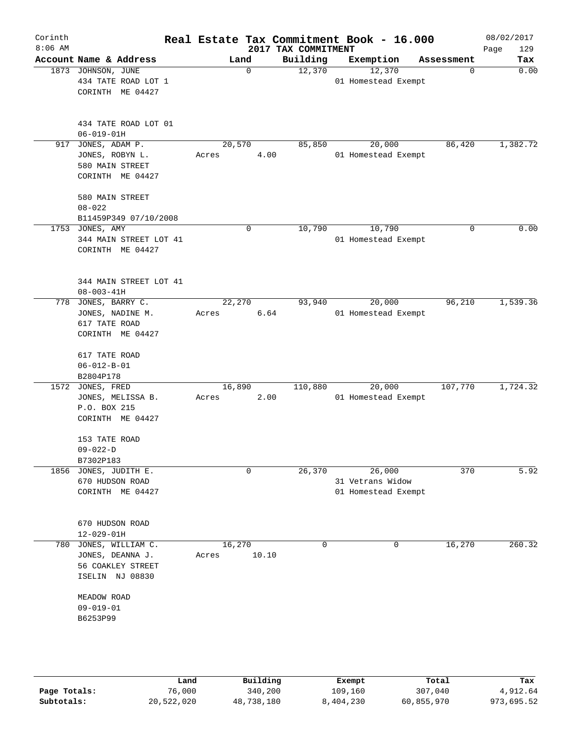| Corinth<br>$8:06$ AM |                                                                                        |                 |             | 2017 TAX COMMITMENT | Real Estate Tax Commitment Book - 16.000          |            | 08/02/2017<br>Page<br>129 |
|----------------------|----------------------------------------------------------------------------------------|-----------------|-------------|---------------------|---------------------------------------------------|------------|---------------------------|
|                      | Account Name & Address                                                                 |                 | Land        | Building            | Exemption                                         | Assessment | Tax                       |
|                      | 1873 JOHNSON, JUNE<br>434 TATE ROAD LOT 1<br>CORINTH ME 04427                          |                 | $\mathbf 0$ | 12,370              | 12,370<br>01 Homestead Exempt                     | 0          | 0.00                      |
|                      | 434 TATE ROAD LOT 01<br>$06 - 019 - 01H$                                               |                 |             |                     |                                                   |            |                           |
|                      | 917 JONES, ADAM P.<br>JONES, ROBYN L.<br>580 MAIN STREET<br>CORINTH ME 04427           | 20,570<br>Acres | 4.00        | 85,850              | 20,000<br>01 Homestead Exempt                     | 86,420     | 1,382.72                  |
|                      | 580 MAIN STREET<br>$08 - 022$<br>B11459P349 07/10/2008                                 |                 |             |                     |                                                   |            |                           |
|                      | 1753 JONES, AMY<br>344 MAIN STREET LOT 41<br>CORINTH ME 04427                          |                 | 0           | 10,790              | 10,790<br>01 Homestead Exempt                     | 0          | 0.00                      |
|                      | 344 MAIN STREET LOT 41<br>$08 - 003 - 41H$                                             |                 |             |                     |                                                   |            |                           |
|                      | 778 JONES, BARRY C.<br>JONES, NADINE M.<br>617 TATE ROAD<br>CORINTH ME 04427           | 22,270<br>Acres | 6.64        | 93,940              | 20,000<br>01 Homestead Exempt                     | 96,210     | 1,539.36                  |
|                      | 617 TATE ROAD<br>$06 - 012 - B - 01$                                                   |                 |             |                     |                                                   |            |                           |
|                      | B2804P178<br>1572 JONES, FRED<br>JONES, MELISSA B.<br>P.O. BOX 215<br>CORINTH ME 04427 | 16,890<br>Acres | 2.00        | 110,880             | 20,000<br>01 Homestead Exempt                     | 107,770    | 1,724.32                  |
|                      | 153 TATE ROAD<br>$09 - 022 - D$<br>B7302P183                                           |                 |             |                     |                                                   |            |                           |
|                      | 1856 JONES, JUDITH E.<br>670 HUDSON ROAD<br>CORINTH ME 04427                           |                 | $\mathbf 0$ | 26, 370             | 26,000<br>31 Vetrans Widow<br>01 Homestead Exempt | 370        | 5.92                      |
|                      | 670 HUDSON ROAD<br>$12 - 029 - 01H$                                                    |                 |             |                     |                                                   |            |                           |
|                      | 780 JONES, WILLIAM C.<br>JONES, DEANNA J.<br>56 COAKLEY STREET<br>ISELIN NJ 08830      | 16,270<br>Acres | 10.10       | 0                   | 0                                                 | 16,270     | 260.32                    |
|                      | MEADOW ROAD<br>$09 - 019 - 01$<br>B6253P99                                             |                 |             |                     |                                                   |            |                           |
|                      |                                                                                        |                 |             |                     |                                                   |            |                           |

|              | úand       | Building   | Exempt    | Total      | Tax        |
|--------------|------------|------------|-----------|------------|------------|
| Page Totals: | 76,000     | 340,200    | 109,160   | 307,040    | 4,912.64   |
| Subtotals:   | 20,522,020 | 48,738,180 | 8,404,230 | 60,855,970 | 973,695.52 |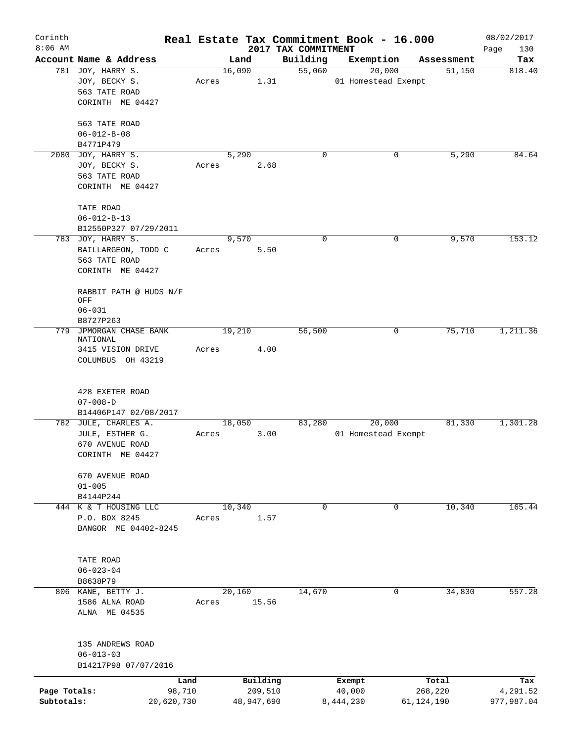| Corinth      |                                             |       |                |            |                     | Real Estate Tax Commitment Book - 16.000 |              | 08/02/2017    |
|--------------|---------------------------------------------|-------|----------------|------------|---------------------|------------------------------------------|--------------|---------------|
| $8:06$ AM    |                                             |       |                |            | 2017 TAX COMMITMENT |                                          |              | Page<br>130   |
|              | Account Name & Address<br>781 JOY, HARRY S. |       | Land<br>16,090 |            | Building<br>55,060  | Exemption<br>20,000                      | Assessment   | Tax<br>818.40 |
|              | JOY, BECKY S.                               | Acres |                | 1.31       |                     | 01 Homestead Exempt                      | 51,150       |               |
|              | 563 TATE ROAD                               |       |                |            |                     |                                          |              |               |
|              |                                             |       |                |            |                     |                                          |              |               |
|              | CORINTH ME 04427                            |       |                |            |                     |                                          |              |               |
|              | 563 TATE ROAD                               |       |                |            |                     |                                          |              |               |
|              | $06 - 012 - B - 08$                         |       |                |            |                     |                                          |              |               |
|              | B4771P479                                   |       |                |            |                     |                                          |              |               |
| 2080         | JOY, HARRY S.                               |       | 5,290          |            | 0                   | 0                                        | 5,290        | 84.64         |
|              | JOY, BECKY S.                               | Acres |                | 2.68       |                     |                                          |              |               |
|              | 563 TATE ROAD                               |       |                |            |                     |                                          |              |               |
|              | CORINTH ME 04427                            |       |                |            |                     |                                          |              |               |
|              |                                             |       |                |            |                     |                                          |              |               |
|              | TATE ROAD                                   |       |                |            |                     |                                          |              |               |
|              | $06 - 012 - B - 13$                         |       |                |            |                     |                                          |              |               |
|              | B12550P327 07/29/2011                       |       |                |            |                     |                                          |              |               |
|              | 783 JOY, HARRY S.                           |       | 9,570          |            | 0                   | 0                                        | 9,570        | 153.12        |
|              | BAILLARGEON, TODD C                         | Acres |                | 5.50       |                     |                                          |              |               |
|              | 563 TATE ROAD                               |       |                |            |                     |                                          |              |               |
|              | CORINTH ME 04427                            |       |                |            |                     |                                          |              |               |
|              |                                             |       |                |            |                     |                                          |              |               |
|              | RABBIT PATH @ HUDS N/F                      |       |                |            |                     |                                          |              |               |
|              | OFF                                         |       |                |            |                     |                                          |              |               |
|              | $06 - 031$                                  |       |                |            |                     |                                          |              |               |
|              | B8727P263                                   |       |                |            |                     |                                          |              |               |
| 779          | JPMORGAN CHASE BANK                         |       | 19,210         |            | 56,500              | 0                                        | 75,710       | 1,211.36      |
|              | NATIONAL                                    |       |                |            |                     |                                          |              |               |
|              | 3415 VISION DRIVE<br>COLUMBUS OH 43219      | Acres |                | 4.00       |                     |                                          |              |               |
|              |                                             |       |                |            |                     |                                          |              |               |
|              |                                             |       |                |            |                     |                                          |              |               |
|              | 428 EXETER ROAD                             |       |                |            |                     |                                          |              |               |
|              | $07 - 008 - D$                              |       |                |            |                     |                                          |              |               |
|              | B14406P147 02/08/2017                       |       |                |            |                     |                                          |              |               |
|              | 782 JULE, CHARLES A.                        |       | 18,050         |            | 83,280              | 20,000                                   | 81,330       | 1,301.28      |
|              | JULE, ESTHER G.                             | Acres |                | 3.00       |                     | 01 Homestead Exempt                      |              |               |
|              | 670 AVENUE ROAD                             |       |                |            |                     |                                          |              |               |
|              | CORINTH ME 04427                            |       |                |            |                     |                                          |              |               |
|              |                                             |       |                |            |                     |                                          |              |               |
|              | 670 AVENUE ROAD                             |       |                |            |                     |                                          |              |               |
|              | $01 - 005$                                  |       |                |            |                     |                                          |              |               |
|              | B4144P244                                   |       |                |            |                     |                                          |              |               |
|              | 444 K & T HOUSING LLC                       |       | 10,340         |            | $\mathbf 0$         | $\mathbf 0$                              | 10,340       | 165.44        |
|              | P.O. BOX 8245<br>BANGOR ME 04402-8245       | Acres |                | 1.57       |                     |                                          |              |               |
|              |                                             |       |                |            |                     |                                          |              |               |
|              |                                             |       |                |            |                     |                                          |              |               |
|              | TATE ROAD                                   |       |                |            |                     |                                          |              |               |
|              | $06 - 023 - 04$                             |       |                |            |                     |                                          |              |               |
|              | B8638P79                                    |       |                |            |                     |                                          |              |               |
|              | 806 KANE, BETTY J.                          |       | 20,160         |            | 14,670              | 0                                        | 34,830       | 557.28        |
|              | 1586 ALNA ROAD                              | Acres |                | 15.56      |                     |                                          |              |               |
|              | ALNA ME 04535                               |       |                |            |                     |                                          |              |               |
|              |                                             |       |                |            |                     |                                          |              |               |
|              |                                             |       |                |            |                     |                                          |              |               |
|              | 135 ANDREWS ROAD                            |       |                |            |                     |                                          |              |               |
|              | $06 - 013 - 03$                             |       |                |            |                     |                                          |              |               |
|              | B14217P98 07/07/2016                        |       |                |            |                     |                                          |              |               |
|              | Land                                        |       |                | Building   |                     | Exempt                                   | Total        | Tax           |
| Page Totals: | 98,710                                      |       |                | 209,510    |                     | 40,000                                   | 268,220      | 4,291.52      |
| Subtotals:   | 20,620,730                                  |       |                | 48,947,690 |                     | 8,444,230                                | 61, 124, 190 | 977,987.04    |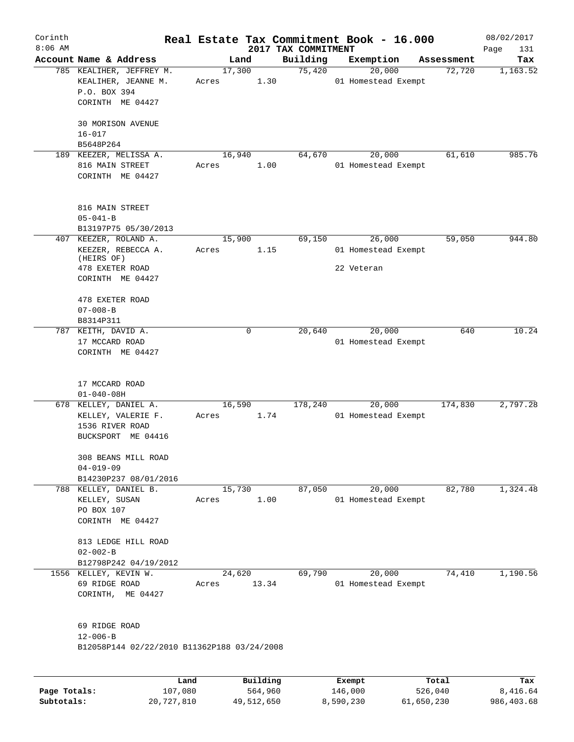| Corinth<br>$8:06$ AM |                                                                                              |                 |          | 2017 TAX COMMITMENT | Real Estate Tax Commitment Book - 16.000    |            | 08/02/2017<br>Page<br>131 |
|----------------------|----------------------------------------------------------------------------------------------|-----------------|----------|---------------------|---------------------------------------------|------------|---------------------------|
|                      | Account Name & Address                                                                       |                 | Land     | Building            | Exemption                                   | Assessment | Tax                       |
|                      | 785 KEALIHER, JEFFREY M.<br>KEALIHER, JEANNE M.<br>P.O. BOX 394<br>CORINTH ME 04427          | 17,300<br>Acres | 1.30     | 75,420              | 20,000<br>01 Homestead Exempt               | 72,720     | 1,163.52                  |
|                      | 30 MORISON AVENUE<br>$16 - 017$<br>B5648P264                                                 |                 |          |                     |                                             |            |                           |
|                      | 189 KEEZER, MELISSA A.<br>816 MAIN STREET<br>CORINTH ME 04427                                | 16,940<br>Acres | 1.00     | 64,670              | 20,000<br>01 Homestead Exempt               | 61,610     | 985.76                    |
|                      | 816 MAIN STREET<br>$05 - 041 - B$<br>B13197P75 05/30/2013                                    |                 |          |                     |                                             |            |                           |
| 407                  | KEEZER, ROLAND A.<br>KEEZER, REBECCA A.<br>(HEIRS OF)<br>478 EXETER ROAD<br>CORINTH ME 04427 | 15,900<br>Acres | 1.15     | 69,150              | 26,000<br>01 Homestead Exempt<br>22 Veteran | 59,050     | 944.80                    |
|                      | 478 EXETER ROAD<br>$07 - 008 - B$<br>B8314P311                                               |                 |          |                     |                                             |            |                           |
|                      | 787 KEITH, DAVID A.<br>17 MCCARD ROAD<br>CORINTH ME 04427                                    |                 | $\Omega$ | 20,640              | 20,000<br>01 Homestead Exempt               | 640        | 10.24                     |
|                      | 17 MCCARD ROAD<br>$01 - 040 - 08H$                                                           |                 |          |                     |                                             |            |                           |
|                      | 678 KELLEY, DANIEL A.<br>KELLEY, VALERIE F.<br>1536 RIVER ROAD<br>BUCKSPORT ME 04416         | 16,590<br>Acres | 1.74     | 178,240             | 20,000<br>01 Homestead Exempt               | 174,830    | 2,797.28                  |
|                      | 308 BEANS MILL ROAD<br>$04 - 019 - 09$<br>B14230P237 08/01/2016                              |                 |          |                     |                                             |            |                           |
|                      | 788 KELLEY, DANIEL B.<br>KELLEY, SUSAN<br>PO BOX 107<br>CORINTH ME 04427                     | 15,730<br>Acres | 1.00     | 87,050              | 20,000<br>01 Homestead Exempt               | 82,780     | 1,324.48                  |
|                      | 813 LEDGE HILL ROAD<br>$02 - 002 - B$<br>B12798P242 04/19/2012                               |                 |          |                     |                                             |            |                           |
|                      | 1556 KELLEY, KEVIN W.<br>69 RIDGE ROAD<br>CORINTH, ME 04427                                  | 24,620<br>Acres | 13.34    | 69,790              | 20,000<br>01 Homestead Exempt               | 74,410     | 1,190.56                  |
|                      | 69 RIDGE ROAD<br>$12 - 006 - B$<br>B12058P144 02/22/2010 B11362P188 03/24/2008               |                 |          |                     |                                             |            |                           |
|                      |                                                                                              |                 |          |                     |                                             |            |                           |

|              | Land       | Building   | Exempt    | Total      | Tax        |
|--------------|------------|------------|-----------|------------|------------|
| Page Totals: | 107,080    | 564,960    | 146,000   | 526,040    | 8,416.64   |
| Subtotals:   | 20,727,810 | 49,512,650 | 8,590,230 | 61,650,230 | 986,403.68 |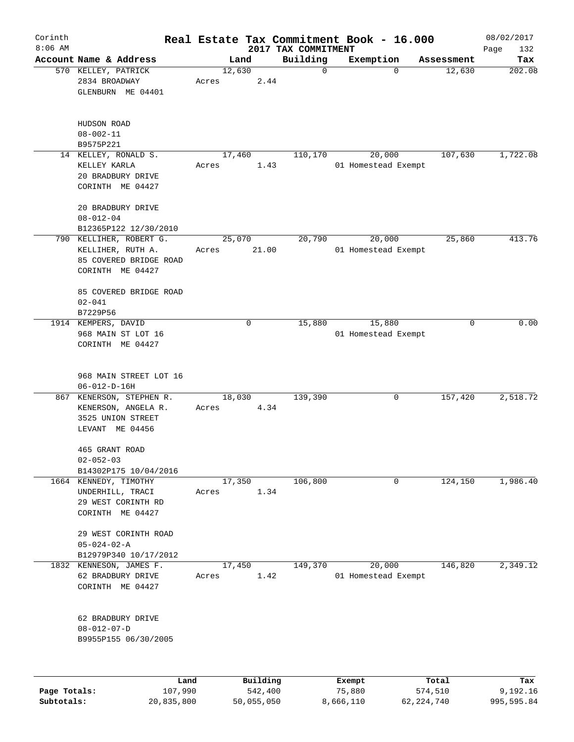| Corinth      |                                                                                            |                 |              |                                 | Real Estate Tax Commitment Book - 16.000 |            | 08/02/2017    |
|--------------|--------------------------------------------------------------------------------------------|-----------------|--------------|---------------------------------|------------------------------------------|------------|---------------|
| $8:06$ AM    | Account Name & Address                                                                     |                 |              | 2017 TAX COMMITMENT<br>Building |                                          | Assessment | Page<br>132   |
|              | 570 KELLEY, PATRICK<br>2834 BROADWAY<br>GLENBURN ME 04401                                  | 12,630<br>Acres | Land<br>2.44 | 0                               | Exemption<br>0                           | 12,630     | Tax<br>202.08 |
|              | HUDSON ROAD<br>$08 - 002 - 11$                                                             |                 |              |                                 |                                          |            |               |
|              | B9575P221                                                                                  |                 |              |                                 |                                          |            |               |
|              | 14 KELLEY, RONALD S.<br>KELLEY KARLA<br>20 BRADBURY DRIVE<br>CORINTH ME 04427              | 17,460<br>Acres | 1.43         | 110,170                         | 20,000<br>01 Homestead Exempt            | 107,630    | 1,722.08      |
|              | 20 BRADBURY DRIVE<br>$08 - 012 - 04$<br>B12365P122 12/30/2010                              |                 |              |                                 |                                          |            |               |
|              | 790 KELLIHER, ROBERT G.<br>KELLIHER, RUTH A.<br>85 COVERED BRIDGE ROAD<br>CORINTH ME 04427 | 25,070<br>Acres | 21.00        | 20,790                          | 20,000<br>01 Homestead Exempt            | 25,860     | 413.76        |
|              | 85 COVERED BRIDGE ROAD<br>$02 - 041$<br>B7229P56                                           |                 |              |                                 |                                          |            |               |
|              | 1914 KEMPERS, DAVID<br>968 MAIN ST LOT 16<br>CORINTH ME 04427                              |                 | 0            | 15,880                          | 15,880<br>01 Homestead Exempt            | 0          | 0.00          |
|              | 968 MAIN STREET LOT 16<br>$06 - 012 - D - 16H$                                             |                 |              |                                 |                                          |            |               |
| 867          | KENERSON, STEPHEN R.<br>KENERSON, ANGELA R.<br>3525 UNION STREET<br>LEVANT ME 04456        | 18,030<br>Acres | 4.34         | 139,390                         | 0                                        | 157,420    | 2,518.72      |
|              | 465 GRANT ROAD<br>$02 - 052 - 03$<br>B14302P175 10/04/2016                                 |                 |              |                                 |                                          |            |               |
|              | 1664 KENNEDY, TIMOTHY<br>UNDERHILL, TRACI<br>29 WEST CORINTH RD<br>CORINTH ME 04427        | 17,350<br>Acres | 1.34         | 106,800                         | 0                                        | 124,150    | 1,986.40      |
|              | 29 WEST CORINTH ROAD<br>$05 - 024 - 02 - A$<br>B12979P340 10/17/2012                       |                 |              |                                 |                                          |            |               |
|              | 1832 KENNESON, JAMES F.<br>62 BRADBURY DRIVE<br>CORINTH ME 04427                           | 17,450<br>Acres | 1.42         | 149,370                         | 20,000<br>01 Homestead Exempt            | 146,820    | 2,349.12      |
|              | 62 BRADBURY DRIVE<br>$08 - 012 - 07 - D$<br>B9955P155 06/30/2005                           |                 |              |                                 |                                          |            |               |
|              | Land                                                                                       |                 | Building     |                                 | Exempt                                   | Total      | Tax           |
| Page Totals: | 107,990                                                                                    |                 | 542,400      |                                 | 75,880                                   | 574,510    | 9,192.16      |

**Subtotals:** 20,835,800 50,055,050 8,666,110 62,224,740 995,595.84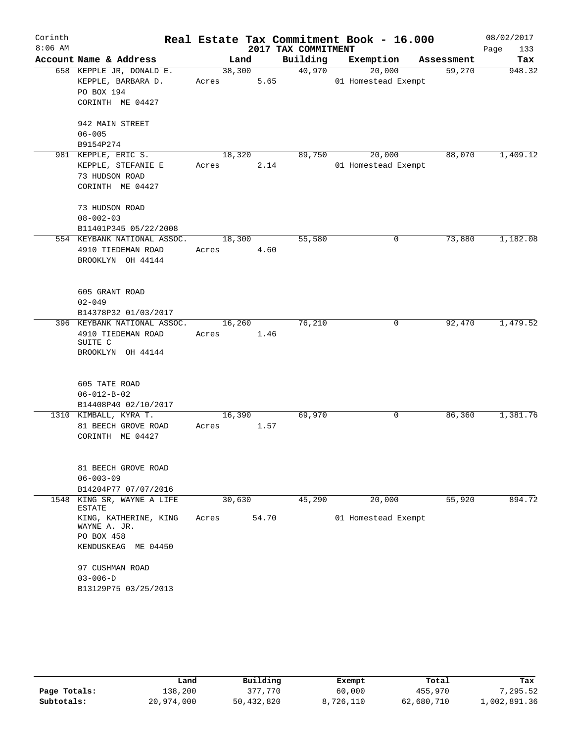| Corinth   |                                       |        |        |                     | Real Estate Tax Commitment Book - 16.000 |            | 08/02/2017  |
|-----------|---------------------------------------|--------|--------|---------------------|------------------------------------------|------------|-------------|
| $8:06$ AM |                                       |        |        | 2017 TAX COMMITMENT |                                          |            | Page<br>133 |
|           | Account Name & Address                |        | Land   | Building            | Exemption                                | Assessment | Tax         |
|           | 658 KEPPLE JR, DONALD E.              |        | 38,300 | 40,970              | 20,000                                   | 59,270     | 948.32      |
|           | KEPPLE, BARBARA D.                    | Acres  | 5.65   |                     | 01 Homestead Exempt                      |            |             |
|           | PO BOX 194                            |        |        |                     |                                          |            |             |
|           | CORINTH ME 04427                      |        |        |                     |                                          |            |             |
|           | 942 MAIN STREET                       |        |        |                     |                                          |            |             |
|           | $06 - 005$                            |        |        |                     |                                          |            |             |
|           | B9154P274                             |        |        |                     |                                          |            |             |
|           | 981 KEPPLE, ERIC S.                   | 18,320 |        | 89,750              | 20,000                                   | 88,070     | 1,409.12    |
|           | KEPPLE, STEFANIE E                    | Acres  | 2.14   |                     | 01 Homestead Exempt                      |            |             |
|           | 73 HUDSON ROAD                        |        |        |                     |                                          |            |             |
|           | CORINTH ME 04427                      |        |        |                     |                                          |            |             |
|           | 73 HUDSON ROAD                        |        |        |                     |                                          |            |             |
|           | $08 - 002 - 03$                       |        |        |                     |                                          |            |             |
|           | B11401P345 05/22/2008                 |        |        |                     |                                          |            |             |
|           | 554 KEYBANK NATIONAL ASSOC.           | 18,300 |        | 55,580              | 0                                        | 73,880     | 1,182.08    |
|           | 4910 TIEDEMAN ROAD                    | Acres  | 4.60   |                     |                                          |            |             |
|           | BROOKLYN OH 44144                     |        |        |                     |                                          |            |             |
|           | 605 GRANT ROAD                        |        |        |                     |                                          |            |             |
|           | $02 - 049$                            |        |        |                     |                                          |            |             |
|           | B14378P32 01/03/2017                  |        |        |                     |                                          |            |             |
|           | 396 KEYBANK NATIONAL ASSOC.           | 16,260 |        | 76,210              | 0                                        | 92,470     | 1,479.52    |
|           | 4910 TIEDEMAN ROAD<br>SUITE C         | Acres  | 1.46   |                     |                                          |            |             |
|           | BROOKLYN OH 44144                     |        |        |                     |                                          |            |             |
|           | 605 TATE ROAD                         |        |        |                     |                                          |            |             |
|           | $06 - 012 - B - 02$                   |        |        |                     |                                          |            |             |
|           | B14408P40 02/10/2017                  |        |        |                     |                                          |            |             |
|           | 1310 KIMBALL, KYRA T.                 | 16,390 |        | 69,970              | 0                                        | 86,360     | 1,381.76    |
|           | 81 BEECH GROVE ROAD                   | Acres  | 1.57   |                     |                                          |            |             |
|           | CORINTH ME 04427                      |        |        |                     |                                          |            |             |
|           |                                       |        |        |                     |                                          |            |             |
|           | 81 BEECH GROVE ROAD                   |        |        |                     |                                          |            |             |
|           | $06 - 003 - 09$                       |        |        |                     |                                          |            |             |
|           | B14204P77 07/07/2016                  |        |        |                     |                                          |            |             |
| 1548      | KING SR, WAYNE A LIFE<br>ESTATE       | 30,630 |        | 45,290              | 20,000                                   | 55,920     | 894.72      |
|           | KING, KATHERINE, KING<br>WAYNE A. JR. | Acres  | 54.70  |                     | 01 Homestead Exempt                      |            |             |
|           | PO BOX 458<br>KENDUSKEAG ME 04450     |        |        |                     |                                          |            |             |
|           |                                       |        |        |                     |                                          |            |             |
|           | 97 CUSHMAN ROAD                       |        |        |                     |                                          |            |             |
|           | $03 - 006 - D$                        |        |        |                     |                                          |            |             |
|           | B13129P75 03/25/2013                  |        |        |                     |                                          |            |             |

|              | Land       | Building   | Exempt    | Total      | Tax          |
|--------------|------------|------------|-----------|------------|--------------|
| Page Totals: | 138,200    | 377,770    | 60,000    | 455,970    | 7,295.52     |
| Subtotals:   | 20,974,000 | 50,432,820 | 8,726,110 | 62,680,710 | 1,002,891.36 |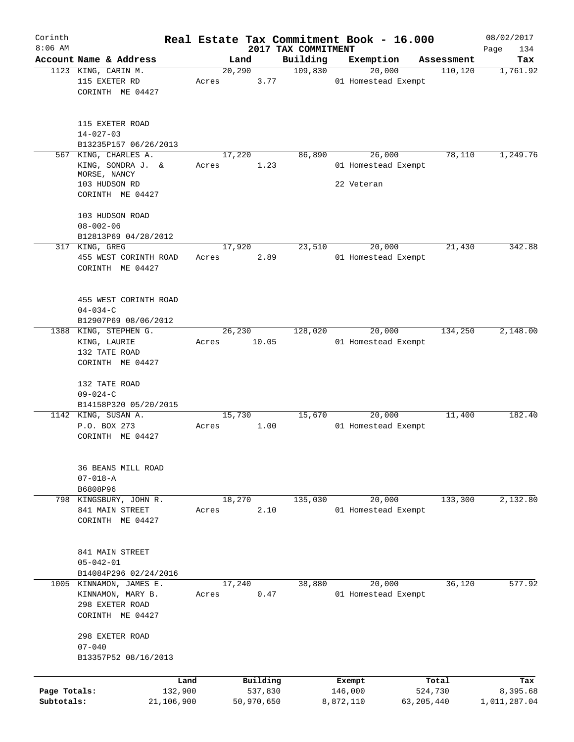| Corinth      |                                           |            |       |                |                     | Real Estate Tax Commitment Book - 16.000 |              |                        | 08/02/2017      |
|--------------|-------------------------------------------|------------|-------|----------------|---------------------|------------------------------------------|--------------|------------------------|-----------------|
| $8:06$ AM    | Account Name & Address                    |            |       |                | 2017 TAX COMMITMENT |                                          |              |                        | Page<br>134     |
|              | 1123 KING, CARIN M.                       |            |       | Land<br>20,290 | Building<br>109,830 | Exemption<br>20,000                      |              | Assessment<br>110, 120 | Tax<br>1,761.92 |
|              | 115 EXETER RD                             |            | Acres | 3.77           |                     | 01 Homestead Exempt                      |              |                        |                 |
|              | CORINTH ME 04427                          |            |       |                |                     |                                          |              |                        |                 |
|              |                                           |            |       |                |                     |                                          |              |                        |                 |
|              |                                           |            |       |                |                     |                                          |              |                        |                 |
|              | 115 EXETER ROAD                           |            |       |                |                     |                                          |              |                        |                 |
|              | $14 - 027 - 03$                           |            |       |                |                     |                                          |              |                        |                 |
|              | B13235P157 06/26/2013                     |            |       |                |                     |                                          |              |                        |                 |
|              | 567 KING, CHARLES A.<br>KING, SONDRA J. & |            |       | 17,220<br>1.23 | 86,890              | 26,000<br>01 Homestead Exempt            |              | 78,110                 | 1,249.76        |
|              | MORSE, NANCY                              |            | Acres |                |                     |                                          |              |                        |                 |
|              | 103 HUDSON RD                             |            |       |                |                     | 22 Veteran                               |              |                        |                 |
|              | CORINTH ME 04427                          |            |       |                |                     |                                          |              |                        |                 |
|              |                                           |            |       |                |                     |                                          |              |                        |                 |
|              | 103 HUDSON ROAD                           |            |       |                |                     |                                          |              |                        |                 |
|              | $08 - 002 - 06$                           |            |       |                |                     |                                          |              |                        |                 |
|              | B12813P69 04/28/2012                      |            |       |                |                     | 20,000                                   |              | 21,430                 | 342.88          |
|              | 317 KING, GREG<br>455 WEST CORINTH ROAD   |            | Acres | 17,920<br>2.89 | 23,510              | 01 Homestead Exempt                      |              |                        |                 |
|              | CORINTH ME 04427                          |            |       |                |                     |                                          |              |                        |                 |
|              |                                           |            |       |                |                     |                                          |              |                        |                 |
|              |                                           |            |       |                |                     |                                          |              |                        |                 |
|              | 455 WEST CORINTH ROAD                     |            |       |                |                     |                                          |              |                        |                 |
|              | $04 - 034 - C$                            |            |       |                |                     |                                          |              |                        |                 |
|              | B12907P69 08/06/2012                      |            |       |                |                     |                                          |              |                        |                 |
|              | 1388 KING, STEPHEN G.                     |            |       | 26,230         | 128,020             | 20,000                                   |              | 134,250                | 2,148.00        |
|              | KING, LAURIE                              |            | Acres | 10.05          |                     | 01 Homestead Exempt                      |              |                        |                 |
|              | 132 TATE ROAD                             |            |       |                |                     |                                          |              |                        |                 |
|              | CORINTH ME 04427                          |            |       |                |                     |                                          |              |                        |                 |
|              | 132 TATE ROAD                             |            |       |                |                     |                                          |              |                        |                 |
|              | $09 - 024 - C$                            |            |       |                |                     |                                          |              |                        |                 |
|              | B14158P320 05/20/2015                     |            |       |                |                     |                                          |              |                        |                 |
|              | 1142 KING, SUSAN A.                       |            |       | 15,730         | 15,670              | 20,000                                   |              | 11,400                 | 182.40          |
|              | P.O. BOX 273                              |            | Acres | 1.00           |                     | 01 Homestead Exempt                      |              |                        |                 |
|              | CORINTH ME 04427                          |            |       |                |                     |                                          |              |                        |                 |
|              |                                           |            |       |                |                     |                                          |              |                        |                 |
|              |                                           |            |       |                |                     |                                          |              |                        |                 |
|              | 36 BEANS MILL ROAD<br>$07 - 018 - A$      |            |       |                |                     |                                          |              |                        |                 |
|              | B6808P96                                  |            |       |                |                     |                                          |              |                        |                 |
|              | 798 KINGSBURY, JOHN R.                    |            |       | 18,270         | 135,030             | 20,000                                   |              | 133,300                | 2,132.80        |
|              | 841 MAIN STREET                           |            | Acres | 2.10           |                     | 01 Homestead Exempt                      |              |                        |                 |
|              | CORINTH ME 04427                          |            |       |                |                     |                                          |              |                        |                 |
|              |                                           |            |       |                |                     |                                          |              |                        |                 |
|              |                                           |            |       |                |                     |                                          |              |                        |                 |
|              | 841 MAIN STREET                           |            |       |                |                     |                                          |              |                        |                 |
|              | $05 - 042 - 01$                           |            |       |                |                     |                                          |              |                        |                 |
|              | B14084P296 02/24/2016                     |            |       |                |                     |                                          |              |                        |                 |
|              | 1005 KINNAMON, JAMES E.                   |            |       | 17,240         | 38,880              | 20,000                                   |              | 36,120                 | 577.92          |
|              | KINNAMON, MARY B.<br>298 EXETER ROAD      |            | Acres | 0.47           |                     | 01 Homestead Exempt                      |              |                        |                 |
|              | CORINTH ME 04427                          |            |       |                |                     |                                          |              |                        |                 |
|              |                                           |            |       |                |                     |                                          |              |                        |                 |
|              | 298 EXETER ROAD                           |            |       |                |                     |                                          |              |                        |                 |
|              | $07 - 040$                                |            |       |                |                     |                                          |              |                        |                 |
|              | B13357P52 08/16/2013                      |            |       |                |                     |                                          |              |                        |                 |
|              |                                           |            |       |                |                     |                                          |              |                        |                 |
|              |                                           | Land       |       | Building       |                     | Exempt                                   |              | Total                  | Tax             |
| Page Totals: |                                           | 132,900    |       | 537,830        |                     | 146,000                                  |              | 524,730                | 8,395.68        |
| Subtotals:   |                                           | 21,106,900 |       | 50,970,650     |                     | 8,872,110                                | 63, 205, 440 |                        | 1,011,287.04    |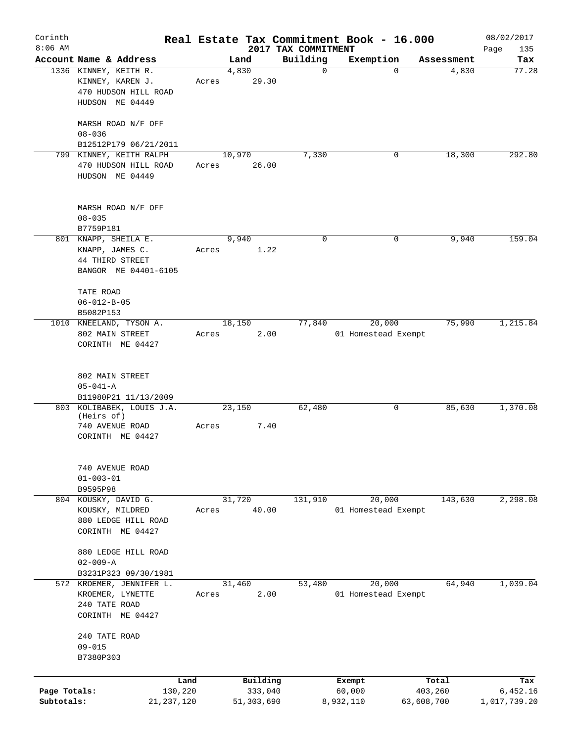| Corinth      |                                         |       |            |                                 | Real Estate Tax Commitment Book - 16.000 |            | 08/02/2017         |
|--------------|-----------------------------------------|-------|------------|---------------------------------|------------------------------------------|------------|--------------------|
| $8:06$ AM    | Account Name & Address                  |       | Land       | 2017 TAX COMMITMENT<br>Building | Exemption                                | Assessment | Page<br>135<br>Tax |
|              | 1336 KINNEY, KEITH R.                   |       | 4,830      | $\mathbf 0$                     | 0                                        | 4,830      | 77.28              |
|              | KINNEY, KAREN J.                        | Acres | 29.30      |                                 |                                          |            |                    |
|              | 470 HUDSON HILL ROAD                    |       |            |                                 |                                          |            |                    |
|              | HUDSON ME 04449                         |       |            |                                 |                                          |            |                    |
|              |                                         |       |            |                                 |                                          |            |                    |
|              | MARSH ROAD N/F OFF                      |       |            |                                 |                                          |            |                    |
|              | $08 - 036$                              |       |            |                                 |                                          |            |                    |
|              | B12512P179 06/21/2011                   |       |            |                                 |                                          |            |                    |
|              | 799 KINNEY, KEITH RALPH                 |       | 10,970     | 7,330                           | 0                                        | 18,300     | 292.80             |
|              | 470 HUDSON HILL ROAD                    | Acres | 26.00      |                                 |                                          |            |                    |
|              | HUDSON ME 04449                         |       |            |                                 |                                          |            |                    |
|              |                                         |       |            |                                 |                                          |            |                    |
|              |                                         |       |            |                                 |                                          |            |                    |
|              | MARSH ROAD N/F OFF                      |       |            |                                 |                                          |            |                    |
|              | $08 - 035$                              |       |            |                                 |                                          |            |                    |
|              | B7759P181                               |       |            |                                 |                                          |            |                    |
|              | 801 KNAPP, SHEILA E.                    |       | 9,940      | 0                               | 0                                        | 9,940      | 159.04             |
|              |                                         | Acres |            |                                 |                                          |            |                    |
|              | KNAPP, JAMES C.                         |       | 1.22       |                                 |                                          |            |                    |
|              | 44 THIRD STREET                         |       |            |                                 |                                          |            |                    |
|              | BANGOR ME 04401-6105                    |       |            |                                 |                                          |            |                    |
|              |                                         |       |            |                                 |                                          |            |                    |
|              | TATE ROAD                               |       |            |                                 |                                          |            |                    |
|              | $06 - 012 - B - 05$                     |       |            |                                 |                                          |            |                    |
|              | B5082P153                               |       |            |                                 |                                          |            |                    |
| 1010         | KNEELAND, TYSON A.                      |       | 18,150     | 77,840                          | 20,000                                   | 75,990     | 1,215.84           |
|              | 802 MAIN STREET                         | Acres | 2.00       |                                 | 01 Homestead Exempt                      |            |                    |
|              | CORINTH ME 04427                        |       |            |                                 |                                          |            |                    |
|              |                                         |       |            |                                 |                                          |            |                    |
|              |                                         |       |            |                                 |                                          |            |                    |
|              | 802 MAIN STREET                         |       |            |                                 |                                          |            |                    |
|              | $05 - 041 - A$                          |       |            |                                 |                                          |            |                    |
|              | B11980P21 11/13/2009                    |       |            |                                 |                                          |            |                    |
|              | 803 KOLIBABEK, LOUIS J.A.<br>(Heirs of) |       | 23,150     | 62,480                          | 0                                        | 85,630     | 1,370.08           |
|              | 740 AVENUE ROAD                         | Acres | 7.40       |                                 |                                          |            |                    |
|              | CORINTH ME 04427                        |       |            |                                 |                                          |            |                    |
|              |                                         |       |            |                                 |                                          |            |                    |
|              |                                         |       |            |                                 |                                          |            |                    |
|              | 740 AVENUE ROAD                         |       |            |                                 |                                          |            |                    |
|              | $01 - 003 - 01$                         |       |            |                                 |                                          |            |                    |
|              | B9595P98                                |       |            |                                 |                                          |            |                    |
|              | 804 KOUSKY, DAVID G.                    |       | 31,720     | 131,910                         | 20,000                                   | 143,630    | 2,298.08           |
|              | KOUSKY, MILDRED                         | Acres | 40.00      |                                 | 01 Homestead Exempt                      |            |                    |
|              | 880 LEDGE HILL ROAD                     |       |            |                                 |                                          |            |                    |
|              |                                         |       |            |                                 |                                          |            |                    |
|              | CORINTH ME 04427                        |       |            |                                 |                                          |            |                    |
|              |                                         |       |            |                                 |                                          |            |                    |
|              | 880 LEDGE HILL ROAD                     |       |            |                                 |                                          |            |                    |
|              | $02 - 009 - A$                          |       |            |                                 |                                          |            |                    |
|              | B3231P323 09/30/1981                    |       |            |                                 |                                          |            |                    |
|              | 572 KROEMER, JENNIFER L.                |       | 31,460     | 53,480                          | 20,000                                   | 64,940     | 1,039.04           |
|              | KROEMER, LYNETTE                        | Acres | 2.00       |                                 | 01 Homestead Exempt                      |            |                    |
|              | 240 TATE ROAD                           |       |            |                                 |                                          |            |                    |
|              | CORINTH ME 04427                        |       |            |                                 |                                          |            |                    |
|              |                                         |       |            |                                 |                                          |            |                    |
|              | 240 TATE ROAD                           |       |            |                                 |                                          |            |                    |
|              | $09 - 015$                              |       |            |                                 |                                          |            |                    |
|              | B7380P303                               |       |            |                                 |                                          |            |                    |
|              |                                         |       |            |                                 |                                          |            |                    |
|              | Land                                    |       | Building   |                                 | Exempt                                   | Total      | Tax                |
| Page Totals: | 130,220                                 |       | 333,040    |                                 | 60,000                                   | 403,260    | 6,452.16           |
| Subtotals:   | 21, 237, 120                            |       | 51,303,690 |                                 | 8,932,110                                | 63,608,700 | 1,017,739.20       |
|              |                                         |       |            |                                 |                                          |            |                    |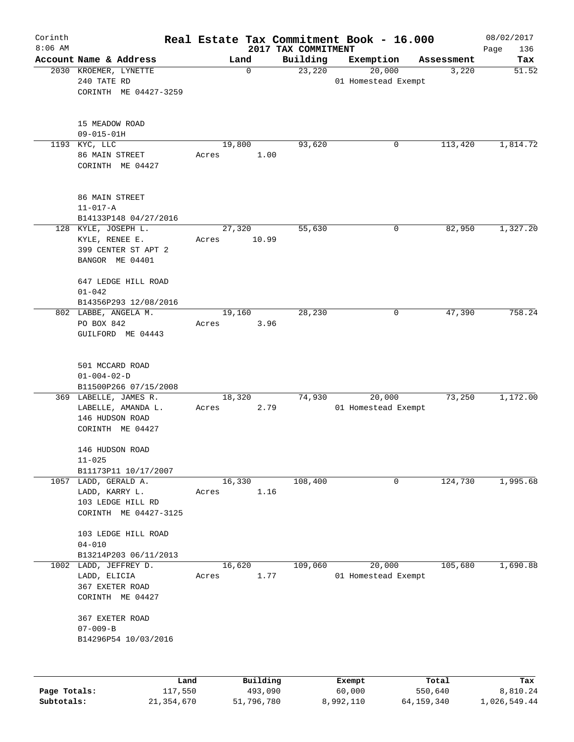| Corinth      |                                       |        |             |                                 | Real Estate Tax Commitment Book - 16.000 |                     | 08/02/2017   |
|--------------|---------------------------------------|--------|-------------|---------------------------------|------------------------------------------|---------------------|--------------|
| $8:06$ AM    | Account Name & Address                |        | Land        | 2017 TAX COMMITMENT<br>Building |                                          |                     | Page<br>136  |
|              | 2030 KROEMER, LYNETTE                 |        | $\mathbf 0$ | 23,220                          | Exemption<br>20,000                      | Assessment<br>3,220 | Tax<br>51.52 |
|              | 240 TATE RD                           |        |             |                                 | 01 Homestead Exempt                      |                     |              |
|              | CORINTH ME 04427-3259                 |        |             |                                 |                                          |                     |              |
|              |                                       |        |             |                                 |                                          |                     |              |
|              |                                       |        |             |                                 |                                          |                     |              |
|              | 15 MEADOW ROAD                        |        |             |                                 |                                          |                     |              |
|              | $09 - 015 - 01H$                      |        |             |                                 |                                          |                     |              |
|              | 1193 KYC, LLC<br>86 MAIN STREET       | 19,800 | 1.00        | 93,620                          | 0                                        | 113,420             | 1,814.72     |
|              | CORINTH ME 04427                      | Acres  |             |                                 |                                          |                     |              |
|              |                                       |        |             |                                 |                                          |                     |              |
|              |                                       |        |             |                                 |                                          |                     |              |
|              | 86 MAIN STREET                        |        |             |                                 |                                          |                     |              |
|              | $11 - 017 - A$                        |        |             |                                 |                                          |                     |              |
|              | B14133P148 04/27/2016                 |        |             |                                 |                                          |                     |              |
|              | 128 KYLE, JOSEPH L.                   | 27,320 |             | 55,630                          | 0                                        | 82,950              | 1,327.20     |
|              | KYLE, RENEE E.<br>399 CENTER ST APT 2 | Acres  | 10.99       |                                 |                                          |                     |              |
|              | BANGOR ME 04401                       |        |             |                                 |                                          |                     |              |
|              |                                       |        |             |                                 |                                          |                     |              |
|              | 647 LEDGE HILL ROAD                   |        |             |                                 |                                          |                     |              |
|              | $01 - 042$                            |        |             |                                 |                                          |                     |              |
|              | B14356P293 12/08/2016                 |        |             |                                 |                                          |                     |              |
|              | 802 LABBE, ANGELA M.                  | 19,160 |             | 28,230                          | 0                                        | 47,390              | 758.24       |
|              | PO BOX 842                            | Acres  | 3.96        |                                 |                                          |                     |              |
|              | GUILFORD ME 04443                     |        |             |                                 |                                          |                     |              |
|              |                                       |        |             |                                 |                                          |                     |              |
|              | 501 MCCARD ROAD                       |        |             |                                 |                                          |                     |              |
|              | $01 - 004 - 02 - D$                   |        |             |                                 |                                          |                     |              |
|              | B11500P266 07/15/2008                 |        |             |                                 |                                          |                     |              |
|              | 369 LABELLE, JAMES R.                 | 18,320 |             | 74,930                          | 20,000                                   | 73,250              | 1,172.00     |
|              | LABELLE, AMANDA L.                    | Acres  | 2.79        |                                 | 01 Homestead Exempt                      |                     |              |
|              | 146 HUDSON ROAD                       |        |             |                                 |                                          |                     |              |
|              | CORINTH ME 04427                      |        |             |                                 |                                          |                     |              |
|              | 146 HUDSON ROAD                       |        |             |                                 |                                          |                     |              |
|              | $11 - 025$                            |        |             |                                 |                                          |                     |              |
|              | B11173P11 10/17/2007                  |        |             |                                 |                                          |                     |              |
|              | 1057 LADD, GERALD A.                  | 16,330 |             | 108,400                         | $\mathbf 0$                              | 124,730             | 1,995.68     |
|              | LADD, KARRY L.                        | Acres  | 1.16        |                                 |                                          |                     |              |
|              | 103 LEDGE HILL RD                     |        |             |                                 |                                          |                     |              |
|              | CORINTH ME 04427-3125                 |        |             |                                 |                                          |                     |              |
|              | 103 LEDGE HILL ROAD                   |        |             |                                 |                                          |                     |              |
|              | $04 - 010$                            |        |             |                                 |                                          |                     |              |
|              | B13214P203 06/11/2013                 |        |             |                                 |                                          |                     |              |
| 1002         | LADD, JEFFREY D.                      | 16,620 |             | 109,060                         | 20,000                                   | 105,680             | 1,690.88     |
|              | LADD, ELICIA                          | Acres  | 1.77        |                                 | 01 Homestead Exempt                      |                     |              |
|              | 367 EXETER ROAD                       |        |             |                                 |                                          |                     |              |
|              | CORINTH ME 04427                      |        |             |                                 |                                          |                     |              |
|              | 367 EXETER ROAD                       |        |             |                                 |                                          |                     |              |
|              | $07 - 009 - B$                        |        |             |                                 |                                          |                     |              |
|              | B14296P54 10/03/2016                  |        |             |                                 |                                          |                     |              |
|              |                                       |        |             |                                 |                                          |                     |              |
|              |                                       |        |             |                                 |                                          |                     |              |
|              | Land                                  |        | Building    |                                 | Exempt                                   | Total               | Tax          |
| Page Totals: | 117,550                               |        | 493,090     |                                 | 60,000                                   | 550,640             | 8,810.24     |

**Subtotals:** 21,354,670 51,796,780 8,992,110 64,159,340 1,026,549.44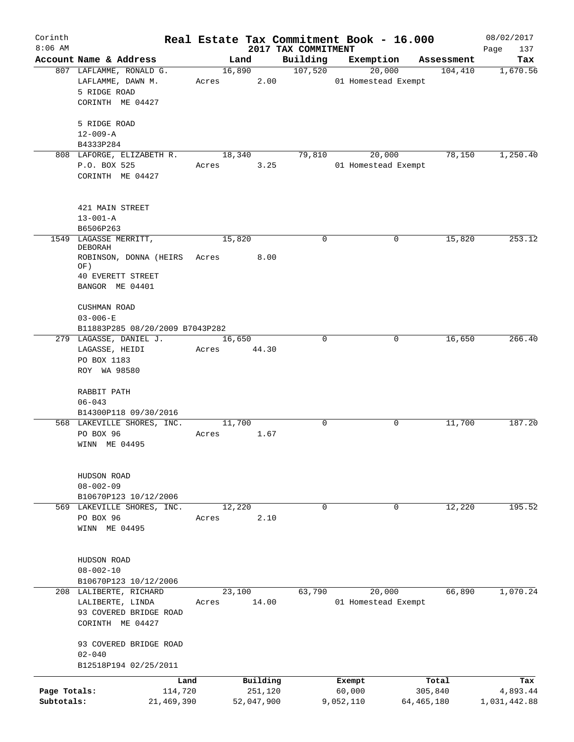| Corinth<br>$8:06$ AM       |                                                                                                                      |       |                                   | 2017 TAX COMMITMENT | Real Estate Tax Commitment Book - 16.000 |                                | 08/02/2017<br>Page<br>137       |
|----------------------------|----------------------------------------------------------------------------------------------------------------------|-------|-----------------------------------|---------------------|------------------------------------------|--------------------------------|---------------------------------|
|                            | Account Name & Address                                                                                               |       | Land                              | Building            | Exemption                                | Assessment                     | Tax                             |
|                            | 807 LAFLAMME, RONALD G.<br>LAFLAMME, DAWN M.<br>5 RIDGE ROAD<br>CORINTH ME 04427                                     |       | 16,890<br>Acres 2.00              | 107,520             | 20,000<br>01 Homestead Exempt            | 104,410                        | 1,670.56                        |
|                            | 5 RIDGE ROAD<br>$12 - 009 - A$                                                                                       |       |                                   |                     |                                          |                                |                                 |
|                            | B4333P284                                                                                                            |       |                                   |                     |                                          |                                |                                 |
|                            | 808 LAFORGE, ELIZABETH R.<br>P.O. BOX 525<br>CORINTH ME 04427                                                        | Acres | 18,340<br>3.25                    | 79,810              | 20,000<br>01 Homestead Exempt            | 78,150                         | 1,250.40                        |
|                            | 421 MAIN STREET<br>$13 - 001 - A$                                                                                    |       |                                   |                     |                                          |                                |                                 |
|                            | B6506P263                                                                                                            |       |                                   |                     |                                          |                                |                                 |
|                            | 1549 LAGASSE MERRITT,<br>DEBORAH<br>ROBINSON, DONNA (HEIRS Acres 8.00<br>OF)<br>40 EVERETT STREET<br>BANGOR ME 04401 |       | 15,820                            | 0                   | 0                                        | 15,820                         | 253.12                          |
|                            | CUSHMAN ROAD<br>$03 - 006 - E$<br>B11883P285 08/20/2009 B7043P282<br>279 LAGASSE, DANIEL J.                          |       | 16,650                            | $\mathbf 0$         | 0                                        | 16,650                         | 266.40                          |
|                            | LAGASSE, HEIDI<br>PO BOX 1183<br>ROY WA 98580                                                                        |       | Acres 44.30                       |                     |                                          |                                |                                 |
|                            | RABBIT PATH<br>$06 - 043$<br>B14300P118 09/30/2016                                                                   |       |                                   |                     |                                          |                                |                                 |
|                            | 568 LAKEVILLE SHORES, INC.                                                                                           |       | 11,700                            | 0                   | 0                                        | 11,700                         | 187.20                          |
|                            | PO BOX 96<br>WINN ME 04495                                                                                           | Acres | 1.67                              |                     |                                          |                                |                                 |
|                            | HUDSON ROAD<br>$08 - 002 - 09$                                                                                       |       |                                   |                     |                                          |                                |                                 |
|                            | B10670P123 10/12/2006                                                                                                |       |                                   |                     |                                          |                                |                                 |
|                            | 569 LAKEVILLE SHORES, INC.<br>PO BOX 96<br>WINN ME 04495                                                             | Acres | 12,220<br>2.10                    | 0                   | 0                                        | 12,220                         | 195.52                          |
|                            | HUDSON ROAD<br>$08 - 002 - 10$                                                                                       |       |                                   |                     |                                          |                                |                                 |
|                            | B10670P123 10/12/2006                                                                                                |       |                                   |                     |                                          |                                |                                 |
|                            | 208 LALIBERTE, RICHARD<br>LALIBERTE, LINDA<br>93 COVERED BRIDGE ROAD<br>CORINTH ME 04427                             | Acres | 23,100<br>14.00                   | 63,790              | 20,000<br>01 Homestead Exempt            | 66,890                         | 1,070.24                        |
|                            | 93 COVERED BRIDGE ROAD<br>$02 - 040$<br>B12518P194 02/25/2011                                                        |       |                                   |                     |                                          |                                |                                 |
|                            |                                                                                                                      |       |                                   |                     |                                          |                                |                                 |
| Page Totals:<br>Subtotals: | Land<br>114,720<br>21,469,390                                                                                        |       | Building<br>251,120<br>52,047,900 |                     | Exempt<br>60,000<br>9,052,110            | Total<br>305,840<br>64,465,180 | Tax<br>4,893.44<br>1,031,442.88 |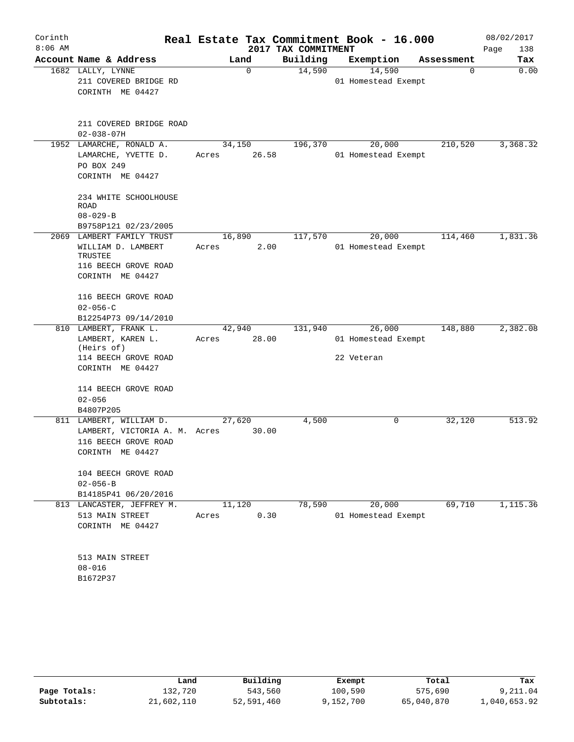| Corinth<br>$8:06$ AM |                                                                           |       |                 | 2017 TAX COMMITMENT | Real Estate Tax Commitment Book - 16.000 |            | 08/02/2017<br>Page<br>138 |
|----------------------|---------------------------------------------------------------------------|-------|-----------------|---------------------|------------------------------------------|------------|---------------------------|
|                      | Account Name & Address                                                    |       | Land            | Building            | Exemption                                | Assessment | Tax                       |
|                      | 1682 LALLY, LYNNE<br>211 COVERED BRIDGE RD<br>CORINTH ME 04427            |       | $\mathbf 0$     | 14,590              | 14,590<br>01 Homestead Exempt            | 0          | 0.00                      |
|                      | 211 COVERED BRIDGE ROAD<br>$02 - 038 - 07H$                               |       |                 |                     |                                          |            |                           |
|                      | 1952 LAMARCHE, RONALD A.                                                  |       | 34,150          | 196,370             | 20,000                                   | 210,520    | 3,368.32                  |
|                      | LAMARCHE, YVETTE D.<br>PO BOX 249<br>CORINTH ME 04427                     | Acres | 26.58           |                     | 01 Homestead Exempt                      |            |                           |
|                      | 234 WHITE SCHOOLHOUSE<br>ROAD<br>$08 - 029 - B$                           |       |                 |                     |                                          |            |                           |
|                      | B9758P121 02/23/2005                                                      |       |                 |                     |                                          |            |                           |
|                      | 2069 LAMBERT FAMILY TRUST                                                 |       | 16,890          | 117,570             | 20,000                                   | 114,460    | 1,831.36                  |
|                      | WILLIAM D. LAMBERT<br>TRUSTEE<br>116 BEECH GROVE ROAD<br>CORINTH ME 04427 | Acres | 2.00            |                     | 01 Homestead Exempt                      |            |                           |
|                      | 116 BEECH GROVE ROAD<br>$02 - 056 - C$                                    |       |                 |                     |                                          |            |                           |
|                      | B12254P73 09/14/2010                                                      |       |                 |                     |                                          |            |                           |
|                      | 810 LAMBERT, FRANK L.<br>LAMBERT, KAREN L.                                | Acres | 42,940<br>28.00 | 131,940             | 26,000<br>01 Homestead Exempt            | 148,880    | 2,382.08                  |
|                      | (Heirs of)                                                                |       |                 |                     |                                          |            |                           |
|                      | 114 BEECH GROVE ROAD<br>CORINTH ME 04427                                  |       |                 |                     | 22 Veteran                               |            |                           |
|                      | 114 BEECH GROVE ROAD<br>$02 - 056$<br>B4807P205                           |       |                 |                     |                                          |            |                           |
|                      | 811 LAMBERT, WILLIAM D.                                                   |       | 27,620          | 4,500               | 0                                        | 32,120     | 513.92                    |
|                      | LAMBERT, VICTORIA A. M. Acres<br>116 BEECH GROVE ROAD<br>CORINTH ME 04427 |       | 30.00           |                     |                                          |            |                           |
|                      | 104 BEECH GROVE ROAD<br>$02 - 056 - B$                                    |       |                 |                     |                                          |            |                           |
|                      | B14185P41 06/20/2016                                                      |       |                 |                     |                                          |            |                           |
|                      | 813 LANCASTER, JEFFREY M.<br>513 MAIN STREET<br>CORINTH ME 04427          | Acres | 11,120<br>0.30  | 78,590              | 20,000<br>01 Homestead Exempt            | 69,710     | 1,115.36                  |
|                      | 513 MAIN STREET<br>$08 - 016$<br>B1672P37                                 |       |                 |                     |                                          |            |                           |

|              | Land       | Building   | Exempt    | Total      | Tax          |
|--------------|------------|------------|-----------|------------|--------------|
| Page Totals: | 132,720    | 543,560    | 100,590   | 575,690    | 9,211.04     |
| Subtotals:   | 21,602,110 | 52,591,460 | 9,152,700 | 65,040,870 | 1,040,653.92 |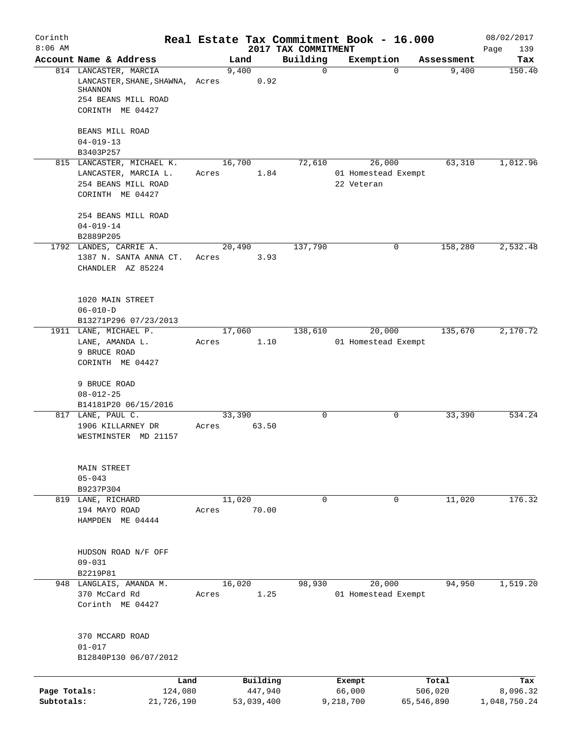| Corinth<br>$8:06$ AM       |                                                                                                                       | Real Estate Tax Commitment Book - 16.000 | 2017 TAX COMMITMENT |                                             |                       | 08/02/2017               |
|----------------------------|-----------------------------------------------------------------------------------------------------------------------|------------------------------------------|---------------------|---------------------------------------------|-----------------------|--------------------------|
|                            | Account Name & Address                                                                                                | Land                                     | Building            | Exemption                                   | Assessment            | Page<br>139<br>Tax       |
|                            | 814 LANCASTER, MARCIA<br>LANCASTER, SHANE, SHAWNA, Acres<br><b>SHANNON</b><br>254 BEANS MILL ROAD<br>CORINTH ME 04427 | 9,400<br>0.92                            | 0                   |                                             | 9,400<br>$\Omega$     | 150.40                   |
|                            | BEANS MILL ROAD<br>$04 - 019 - 13$<br>B3403P257                                                                       |                                          |                     |                                             |                       |                          |
|                            | 815 LANCASTER, MICHAEL K.<br>LANCASTER, MARCIA L.<br>254 BEANS MILL ROAD<br>CORINTH ME 04427                          | 16,700<br>1.84<br>Acres                  | 72,610              | 26,000<br>01 Homestead Exempt<br>22 Veteran | 63,310                | 1,012.96                 |
|                            | 254 BEANS MILL ROAD<br>$04 - 019 - 14$<br>B2889P205                                                                   |                                          |                     |                                             |                       |                          |
|                            | 1792 LANDES, CARRIE A.<br>1387 N. SANTA ANNA CT.<br>CHANDLER AZ 85224                                                 | 20,490<br>Acres<br>3.93                  | 137,790             |                                             | 0<br>158,280          | 2,532.48                 |
|                            | 1020 MAIN STREET<br>$06 - 010 - D$<br>B13271P296 07/23/2013                                                           |                                          |                     |                                             |                       |                          |
|                            | 1911 LANE, MICHAEL P.<br>LANE, AMANDA L.<br>9 BRUCE ROAD<br>CORINTH ME 04427                                          | 17,060<br>1.10<br>Acres                  | 138,610             | 20,000<br>01 Homestead Exempt               | 135,670               | 2,170.72                 |
|                            | 9 BRUCE ROAD<br>$08 - 012 - 25$<br>B14181P20 06/15/2016                                                               |                                          |                     |                                             |                       |                          |
|                            | 817 LANE, PAUL C.<br>1906 KILLARNEY DR<br>WESTMINSTER MD 21157                                                        | 33,390<br>63.50<br>Acres                 | 0                   |                                             | 33,390<br>0           | 534.24                   |
|                            | MAIN STREET<br>$05 - 043$<br>B9237P304                                                                                |                                          |                     |                                             |                       |                          |
|                            | 819 LANE, RICHARD<br>194 MAYO ROAD<br>HAMPDEN ME 04444                                                                | 11,020<br>70.00<br>Acres                 | 0                   |                                             | 11,020<br>0           | 176.32                   |
|                            | HUDSON ROAD N/F OFF<br>$09 - 031$<br>B2219P81                                                                         |                                          |                     |                                             |                       |                          |
|                            | 948 LANGLAIS, AMANDA M.<br>370 McCard Rd<br>Corinth ME 04427                                                          | 16,020<br>1.25<br>Acres                  | 98,930              | 20,000<br>01 Homestead Exempt               | 94,950                | 1,519.20                 |
|                            | 370 MCCARD ROAD<br>$01 - 017$<br>B12840P130 06/07/2012                                                                |                                          |                     |                                             |                       |                          |
|                            | Land                                                                                                                  | Building                                 |                     | Exempt                                      | Total                 | Tax                      |
| Page Totals:<br>Subtotals: | 124,080<br>21,726,190                                                                                                 | 447,940<br>53,039,400                    |                     | 66,000<br>9,218,700                         | 506,020<br>65,546,890 | 8,096.32<br>1,048,750.24 |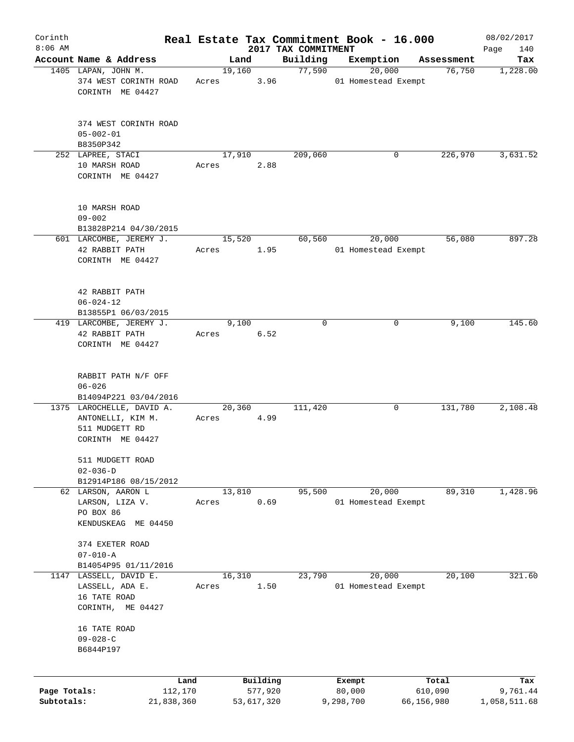| Corinth                    |                                                                                      |       |                       |                     | Real Estate Tax Commitment Book - 16.000 |                       | 08/02/2017               |
|----------------------------|--------------------------------------------------------------------------------------|-------|-----------------------|---------------------|------------------------------------------|-----------------------|--------------------------|
| $8:06$ AM                  | Account Name & Address                                                               |       |                       | 2017 TAX COMMITMENT |                                          |                       | 140<br>Page              |
|                            | 1405 LAPAN, JOHN M.                                                                  |       | Land<br>19,160        | Building<br>77,590  | Exemption<br>20,000                      | Assessment<br>76,750  | Tax<br>1,228.00          |
|                            | 374 WEST CORINTH ROAD<br>CORINTH ME 04427                                            | Acres | 3.96                  |                     | 01 Homestead Exempt                      |                       |                          |
|                            | 374 WEST CORINTH ROAD<br>$05 - 002 - 01$<br>B8350P342                                |       |                       |                     |                                          |                       |                          |
|                            | 252 LAPREE, STACI                                                                    |       | 17,910                | 209,060             | 0                                        | 226,970               | 3,631.52                 |
|                            | 10 MARSH ROAD<br>CORINTH ME 04427                                                    | Acres | 2.88                  |                     |                                          |                       |                          |
|                            | 10 MARSH ROAD<br>$09 - 002$<br>B13828P214 04/30/2015                                 |       |                       |                     |                                          |                       |                          |
|                            | 601 LARCOMBE, JEREMY J.                                                              |       | 15,520                | 60,560              | 20,000                                   | 56,080                | 897.28                   |
|                            | 42 RABBIT PATH<br>CORINTH ME 04427                                                   | Acres | 1.95                  |                     | 01 Homestead Exempt                      |                       |                          |
|                            | 42 RABBIT PATH<br>$06 - 024 - 12$                                                    |       |                       |                     |                                          |                       |                          |
|                            | B13855P1 06/03/2015                                                                  |       |                       |                     |                                          |                       |                          |
|                            | 419 LARCOMBE, JEREMY J.<br>42 RABBIT PATH<br>CORINTH ME 04427                        | Acres | 9,100<br>6.52         | 0                   | 0                                        | 9,100                 | 145.60                   |
|                            | RABBIT PATH N/F OFF<br>$06 - 026$                                                    |       |                       |                     |                                          |                       |                          |
|                            | B14094P221 03/04/2016                                                                |       |                       |                     |                                          |                       |                          |
|                            | 1375 LAROCHELLE, DAVID A.<br>ANTONELLI, KIM M.<br>511 MUDGETT RD<br>CORINTH ME 04427 | Acres | 20,360<br>4.99        | 111,420             | 0                                        | 131,780               | 2,108.48                 |
|                            | 511 MUDGETT ROAD<br>$02 - 036 - D$                                                   |       |                       |                     |                                          |                       |                          |
|                            | B12914P186 08/15/2012<br>62 LARSON, AARON L                                          |       |                       |                     | 20,000                                   | 89,310                | 1,428.96                 |
|                            | LARSON, LIZA V.<br>PO BOX 86<br>KENDUSKEAG ME 04450                                  | Acres | 13,810<br>0.69        | 95,500              | 01 Homestead Exempt                      |                       |                          |
|                            | 374 EXETER ROAD<br>$07 - 010 - A$                                                    |       |                       |                     |                                          |                       |                          |
|                            | B14054P95 01/11/2016                                                                 |       |                       |                     |                                          |                       |                          |
| 1147                       | LASSELL, DAVID E.<br>LASSELL, ADA E.<br>16 TATE ROAD                                 | Acres | 16,310<br>1.50        | 23,790              | 20,000<br>01 Homestead Exempt            | 20,100                | 321.60                   |
|                            | CORINTH, ME 04427                                                                    |       |                       |                     |                                          |                       |                          |
|                            | 16 TATE ROAD<br>$09 - 028 - C$                                                       |       |                       |                     |                                          |                       |                          |
|                            | B6844P197                                                                            |       |                       |                     |                                          |                       |                          |
|                            |                                                                                      | Land  | Building              |                     | Exempt                                   | Total                 | Tax                      |
| Page Totals:<br>Subtotals: | 112,170<br>21,838,360                                                                |       | 577,920<br>53,617,320 |                     | 80,000<br>9,298,700                      | 610,090<br>66,156,980 | 9,761.44<br>1,058,511.68 |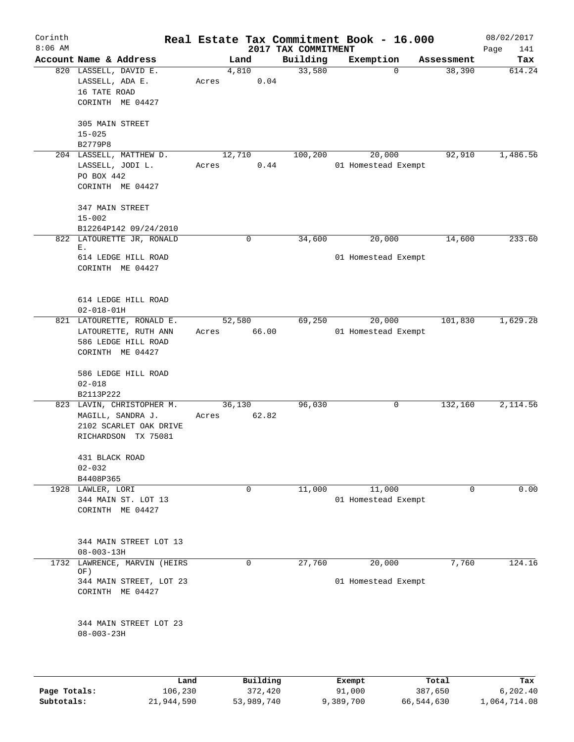| Corinth<br>$8:06$ AM |                                                                                                 |                 |             | 2017 TAX COMMITMENT | Real Estate Tax Commitment Book - 16.000 |            | 08/02/2017<br>Page<br>141 |
|----------------------|-------------------------------------------------------------------------------------------------|-----------------|-------------|---------------------|------------------------------------------|------------|---------------------------|
|                      | Account Name & Address                                                                          | Land            |             | Building            | Exemption                                | Assessment | Tax                       |
|                      | 820 LASSELL, DAVID E.<br>LASSELL, ADA E.<br>16 TATE ROAD<br>CORINTH ME 04427                    | 4,810<br>Acres  | 0.04        | 33,580              | $\Omega$                                 | 38,390     | 614.24                    |
|                      | 305 MAIN STREET<br>$15 - 025$<br>B2779P8                                                        |                 |             |                     |                                          |            |                           |
|                      | 204 LASSELL, MATTHEW D.<br>LASSELL, JODI L.<br>PO BOX 442<br>CORINTH ME 04427                   | 12,710<br>Acres | 0.44        | 100,200             | 20,000<br>01 Homestead Exempt            | 92,910     | 1,486.56                  |
|                      | 347 MAIN STREET<br>$15 - 002$<br>B12264P142 09/24/2010                                          |                 |             |                     |                                          |            |                           |
|                      | 822 LATOURETTE JR, RONALD<br>Ε.<br>614 LEDGE HILL ROAD<br>CORINTH ME 04427                      |                 | $\mathbf 0$ | 34,600              | 20,000<br>01 Homestead Exempt            | 14,600     | 233.60                    |
|                      | 614 LEDGE HILL ROAD<br>$02 - 018 - 01H$                                                         |                 |             |                     |                                          |            |                           |
|                      | 821 LATOURETTE, RONALD E.<br>LATOURETTE, RUTH ANN<br>586 LEDGE HILL ROAD<br>CORINTH ME 04427    | 52,580<br>Acres | 66.00       | 69,250              | 20,000<br>01 Homestead Exempt            | 101,830    | 1,629.28                  |
|                      | 586 LEDGE HILL ROAD<br>$02 - 018$<br>B2113P222                                                  |                 |             |                     |                                          |            |                           |
|                      | 823 LAVIN, CHRISTOPHER M.<br>MAGILL, SANDRA J.<br>2102 SCARLET OAK DRIVE<br>RICHARDSON TX 75081 | 36,130<br>Acres | 62.82       | 96,030              | 0                                        | 132,160    | 2,114.56                  |
|                      | 431 BLACK ROAD<br>$02 - 032$<br>B4408P365                                                       |                 |             |                     |                                          |            |                           |
|                      | 1928 LAWLER, LORI<br>344 MAIN ST. LOT 13<br>CORINTH ME 04427                                    |                 | 0           | 11,000              | 11,000<br>01 Homestead Exempt            | 0          | 0.00                      |
|                      | 344 MAIN STREET LOT 13<br>$08 - 003 - 13H$                                                      |                 |             |                     |                                          |            |                           |
| 1732                 | LAWRENCE, MARVIN (HEIRS<br>OF)<br>344 MAIN STREET, LOT 23<br>CORINTH ME 04427                   |                 | 0           | 27,760              | 20,000<br>01 Homestead Exempt            | 7,760      | 124.16                    |
|                      | 344 MAIN STREET LOT 23<br>$08 - 003 - 23H$                                                      |                 |             |                     |                                          |            |                           |
|                      | Land                                                                                            |                 | Building    |                     | Exempt                                   | Total      | Tax                       |
| Page Totals:         | 106,230                                                                                         |                 | 372,420     |                     | 91,000                                   | 387,650    | 6,202.40                  |

**Subtotals:** 21,944,590 53,989,740 9,389,700 66,544,630 1,064,714.08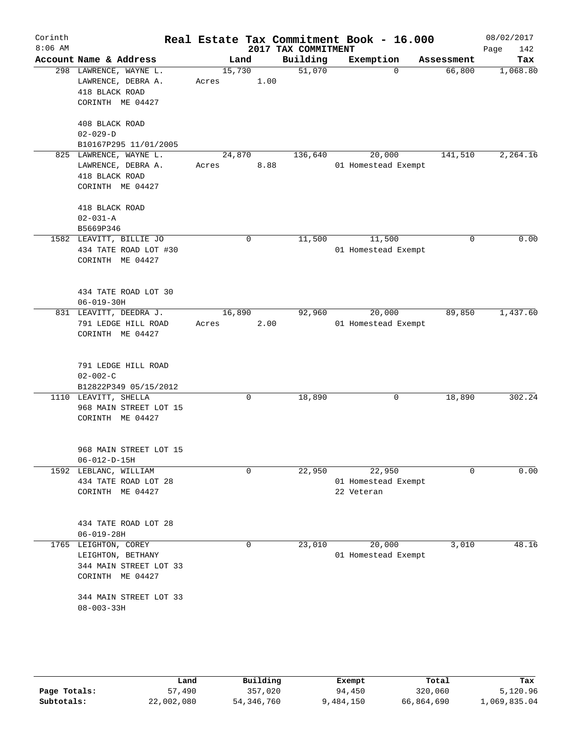| Corinth   |                                                                                         |                 |             |                                 | Real Estate Tax Commitment Book - 16.000    |                    | 08/02/2017         |
|-----------|-----------------------------------------------------------------------------------------|-----------------|-------------|---------------------------------|---------------------------------------------|--------------------|--------------------|
| $8:06$ AM | Account Name & Address                                                                  | Land            |             | 2017 TAX COMMITMENT<br>Building | Exemption                                   | Assessment         | 142<br>Page<br>Tax |
|           | 298 LAWRENCE, WAYNE L.<br>LAWRENCE, DEBRA A.<br>418 BLACK ROAD<br>CORINTH ME 04427      | 15,730<br>Acres | 1.00        | 51,070                          |                                             | 66,800<br>$\Omega$ | 1,068.80           |
|           | 408 BLACK ROAD<br>$02 - 029 - D$<br>B10167P295 11/01/2005                               |                 |             |                                 |                                             |                    |                    |
|           | 825 LAWRENCE, WAYNE L.<br>LAWRENCE, DEBRA A.<br>418 BLACK ROAD<br>CORINTH ME 04427      | 24,870<br>Acres | 8.88        | 136,640                         | 20,000<br>01 Homestead Exempt               | 141,510            | 2,264.16           |
|           | 418 BLACK ROAD<br>$02 - 031 - A$<br>B5669P346                                           |                 |             |                                 |                                             |                    |                    |
|           | 1582 LEAVITT, BILLIE JO<br>434 TATE ROAD LOT #30<br>CORINTH ME 04427                    |                 | $\mathbf 0$ | 11,500                          | 11,500<br>01 Homestead Exempt               |                    | 0.00<br>0          |
|           | 434 TATE ROAD LOT 30<br>$06 - 019 - 30H$                                                |                 |             |                                 |                                             |                    |                    |
|           | 831 LEAVITT, DEEDRA J.<br>791 LEDGE HILL ROAD<br>CORINTH ME 04427                       | 16,890<br>Acres | 2.00        | 92,960                          | 20,000<br>01 Homestead Exempt               | 89,850             | 1,437.60           |
|           | 791 LEDGE HILL ROAD<br>$02 - 002 - C$<br>B12822P349 05/15/2012                          |                 |             |                                 |                                             |                    |                    |
|           | 1110 LEAVITT, SHELLA<br>968 MAIN STREET LOT 15<br>CORINTH ME 04427                      |                 | 0           | 18,890                          |                                             | 18,890<br>0        | 302.24             |
|           | 968 MAIN STREET LOT 15<br>$06 - 012 - D - 15H$                                          |                 |             |                                 |                                             |                    |                    |
|           | 1592 LEBLANC, WILLIAM<br>434 TATE ROAD LOT 28<br>CORINTH ME 04427                       |                 | $\mathbf 0$ | 22,950                          | 22,950<br>01 Homestead Exempt<br>22 Veteran |                    | $\Omega$<br>0.00   |
|           | 434 TATE ROAD LOT 28<br>$06 - 019 - 28H$                                                |                 |             |                                 |                                             |                    |                    |
|           | 1765 LEIGHTON, COREY<br>LEIGHTON, BETHANY<br>344 MAIN STREET LOT 33<br>CORINTH ME 04427 |                 | 0           | 23,010                          | 20,000<br>01 Homestead Exempt               | 3,010              | 48.16              |
|           | 344 MAIN STREET LOT 33<br>$08 - 003 - 33H$                                              |                 |             |                                 |                                             |                    |                    |
|           |                                                                                         |                 |             |                                 |                                             |                    |                    |

|              | Land       | Building   | Exempt    | Total      | Tax          |
|--------------|------------|------------|-----------|------------|--------------|
| Page Totals: | 57,490     | 357,020    | 94,450    | 320,060    | 5,120.96     |
| Subtotals:   | 22,002,080 | 54,346,760 | 9,484,150 | 66,864,690 | 1,069,835.04 |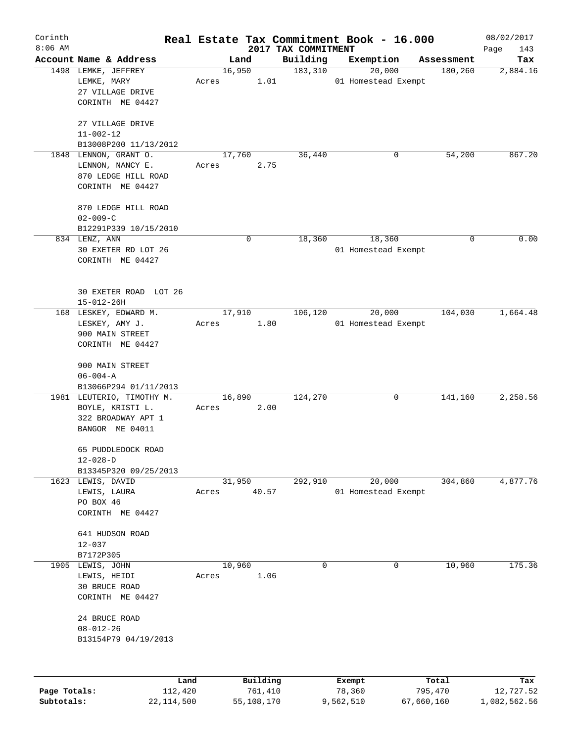| Corinth      |                           |       |          |                                 | Real Estate Tax Commitment Book - 16.000 |   |            | 08/02/2017         |
|--------------|---------------------------|-------|----------|---------------------------------|------------------------------------------|---|------------|--------------------|
| $8:06$ AM    | Account Name & Address    |       | Land     | 2017 TAX COMMITMENT<br>Building | Exemption                                |   | Assessment | Page<br>143<br>Tax |
|              | 1498 LEMKE, JEFFREY       |       | 16,950   | 183,310                         | 20,000                                   |   | 180,260    | 2,884.16           |
|              | LEMKE, MARY               | Acres | 1.01     |                                 | 01 Homestead Exempt                      |   |            |                    |
|              | 27 VILLAGE DRIVE          |       |          |                                 |                                          |   |            |                    |
|              | CORINTH ME 04427          |       |          |                                 |                                          |   |            |                    |
|              | 27 VILLAGE DRIVE          |       |          |                                 |                                          |   |            |                    |
|              | $11 - 002 - 12$           |       |          |                                 |                                          |   |            |                    |
|              | B13008P200 11/13/2012     |       |          |                                 |                                          |   |            |                    |
|              | 1848 LENNON, GRANT O.     |       | 17,760   | 36,440                          |                                          | 0 | 54,200     | 867.20             |
|              | LENNON, NANCY E.          | Acres | 2.75     |                                 |                                          |   |            |                    |
|              | 870 LEDGE HILL ROAD       |       |          |                                 |                                          |   |            |                    |
|              | CORINTH ME 04427          |       |          |                                 |                                          |   |            |                    |
|              | 870 LEDGE HILL ROAD       |       |          |                                 |                                          |   |            |                    |
|              | $02 - 009 - C$            |       |          |                                 |                                          |   |            |                    |
|              | B12291P339 10/15/2010     |       |          |                                 |                                          |   |            |                    |
|              | 834 LENZ, ANN             |       | 0        | 18,360                          | 18,360                                   |   | 0          | 0.00               |
|              | 30 EXETER RD LOT 26       |       |          |                                 | 01 Homestead Exempt                      |   |            |                    |
|              | CORINTH ME 04427          |       |          |                                 |                                          |   |            |                    |
|              |                           |       |          |                                 |                                          |   |            |                    |
|              | 30 EXETER ROAD LOT 26     |       |          |                                 |                                          |   |            |                    |
|              | $15 - 012 - 26H$          |       |          |                                 |                                          |   |            |                    |
|              | 168 LESKEY, EDWARD M.     |       | 17,910   | 106,120                         | 20,000                                   |   | 104,030    | 1,664.48           |
|              | LESKEY, AMY J.            | Acres | 1.80     |                                 | 01 Homestead Exempt                      |   |            |                    |
|              | 900 MAIN STREET           |       |          |                                 |                                          |   |            |                    |
|              | CORINTH ME 04427          |       |          |                                 |                                          |   |            |                    |
|              | 900 MAIN STREET           |       |          |                                 |                                          |   |            |                    |
|              | $06 - 004 - A$            |       |          |                                 |                                          |   |            |                    |
|              | B13066P294 01/11/2013     |       |          |                                 |                                          |   |            |                    |
|              | 1981 LEUTERIO, TIMOTHY M. |       | 16,890   | 124,270                         |                                          | 0 | 141,160    | 2,258.56           |
|              | BOYLE, KRISTI L.          | Acres | 2.00     |                                 |                                          |   |            |                    |
|              | 322 BROADWAY APT 1        |       |          |                                 |                                          |   |            |                    |
|              | BANGOR ME 04011           |       |          |                                 |                                          |   |            |                    |
|              | 65 PUDDLEDOCK ROAD        |       |          |                                 |                                          |   |            |                    |
|              | $12 - 028 - D$            |       |          |                                 |                                          |   |            |                    |
|              | B13345P320 09/25/2013     |       |          |                                 |                                          |   |            |                    |
|              | 1623 LEWIS, DAVID         |       | 31,950   | 292,910                         | 20,000                                   |   | 304,860    | 4,877.76           |
|              | LEWIS, LAURA              | Acres | 40.57    |                                 | 01 Homestead Exempt                      |   |            |                    |
|              | PO BOX 46                 |       |          |                                 |                                          |   |            |                    |
|              | CORINTH ME 04427          |       |          |                                 |                                          |   |            |                    |
|              | 641 HUDSON ROAD           |       |          |                                 |                                          |   |            |                    |
|              | $12 - 037$                |       |          |                                 |                                          |   |            |                    |
|              | B7172P305                 |       |          |                                 |                                          |   |            |                    |
|              | 1905 LEWIS, JOHN          |       | 10,960   |                                 | 0                                        | 0 | 10,960     | 175.36             |
|              | LEWIS, HEIDI              | Acres | 1.06     |                                 |                                          |   |            |                    |
|              | 30 BRUCE ROAD             |       |          |                                 |                                          |   |            |                    |
|              | CORINTH ME 04427          |       |          |                                 |                                          |   |            |                    |
|              | 24 BRUCE ROAD             |       |          |                                 |                                          |   |            |                    |
|              | $08 - 012 - 26$           |       |          |                                 |                                          |   |            |                    |
|              | B13154P79 04/19/2013      |       |          |                                 |                                          |   |            |                    |
|              |                           |       |          |                                 |                                          |   |            |                    |
|              |                           |       |          |                                 |                                          |   |            |                    |
|              | Land                      |       | Building |                                 | Exempt                                   |   | Total      | Tax                |
| Page Totals: | 112,420                   |       | 761,410  |                                 | 78,360                                   |   | 795,470    | 12,727.52          |

**Subtotals:** 22,114,500 55,108,170 9,562,510 67,660,160 1,082,562.56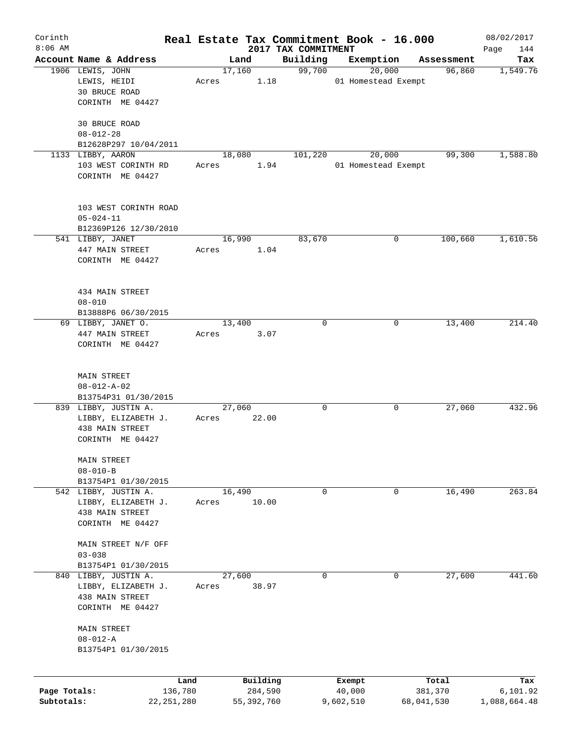| Corinth      |                                           |       |            |          |                     | Real Estate Tax Commitment Book - 16.000 |            | 08/02/2017   |
|--------------|-------------------------------------------|-------|------------|----------|---------------------|------------------------------------------|------------|--------------|
| $8:06$ AM    |                                           |       |            |          | 2017 TAX COMMITMENT |                                          |            | Page<br>144  |
|              | Account Name & Address                    |       | Land       |          | Building            | Exemption                                | Assessment | Tax          |
|              | 1906 LEWIS, JOHN<br>LEWIS, HEIDI          | Acres | 17,160     | 1.18     | 99,700              | 20,000<br>01 Homestead Exempt            | 96,860     | 1,549.76     |
|              | 30 BRUCE ROAD                             |       |            |          |                     |                                          |            |              |
|              | CORINTH ME 04427                          |       |            |          |                     |                                          |            |              |
|              |                                           |       |            |          |                     |                                          |            |              |
|              | 30 BRUCE ROAD                             |       |            |          |                     |                                          |            |              |
|              | $08 - 012 - 28$                           |       |            |          |                     |                                          |            |              |
|              | B12628P297 10/04/2011                     |       |            |          |                     |                                          |            |              |
|              | 1133 LIBBY, AARON                         |       | 18,080     |          | 101,220             | 20,000                                   | 99,300     | 1,588.80     |
|              | 103 WEST CORINTH RD                       | Acres |            | 1.94     |                     | 01 Homestead Exempt                      |            |              |
|              | CORINTH ME 04427                          |       |            |          |                     |                                          |            |              |
|              |                                           |       |            |          |                     |                                          |            |              |
|              |                                           |       |            |          |                     |                                          |            |              |
|              | 103 WEST CORINTH ROAD                     |       |            |          |                     |                                          |            |              |
|              | $05 - 024 - 11$                           |       |            |          |                     |                                          |            |              |
|              | B12369P126 12/30/2010<br>541 LIBBY, JANET |       | 16,990     |          | 83,670              | 0                                        | 100,660    | 1,610.56     |
|              | 447 MAIN STREET                           | Acres |            | 1.04     |                     |                                          |            |              |
|              | CORINTH ME 04427                          |       |            |          |                     |                                          |            |              |
|              |                                           |       |            |          |                     |                                          |            |              |
|              |                                           |       |            |          |                     |                                          |            |              |
|              | 434 MAIN STREET                           |       |            |          |                     |                                          |            |              |
|              | $08 - 010$                                |       |            |          |                     |                                          |            |              |
|              | B13888P6 06/30/2015                       |       |            |          |                     |                                          |            |              |
|              | 69 LIBBY, JANET O.                        |       | 13,400     |          | 0                   | 0                                        | 13,400     | 214.40       |
|              | 447 MAIN STREET                           | Acres |            | 3.07     |                     |                                          |            |              |
|              | CORINTH ME 04427                          |       |            |          |                     |                                          |            |              |
|              |                                           |       |            |          |                     |                                          |            |              |
|              |                                           |       |            |          |                     |                                          |            |              |
|              | MAIN STREET<br>$08 - 012 - A - 02$        |       |            |          |                     |                                          |            |              |
|              | B13754P31 01/30/2015                      |       |            |          |                     |                                          |            |              |
|              | 839 LIBBY, JUSTIN A.                      |       | 27,060     |          | 0                   | 0                                        | 27,060     | 432.96       |
|              | LIBBY, ELIZABETH J.                       | Acres |            | 22.00    |                     |                                          |            |              |
|              | 438 MAIN STREET                           |       |            |          |                     |                                          |            |              |
|              | CORINTH ME 04427                          |       |            |          |                     |                                          |            |              |
|              |                                           |       |            |          |                     |                                          |            |              |
|              | MAIN STREET                               |       |            |          |                     |                                          |            |              |
|              | $08 - 010 - B$                            |       |            |          |                     |                                          |            |              |
|              | B13754P1 01/30/2015                       |       |            |          |                     |                                          |            |              |
|              | 542 LIBBY, JUSTIN A.                      |       | 16,490     |          | 0                   | 0                                        | 16,490     | 263.84       |
|              | LIBBY, ELIZABETH J.                       | Acres |            | 10.00    |                     |                                          |            |              |
|              | 438 MAIN STREET<br>CORINTH ME 04427       |       |            |          |                     |                                          |            |              |
|              |                                           |       |            |          |                     |                                          |            |              |
|              | MAIN STREET N/F OFF                       |       |            |          |                     |                                          |            |              |
|              | $03 - 038$                                |       |            |          |                     |                                          |            |              |
|              | B13754P1 01/30/2015                       |       |            |          |                     |                                          |            |              |
|              | 840 LIBBY, JUSTIN A.                      |       | 27,600     |          | 0                   | 0                                        | 27,600     | 441.60       |
|              | LIBBY, ELIZABETH J.                       | Acres |            | 38.97    |                     |                                          |            |              |
|              | 438 MAIN STREET                           |       |            |          |                     |                                          |            |              |
|              | CORINTH ME 04427                          |       |            |          |                     |                                          |            |              |
|              |                                           |       |            |          |                     |                                          |            |              |
|              | MAIN STREET                               |       |            |          |                     |                                          |            |              |
|              | $08 - 012 - A$                            |       |            |          |                     |                                          |            |              |
|              | B13754P1 01/30/2015                       |       |            |          |                     |                                          |            |              |
|              |                                           |       |            |          |                     |                                          |            |              |
|              | Land                                      |       |            | Building |                     | Exempt                                   | Total      | Tax          |
| Page Totals: | 136,780                                   |       |            | 284,590  |                     | 40,000                                   | 381,370    | 6,101.92     |
| Subtotals:   | 22, 251, 280                              |       | 55,392,760 |          |                     | 9,602,510                                | 68,041,530 | 1,088,664.48 |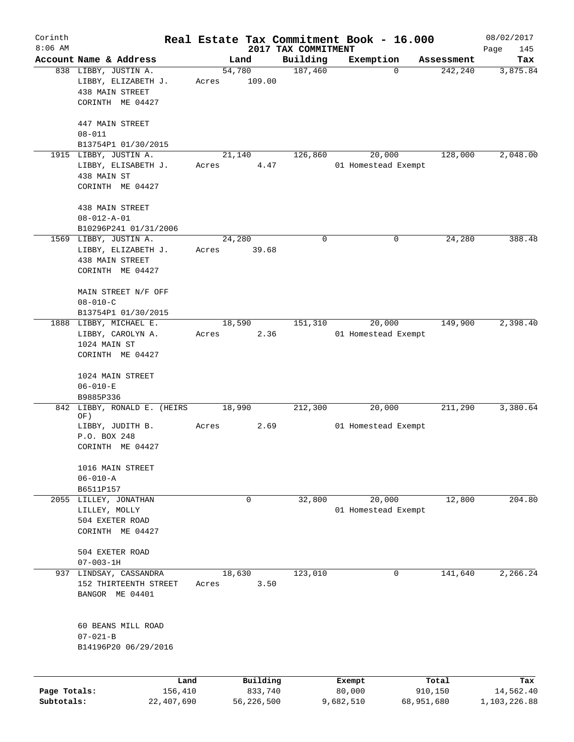| Corinth      |                                                            |       |                |                     | Real Estate Tax Commitment Book - 16.000 |                       | 08/02/2017      |
|--------------|------------------------------------------------------------|-------|----------------|---------------------|------------------------------------------|-----------------------|-----------------|
| $8:06$ AM    |                                                            |       |                | 2017 TAX COMMITMENT |                                          |                       | Page<br>145     |
|              | Account Name & Address<br>838 LIBBY, JUSTIN A.             |       | Land<br>54,780 | Building<br>187,460 | Exemption<br>0                           | Assessment<br>242,240 | Tax<br>3,875.84 |
|              | LIBBY, ELIZABETH J.<br>438 MAIN STREET<br>CORINTH ME 04427 | Acres | 109.00         |                     |                                          |                       |                 |
|              |                                                            |       |                |                     |                                          |                       |                 |
|              | 447 MAIN STREET                                            |       |                |                     |                                          |                       |                 |
|              | $08 - 011$<br>B13754P1 01/30/2015                          |       |                |                     |                                          |                       |                 |
|              | 1915 LIBBY, JUSTIN A.                                      |       | 21,140         | 126,860             | 20,000                                   | 128,000               | 2,048.00        |
|              | LIBBY, ELISABETH J.                                        | Acres | 4.47           |                     | 01 Homestead Exempt                      |                       |                 |
|              | 438 MAIN ST<br>CORINTH ME 04427                            |       |                |                     |                                          |                       |                 |
|              |                                                            |       |                |                     |                                          |                       |                 |
|              | 438 MAIN STREET                                            |       |                |                     |                                          |                       |                 |
|              | $08 - 012 - A - 01$                                        |       |                |                     |                                          |                       |                 |
|              | B10296P241 01/31/2006<br>1569 LIBBY, JUSTIN A.             |       | 24,280         | 0                   | 0                                        | 24,280                | 388.48          |
|              | LIBBY, ELIZABETH J.                                        | Acres | 39.68          |                     |                                          |                       |                 |
|              | 438 MAIN STREET                                            |       |                |                     |                                          |                       |                 |
|              | CORINTH ME 04427                                           |       |                |                     |                                          |                       |                 |
|              | MAIN STREET N/F OFF                                        |       |                |                     |                                          |                       |                 |
|              | $08 - 010 - C$                                             |       |                |                     |                                          |                       |                 |
|              | B13754P1 01/30/2015                                        |       |                |                     |                                          |                       |                 |
|              | 1888 LIBBY, MICHAEL E.                                     |       | 18,590         | 151,310             | 20,000                                   | 149,900               | 2,398.40        |
|              | LIBBY, CAROLYN A.                                          | Acres | 2.36           |                     | 01 Homestead Exempt                      |                       |                 |
|              | 1024 MAIN ST<br>CORINTH ME 04427                           |       |                |                     |                                          |                       |                 |
|              |                                                            |       |                |                     |                                          |                       |                 |
|              | 1024 MAIN STREET                                           |       |                |                     |                                          |                       |                 |
|              | $06 - 010 - E$<br>B9885P336                                |       |                |                     |                                          |                       |                 |
|              | 842 LIBBY, RONALD E. (HEIRS)                               |       | 18,990         | 212,300             | 20,000                                   | 211,290               | 3,380.64        |
|              | OF)                                                        |       |                |                     |                                          |                       |                 |
|              | LIBBY, JUDITH B.                                           | Acres | 2.69           |                     | 01 Homestead Exempt                      |                       |                 |
|              | P.O. BOX 248<br>CORINTH ME 04427                           |       |                |                     |                                          |                       |                 |
|              | 1016 MAIN STREET                                           |       |                |                     |                                          |                       |                 |
|              | $06 - 010 - A$                                             |       |                |                     |                                          |                       |                 |
|              | B6511P157                                                  |       |                |                     |                                          |                       |                 |
|              | 2055 LILLEY, JONATHAN                                      |       | $\mathbf 0$    | 32,800              | 20,000                                   | 12,800                | 204.80          |
|              | LILLEY, MOLLY                                              |       |                |                     | 01 Homestead Exempt                      |                       |                 |
|              | 504 EXETER ROAD<br>CORINTH ME 04427                        |       |                |                     |                                          |                       |                 |
|              |                                                            |       |                |                     |                                          |                       |                 |
|              | 504 EXETER ROAD<br>$07 - 003 - 1H$                         |       |                |                     |                                          |                       |                 |
|              | 937 LINDSAY, CASSANDRA                                     |       | 18,630         | 123,010             | 0                                        | 141,640               | 2,266.24        |
|              | 152 THIRTEENTH STREET<br>BANGOR ME 04401                   | Acres | 3.50           |                     |                                          |                       |                 |
|              | 60 BEANS MILL ROAD                                         |       |                |                     |                                          |                       |                 |
|              | $07 - 021 - B$<br>B14196P20 06/29/2016                     |       |                |                     |                                          |                       |                 |
|              |                                                            |       |                |                     |                                          |                       |                 |
|              |                                                            | Land  | Building       |                     | Exempt                                   | Total                 | Tax             |
| Page Totals: | 156,410                                                    |       | 833,740        |                     | 80,000                                   | 910,150               | 14,562.40       |
| Subtotals:   | 22,407,690                                                 |       | 56,226,500     |                     | 9,682,510                                | 68,951,680            | 1,103,226.88    |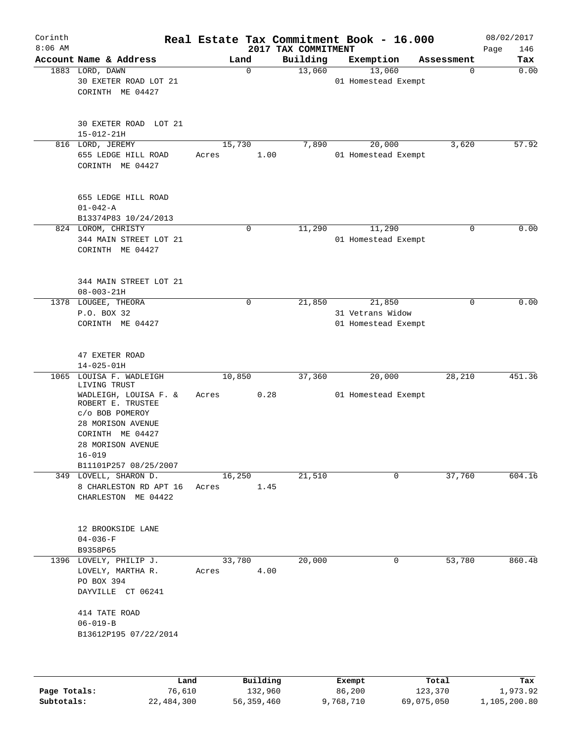| Corinth<br>$8:06$ AM |                                                                                |                 |                                 | Real Estate Tax Commitment Book - 16.000 |                  | 08/02/2017         |
|----------------------|--------------------------------------------------------------------------------|-----------------|---------------------------------|------------------------------------------|------------------|--------------------|
|                      | Account Name & Address                                                         | Land            | 2017 TAX COMMITMENT<br>Building | Exemption                                | Assessment       | Page<br>146<br>Tax |
|                      | 1883 LORD, DAWN<br>30 EXETER ROAD LOT 21<br>CORINTH ME 04427                   | 0               | 13,060                          | 13,060<br>01 Homestead Exempt            | 0                | 0.00               |
|                      | 30 EXETER ROAD LOT 21<br>$15 - 012 - 21H$                                      |                 |                                 |                                          |                  |                    |
|                      | 816 LORD, JEREMY<br>655 LEDGE HILL ROAD<br>CORINTH ME 04427                    | 15,730<br>Acres | 7,890<br>1.00                   | 20,000<br>01 Homestead Exempt            | 3,620            | 57.92              |
|                      | 655 LEDGE HILL ROAD<br>$01 - 042 - A$<br>B13374P83 10/24/2013                  |                 |                                 |                                          |                  |                    |
|                      | 824 LOROM, CHRISTY<br>344 MAIN STREET LOT 21<br>CORINTH ME 04427               | $\mathbf 0$     | 11,290                          | 11,290<br>01 Homestead Exempt            | 0                | 0.00               |
|                      | 344 MAIN STREET LOT 21<br>$08 - 003 - 21H$                                     |                 |                                 |                                          |                  |                    |
|                      | 1378 LOUGEE, THEORA                                                            | $\mathsf{O}$    | 21,850                          | 21,850                                   | 0                | 0.00               |
|                      | P.O. BOX 32<br>CORINTH ME 04427                                                |                 |                                 | 31 Vetrans Widow<br>01 Homestead Exempt  |                  |                    |
|                      | 47 EXETER ROAD<br>$14 - 025 - 01H$                                             |                 |                                 |                                          |                  |                    |
|                      | 1065 LOUISA F. WADLEIGH                                                        | 10,850          | 37,360                          | 20,000                                   | 28,210           | 451.36             |
|                      | LIVING TRUST<br>WADLEIGH, LOUISA F. &<br>ROBERT E. TRUSTEE                     | Acres           | 0.28                            | 01 Homestead Exempt                      |                  |                    |
|                      | c/o BOB POMEROY<br>28 MORISON AVENUE<br>CORINTH ME 04427<br>28 MORISON AVENUE  |                 |                                 |                                          |                  |                    |
|                      | $16 - 019$<br>B11101P257 08/25/2007                                            |                 |                                 |                                          |                  |                    |
|                      | 349 LOVELL, SHARON D.<br>8 CHARLESTON RD APT 16<br>CHARLESTON ME 04422         | 16,250<br>Acres | 21,510<br>1.45                  | 0                                        | 37,760           | 604.16             |
|                      | 12 BROOKSIDE LANE<br>$04 - 036 - F$<br>B9358P65                                |                 |                                 |                                          |                  |                    |
|                      | 1396 LOVELY, PHILIP J.<br>LOVELY, MARTHA R.<br>PO BOX 394<br>DAYVILLE CT 06241 | 33,780<br>Acres | 20,000<br>4.00                  | 0                                        | 53,780           | 860.48             |
|                      | 414 TATE ROAD<br>$06 - 019 - B$<br>B13612P195 07/22/2014                       |                 |                                 |                                          |                  |                    |
|                      |                                                                                |                 |                                 |                                          |                  |                    |
| Page Totals:         | Land<br>76,610                                                                 |                 | Building<br>132,960             | Exempt<br>86,200                         | Total<br>123,370 | Tax<br>1,973.92    |

**Subtotals:** 22,484,300 56,359,460 9,768,710 69,075,050 1,105,200.80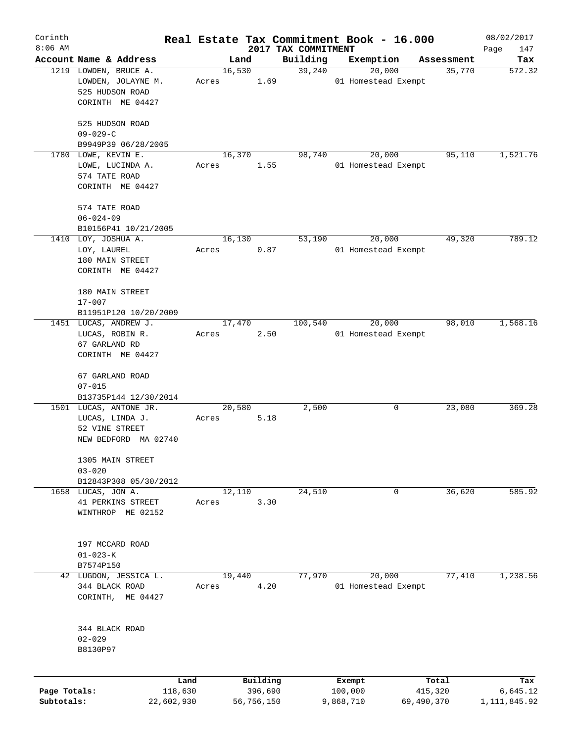| Corinth      |                                                                |                 |            |                                 | Real Estate Tax Commitment Book - 16.000 |            | 08/02/2017         |
|--------------|----------------------------------------------------------------|-----------------|------------|---------------------------------|------------------------------------------|------------|--------------------|
| $8:06$ AM    | Account Name & Address                                         |                 | Land       | 2017 TAX COMMITMENT<br>Building | Exemption                                | Assessment | Page<br>147<br>Tax |
|              | 1219 LOWDEN, BRUCE A.<br>LOWDEN, JOLAYNE M.<br>525 HUDSON ROAD | 16,530<br>Acres | 1.69       | 39,240                          | 20,000<br>01 Homestead Exempt            | 35,770     | 572.32             |
|              | CORINTH ME 04427<br>525 HUDSON ROAD                            |                 |            |                                 |                                          |            |                    |
|              | $09 - 029 - C$                                                 |                 |            |                                 |                                          |            |                    |
|              | B9949P39 06/28/2005<br>1780 LOWE, KEVIN E.                     | 16,370          |            | 98,740                          | 20,000                                   | 95,110     | 1,521.76           |
|              | LOWE, LUCINDA A.<br>574 TATE ROAD<br>CORINTH ME 04427          | Acres           | 1.55       |                                 | 01 Homestead Exempt                      |            |                    |
|              | 574 TATE ROAD                                                  |                 |            |                                 |                                          |            |                    |
|              | $06 - 024 - 09$                                                |                 |            |                                 |                                          |            |                    |
|              | B10156P41 10/21/2005<br>1410 LOY, JOSHUA A.                    | 16,130          |            | 53,190                          | 20,000                                   | 49,320     | 789.12             |
|              | LOY, LAUREL<br>180 MAIN STREET                                 | Acres           | 0.87       |                                 | 01 Homestead Exempt                      |            |                    |
|              | CORINTH ME 04427                                               |                 |            |                                 |                                          |            |                    |
|              | 180 MAIN STREET<br>$17 - 007$                                  |                 |            |                                 |                                          |            |                    |
|              | B11951P120 10/20/2009                                          |                 |            |                                 |                                          |            |                    |
|              | 1451 LUCAS, ANDREW J.                                          | 17,470          |            | 100,540                         | 20,000                                   | 98,010     | 1,568.16           |
|              | LUCAS, ROBIN R.                                                | Acres           | 2.50       |                                 | 01 Homestead Exempt                      |            |                    |
|              | 67 GARLAND RD                                                  |                 |            |                                 |                                          |            |                    |
|              | CORINTH ME 04427                                               |                 |            |                                 |                                          |            |                    |
|              | 67 GARLAND ROAD                                                |                 |            |                                 |                                          |            |                    |
|              | $07 - 015$                                                     |                 |            |                                 |                                          |            |                    |
|              | B13735P144 12/30/2014<br>1501 LUCAS, ANTONE JR.                | 20,580          |            | 2,500                           | 0                                        | 23,080     | 369.28             |
|              | LUCAS, LINDA J.                                                | Acres           | 5.18       |                                 |                                          |            |                    |
|              | 52 VINE STREET                                                 |                 |            |                                 |                                          |            |                    |
|              | NEW BEDFORD MA 02740                                           |                 |            |                                 |                                          |            |                    |
|              | 1305 MAIN STREET                                               |                 |            |                                 |                                          |            |                    |
|              | $03 - 020$                                                     |                 |            |                                 |                                          |            |                    |
|              | B12843P308 05/30/2012                                          |                 |            |                                 |                                          |            |                    |
|              | 1658 LUCAS, JON A.                                             | 12,110          |            | 24,510                          | 0                                        | 36,620     | 585.92             |
|              | 41 PERKINS STREET<br>WINTHROP ME 02152                         | Acres           | 3.30       |                                 |                                          |            |                    |
|              | 197 MCCARD ROAD                                                |                 |            |                                 |                                          |            |                    |
|              | $01 - 023 - K$                                                 |                 |            |                                 |                                          |            |                    |
|              | B7574P150<br>42 LUGDON, JESSICA L.                             | 19,440          |            | 77,970                          | 20,000                                   | 77,410     | 1,238.56           |
|              | 344 BLACK ROAD<br>CORINTH, ME 04427                            | Acres           | 4.20       |                                 | 01 Homestead Exempt                      |            |                    |
|              | 344 BLACK ROAD                                                 |                 |            |                                 |                                          |            |                    |
|              | $02 - 029$                                                     |                 |            |                                 |                                          |            |                    |
|              | B8130P97                                                       |                 |            |                                 |                                          |            |                    |
|              | Land                                                           |                 | Building   |                                 | Exempt                                   | Total      | Tax                |
| Page Totals: | 118,630                                                        |                 | 396,690    |                                 | 100,000                                  | 415,320    | 6,645.12           |
| Subtotals:   | 22,602,930                                                     |                 | 56,756,150 |                                 | 9,868,710                                | 69,490,370 | 1,111,845.92       |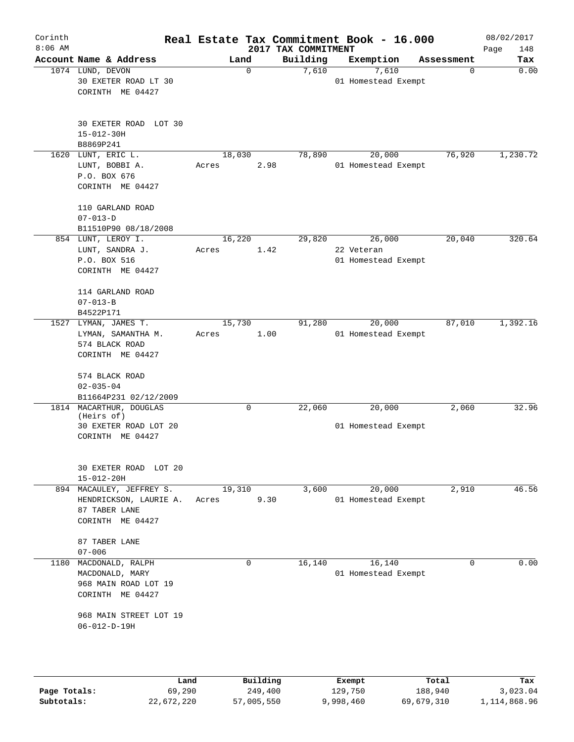| Corinth<br>$8:06$ AM |                                                                                      |                |                     |                                 | Real Estate Tax Commitment Book - 16.000 |                  | 08/02/2017         |
|----------------------|--------------------------------------------------------------------------------------|----------------|---------------------|---------------------------------|------------------------------------------|------------------|--------------------|
|                      | Account Name & Address                                                               |                | Land                | 2017 TAX COMMITMENT<br>Building | Exemption                                | Assessment       | Page<br>148<br>Tax |
|                      | 1074 LUND, DEVON<br>30 EXETER ROAD LT 30<br>CORINTH ME 04427                         |                | 0                   | 7,610                           | 7,610<br>01 Homestead Exempt             | 0                | 0.00               |
|                      | 30 EXETER ROAD LOT 30<br>$15 - 012 - 30H$<br>B8869P241                               |                |                     |                                 |                                          |                  |                    |
| 1620                 | LUNT, ERIC L.                                                                        |                | 18,030              | 78,890                          | 20,000                                   | 76,920           | 1,230.72           |
|                      | LUNT, BOBBI A.<br>P.O. BOX 676<br>CORINTH ME 04427                                   | Acres          | 2.98                |                                 | 01 Homestead Exempt                      |                  |                    |
|                      | 110 GARLAND ROAD<br>$07 - 013 - D$                                                   |                |                     |                                 |                                          |                  |                    |
|                      | B11510P90 08/18/2008                                                                 |                |                     |                                 |                                          |                  |                    |
|                      | 854 LUNT, LEROY I.<br>LUNT, SANDRA J.                                                | Acres          | 16,220<br>1.42      | 29,820                          | 26,000<br>22 Veteran                     | 20,040           | 320.64             |
|                      | P.O. BOX 516<br>CORINTH ME 04427                                                     |                |                     |                                 | 01 Homestead Exempt                      |                  |                    |
|                      | 114 GARLAND ROAD<br>$07 - 013 - B$                                                   |                |                     |                                 |                                          |                  |                    |
| 1527                 | B4522P171<br>LYMAN, JAMES T.                                                         |                | 15,730              | 91,280                          | 20,000                                   | 87,010           | 1,392.16           |
|                      | LYMAN, SAMANTHA M.<br>574 BLACK ROAD<br>CORINTH ME 04427                             | Acres          | 1.00                |                                 | 01 Homestead Exempt                      |                  |                    |
|                      | 574 BLACK ROAD<br>$02 - 035 - 04$                                                    |                |                     |                                 |                                          |                  |                    |
|                      | B11664P231 02/12/2009<br>1814 MACARTHUR, DOUGLAS                                     |                | 0                   | 22,060                          | 20,000                                   | 2,060            | 32.96              |
|                      | (Heirs of)                                                                           |                |                     |                                 |                                          |                  |                    |
|                      | 30 EXETER ROAD LOT 20<br>CORINTH ME 04427                                            |                |                     |                                 | 01 Homestead Exempt                      |                  |                    |
|                      | 30 EXETER ROAD LOT 20<br>$15 - 012 - 20H$                                            |                |                     |                                 |                                          |                  |                    |
|                      | 894 MACAULEY, JEFFREY S.                                                             |                | 19,310              | 3,600                           | 20,000                                   | 2,910            | 46.56              |
|                      | HENDRICKSON, LAURIE A.<br>87 TABER LANE<br>CORINTH ME 04427                          | Acres          | 9.30                |                                 | 01 Homestead Exempt                      |                  |                    |
|                      | 87 TABER LANE<br>$07 - 006$                                                          |                |                     |                                 |                                          |                  |                    |
|                      | 1180 MACDONALD, RALPH<br>MACDONALD, MARY<br>968 MAIN ROAD LOT 19<br>CORINTH ME 04427 |                | $\mathbf{0}$        | 16,140                          | 16, 140<br>01 Homestead Exempt           | $\Omega$         | 0.00               |
|                      | 968 MAIN STREET LOT 19<br>$06 - 012 - D - 19H$                                       |                |                     |                                 |                                          |                  |                    |
|                      |                                                                                      |                |                     |                                 |                                          |                  |                    |
| Page Totals:         |                                                                                      | Land<br>69,290 | Building<br>249,400 |                                 | Exempt<br>129,750                        | Total<br>188,940 | Tax<br>3,023.04    |

**Subtotals:** 22,672,220 57,005,550 9,998,460 69,679,310 1,114,868.96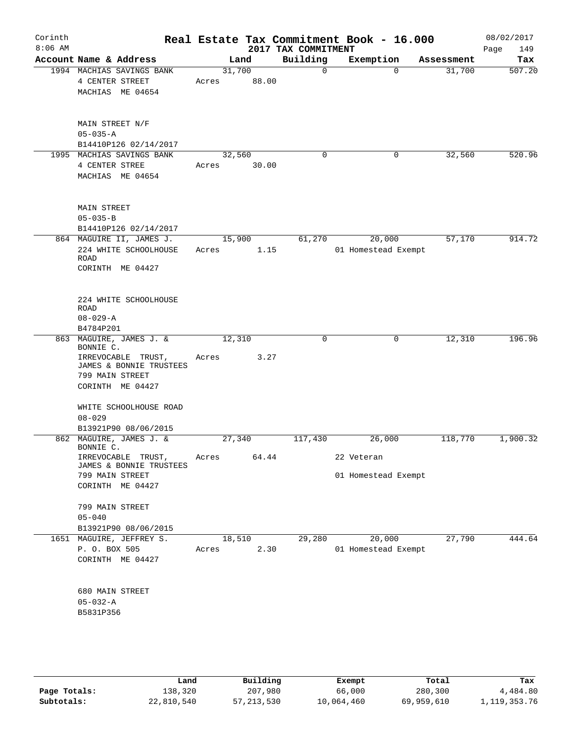| Corinth<br>$8:06$ AM |                                                                                                                                                                   |                 |       | 2017 TAX COMMITMENT | Real Estate Tax Commitment Book - 16.000 |            | 08/02/2017<br>Page<br>149 |
|----------------------|-------------------------------------------------------------------------------------------------------------------------------------------------------------------|-----------------|-------|---------------------|------------------------------------------|------------|---------------------------|
|                      | Account Name & Address                                                                                                                                            |                 | Land  | Building            | Exemption                                | Assessment | Tax                       |
|                      | 1994 MACHIAS SAVINGS BANK<br>4 CENTER STREET<br>MACHIAS ME 04654                                                                                                  | 31,700<br>Acres | 88.00 | $\mathbf 0$         | $\Omega$                                 | 31,700     | 507.20                    |
|                      | MAIN STREET N/F<br>$05 - 035 - A$<br>B14410P126 02/14/2017                                                                                                        |                 |       |                     |                                          |            |                           |
|                      | 1995 MACHIAS SAVINGS BANK<br>4 CENTER STREE<br>MACHIAS ME 04654                                                                                                   | 32,560<br>Acres | 30.00 | $\mathbf 0$         | 0                                        | 32,560     | 520.96                    |
|                      | <b>MAIN STREET</b><br>$05 - 035 - B$<br>B14410P126 02/14/2017                                                                                                     |                 |       |                     |                                          |            |                           |
|                      | 864 MAGUIRE II, JAMES J.                                                                                                                                          | 15,900          |       | 61,270              | 20,000                                   | 57,170     | 914.72                    |
|                      | 224 WHITE SCHOOLHOUSE<br>ROAD<br>CORINTH ME 04427                                                                                                                 | Acres           | 1.15  |                     | 01 Homestead Exempt                      |            |                           |
|                      | 224 WHITE SCHOOLHOUSE<br><b>ROAD</b><br>$08 - 029 - A$<br>B4784P201                                                                                               |                 |       |                     |                                          |            |                           |
|                      | 863 MAGUIRE, JAMES J. &                                                                                                                                           | 12,310          |       | 0                   | $\mathsf{O}$                             | 12,310     | 196.96                    |
|                      | BONNIE C.<br>IRREVOCABLE TRUST,<br>JAMES & BONNIE TRUSTEES<br>799 MAIN STREET<br>CORINTH ME 04427<br>WHITE SCHOOLHOUSE ROAD<br>$08 - 029$<br>B13921P90 08/06/2015 | Acres           | 3.27  |                     |                                          |            |                           |
|                      | 862 MAGUIRE, JAMES J. &                                                                                                                                           | 27,340          |       | 117,430             | 26,000                                   | 118,770    | 1,900.32                  |
|                      | BONNIE C.<br>IRREVOCABLE TRUST,<br>JAMES & BONNIE TRUSTEES<br>799 MAIN STREET<br>CORINTH ME 04427                                                                 | Acres           | 64.44 |                     | 22 Veteran<br>01 Homestead Exempt        |            |                           |
|                      | 799 MAIN STREET<br>$05 - 040$<br>B13921P90 08/06/2015                                                                                                             |                 |       |                     |                                          |            |                           |
|                      | 1651 MAGUIRE, JEFFREY S.<br>P. O. BOX 505<br>CORINTH ME 04427                                                                                                     | 18,510<br>Acres | 2.30  | 29,280              | 20,000<br>01 Homestead Exempt            | 27,790     | 444.64                    |
|                      | 680 MAIN STREET<br>05-032-A<br>B5831P356                                                                                                                          |                 |       |                     |                                          |            |                           |
|                      |                                                                                                                                                                   |                 |       |                     |                                          |            |                           |

|              | Land       | Building     | Exempt     | Total      | Tax          |
|--------------|------------|--------------|------------|------------|--------------|
| Page Totals: | 138,320    | 207,980      | 66,000     | 280,300    | 4,484.80     |
| Subtotals:   | 22,810,540 | 57, 213, 530 | 10,064,460 | 69,959,610 | 1,119,353.76 |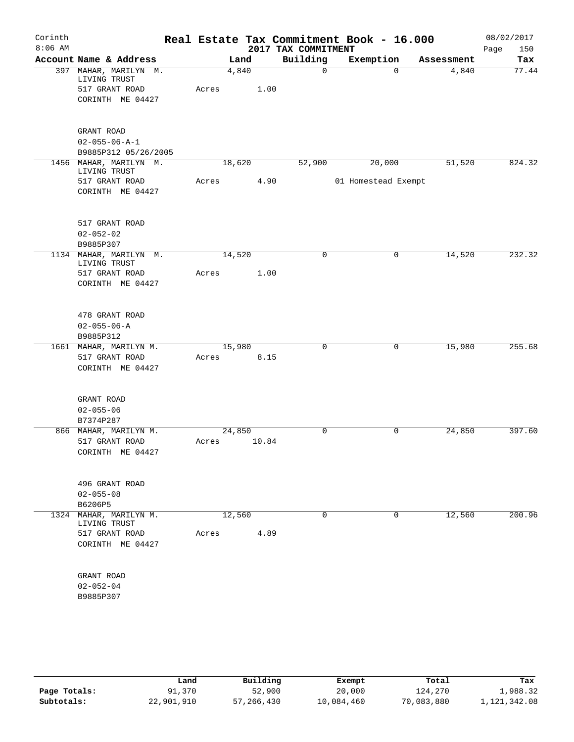| Corinth<br>$8:06$ AM |                                        |       |        | 2017 TAX COMMITMENT | Real Estate Tax Commitment Book - 16.000 |                       | 08/02/2017<br>Page<br>150 |
|----------------------|----------------------------------------|-------|--------|---------------------|------------------------------------------|-----------------------|---------------------------|
|                      | Account Name & Address                 |       | Land   | Building            | Exemption                                | Assessment            | Tax                       |
|                      | 397 MAHAR, MARILYN M.<br>LIVING TRUST  |       | 4,840  | $\mathbf 0$         |                                          | 4,840<br>$\Omega$     | 77.44                     |
|                      | 517 GRANT ROAD                         | Acres | 1.00   |                     |                                          |                       |                           |
|                      | CORINTH ME 04427                       |       |        |                     |                                          |                       |                           |
|                      |                                        |       |        |                     |                                          |                       |                           |
|                      | GRANT ROAD                             |       |        |                     |                                          |                       |                           |
|                      | $02 - 055 - 06 - A - 1$                |       |        |                     |                                          |                       |                           |
|                      | B9885P312 05/26/2005                   |       |        |                     |                                          |                       |                           |
|                      | 1456 MAHAR, MARILYN M.                 |       | 18,620 | 52,900              | 20,000                                   | 51,520                | 824.32                    |
|                      | LIVING TRUST                           |       |        |                     |                                          |                       |                           |
|                      | 517 GRANT ROAD                         | Acres | 4.90   |                     | 01 Homestead Exempt                      |                       |                           |
|                      | CORINTH ME 04427                       |       |        |                     |                                          |                       |                           |
|                      | 517 GRANT ROAD                         |       |        |                     |                                          |                       |                           |
|                      | $02 - 052 - 02$                        |       |        |                     |                                          |                       |                           |
|                      | B9885P307                              |       |        |                     |                                          |                       |                           |
|                      | 1134 MAHAR, MARILYN M.<br>LIVING TRUST |       | 14,520 | 0                   |                                          | 14,520<br>$\mathbf 0$ | 232.32                    |
|                      | 517 GRANT ROAD                         | Acres | 1.00   |                     |                                          |                       |                           |
|                      | CORINTH ME 04427                       |       |        |                     |                                          |                       |                           |
|                      |                                        |       |        |                     |                                          |                       |                           |
|                      | 478 GRANT ROAD                         |       |        |                     |                                          |                       |                           |
|                      | $02 - 055 - 06 - A$                    |       |        |                     |                                          |                       |                           |
|                      | B9885P312                              |       |        |                     |                                          |                       |                           |
|                      | 1661 MAHAR, MARILYN M.                 |       | 15,980 | $\mathbf 0$         |                                          | 15,980<br>0           | 255.68                    |
|                      | 517 GRANT ROAD                         | Acres | 8.15   |                     |                                          |                       |                           |
|                      | CORINTH ME 04427                       |       |        |                     |                                          |                       |                           |
|                      | GRANT ROAD                             |       |        |                     |                                          |                       |                           |
|                      | $02 - 055 - 06$                        |       |        |                     |                                          |                       |                           |
|                      | B7374P287                              |       |        |                     |                                          |                       |                           |
|                      | 866 MAHAR, MARILYN M.                  |       | 24,850 | $\mathbf 0$         |                                          | $\mathbf 0$<br>24,850 | 397.60                    |
|                      | 517 GRANT ROAD                         | Acres | 10.84  |                     |                                          |                       |                           |
|                      | CORINTH ME 04427                       |       |        |                     |                                          |                       |                           |
|                      | 496 GRANT ROAD                         |       |        |                     |                                          |                       |                           |
|                      | $02 - 055 - 08$                        |       |        |                     |                                          |                       |                           |
|                      | B6206P5                                |       |        |                     |                                          |                       |                           |
|                      | 1324 MAHAR, MARILYN M.<br>LIVING TRUST |       | 12,560 | $\mathbf 0$         |                                          | $\mathbf 0$<br>12,560 | 200.96                    |
|                      | 517 GRANT ROAD                         | Acres | 4.89   |                     |                                          |                       |                           |
|                      | CORINTH ME 04427                       |       |        |                     |                                          |                       |                           |
|                      | GRANT ROAD                             |       |        |                     |                                          |                       |                           |
|                      | $02 - 052 - 04$                        |       |        |                     |                                          |                       |                           |
|                      | B9885P307                              |       |        |                     |                                          |                       |                           |
|                      |                                        |       |        |                     |                                          |                       |                           |
|                      |                                        |       |        |                     |                                          |                       |                           |
|                      |                                        |       |        |                     |                                          |                       |                           |

|              | Land       | Building   | Exempt     | Total      | Tax          |
|--------------|------------|------------|------------|------------|--------------|
| Page Totals: | 91,370     | 52,900     | 20,000     | 124,270    | 1,988.32     |
| Subtotals:   | 22,901,910 | 57,266,430 | 10,084,460 | 70,083,880 | 1,121,342.08 |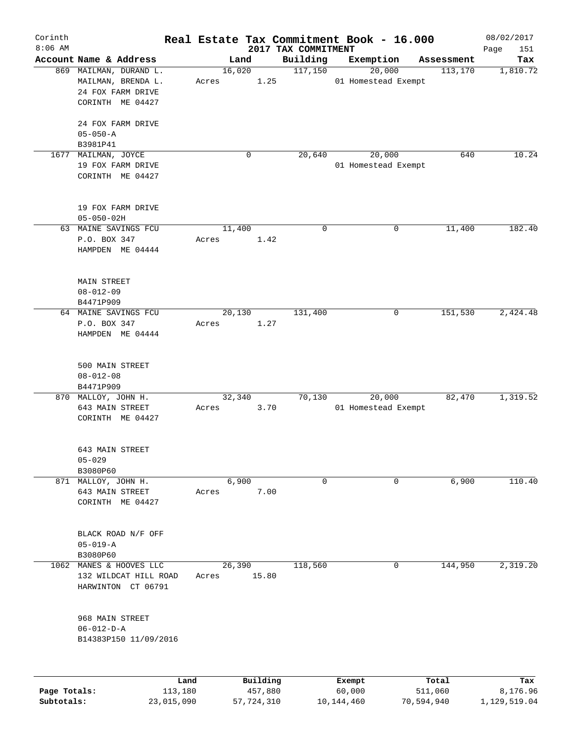| Corinth<br>$8:06$ AM |                               |            |        |            |                                 |             | Real Estate Tax Commitment Book - 16.000 |            | 08/02/2017         |
|----------------------|-------------------------------|------------|--------|------------|---------------------------------|-------------|------------------------------------------|------------|--------------------|
|                      | Account Name & Address        |            | Land   |            | 2017 TAX COMMITMENT<br>Building |             | Exemption                                | Assessment | 151<br>Page<br>Tax |
|                      | 869 MAILMAN, DURAND L.        |            | 16,020 |            | 117,150                         |             | 20,000                                   | 113,170    | 1,810.72           |
|                      | MAILMAN, BRENDA L.            |            | Acres  | 1.25       |                                 |             | 01 Homestead Exempt                      |            |                    |
|                      | 24 FOX FARM DRIVE             |            |        |            |                                 |             |                                          |            |                    |
|                      | CORINTH ME 04427              |            |        |            |                                 |             |                                          |            |                    |
|                      |                               |            |        |            |                                 |             |                                          |            |                    |
|                      | 24 FOX FARM DRIVE             |            |        |            |                                 |             |                                          |            |                    |
|                      | $05 - 050 - A$                |            |        |            |                                 |             |                                          |            |                    |
|                      | B3981P41                      |            |        |            |                                 |             |                                          |            |                    |
| 1677                 | MAILMAN, JOYCE                |            |        | 0          | 20,640                          |             | 20,000                                   | 640        | 10.24              |
|                      | 19 FOX FARM DRIVE             |            |        |            |                                 |             | 01 Homestead Exempt                      |            |                    |
|                      |                               |            |        |            |                                 |             |                                          |            |                    |
|                      | CORINTH ME 04427              |            |        |            |                                 |             |                                          |            |                    |
|                      |                               |            |        |            |                                 |             |                                          |            |                    |
|                      | 19 FOX FARM DRIVE             |            |        |            |                                 |             |                                          |            |                    |
|                      | $05 - 050 - 02H$              |            |        |            |                                 |             |                                          |            |                    |
|                      |                               |            |        |            |                                 | $\mathbf 0$ | $\mathbf 0$                              |            | 182.40             |
|                      | 63 MAINE SAVINGS FCU          |            | 11,400 |            |                                 |             |                                          | 11,400     |                    |
|                      | P.O. BOX 347                  |            | Acres  | 1.42       |                                 |             |                                          |            |                    |
|                      | HAMPDEN ME 04444              |            |        |            |                                 |             |                                          |            |                    |
|                      |                               |            |        |            |                                 |             |                                          |            |                    |
|                      |                               |            |        |            |                                 |             |                                          |            |                    |
|                      | <b>MAIN STREET</b>            |            |        |            |                                 |             |                                          |            |                    |
|                      | $08 - 012 - 09$               |            |        |            |                                 |             |                                          |            |                    |
|                      | B4471P909                     |            |        |            |                                 |             |                                          |            |                    |
|                      | 64 MAINE SAVINGS FCU          |            | 20,130 |            | 131,400                         |             | 0                                        | 151,530    | 2,424.48           |
|                      | P.O. BOX 347                  |            | Acres  | 1.27       |                                 |             |                                          |            |                    |
|                      | HAMPDEN ME 04444              |            |        |            |                                 |             |                                          |            |                    |
|                      |                               |            |        |            |                                 |             |                                          |            |                    |
|                      |                               |            |        |            |                                 |             |                                          |            |                    |
|                      | 500 MAIN STREET               |            |        |            |                                 |             |                                          |            |                    |
|                      | $08 - 012 - 08$               |            |        |            |                                 |             |                                          |            |                    |
|                      | B4471P909                     |            |        |            |                                 |             |                                          |            |                    |
|                      | 870 MALLOY, JOHN H.           |            | 32,340 |            | 70,130                          |             | 20,000                                   | 82,470     | 1,319.52           |
|                      | 643 MAIN STREET               |            | Acres  | 3.70       |                                 |             | 01 Homestead Exempt                      |            |                    |
|                      | CORINTH ME 04427              |            |        |            |                                 |             |                                          |            |                    |
|                      |                               |            |        |            |                                 |             |                                          |            |                    |
|                      |                               |            |        |            |                                 |             |                                          |            |                    |
|                      | 643 MAIN STREET<br>$05 - 029$ |            |        |            |                                 |             |                                          |            |                    |
|                      | B3080P60                      |            |        |            |                                 |             |                                          |            |                    |
|                      | 871 MALLOY, JOHN H.           |            | 6,900  |            |                                 | 0           | 0                                        | 6,900      | 110.40             |
|                      | 643 MAIN STREET               |            | Acres  | 7.00       |                                 |             |                                          |            |                    |
|                      | CORINTH ME 04427              |            |        |            |                                 |             |                                          |            |                    |
|                      |                               |            |        |            |                                 |             |                                          |            |                    |
|                      |                               |            |        |            |                                 |             |                                          |            |                    |
|                      | BLACK ROAD N/F OFF            |            |        |            |                                 |             |                                          |            |                    |
|                      | $05 - 019 - A$                |            |        |            |                                 |             |                                          |            |                    |
|                      | B3080P60                      |            |        |            |                                 |             |                                          |            |                    |
|                      | 1062 MANES & HOOVES LLC       |            | 26,390 |            | 118,560                         |             | 0                                        | 144,950    | 2,319.20           |
|                      | 132 WILDCAT HILL ROAD         |            | Acres  | 15.80      |                                 |             |                                          |            |                    |
|                      | HARWINTON CT 06791            |            |        |            |                                 |             |                                          |            |                    |
|                      |                               |            |        |            |                                 |             |                                          |            |                    |
|                      |                               |            |        |            |                                 |             |                                          |            |                    |
|                      | 968 MAIN STREET               |            |        |            |                                 |             |                                          |            |                    |
|                      | $06 - 012 - D - A$            |            |        |            |                                 |             |                                          |            |                    |
|                      | B14383P150 11/09/2016         |            |        |            |                                 |             |                                          |            |                    |
|                      |                               |            |        |            |                                 |             |                                          |            |                    |
|                      |                               |            |        |            |                                 |             |                                          |            |                    |
|                      |                               |            |        |            |                                 |             |                                          |            |                    |
|                      |                               | Land       |        | Building   |                                 |             | Exempt                                   | Total      | Tax                |
| Page Totals:         |                               | 113,180    |        | 457,880    |                                 |             | 60,000                                   | 511,060    | 8,176.96           |
| Subtotals:           |                               | 23,015,090 |        | 57,724,310 |                                 |             | 10, 144, 460                             | 70,594,940 | 1,129,519.04       |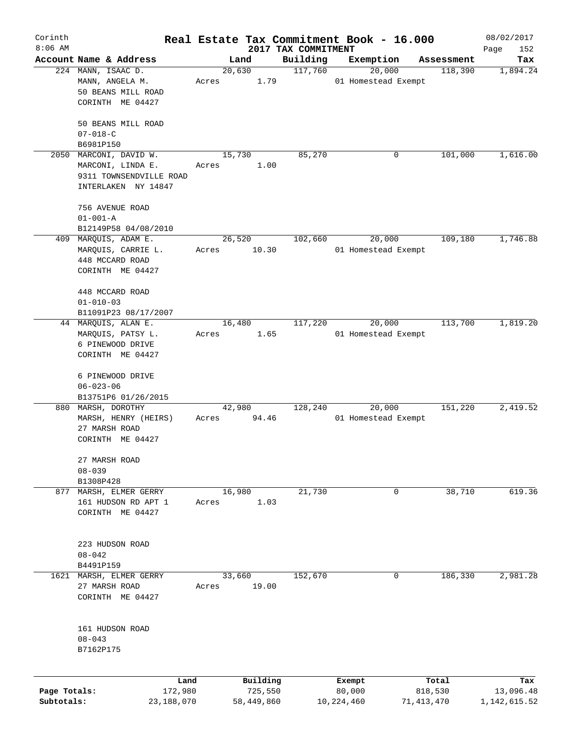| Corinth      |                                                             |       |                     |                     | Real Estate Tax Commitment Book - 16.000 |                  | 08/02/2017       |
|--------------|-------------------------------------------------------------|-------|---------------------|---------------------|------------------------------------------|------------------|------------------|
| $8:06$ AM    | Account Name & Address                                      |       |                     | 2017 TAX COMMITMENT |                                          |                  | Page<br>152      |
|              |                                                             |       | Land<br>20,630      | Building<br>117,760 | Exemption<br>20,000                      | Assessment       | Tax              |
|              | 224 MANN, ISAAC D.<br>MANN, ANGELA M.<br>50 BEANS MILL ROAD | Acres | 1.79                |                     | 01 Homestead Exempt                      | 118,390          | 1,894.24         |
|              | CORINTH ME 04427                                            |       |                     |                     |                                          |                  |                  |
|              | 50 BEANS MILL ROAD<br>$07 - 018 - C$                        |       |                     |                     |                                          |                  |                  |
|              | B6981P150                                                   |       |                     |                     |                                          |                  |                  |
| 2050         | MARCONI, DAVID W.                                           |       | 15,730              | 85,270              | 0                                        | 101,000          | 1,616.00         |
|              | MARCONI, LINDA E.                                           | Acres | 1.00                |                     |                                          |                  |                  |
|              | 9311 TOWNSENDVILLE ROAD                                     |       |                     |                     |                                          |                  |                  |
|              | INTERLAKEN NY 14847                                         |       |                     |                     |                                          |                  |                  |
|              | 756 AVENUE ROAD                                             |       |                     |                     |                                          |                  |                  |
|              | $01 - 001 - A$                                              |       |                     |                     |                                          |                  |                  |
|              | B12149P58 04/08/2010                                        |       |                     |                     |                                          |                  |                  |
|              | 409 MARQUIS, ADAM E.                                        |       | 26,520              | 102,660             | 20,000                                   | 109, 180         | 1,746.88         |
|              | MARQUIS, CARRIE L.                                          | Acres | 10.30               |                     | 01 Homestead Exempt                      |                  |                  |
|              | 448 MCCARD ROAD                                             |       |                     |                     |                                          |                  |                  |
|              | CORINTH ME 04427                                            |       |                     |                     |                                          |                  |                  |
|              | 448 MCCARD ROAD                                             |       |                     |                     |                                          |                  |                  |
|              | $01 - 010 - 03$                                             |       |                     |                     |                                          |                  |                  |
|              | B11091P23 08/17/2007                                        |       |                     |                     |                                          |                  |                  |
|              | 44 MARQUIS, ALAN E.                                         |       | 16,480              | 117,220             | 20,000                                   | 113,700          | 1,819.20         |
|              | MARQUIS, PATSY L.                                           | Acres | 1.65                |                     | 01 Homestead Exempt                      |                  |                  |
|              | 6 PINEWOOD DRIVE                                            |       |                     |                     |                                          |                  |                  |
|              | CORINTH ME 04427                                            |       |                     |                     |                                          |                  |                  |
|              | 6 PINEWOOD DRIVE                                            |       |                     |                     |                                          |                  |                  |
|              | $06 - 023 - 06$                                             |       |                     |                     |                                          |                  |                  |
|              | B13751P6 01/26/2015                                         |       |                     |                     |                                          |                  |                  |
|              | 880 MARSH, DOROTHY                                          |       | 42,980              | 128,240             | 20,000                                   | 151,220          | 2,419.52         |
|              | MARSH, HENRY (HEIRS)                                        | Acres | 94.46               |                     | 01 Homestead Exempt                      |                  |                  |
|              | 27 MARSH ROAD                                               |       |                     |                     |                                          |                  |                  |
|              | CORINTH ME 04427                                            |       |                     |                     |                                          |                  |                  |
|              | 27 MARSH ROAD                                               |       |                     |                     |                                          |                  |                  |
|              | $08 - 039$                                                  |       |                     |                     |                                          |                  |                  |
|              | B1308P428                                                   |       |                     |                     |                                          |                  |                  |
|              | 877 MARSH, ELMER GERRY                                      |       | 16,980              | 21,730              | 0                                        | 38,710           | 619.36           |
|              | 161 HUDSON RD APT 1                                         | Acres | 1.03                |                     |                                          |                  |                  |
|              | CORINTH ME 04427                                            |       |                     |                     |                                          |                  |                  |
|              | 223 HUDSON ROAD                                             |       |                     |                     |                                          |                  |                  |
|              | $08 - 042$                                                  |       |                     |                     |                                          |                  |                  |
|              | B4491P159                                                   |       |                     |                     |                                          |                  |                  |
| 1621         | MARSH, ELMER GERRY                                          |       | 33,660              | 152,670             | 0                                        | 186,330          | 2,981.28         |
|              | 27 MARSH ROAD                                               | Acres | 19.00               |                     |                                          |                  |                  |
|              | CORINTH ME 04427                                            |       |                     |                     |                                          |                  |                  |
|              |                                                             |       |                     |                     |                                          |                  |                  |
|              | 161 HUDSON ROAD                                             |       |                     |                     |                                          |                  |                  |
|              | $08 - 043$                                                  |       |                     |                     |                                          |                  |                  |
|              | B7162P175                                                   |       |                     |                     |                                          |                  |                  |
|              |                                                             |       |                     |                     |                                          |                  |                  |
| Page Totals: | Land<br>172,980                                             |       | Building<br>725,550 |                     | Exempt<br>80,000                         | Total<br>818,530 | Tax<br>13,096.48 |
| Subtotals:   | 23,188,070                                                  |       | 58,449,860          |                     | 10,224,460                               | 71, 413, 470     | 1, 142, 615.52   |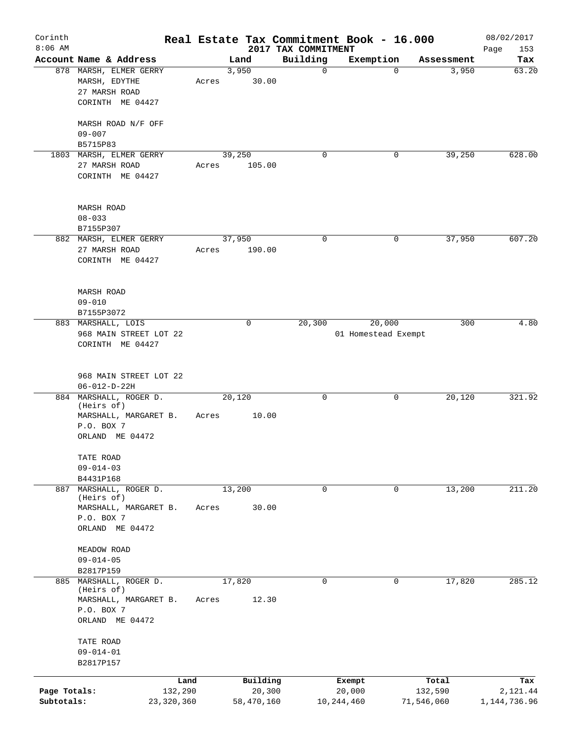| Corinth      |                                 |              |       |             |                                 | Real Estate Tax Commitment Book - 16.000 |            | 08/02/2017         |
|--------------|---------------------------------|--------------|-------|-------------|---------------------------------|------------------------------------------|------------|--------------------|
| $8:06$ AM    | Account Name & Address          |              |       | Land        | 2017 TAX COMMITMENT<br>Building | Exemption                                | Assessment | Page<br>153<br>Tax |
|              | 878 MARSH, ELMER GERRY          |              |       | 3,950       | $\mathbf 0$                     | $\mathbf 0$                              | 3,950      | 63.20              |
|              | MARSH, EDYTHE                   |              | Acres | 30.00       |                                 |                                          |            |                    |
|              | 27 MARSH ROAD                   |              |       |             |                                 |                                          |            |                    |
|              | CORINTH ME 04427                |              |       |             |                                 |                                          |            |                    |
|              |                                 |              |       |             |                                 |                                          |            |                    |
|              | MARSH ROAD N/F OFF              |              |       |             |                                 |                                          |            |                    |
|              | $09 - 007$                      |              |       |             |                                 |                                          |            |                    |
|              | B5715P83                        |              |       |             |                                 |                                          |            |                    |
|              | 1803 MARSH, ELMER GERRY         |              |       | 39,250      | $\mathbf 0$                     | 0                                        | 39,250     | 628.00             |
|              | 27 MARSH ROAD                   |              | Acres | 105.00      |                                 |                                          |            |                    |
|              | CORINTH ME 04427                |              |       |             |                                 |                                          |            |                    |
|              |                                 |              |       |             |                                 |                                          |            |                    |
|              | MARSH ROAD                      |              |       |             |                                 |                                          |            |                    |
|              | $08 - 033$                      |              |       |             |                                 |                                          |            |                    |
|              | B7155P307                       |              |       |             |                                 |                                          |            |                    |
|              | 882 MARSH, ELMER GERRY          |              |       | 37,950      | 0                               | 0                                        | 37,950     | 607.20             |
|              | 27 MARSH ROAD                   |              | Acres | 190.00      |                                 |                                          |            |                    |
|              | CORINTH ME 04427                |              |       |             |                                 |                                          |            |                    |
|              |                                 |              |       |             |                                 |                                          |            |                    |
|              |                                 |              |       |             |                                 |                                          |            |                    |
|              | <b>MARSH ROAD</b>               |              |       |             |                                 |                                          |            |                    |
|              | $09 - 010$                      |              |       |             |                                 |                                          |            |                    |
|              | B7155P3072                      |              |       |             |                                 |                                          |            |                    |
|              | 883 MARSHALL, LOIS              |              |       | $\mathbf 0$ | 20,300                          | 20,000                                   | 300        | 4.80               |
|              | 968 MAIN STREET LOT 22          |              |       |             |                                 | 01 Homestead Exempt                      |            |                    |
|              | CORINTH ME 04427                |              |       |             |                                 |                                          |            |                    |
|              |                                 |              |       |             |                                 |                                          |            |                    |
|              | 968 MAIN STREET LOT 22          |              |       |             |                                 |                                          |            |                    |
|              | $06 - 012 - D - 22H$            |              |       |             |                                 |                                          |            |                    |
|              | 884 MARSHALL, ROGER D.          |              |       | 20,120      | 0                               | 0                                        | 20,120     | 321.92             |
|              | (Heirs of)                      |              |       |             |                                 |                                          |            |                    |
|              | MARSHALL, MARGARET B.           |              | Acres | 10.00       |                                 |                                          |            |                    |
|              | P.O. BOX 7                      |              |       |             |                                 |                                          |            |                    |
|              | ORLAND ME 04472                 |              |       |             |                                 |                                          |            |                    |
|              |                                 |              |       |             |                                 |                                          |            |                    |
|              | TATE ROAD                       |              |       |             |                                 |                                          |            |                    |
|              | $09 - 014 - 03$                 |              |       |             |                                 |                                          |            |                    |
|              | B4431P168<br>MARSHALL, ROGER D. |              |       |             | 0                               | 0                                        | 13,200     | 211.20             |
| 887          | (Heirs of)                      |              |       | 13,200      |                                 |                                          |            |                    |
|              | MARSHALL, MARGARET B.           |              | Acres | 30.00       |                                 |                                          |            |                    |
|              | P.O. BOX 7                      |              |       |             |                                 |                                          |            |                    |
|              | ORLAND ME 04472                 |              |       |             |                                 |                                          |            |                    |
|              |                                 |              |       |             |                                 |                                          |            |                    |
|              | MEADOW ROAD                     |              |       |             |                                 |                                          |            |                    |
|              | $09 - 014 - 05$                 |              |       |             |                                 |                                          |            |                    |
|              | B2817P159                       |              |       |             |                                 |                                          |            |                    |
|              | 885 MARSHALL, ROGER D.          |              |       | 17,820      | 0                               | 0                                        | 17,820     | 285.12             |
|              | (Heirs of)                      |              |       |             |                                 |                                          |            |                    |
|              | MARSHALL, MARGARET B.           |              | Acres | 12.30       |                                 |                                          |            |                    |
|              | P.O. BOX 7                      |              |       |             |                                 |                                          |            |                    |
|              | ORLAND ME 04472                 |              |       |             |                                 |                                          |            |                    |
|              | TATE ROAD                       |              |       |             |                                 |                                          |            |                    |
|              | $09 - 014 - 01$                 |              |       |             |                                 |                                          |            |                    |
|              | B2817P157                       |              |       |             |                                 |                                          |            |                    |
|              |                                 |              |       |             |                                 |                                          |            |                    |
|              |                                 | Land         |       | Building    |                                 | Exempt                                   | Total      | Tax                |
| Page Totals: |                                 | 132,290      |       | 20,300      |                                 | 20,000                                   | 132,590    | 2,121.44           |
| Subtotals:   |                                 | 23, 320, 360 |       | 58,470,160  |                                 | 10,244,460                               | 71,546,060 | 1, 144, 736.96     |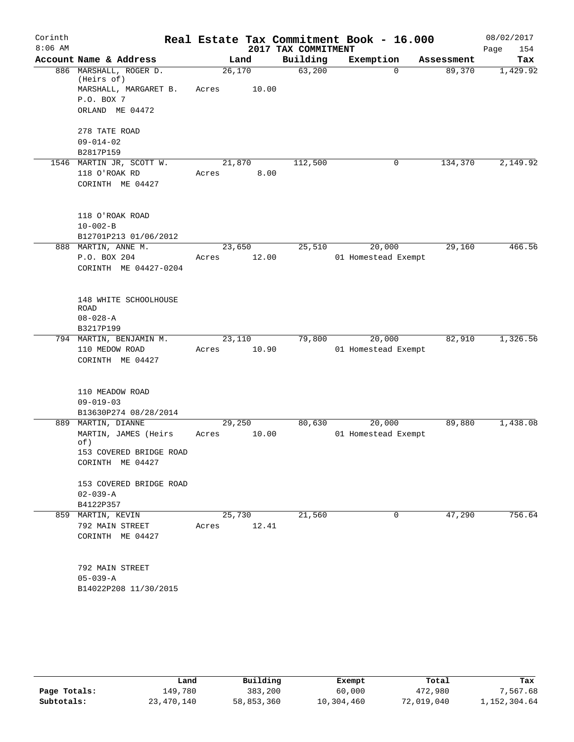| Corinth   |                                      |        |        |                     | Real Estate Tax Commitment Book - 16.000 |            | 08/02/2017  |
|-----------|--------------------------------------|--------|--------|---------------------|------------------------------------------|------------|-------------|
| $8:06$ AM |                                      |        |        | 2017 TAX COMMITMENT |                                          |            | Page<br>154 |
|           | Account Name & Address               |        | Land   | Building            | Exemption                                | Assessment | Tax         |
|           | 886 MARSHALL, ROGER D.<br>(Heirs of) | 26,170 |        | 63,200              | $\Omega$                                 | 89,370     | 1,429.92    |
|           | MARSHALL, MARGARET B.                | Acres  | 10.00  |                     |                                          |            |             |
|           | P.O. BOX 7                           |        |        |                     |                                          |            |             |
|           | ORLAND ME 04472                      |        |        |                     |                                          |            |             |
|           | 278 TATE ROAD                        |        |        |                     |                                          |            |             |
|           | $09 - 014 - 02$                      |        |        |                     |                                          |            |             |
|           | B2817P159                            |        |        |                     |                                          |            |             |
|           | 1546 MARTIN JR, SCOTT W.             |        | 21,870 | 112,500             | 0                                        | 134,370    | 2,149.92    |
|           | 118 O'ROAK RD                        | Acres  | 8.00   |                     |                                          |            |             |
|           | CORINTH ME 04427                     |        |        |                     |                                          |            |             |
|           | 118 O'ROAK ROAD                      |        |        |                     |                                          |            |             |
|           | $10 - 002 - B$                       |        |        |                     |                                          |            |             |
|           | B12701P213 01/06/2012                |        |        |                     |                                          |            |             |
|           | 888 MARTIN, ANNE M.                  | 23,650 |        | 25,510              | 20,000                                   | 29,160     | 466.56      |
|           | P.O. BOX 204                         | Acres  | 12.00  |                     | 01 Homestead Exempt                      |            |             |
|           | CORINTH ME 04427-0204                |        |        |                     |                                          |            |             |
|           |                                      |        |        |                     |                                          |            |             |
|           | 148 WHITE SCHOOLHOUSE                |        |        |                     |                                          |            |             |
|           | <b>ROAD</b>                          |        |        |                     |                                          |            |             |
|           | $08 - 028 - A$                       |        |        |                     |                                          |            |             |
|           | B3217P199                            |        |        |                     |                                          |            |             |
|           | 794 MARTIN, BENJAMIN M.              | 23,110 |        | 79,800              | 20,000                                   | 82,910     | 1,326.56    |
|           | 110 MEDOW ROAD                       | Acres  | 10.90  |                     | 01 Homestead Exempt                      |            |             |
|           | CORINTH ME 04427                     |        |        |                     |                                          |            |             |
|           | 110 MEADOW ROAD                      |        |        |                     |                                          |            |             |
|           | $09 - 019 - 03$                      |        |        |                     |                                          |            |             |
|           | B13630P274 08/28/2014                |        |        |                     |                                          |            |             |
|           | 889 MARTIN, DIANNE                   | 29,250 |        | 80,630              | 20,000                                   | 89,880     | 1,438.08    |
|           | MARTIN, JAMES (Heirs                 | Acres  | 10.00  |                     | 01 Homestead Exempt                      |            |             |
|           | of)                                  |        |        |                     |                                          |            |             |
|           | 153 COVERED BRIDGE ROAD              |        |        |                     |                                          |            |             |
|           | CORINTH ME 04427                     |        |        |                     |                                          |            |             |
|           | 153 COVERED BRIDGE ROAD              |        |        |                     |                                          |            |             |
|           | $02 - 039 - A$                       |        |        |                     |                                          |            |             |
|           | B4122P357                            |        |        |                     |                                          |            |             |
|           | 859 MARTIN, KEVIN                    | 25,730 |        | 21,560              | 0                                        | 47,290     | 756.64      |
|           | 792 MAIN STREET                      | Acres  | 12.41  |                     |                                          |            |             |
|           | CORINTH ME 04427                     |        |        |                     |                                          |            |             |
|           | 792 MAIN STREET                      |        |        |                     |                                          |            |             |
|           | $05 - 039 - A$                       |        |        |                     |                                          |            |             |
|           | B14022P208 11/30/2015                |        |        |                     |                                          |            |             |
|           |                                      |        |        |                     |                                          |            |             |
|           |                                      |        |        |                     |                                          |            |             |

|              | Land       | Building   | Exempt     | Total      | Tax          |
|--------------|------------|------------|------------|------------|--------------|
| Page Totals: | 149,780    | 383,200    | 60,000     | 472,980    | 7,567.68     |
| Subtotals:   | 23,470,140 | 58,853,360 | 10,304,460 | 72,019,040 | 1,152,304.64 |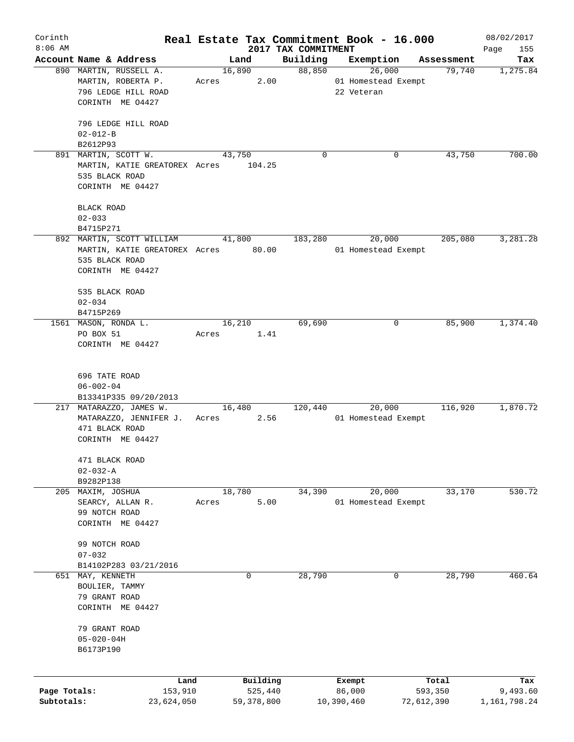| Corinth      |                                     |       |                |      |                     | Real Estate Tax Commitment Book - 16.000 |            |                      | 08/02/2017      |
|--------------|-------------------------------------|-------|----------------|------|---------------------|------------------------------------------|------------|----------------------|-----------------|
| $8:06$ AM    | Account Name & Address              |       |                |      | 2017 TAX COMMITMENT |                                          |            |                      | Page<br>155     |
|              | 890 MARTIN, RUSSELL A.              |       | Land<br>16,890 |      | Building<br>88,850  | Exemption<br>26,000                      |            | Assessment<br>79,740 | Tax<br>1,275.84 |
|              | MARTIN, ROBERTA P.                  | Acres |                | 2.00 |                     | 01 Homestead Exempt                      |            |                      |                 |
|              | 796 LEDGE HILL ROAD                 |       |                |      |                     | 22 Veteran                               |            |                      |                 |
|              | CORINTH ME 04427                    |       |                |      |                     |                                          |            |                      |                 |
|              |                                     |       |                |      |                     |                                          |            |                      |                 |
|              | 796 LEDGE HILL ROAD                 |       |                |      |                     |                                          |            |                      |                 |
|              | $02 - 012 - B$                      |       |                |      |                     |                                          |            |                      |                 |
|              | B2612P93                            |       |                |      |                     |                                          |            |                      |                 |
|              | 891 MARTIN, SCOTT W.                |       | 43,750         |      | $\Omega$            |                                          | 0          | 43,750               | 700.00          |
|              | MARTIN, KATIE GREATOREX Acres       |       | 104.25         |      |                     |                                          |            |                      |                 |
|              | 535 BLACK ROAD                      |       |                |      |                     |                                          |            |                      |                 |
|              | CORINTH ME 04427                    |       |                |      |                     |                                          |            |                      |                 |
|              |                                     |       |                |      |                     |                                          |            |                      |                 |
|              | <b>BLACK ROAD</b><br>$02 - 033$     |       |                |      |                     |                                          |            |                      |                 |
|              | B4715P271                           |       |                |      |                     |                                          |            |                      |                 |
|              | 892 MARTIN, SCOTT WILLIAM           |       | 41,800         |      | 183,280             | 20,000                                   |            | 205,080              | 3,281.28        |
|              | MARTIN, KATIE GREATOREX Acres 80.00 |       |                |      |                     | 01 Homestead Exempt                      |            |                      |                 |
|              | 535 BLACK ROAD                      |       |                |      |                     |                                          |            |                      |                 |
|              | CORINTH ME 04427                    |       |                |      |                     |                                          |            |                      |                 |
|              |                                     |       |                |      |                     |                                          |            |                      |                 |
|              | 535 BLACK ROAD                      |       |                |      |                     |                                          |            |                      |                 |
|              | $02 - 034$                          |       |                |      |                     |                                          |            |                      |                 |
|              | B4715P269                           |       |                |      |                     |                                          |            |                      |                 |
|              | 1561 MASON, RONDA L.                |       | 16,210         |      | 69,690              |                                          | 0          | 85,900               | 1,374.40        |
|              | PO BOX 51                           | Acres |                | 1.41 |                     |                                          |            |                      |                 |
|              | CORINTH ME 04427                    |       |                |      |                     |                                          |            |                      |                 |
|              |                                     |       |                |      |                     |                                          |            |                      |                 |
|              | 696 TATE ROAD                       |       |                |      |                     |                                          |            |                      |                 |
|              | $06 - 002 - 04$                     |       |                |      |                     |                                          |            |                      |                 |
|              | B13341P335 09/20/2013               |       |                |      |                     |                                          |            |                      |                 |
|              | 217 MATARAZZO, JAMES W.             |       | 16,480         |      | 120,440             | 20,000                                   |            | 116,920              | 1,870.72        |
|              | MATARAZZO, JENNIFER J.              | Acres |                | 2.56 |                     | 01 Homestead Exempt                      |            |                      |                 |
|              | 471 BLACK ROAD                      |       |                |      |                     |                                          |            |                      |                 |
|              | CORINTH ME 04427                    |       |                |      |                     |                                          |            |                      |                 |
|              |                                     |       |                |      |                     |                                          |            |                      |                 |
|              | 471 BLACK ROAD                      |       |                |      |                     |                                          |            |                      |                 |
|              | $02 - 032 - A$                      |       |                |      |                     |                                          |            |                      |                 |
|              | B9282P138                           |       |                |      |                     |                                          |            |                      | 530.72          |
| 205          | MAXIM, JOSHUA<br>SEARCY, ALLAN R.   | Acres | 18,780         | 5.00 | 34,390              | 20,000<br>01 Homestead Exempt            |            | 33,170               |                 |
|              | 99 NOTCH ROAD                       |       |                |      |                     |                                          |            |                      |                 |
|              | CORINTH ME 04427                    |       |                |      |                     |                                          |            |                      |                 |
|              |                                     |       |                |      |                     |                                          |            |                      |                 |
|              | 99 NOTCH ROAD                       |       |                |      |                     |                                          |            |                      |                 |
|              | $07 - 032$                          |       |                |      |                     |                                          |            |                      |                 |
|              | B14102P283 03/21/2016               |       |                |      |                     |                                          |            |                      |                 |
| 651          | MAY, KENNETH                        |       | 0              |      | 28,790              |                                          | 0          | 28,790               | 460.64          |
|              | BOULIER, TAMMY                      |       |                |      |                     |                                          |            |                      |                 |
|              | 79 GRANT ROAD                       |       |                |      |                     |                                          |            |                      |                 |
|              | CORINTH ME 04427                    |       |                |      |                     |                                          |            |                      |                 |
|              |                                     |       |                |      |                     |                                          |            |                      |                 |
|              | 79 GRANT ROAD                       |       |                |      |                     |                                          |            |                      |                 |
|              | $05 - 020 - 04H$                    |       |                |      |                     |                                          |            |                      |                 |
|              | B6173P190                           |       |                |      |                     |                                          |            |                      |                 |
|              |                                     |       |                |      |                     |                                          |            |                      |                 |
|              | Land                                |       | Building       |      |                     | Exempt                                   |            | Total                | Tax             |
| Page Totals: | 153,910                             |       | 525,440        |      |                     | 86,000                                   |            | 593,350              | 9,493.60        |
| Subtotals:   | 23,624,050                          |       | 59,378,800     |      |                     | 10,390,460                               | 72,612,390 |                      | 1,161,798.24    |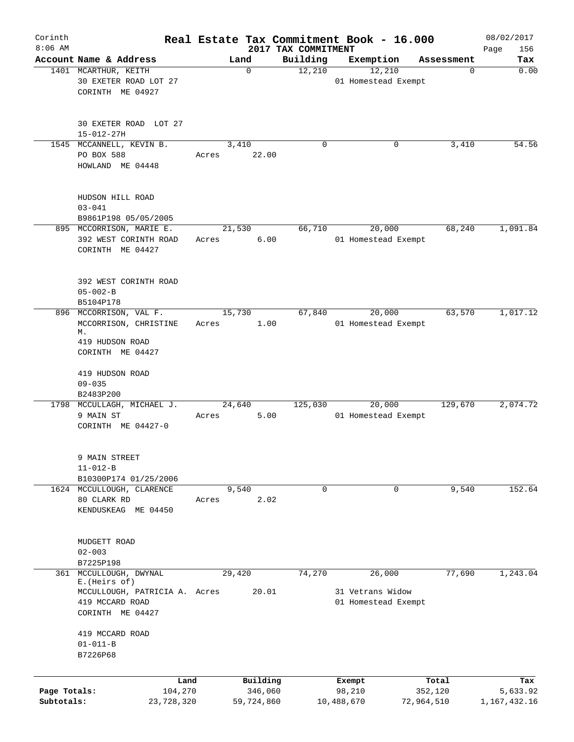| Corinth<br>$8:06$ AM |                                                                      |                |            |                                 | Real Estate Tax Commitment Book - 16.000 |            | 08/02/2017         |
|----------------------|----------------------------------------------------------------------|----------------|------------|---------------------------------|------------------------------------------|------------|--------------------|
|                      | Account Name & Address                                               | Land           |            | 2017 TAX COMMITMENT<br>Building | Exemption                                | Assessment | 156<br>Page<br>Tax |
|                      | 1401 MCARTHUR, KEITH<br>30 EXETER ROAD LOT 27<br>CORINTH ME 04927    |                | 0          | 12,210                          | 12,210<br>01 Homestead Exempt            | 0          | 0.00               |
|                      | 30 EXETER ROAD LOT 27<br>15-012-27H                                  |                |            |                                 |                                          |            |                    |
|                      | 1545 MCCANNELL, KEVIN B.<br>PO BOX 588<br>HOWLAND ME 04448           | 3,410<br>Acres | 22.00      | 0                               | 0                                        | 3,410      | 54.56              |
|                      | HUDSON HILL ROAD<br>$03 - 041$<br>B9861P198 05/05/2005               |                |            |                                 |                                          |            |                    |
|                      | 895 MCCORRISON, MARIE E.                                             | 21,530         |            | 66,710                          | 20,000                                   | 68,240     | 1,091.84           |
|                      | 392 WEST CORINTH ROAD<br>CORINTH ME 04427                            | Acres          | 6.00       |                                 | 01 Homestead Exempt                      |            |                    |
|                      | 392 WEST CORINTH ROAD<br>$05 - 002 - B$<br>B5104P178                 |                |            |                                 |                                          |            |                    |
|                      | 896 MCCORRISON, VAL F.                                               | 15,730         |            | 67,840                          | 20,000                                   | 63,570     | 1,017.12           |
|                      | MCCORRISON, CHRISTINE<br>М.                                          | Acres          | 1.00       |                                 | 01 Homestead Exempt                      |            |                    |
|                      | 419 HUDSON ROAD<br>CORINTH ME 04427                                  |                |            |                                 |                                          |            |                    |
|                      | 419 HUDSON ROAD<br>$09 - 035$<br>B2483P200                           |                |            |                                 |                                          |            |                    |
|                      | 1798 MCCULLAGH, MICHAEL J.                                           | 24,640         |            | 125,030                         | 20,000                                   | 129,670    | 2,074.72           |
|                      | 9 MAIN ST<br>CORINTH ME 04427-0                                      | Acres          | 5.00       |                                 | 01 Homestead Exempt                      |            |                    |
|                      | 9 MAIN STREET<br>$11 - 012 - B$                                      |                |            |                                 |                                          |            |                    |
|                      | B10300P174 01/25/2006                                                |                |            |                                 |                                          |            |                    |
|                      | 1624 MCCULLOUGH, CLARENCE<br>80 CLARK RD<br>KENDUSKEAG ME 04450      | 9,540<br>Acres | 2.02       | 0                               | 0                                        | 9,540      | 152.64             |
|                      | MUDGETT ROAD<br>$02 - 003$                                           |                |            |                                 |                                          |            |                    |
|                      | B7225P198                                                            |                |            |                                 |                                          |            |                    |
|                      | 361 MCCULLOUGH, DWYNAL<br>E. (Heirs of)                              | 29,420         |            | 74,270                          | 26,000                                   | 77,690     | 1,243.04           |
|                      | MCCULLOUGH, PATRICIA A. Acres<br>419 MCCARD ROAD<br>CORINTH ME 04427 |                | 20.01      |                                 | 31 Vetrans Widow<br>01 Homestead Exempt  |            |                    |
|                      | 419 MCCARD ROAD                                                      |                |            |                                 |                                          |            |                    |
|                      | $01 - 011 - B$<br>B7226P68                                           |                |            |                                 |                                          |            |                    |
|                      | Land                                                                 |                | Building   |                                 | Exempt                                   | Total      | Tax                |
| Page Totals:         | 104,270                                                              |                | 346,060    |                                 | 98,210                                   | 352,120    | 5,633.92           |
| Subtotals:           | 23,728,320                                                           |                | 59,724,860 |                                 | 10,488,670                               | 72,964,510 | 1,167,432.16       |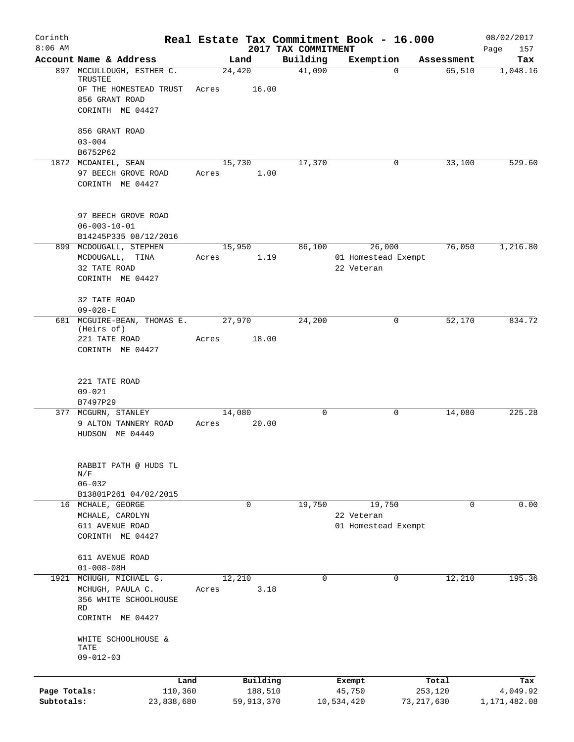| Corinth<br>$8:06$ AM |                                                 |                 |             |                                 | Real Estate Tax Commitment Book - 16.000 |                       | 08/02/2017         |
|----------------------|-------------------------------------------------|-----------------|-------------|---------------------------------|------------------------------------------|-----------------------|--------------------|
|                      | Account Name & Address                          |                 | Land        | 2017 TAX COMMITMENT<br>Building | Exemption                                | Assessment            | Page<br>157<br>Tax |
|                      | 897 MCCULLOUGH, ESTHER C.<br>TRUSTEE            | 24,420          |             | 41,090                          |                                          | 65,510<br>$\Omega$    | 1,048.16           |
|                      | OF THE HOMESTEAD TRUST                          | Acres           | 16.00       |                                 |                                          |                       |                    |
|                      | 856 GRANT ROAD<br>CORINTH ME 04427              |                 |             |                                 |                                          |                       |                    |
|                      | 856 GRANT ROAD                                  |                 |             |                                 |                                          |                       |                    |
|                      | $03 - 004$                                      |                 |             |                                 |                                          |                       |                    |
|                      | B6752P62<br>1872 MCDANIEL, SEAN                 | 15,730          |             | 17,370                          |                                          | 33,100<br>0           | 529.60             |
|                      | 97 BEECH GROVE ROAD                             | Acres           | 1.00        |                                 |                                          |                       |                    |
|                      | CORINTH ME 04427                                |                 |             |                                 |                                          |                       |                    |
|                      | 97 BEECH GROVE ROAD                             |                 |             |                                 |                                          |                       |                    |
|                      | $06 - 003 - 10 - 01$                            |                 |             |                                 |                                          |                       |                    |
|                      | B14245P335 08/12/2016<br>899 MCDOUGALL, STEPHEN | 15,950          |             | 86,100                          | 26,000                                   | 76,050                | 1,216.80           |
|                      | MCDOUGALL, TINA                                 | Acres           | 1.19        |                                 | 01 Homestead Exempt                      |                       |                    |
|                      | 32 TATE ROAD                                    |                 |             |                                 | 22 Veteran                               |                       |                    |
|                      | CORINTH ME 04427                                |                 |             |                                 |                                          |                       |                    |
|                      | 32 TATE ROAD<br>$09 - 028 - E$                  |                 |             |                                 |                                          |                       |                    |
|                      | 681 MCGUIRE-BEAN, THOMAS E.                     | 27,970          |             | 24,200                          |                                          | 0<br>52,170           | 834.72             |
|                      | (Heirs of)                                      |                 |             |                                 |                                          |                       |                    |
|                      | 221 TATE ROAD<br>CORINTH ME 04427               | Acres           | 18.00       |                                 |                                          |                       |                    |
|                      |                                                 |                 |             |                                 |                                          |                       |                    |
|                      | 221 TATE ROAD                                   |                 |             |                                 |                                          |                       |                    |
|                      | $09 - 021$<br>B7497P29                          |                 |             |                                 |                                          |                       |                    |
|                      | 377 MCGURN, STANLEY                             | 14,080          |             | 0                               |                                          | 14,080<br>0           | 225.28             |
|                      | 9 ALTON TANNERY ROAD                            | Acres           | 20.00       |                                 |                                          |                       |                    |
|                      | HUDSON ME 04449                                 |                 |             |                                 |                                          |                       |                    |
|                      | RABBIT PATH @ HUDS TL                           |                 |             |                                 |                                          |                       |                    |
|                      | N/F                                             |                 |             |                                 |                                          |                       |                    |
|                      | $06 - 032$<br>B13801P261 04/02/2015             |                 |             |                                 |                                          |                       |                    |
|                      | 16 MCHALE, GEORGE                               |                 | $\mathbf 0$ | 19,750                          | 19,750                                   | 0                     | 0.00               |
|                      | MCHALE, CAROLYN                                 |                 |             |                                 | 22 Veteran                               |                       |                    |
|                      | 611 AVENUE ROAD                                 |                 |             |                                 | 01 Homestead Exempt                      |                       |                    |
|                      | CORINTH ME 04427                                |                 |             |                                 |                                          |                       |                    |
|                      | 611 AVENUE ROAD                                 |                 |             |                                 |                                          |                       |                    |
|                      | $01 - 008 - 08H$                                |                 |             |                                 |                                          |                       |                    |
|                      | 1921 MCHUGH, MICHAEL G.<br>MCHUGH, PAULA C.     | 12,210<br>Acres | 3.18        | 0                               |                                          | $\mathbf 0$<br>12,210 | 195.36             |
|                      | 356 WHITE SCHOOLHOUSE<br>RD                     |                 |             |                                 |                                          |                       |                    |
|                      | CORINTH ME 04427                                |                 |             |                                 |                                          |                       |                    |
|                      | WHITE SCHOOLHOUSE &<br>TATE                     |                 |             |                                 |                                          |                       |                    |
|                      | $09 - 012 - 03$                                 |                 |             |                                 |                                          |                       |                    |
|                      | Land                                            |                 | Building    |                                 | Exempt                                   | Total                 | Tax                |
| Page Totals:         | 110,360                                         |                 | 188,510     |                                 | 45,750                                   | 253,120               | 4,049.92           |
| Subtotals:           | 23,838,680                                      |                 | 59,913,370  |                                 | 10,534,420                               | 73, 217, 630          | 1,171,482.08       |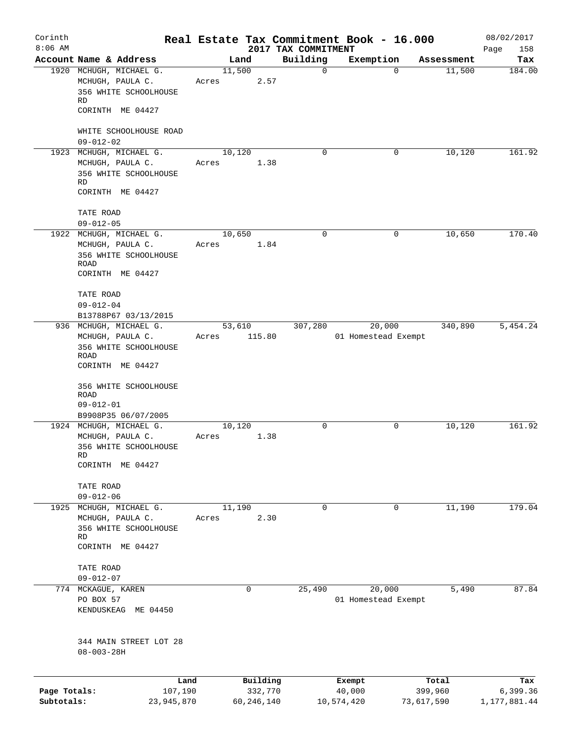| Corinth      |                                                                      |                 |              |                                 | Real Estate Tax Commitment Book - 16.000 |            | 08/02/2017         |
|--------------|----------------------------------------------------------------------|-----------------|--------------|---------------------------------|------------------------------------------|------------|--------------------|
| $8:06$ AM    | Account Name & Address                                               |                 | Land         | 2017 TAX COMMITMENT<br>Building | Exemption                                | Assessment | 158<br>Page<br>Tax |
|              | 1920 MCHUGH, MICHAEL G.<br>MCHUGH, PAULA C.<br>356 WHITE SCHOOLHOUSE | 11,500<br>Acres | 2.57         | $\mathbf 0$                     | $\Omega$                                 | 11,500     | 184.00             |
|              | RD<br>CORINTH ME 04427                                               |                 |              |                                 |                                          |            |                    |
|              | WHITE SCHOOLHOUSE ROAD<br>$09 - 012 - 02$                            |                 |              |                                 |                                          |            |                    |
|              | 1923 MCHUGH, MICHAEL G.                                              |                 | 10,120       | $\Omega$                        | $\mathbf 0$                              | 10,120     | 161.92             |
|              | MCHUGH, PAULA C.<br>356 WHITE SCHOOLHOUSE<br>RD                      | Acres           | 1.38         |                                 |                                          |            |                    |
|              | CORINTH ME 04427                                                     |                 |              |                                 |                                          |            |                    |
|              | TATE ROAD<br>$09 - 012 - 05$                                         |                 |              |                                 |                                          |            |                    |
|              | 1922 MCHUGH, MICHAEL G.                                              | 10,650          |              | $\mathbf 0$                     | 0                                        | 10,650     | 170.40             |
|              | MCHUGH, PAULA C.<br>356 WHITE SCHOOLHOUSE<br><b>ROAD</b>             | Acres           | 1.84         |                                 |                                          |            |                    |
|              | CORINTH ME 04427                                                     |                 |              |                                 |                                          |            |                    |
|              | TATE ROAD                                                            |                 |              |                                 |                                          |            |                    |
|              | $09 - 012 - 04$                                                      |                 |              |                                 |                                          |            |                    |
|              | B13788P67 03/13/2015                                                 |                 |              |                                 |                                          |            |                    |
|              | 936 MCHUGH, MICHAEL G.                                               |                 | 53,610       | 307,280                         | 20,000                                   | 340,890    | 5,454.24           |
|              | MCHUGH, PAULA C.<br>356 WHITE SCHOOLHOUSE                            | Acres           | 115.80       |                                 | 01 Homestead Exempt                      |            |                    |
|              | ROAD                                                                 |                 |              |                                 |                                          |            |                    |
|              | CORINTH ME 04427                                                     |                 |              |                                 |                                          |            |                    |
|              | 356 WHITE SCHOOLHOUSE                                                |                 |              |                                 |                                          |            |                    |
|              | ROAD                                                                 |                 |              |                                 |                                          |            |                    |
|              | $09 - 012 - 01$                                                      |                 |              |                                 |                                          |            |                    |
|              | B9908P35 06/07/2005<br>1924 MCHUGH, MICHAEL G.                       | 10,120          |              | 0                               | 0                                        | 10,120     | 161.92             |
|              | MCHUGH, PAULA C.                                                     | Acres           | 1.38         |                                 |                                          |            |                    |
|              | 356 WHITE SCHOOLHOUSE<br>RD                                          |                 |              |                                 |                                          |            |                    |
|              | CORINTH ME 04427                                                     |                 |              |                                 |                                          |            |                    |
|              | TATE ROAD<br>$09 - 012 - 06$                                         |                 |              |                                 |                                          |            |                    |
| 1925         | MCHUGH, MICHAEL G.                                                   | 11,190          |              | $\mathbf 0$                     | $\mathbf 0$                              | 11,190     | 179.04             |
|              | MCHUGH, PAULA C.<br>356 WHITE SCHOOLHOUSE                            | Acres           | 2.30         |                                 |                                          |            |                    |
|              | RD                                                                   |                 |              |                                 |                                          |            |                    |
|              | CORINTH ME 04427                                                     |                 |              |                                 |                                          |            |                    |
|              | TATE ROAD<br>$09 - 012 - 07$                                         |                 |              |                                 |                                          |            |                    |
|              | 774 MCKAGUE, KAREN                                                   |                 | 0            | 25,490                          | 20,000                                   | 5,490      | 87.84              |
|              | PO BOX 57                                                            |                 |              |                                 | 01 Homestead Exempt                      |            |                    |
|              | KENDUSKEAG ME 04450                                                  |                 |              |                                 |                                          |            |                    |
|              | 344 MAIN STREET LOT 28                                               |                 |              |                                 |                                          |            |                    |
|              | $08 - 003 - 28H$                                                     |                 |              |                                 |                                          |            |                    |
|              | Land                                                                 |                 | Building     |                                 | Exempt                                   | Total      | Tax                |
| Page Totals: | 107,190                                                              |                 | 332,770      |                                 | 40,000                                   | 399,960    | 6,399.36           |
| Subtotals:   | 23,945,870                                                           |                 | 60, 246, 140 |                                 | 10,574,420                               | 73,617,590 | 1,177,881.44       |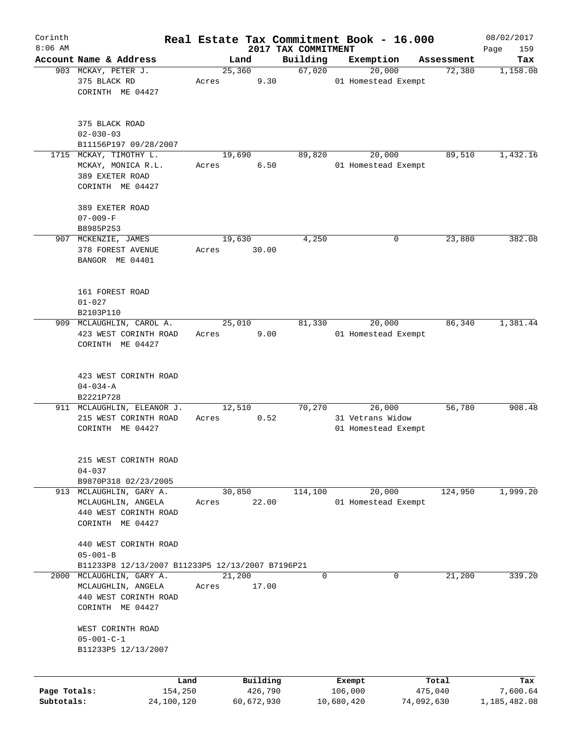| Corinth      |                                                  |                 |       |        |                     |                                 |   | Real Estate Tax Commitment Book - 16.000 |            |            | 08/02/2017         |
|--------------|--------------------------------------------------|-----------------|-------|--------|---------------------|---------------------------------|---|------------------------------------------|------------|------------|--------------------|
| $8:06$ AM    | Account Name & Address                           |                 |       | Land   |                     | 2017 TAX COMMITMENT<br>Building |   | Exemption                                |            | Assessment | 159<br>Page<br>Tax |
|              | 903 MCKAY, PETER J.                              |                 |       | 25,360 |                     | 67,020                          |   | 20,000                                   |            | 72,380     | 1,158.08           |
|              | 375 BLACK RD                                     |                 | Acres |        | 9.30                |                                 |   | 01 Homestead Exempt                      |            |            |                    |
|              | CORINTH ME 04427                                 |                 |       |        |                     |                                 |   |                                          |            |            |                    |
|              |                                                  |                 |       |        |                     |                                 |   |                                          |            |            |                    |
|              | 375 BLACK ROAD                                   |                 |       |        |                     |                                 |   |                                          |            |            |                    |
|              | $02 - 030 - 03$                                  |                 |       |        |                     |                                 |   |                                          |            |            |                    |
|              | B11156P197 09/28/2007<br>1715 MCKAY, TIMOTHY L.  |                 |       | 19,690 |                     | 89,820                          |   | 20,000                                   |            | 89,510     | 1,432.16           |
|              | MCKAY, MONICA R.L.                               |                 | Acres |        | 6.50                |                                 |   | 01 Homestead Exempt                      |            |            |                    |
|              | 389 EXETER ROAD                                  |                 |       |        |                     |                                 |   |                                          |            |            |                    |
|              | CORINTH ME 04427                                 |                 |       |        |                     |                                 |   |                                          |            |            |                    |
|              | 389 EXETER ROAD                                  |                 |       |        |                     |                                 |   |                                          |            |            |                    |
|              | $07 - 009 - F$                                   |                 |       |        |                     |                                 |   |                                          |            |            |                    |
|              | B8985P253                                        |                 |       |        |                     |                                 |   |                                          |            |            |                    |
|              | 907 MCKENZIE, JAMES                              |                 |       | 19,630 |                     | 4,250                           |   | 0                                        |            | 23,880     | 382.08             |
|              | 378 FOREST AVENUE                                |                 | Acres |        | 30.00               |                                 |   |                                          |            |            |                    |
|              | BANGOR ME 04401                                  |                 |       |        |                     |                                 |   |                                          |            |            |                    |
|              | 161 FOREST ROAD                                  |                 |       |        |                     |                                 |   |                                          |            |            |                    |
|              | $01 - 027$                                       |                 |       |        |                     |                                 |   |                                          |            |            |                    |
|              | B2103P110                                        |                 |       |        |                     |                                 |   |                                          |            |            |                    |
|              | 909 MCLAUGHLIN, CAROL A.                         |                 |       | 25,010 |                     | 81,330                          |   | 20,000                                   |            | 86,340     | 1,381.44           |
|              | 423 WEST CORINTH ROAD                            |                 | Acres |        | 9.00                |                                 |   | 01 Homestead Exempt                      |            |            |                    |
|              | CORINTH ME 04427                                 |                 |       |        |                     |                                 |   |                                          |            |            |                    |
|              |                                                  |                 |       |        |                     |                                 |   |                                          |            |            |                    |
|              | 423 WEST CORINTH ROAD                            |                 |       |        |                     |                                 |   |                                          |            |            |                    |
|              | $04 - 034 - A$                                   |                 |       |        |                     |                                 |   |                                          |            |            |                    |
|              | B2221P728<br>911 MCLAUGHLIN, ELEANOR J.          |                 |       | 12,510 |                     | 70,270                          |   | 26,000                                   |            | 56,780     | 908.48             |
|              | 215 WEST CORINTH ROAD                            |                 | Acres |        | 0.52                |                                 |   | 31 Vetrans Widow                         |            |            |                    |
|              | CORINTH ME 04427                                 |                 |       |        |                     |                                 |   | 01 Homestead Exempt                      |            |            |                    |
|              |                                                  |                 |       |        |                     |                                 |   |                                          |            |            |                    |
|              | 215 WEST CORINTH ROAD                            |                 |       |        |                     |                                 |   |                                          |            |            |                    |
|              | $04 - 037$                                       |                 |       |        |                     |                                 |   |                                          |            |            |                    |
|              | B9870P318 02/23/2005                             |                 |       |        |                     |                                 |   |                                          |            |            |                    |
|              | 913 MCLAUGHLIN, GARY A.                          |                 |       | 30,850 |                     | 114,100                         |   | 20,000                                   |            | 124,950    | 1,999.20           |
|              | MCLAUGHLIN, ANGELA                               |                 | Acres |        | 22.00               |                                 |   | 01 Homestead Exempt                      |            |            |                    |
|              | 440 WEST CORINTH ROAD                            |                 |       |        |                     |                                 |   |                                          |            |            |                    |
|              | CORINTH ME 04427                                 |                 |       |        |                     |                                 |   |                                          |            |            |                    |
|              | 440 WEST CORINTH ROAD                            |                 |       |        |                     |                                 |   |                                          |            |            |                    |
|              | $05 - 001 - B$                                   |                 |       |        |                     |                                 |   |                                          |            |            |                    |
|              | B11233P8 12/13/2007 B11233P5 12/13/2007 B7196P21 |                 |       |        |                     |                                 |   |                                          |            |            |                    |
| 2000         | MCLAUGHLIN, GARY A.                              |                 |       | 21,200 |                     |                                 | 0 | $\mathbf{0}$                             |            | 21,200     | 339.20             |
|              | MCLAUGHLIN, ANGELA                               |                 | Acres |        | 17.00               |                                 |   |                                          |            |            |                    |
|              | 440 WEST CORINTH ROAD                            |                 |       |        |                     |                                 |   |                                          |            |            |                    |
|              | CORINTH ME 04427                                 |                 |       |        |                     |                                 |   |                                          |            |            |                    |
|              | WEST CORINTH ROAD                                |                 |       |        |                     |                                 |   |                                          |            |            |                    |
|              | $05 - 001 - C - 1$                               |                 |       |        |                     |                                 |   |                                          |            |            |                    |
|              | B11233P5 12/13/2007                              |                 |       |        |                     |                                 |   |                                          |            |            |                    |
|              |                                                  |                 |       |        |                     |                                 |   |                                          |            |            |                    |
| Page Totals: |                                                  | Land<br>154,250 |       |        | Building<br>426,790 |                                 |   | Exempt<br>106,000                        | 475,040    | Total      | Tax<br>7,600.64    |
| Subtotals:   |                                                  | 24,100,120      |       |        | 60,672,930          |                                 |   | 10,680,420                               | 74,092,630 |            | 1,185,482.08       |
|              |                                                  |                 |       |        |                     |                                 |   |                                          |            |            |                    |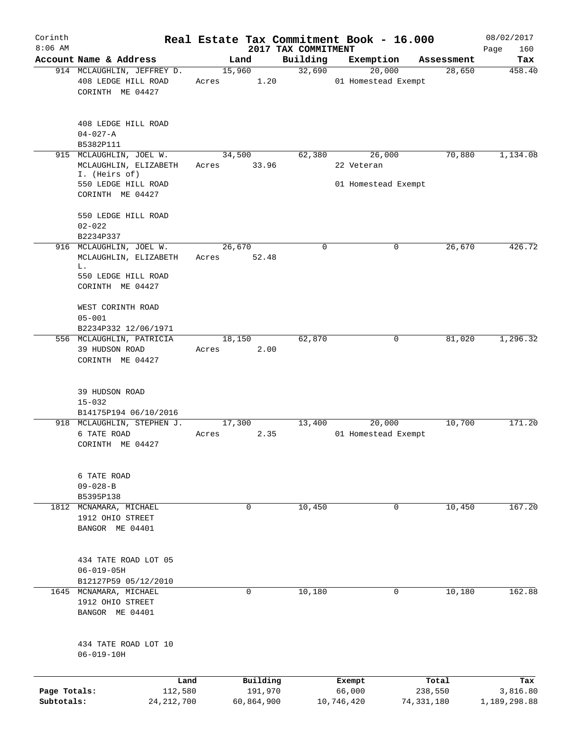| Corinth<br>$8:06$ AM |                                                                       |                 |            |                                 | Real Estate Tax Commitment Book - 16.000 |              | 08/02/2017         |
|----------------------|-----------------------------------------------------------------------|-----------------|------------|---------------------------------|------------------------------------------|--------------|--------------------|
|                      | Account Name & Address                                                | Land            |            | 2017 TAX COMMITMENT<br>Building | Exemption                                | Assessment   | Page<br>160<br>Tax |
|                      | 914 MCLAUGHLIN, JEFFREY D.<br>408 LEDGE HILL ROAD<br>CORINTH ME 04427 | 15,960<br>Acres | 1.20       | 32,690                          | 20,000<br>01 Homestead Exempt            | 28,650       | 458.40             |
|                      | 408 LEDGE HILL ROAD<br>$04 - 027 - A$<br>B5382P111                    |                 |            |                                 |                                          |              |                    |
|                      | 915 MCLAUGHLIN, JOEL W.                                               | 34,500          |            | 62,380                          | 26,000                                   | 70,880       | 1,134.08           |
|                      | MCLAUGHLIN, ELIZABETH<br>I. (Heirs of)<br>550 LEDGE HILL ROAD         | Acres           | 33.96      |                                 | 22 Veteran<br>01 Homestead Exempt        |              |                    |
|                      | CORINTH ME 04427                                                      |                 |            |                                 |                                          |              |                    |
|                      | 550 LEDGE HILL ROAD<br>$02 - 022$<br>B2234P337                        |                 |            |                                 |                                          |              |                    |
|                      | 916 MCLAUGHLIN, JOEL W.                                               | 26,670          |            | 0                               | 0                                        | 26, 670      | 426.72             |
|                      | MCLAUGHLIN, ELIZABETH                                                 | Acres           | 52.48      |                                 |                                          |              |                    |
|                      | L.<br>550 LEDGE HILL ROAD<br>CORINTH ME 04427                         |                 |            |                                 |                                          |              |                    |
|                      | WEST CORINTH ROAD<br>$05 - 001$                                       |                 |            |                                 |                                          |              |                    |
|                      | B2234P332 12/06/1971                                                  |                 |            |                                 |                                          |              |                    |
|                      | 556 MCLAUGHLIN, PATRICIA<br>39 HUDSON ROAD<br>CORINTH ME 04427        | 18,150<br>Acres | 2.00       | 62,870                          | 0                                        | 81,020       | 1,296.32           |
|                      | 39 HUDSON ROAD<br>$15 - 032$                                          |                 |            |                                 |                                          |              |                    |
|                      | B14175P194 06/10/2016<br>918 MCLAUGHLIN, STEPHEN J.                   | 17,300          |            | 13,400                          | 20,000                                   | 10,700       | 171.20             |
|                      | 6 TATE ROAD<br>CORINTH ME 04427                                       | Acres           | 2.35       |                                 | 01 Homestead Exempt                      |              |                    |
|                      | 6 TATE ROAD<br>$09 - 028 - B$<br>B5395P138                            |                 |            |                                 |                                          |              |                    |
|                      | 1812 MCNAMARA, MICHAEL                                                |                 | 0          | 10,450                          | $\mathbf 0$                              | 10,450       | 167.20             |
|                      | 1912 OHIO STREET<br>BANGOR ME 04401                                   |                 |            |                                 |                                          |              |                    |
|                      | 434 TATE ROAD LOT 05<br>$06 - 019 - 05H$                              |                 |            |                                 |                                          |              |                    |
|                      | B12127P59 05/12/2010<br>1645 MCNAMARA, MICHAEL                        |                 | 0          | 10,180                          | 0                                        | 10,180       | 162.88             |
|                      | 1912 OHIO STREET<br>BANGOR ME 04401                                   |                 |            |                                 |                                          |              |                    |
|                      | 434 TATE ROAD LOT 10<br>$06 - 019 - 10H$                              |                 |            |                                 |                                          |              |                    |
|                      | Land                                                                  |                 | Building   |                                 | Exempt                                   | Total        | Tax                |
| Page Totals:         | 112,580                                                               |                 | 191,970    |                                 | 66,000                                   | 238,550      | 3,816.80           |
| Subtotals:           | 24, 212, 700                                                          |                 | 60,864,900 |                                 | 10,746,420                               | 74, 331, 180 | 1,189,298.88       |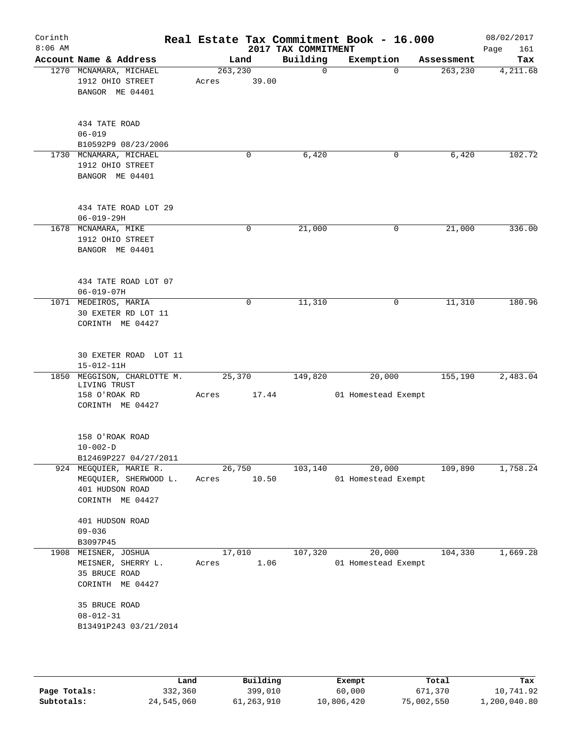| Corinth<br>$8:06$ AM |                                                                                        |                  |       | 2017 TAX COMMITMENT | Real Estate Tax Commitment Book - 16.000 |            | 08/02/2017<br>Page<br>161 |
|----------------------|----------------------------------------------------------------------------------------|------------------|-------|---------------------|------------------------------------------|------------|---------------------------|
|                      | Account Name & Address                                                                 |                  | Land  | Building            | Exemption                                | Assessment | Tax                       |
|                      | 1270 MCNAMARA, MICHAEL<br>1912 OHIO STREET<br>BANGOR ME 04401                          | 263,230<br>Acres | 39.00 | $\mathbf 0$         | $\Omega$                                 | 263, 230   | 4,211.68                  |
|                      | 434 TATE ROAD<br>$06 - 019$<br>B10592P9 08/23/2006                                     |                  |       |                     |                                          |            |                           |
|                      | 1730 MCNAMARA, MICHAEL<br>1912 OHIO STREET<br>BANGOR ME 04401                          |                  | 0     | 6,420               | 0                                        | 6,420      | 102.72                    |
|                      | 434 TATE ROAD LOT 29<br>$06 - 019 - 29H$                                               |                  |       |                     |                                          |            |                           |
|                      | 1678 MCNAMARA, MIKE<br>1912 OHIO STREET<br>BANGOR ME 04401                             |                  | 0     | 21,000              | 0                                        | 21,000     | 336.00                    |
|                      | 434 TATE ROAD LOT 07<br>$06 - 019 - 07H$                                               |                  |       |                     |                                          |            |                           |
|                      | 1071 MEDEIROS, MARIA<br>30 EXETER RD LOT 11<br>CORINTH ME 04427                        |                  | 0     | 11,310              | 0                                        | 11,310     | 180.96                    |
|                      | 30 EXETER ROAD LOT 11<br>$15 - 012 - 11H$                                              |                  |       |                     |                                          |            |                           |
|                      | 1850 MEGGISON, CHARLOTTE M.<br>LIVING TRUST                                            | 25,370           |       | 149,820             | 20,000                                   | 155,190    | 2,483.04                  |
|                      | 158 O'ROAK RD<br>CORINTH ME 04427                                                      | Acres            | 17.44 |                     | 01 Homestead Exempt                      |            |                           |
|                      | 158 O'ROAK ROAD<br>$10 - 002 - D$<br>B12469P227 04/27/2011                             |                  |       |                     |                                          |            |                           |
|                      | 924 MEGQUIER, MARIE R.<br>MEGQUIER, SHERWOOD L.<br>401 HUDSON ROAD<br>CORINTH ME 04427 | 26,750<br>Acres  | 10.50 | 103,140             | 20,000<br>01 Homestead Exempt            | 109,890    | 1,758.24                  |
|                      | 401 HUDSON ROAD<br>$09 - 036$<br>B3097P45                                              |                  |       |                     |                                          |            |                           |
| 1908                 | MEISNER, JOSHUA<br>MEISNER, SHERRY L.<br>35 BRUCE ROAD<br>CORINTH ME 04427             | 17,010<br>Acres  | 1.06  | 107,320             | 20,000<br>01 Homestead Exempt            | 104,330    | 1,669.28                  |
|                      | 35 BRUCE ROAD<br>$08 - 012 - 31$<br>B13491P243 03/21/2014                              |                  |       |                     |                                          |            |                           |
|                      |                                                                                        |                  |       |                     |                                          |            |                           |

|              | Land       | Building   | Exempt     | Total      | Tax          |
|--------------|------------|------------|------------|------------|--------------|
| Page Totals: | 332,360    | 399,010    | 60,000     | 671,370    | 10,741.92    |
| Subtotals:   | 24,545,060 | 61,263,910 | 10,806,420 | 75,002,550 | l,200,040.80 |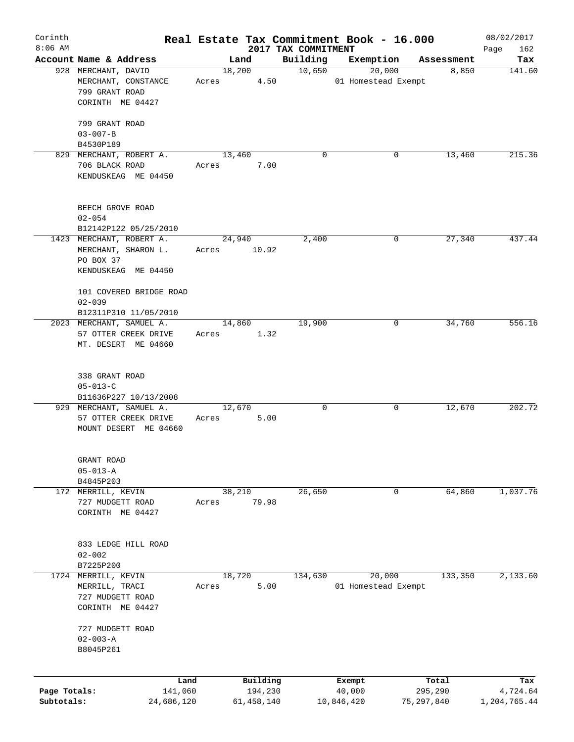| Corinth<br>$8:06$ AM |                                   |       |              |                                 | Real Estate Tax Commitment Book - 16.000 |            | 08/02/2017         |
|----------------------|-----------------------------------|-------|--------------|---------------------------------|------------------------------------------|------------|--------------------|
|                      | Account Name & Address            |       | Land         | 2017 TAX COMMITMENT<br>Building | Exemption                                | Assessment | Page<br>162<br>Tax |
|                      | 928 MERCHANT, DAVID               |       | 18,200       | 10,650                          | 20,000                                   | 8,850      | 141.60             |
|                      | MERCHANT, CONSTANCE               | Acres | 4.50         |                                 | 01 Homestead Exempt                      |            |                    |
|                      | 799 GRANT ROAD                    |       |              |                                 |                                          |            |                    |
|                      | CORINTH ME 04427                  |       |              |                                 |                                          |            |                    |
|                      |                                   |       |              |                                 |                                          |            |                    |
|                      | 799 GRANT ROAD                    |       |              |                                 |                                          |            |                    |
|                      | $03 - 007 - B$                    |       |              |                                 |                                          |            |                    |
|                      | B4530P189                         |       |              |                                 |                                          |            |                    |
|                      | 829 MERCHANT, ROBERT A.           |       | 13,460       | $\mathbf 0$                     | 0                                        | 13,460     | 215.36             |
|                      | 706 BLACK ROAD                    | Acres | 7.00         |                                 |                                          |            |                    |
|                      | KENDUSKEAG ME 04450               |       |              |                                 |                                          |            |                    |
|                      |                                   |       |              |                                 |                                          |            |                    |
|                      |                                   |       |              |                                 |                                          |            |                    |
|                      | BEECH GROVE ROAD                  |       |              |                                 |                                          |            |                    |
|                      | $02 - 054$                        |       |              |                                 |                                          |            |                    |
|                      | B12142P122 05/25/2010             |       |              |                                 |                                          |            |                    |
|                      | 1423 MERCHANT, ROBERT A.          |       | 24,940       | 2,400                           | 0                                        | 27,340     | 437.44             |
|                      | MERCHANT, SHARON L.               |       | Acres 10.92  |                                 |                                          |            |                    |
|                      | PO BOX 37                         |       |              |                                 |                                          |            |                    |
|                      | KENDUSKEAG ME 04450               |       |              |                                 |                                          |            |                    |
|                      | 101 COVERED BRIDGE ROAD           |       |              |                                 |                                          |            |                    |
|                      | $02 - 039$                        |       |              |                                 |                                          |            |                    |
|                      | B12311P310 11/05/2010             |       |              |                                 |                                          |            |                    |
|                      | 2023 MERCHANT, SAMUEL A.          |       | 14,860       | 19,900                          | 0                                        | 34,760     | 556.16             |
|                      | 57 OTTER CREEK DRIVE              | Acres | 1.32         |                                 |                                          |            |                    |
|                      | MT. DESERT ME 04660               |       |              |                                 |                                          |            |                    |
|                      |                                   |       |              |                                 |                                          |            |                    |
|                      |                                   |       |              |                                 |                                          |            |                    |
|                      | 338 GRANT ROAD                    |       |              |                                 |                                          |            |                    |
|                      | $05 - 013 - C$                    |       |              |                                 |                                          |            |                    |
|                      | B11636P227 10/13/2008             |       |              |                                 |                                          |            |                    |
|                      | 929 MERCHANT, SAMUEL A.           |       | 12,670       | 0                               | 0                                        | 12,670     | 202.72             |
|                      | 57 OTTER CREEK DRIVE              | Acres | 5.00         |                                 |                                          |            |                    |
|                      | MOUNT DESERT ME 04660             |       |              |                                 |                                          |            |                    |
|                      |                                   |       |              |                                 |                                          |            |                    |
|                      |                                   |       |              |                                 |                                          |            |                    |
|                      | GRANT ROAD                        |       |              |                                 |                                          |            |                    |
|                      | $05 - 013 - A$                    |       |              |                                 |                                          |            |                    |
|                      | B4845P203                         |       |              |                                 |                                          |            |                    |
| 172                  | MERRILL, KEVIN                    |       | 38,210       | 26,650                          | 0                                        | 64,860     | 1,037.76           |
|                      | 727 MUDGETT ROAD                  | Acres | 79.98        |                                 |                                          |            |                    |
|                      | CORINTH ME 04427                  |       |              |                                 |                                          |            |                    |
|                      |                                   |       |              |                                 |                                          |            |                    |
|                      |                                   |       |              |                                 |                                          |            |                    |
|                      | 833 LEDGE HILL ROAD<br>$02 - 002$ |       |              |                                 |                                          |            |                    |
|                      | B7225P200                         |       |              |                                 |                                          |            |                    |
| 1724                 | MERRILL, KEVIN                    |       | 18,720       | 134,630                         | 20,000                                   | 133,350    | 2,133.60           |
|                      | MERRILL, TRACI                    | Acres | 5.00         |                                 | 01 Homestead Exempt                      |            |                    |
|                      | 727 MUDGETT ROAD                  |       |              |                                 |                                          |            |                    |
|                      | CORINTH ME 04427                  |       |              |                                 |                                          |            |                    |
|                      |                                   |       |              |                                 |                                          |            |                    |
|                      | 727 MUDGETT ROAD                  |       |              |                                 |                                          |            |                    |
|                      | $02 - 003 - A$                    |       |              |                                 |                                          |            |                    |
|                      | B8045P261                         |       |              |                                 |                                          |            |                    |
|                      |                                   |       |              |                                 |                                          |            |                    |
|                      |                                   |       |              |                                 |                                          |            |                    |
|                      | Land                              |       | Building     |                                 | Exempt                                   | Total      | Tax                |
| Page Totals:         | 141,060                           |       | 194,230      |                                 | 40,000                                   | 295,290    | 4,724.64           |
| Subtotals:           | 24,686,120                        |       | 61, 458, 140 |                                 | 10,846,420                               | 75,297,840 | 1,204,765.44       |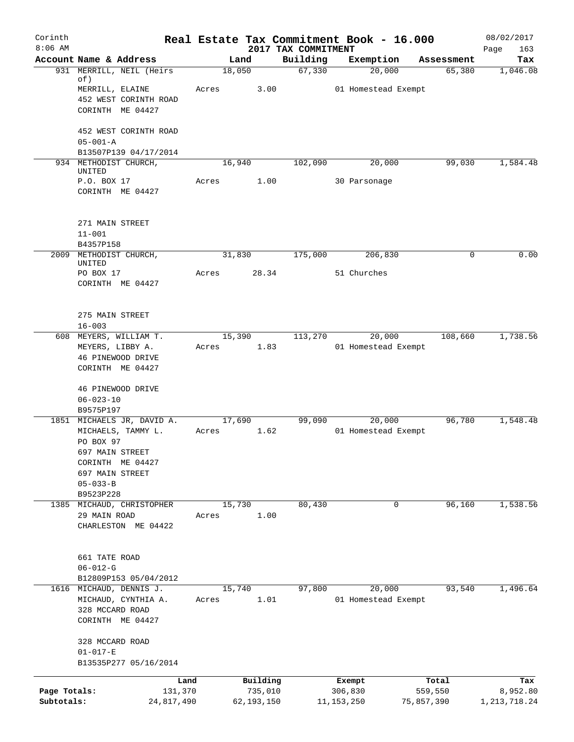| Corinth      |                                        |       |            |                                 | Real Estate Tax Commitment Book - 16.000 |             | 08/02/2017         |
|--------------|----------------------------------------|-------|------------|---------------------------------|------------------------------------------|-------------|--------------------|
| $8:06$ AM    | Account Name & Address                 |       | Land       | 2017 TAX COMMITMENT<br>Building | Exemption                                | Assessment  | 163<br>Page<br>Tax |
|              | 931 MERRILL, NEIL (Heirs               |       | 18,050     | 67,330                          | 20,000                                   | 65,380      | 1,046.08           |
|              | of)                                    |       |            |                                 |                                          |             |                    |
|              | MERRILL, ELAINE                        | Acres | 3.00       |                                 | 01 Homestead Exempt                      |             |                    |
|              | 452 WEST CORINTH ROAD                  |       |            |                                 |                                          |             |                    |
|              | CORINTH ME 04427                       |       |            |                                 |                                          |             |                    |
|              | 452 WEST CORINTH ROAD                  |       |            |                                 |                                          |             |                    |
|              | $05 - 001 - A$                         |       |            |                                 |                                          |             |                    |
|              | B13507P139 04/17/2014                  |       |            |                                 |                                          |             |                    |
|              | 934 METHODIST CHURCH,<br>UNITED        |       | 16,940     | 102,090                         | 20,000                                   | 99,030      | 1,584.48           |
|              | P.O. BOX 17                            | Acres | 1.00       |                                 | 30 Parsonage                             |             |                    |
|              | CORINTH ME 04427                       |       |            |                                 |                                          |             |                    |
|              |                                        |       |            |                                 |                                          |             |                    |
|              |                                        |       |            |                                 |                                          |             |                    |
|              | 271 MAIN STREET                        |       |            |                                 |                                          |             |                    |
|              | $11 - 001$<br>B4357P158                |       |            |                                 |                                          |             |                    |
|              | 2009 METHODIST CHURCH,                 |       | 31,830     | 175,000                         | 206,830                                  | $\mathbf 0$ | 0.00               |
|              | UNITED                                 |       |            |                                 |                                          |             |                    |
|              | PO BOX 17                              | Acres | 28.34      |                                 | 51 Churches                              |             |                    |
|              | CORINTH ME 04427                       |       |            |                                 |                                          |             |                    |
|              |                                        |       |            |                                 |                                          |             |                    |
|              | 275 MAIN STREET                        |       |            |                                 |                                          |             |                    |
|              | $16 - 003$                             |       |            |                                 |                                          |             |                    |
| 608          | MEYERS, WILLIAM T.                     |       | 15,390     | 113,270                         | 20,000                                   | 108,660     | 1,738.56           |
|              | MEYERS, LIBBY A.                       | Acres | 1.83       |                                 | 01 Homestead Exempt                      |             |                    |
|              | 46 PINEWOOD DRIVE                      |       |            |                                 |                                          |             |                    |
|              | CORINTH ME 04427                       |       |            |                                 |                                          |             |                    |
|              |                                        |       |            |                                 |                                          |             |                    |
|              | 46 PINEWOOD DRIVE                      |       |            |                                 |                                          |             |                    |
|              | $06 - 023 - 10$<br>B9575P197           |       |            |                                 |                                          |             |                    |
|              | 1851 MICHAELS JR, DAVID A.             |       | 17,690     | 99,090                          | 20,000                                   | 96,780      | 1,548.48           |
|              | MICHAELS, TAMMY L.                     | Acres | 1.62       |                                 | 01 Homestead Exempt                      |             |                    |
|              | PO BOX 97                              |       |            |                                 |                                          |             |                    |
|              | 697 MAIN STREET                        |       |            |                                 |                                          |             |                    |
|              | CORINTH ME 04427                       |       |            |                                 |                                          |             |                    |
|              | 697 MAIN STREET                        |       |            |                                 |                                          |             |                    |
|              | $05 - 033 - B$                         |       |            |                                 |                                          |             |                    |
|              | B9523P228                              |       |            |                                 |                                          |             |                    |
|              | 1385 MICHAUD, CHRISTOPHER              |       | 15,730     | 80,430                          | 0                                        | 96,160      | 1,538.56           |
|              | 29 MAIN ROAD<br>CHARLESTON ME 04422    | Acres | 1.00       |                                 |                                          |             |                    |
|              |                                        |       |            |                                 |                                          |             |                    |
|              |                                        |       |            |                                 |                                          |             |                    |
|              | 661 TATE ROAD                          |       |            |                                 |                                          |             |                    |
|              | $06 - 012 - G$                         |       |            |                                 |                                          |             |                    |
|              | B12809P153 05/04/2012                  |       |            |                                 |                                          |             |                    |
| 1616         | MICHAUD, DENNIS J.                     |       | 15,740     | 97,800                          | 20,000                                   | 93,540      | 1,496.64           |
|              | MICHAUD, CYNTHIA A.<br>328 MCCARD ROAD | Acres | 1.01       |                                 | 01 Homestead Exempt                      |             |                    |
|              | CORINTH ME 04427                       |       |            |                                 |                                          |             |                    |
|              |                                        |       |            |                                 |                                          |             |                    |
|              | 328 MCCARD ROAD                        |       |            |                                 |                                          |             |                    |
|              | $01 - 017 - E$                         |       |            |                                 |                                          |             |                    |
|              | B13535P277 05/16/2014                  |       |            |                                 |                                          |             |                    |
|              |                                        | Land  | Building   |                                 | Exempt                                   | Total       | Tax                |
| Page Totals: | 131,370                                |       | 735,010    |                                 | 306,830                                  | 559,550     | 8,952.80           |
| Subtotals:   | 24,817,490                             |       | 62,193,150 |                                 | 11, 153, 250                             | 75,857,390  | 1, 213, 718.24     |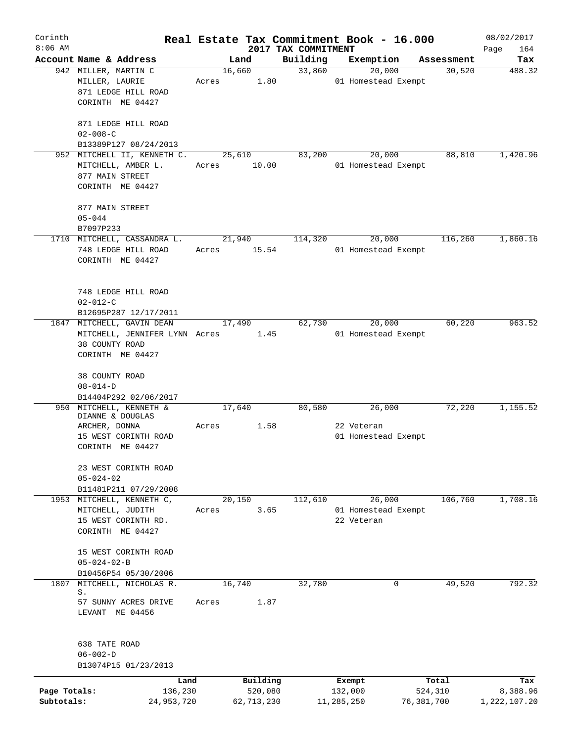| Corinth                    |                                                                                          |                 |                                   |                     | Real Estate Tax Commitment Book - 16.000 |                                | 08/02/2017                      |
|----------------------------|------------------------------------------------------------------------------------------|-----------------|-----------------------------------|---------------------|------------------------------------------|--------------------------------|---------------------------------|
| $8:06$ AM                  | Account Name & Address                                                                   |                 |                                   | 2017 TAX COMMITMENT |                                          |                                | Page<br>164                     |
|                            | 942 MILLER, MARTIN C                                                                     | Land<br>16,660  |                                   | Building<br>33,860  | Exemption<br>20,000                      | Assessment<br>30,520           | Tax<br>488.32                   |
|                            | MILLER, LAURIE<br>871 LEDGE HILL ROAD<br>CORINTH ME 04427                                | Acres           | 1.80                              |                     | 01 Homestead Exempt                      |                                |                                 |
|                            | 871 LEDGE HILL ROAD<br>$02 - 008 - C$                                                    |                 |                                   |                     |                                          |                                |                                 |
|                            | B13389P127 08/24/2013                                                                    |                 |                                   |                     |                                          |                                |                                 |
|                            | 952 MITCHELL II, KENNETH C.<br>MITCHELL, AMBER L.<br>877 MAIN STREET<br>CORINTH ME 04427 | 25,610<br>Acres | 10.00                             | 83,200              | 20,000<br>01 Homestead Exempt            | 88,810                         | 1,420.96                        |
|                            | 877 MAIN STREET<br>$05 - 044$                                                            |                 |                                   |                     |                                          |                                |                                 |
|                            | B7097P233                                                                                |                 |                                   |                     |                                          |                                |                                 |
|                            | 1710 MITCHELL, CASSANDRA L.<br>748 LEDGE HILL ROAD<br>CORINTH ME 04427                   | 21,940<br>Acres | 15.54                             | 114,320             | 20,000<br>01 Homestead Exempt            | 116,260                        | 1,860.16                        |
|                            | 748 LEDGE HILL ROAD<br>$02 - 012 - C$<br>B12695P287 12/17/2011                           |                 |                                   |                     |                                          |                                |                                 |
|                            | 1847 MITCHELL, GAVIN DEAN                                                                | 17,490          |                                   | 62,730              | 20,000                                   | 60,220                         | 963.52                          |
|                            | MITCHELL, JENNIFER LYNN Acres<br>38 COUNTY ROAD<br>CORINTH ME 04427                      |                 | 1.45                              |                     | 01 Homestead Exempt                      |                                |                                 |
|                            | 38 COUNTY ROAD<br>$08 - 014 - D$<br>B14404P292 02/06/2017                                |                 |                                   |                     |                                          |                                |                                 |
|                            | 950 MITCHELL, KENNETH &                                                                  | 17,640          |                                   | 80,580              | 26,000                                   | 72,220                         | 1,155.52                        |
|                            | DIANNE & DOUGLAS<br>ARCHER, DONNA<br>15 WEST CORINTH ROAD<br>CORINTH ME 04427            | Acres           | 1.58                              |                     | 22 Veteran<br>01 Homestead Exempt        |                                |                                 |
|                            | 23 WEST CORINTH ROAD<br>$05 - 024 - 02$                                                  |                 |                                   |                     |                                          |                                |                                 |
|                            | B11481P211 07/29/2008<br>1953 MITCHELL, KENNETH C,                                       | 20,150          |                                   | 112,610             | 26,000                                   | 106,760                        | 1,708.16                        |
|                            | MITCHELL, JUDITH<br>15 WEST CORINTH RD.<br>CORINTH ME 04427                              | Acres           | 3.65                              |                     | 01 Homestead Exempt<br>22 Veteran        |                                |                                 |
|                            | 15 WEST CORINTH ROAD<br>$05 - 024 - 02 - B$<br>B10456P54 05/30/2006                      |                 |                                   |                     |                                          |                                |                                 |
| 1807                       | MITCHELL, NICHOLAS R.                                                                    | 16,740          |                                   | 32,780              | $\Omega$                                 | 49,520                         | 792.32                          |
|                            | S.<br>57 SUNNY ACRES DRIVE<br>LEVANT ME 04456                                            | Acres           | 1.87                              |                     |                                          |                                |                                 |
|                            | 638 TATE ROAD<br>$06 - 002 - D$<br>B13074P15 01/23/2013                                  |                 |                                   |                     |                                          |                                |                                 |
|                            |                                                                                          |                 |                                   |                     |                                          |                                |                                 |
| Page Totals:<br>Subtotals: | Land<br>136,230<br>24,953,720                                                            |                 | Building<br>520,080<br>62,713,230 |                     | Exempt<br>132,000<br>11, 285, 250        | Total<br>524,310<br>76,381,700 | Tax<br>8,388.96<br>1,222,107.20 |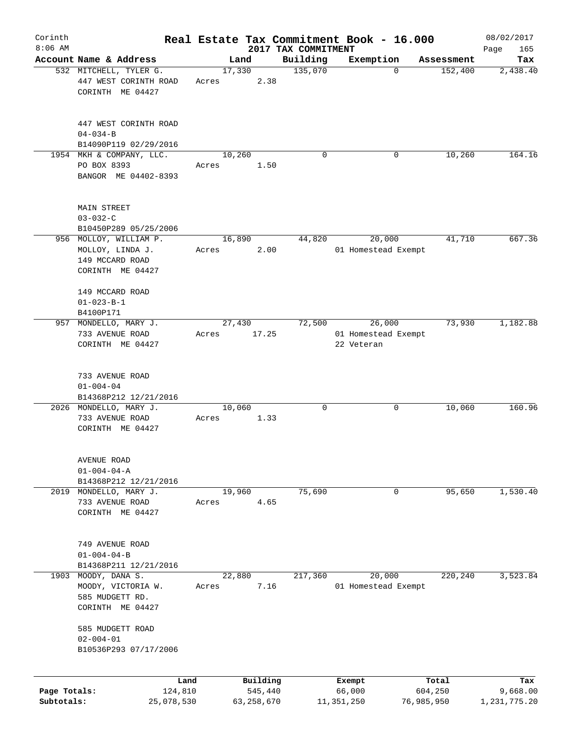| Corinth                    |                                                                                                          |       |                                   |                     | Real Estate Tax Commitment Book - 16.000    |                                | 08/02/2017                      |
|----------------------------|----------------------------------------------------------------------------------------------------------|-------|-----------------------------------|---------------------|---------------------------------------------|--------------------------------|---------------------------------|
| $8:06$ AM                  |                                                                                                          |       |                                   | 2017 TAX COMMITMENT |                                             |                                | 165<br>Page                     |
|                            | Account Name & Address                                                                                   |       | Land                              | Building            | Exemption                                   | Assessment                     | Tax                             |
|                            | 532 MITCHELL, TYLER G.<br>447 WEST CORINTH ROAD<br>CORINTH ME 04427                                      | Acres | 17,330<br>2.38                    | 135,070             | $\Omega$                                    | 152,400                        | 2,438.40                        |
|                            | 447 WEST CORINTH ROAD<br>$04 - 034 - B$                                                                  |       |                                   |                     |                                             |                                |                                 |
|                            | B14090P119 02/29/2016                                                                                    |       |                                   |                     |                                             |                                |                                 |
|                            | 1954 MKH & COMPANY, LLC.                                                                                 |       | 10,260                            | $\Omega$            | 0                                           | 10,260                         | 164.16                          |
|                            | PO BOX 8393<br>BANGOR ME 04402-8393                                                                      | Acres | 1.50                              |                     |                                             |                                |                                 |
|                            | <b>MAIN STREET</b><br>$03 - 032 - C$                                                                     |       |                                   |                     |                                             |                                |                                 |
|                            | B10450P289 05/25/2006                                                                                    |       |                                   | 44,820              |                                             | 41,710                         | 667.36                          |
|                            | 956 MOLLOY, WILLIAM P.<br>MOLLOY, LINDA J.<br>149 MCCARD ROAD<br>CORINTH ME 04427                        | Acres | 16,890<br>2.00                    |                     | 20,000<br>01 Homestead Exempt               |                                |                                 |
|                            | 149 MCCARD ROAD<br>$01 - 023 - B - 1$                                                                    |       |                                   |                     |                                             |                                |                                 |
|                            | B4100P171                                                                                                |       |                                   |                     |                                             |                                |                                 |
|                            | 957 MONDELLO, MARY J.<br>733 AVENUE ROAD<br>CORINTH ME 04427                                             | Acres | 27,430<br>17.25                   | 72,500              | 26,000<br>01 Homestead Exempt<br>22 Veteran | 73,930                         | 1,182.88                        |
|                            | 733 AVENUE ROAD<br>$01 - 004 - 04$<br>B14368P212 12/21/2016<br>2026 MONDELLO, MARY J.<br>733 AVENUE ROAD | Acres | 10,060<br>1.33                    | $\mathbf 0$         | 0                                           | 10,060                         | 160.96                          |
|                            | CORINTH ME 04427<br>AVENUE ROAD<br>$01 - 004 - 04 - A$                                                   |       |                                   |                     |                                             |                                |                                 |
| 2019                       | B14368P212 12/21/2016<br>MONDELLO, MARY J.                                                               |       | 19,960                            | 75,690              | 0                                           | 95,650                         | 1,530.40                        |
|                            | 733 AVENUE ROAD<br>CORINTH ME 04427                                                                      | Acres | 4.65                              |                     |                                             |                                |                                 |
|                            | 749 AVENUE ROAD<br>$01 - 004 - 04 - B$                                                                   |       |                                   |                     |                                             |                                |                                 |
|                            | B14368P211 12/21/2016                                                                                    |       |                                   |                     |                                             |                                |                                 |
| 1903                       | MOODY, DANA S.<br>MOODY, VICTORIA W.<br>585 MUDGETT RD.<br>CORINTH ME 04427                              | Acres | 22,880<br>7.16                    | 217,360             | 20,000<br>01 Homestead Exempt               | 220,240                        | 3,523.84                        |
|                            | 585 MUDGETT ROAD<br>$02 - 004 - 01$<br>B10536P293 07/17/2006                                             |       |                                   |                     |                                             |                                |                                 |
|                            |                                                                                                          |       |                                   |                     |                                             |                                |                                 |
| Page Totals:<br>Subtotals: | Land<br>124,810<br>25,078,530                                                                            |       | Building<br>545,440<br>63,258,670 |                     | Exempt<br>66,000<br>11,351,250              | Total<br>604,250<br>76,985,950 | Tax<br>9,668.00<br>1,231,775.20 |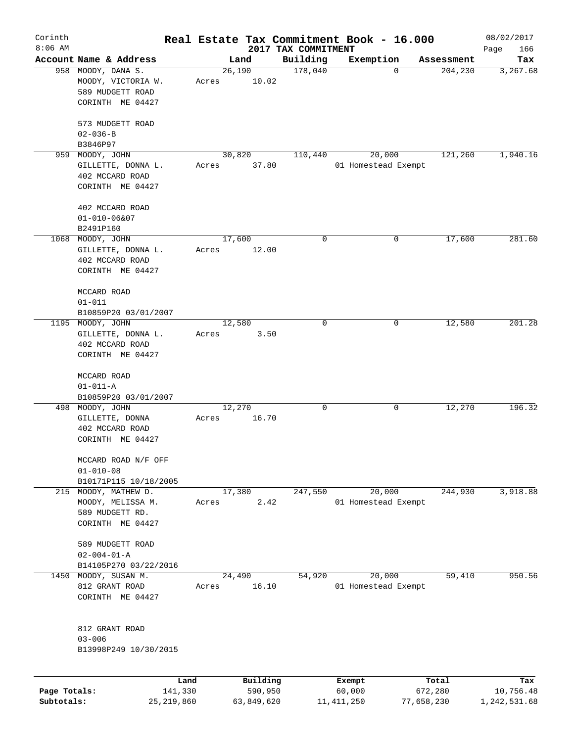| Corinth      |                                                                                  |       |                 |                     | Real Estate Tax Commitment Book - 16.000 |                            | 08/02/2017   |
|--------------|----------------------------------------------------------------------------------|-------|-----------------|---------------------|------------------------------------------|----------------------------|--------------|
| $8:06$ AM    |                                                                                  |       |                 | 2017 TAX COMMITMENT |                                          |                            | Page<br>166  |
|              | Account Name & Address                                                           |       | Land<br>26,190  | Building<br>178,040 | Exemption                                | Assessment<br>204,230<br>0 | Tax          |
|              | 958 MOODY, DANA S.<br>MOODY, VICTORIA W.<br>589 MUDGETT ROAD<br>CORINTH ME 04427 | Acres | 10.02           |                     |                                          |                            | 3,267.68     |
|              | 573 MUDGETT ROAD<br>$02 - 036 - B$                                               |       |                 |                     |                                          |                            |              |
|              | B3846P97                                                                         |       |                 |                     |                                          |                            |              |
| 959          | MOODY, JOHN                                                                      |       | 30,820          | 110,440             | 20,000                                   | 121,260                    | 1,940.16     |
|              | GILLETTE, DONNA L.<br>402 MCCARD ROAD<br>CORINTH ME 04427                        | Acres | 37.80           |                     | 01 Homestead Exempt                      |                            |              |
|              | 402 MCCARD ROAD<br>$01 - 010 - 06807$                                            |       |                 |                     |                                          |                            |              |
|              | B2491P160                                                                        |       |                 |                     |                                          |                            |              |
|              | 1068 MOODY, JOHN<br>GILLETTE, DONNA L.<br>402 MCCARD ROAD<br>CORINTH ME 04427    | Acres | 17,600<br>12.00 | 0                   |                                          | 17,600<br>0                | 281.60       |
|              | MCCARD ROAD<br>$01 - 011$                                                        |       |                 |                     |                                          |                            |              |
|              | B10859P20 03/01/2007                                                             |       |                 |                     |                                          |                            |              |
|              | 1195 MOODY, JOHN                                                                 |       | 12,580          | 0                   |                                          | 12,580<br>0                | 201.28       |
|              | GILLETTE, DONNA L.                                                               | Acres | 3.50            |                     |                                          |                            |              |
|              | 402 MCCARD ROAD                                                                  |       |                 |                     |                                          |                            |              |
|              | CORINTH ME 04427                                                                 |       |                 |                     |                                          |                            |              |
|              | MCCARD ROAD                                                                      |       |                 |                     |                                          |                            |              |
|              | $01 - 011 - A$                                                                   |       |                 |                     |                                          |                            |              |
|              | B10859P20 03/01/2007                                                             |       |                 | 0                   |                                          |                            | 196.32       |
|              | 498 MOODY, JOHN                                                                  | Acres | 12,270<br>16.70 |                     |                                          | 12,270<br>0                |              |
|              | GILLETTE, DONNA<br>402 MCCARD ROAD                                               |       |                 |                     |                                          |                            |              |
|              | CORINTH ME 04427                                                                 |       |                 |                     |                                          |                            |              |
|              | MCCARD ROAD N/F OFF<br>$01 - 010 - 08$                                           |       |                 |                     |                                          |                            |              |
|              | B10171P115 10/18/2005                                                            |       |                 |                     |                                          |                            |              |
|              | 215 MOODY, MATHEW D.                                                             |       | 17,380          | 247,550             | 20,000                                   | 244,930                    | 3,918.88     |
|              | MOODY, MELISSA M.                                                                | Acres |                 | 2.42                | 01 Homestead Exempt                      |                            |              |
|              | 589 MUDGETT RD.<br>CORINTH ME 04427                                              |       |                 |                     |                                          |                            |              |
|              |                                                                                  |       |                 |                     |                                          |                            |              |
|              | 589 MUDGETT ROAD                                                                 |       |                 |                     |                                          |                            |              |
|              | $02 - 004 - 01 - A$                                                              |       |                 |                     |                                          |                            |              |
|              | B14105P270 03/22/2016                                                            |       |                 |                     |                                          |                            |              |
| 1450         | MOODY, SUSAN M.                                                                  |       | 24,490          | 54,920              | 20,000                                   | 59,410                     | 950.56       |
|              | 812 GRANT ROAD<br>CORINTH ME 04427                                               | Acres | 16.10           |                     | 01 Homestead Exempt                      |                            |              |
|              | 812 GRANT ROAD<br>$03 - 006$                                                     |       |                 |                     |                                          |                            |              |
|              | B13998P249 10/30/2015                                                            |       |                 |                     |                                          |                            |              |
|              | Land                                                                             |       | Building        |                     | Exempt                                   | Total                      | Tax          |
| Page Totals: | 141,330                                                                          |       | 590,950         |                     | 60,000                                   | 672,280                    | 10,756.48    |
| Subtotals:   | 25, 219, 860                                                                     |       | 63,849,620      |                     | 11,411,250                               | 77,658,230                 | 1,242,531.68 |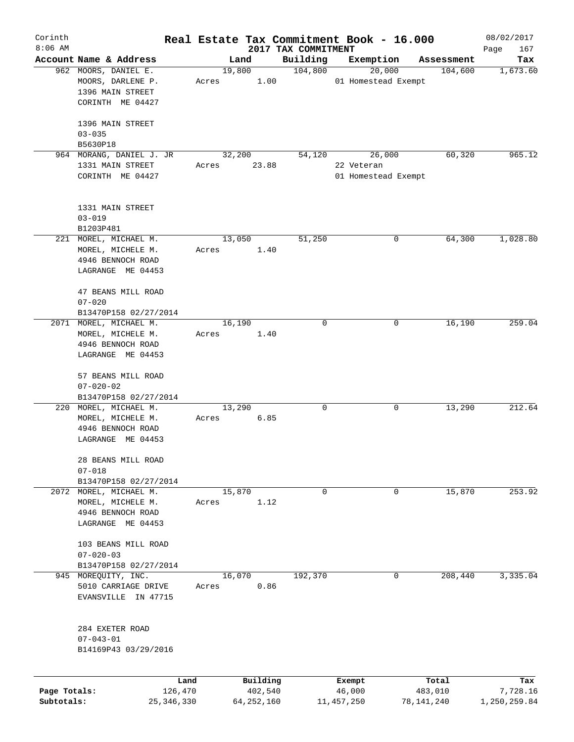| Corinth      |                          |                 |       |                     |                                 | Real Estate Tax Commitment Book - 16.000 |                       | 08/02/2017         |
|--------------|--------------------------|-----------------|-------|---------------------|---------------------------------|------------------------------------------|-----------------------|--------------------|
| $8:06$ AM    | Account Name & Address   |                 |       | Land                | 2017 TAX COMMITMENT<br>Building | Exemption                                | Assessment            | Page<br>167<br>Tax |
|              | 962 MOORS, DANIEL E.     |                 |       | 19,800              | 104,800                         | 20,000                                   | 104,600               |                    |
|              | MOORS, DARLENE P.        |                 | Acres | 1.00                |                                 | 01 Homestead Exempt                      |                       | 1,673.60           |
|              | 1396 MAIN STREET         |                 |       |                     |                                 |                                          |                       |                    |
|              |                          |                 |       |                     |                                 |                                          |                       |                    |
|              | CORINTH ME 04427         |                 |       |                     |                                 |                                          |                       |                    |
|              |                          |                 |       |                     |                                 |                                          |                       |                    |
|              | 1396 MAIN STREET         |                 |       |                     |                                 |                                          |                       |                    |
|              | $03 - 035$               |                 |       |                     |                                 |                                          |                       |                    |
|              | B5630P18                 |                 |       |                     |                                 |                                          |                       |                    |
|              | 964 MORANG, DANIEL J. JR |                 |       | 32,200              | 54,120                          | 26,000                                   | 60,320                | 965.12             |
|              | 1331 MAIN STREET         |                 | Acres | 23.88               |                                 | 22 Veteran                               |                       |                    |
|              | CORINTH ME 04427         |                 |       |                     |                                 | 01 Homestead Exempt                      |                       |                    |
|              |                          |                 |       |                     |                                 |                                          |                       |                    |
|              |                          |                 |       |                     |                                 |                                          |                       |                    |
|              | 1331 MAIN STREET         |                 |       |                     |                                 |                                          |                       |                    |
|              | $03 - 019$               |                 |       |                     |                                 |                                          |                       |                    |
|              | B1203P481                |                 |       |                     |                                 |                                          |                       |                    |
|              | 221 MOREL, MICHAEL M.    |                 |       | 13,050              | 51,250                          |                                          | 0<br>64,300           | 1,028.80           |
|              | MOREL, MICHELE M.        |                 | Acres | 1.40                |                                 |                                          |                       |                    |
|              | 4946 BENNOCH ROAD        |                 |       |                     |                                 |                                          |                       |                    |
|              | LAGRANGE ME 04453        |                 |       |                     |                                 |                                          |                       |                    |
|              |                          |                 |       |                     |                                 |                                          |                       |                    |
|              | 47 BEANS MILL ROAD       |                 |       |                     |                                 |                                          |                       |                    |
|              | $07 - 020$               |                 |       |                     |                                 |                                          |                       |                    |
|              | B13470P158 02/27/2014    |                 |       |                     |                                 |                                          |                       |                    |
|              | 2071 MOREL, MICHAEL M.   |                 |       | 16,190              | 0                               |                                          | 16,190<br>0           | 259.04             |
|              | MOREL, MICHELE M.        |                 | Acres | 1.40                |                                 |                                          |                       |                    |
|              | 4946 BENNOCH ROAD        |                 |       |                     |                                 |                                          |                       |                    |
|              | LAGRANGE ME 04453        |                 |       |                     |                                 |                                          |                       |                    |
|              |                          |                 |       |                     |                                 |                                          |                       |                    |
|              | 57 BEANS MILL ROAD       |                 |       |                     |                                 |                                          |                       |                    |
|              | $07 - 020 - 02$          |                 |       |                     |                                 |                                          |                       |                    |
|              | B13470P158 02/27/2014    |                 |       |                     |                                 |                                          |                       |                    |
|              | 220 MOREL, MICHAEL M.    |                 |       | 13,290              | 0                               |                                          | $\mathbf 0$<br>13,290 | 212.64             |
|              | MOREL, MICHELE M.        |                 | Acres | 6.85                |                                 |                                          |                       |                    |
|              | 4946 BENNOCH ROAD        |                 |       |                     |                                 |                                          |                       |                    |
|              | LAGRANGE ME 04453        |                 |       |                     |                                 |                                          |                       |                    |
|              |                          |                 |       |                     |                                 |                                          |                       |                    |
|              | 28 BEANS MILL ROAD       |                 |       |                     |                                 |                                          |                       |                    |
|              | $07 - 018$               |                 |       |                     |                                 |                                          |                       |                    |
|              | B13470P158 02/27/2014    |                 |       |                     |                                 |                                          |                       |                    |
|              | 2072 MOREL, MICHAEL M.   |                 |       | 15,870              | 0                               |                                          | 15,870<br>0           | 253.92             |
|              | MOREL, MICHELE M.        |                 | Acres | 1.12                |                                 |                                          |                       |                    |
|              | 4946 BENNOCH ROAD        |                 |       |                     |                                 |                                          |                       |                    |
|              | LAGRANGE ME 04453        |                 |       |                     |                                 |                                          |                       |                    |
|              |                          |                 |       |                     |                                 |                                          |                       |                    |
|              | 103 BEANS MILL ROAD      |                 |       |                     |                                 |                                          |                       |                    |
|              | $07 - 020 - 03$          |                 |       |                     |                                 |                                          |                       |                    |
|              | B13470P158 02/27/2014    |                 |       |                     |                                 |                                          |                       |                    |
|              | 945 MOREQUITY, INC.      |                 |       | 16,070              | 192,370                         |                                          | 208,440<br>0          | 3,335.04           |
|              | 5010 CARRIAGE DRIVE      |                 | Acres | 0.86                |                                 |                                          |                       |                    |
|              | EVANSVILLE IN 47715      |                 |       |                     |                                 |                                          |                       |                    |
|              |                          |                 |       |                     |                                 |                                          |                       |                    |
|              |                          |                 |       |                     |                                 |                                          |                       |                    |
|              | 284 EXETER ROAD          |                 |       |                     |                                 |                                          |                       |                    |
|              | $07 - 043 - 01$          |                 |       |                     |                                 |                                          |                       |                    |
|              | B14169P43 03/29/2016     |                 |       |                     |                                 |                                          |                       |                    |
|              |                          |                 |       |                     |                                 |                                          |                       |                    |
|              |                          |                 |       |                     |                                 |                                          |                       |                    |
| Page Totals: |                          | Land<br>126,470 |       | Building<br>402,540 |                                 | Exempt<br>46,000                         | Total<br>483,010      | Tax<br>7,728.16    |
| Subtotals:   |                          | 25, 346, 330    |       | 64, 252, 160        |                                 | 11, 457, 250                             | 78,141,240            | 1,250,259.84       |
|              |                          |                 |       |                     |                                 |                                          |                       |                    |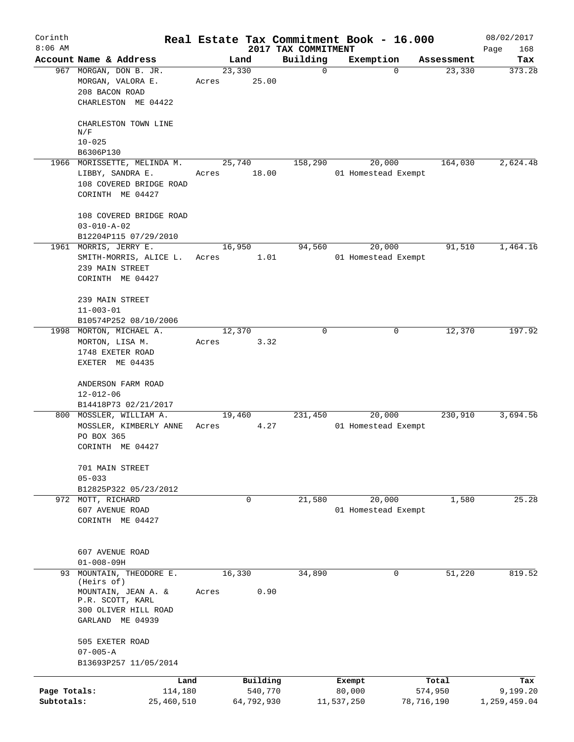| Corinth<br>$8:06$ AM       |                                                                                                                            | Real Estate Tax Commitment Book - 16.000 |                       |                                 |                               |            |            | 08/02/2017               |
|----------------------------|----------------------------------------------------------------------------------------------------------------------------|------------------------------------------|-----------------------|---------------------------------|-------------------------------|------------|------------|--------------------------|
|                            | Account Name & Address                                                                                                     | Land                                     |                       | 2017 TAX COMMITMENT<br>Building | Exemption                     |            | Assessment | Page<br>168<br>Tax       |
|                            | 967 MORGAN, DON B. JR.<br>MORGAN, VALORA E.<br>208 BACON ROAD<br>CHARLESTON ME 04422                                       | 23,330<br>Acres                          | 25.00                 | $\mathbf 0$                     |                               | $\Omega$   | 23,330     | 373.28                   |
|                            | CHARLESTON TOWN LINE<br>N/F                                                                                                |                                          |                       |                                 |                               |            |            |                          |
|                            | $10 - 025$                                                                                                                 |                                          |                       |                                 |                               |            |            |                          |
|                            | B6306P130<br>1966 MORISSETTE, MELINDA M.                                                                                   | 25,740                                   |                       | 158,290                         | 20,000                        |            | 164,030    | 2,624.48                 |
|                            | LIBBY, SANDRA E.<br>108 COVERED BRIDGE ROAD<br>CORINTH ME 04427                                                            | Acres                                    | 18.00                 |                                 | 01 Homestead Exempt           |            |            |                          |
|                            | 108 COVERED BRIDGE ROAD<br>$03 - 010 - A - 02$<br>B12204P115 07/29/2010                                                    |                                          |                       |                                 |                               |            |            |                          |
|                            | 1961 MORRIS, JERRY E.<br>SMITH-MORRIS, ALICE L.<br>239 MAIN STREET<br>CORINTH ME 04427                                     | 16,950<br>Acres                          | 1.01                  | 94,560                          | 20,000<br>01 Homestead Exempt |            | 91,510     | 1,464.16                 |
|                            | 239 MAIN STREET<br>$11 - 003 - 01$<br>B10574P252 08/10/2006                                                                |                                          |                       |                                 |                               |            |            |                          |
|                            | 1998 MORTON, MICHAEL A.<br>MORTON, LISA M.<br>1748 EXETER ROAD<br>EXETER ME 04435                                          | 12,370<br>Acres                          | 3.32                  | $\Omega$                        |                               | $\Omega$   | 12,370     | 197.92                   |
|                            | ANDERSON FARM ROAD<br>$12 - 012 - 06$<br>B14418P73 02/21/2017                                                              |                                          |                       |                                 |                               |            |            |                          |
|                            | 800 MOSSLER, WILLIAM A.<br>MOSSLER, KIMBERLY ANNE<br>PO BOX 365<br>CORINTH ME 04427                                        | 19,460<br>Acres                          | 4.27                  | 231,450                         | 20,000<br>01 Homestead Exempt |            | 230,910    | 3,694.56                 |
|                            | 701 MAIN STREET<br>$05 - 033$<br>B12825P322 05/23/2012                                                                     |                                          |                       |                                 |                               |            |            |                          |
|                            | 972 MOTT, RICHARD<br>607 AVENUE ROAD<br>CORINTH ME 04427                                                                   | 0                                        |                       | 21,580                          | 20,000<br>01 Homestead Exempt |            | 1,580      | 25.28                    |
|                            | 607 AVENUE ROAD<br>$01 - 008 - 09H$                                                                                        |                                          |                       |                                 |                               |            |            |                          |
| 93                         | MOUNTAIN, THEODORE E.<br>(Heirs of)<br>MOUNTAIN, JEAN A. &<br>P.R. SCOTT, KARL<br>300 OLIVER HILL ROAD<br>GARLAND ME 04939 | 16,330<br>Acres                          | 0.90                  | 34,890                          |                               | $\Omega$   | 51,220     | 819.52                   |
|                            | 505 EXETER ROAD<br>$07 - 005 - A$<br>B13693P257 11/05/2014                                                                 |                                          |                       |                                 |                               |            |            |                          |
|                            | Land                                                                                                                       |                                          | Building              |                                 | Exempt                        |            | Total      | Tax                      |
| Page Totals:<br>Subtotals: | 114,180<br>25,460,510                                                                                                      |                                          | 540,770<br>64,792,930 |                                 | 80,000<br>11,537,250          | 78,716,190 | 574,950    | 9,199.20<br>1,259,459.04 |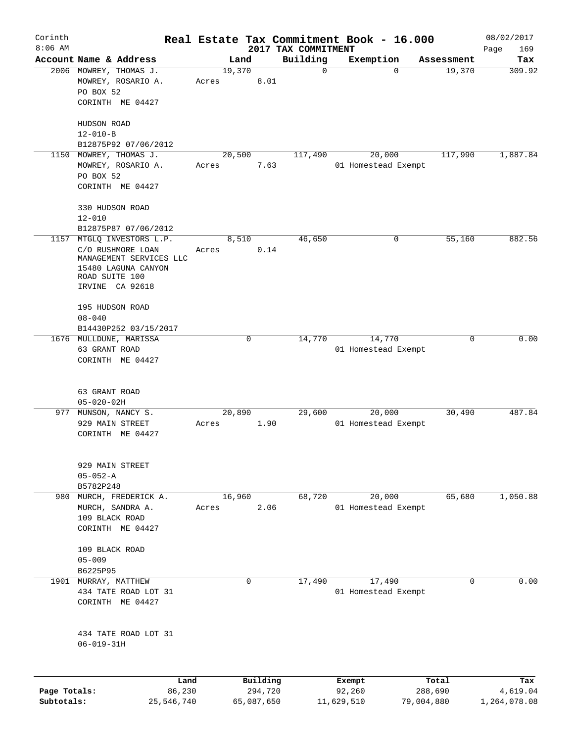| Corinth      |                         |       |                |                     |                         | Real Estate Tax Commitment Book - 16.000 |                      | 08/02/2017      |
|--------------|-------------------------|-------|----------------|---------------------|-------------------------|------------------------------------------|----------------------|-----------------|
| $8:06$ AM    | Account Name & Address  |       |                |                     | 2017 TAX COMMITMENT     |                                          |                      | Page<br>169     |
|              | 2006 MOWREY, THOMAS J.  |       | Land<br>19,370 |                     | Building<br>$\mathbf 0$ | Exemption<br>$\mathbf 0$                 | Assessment<br>19,370 | Tax<br>309.92   |
|              | MOWREY, ROSARIO A.      | Acres |                | 8.01                |                         |                                          |                      |                 |
|              | PO BOX 52               |       |                |                     |                         |                                          |                      |                 |
|              | CORINTH ME 04427        |       |                |                     |                         |                                          |                      |                 |
|              |                         |       |                |                     |                         |                                          |                      |                 |
|              | HUDSON ROAD             |       |                |                     |                         |                                          |                      |                 |
|              | $12 - 010 - B$          |       |                |                     |                         |                                          |                      |                 |
|              | B12875P92 07/06/2012    |       |                |                     |                         |                                          |                      |                 |
| 1150         | MOWREY, THOMAS J.       |       | 20,500         |                     | 117,490                 | 20,000                                   | 117,990              | 1,887.84        |
|              | MOWREY, ROSARIO A.      | Acres |                | 7.63                |                         | 01 Homestead Exempt                      |                      |                 |
|              | PO BOX 52               |       |                |                     |                         |                                          |                      |                 |
|              | CORINTH ME 04427        |       |                |                     |                         |                                          |                      |                 |
|              | 330 HUDSON ROAD         |       |                |                     |                         |                                          |                      |                 |
|              | $12 - 010$              |       |                |                     |                         |                                          |                      |                 |
|              | B12875P87 07/06/2012    |       |                |                     |                         |                                          |                      |                 |
| 1157         | MTGLQ INVESTORS L.P.    |       | 8,510          |                     | 46,650                  | 0                                        | 55,160               | 882.56          |
|              | C/O RUSHMORE LOAN       | Acres |                | 0.14                |                         |                                          |                      |                 |
|              | MANAGEMENT SERVICES LLC |       |                |                     |                         |                                          |                      |                 |
|              | 15480 LAGUNA CANYON     |       |                |                     |                         |                                          |                      |                 |
|              | ROAD SUITE 100          |       |                |                     |                         |                                          |                      |                 |
|              | IRVINE CA 92618         |       |                |                     |                         |                                          |                      |                 |
|              | 195 HUDSON ROAD         |       |                |                     |                         |                                          |                      |                 |
|              | $08 - 040$              |       |                |                     |                         |                                          |                      |                 |
|              | B14430P252 03/15/2017   |       |                |                     |                         |                                          |                      |                 |
|              | 1676 MULLDUNE, MARISSA  |       |                | $\mathbf 0$         | 14,770                  | 14,770                                   | 0                    | 0.00            |
|              | 63 GRANT ROAD           |       |                |                     |                         | 01 Homestead Exempt                      |                      |                 |
|              | CORINTH ME 04427        |       |                |                     |                         |                                          |                      |                 |
|              |                         |       |                |                     |                         |                                          |                      |                 |
|              |                         |       |                |                     |                         |                                          |                      |                 |
|              | 63 GRANT ROAD           |       |                |                     |                         |                                          |                      |                 |
|              | $05 - 020 - 02H$        |       |                |                     |                         |                                          |                      |                 |
| 977          | MUNSON, NANCY S.        |       | 20,890         |                     | 29,600                  | 20,000                                   | 30,490               | 487.84          |
|              | 929 MAIN STREET         | Acres |                | 1.90                |                         | 01 Homestead Exempt                      |                      |                 |
|              | CORINTH ME 04427        |       |                |                     |                         |                                          |                      |                 |
|              |                         |       |                |                     |                         |                                          |                      |                 |
|              | 929 MAIN STREET         |       |                |                     |                         |                                          |                      |                 |
|              | $05 - 052 - A$          |       |                |                     |                         |                                          |                      |                 |
|              | B5782P248               |       |                |                     |                         |                                          |                      |                 |
|              | 980 MURCH, FREDERICK A. |       | 16,960         |                     | 68,720                  | 20,000                                   | 65,680               | 1,050.88        |
|              | MURCH, SANDRA A.        | Acres |                | 2.06                |                         | 01 Homestead Exempt                      |                      |                 |
|              | 109 BLACK ROAD          |       |                |                     |                         |                                          |                      |                 |
|              | CORINTH ME 04427        |       |                |                     |                         |                                          |                      |                 |
|              |                         |       |                |                     |                         |                                          |                      |                 |
|              | 109 BLACK ROAD          |       |                |                     |                         |                                          |                      |                 |
|              | $05 - 009$              |       |                |                     |                         |                                          |                      |                 |
|              | B6225P95                |       |                |                     |                         |                                          |                      |                 |
|              | 1901 MURRAY, MATTHEW    |       |                | 0                   | 17,490                  | 17,490                                   | 0                    | 0.00            |
|              | 434 TATE ROAD LOT 31    |       |                |                     |                         | 01 Homestead Exempt                      |                      |                 |
|              | CORINTH ME 04427        |       |                |                     |                         |                                          |                      |                 |
|              |                         |       |                |                     |                         |                                          |                      |                 |
|              | 434 TATE ROAD LOT 31    |       |                |                     |                         |                                          |                      |                 |
|              | $06 - 019 - 31H$        |       |                |                     |                         |                                          |                      |                 |
|              |                         |       |                |                     |                         |                                          |                      |                 |
|              |                         |       |                |                     |                         |                                          |                      |                 |
| Page Totals: | Land<br>86,230          |       |                | Building<br>294,720 |                         | Exempt<br>92,260                         | Total<br>288,690     | Tax<br>4,619.04 |
| Subtotals:   | 25,546,740              |       |                | 65,087,650          |                         | 11,629,510                               | 79,004,880           | 1,264,078.08    |
|              |                         |       |                |                     |                         |                                          |                      |                 |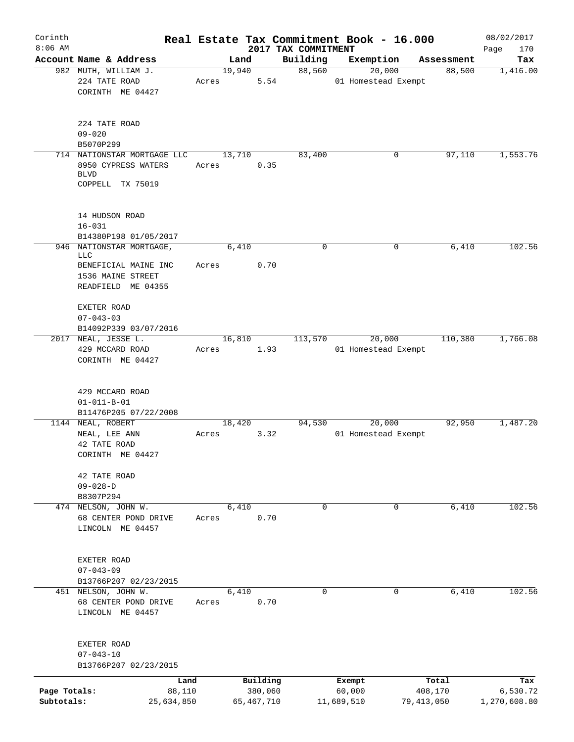| Corinth                    |                                                                 |       |                         |                     | Real Estate Tax Commitment Book - 16.000 |                         | 08/02/2017               |
|----------------------------|-----------------------------------------------------------------|-------|-------------------------|---------------------|------------------------------------------|-------------------------|--------------------------|
| $8:06$ AM                  |                                                                 |       |                         | 2017 TAX COMMITMENT |                                          |                         | 170<br>Page              |
|                            | Account Name & Address<br>982 MUTH, WILLIAM J.                  |       | Land<br>19,940          | Building<br>88,560  | Exemption<br>20,000                      | Assessment<br>88,500    | Tax<br>1,416.00          |
|                            | 224 TATE ROAD<br>CORINTH ME 04427                               | Acres | 5.54                    |                     | 01 Homestead Exempt                      |                         |                          |
|                            | 224 TATE ROAD<br>$09 - 020$<br>B5070P299                        |       |                         |                     |                                          |                         |                          |
|                            | 714 NATIONSTAR MORTGAGE LLC                                     |       | 13,710                  | 83,400              | 0                                        | 97,110                  | 1,553.76                 |
|                            | 8950 CYPRESS WATERS<br><b>BLVD</b><br>COPPELL TX 75019          | Acres | 0.35                    |                     |                                          |                         |                          |
|                            |                                                                 |       |                         |                     |                                          |                         |                          |
|                            | 14 HUDSON ROAD<br>$16 - 031$                                    |       |                         |                     |                                          |                         |                          |
|                            | B14380P198 01/05/2017                                           |       |                         |                     |                                          |                         |                          |
| 946                        | NATIONSTAR MORTGAGE,<br>LLC                                     |       | 6,410                   | $\mathbf 0$         | 0                                        | 6,410                   | 102.56                   |
|                            | BENEFICIAL MAINE INC<br>1536 MAINE STREET<br>READFIELD ME 04355 | Acres | 0.70                    |                     |                                          |                         |                          |
|                            | EXETER ROAD<br>$07 - 043 - 03$                                  |       |                         |                     |                                          |                         |                          |
|                            | B14092P339 03/07/2016                                           |       |                         |                     |                                          |                         |                          |
|                            | 2017 NEAL, JESSE L.                                             |       | 16,810                  | 113,570             | 20,000                                   | 110,380                 | 1,766.08                 |
|                            | 429 MCCARD ROAD<br>CORINTH ME 04427                             | Acres | 1.93                    |                     | 01 Homestead Exempt                      |                         |                          |
|                            | 429 MCCARD ROAD<br>$01 - 011 - B - 01$                          |       |                         |                     |                                          |                         |                          |
|                            | B11476P205 07/22/2008<br>1144 NEAL, ROBERT                      |       | 18,420                  | 94,530              | 20,000                                   | 92,950                  | 1,487.20                 |
|                            | NEAL, LEE ANN<br>42 TATE ROAD<br>CORINTH ME 04427               | Acres | 3.32                    |                     | 01 Homestead Exempt                      |                         |                          |
|                            | 42 TATE ROAD<br>$09 - 028 - D$<br>B8307P294                     |       |                         |                     |                                          |                         |                          |
|                            | 474 NELSON, JOHN W.                                             |       | 6,410                   | $\mathbf 0$         | 0                                        | 6,410                   | 102.56                   |
|                            | 68 CENTER POND DRIVE<br>LINCOLN ME 04457                        | Acres | 0.70                    |                     |                                          |                         |                          |
|                            | EXETER ROAD<br>$07 - 043 - 09$                                  |       |                         |                     |                                          |                         |                          |
|                            | B13766P207 02/23/2015<br>451 NELSON, JOHN W.                    |       | 6,410                   | 0                   | 0                                        | 6,410                   | 102.56                   |
|                            | 68 CENTER POND DRIVE<br>LINCOLN ME 04457                        | Acres | 0.70                    |                     |                                          |                         |                          |
|                            | EXETER ROAD<br>$07 - 043 - 10$<br>B13766P207 02/23/2015         |       |                         |                     |                                          |                         |                          |
|                            |                                                                 | Land  | Building                |                     | Exempt                                   | Total                   | Tax                      |
| Page Totals:<br>Subtotals: | 88,110<br>25,634,850                                            |       | 380,060<br>65, 467, 710 |                     | 60,000<br>11,689,510                     | 408,170<br>79, 413, 050 | 6,530.72<br>1,270,608.80 |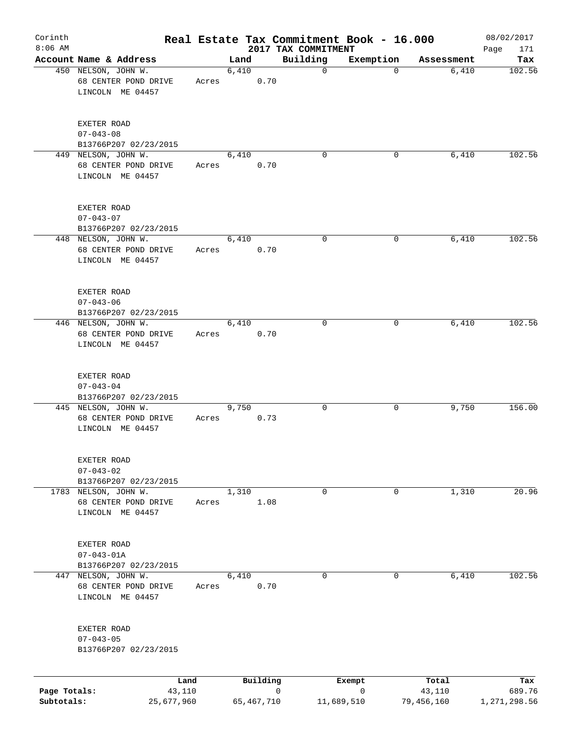| Corinth<br>$8:06$ AM |                                                                  |                |            |          | Real Estate Tax Commitment Book - 16.000<br>2017 TAX COMMITMENT |             |                 | 08/02/2017<br>Page<br>171 |
|----------------------|------------------------------------------------------------------|----------------|------------|----------|-----------------------------------------------------------------|-------------|-----------------|---------------------------|
|                      | Account Name & Address                                           |                | Land       |          | Building                                                        | Exemption   | Assessment      | Tax                       |
|                      | 450 NELSON, JOHN W.<br>68 CENTER POND DRIVE<br>LINCOLN ME 04457  | Acres          | 6,410      | 0.70     | $\mathbf 0$                                                     | $\mathbf 0$ | 6,410           | 102.56                    |
|                      | EXETER ROAD<br>$07 - 043 - 08$<br>B13766P207 02/23/2015          |                |            |          |                                                                 |             |                 |                           |
|                      | 449 NELSON, JOHN W.<br>68 CENTER POND DRIVE<br>LINCOLN ME 04457  | Acres          | 6,410      | 0.70     | $\Omega$                                                        | 0           | 6,410           | 102.56                    |
|                      | EXETER ROAD<br>$07 - 043 - 07$<br>B13766P207 02/23/2015          |                |            |          |                                                                 |             |                 |                           |
|                      | 448 NELSON, JOHN W.<br>68 CENTER POND DRIVE<br>LINCOLN ME 04457  | Acres          | 6,410      | 0.70     | 0                                                               | 0           | 6,410           | 102.56                    |
|                      | EXETER ROAD<br>$07 - 043 - 06$<br>B13766P207 02/23/2015          |                |            |          |                                                                 |             |                 |                           |
|                      | 446 NELSON, JOHN W.<br>68 CENTER POND DRIVE<br>LINCOLN ME 04457  | Acres          | 6,410      | 0.70     | $\mathbf 0$                                                     | 0           | 6,410           | 102.56                    |
|                      | EXETER ROAD<br>$07 - 043 - 04$<br>B13766P207 02/23/2015          |                |            |          |                                                                 |             |                 |                           |
|                      | 445 NELSON, JOHN W.<br>68 CENTER POND DRIVE<br>LINCOLN ME 04457  | Acres          | 9,750      | 0.73     | 0                                                               | 0           | 9,750           | 156.00                    |
|                      | EXETER ROAD<br>$07 - 043 - 02$<br>B13766P207 02/23/2015          |                |            |          |                                                                 |             |                 |                           |
|                      | 1783 NELSON, JOHN W.<br>68 CENTER POND DRIVE<br>LINCOLN ME 04457 | Acres          | 1,310      | 1.08     | 0                                                               | 0           | 1,310           | 20.96                     |
|                      | EXETER ROAD<br>$07 - 043 - 01A$<br>B13766P207 02/23/2015         |                |            |          |                                                                 |             |                 |                           |
|                      | 447 NELSON, JOHN W.<br>68 CENTER POND DRIVE<br>LINCOLN ME 04457  | Acres          | 6,410      | 0.70     | 0                                                               | 0           | 6,410           | 102.56                    |
|                      | EXETER ROAD<br>$07 - 043 - 05$<br>B13766P207 02/23/2015          |                |            |          |                                                                 |             |                 |                           |
| Page Totals:         |                                                                  | Land<br>43,110 |            | Building | 0                                                               | Exempt<br>0 | Total<br>43,110 | Tax<br>689.76             |
| Subtotals:           |                                                                  | 25,677,960     | 65,467,710 |          | 11,689,510                                                      |             | 79,456,160      | 1,271,298.56              |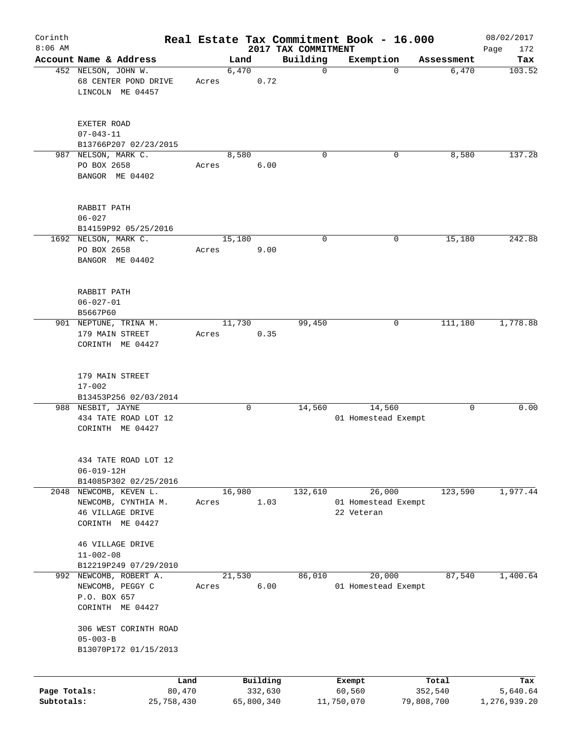| Corinth<br>$8:06$ AM |                                                             |            |       |               |            | Real Estate Tax Commitment Book - 16.000 |             |                                   |             |                     | 08/02/2017    |
|----------------------|-------------------------------------------------------------|------------|-------|---------------|------------|------------------------------------------|-------------|-----------------------------------|-------------|---------------------|---------------|
|                      |                                                             |            |       |               |            | 2017 TAX COMMITMENT                      |             |                                   |             |                     | Page<br>172   |
|                      | Account Name & Address<br>452 NELSON, JOHN W.               |            |       | Land<br>6,470 |            | Building                                 | $\mathbf 0$ | Exemption                         | $\mathbf 0$ | Assessment<br>6,470 | Tax<br>103.52 |
|                      | 68 CENTER POND DRIVE<br>LINCOLN ME 04457                    |            | Acres |               | 0.72       |                                          |             |                                   |             |                     |               |
|                      | EXETER ROAD<br>$07 - 043 - 11$                              |            |       |               |            |                                          |             |                                   |             |                     |               |
|                      | B13766P207 02/23/2015                                       |            |       |               |            |                                          |             |                                   |             |                     |               |
|                      | 987 NELSON, MARK C.                                         |            |       | 8,580         |            |                                          | $\mathbf 0$ |                                   | 0           | 8,580               | 137.28        |
|                      | PO BOX 2658<br>BANGOR ME 04402                              |            | Acres |               | 6.00       |                                          |             |                                   |             |                     |               |
|                      | RABBIT PATH                                                 |            |       |               |            |                                          |             |                                   |             |                     |               |
|                      | $06 - 027$<br>B14159P92 05/25/2016                          |            |       |               |            |                                          |             |                                   |             |                     |               |
|                      | 1692 NELSON, MARK C.                                        |            |       | 15,180        |            |                                          | 0           |                                   | 0           | 15,180              | 242.88        |
|                      | PO BOX 2658<br>BANGOR ME 04402                              |            | Acres |               | 9.00       |                                          |             |                                   |             |                     |               |
|                      | RABBIT PATH<br>$06 - 027 - 01$                              |            |       |               |            |                                          |             |                                   |             |                     |               |
|                      | B5667P60                                                    |            |       |               |            |                                          |             |                                   |             |                     |               |
|                      | 901 NEPTUNE, TRINA M.                                       |            |       | 11,730        |            | 99,450                                   |             |                                   | 0           | 111,180             | 1,778.88      |
|                      | 179 MAIN STREET<br>CORINTH ME 04427                         |            | Acres |               | 0.35       |                                          |             |                                   |             |                     |               |
|                      | 179 MAIN STREET<br>$17 - 002$<br>B13453P256 02/03/2014      |            |       |               |            |                                          |             |                                   |             |                     |               |
|                      | 988 NESBIT, JAYNE                                           |            |       |               | 0          | 14,560                                   |             | 14,560                            |             | 0                   | 0.00          |
|                      | 434 TATE ROAD LOT 12<br>CORINTH ME 04427                    |            |       |               |            |                                          |             | 01 Homestead Exempt               |             |                     |               |
|                      | 434 TATE ROAD LOT 12<br>$06 - 019 - 12H$                    |            |       |               |            |                                          |             |                                   |             |                     |               |
|                      | B14085P302 02/25/2016<br>2048 NEWCOMB, KEVEN L.             |            |       | 16,980        |            | 132,610                                  |             | 26,000                            |             | 123,590             | 1,977.44      |
|                      | NEWCOMB, CYNTHIA M.<br>46 VILLAGE DRIVE<br>CORINTH ME 04427 |            | Acres |               | 1.03       |                                          |             | 01 Homestead Exempt<br>22 Veteran |             |                     |               |
|                      | 46 VILLAGE DRIVE<br>$11 - 002 - 08$                         |            |       |               |            |                                          |             |                                   |             |                     |               |
|                      | B12219P249 07/29/2010<br>992 NEWCOMB, ROBERT A.             |            |       | 21,530        |            | 86,010                                   |             | 20,000                            |             | 87,540              | 1,400.64      |
|                      | NEWCOMB, PEGGY C<br>P.O. BOX 657<br>CORINTH ME 04427        |            | Acres |               | 6.00       |                                          |             | 01 Homestead Exempt               |             |                     |               |
|                      | 306 WEST CORINTH ROAD<br>$05 - 003 - B$                     |            |       |               |            |                                          |             |                                   |             |                     |               |
|                      | B13070P172 01/15/2013                                       |            |       |               |            |                                          |             |                                   |             |                     |               |
|                      |                                                             | Land       |       |               | Building   |                                          |             | Exempt                            |             | Total               | Tax           |
| Page Totals:         |                                                             | 80,470     |       |               | 332,630    |                                          |             | 60,560                            |             | 352,540             | 5,640.64      |
| Subtotals:           |                                                             | 25,758,430 |       |               | 65,800,340 |                                          | 11,750,070  |                                   | 79,808,700  |                     | 1,276,939.20  |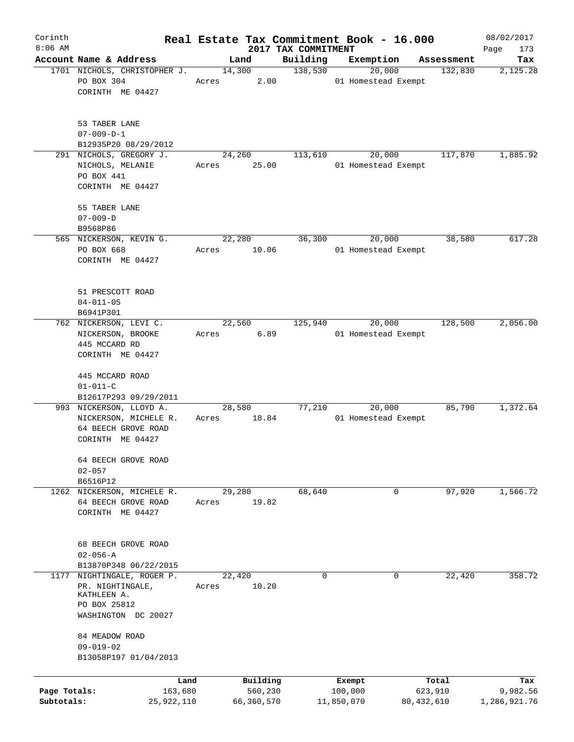| Corinth      |                              |       |                |                     | Real Estate Tax Commitment Book - 16.000 |                       | 08/02/2017      |
|--------------|------------------------------|-------|----------------|---------------------|------------------------------------------|-----------------------|-----------------|
| $8:06$ AM    | Account Name & Address       |       |                | 2017 TAX COMMITMENT |                                          |                       | Page<br>173     |
|              | 1701 NICHOLS, CHRISTOPHER J. |       | Land<br>14,300 | Building<br>138,530 | Exemption<br>20,000                      | Assessment<br>132,830 | Tax<br>2,125.28 |
|              | PO BOX 304                   | Acres | 2.00           |                     | 01 Homestead Exempt                      |                       |                 |
|              | CORINTH ME 04427             |       |                |                     |                                          |                       |                 |
|              | 53 TABER LANE                |       |                |                     |                                          |                       |                 |
|              | $07 - 009 - D - 1$           |       |                |                     |                                          |                       |                 |
|              | B12935P20 08/29/2012         |       |                |                     |                                          |                       |                 |
|              | 291 NICHOLS, GREGORY J.      |       | 24,260         | 113,610             | 20,000                                   | 117,870               | 1,885.92        |
|              | NICHOLS, MELANIE             | Acres | 25.00          |                     | 01 Homestead Exempt                      |                       |                 |
|              | PO BOX 441                   |       |                |                     |                                          |                       |                 |
|              | CORINTH ME 04427             |       |                |                     |                                          |                       |                 |
|              | 55 TABER LANE                |       |                |                     |                                          |                       |                 |
|              | $07 - 009 - D$               |       |                |                     |                                          |                       |                 |
|              | B9568P86                     |       |                |                     |                                          |                       |                 |
|              | 565 NICKERSON, KEVIN G.      |       | 22,280         | 36,300              | 20,000                                   | 38,580                | 617.28          |
|              | PO BOX 668                   | Acres | 10.06          |                     | 01 Homestead Exempt                      |                       |                 |
|              | CORINTH ME 04427             |       |                |                     |                                          |                       |                 |
|              |                              |       |                |                     |                                          |                       |                 |
|              | 51 PRESCOTT ROAD             |       |                |                     |                                          |                       |                 |
|              | $04 - 011 - 05$              |       |                |                     |                                          |                       |                 |
|              | B6941P301                    |       |                |                     |                                          |                       |                 |
|              | 762 NICKERSON, LEVI C.       |       | 22,560         | 125,940             | 20,000                                   | 128,500               | 2,056.00        |
|              | NICKERSON, BROOKE            | Acres | 6.89           |                     | 01 Homestead Exempt                      |                       |                 |
|              | 445 MCCARD RD                |       |                |                     |                                          |                       |                 |
|              | CORINTH ME 04427             |       |                |                     |                                          |                       |                 |
|              |                              |       |                |                     |                                          |                       |                 |
|              | 445 MCCARD ROAD              |       |                |                     |                                          |                       |                 |
|              | $01 - 011 - C$               |       |                |                     |                                          |                       |                 |
|              | B12617P293 09/29/2011        |       |                |                     |                                          |                       |                 |
|              | 993 NICKERSON, LLOYD A.      |       | 28,580         | 77,210              | 20,000                                   | 85,790                | 1,372.64        |
|              | NICKERSON, MICHELE R.        | Acres | 18.84          |                     | 01 Homestead Exempt                      |                       |                 |
|              | 64 BEECH GROVE ROAD          |       |                |                     |                                          |                       |                 |
|              | CORINTH ME 04427             |       |                |                     |                                          |                       |                 |
|              | 64 BEECH GROVE ROAD          |       |                |                     |                                          |                       |                 |
|              | $02 - 057$                   |       |                |                     |                                          |                       |                 |
|              | B6516P12                     |       |                |                     |                                          |                       |                 |
|              | 1262 NICKERSON, MICHELE R.   |       | 29,280         | 68,640              | 0                                        | 97,920                | 1,566.72        |
|              | 64 BEECH GROVE ROAD          | Acres | 19.82          |                     |                                          |                       |                 |
|              | CORINTH ME 04427             |       |                |                     |                                          |                       |                 |
|              |                              |       |                |                     |                                          |                       |                 |
|              | <b>68 BEECH GROVE ROAD</b>   |       |                |                     |                                          |                       |                 |
|              | $02 - 056 - A$               |       |                |                     |                                          |                       |                 |
|              | B13870P348 06/22/2015        |       |                |                     |                                          |                       |                 |
| 1177         | NIGHTINGALE, ROGER P.        |       | 22,420         | 0                   | 0                                        | 22,420                | 358.72          |
|              | PR. NIGHTINGALE,             | Acres | 10.20          |                     |                                          |                       |                 |
|              | KATHLEEN A.                  |       |                |                     |                                          |                       |                 |
|              | PO BOX 25812                 |       |                |                     |                                          |                       |                 |
|              | WASHINGTON DC 20027          |       |                |                     |                                          |                       |                 |
|              | 84 MEADOW ROAD               |       |                |                     |                                          |                       |                 |
|              | $09 - 019 - 02$              |       |                |                     |                                          |                       |                 |
|              | B13058P197 01/04/2013        |       |                |                     |                                          |                       |                 |
|              |                              |       |                |                     |                                          |                       |                 |
|              |                              | Land  | Building       |                     | Exempt                                   | Total                 | Tax             |
| Page Totals: | 163,680                      |       | 560,230        |                     | 100,000                                  | 623,910               | 9,982.56        |
| Subtotals:   | 25,922,110                   |       | 66,360,570     |                     | 11,850,070                               | 80,432,610            | 1,286,921.76    |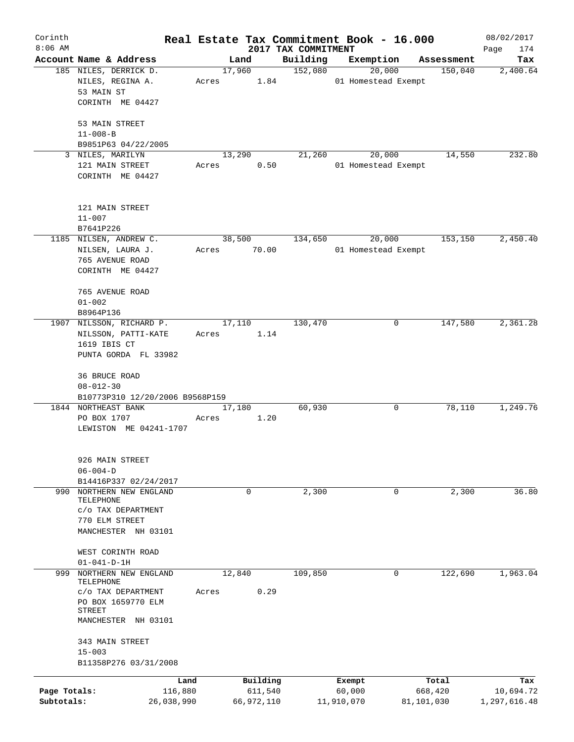| Corinth      |                                 |       |            |                                 | Real Estate Tax Commitment Book - 16.000 |            | 08/02/2017         |
|--------------|---------------------------------|-------|------------|---------------------------------|------------------------------------------|------------|--------------------|
| $8:06$ AM    | Account Name & Address          |       | Land       | 2017 TAX COMMITMENT<br>Building | Exemption                                | Assessment | 174<br>Page<br>Tax |
|              | 185 NILES, DERRICK D.           |       | 17,960     | 152,080                         | 20,000                                   | 150,040    | 2,400.64           |
|              | NILES, REGINA A.                | Acres | 1.84       |                                 | 01 Homestead Exempt                      |            |                    |
|              | 53 MAIN ST                      |       |            |                                 |                                          |            |                    |
|              | CORINTH ME 04427                |       |            |                                 |                                          |            |                    |
|              |                                 |       |            |                                 |                                          |            |                    |
|              | 53 MAIN STREET                  |       |            |                                 |                                          |            |                    |
|              | $11 - 008 - B$                  |       |            |                                 |                                          |            |                    |
|              | B9851P63 04/22/2005             |       |            |                                 |                                          |            |                    |
|              | 3 NILES, MARILYN                |       | 13,290     | 21,260                          | 20,000                                   | 14,550     | 232.80             |
|              | 121 MAIN STREET                 | Acres | 0.50       |                                 | 01 Homestead Exempt                      |            |                    |
|              | CORINTH ME 04427                |       |            |                                 |                                          |            |                    |
|              |                                 |       |            |                                 |                                          |            |                    |
|              | 121 MAIN STREET                 |       |            |                                 |                                          |            |                    |
|              | $11 - 007$                      |       |            |                                 |                                          |            |                    |
|              | B7641P226                       |       |            |                                 |                                          |            |                    |
|              | 1185 NILSEN, ANDREW C.          |       | 38,500     | 134,650                         | 20,000                                   | 153, 150   | 2,450.40           |
|              | NILSEN, LAURA J.                | Acres | 70.00      |                                 | 01 Homestead Exempt                      |            |                    |
|              | 765 AVENUE ROAD                 |       |            |                                 |                                          |            |                    |
|              | CORINTH ME 04427                |       |            |                                 |                                          |            |                    |
|              |                                 |       |            |                                 |                                          |            |                    |
|              | 765 AVENUE ROAD                 |       |            |                                 |                                          |            |                    |
|              | $01 - 002$                      |       |            |                                 |                                          |            |                    |
|              | B8964P136                       |       |            |                                 |                                          |            |                    |
|              | 1907 NILSSON, RICHARD P.        |       | 17,110     | 130,470                         | 0                                        | 147,580    | 2,361.28           |
|              | NILSSON, PATTI-KATE             | Acres | 1.14       |                                 |                                          |            |                    |
|              | 1619 IBIS CT                    |       |            |                                 |                                          |            |                    |
|              | PUNTA GORDA FL 33982            |       |            |                                 |                                          |            |                    |
|              | 36 BRUCE ROAD                   |       |            |                                 |                                          |            |                    |
|              | $08 - 012 - 30$                 |       |            |                                 |                                          |            |                    |
|              | B10773P310 12/20/2006 B9568P159 |       |            |                                 |                                          |            |                    |
|              | 1844 NORTHEAST BANK             |       | 17,180     | 60,930                          | 0                                        | 78,110     | 1,249.76           |
|              | PO BOX 1707                     | Acres | 1.20       |                                 |                                          |            |                    |
|              | LEWISTON ME 04241-1707          |       |            |                                 |                                          |            |                    |
|              |                                 |       |            |                                 |                                          |            |                    |
|              | 926 MAIN STREET                 |       |            |                                 |                                          |            |                    |
|              | $06 - 004 - D$                  |       |            |                                 |                                          |            |                    |
|              | B14416P337 02/24/2017           |       |            |                                 |                                          |            |                    |
|              | 990 NORTHERN NEW ENGLAND        |       | 0          | 2,300                           | 0                                        | 2,300      | 36.80              |
|              | TELEPHONE                       |       |            |                                 |                                          |            |                    |
|              | C/O TAX DEPARTMENT              |       |            |                                 |                                          |            |                    |
|              | 770 ELM STREET                  |       |            |                                 |                                          |            |                    |
|              | MANCHESTER NH 03101             |       |            |                                 |                                          |            |                    |
|              | WEST CORINTH ROAD               |       |            |                                 |                                          |            |                    |
|              | $01 - 041 - D - 1H$             |       |            |                                 |                                          |            |                    |
| 999          | NORTHERN NEW ENGLAND            |       | 12,840     | 109,850                         | 0                                        | 122,690    | 1,963.04           |
|              | TELEPHONE                       |       |            |                                 |                                          |            |                    |
|              | C/O TAX DEPARTMENT              | Acres | 0.29       |                                 |                                          |            |                    |
|              | PO BOX 1659770 ELM              |       |            |                                 |                                          |            |                    |
|              | STREET<br>MANCHESTER NH 03101   |       |            |                                 |                                          |            |                    |
|              |                                 |       |            |                                 |                                          |            |                    |
|              | 343 MAIN STREET                 |       |            |                                 |                                          |            |                    |
|              | $15 - 003$                      |       |            |                                 |                                          |            |                    |
|              | B11358P276 03/31/2008           |       |            |                                 |                                          |            |                    |
|              | Land                            |       | Building   |                                 | Exempt                                   | Total      | Tax                |
| Page Totals: | 116,880                         |       | 611,540    |                                 | 60,000                                   | 668,420    | 10,694.72          |
| Subtotals:   | 26,038,990                      |       | 66,972,110 |                                 | 11,910,070                               | 81,101,030 | 1,297,616.48       |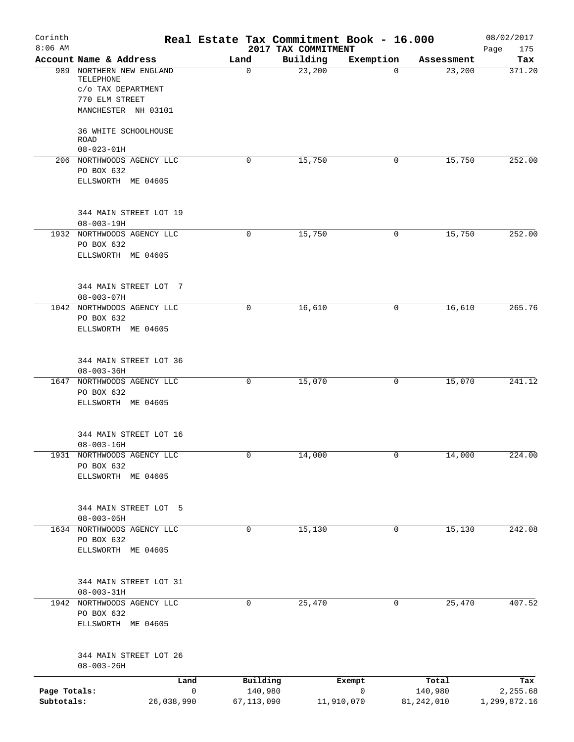| Corinth<br>$8:06$ AM       |                                                             |                             | Real Estate Tax Commitment Book - 16.000<br>2017 TAX COMMITMENT |                            |                       | 08/02/2017<br>175<br>Page |
|----------------------------|-------------------------------------------------------------|-----------------------------|-----------------------------------------------------------------|----------------------------|-----------------------|---------------------------|
|                            | Account Name & Address                                      | Land                        | Building                                                        | Exemption                  | Assessment            | Tax                       |
|                            | 989 NORTHERN NEW ENGLAND<br>TELEPHONE<br>c/o TAX DEPARTMENT | 0                           | 23,200                                                          | 0                          | 23,200                | 371.20                    |
|                            | 770 ELM STREET                                              |                             |                                                                 |                            |                       |                           |
|                            | MANCHESTER NH 03101                                         |                             |                                                                 |                            |                       |                           |
|                            | 36 WHITE SCHOOLHOUSE<br><b>ROAD</b><br>$08 - 023 - 01H$     |                             |                                                                 |                            |                       |                           |
|                            | 206 NORTHWOODS AGENCY LLC                                   | 0                           | 15,750                                                          | 0                          | 15,750                | 252.00                    |
|                            | PO BOX 632                                                  |                             |                                                                 |                            |                       |                           |
|                            | ELLSWORTH ME 04605                                          |                             |                                                                 |                            |                       |                           |
|                            | 344 MAIN STREET LOT 19<br>$08 - 003 - 19H$                  |                             |                                                                 |                            |                       |                           |
|                            | 1932 NORTHWOODS AGENCY LLC                                  | 0                           | 15,750                                                          | 0                          | 15,750                | 252.00                    |
|                            | PO BOX 632<br>ELLSWORTH ME 04605                            |                             |                                                                 |                            |                       |                           |
|                            | 344 MAIN STREET LOT 7<br>$08 - 003 - 07H$                   |                             |                                                                 |                            |                       |                           |
|                            | 1042 NORTHWOODS AGENCY LLC                                  | 0                           | 16,610                                                          | 0                          | 16,610                | 265.76                    |
|                            | PO BOX 632<br>ELLSWORTH ME 04605                            |                             |                                                                 |                            |                       |                           |
|                            | 344 MAIN STREET LOT 36<br>$08 - 003 - 36H$                  |                             |                                                                 |                            |                       |                           |
|                            | 1647 NORTHWOODS AGENCY LLC                                  | 0                           | 15,070                                                          | 0                          | 15,070                | 241.12                    |
|                            | PO BOX 632<br>ELLSWORTH ME 04605                            |                             |                                                                 |                            |                       |                           |
|                            |                                                             |                             |                                                                 |                            |                       |                           |
|                            | 344 MAIN STREET LOT 16                                      |                             |                                                                 |                            |                       |                           |
|                            | $08 - 003 - 16H$<br>1931 NORTHWOODS AGENCY LLC              | 0                           | 14,000                                                          | 0                          | 14,000                | 224.00                    |
|                            | PO BOX 632                                                  |                             |                                                                 |                            |                       |                           |
|                            | ELLSWORTH ME 04605                                          |                             |                                                                 |                            |                       |                           |
|                            | 344 MAIN STREET LOT 5                                       |                             |                                                                 |                            |                       |                           |
|                            | $08 - 003 - 05H$                                            |                             |                                                                 |                            |                       |                           |
|                            | 1634 NORTHWOODS AGENCY LLC                                  | 0                           | 15,130                                                          | 0                          | 15,130                | 242.08                    |
|                            | PO BOX 632                                                  |                             |                                                                 |                            |                       |                           |
|                            | ELLSWORTH ME 04605                                          |                             |                                                                 |                            |                       |                           |
|                            | 344 MAIN STREET LOT 31                                      |                             |                                                                 |                            |                       |                           |
|                            | $08 - 003 - 31H$                                            |                             |                                                                 |                            |                       |                           |
|                            | 1942 NORTHWOODS AGENCY LLC                                  | 0                           | 25,470                                                          | 0                          | 25,470                | 407.52                    |
|                            | PO BOX 632<br>ELLSWORTH ME 04605                            |                             |                                                                 |                            |                       |                           |
|                            | 344 MAIN STREET LOT 26                                      |                             |                                                                 |                            |                       |                           |
|                            | $08 - 003 - 26H$                                            |                             |                                                                 |                            |                       |                           |
|                            | Land                                                        |                             | Building                                                        | Exempt                     | Total                 | Tax                       |
| Page Totals:<br>Subtotals: | 26,038,990                                                  | $\mathbf 0$<br>67, 113, 090 | 140,980                                                         | $\mathsf{O}$<br>11,910,070 | 140,980<br>81,242,010 | 2,255.68<br>1,299,872.16  |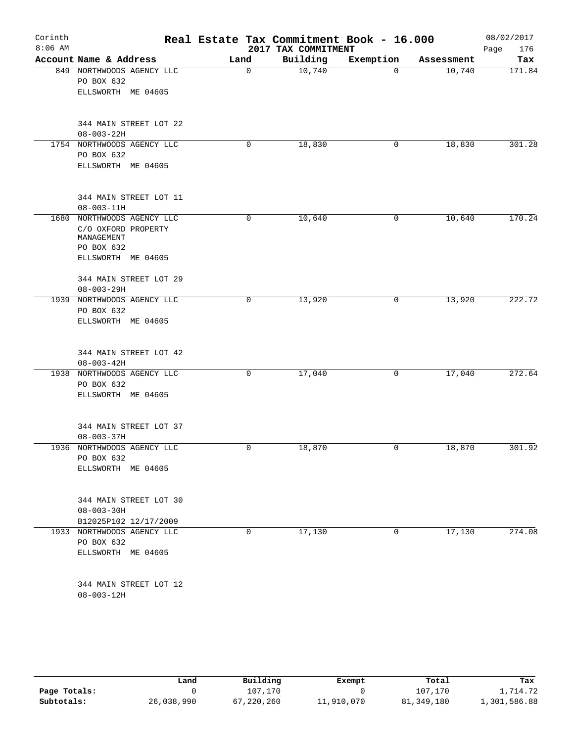| Corinth<br>$8:06$ AM |                                                                 |             | Real Estate Tax Commitment Book - 16.000<br>2017 TAX COMMITMENT |           |            | 08/02/2017         |
|----------------------|-----------------------------------------------------------------|-------------|-----------------------------------------------------------------|-----------|------------|--------------------|
|                      | Account Name & Address                                          | Land        | Building                                                        | Exemption | Assessment | 176<br>Page<br>Tax |
| 849                  | NORTHWOODS AGENCY LLC                                           | $\mathbf 0$ | 10,740                                                          | 0         | 10,740     | 171.84             |
|                      | PO BOX 632                                                      |             |                                                                 |           |            |                    |
|                      | ELLSWORTH ME 04605                                              |             |                                                                 |           |            |                    |
|                      | 344 MAIN STREET LOT 22                                          |             |                                                                 |           |            |                    |
|                      | $08 - 003 - 22H$                                                |             |                                                                 |           |            | 301.28             |
|                      | 1754 NORTHWOODS AGENCY LLC<br>PO BOX 632                        | 0           | 18,830                                                          | 0         | 18,830     |                    |
|                      | ELLSWORTH ME 04605                                              |             |                                                                 |           |            |                    |
|                      | 344 MAIN STREET LOT 11                                          |             |                                                                 |           |            |                    |
|                      | $08 - 003 - 11H$                                                |             |                                                                 |           |            |                    |
|                      | 1680 NORTHWOODS AGENCY LLC<br>C/O OXFORD PROPERTY<br>MANAGEMENT | 0           | 10,640                                                          | 0         | 10,640     | 170.24             |
|                      | PO BOX 632                                                      |             |                                                                 |           |            |                    |
|                      | ELLSWORTH ME 04605                                              |             |                                                                 |           |            |                    |
|                      | 344 MAIN STREET LOT 29                                          |             |                                                                 |           |            |                    |
| 1939                 | $08 - 003 - 29H$<br>NORTHWOODS AGENCY LLC                       | 0           |                                                                 | 0         | 13,920     | 222.72             |
|                      | PO BOX 632                                                      |             | 13,920                                                          |           |            |                    |
|                      | ELLSWORTH ME 04605                                              |             |                                                                 |           |            |                    |
|                      | 344 MAIN STREET LOT 42                                          |             |                                                                 |           |            |                    |
|                      | $08 - 003 - 42H$                                                |             |                                                                 |           |            |                    |
| 1938                 | NORTHWOODS AGENCY LLC                                           | 0           | 17,040                                                          | 0         | 17,040     | 272.64             |
|                      | PO BOX 632                                                      |             |                                                                 |           |            |                    |
|                      | ELLSWORTH ME 04605                                              |             |                                                                 |           |            |                    |
|                      | 344 MAIN STREET LOT 37                                          |             |                                                                 |           |            |                    |
|                      | $08 - 003 - 37H$                                                |             |                                                                 |           |            |                    |
| 1936                 | NORTHWOODS AGENCY LLC                                           | 0           | 18,870                                                          | 0         | 18,870     | 301.92             |
|                      | PO BOX 632<br>ELLSWORTH ME 04605                                |             |                                                                 |           |            |                    |
|                      |                                                                 |             |                                                                 |           |            |                    |
|                      | 344 MAIN STREET LOT 30                                          |             |                                                                 |           |            |                    |
|                      | $08 - 003 - 30H$                                                |             |                                                                 |           |            |                    |
|                      | B12025P102 12/17/2009                                           |             |                                                                 |           |            |                    |
|                      | 1933 NORTHWOODS AGENCY LLC                                      | 0           | 17,130                                                          | 0         | 17,130     | 274.08             |
|                      | PO BOX 632                                                      |             |                                                                 |           |            |                    |
|                      | ELLSWORTH ME 04605                                              |             |                                                                 |           |            |                    |
|                      | 344 MAIN STREET LOT 12                                          |             |                                                                 |           |            |                    |
|                      | $08 - 003 - 12H$                                                |             |                                                                 |           |            |                    |

|              | Land       | Building | Exempt     | Total        | Tax          |
|--------------|------------|----------|------------|--------------|--------------|
| Page Totals: |            | 107,170  |            | 107,170      | .,714.72     |
| Subtotals:   | 26,038,990 | ,220,260 | 11,910,070 | 81, 349, 180 | 1,301,586.88 |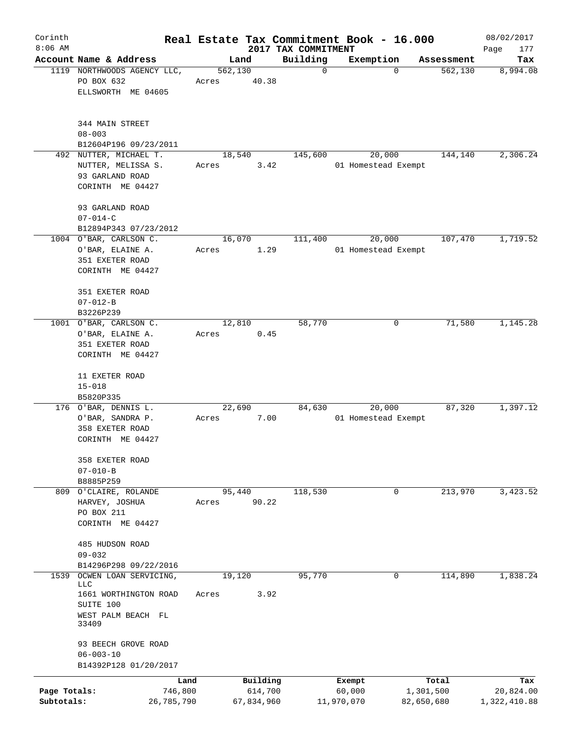| Corinth      |                                                 |                 |       |                     |                     | Real Estate Tax Commitment Book - 16.000 |                    | 08/02/2017       |
|--------------|-------------------------------------------------|-----------------|-------|---------------------|---------------------|------------------------------------------|--------------------|------------------|
| $8:06$ AM    |                                                 |                 |       |                     | 2017 TAX COMMITMENT |                                          |                    | Page<br>177      |
|              | Account Name & Address                          |                 |       | Land                | Building            | Exemption                                | Assessment         | Tax              |
|              | 1119 NORTHWOODS AGENCY LLC,<br>PO BOX 632       |                 | Acres | 562,130<br>40.38    | $\mathbf 0$         | $\mathbf 0$                              | 562, 130           | 8,994.08         |
|              | ELLSWORTH ME 04605                              |                 |       |                     |                     |                                          |                    |                  |
|              | 344 MAIN STREET                                 |                 |       |                     |                     |                                          |                    |                  |
|              | $08 - 003$                                      |                 |       |                     |                     |                                          |                    |                  |
|              | B12604P196 09/23/2011<br>492 NUTTER, MICHAEL T. |                 |       | 18,540              | 145,600             | 20,000                                   | 144,140            | 2,306.24         |
|              | NUTTER, MELISSA S.                              |                 | Acres | 3.42                |                     | 01 Homestead Exempt                      |                    |                  |
|              | 93 GARLAND ROAD                                 |                 |       |                     |                     |                                          |                    |                  |
|              | CORINTH ME 04427                                |                 |       |                     |                     |                                          |                    |                  |
|              | 93 GARLAND ROAD                                 |                 |       |                     |                     |                                          |                    |                  |
|              | $07 - 014 - C$<br>B12894P343 07/23/2012         |                 |       |                     |                     |                                          |                    |                  |
|              | 1004 O'BAR, CARLSON C.                          |                 |       | 16,070              | 111,400             | 20,000                                   | 107,470            | 1,719.52         |
|              | O'BAR, ELAINE A.                                |                 | Acres | 1.29                |                     | 01 Homestead Exempt                      |                    |                  |
|              | 351 EXETER ROAD                                 |                 |       |                     |                     |                                          |                    |                  |
|              | CORINTH ME 04427                                |                 |       |                     |                     |                                          |                    |                  |
|              | 351 EXETER ROAD                                 |                 |       |                     |                     |                                          |                    |                  |
|              | $07 - 012 - B$                                  |                 |       |                     |                     |                                          |                    |                  |
|              | B3226P239                                       |                 |       |                     |                     |                                          |                    |                  |
|              | 1001 O'BAR, CARLSON C.                          |                 |       | 12,810              | 58,770              | 0                                        | 71,580             | 1,145.28         |
|              | O'BAR, ELAINE A.<br>351 EXETER ROAD             |                 | Acres | 0.45                |                     |                                          |                    |                  |
|              | CORINTH ME 04427                                |                 |       |                     |                     |                                          |                    |                  |
|              | 11 EXETER ROAD                                  |                 |       |                     |                     |                                          |                    |                  |
|              | $15 - 018$                                      |                 |       |                     |                     |                                          |                    |                  |
|              | B5820P335                                       |                 |       |                     |                     |                                          |                    |                  |
|              | 176 O'BAR, DENNIS L.                            |                 |       | 22,690              | 84,630              | 20,000                                   | 87,320             | 1,397.12         |
|              | O'BAR, SANDRA P.<br>358 EXETER ROAD             |                 | Acres | 7.00                |                     | 01 Homestead Exempt                      |                    |                  |
|              | CORINTH ME 04427                                |                 |       |                     |                     |                                          |                    |                  |
|              | 358 EXETER ROAD                                 |                 |       |                     |                     |                                          |                    |                  |
|              | $07 - 010 - B$                                  |                 |       |                     |                     |                                          |                    |                  |
|              | B8885P259                                       |                 |       |                     |                     |                                          |                    |                  |
|              | 809 O'CLAIRE, ROLANDE                           |                 |       | 95,440              | 118,530             | 0                                        | 213,970            | 3,423.52         |
|              | HARVEY, JOSHUA<br>PO BOX 211                    |                 | Acres | 90.22               |                     |                                          |                    |                  |
|              | CORINTH ME 04427                                |                 |       |                     |                     |                                          |                    |                  |
|              | 485 HUDSON ROAD                                 |                 |       |                     |                     |                                          |                    |                  |
|              | $09 - 032$                                      |                 |       |                     |                     |                                          |                    |                  |
|              | B14296P298 09/22/2016                           |                 |       |                     |                     |                                          |                    |                  |
| 1539         | OCWEN LOAN SERVICING,<br>LLC                    |                 |       | 19,120              | 95,770              | 0                                        | 114,890            | 1,838.24         |
|              | 1661 WORTHINGTON ROAD                           |                 | Acres | 3.92                |                     |                                          |                    |                  |
|              | SUITE 100                                       |                 |       |                     |                     |                                          |                    |                  |
|              | WEST PALM BEACH FL<br>33409                     |                 |       |                     |                     |                                          |                    |                  |
|              | 93 BEECH GROVE ROAD                             |                 |       |                     |                     |                                          |                    |                  |
|              | $06 - 003 - 10$                                 |                 |       |                     |                     |                                          |                    |                  |
|              | B14392P128 01/20/2017                           |                 |       |                     |                     |                                          |                    |                  |
| Page Totals: |                                                 | Land<br>746,800 |       | Building<br>614,700 |                     | Exempt<br>60,000                         | Total<br>1,301,500 | Tax<br>20,824.00 |
| Subtotals:   |                                                 | 26,785,790      |       | 67,834,960          |                     | 11,970,070                               | 82,650,680         | 1,322,410.88     |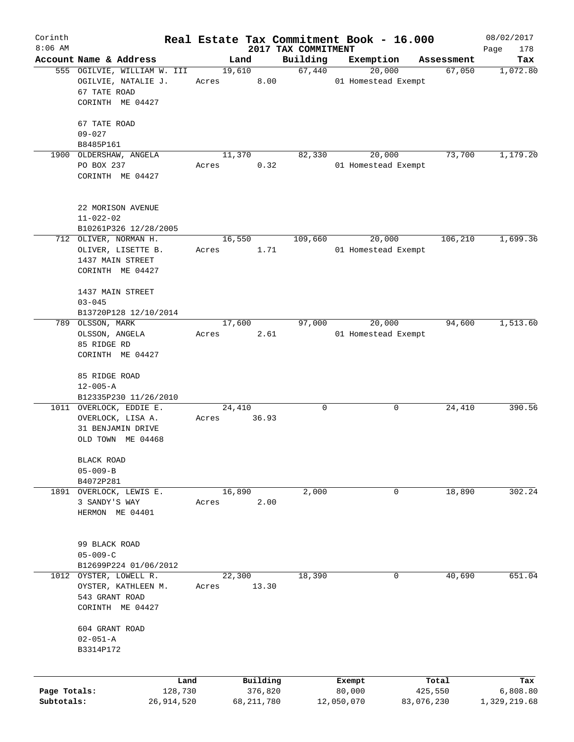| Corinth      |                                      |       |              |                                 | Real Estate Tax Commitment Book - 16.000 |            | 08/02/2017         |
|--------------|--------------------------------------|-------|--------------|---------------------------------|------------------------------------------|------------|--------------------|
| $8:06$ AM    | Account Name & Address               |       | Land         | 2017 TAX COMMITMENT<br>Building | Exemption                                | Assessment | Page<br>178<br>Tax |
|              | 555 OGILVIE, WILLIAM W. III          |       | 19,610       | 67,440                          | 20,000                                   | 67,050     | 1,072.80           |
|              | OGILVIE, NATALIE J.                  | Acres | 8.00         |                                 | 01 Homestead Exempt                      |            |                    |
|              | 67 TATE ROAD                         |       |              |                                 |                                          |            |                    |
|              | CORINTH ME 04427                     |       |              |                                 |                                          |            |                    |
|              | 67 TATE ROAD                         |       |              |                                 |                                          |            |                    |
|              | $09 - 027$                           |       |              |                                 |                                          |            |                    |
|              | B8485P161                            |       |              |                                 |                                          |            |                    |
|              | 1900 OLDERSHAW, ANGELA               |       | 11,370       | 82,330                          | 20,000                                   | 73,700     | 1,179.20           |
|              | PO BOX 237                           | Acres | 0.32         |                                 | 01 Homestead Exempt                      |            |                    |
|              | CORINTH ME 04427                     |       |              |                                 |                                          |            |                    |
|              |                                      |       |              |                                 |                                          |            |                    |
|              | 22 MORISON AVENUE                    |       |              |                                 |                                          |            |                    |
|              | $11 - 022 - 02$                      |       |              |                                 |                                          |            |                    |
|              | B10261P326 12/28/2005                |       |              |                                 |                                          |            |                    |
|              | 712 OLIVER, NORMAN H.                |       | 16,550       | 109,660                         | 20,000                                   | 106,210    | 1,699.36           |
|              | OLIVER, LISETTE B.                   | Acres | 1.71         |                                 | 01 Homestead Exempt                      |            |                    |
|              | 1437 MAIN STREET<br>CORINTH ME 04427 |       |              |                                 |                                          |            |                    |
|              |                                      |       |              |                                 |                                          |            |                    |
|              | 1437 MAIN STREET                     |       |              |                                 |                                          |            |                    |
|              | $03 - 045$                           |       |              |                                 |                                          |            |                    |
|              | B13720P128 12/10/2014                |       |              |                                 |                                          |            |                    |
|              | 789 OLSSON, MARK                     |       | 17,600       | 97,000                          | 20,000                                   | 94,600     | 1,513.60           |
|              | OLSSON, ANGELA                       | Acres | 2.61         |                                 | 01 Homestead Exempt                      |            |                    |
|              | 85 RIDGE RD                          |       |              |                                 |                                          |            |                    |
|              | CORINTH ME 04427                     |       |              |                                 |                                          |            |                    |
|              | 85 RIDGE ROAD                        |       |              |                                 |                                          |            |                    |
|              | $12 - 005 - A$                       |       |              |                                 |                                          |            |                    |
|              | B12335P230 11/26/2010                |       |              |                                 |                                          |            |                    |
|              | 1011 OVERLOCK, EDDIE E.              |       | 24,410       | 0                               | 0                                        | 24,410     | 390.56             |
|              | OVERLOCK, LISA A.                    | Acres | 36.93        |                                 |                                          |            |                    |
|              | 31 BENJAMIN DRIVE                    |       |              |                                 |                                          |            |                    |
|              | OLD TOWN ME 04468                    |       |              |                                 |                                          |            |                    |
|              | <b>BLACK ROAD</b>                    |       |              |                                 |                                          |            |                    |
|              | $05 - 009 - B$                       |       |              |                                 |                                          |            |                    |
|              | B4072P281                            |       |              |                                 |                                          |            |                    |
| 1891         | OVERLOCK, LEWIS E.                   |       | 16,890       | 2,000                           | 0                                        | 18,890     | 302.24             |
|              | 3 SANDY'S WAY                        | Acres | 2.00         |                                 |                                          |            |                    |
|              | HERMON ME 04401                      |       |              |                                 |                                          |            |                    |
|              |                                      |       |              |                                 |                                          |            |                    |
|              | 99 BLACK ROAD                        |       |              |                                 |                                          |            |                    |
|              | $05 - 009 - C$                       |       |              |                                 |                                          |            |                    |
|              | B12699P224 01/06/2012                |       |              |                                 |                                          |            |                    |
| 1012         | OYSTER, LOWELL R.                    |       | 22,300       | 18,390                          | 0                                        | 40,690     | 651.04             |
|              | OYSTER, KATHLEEN M.                  | Acres | 13.30        |                                 |                                          |            |                    |
|              | 543 GRANT ROAD                       |       |              |                                 |                                          |            |                    |
|              | CORINTH ME 04427                     |       |              |                                 |                                          |            |                    |
|              | 604 GRANT ROAD                       |       |              |                                 |                                          |            |                    |
|              | $02 - 051 - A$                       |       |              |                                 |                                          |            |                    |
|              | B3314P172                            |       |              |                                 |                                          |            |                    |
|              |                                      |       |              |                                 |                                          |            |                    |
|              | Land                                 |       | Building     |                                 | Exempt                                   | Total      | Tax                |
| Page Totals: | 128,730                              |       | 376,820      |                                 | 80,000                                   | 425,550    | 6,808.80           |
| Subtotals:   | 26, 914, 520                         |       | 68, 211, 780 |                                 | 12,050,070                               | 83,076,230 | 1,329,219.68       |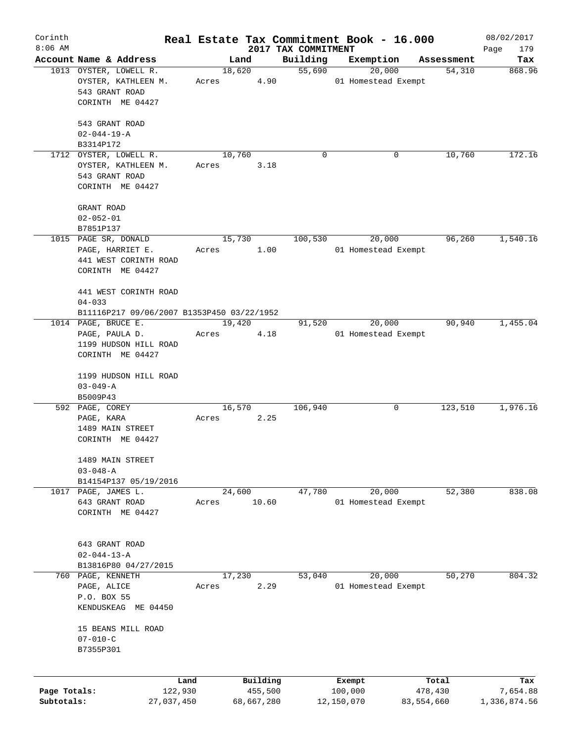| Corinth      |                                                          |                 |       |        |                     |                                 | Real Estate Tax Commitment Book - 16.000 |   |                      | 08/02/2017         |
|--------------|----------------------------------------------------------|-----------------|-------|--------|---------------------|---------------------------------|------------------------------------------|---|----------------------|--------------------|
| $8:06$ AM    | Account Name & Address                                   |                 |       | Land   |                     | 2017 TAX COMMITMENT<br>Building | Exemption                                |   |                      | Page<br>179<br>Tax |
|              | 1013 OYSTER, LOWELL R.                                   |                 |       | 18,620 |                     | 55,690                          | 20,000                                   |   | Assessment<br>54,310 | 868.96             |
|              | OYSTER, KATHLEEN M.<br>543 GRANT ROAD                    |                 | Acres |        | 4.90                |                                 | 01 Homestead Exempt                      |   |                      |                    |
|              | CORINTH ME 04427                                         |                 |       |        |                     |                                 |                                          |   |                      |                    |
|              | 543 GRANT ROAD<br>$02 - 044 - 19 - A$                    |                 |       |        |                     |                                 |                                          |   |                      |                    |
|              | B3314P172                                                |                 |       |        |                     |                                 |                                          |   |                      |                    |
|              | 1712 OYSTER, LOWELL R.                                   |                 |       | 10,760 |                     | $\Omega$                        |                                          | 0 | 10,760               | 172.16             |
|              | OYSTER, KATHLEEN M.                                      |                 | Acres |        | 3.18                |                                 |                                          |   |                      |                    |
|              | 543 GRANT ROAD<br>CORINTH ME 04427                       |                 |       |        |                     |                                 |                                          |   |                      |                    |
|              |                                                          |                 |       |        |                     |                                 |                                          |   |                      |                    |
|              | GRANT ROAD                                               |                 |       |        |                     |                                 |                                          |   |                      |                    |
|              | $02 - 052 - 01$                                          |                 |       |        |                     |                                 |                                          |   |                      |                    |
|              | B7851P137                                                |                 |       |        |                     |                                 |                                          |   |                      |                    |
|              | 1015 PAGE SR, DONALD                                     |                 |       | 15,730 |                     | 100,530                         | 20,000                                   |   | 96,260               | 1,540.16           |
|              | PAGE, HARRIET E.                                         |                 | Acres |        | 1.00                |                                 | 01 Homestead Exempt                      |   |                      |                    |
|              | 441 WEST CORINTH ROAD                                    |                 |       |        |                     |                                 |                                          |   |                      |                    |
|              | CORINTH ME 04427                                         |                 |       |        |                     |                                 |                                          |   |                      |                    |
|              | 441 WEST CORINTH ROAD                                    |                 |       |        |                     |                                 |                                          |   |                      |                    |
|              | $04 - 033$<br>B11116P217 09/06/2007 B1353P450 03/22/1952 |                 |       |        |                     |                                 |                                          |   |                      |                    |
|              | 1014 PAGE, BRUCE E.                                      |                 |       | 19,420 |                     | 91,520                          | 20,000                                   |   | 90,940               | 1,455.04           |
|              | PAGE, PAULA D.                                           |                 | Acres |        | 4.18                |                                 | 01 Homestead Exempt                      |   |                      |                    |
|              | 1199 HUDSON HILL ROAD                                    |                 |       |        |                     |                                 |                                          |   |                      |                    |
|              | CORINTH ME 04427                                         |                 |       |        |                     |                                 |                                          |   |                      |                    |
|              | 1199 HUDSON HILL ROAD                                    |                 |       |        |                     |                                 |                                          |   |                      |                    |
|              | $03 - 049 - A$                                           |                 |       |        |                     |                                 |                                          |   |                      |                    |
|              | B5009P43                                                 |                 |       |        |                     |                                 |                                          |   |                      |                    |
|              | 592 PAGE, COREY                                          |                 |       | 16,570 |                     | 106,940                         |                                          | 0 | 123,510              | 1,976.16           |
|              | PAGE, KARA                                               |                 | Acres |        | 2.25                |                                 |                                          |   |                      |                    |
|              | 1489 MAIN STREET                                         |                 |       |        |                     |                                 |                                          |   |                      |                    |
|              | CORINTH ME 04427                                         |                 |       |        |                     |                                 |                                          |   |                      |                    |
|              | 1489 MAIN STREET                                         |                 |       |        |                     |                                 |                                          |   |                      |                    |
|              | $03 - 048 - A$                                           |                 |       |        |                     |                                 |                                          |   |                      |                    |
|              | B14154P137 05/19/2016                                    |                 |       |        |                     |                                 |                                          |   |                      |                    |
|              | 1017 PAGE, JAMES L.                                      |                 |       | 24,600 |                     | 47,780                          | 20,000                                   |   | 52,380               | 838.08             |
|              | 643 GRANT ROAD                                           |                 | Acres |        | 10.60               |                                 | 01 Homestead Exempt                      |   |                      |                    |
|              | CORINTH ME 04427                                         |                 |       |        |                     |                                 |                                          |   |                      |                    |
|              |                                                          |                 |       |        |                     |                                 |                                          |   |                      |                    |
|              | 643 GRANT ROAD                                           |                 |       |        |                     |                                 |                                          |   |                      |                    |
|              | $02 - 044 - 13 - A$                                      |                 |       |        |                     |                                 |                                          |   |                      |                    |
|              | B13816P80 04/27/2015                                     |                 |       |        |                     |                                 |                                          |   |                      |                    |
|              | 760 PAGE, KENNETH                                        |                 |       | 17,230 |                     | 53,040                          | 20,000                                   |   | 50,270               | 804.32             |
|              | PAGE, ALICE                                              |                 | Acres |        | 2.29                |                                 | 01 Homestead Exempt                      |   |                      |                    |
|              | P.O. BOX 55                                              |                 |       |        |                     |                                 |                                          |   |                      |                    |
|              | KENDUSKEAG ME 04450                                      |                 |       |        |                     |                                 |                                          |   |                      |                    |
|              | 15 BEANS MILL ROAD                                       |                 |       |        |                     |                                 |                                          |   |                      |                    |
|              | $07 - 010 - C$                                           |                 |       |        |                     |                                 |                                          |   |                      |                    |
|              | B7355P301                                                |                 |       |        |                     |                                 |                                          |   |                      |                    |
|              |                                                          |                 |       |        |                     |                                 |                                          |   |                      |                    |
| Page Totals: |                                                          | Land<br>122,930 |       |        | Building<br>455,500 |                                 | Exempt<br>100,000                        |   | Total<br>478,430     | Tax<br>7,654.88    |
| Subtotals:   |                                                          | 27,037,450      |       |        | 68,667,280          |                                 | 12,150,070                               |   | 83,554,660           | 1,336,874.56       |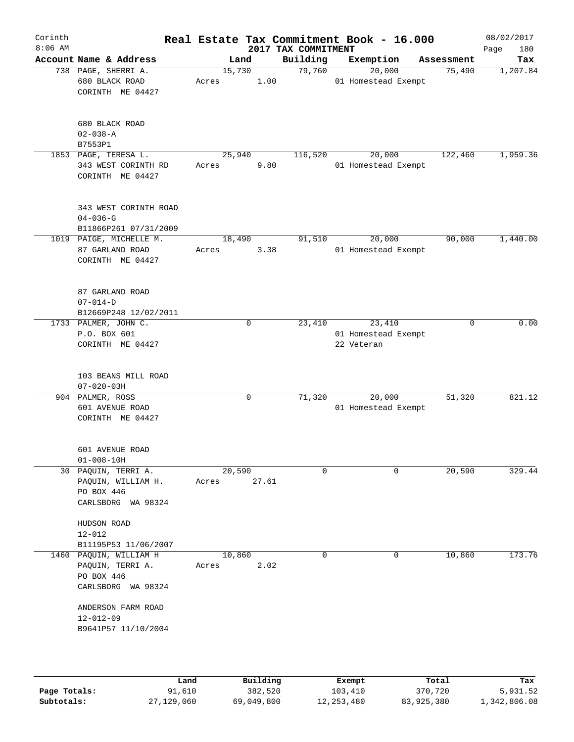| Corinth<br>$8:06$ AM |                                                                                |                 |       | 2017 TAX COMMITMENT | Real Estate Tax Commitment Book - 16.000    |             | 08/02/2017<br>Page<br>180 |
|----------------------|--------------------------------------------------------------------------------|-----------------|-------|---------------------|---------------------------------------------|-------------|---------------------------|
|                      | Account Name & Address                                                         | Land            |       | Building            | Exemption                                   | Assessment  | Tax                       |
|                      | 738 PAGE, SHERRI A.<br>680 BLACK ROAD<br>CORINTH ME 04427                      | 15,730<br>Acres | 1.00  | 79,760              | 20,000<br>01 Homestead Exempt               | 75,490      | 1,207.84                  |
|                      | 680 BLACK ROAD<br>$02 - 038 - A$<br>B7553P1                                    |                 |       |                     |                                             |             |                           |
|                      | 1853 PAGE, TERESA L.<br>343 WEST CORINTH RD<br>CORINTH ME 04427                | 25,940<br>Acres | 9.80  | 116,520             | 20,000<br>01 Homestead Exempt               | 122,460     | 1,959.36                  |
|                      | 343 WEST CORINTH ROAD<br>$04 - 036 - G$<br>B11866P261 07/31/2009               |                 |       |                     |                                             |             |                           |
|                      | 1019 PAIGE, MICHELLE M.<br>87 GARLAND ROAD<br>CORINTH ME 04427                 | 18,490<br>Acres | 3.38  | 91,510              | 20,000<br>01 Homestead Exempt               | 90,000      | 1,440.00                  |
|                      | 87 GARLAND ROAD<br>$07 - 014 - D$<br>B12669P248 12/02/2011                     |                 |       |                     |                                             |             |                           |
|                      | 1733 PALMER, JOHN C.<br>P.O. BOX 601<br>CORINTH ME 04427                       | 0               |       | 23,410              | 23,410<br>01 Homestead Exempt<br>22 Veteran | $\mathbf 0$ | 0.00                      |
|                      | 103 BEANS MILL ROAD<br>$07 - 020 - 03H$                                        |                 |       |                     |                                             |             |                           |
|                      | 904 PALMER, ROSS<br>601 AVENUE ROAD<br>CORINTH ME 04427                        | 0               |       | 71,320              | 20,000<br>01 Homestead Exempt               | 51,320      | 821.12                    |
|                      | 601 AVENUE ROAD<br>$01 - 008 - 10H$                                            |                 |       |                     |                                             |             |                           |
|                      | 30 PAQUIN, TERRI A.<br>PAQUIN, WILLIAM H.<br>PO BOX 446<br>CARLSBORG WA 98324  | 20,590<br>Acres | 27.61 | $\mathbf 0$         | $\Omega$                                    | 20,590      | 329.44                    |
|                      | HUDSON ROAD<br>$12 - 012$<br>B11195P53 11/06/2007                              |                 |       |                     |                                             |             |                           |
|                      | 1460 PAQUIN, WILLIAM H<br>PAQUIN, TERRI A.<br>PO BOX 446<br>CARLSBORG WA 98324 | 10,860<br>Acres | 2.02  | $\mathbf 0$         | 0                                           | 10,860      | 173.76                    |
|                      | ANDERSON FARM ROAD<br>$12 - 012 - 09$<br>B9641P57 11/10/2004                   |                 |       |                     |                                             |             |                           |
|                      |                                                                                |                 |       |                     |                                             |             |                           |

|              | Land       | Building   | Exempt     | Total      | Tax          |
|--------------|------------|------------|------------|------------|--------------|
| Page Totals: | 91,610     | 382,520    | 103,410    | 370,720    | 5,931.52     |
| Subtotals:   | 27,129,060 | 69,049,800 | 12,253,480 | 83,925,380 | 1,342,806.08 |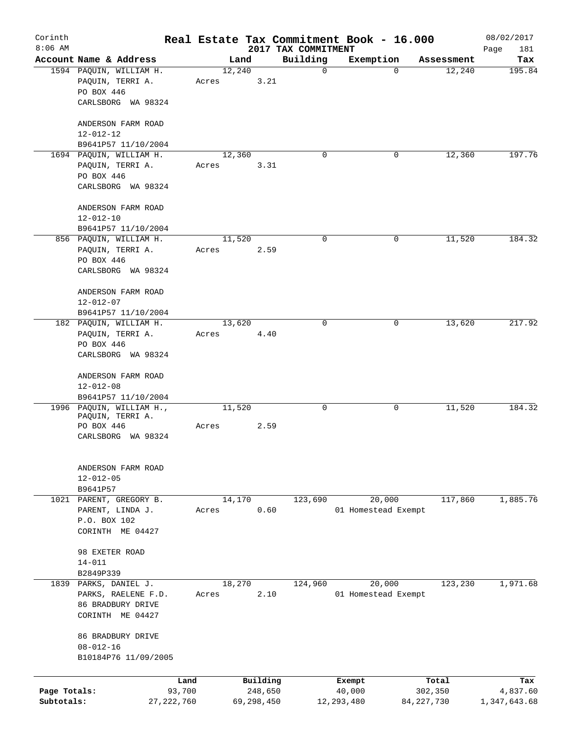| Corinth<br>$8:06$ AM |                                                                                 |                 |            |                                 | Real Estate Tax Commitment Book - 16.000 |              | 08/02/2017         |
|----------------------|---------------------------------------------------------------------------------|-----------------|------------|---------------------------------|------------------------------------------|--------------|--------------------|
|                      | Account Name & Address                                                          |                 | Land       | 2017 TAX COMMITMENT<br>Building | Exemption                                | Assessment   | Page<br>181<br>Tax |
|                      | 1594 PAQUIN, WILLIAM H.<br>PAQUIN, TERRI A.                                     | 12,240<br>Acres | 3.21       | $\mathbf 0$                     | $\mathbf 0$                              | 12,240       | 195.84             |
|                      | PO BOX 446<br>CARLSBORG WA 98324                                                |                 |            |                                 |                                          |              |                    |
|                      | ANDERSON FARM ROAD<br>$12 - 012 - 12$                                           |                 |            |                                 |                                          |              |                    |
|                      | B9641P57 11/10/2004                                                             |                 |            |                                 |                                          |              |                    |
|                      | 1694 PAQUIN, WILLIAM H.<br>PAQUIN, TERRI A.<br>PO BOX 446<br>CARLSBORG WA 98324 | 12,360<br>Acres | 3.31       | $\Omega$                        | 0                                        | 12,360       | 197.76             |
|                      | ANDERSON FARM ROAD<br>$12 - 012 - 10$                                           |                 |            |                                 |                                          |              |                    |
|                      | B9641P57 11/10/2004                                                             |                 |            |                                 |                                          |              |                    |
|                      | 856 PAQUIN, WILLIAM H.<br>PAQUIN, TERRI A.<br>PO BOX 446<br>CARLSBORG WA 98324  | 11,520<br>Acres | 2.59       | 0                               | 0                                        | 11,520       | 184.32             |
|                      |                                                                                 |                 |            |                                 |                                          |              |                    |
|                      | ANDERSON FARM ROAD<br>$12 - 012 - 07$                                           |                 |            |                                 |                                          |              |                    |
|                      | B9641P57 11/10/2004                                                             |                 |            |                                 |                                          |              |                    |
|                      | 182 PAQUIN, WILLIAM H.<br>PAQUIN, TERRI A.<br>PO BOX 446                        | 13,620<br>Acres | 4.40       | $\Omega$                        | 0                                        | 13,620       | 217.92             |
|                      | CARLSBORG WA 98324                                                              |                 |            |                                 |                                          |              |                    |
|                      | ANDERSON FARM ROAD<br>$12 - 012 - 08$                                           |                 |            |                                 |                                          |              |                    |
|                      | B9641P57 11/10/2004                                                             | 11,520          |            | 0                               |                                          |              | 184.32             |
|                      | 1996 PAQUIN, WILLIAM H.,<br>PAQUIN, TERRI A.<br>PO BOX 446                      | Acres           | 2.59       |                                 | 0                                        | 11,520       |                    |
|                      | CARLSBORG WA 98324                                                              |                 |            |                                 |                                          |              |                    |
|                      | ANDERSON FARM ROAD<br>$12 - 012 - 05$                                           |                 |            |                                 |                                          |              |                    |
|                      | B9641P57<br>1021 PARENT, GREGORY B.                                             | 14,170          |            | 123,690                         | 20,000                                   | 117,860      | 1,885.76           |
|                      | PARENT, LINDA J.                                                                | Acres           | 0.60       |                                 | 01 Homestead Exempt                      |              |                    |
|                      | P.O. BOX 102<br>CORINTH ME 04427                                                |                 |            |                                 |                                          |              |                    |
|                      | 98 EXETER ROAD                                                                  |                 |            |                                 |                                          |              |                    |
|                      | $14 - 011$<br>B2849P339                                                         |                 |            |                                 |                                          |              |                    |
|                      | 1839 PARKS, DANIEL J.                                                           | 18,270          |            | 124,960                         | 20,000                                   | 123,230      | 1,971.68           |
|                      | PARKS, RAELENE F.D.                                                             | Acres           | 2.10       |                                 | 01 Homestead Exempt                      |              |                    |
|                      | 86 BRADBURY DRIVE<br>CORINTH ME 04427                                           |                 |            |                                 |                                          |              |                    |
|                      | 86 BRADBURY DRIVE<br>$08 - 012 - 16$                                            |                 |            |                                 |                                          |              |                    |
|                      | B10184P76 11/09/2005                                                            |                 |            |                                 |                                          |              |                    |
|                      | Land                                                                            |                 | Building   |                                 | Exempt                                   | Total        | Tax                |
| Page Totals:         | 93,700                                                                          |                 | 248,650    |                                 | 40,000                                   | 302,350      | 4,837.60           |
| Subtotals:           | 27, 222, 760                                                                    |                 | 69,298,450 |                                 | 12, 293, 480                             | 84, 227, 730 | 1,347,643.68       |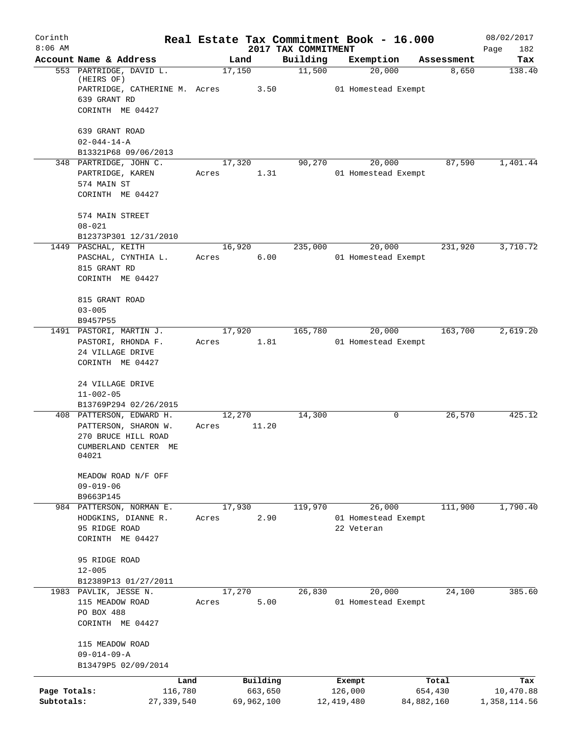| Corinth      |                                                                        |        |            | Real Estate Tax Commitment Book - 16.000 |            |                               |            | 08/02/2017         |
|--------------|------------------------------------------------------------------------|--------|------------|------------------------------------------|------------|-------------------------------|------------|--------------------|
| $8:06$ AM    | Account Name & Address                                                 |        | Land       | 2017 TAX COMMITMENT<br>Building          |            | Exemption                     | Assessment | Page<br>182<br>Tax |
|              | 553 PARTRIDGE, DAVID L.<br>(HEIRS OF)<br>PARTRIDGE, CATHERINE M. Acres | 17,150 | 3.50       | 11,500                                   |            | 20,000<br>01 Homestead Exempt | 8,650      | 138.40             |
|              | 639 GRANT RD<br>CORINTH ME 04427                                       |        |            |                                          |            |                               |            |                    |
|              | 639 GRANT ROAD                                                         |        |            |                                          |            |                               |            |                    |
|              | $02 - 044 - 14 - A$                                                    |        |            |                                          |            |                               |            |                    |
|              | B13321P68 09/06/2013<br>348 PARTRIDGE, JOHN C.                         | 17,320 |            | 90,270                                   |            | 20,000                        | 87,590     | 1,401.44           |
|              | PARTRIDGE, KAREN<br>574 MAIN ST                                        | Acres  | 1.31       |                                          |            | 01 Homestead Exempt           |            |                    |
|              | CORINTH ME 04427                                                       |        |            |                                          |            |                               |            |                    |
|              | 574 MAIN STREET<br>$08 - 021$                                          |        |            |                                          |            |                               |            |                    |
|              | B12373P301 12/31/2010                                                  |        |            |                                          |            |                               |            |                    |
|              | 1449 PASCHAL, KEITH                                                    | 16,920 |            | 235,000                                  |            | 20,000                        | 231,920    | 3,710.72           |
|              | PASCHAL, CYNTHIA L.                                                    | Acres  | 6.00       |                                          |            | 01 Homestead Exempt           |            |                    |
|              | 815 GRANT RD<br>CORINTH ME 04427                                       |        |            |                                          |            |                               |            |                    |
|              | 815 GRANT ROAD                                                         |        |            |                                          |            |                               |            |                    |
|              | $03 - 005$<br>B9457P55                                                 |        |            |                                          |            |                               |            |                    |
|              | 1491 PASTORI, MARTIN J.                                                | 17,920 |            | 165,780                                  |            | 20,000                        | 163,700    | 2,619.20           |
|              | PASTORI, RHONDA F.                                                     | Acres  | 1.81       |                                          |            | 01 Homestead Exempt           |            |                    |
|              | 24 VILLAGE DRIVE<br>CORINTH ME 04427                                   |        |            |                                          |            |                               |            |                    |
|              | 24 VILLAGE DRIVE<br>$11 - 002 - 05$                                    |        |            |                                          |            |                               |            |                    |
|              | B13769P294 02/26/2015                                                  |        |            |                                          |            |                               |            |                    |
|              | 408 PATTERSON, EDWARD H.                                               | 12,270 |            | 14,300                                   |            | 0                             | 26,570     | 425.12             |
|              | PATTERSON, SHARON W.<br>270 BRUCE HILL ROAD                            | Acres  | 11.20      |                                          |            |                               |            |                    |
|              | CUMBERLAND CENTER ME<br>04021                                          |        |            |                                          |            |                               |            |                    |
|              | MEADOW ROAD N/F OFF                                                    |        |            |                                          |            |                               |            |                    |
|              | $09 - 019 - 06$<br>B9663P145                                           |        |            |                                          |            |                               |            |                    |
|              | 984 PATTERSON, NORMAN E.                                               | 17,930 |            | 119,970                                  |            | 26,000                        | 111,900    | 1,790.40           |
|              | HODGKINS, DIANNE R.                                                    | Acres  | 2.90       |                                          |            | 01 Homestead Exempt           |            |                    |
|              | 95 RIDGE ROAD<br>CORINTH ME 04427                                      |        |            |                                          | 22 Veteran |                               |            |                    |
|              | 95 RIDGE ROAD                                                          |        |            |                                          |            |                               |            |                    |
|              | $12 - 005$<br>B12389P13 01/27/2011                                     |        |            |                                          |            |                               |            |                    |
|              | 1983 PAVLIK, JESSE N.                                                  | 17,270 |            | 26,830                                   |            | 20,000                        | 24,100     | 385.60             |
|              | 115 MEADOW ROAD                                                        | Acres  | 5.00       |                                          |            | 01 Homestead Exempt           |            |                    |
|              | PO BOX 488<br>CORINTH ME 04427                                         |        |            |                                          |            |                               |            |                    |
|              | 115 MEADOW ROAD                                                        |        |            |                                          |            |                               |            |                    |
|              | $09 - 014 - 09 - A$<br>B13479P5 02/09/2014                             |        |            |                                          |            |                               |            |                    |
|              | Land                                                                   |        | Building   |                                          | Exempt     |                               | Total      | Tax                |
| Page Totals: | 116,780                                                                |        | 663,650    |                                          | 126,000    |                               | 654,430    | 10,470.88          |
| Subtotals:   | 27,339,540                                                             |        | 69,962,100 |                                          | 12,419,480 |                               | 84,882,160 | 1,358,114.56       |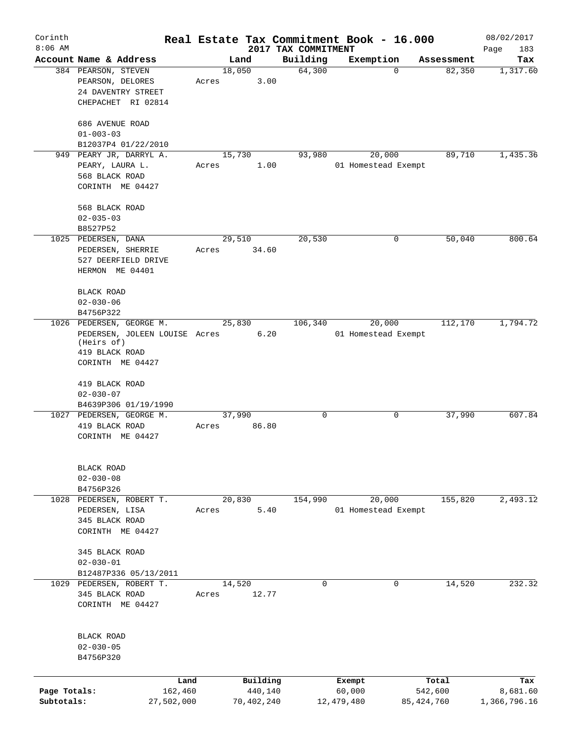| Corinth      |                               |        |            |                     | Real Estate Tax Commitment Book - 16.000 |              | 08/02/2017   |
|--------------|-------------------------------|--------|------------|---------------------|------------------------------------------|--------------|--------------|
| $8:06$ AM    |                               |        |            | 2017 TAX COMMITMENT |                                          |              | Page<br>183  |
|              | Account Name & Address        |        | Land       | Building            | Exemption                                | Assessment   | Tax          |
|              | 384 PEARSON, STEVEN           | 18,050 |            | 64,300              | 0                                        | 82,350       | 1,317.60     |
|              | PEARSON, DELORES              | Acres  | 3.00       |                     |                                          |              |              |
|              | 24 DAVENTRY STREET            |        |            |                     |                                          |              |              |
|              | CHEPACHET RI 02814            |        |            |                     |                                          |              |              |
|              |                               |        |            |                     |                                          |              |              |
|              | 686 AVENUE ROAD               |        |            |                     |                                          |              |              |
|              | $01 - 003 - 03$               |        |            |                     |                                          |              |              |
|              | B12037P4 01/22/2010           |        |            |                     |                                          |              |              |
|              | 949 PEARY JR, DARRYL A.       |        | 15,730     | 93,980              | 20,000                                   | 89,710       | 1,435.36     |
|              | PEARY, LAURA L.               | Acres  | 1.00       |                     | 01 Homestead Exempt                      |              |              |
|              | 568 BLACK ROAD                |        |            |                     |                                          |              |              |
|              | CORINTH ME 04427              |        |            |                     |                                          |              |              |
|              | 568 BLACK ROAD                |        |            |                     |                                          |              |              |
|              | $02 - 035 - 03$               |        |            |                     |                                          |              |              |
|              | B8527P52                      |        |            |                     |                                          |              |              |
|              | 1025 PEDERSEN, DANA           | 29,510 |            | 20,530              | 0                                        | 50,040       | 800.64       |
|              |                               |        |            |                     |                                          |              |              |
|              | PEDERSEN, SHERRIE             | Acres  | 34.60      |                     |                                          |              |              |
|              | 527 DEERFIELD DRIVE           |        |            |                     |                                          |              |              |
|              | HERMON ME 04401               |        |            |                     |                                          |              |              |
|              | BLACK ROAD                    |        |            |                     |                                          |              |              |
|              | $02 - 030 - 06$               |        |            |                     |                                          |              |              |
|              | B4756P322                     |        |            |                     |                                          |              |              |
|              | 1026 PEDERSEN, GEORGE M.      |        | 25,830     | 106,340             | 20,000                                   | 112,170      | 1,794.72     |
|              | PEDERSEN, JOLEEN LOUISE Acres |        | 6.20       |                     | 01 Homestead Exempt                      |              |              |
|              | (Heirs of)                    |        |            |                     |                                          |              |              |
|              | 419 BLACK ROAD                |        |            |                     |                                          |              |              |
|              | CORINTH ME 04427              |        |            |                     |                                          |              |              |
|              |                               |        |            |                     |                                          |              |              |
|              | 419 BLACK ROAD                |        |            |                     |                                          |              |              |
|              | $02 - 030 - 07$               |        |            |                     |                                          |              |              |
|              | B4639P306 01/19/1990          |        |            |                     |                                          |              |              |
|              | 1027 PEDERSEN, GEORGE M.      | 37,990 |            | 0                   | 0                                        | 37,990       | 607.84       |
|              | 419 BLACK ROAD                | Acres  | 86.80      |                     |                                          |              |              |
|              | CORINTH ME 04427              |        |            |                     |                                          |              |              |
|              |                               |        |            |                     |                                          |              |              |
|              |                               |        |            |                     |                                          |              |              |
|              | BLACK ROAD                    |        |            |                     |                                          |              |              |
|              | $02 - 030 - 08$               |        |            |                     |                                          |              |              |
|              | B4756P326                     |        |            |                     |                                          |              |              |
|              | 1028 PEDERSEN, ROBERT T.      |        | 20,830     | 154,990             | 20,000                                   | 155,820      | 2,493.12     |
|              | PEDERSEN, LISA                | Acres  | 5.40       |                     | 01 Homestead Exempt                      |              |              |
|              | 345 BLACK ROAD                |        |            |                     |                                          |              |              |
|              | CORINTH ME 04427              |        |            |                     |                                          |              |              |
|              |                               |        |            |                     |                                          |              |              |
|              | 345 BLACK ROAD                |        |            |                     |                                          |              |              |
|              | $02 - 030 - 01$               |        |            |                     |                                          |              |              |
|              | B12487P336 05/13/2011         |        |            |                     |                                          |              |              |
|              | 1029 PEDERSEN, ROBERT T.      | 14,520 |            | $\mathbf 0$         | $\mathbf 0$                              | 14,520       | 232.32       |
|              | 345 BLACK ROAD                | Acres  | 12.77      |                     |                                          |              |              |
|              | CORINTH ME 04427              |        |            |                     |                                          |              |              |
|              |                               |        |            |                     |                                          |              |              |
|              |                               |        |            |                     |                                          |              |              |
|              | BLACK ROAD                    |        |            |                     |                                          |              |              |
|              | $02 - 030 - 05$               |        |            |                     |                                          |              |              |
|              | B4756P320                     |        |            |                     |                                          |              |              |
|              |                               |        |            |                     |                                          |              |              |
|              | Land                          |        | Building   |                     | Exempt                                   | Total        | Tax          |
| Page Totals: | 162,460                       |        | 440,140    |                     | 60,000                                   | 542,600      | 8,681.60     |
| Subtotals:   | 27,502,000                    |        | 70,402,240 |                     | 12,479,480                               | 85, 424, 760 | 1,366,796.16 |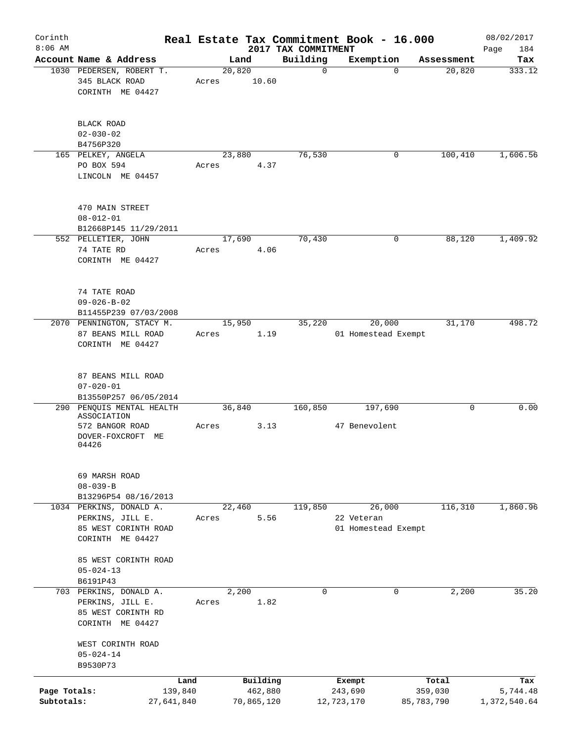| Corinth<br>$8:06$ AM       |                                                                                                                                                             |       |                                   | 2017 TAX COMMITMENT | Real Estate Tax Commitment Book - 16.000    |                                | 08/02/2017<br>184<br>Page       |
|----------------------------|-------------------------------------------------------------------------------------------------------------------------------------------------------------|-------|-----------------------------------|---------------------|---------------------------------------------|--------------------------------|---------------------------------|
|                            | Account Name & Address                                                                                                                                      |       | Land                              | Building            | Exemption                                   | Assessment                     | Tax                             |
|                            | 1030 PEDERSEN, ROBERT T.<br>345 BLACK ROAD<br>CORINTH ME 04427                                                                                              | Acres | 20,820<br>10.60                   | $\mathbf 0$         | $\Omega$                                    | 20,820                         | 333.12                          |
|                            | BLACK ROAD<br>$02 - 030 - 02$<br>B4756P320                                                                                                                  |       |                                   |                     |                                             |                                |                                 |
|                            | 165 PELKEY, ANGELA<br>PO BOX 594<br>LINCOLN ME 04457                                                                                                        | Acres | 23,880<br>4.37                    | 76,530              | 0                                           | 100,410                        | 1,606.56                        |
|                            | 470 MAIN STREET<br>$08 - 012 - 01$<br>B12668P145 11/29/2011                                                                                                 |       |                                   |                     |                                             |                                |                                 |
|                            | 552 PELLETIER, JOHN<br>74 TATE RD<br>CORINTH ME 04427                                                                                                       | Acres | 17,690<br>4.06                    | 70,430              | $\mathbf 0$                                 | 88,120                         | 1,409.92                        |
|                            | 74 TATE ROAD<br>$09 - 026 - B - 02$<br>B11455P239 07/03/2008                                                                                                |       |                                   |                     |                                             |                                |                                 |
|                            | 2070 PENNINGTON, STACY M.<br>87 BEANS MILL ROAD<br>CORINTH ME 04427                                                                                         | Acres | 15,950<br>1.19                    | 35,220              | 20,000<br>01 Homestead Exempt               | 31,170                         | 498.72                          |
|                            | 87 BEANS MILL ROAD<br>$07 - 020 - 01$<br>B13550P257 06/05/2014<br>290 PENQUIS MENTAL HEALTH<br>ASSOCIATION<br>572 BANGOR ROAD<br>DOVER-FOXCROFT ME<br>04426 | Acres | 36,840                            | 160,850<br>3.13     | 197,690<br>47 Benevolent                    | 0                              | 0.00                            |
|                            | 69 MARSH ROAD<br>$08 - 039 - B$<br>B13296P54 08/16/2013                                                                                                     |       |                                   |                     |                                             |                                |                                 |
|                            | 1034 PERKINS, DONALD A.<br>PERKINS, JILL E.<br>85 WEST CORINTH ROAD<br>CORINTH ME 04427                                                                     | Acres | 22,460<br>5.56                    | 119,850             | 26,000<br>22 Veteran<br>01 Homestead Exempt | 116,310                        | 1,860.96                        |
|                            | 85 WEST CORINTH ROAD<br>$05 - 024 - 13$<br>B6191P43                                                                                                         |       |                                   |                     |                                             |                                |                                 |
|                            | 703 PERKINS, DONALD A.<br>PERKINS, JILL E.<br>85 WEST CORINTH RD<br>CORINTH ME 04427                                                                        | Acres | 2,200<br>1.82                     | 0                   | 0                                           | 2,200                          | 35.20                           |
|                            | WEST CORINTH ROAD<br>$05 - 024 - 14$<br>B9530P73                                                                                                            |       |                                   |                     |                                             |                                |                                 |
| Page Totals:<br>Subtotals: | Land<br>139,840<br>27,641,840                                                                                                                               |       | Building<br>462,880<br>70,865,120 |                     | Exempt<br>243,690<br>12,723,170             | Total<br>359,030<br>85,783,790 | Tax<br>5,744.48<br>1,372,540.64 |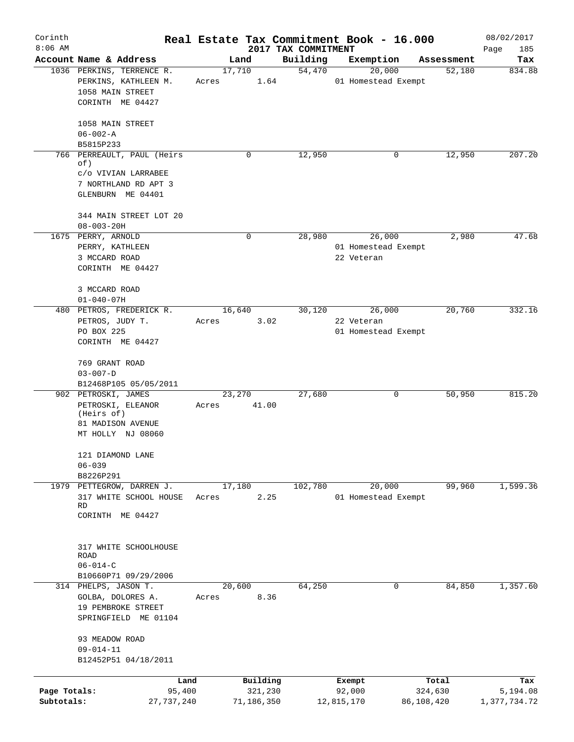| Corinth      |                                         |        |            |                                 | Real Estate Tax Commitment Book - 16.000 |            | 08/02/2017         |
|--------------|-----------------------------------------|--------|------------|---------------------------------|------------------------------------------|------------|--------------------|
| $8:06$ AM    | Account Name & Address                  |        | Land       | 2017 TAX COMMITMENT<br>Building | Exemption                                | Assessment | Page<br>185<br>Tax |
|              | 1036 PERKINS, TERRENCE R.               | 17,710 |            | 54,470                          | 20,000                                   | 52,180     | 834.88             |
|              | PERKINS, KATHLEEN M.                    | Acres  | 1.64       |                                 | 01 Homestead Exempt                      |            |                    |
|              | 1058 MAIN STREET                        |        |            |                                 |                                          |            |                    |
|              | CORINTH ME 04427                        |        |            |                                 |                                          |            |                    |
|              |                                         |        |            |                                 |                                          |            |                    |
|              | 1058 MAIN STREET                        |        |            |                                 |                                          |            |                    |
|              | $06 - 002 - A$                          |        |            |                                 |                                          |            |                    |
|              | B5815P233                               |        |            |                                 |                                          |            |                    |
|              | 766 PERREAULT, PAUL (Heirs              |        | 0          | 12,950                          | 0                                        | 12,950     | 207.20             |
|              | of)                                     |        |            |                                 |                                          |            |                    |
|              | C/O VIVIAN LARRABEE                     |        |            |                                 |                                          |            |                    |
|              | 7 NORTHLAND RD APT 3                    |        |            |                                 |                                          |            |                    |
|              | GLENBURN ME 04401                       |        |            |                                 |                                          |            |                    |
|              | 344 MAIN STREET LOT 20                  |        |            |                                 |                                          |            |                    |
|              | $08 - 003 - 20H$                        |        |            |                                 |                                          |            |                    |
|              | 1675 PERRY, ARNOLD                      |        | 0          | 28,980                          | 26,000                                   | 2,980      | 47.68              |
|              | PERRY, KATHLEEN                         |        |            |                                 | 01 Homestead Exempt                      |            |                    |
|              | 3 MCCARD ROAD                           |        |            |                                 | 22 Veteran                               |            |                    |
|              | CORINTH ME 04427                        |        |            |                                 |                                          |            |                    |
|              |                                         |        |            |                                 |                                          |            |                    |
|              | 3 MCCARD ROAD                           |        |            |                                 |                                          |            |                    |
|              | $01 - 040 - 07H$                        |        |            |                                 |                                          |            |                    |
|              | 480 PETROS, FREDERICK R.                | 16,640 |            | 30,120                          | 26,000                                   | 20,760     | 332.16             |
|              | PETROS, JUDY T.                         | Acres  | 3.02       |                                 | 22 Veteran                               |            |                    |
|              | PO BOX 225                              |        |            |                                 | 01 Homestead Exempt                      |            |                    |
|              | CORINTH ME 04427                        |        |            |                                 |                                          |            |                    |
|              |                                         |        |            |                                 |                                          |            |                    |
|              | 769 GRANT ROAD                          |        |            |                                 |                                          |            |                    |
|              | $03 - 007 - D$                          |        |            |                                 |                                          |            |                    |
|              | B12468P105 05/05/2011                   |        |            |                                 |                                          |            |                    |
|              | 902 PETROSKI, JAMES                     | 23,270 |            | 27,680                          | 0                                        | 50,950     | 815.20             |
|              | PETROSKI, ELEANOR<br>(Heirs of)         | Acres  | 41.00      |                                 |                                          |            |                    |
|              | 81 MADISON AVENUE                       |        |            |                                 |                                          |            |                    |
|              | MT HOLLY NJ 08060                       |        |            |                                 |                                          |            |                    |
|              |                                         |        |            |                                 |                                          |            |                    |
|              | 121 DIAMOND LANE                        |        |            |                                 |                                          |            |                    |
|              | $06 - 039$                              |        |            |                                 |                                          |            |                    |
|              | B8226P291                               |        |            |                                 |                                          |            |                    |
|              | 1979 PETTEGROW, DARREN J.               | 17,180 |            | 102,780                         | 20,000                                   | 99,960     | 1,599.36           |
|              | 317 WHITE SCHOOL HOUSE                  | Acres  | 2.25       |                                 | 01 Homestead Exempt                      |            |                    |
|              | <b>RD</b>                               |        |            |                                 |                                          |            |                    |
|              | CORINTH ME 04427                        |        |            |                                 |                                          |            |                    |
|              |                                         |        |            |                                 |                                          |            |                    |
|              | 317 WHITE SCHOOLHOUSE                   |        |            |                                 |                                          |            |                    |
|              | ROAD                                    |        |            |                                 |                                          |            |                    |
|              | $06 - 014 - C$                          |        |            |                                 |                                          |            |                    |
|              | B10660P71 09/29/2006                    |        |            |                                 |                                          |            |                    |
|              | 314 PHELPS, JASON T.                    | 20,600 |            | 64,250                          | 0                                        | 84,850     | 1,357.60           |
|              | GOLBA, DOLORES A.                       | Acres  | 8.36       |                                 |                                          |            |                    |
|              | 19 PEMBROKE STREET                      |        |            |                                 |                                          |            |                    |
|              | SPRINGFIELD ME 01104                    |        |            |                                 |                                          |            |                    |
|              |                                         |        |            |                                 |                                          |            |                    |
|              | 93 MEADOW ROAD                          |        |            |                                 |                                          |            |                    |
|              | $09 - 014 - 11$<br>B12452P51 04/18/2011 |        |            |                                 |                                          |            |                    |
|              |                                         |        |            |                                 |                                          |            |                    |
|              | Land                                    |        | Building   |                                 | Exempt                                   | Total      | Tax                |
| Page Totals: | 95,400                                  |        | 321,230    |                                 | 92,000                                   | 324,630    | 5,194.08           |
| Subtotals:   | 27,737,240                              |        | 71,186,350 |                                 | 12,815,170                               | 86,108,420 | 1,377,734.72       |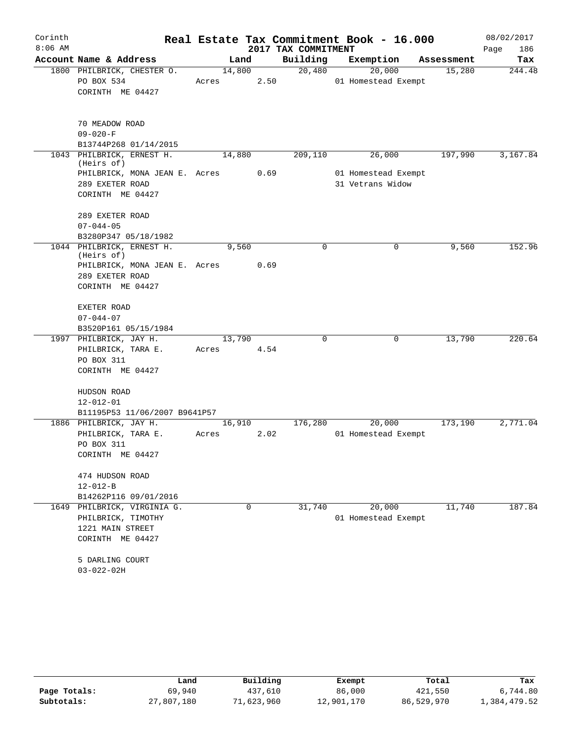| Corinth   |                                         |        |      |                     | Real Estate Tax Commitment Book - 16.000 |            | 08/02/2017  |
|-----------|-----------------------------------------|--------|------|---------------------|------------------------------------------|------------|-------------|
| $8:06$ AM |                                         |        |      | 2017 TAX COMMITMENT |                                          |            | Page<br>186 |
|           | Account Name & Address                  | Land   |      | Building            | Exemption                                | Assessment | Tax         |
|           | 1800 PHILBRICK, CHESTER O.              | 14,800 |      | 20,480              | 20,000                                   | 15,280     | 244.48      |
|           | PO BOX 534                              | Acres  | 2.50 |                     | 01 Homestead Exempt                      |            |             |
|           | CORINTH ME 04427                        |        |      |                     |                                          |            |             |
|           | 70 MEADOW ROAD                          |        |      |                     |                                          |            |             |
|           | $09 - 020 - F$                          |        |      |                     |                                          |            |             |
|           | B13744P268 01/14/2015                   |        |      |                     |                                          |            |             |
|           | 1043 PHILBRICK, ERNEST H.<br>(Heirs of) | 14,880 |      | 209,110             | 26,000                                   | 197,990    | 3,167.84    |
|           | PHILBRICK, MONA JEAN E. Acres           |        | 0.69 |                     | 01 Homestead Exempt                      |            |             |
|           | 289 EXETER ROAD                         |        |      |                     | 31 Vetrans Widow                         |            |             |
|           | CORINTH ME 04427                        |        |      |                     |                                          |            |             |
|           | 289 EXETER ROAD                         |        |      |                     |                                          |            |             |
|           | $07 - 044 - 05$                         |        |      |                     |                                          |            |             |
|           | B3280P347 05/18/1982                    |        |      |                     |                                          |            |             |
|           | 1044 PHILBRICK, ERNEST H.<br>(Heirs of) | 9,560  |      | 0                   | 0                                        | 9,560      | 152.96      |
|           | PHILBRICK, MONA JEAN E. Acres           |        | 0.69 |                     |                                          |            |             |
|           | 289 EXETER ROAD                         |        |      |                     |                                          |            |             |
|           | CORINTH ME 04427                        |        |      |                     |                                          |            |             |
|           | EXETER ROAD                             |        |      |                     |                                          |            |             |
|           | $07 - 044 - 07$                         |        |      |                     |                                          |            |             |
|           | B3520P161 05/15/1984                    |        |      |                     |                                          |            |             |
|           | 1997 PHILBRICK, JAY H.                  | 13,790 |      | 0                   | 0                                        | 13,790     | 220.64      |
|           | PHILBRICK, TARA E.                      | Acres  | 4.54 |                     |                                          |            |             |
|           | PO BOX 311                              |        |      |                     |                                          |            |             |
|           | CORINTH ME 04427                        |        |      |                     |                                          |            |             |
|           | HUDSON ROAD                             |        |      |                     |                                          |            |             |
|           | $12 - 012 - 01$                         |        |      |                     |                                          |            |             |
|           | B11195P53 11/06/2007 B9641P57           |        |      |                     |                                          |            |             |
|           | 1886 PHILBRICK, JAY H.                  | 16,910 |      | 176,280             | 20,000                                   | 173,190    | 2,771.04    |
|           | PHILBRICK, TARA E.                      | Acres  | 2.02 |                     | 01 Homestead Exempt                      |            |             |
|           | PO BOX 311                              |        |      |                     |                                          |            |             |
|           | CORINTH ME 04427                        |        |      |                     |                                          |            |             |
|           | 474 HUDSON ROAD                         |        |      |                     |                                          |            |             |
|           | $12 - 012 - B$                          |        |      |                     |                                          |            |             |
|           | B14262P116 09/01/2016                   |        |      |                     |                                          |            |             |
| 1649      | PHILBRICK, VIRGINIA G.                  |        | 0    | 31,740              | 20,000                                   | 11,740     | 187.84      |
|           | PHILBRICK, TIMOTHY                      |        |      |                     | 01 Homestead Exempt                      |            |             |
|           | 1221 MAIN STREET                        |        |      |                     |                                          |            |             |
|           | CORINTH ME 04427                        |        |      |                     |                                          |            |             |
|           | 5 DARLING COURT                         |        |      |                     |                                          |            |             |
|           | $03 - 022 - 02H$                        |        |      |                     |                                          |            |             |

|              | Land       | Building   | Exempt     | Total      | Tax          |
|--------------|------------|------------|------------|------------|--------------|
| Page Totals: | 69,940     | 437,610    | 86,000     | 421,550    | 6,744.80     |
| Subtotals:   | 27,807,180 | 71,623,960 | 12,901,170 | 86,529,970 | 1,384,479.52 |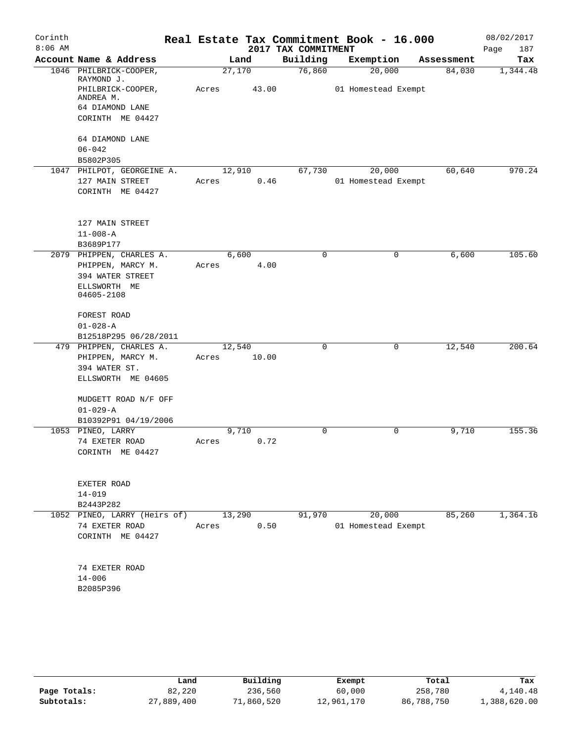| Corinth   |                                         |        |       |                     | Real Estate Tax Commitment Book - 16.000 |            | 08/02/2017  |
|-----------|-----------------------------------------|--------|-------|---------------------|------------------------------------------|------------|-------------|
| $8:06$ AM |                                         |        |       | 2017 TAX COMMITMENT |                                          |            | 187<br>Page |
|           | Account Name & Address                  |        | Land  | Building            | Exemption                                | Assessment | Tax         |
|           | 1046 PHILBRICK-COOPER,<br>RAYMOND J.    | 27,170 |       | 76,860              | 20,000                                   | 84,030     | 1,344.48    |
|           | PHILBRICK-COOPER,<br>ANDREA M.          | Acres  | 43.00 |                     | 01 Homestead Exempt                      |            |             |
|           | 64 DIAMOND LANE                         |        |       |                     |                                          |            |             |
|           | CORINTH ME 04427                        |        |       |                     |                                          |            |             |
|           | 64 DIAMOND LANE                         |        |       |                     |                                          |            |             |
|           | $06 - 042$                              |        |       |                     |                                          |            |             |
|           | B5802P305<br>1047 PHILPOT, GEORGEINE A. | 12,910 |       | 67,730              | 20,000                                   | 60,640     | 970.24      |
|           | 127 MAIN STREET                         | Acres  | 0.46  |                     | 01 Homestead Exempt                      |            |             |
|           | CORINTH ME 04427                        |        |       |                     |                                          |            |             |
|           | 127 MAIN STREET                         |        |       |                     |                                          |            |             |
|           | $11 - 008 - A$                          |        |       |                     |                                          |            |             |
|           | B3689P177                               |        |       |                     |                                          |            |             |
|           | 2079 PHIPPEN, CHARLES A.                |        | 6.600 | 0                   | 0                                        | 6,600      | 105.60      |
|           | PHIPPEN, MARCY M.                       | Acres  | 4.00  |                     |                                          |            |             |
|           | 394 WATER STREET<br>ELLSWORTH ME        |        |       |                     |                                          |            |             |
|           | 04605-2108                              |        |       |                     |                                          |            |             |
|           | FOREST ROAD                             |        |       |                     |                                          |            |             |
|           | $01 - 028 - A$                          |        |       |                     |                                          |            |             |
|           | B12518P295 06/28/2011                   |        |       |                     |                                          |            |             |
|           | 479 PHIPPEN, CHARLES A.                 | 12,540 |       | 0                   | 0                                        | 12,540     | 200.64      |
|           | PHIPPEN, MARCY M.                       | Acres  | 10.00 |                     |                                          |            |             |
|           | 394 WATER ST.<br>ELLSWORTH ME 04605     |        |       |                     |                                          |            |             |
|           | MUDGETT ROAD N/F OFF                    |        |       |                     |                                          |            |             |
|           | $01 - 029 - A$                          |        |       |                     |                                          |            |             |
|           | B10392P91 04/19/2006                    |        |       |                     |                                          |            |             |
|           | 1053 PINEO, LARRY                       |        | 9,710 | 0                   | $\mathbf 0$                              | 9,710      | 155.36      |
|           | 74 EXETER ROAD                          | Acres  | 0.72  |                     |                                          |            |             |
|           | CORINTH ME 04427                        |        |       |                     |                                          |            |             |
|           | EXETER ROAD                             |        |       |                     |                                          |            |             |
|           | $14 - 019$                              |        |       |                     |                                          |            |             |
|           | B2443P282                               |        |       |                     |                                          |            |             |
|           | 1052 PINEO, LARRY (Heirs of)            | 13,290 |       | 91,970              | 20,000                                   | 85,260     | 1,364.16    |
|           | 74 EXETER ROAD                          | Acres  | 0.50  |                     | 01 Homestead Exempt                      |            |             |
|           | CORINTH ME 04427                        |        |       |                     |                                          |            |             |
|           | 74 EXETER ROAD                          |        |       |                     |                                          |            |             |
|           | $14 - 006$                              |        |       |                     |                                          |            |             |
|           | B2085P396                               |        |       |                     |                                          |            |             |
|           |                                         |        |       |                     |                                          |            |             |

|              | Land       | Building   | Exempt     | Total      | Tax          |
|--------------|------------|------------|------------|------------|--------------|
| Page Totals: | 82,220     | 236,560    | 60,000     | 258,780    | 4,140.48     |
| Subtotals:   | 27,889,400 | 71,860,520 | 12,961,170 | 86,788,750 | 1,388,620.00 |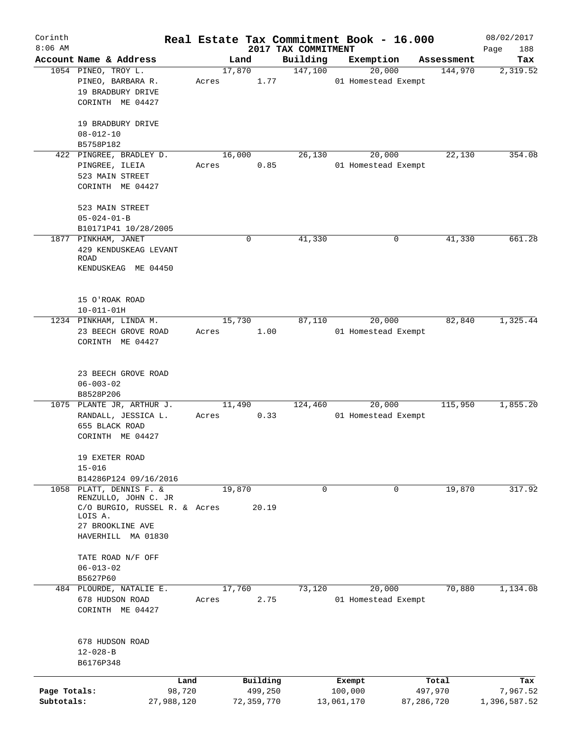| Corinth<br>$8:06$ AM |                                           |       |            |                                 | Real Estate Tax Commitment Book - 16.000 |            | 08/02/2017         |
|----------------------|-------------------------------------------|-------|------------|---------------------------------|------------------------------------------|------------|--------------------|
|                      | Account Name & Address                    |       | Land       | 2017 TAX COMMITMENT<br>Building | Exemption                                | Assessment | Page<br>188<br>Tax |
|                      | 1054 PINEO, TROY L.                       |       | 17,870     | 147,100                         | 20,000                                   | 144,970    | 2,319.52           |
|                      | PINEO, BARBARA R.                         | Acres | 1.77       |                                 | 01 Homestead Exempt                      |            |                    |
|                      | 19 BRADBURY DRIVE                         |       |            |                                 |                                          |            |                    |
|                      | CORINTH ME 04427                          |       |            |                                 |                                          |            |                    |
|                      |                                           |       |            |                                 |                                          |            |                    |
|                      | 19 BRADBURY DRIVE                         |       |            |                                 |                                          |            |                    |
|                      | $08 - 012 - 10$                           |       |            |                                 |                                          |            |                    |
|                      | B5758P182                                 |       |            |                                 |                                          |            |                    |
|                      | 422 PINGREE, BRADLEY D.<br>PINGREE, ILEIA |       | 16,000     | 26,130                          | 20,000                                   | 22,130     | 354.08             |
|                      | 523 MAIN STREET                           | Acres | 0.85       |                                 | 01 Homestead Exempt                      |            |                    |
|                      | CORINTH ME 04427                          |       |            |                                 |                                          |            |                    |
|                      |                                           |       |            |                                 |                                          |            |                    |
|                      | 523 MAIN STREET                           |       |            |                                 |                                          |            |                    |
|                      | $05 - 024 - 01 - B$                       |       |            |                                 |                                          |            |                    |
|                      | B10171P41 10/28/2005                      |       |            |                                 |                                          |            |                    |
|                      | 1877 PINKHAM, JANET                       |       | 0          | 41,330                          | 0                                        | 41,330     | 661.28             |
|                      | 429 KENDUSKEAG LEVANT<br>ROAD             |       |            |                                 |                                          |            |                    |
|                      | KENDUSKEAG ME 04450                       |       |            |                                 |                                          |            |                    |
|                      |                                           |       |            |                                 |                                          |            |                    |
|                      |                                           |       |            |                                 |                                          |            |                    |
|                      | 15 O'ROAK ROAD                            |       |            |                                 |                                          |            |                    |
|                      | $10 - 011 - 01H$                          |       |            |                                 |                                          |            |                    |
|                      | 1234 PINKHAM, LINDA M.                    |       | 15,730     | 87,110                          | 20,000                                   | 82,840     | 1,325.44           |
|                      | 23 BEECH GROVE ROAD                       | Acres | 1.00       |                                 | 01 Homestead Exempt                      |            |                    |
|                      | CORINTH ME 04427                          |       |            |                                 |                                          |            |                    |
|                      |                                           |       |            |                                 |                                          |            |                    |
|                      | 23 BEECH GROVE ROAD                       |       |            |                                 |                                          |            |                    |
|                      | $06 - 003 - 02$                           |       |            |                                 |                                          |            |                    |
|                      | B8528P206                                 |       |            |                                 |                                          |            |                    |
|                      | 1075 PLANTE JR, ARTHUR J.                 |       | 11,490     | 124,460                         | 20,000                                   | 115,950    | 1,855.20           |
|                      | RANDALL, JESSICA L.                       | Acres | 0.33       |                                 | 01 Homestead Exempt                      |            |                    |
|                      | 655 BLACK ROAD                            |       |            |                                 |                                          |            |                    |
|                      | CORINTH ME 04427                          |       |            |                                 |                                          |            |                    |
|                      | 19 EXETER ROAD                            |       |            |                                 |                                          |            |                    |
|                      | $15 - 016$                                |       |            |                                 |                                          |            |                    |
|                      | B14286P124 09/16/2016                     |       |            |                                 |                                          |            |                    |
|                      | 1058 PLATT, DENNIS F. &                   |       | 19,870     | 0                               | 0                                        | 19,870     | 317.92             |
|                      | RENZULLO, JOHN C. JR                      |       |            |                                 |                                          |            |                    |
|                      | C/O BURGIO, RUSSEL R. & Acres             |       | 20.19      |                                 |                                          |            |                    |
|                      | LOIS A.<br>27 BROOKLINE AVE               |       |            |                                 |                                          |            |                    |
|                      | HAVERHILL MA 01830                        |       |            |                                 |                                          |            |                    |
|                      |                                           |       |            |                                 |                                          |            |                    |
|                      | TATE ROAD N/F OFF                         |       |            |                                 |                                          |            |                    |
|                      | $06 - 013 - 02$                           |       |            |                                 |                                          |            |                    |
|                      | B5627P60                                  |       |            |                                 |                                          |            |                    |
|                      | 484 PLOURDE, NATALIE E.                   |       | 17,760     | 73,120                          | 20,000                                   | 70,880     | 1,134.08           |
|                      | 678 HUDSON ROAD                           | Acres | 2.75       |                                 | 01 Homestead Exempt                      |            |                    |
|                      | CORINTH ME 04427                          |       |            |                                 |                                          |            |                    |
|                      |                                           |       |            |                                 |                                          |            |                    |
|                      | 678 HUDSON ROAD                           |       |            |                                 |                                          |            |                    |
|                      | $12 - 028 - B$                            |       |            |                                 |                                          |            |                    |
|                      | B6176P348                                 |       |            |                                 |                                          |            |                    |
|                      | Land                                      |       | Building   |                                 | Exempt                                   | Total      | Tax                |
| Page Totals:         | 98,720                                    |       | 499,250    |                                 | 100,000                                  | 497,970    | 7,967.52           |
| Subtotals:           | 27,988,120                                |       | 72,359,770 |                                 | 13,061,170                               | 87,286,720 | 1,396,587.52       |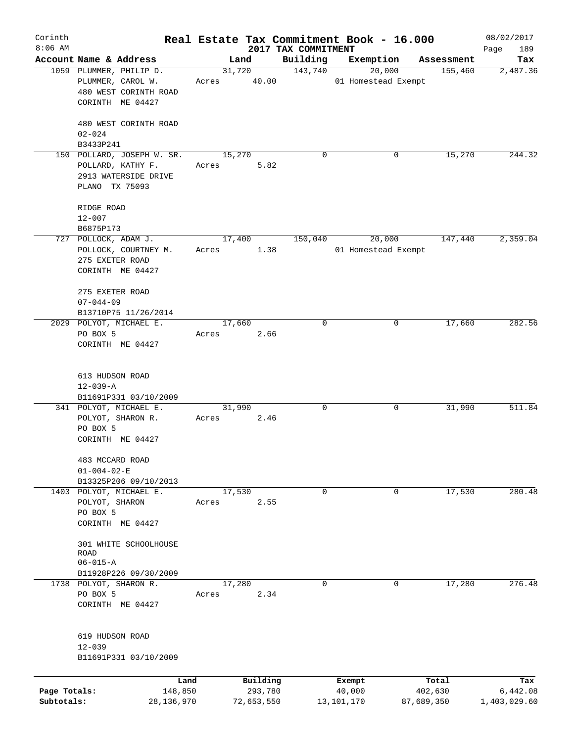| Corinth      |                                                  |                 |        |                     |                                 | Real Estate Tax Commitment Book - 16.000 |                       | 08/02/2017         |
|--------------|--------------------------------------------------|-----------------|--------|---------------------|---------------------------------|------------------------------------------|-----------------------|--------------------|
| $8:06$ AM    | Account Name & Address                           |                 |        | Land                | 2017 TAX COMMITMENT<br>Building | Exemption                                |                       | 189<br>Page<br>Tax |
|              | 1059 PLUMMER, PHILIP D.                          |                 |        | 31,720              | 143,740                         | 20,000                                   | Assessment<br>155,460 | 2,487.36           |
|              | PLUMMER, CAROL W.                                |                 | Acres  | 40.00               |                                 | 01 Homestead Exempt                      |                       |                    |
|              | 480 WEST CORINTH ROAD                            |                 |        |                     |                                 |                                          |                       |                    |
|              | CORINTH ME 04427                                 |                 |        |                     |                                 |                                          |                       |                    |
|              |                                                  |                 |        |                     |                                 |                                          |                       |                    |
|              | 480 WEST CORINTH ROAD                            |                 |        |                     |                                 |                                          |                       |                    |
|              | $02 - 024$                                       |                 |        |                     |                                 |                                          |                       |                    |
|              | B3433P241                                        |                 |        |                     |                                 |                                          |                       |                    |
|              | 150 POLLARD, JOSEPH W. SR.                       |                 | 15,270 |                     | 0                               | 0                                        | 15,270                | 244.32             |
|              | POLLARD, KATHY F.                                |                 | Acres  | 5.82                |                                 |                                          |                       |                    |
|              | 2913 WATERSIDE DRIVE                             |                 |        |                     |                                 |                                          |                       |                    |
|              | PLANO TX 75093                                   |                 |        |                     |                                 |                                          |                       |                    |
|              |                                                  |                 |        |                     |                                 |                                          |                       |                    |
|              | RIDGE ROAD                                       |                 |        |                     |                                 |                                          |                       |                    |
|              | $12 - 007$                                       |                 |        |                     |                                 |                                          |                       |                    |
|              | B6875P173<br>727 POLLOCK, ADAM J.                |                 |        | 17,400              | 150,040                         | 20,000                                   | 147,440               | 2,359.04           |
|              | POLLOCK, COURTNEY M.                             |                 | Acres  | 1.38                |                                 | 01 Homestead Exempt                      |                       |                    |
|              | 275 EXETER ROAD                                  |                 |        |                     |                                 |                                          |                       |                    |
|              | CORINTH ME 04427                                 |                 |        |                     |                                 |                                          |                       |                    |
|              |                                                  |                 |        |                     |                                 |                                          |                       |                    |
|              | 275 EXETER ROAD                                  |                 |        |                     |                                 |                                          |                       |                    |
|              | $07 - 044 - 09$                                  |                 |        |                     |                                 |                                          |                       |                    |
|              | B13710P75 11/26/2014                             |                 |        |                     |                                 |                                          |                       |                    |
|              | 2029 POLYOT, MICHAEL E.                          |                 |        | 17,660              | $\mathbf 0$                     | 0                                        | 17,660                | 282.56             |
|              | PO BOX 5                                         |                 | Acres  | 2.66                |                                 |                                          |                       |                    |
|              | CORINTH ME 04427                                 |                 |        |                     |                                 |                                          |                       |                    |
|              |                                                  |                 |        |                     |                                 |                                          |                       |                    |
|              | 613 HUDSON ROAD                                  |                 |        |                     |                                 |                                          |                       |                    |
|              | $12 - 039 - A$                                   |                 |        |                     |                                 |                                          |                       |                    |
|              | B11691P331 03/10/2009                            |                 |        |                     |                                 |                                          |                       |                    |
|              | 341 POLYOT, MICHAEL E.                           |                 | 31,990 |                     | 0                               | 0                                        | 31,990                | 511.84             |
|              | POLYOT, SHARON R.                                |                 | Acres  | 2.46                |                                 |                                          |                       |                    |
|              | PO BOX 5                                         |                 |        |                     |                                 |                                          |                       |                    |
|              | CORINTH ME 04427                                 |                 |        |                     |                                 |                                          |                       |                    |
|              |                                                  |                 |        |                     |                                 |                                          |                       |                    |
|              | 483 MCCARD ROAD                                  |                 |        |                     |                                 |                                          |                       |                    |
|              | $01 - 004 - 02 - E$                              |                 |        |                     |                                 |                                          |                       |                    |
|              | B13325P206 09/10/2013<br>1403 POLYOT, MICHAEL E. |                 | 17,530 |                     | 0                               | 0                                        | 17,530                | 280.48             |
|              | POLYOT, SHARON                                   |                 | Acres  | 2.55                |                                 |                                          |                       |                    |
|              | PO BOX 5                                         |                 |        |                     |                                 |                                          |                       |                    |
|              | CORINTH ME 04427                                 |                 |        |                     |                                 |                                          |                       |                    |
|              |                                                  |                 |        |                     |                                 |                                          |                       |                    |
|              | 301 WHITE SCHOOLHOUSE                            |                 |        |                     |                                 |                                          |                       |                    |
|              | <b>ROAD</b>                                      |                 |        |                     |                                 |                                          |                       |                    |
|              | $06 - 015 - A$                                   |                 |        |                     |                                 |                                          |                       |                    |
|              | B11928P226 09/30/2009                            |                 |        |                     |                                 |                                          |                       |                    |
|              | 1738 POLYOT, SHARON R.                           |                 | 17,280 |                     | $\mathbf 0$                     | 0                                        | 17,280                | 276.48             |
|              | PO BOX 5<br>CORINTH ME 04427                     |                 | Acres  | 2.34                |                                 |                                          |                       |                    |
|              |                                                  |                 |        |                     |                                 |                                          |                       |                    |
|              |                                                  |                 |        |                     |                                 |                                          |                       |                    |
|              | 619 HUDSON ROAD                                  |                 |        |                     |                                 |                                          |                       |                    |
|              | $12 - 039$                                       |                 |        |                     |                                 |                                          |                       |                    |
|              | B11691P331 03/10/2009                            |                 |        |                     |                                 |                                          |                       |                    |
|              |                                                  |                 |        |                     |                                 |                                          |                       |                    |
| Page Totals: |                                                  | Land<br>148,850 |        | Building<br>293,780 |                                 | Exempt<br>40,000                         | Total<br>402,630      | Tax<br>6,442.08    |
| Subtotals:   |                                                  | 28,136,970      |        | 72,653,550          |                                 | 13,101,170                               | 87,689,350            | 1,403,029.60       |
|              |                                                  |                 |        |                     |                                 |                                          |                       |                    |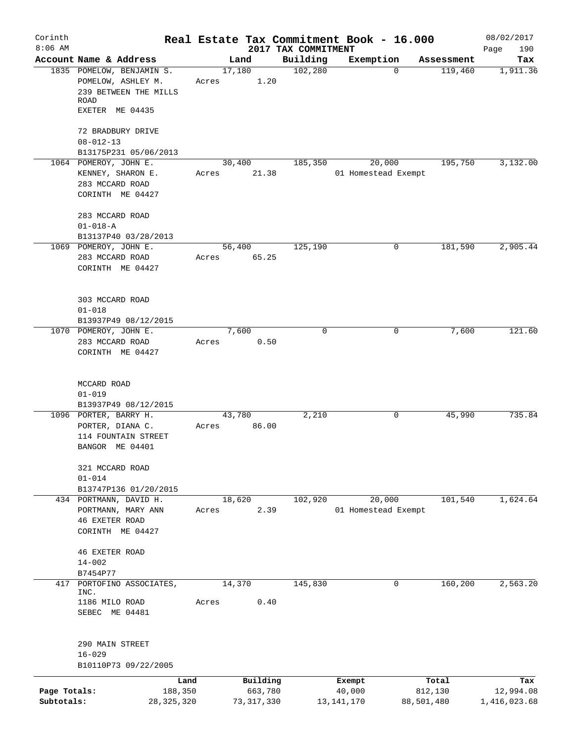| Corinth      |                                                                                  | Real Estate Tax Commitment Book - 16.000 |                                 |                     |                  | 08/02/2017         |
|--------------|----------------------------------------------------------------------------------|------------------------------------------|---------------------------------|---------------------|------------------|--------------------|
| $8:06$ AM    | Account Name & Address                                                           | Land                                     | 2017 TAX COMMITMENT<br>Building | Exemption           | Assessment       | Page<br>190<br>Tax |
|              | 1835 POMELOW, BENJAMIN S.<br>POMELOW, ASHLEY M.<br>239 BETWEEN THE MILLS<br>ROAD | 17,180<br>1.20<br>Acres                  | 102,280                         | $\mathbf 0$         | 119,460          | 1,911.36           |
|              | EXETER ME 04435                                                                  |                                          |                                 |                     |                  |                    |
|              | 72 BRADBURY DRIVE                                                                |                                          |                                 |                     |                  |                    |
|              | $08 - 012 - 13$<br>B13175P231 05/06/2013                                         |                                          |                                 |                     |                  |                    |
|              | 1064 POMEROY, JOHN E.                                                            | 30,400                                   | 185,350                         | 20,000              | 195,750          | 3,132.00           |
|              | KENNEY, SHARON E.<br>283 MCCARD ROAD<br>CORINTH ME 04427                         | 21.38<br>Acres                           |                                 | 01 Homestead Exempt |                  |                    |
|              | 283 MCCARD ROAD                                                                  |                                          |                                 |                     |                  |                    |
|              | $01 - 018 - A$<br>B13137P40 03/28/2013                                           |                                          |                                 |                     |                  |                    |
|              | 1069 POMEROY, JOHN E.                                                            | 56,400                                   | 125,190                         | 0                   | 181,590          | 2,905.44           |
|              | 283 MCCARD ROAD<br>CORINTH ME 04427                                              | 65.25<br>Acres                           |                                 |                     |                  |                    |
|              | 303 MCCARD ROAD<br>$01 - 018$                                                    |                                          |                                 |                     |                  |                    |
|              | B13937P49 08/12/2015<br>1070 POMEROY, JOHN E.                                    | 7,600                                    | $\Omega$                        | 0                   | 7,600            | 121.60             |
|              | 283 MCCARD ROAD                                                                  | 0.50<br>Acres                            |                                 |                     |                  |                    |
|              | CORINTH ME 04427                                                                 |                                          |                                 |                     |                  |                    |
|              | MCCARD ROAD                                                                      |                                          |                                 |                     |                  |                    |
|              | $01 - 019$                                                                       |                                          |                                 |                     |                  |                    |
|              | B13937P49 08/12/2015<br>1096 PORTER, BARRY H.                                    | 43,780                                   | 2,210                           | 0                   | 45,990           | 735.84             |
|              | PORTER, DIANA C.                                                                 | 86.00<br>Acres                           |                                 |                     |                  |                    |
|              | 114 FOUNTAIN STREET<br>BANGOR ME 04401                                           |                                          |                                 |                     |                  |                    |
|              | 321 MCCARD ROAD                                                                  |                                          |                                 |                     |                  |                    |
|              | $01 - 014$<br>B13747P136 01/20/2015                                              |                                          |                                 |                     |                  |                    |
|              | 434 PORTMANN, DAVID H.                                                           | 18,620                                   | 102,920                         | 20,000              | 101,540          | 1,624.64           |
|              | PORTMANN, MARY ANN<br><b>46 EXETER ROAD</b>                                      | 2.39<br>Acres                            |                                 | 01 Homestead Exempt |                  |                    |
|              | CORINTH ME 04427                                                                 |                                          |                                 |                     |                  |                    |
|              | <b>46 EXETER ROAD</b>                                                            |                                          |                                 |                     |                  |                    |
|              | $14 - 002$                                                                       |                                          |                                 |                     |                  |                    |
| 417          | B7454P77<br>PORTOFINO ASSOCIATES,                                                | 14,370                                   | 145,830                         | 0                   | 160, 200         | 2,563.20           |
|              | INC.<br>1186 MILO ROAD                                                           | 0.40<br>Acres                            |                                 |                     |                  |                    |
|              | SEBEC ME 04481                                                                   |                                          |                                 |                     |                  |                    |
|              | 290 MAIN STREET<br>$16 - 029$                                                    |                                          |                                 |                     |                  |                    |
|              | B10110P73 09/22/2005                                                             |                                          |                                 |                     |                  |                    |
| Page Totals: | Land<br>188,350                                                                  | Building<br>663,780                      |                                 | Exempt<br>40,000    | Total<br>812,130 | Tax<br>12,994.08   |
| Subtotals:   | 28, 325, 320                                                                     | 73, 317, 330                             |                                 | 13, 141, 170        | 88,501,480       | 1,416,023.68       |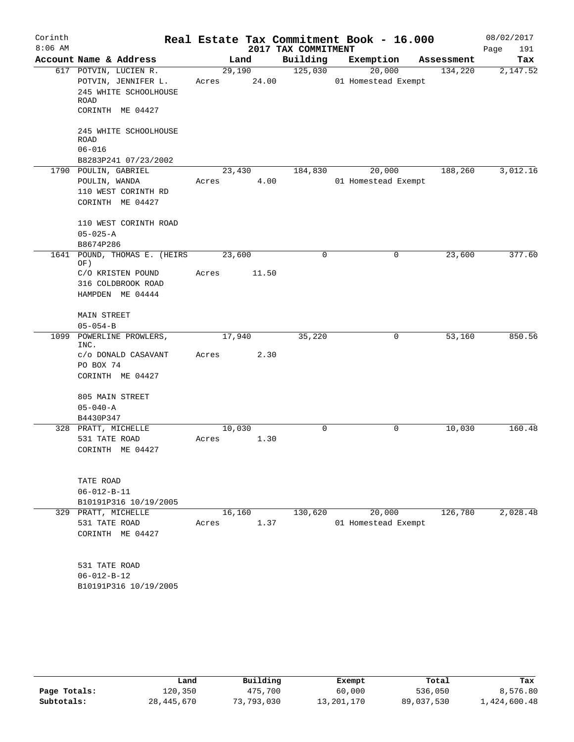| Corinth   |                        |                                              |        |                 |                     | Real Estate Tax Commitment Book - 16.000 |            | 08/02/2017  |
|-----------|------------------------|----------------------------------------------|--------|-----------------|---------------------|------------------------------------------|------------|-------------|
| $8:06$ AM |                        |                                              |        |                 | 2017 TAX COMMITMENT |                                          |            | Page<br>191 |
|           | Account Name & Address |                                              |        | Land            | Building            | Exemption                                | Assessment | Tax         |
|           |                        | 617 POTVIN, LUCIEN R.<br>POTVIN, JENNIFER L. | Acres  | 29,190<br>24.00 | 125,030             | 20,000<br>01 Homestead Exempt            | 134,220    | 2,147.52    |
|           |                        | 245 WHITE SCHOOLHOUSE                        |        |                 |                     |                                          |            |             |
|           | ROAD                   |                                              |        |                 |                     |                                          |            |             |
|           |                        | CORINTH ME 04427                             |        |                 |                     |                                          |            |             |
|           | <b>ROAD</b>            | 245 WHITE SCHOOLHOUSE                        |        |                 |                     |                                          |            |             |
|           | $06 - 016$             |                                              |        |                 |                     |                                          |            |             |
|           |                        | B8283P241 07/23/2002                         |        |                 |                     |                                          |            |             |
|           | 1790 POULIN, GABRIEL   |                                              | 23,430 |                 | 184,830             | 20,000                                   | 188,260    | 3,012.16    |
|           | POULIN, WANDA          |                                              | Acres  | 4.00            |                     | 01 Homestead Exempt                      |            |             |
|           |                        | 110 WEST CORINTH RD                          |        |                 |                     |                                          |            |             |
|           |                        | CORINTH ME 04427                             |        |                 |                     |                                          |            |             |
|           |                        | 110 WEST CORINTH ROAD                        |        |                 |                     |                                          |            |             |
|           | $05 - 025 - A$         |                                              |        |                 |                     |                                          |            |             |
|           | B8674P286              |                                              |        |                 |                     |                                          |            |             |
|           | OF)                    | 1641 POUND, THOMAS E. (HEIRS                 | 23,600 |                 | 0                   | 0                                        | 23,600     | 377.60      |
|           |                        | C/O KRISTEN POUND                            | Acres  | 11.50           |                     |                                          |            |             |
|           |                        | 316 COLDBROOK ROAD                           |        |                 |                     |                                          |            |             |
|           |                        | HAMPDEN ME 04444                             |        |                 |                     |                                          |            |             |
|           | MAIN STREET            |                                              |        |                 |                     |                                          |            |             |
|           | $05 - 054 - B$         |                                              |        |                 |                     |                                          |            |             |
|           |                        | 1099 POWERLINE PROWLERS,                     | 17,940 |                 | 35,220              | 0                                        | 53,160     | 850.56      |
|           | INC.                   |                                              |        |                 |                     |                                          |            |             |
|           |                        | c/o DONALD CASAVANT                          | Acres  | 2.30            |                     |                                          |            |             |
|           | PO BOX 74              |                                              |        |                 |                     |                                          |            |             |
|           |                        | CORINTH ME 04427                             |        |                 |                     |                                          |            |             |
|           | 805 MAIN STREET        |                                              |        |                 |                     |                                          |            |             |
|           | $05 - 040 - A$         |                                              |        |                 |                     |                                          |            |             |
|           | B4430P347              |                                              |        |                 |                     |                                          |            |             |
|           | 328 PRATT, MICHELLE    |                                              | 10,030 |                 | 0                   | 0                                        | 10,030     | 160.48      |
|           | 531 TATE ROAD          |                                              | Acres  | 1.30            |                     |                                          |            |             |
|           |                        | CORINTH ME 04427                             |        |                 |                     |                                          |            |             |
|           | TATE ROAD              |                                              |        |                 |                     |                                          |            |             |
|           | $06 - 012 - B - 11$    |                                              |        |                 |                     |                                          |            |             |
|           |                        | B10191P316 10/19/2005                        |        |                 |                     |                                          |            |             |
|           | 329 PRATT, MICHELLE    |                                              | 16,160 |                 | 130,620             | 20,000                                   | 126,780    | 2,028.48    |
|           | 531 TATE ROAD          |                                              | Acres  | 1.37            |                     | 01 Homestead Exempt                      |            |             |
|           |                        | CORINTH ME 04427                             |        |                 |                     |                                          |            |             |
|           |                        |                                              |        |                 |                     |                                          |            |             |
|           | 531 TATE ROAD          |                                              |        |                 |                     |                                          |            |             |
|           | $06 - 012 - B - 12$    |                                              |        |                 |                     |                                          |            |             |
|           |                        | B10191P316 10/19/2005                        |        |                 |                     |                                          |            |             |
|           |                        |                                              |        |                 |                     |                                          |            |             |

|              | Land         | Building   | Exempt     | Total      | Tax          |
|--------------|--------------|------------|------------|------------|--------------|
| Page Totals: | 120,350      | 475,700    | 60,000     | 536,050    | 8,576.80     |
| Subtotals:   | 28, 445, 670 | 73,793,030 | 13,201,170 | 89,037,530 | 1,424,600.48 |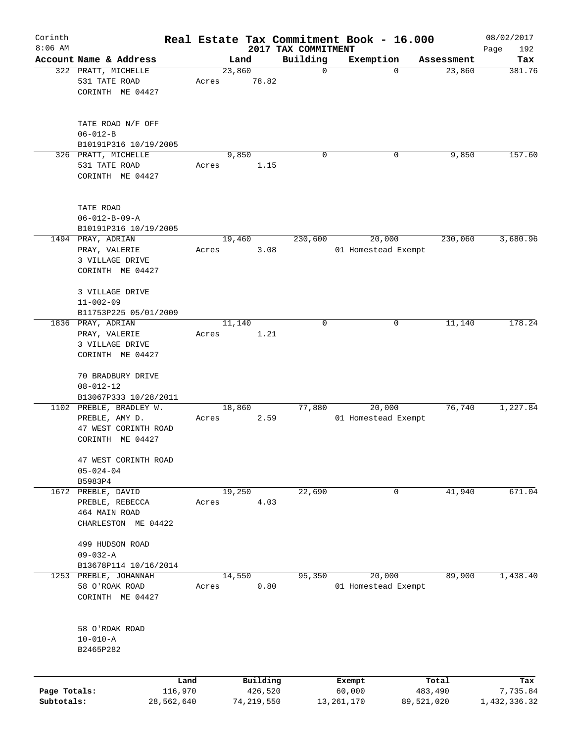| Corinth      |                                                  |       |                |                                 | Real Estate Tax Commitment Book - 16.000 |                      | 08/02/2017         |
|--------------|--------------------------------------------------|-------|----------------|---------------------------------|------------------------------------------|----------------------|--------------------|
| $8:06$ AM    | Account Name & Address                           |       | Land           | 2017 TAX COMMITMENT<br>Building | Exemption                                |                      | Page<br>192<br>Tax |
|              | 322 PRATT, MICHELLE                              |       | 23,860         | $\mathbf 0$                     | $\mathbf 0$                              | Assessment<br>23,860 | 381.76             |
|              | 531 TATE ROAD                                    | Acres | 78.82          |                                 |                                          |                      |                    |
|              | CORINTH ME 04427                                 |       |                |                                 |                                          |                      |                    |
|              | TATE ROAD N/F OFF                                |       |                |                                 |                                          |                      |                    |
|              | $06 - 012 - B$                                   |       |                |                                 |                                          |                      |                    |
|              | B10191P316 10/19/2005                            |       | 9,850          | $\Omega$                        | 0                                        | 9,850                | 157.60             |
|              | 326 PRATT, MICHELLE<br>531 TATE ROAD             | Acres | 1.15           |                                 |                                          |                      |                    |
|              | CORINTH ME 04427                                 |       |                |                                 |                                          |                      |                    |
|              | TATE ROAD                                        |       |                |                                 |                                          |                      |                    |
|              | $06 - 012 - B - 09 - A$                          |       |                |                                 |                                          |                      |                    |
|              | B10191P316 10/19/2005                            |       |                |                                 |                                          |                      |                    |
|              | 1494 PRAY, ADRIAN                                |       | 19,460         | 230,600                         | 20,000                                   | 230,060              | 3,680.96           |
|              | PRAY, VALERIE                                    | Acres | 3.08           |                                 | 01 Homestead Exempt                      |                      |                    |
|              | 3 VILLAGE DRIVE<br>CORINTH ME 04427              |       |                |                                 |                                          |                      |                    |
|              |                                                  |       |                |                                 |                                          |                      |                    |
|              | 3 VILLAGE DRIVE                                  |       |                |                                 |                                          |                      |                    |
|              | $11 - 002 - 09$                                  |       |                |                                 |                                          |                      |                    |
|              | B11753P225 05/01/2009                            |       |                |                                 |                                          |                      |                    |
|              | 1836 PRAY, ADRIAN<br>PRAY, VALERIE               | Acres | 11,140<br>1.21 | 0                               | 0                                        | 11,140               | 178.24             |
|              | 3 VILLAGE DRIVE                                  |       |                |                                 |                                          |                      |                    |
|              | CORINTH ME 04427                                 |       |                |                                 |                                          |                      |                    |
|              |                                                  |       |                |                                 |                                          |                      |                    |
|              | 70 BRADBURY DRIVE                                |       |                |                                 |                                          |                      |                    |
|              | $08 - 012 - 12$                                  |       |                |                                 |                                          |                      |                    |
|              | B13067P333 10/28/2011<br>1102 PREBLE, BRADLEY W. |       | 18,860         | 77,880                          | 20,000                                   | 76,740               | 1,227.84           |
|              | PREBLE, AMY D.                                   | Acres | 2.59           |                                 | 01 Homestead Exempt                      |                      |                    |
|              | 47 WEST CORINTH ROAD                             |       |                |                                 |                                          |                      |                    |
|              | CORINTH ME 04427                                 |       |                |                                 |                                          |                      |                    |
|              |                                                  |       |                |                                 |                                          |                      |                    |
|              | 47 WEST CORINTH ROAD                             |       |                |                                 |                                          |                      |                    |
|              | $05 - 024 - 04$                                  |       |                |                                 |                                          |                      |                    |
|              | B5983P4<br>1672 PREBLE, DAVID                    |       | 19,250         | 22,690                          | 0                                        | 41,940               | 671.04             |
|              | PREBLE, REBECCA                                  | Acres | 4.03           |                                 |                                          |                      |                    |
|              | 464 MAIN ROAD                                    |       |                |                                 |                                          |                      |                    |
|              | CHARLESTON ME 04422                              |       |                |                                 |                                          |                      |                    |
|              |                                                  |       |                |                                 |                                          |                      |                    |
|              | 499 HUDSON ROAD<br>$09 - 032 - A$                |       |                |                                 |                                          |                      |                    |
|              | B13678P114 10/16/2014                            |       |                |                                 |                                          |                      |                    |
| 1253         | PREBLE, JOHANNAH                                 |       | 14,550         | 95,350                          | 20,000                                   | 89,900               | 1,438.40           |
|              | 58 O'ROAK ROAD                                   | Acres | 0.80           |                                 | 01 Homestead Exempt                      |                      |                    |
|              | CORINTH ME 04427                                 |       |                |                                 |                                          |                      |                    |
|              |                                                  |       |                |                                 |                                          |                      |                    |
|              | 58 O'ROAK ROAD                                   |       |                |                                 |                                          |                      |                    |
|              | $10 - 010 - A$                                   |       |                |                                 |                                          |                      |                    |
|              | B2465P282                                        |       |                |                                 |                                          |                      |                    |
|              |                                                  |       |                |                                 |                                          |                      |                    |
|              | Land                                             |       | Building       |                                 | Exempt                                   | Total                | Tax                |
| Page Totals: | 116,970                                          |       | 426,520        |                                 | 60,000                                   | 483,490              | 7,735.84           |
| Subtotals:   | 28,562,640                                       |       | 74,219,550     |                                 | 13,261,170                               | 89,521,020           | 1,432,336.32       |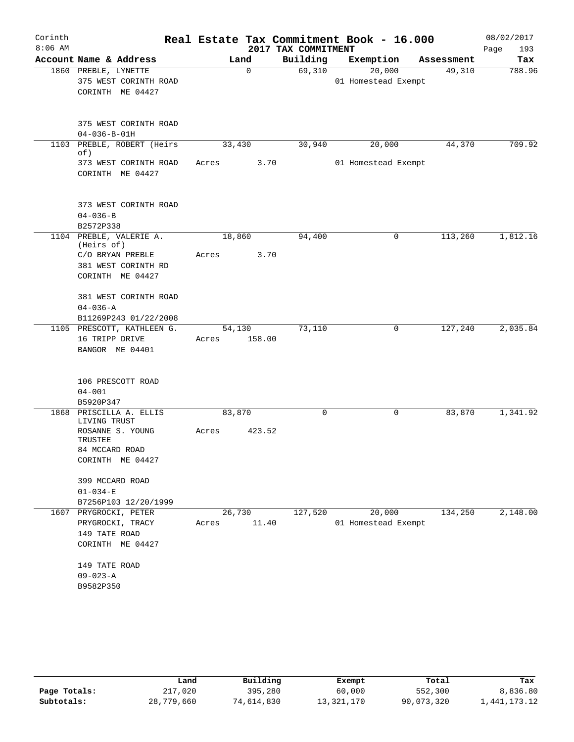| Corinth<br>$8:06$ AM |                                           |       |             |                                 | Real Estate Tax Commitment Book - 16.000 |   |            | 08/02/2017         |
|----------------------|-------------------------------------------|-------|-------------|---------------------------------|------------------------------------------|---|------------|--------------------|
|                      | Account Name & Address                    |       | Land        | 2017 TAX COMMITMENT<br>Building | Exemption                                |   | Assessment | Page<br>193<br>Tax |
|                      | 1860 PREBLE, LYNETTE                      |       | $\mathbf 0$ | 69,310                          | 20,000                                   |   | 49,310     | 788.96             |
|                      | 375 WEST CORINTH ROAD                     |       |             |                                 | 01 Homestead Exempt                      |   |            |                    |
|                      | CORINTH ME 04427                          |       |             |                                 |                                          |   |            |                    |
|                      |                                           |       |             |                                 |                                          |   |            |                    |
|                      | 375 WEST CORINTH ROAD                     |       |             |                                 |                                          |   |            |                    |
|                      | $04 - 036 - B - 01H$                      |       |             |                                 |                                          |   |            |                    |
|                      | 1103 PREBLE, ROBERT (Heirs                |       | 33,430      | 30,940                          | 20,000                                   |   | 44,370     | 709.92             |
|                      | of)                                       |       | 3.70        |                                 | 01 Homestead Exempt                      |   |            |                    |
|                      | 373 WEST CORINTH ROAD<br>CORINTH ME 04427 | Acres |             |                                 |                                          |   |            |                    |
|                      |                                           |       |             |                                 |                                          |   |            |                    |
|                      | 373 WEST CORINTH ROAD                     |       |             |                                 |                                          |   |            |                    |
|                      | $04 - 036 - B$                            |       |             |                                 |                                          |   |            |                    |
|                      | B2572P338                                 |       |             |                                 |                                          |   |            |                    |
|                      | 1104 PREBLE, VALERIE A.<br>(Heirs of)     |       | 18,860      | 94,400                          |                                          | 0 | 113,260    | 1,812.16           |
|                      | C/O BRYAN PREBLE                          | Acres | 3.70        |                                 |                                          |   |            |                    |
|                      | 381 WEST CORINTH RD                       |       |             |                                 |                                          |   |            |                    |
|                      | CORINTH ME 04427                          |       |             |                                 |                                          |   |            |                    |
|                      | 381 WEST CORINTH ROAD                     |       |             |                                 |                                          |   |            |                    |
|                      | $04 - 036 - A$                            |       |             |                                 |                                          |   |            |                    |
|                      | B11269P243 01/22/2008                     |       |             |                                 |                                          |   |            |                    |
|                      | 1105 PRESCOTT, KATHLEEN G.                |       | 54,130      | 73,110                          |                                          | 0 | 127,240    | 2,035.84           |
|                      | 16 TRIPP DRIVE                            | Acres | 158.00      |                                 |                                          |   |            |                    |
|                      | BANGOR ME 04401                           |       |             |                                 |                                          |   |            |                    |
|                      | 106 PRESCOTT ROAD                         |       |             |                                 |                                          |   |            |                    |
|                      | $04 - 001$                                |       |             |                                 |                                          |   |            |                    |
|                      | B5920P347                                 |       |             |                                 |                                          |   |            |                    |
| 1868                 | PRISCILLA A. ELLIS<br>LIVING TRUST        |       | 83,870      | 0                               |                                          | 0 | 83,870     | 1,341.92           |
|                      | ROSANNE S. YOUNG<br>TRUSTEE               | Acres | 423.52      |                                 |                                          |   |            |                    |
|                      | 84 MCCARD ROAD                            |       |             |                                 |                                          |   |            |                    |
|                      | CORINTH ME 04427                          |       |             |                                 |                                          |   |            |                    |
|                      | 399 MCCARD ROAD                           |       |             |                                 |                                          |   |            |                    |
|                      | $01 - 034 - E$                            |       |             |                                 |                                          |   |            |                    |
|                      | B7256P103 12/20/1999                      |       |             |                                 |                                          |   |            |                    |
|                      | 1607 PRYGROCKI, PETER                     |       | 26,730      | 127,520                         | 20,000                                   |   | 134,250    | 2,148.00           |
|                      | PRYGROCKI, TRACY                          | Acres | 11.40       |                                 | 01 Homestead Exempt                      |   |            |                    |
|                      | 149 TATE ROAD                             |       |             |                                 |                                          |   |            |                    |
|                      | CORINTH ME 04427                          |       |             |                                 |                                          |   |            |                    |
|                      | 149 TATE ROAD                             |       |             |                                 |                                          |   |            |                    |
|                      | $09 - 023 - A$                            |       |             |                                 |                                          |   |            |                    |
|                      | B9582P350                                 |       |             |                                 |                                          |   |            |                    |
|                      |                                           |       |             |                                 |                                          |   |            |                    |

|              | Land       | Building   | Exempt     | Total      | Tax          |
|--------------|------------|------------|------------|------------|--------------|
| Page Totals: | 217,020    | 395,280    | 60,000     | 552,300    | 8,836.80     |
| Subtotals:   | 28,779,660 | 74,614,830 | 13,321,170 | 90,073,320 | 1,441,173.12 |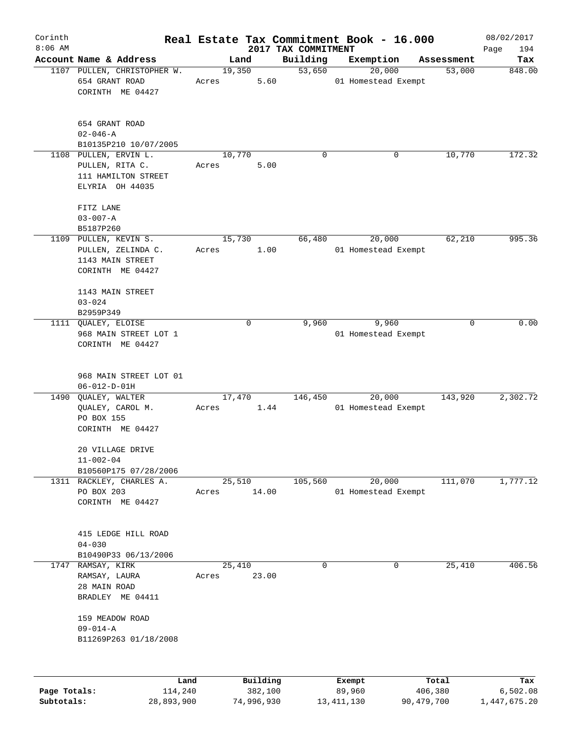| Corinth      |                                                                                     |                 |                 |                     |                                 | Real Estate Tax Commitment Book - 16.000 |                               |                      | 08/02/2017      |
|--------------|-------------------------------------------------------------------------------------|-----------------|-----------------|---------------------|---------------------------------|------------------------------------------|-------------------------------|----------------------|-----------------|
| $8:06$ AM    | Account Name & Address                                                              |                 |                 |                     | 2017 TAX COMMITMENT<br>Building |                                          |                               |                      | Page<br>194     |
|              | 1107 PULLEN, CHRISTOPHER W.<br>654 GRANT ROAD<br>CORINTH ME 04427                   |                 | 19,350<br>Acres | Land<br>5.60        | 53,650                          | Exemption                                | 20,000<br>01 Homestead Exempt | Assessment<br>53,000 | Tax<br>848.00   |
|              | 654 GRANT ROAD<br>$02 - 046 - A$<br>B10135P210 10/07/2005                           |                 |                 |                     |                                 |                                          |                               |                      |                 |
|              | 1108 PULLEN, ERVIN L.<br>PULLEN, RITA C.<br>111 HAMILTON STREET<br>ELYRIA OH 44035  |                 | 10,770<br>Acres | 5.00                | 0                               |                                          | 0                             | 10,770               | 172.32          |
|              | FITZ LANE<br>$03 - 007 - A$<br>B5187P260                                            |                 |                 |                     |                                 |                                          |                               |                      |                 |
|              | 1109 PULLEN, KEVIN S.<br>PULLEN, ZELINDA C.<br>1143 MAIN STREET<br>CORINTH ME 04427 |                 | 15,730<br>Acres | 1.00                | 66,480                          |                                          | 20,000<br>01 Homestead Exempt | 62,210               | 995.36          |
|              | 1143 MAIN STREET<br>$03 - 024$<br>B2959P349                                         |                 |                 |                     |                                 |                                          |                               |                      |                 |
| 1111         | QUALEY, ELOISE<br>968 MAIN STREET LOT 1<br>CORINTH ME 04427                         |                 |                 | 0                   | 9,960                           |                                          | 9,960<br>01 Homestead Exempt  | 0                    | 0.00            |
|              | 968 MAIN STREET LOT 01<br>$06 - 012 - D - 01H$                                      |                 |                 |                     |                                 |                                          |                               |                      |                 |
| 1490         | QUALEY, WALTER<br>QUALEY, CAROL M.<br>PO BOX 155<br>CORINTH ME 04427                |                 | 17,470<br>Acres | 1.44                | 146,450                         |                                          | 20,000<br>01 Homestead Exempt | 143,920              | 2,302.72        |
|              | 20 VILLAGE DRIVE<br>$11 - 002 - 04$<br>B10560P175 07/28/2006                        |                 |                 |                     |                                 |                                          |                               |                      |                 |
|              | 1311 RACKLEY, CHARLES A.<br>PO BOX 203<br>CORINTH ME 04427                          |                 | 25,510<br>Acres | 14.00               | 105,560                         |                                          | 20,000<br>01 Homestead Exempt | 111,070              | 1,777.12        |
|              | 415 LEDGE HILL ROAD<br>$04 - 030$<br>B10490P33 06/13/2006                           |                 |                 |                     |                                 |                                          |                               |                      |                 |
| 1747         | RAMSAY, KIRK<br>RAMSAY, LAURA<br>28 MAIN ROAD<br>BRADLEY ME 04411                   |                 | 25,410<br>Acres | 23.00               | $\mathbf 0$                     |                                          | 0                             | 25,410               | 406.56          |
|              | 159 MEADOW ROAD<br>$09 - 014 - A$<br>B11269P263 01/18/2008                          |                 |                 |                     |                                 |                                          |                               |                      |                 |
| Page Totals: |                                                                                     | Land<br>114,240 |                 | Building<br>382,100 |                                 | Exempt<br>89,960                         |                               | Total<br>406,380     | Tax<br>6,502.08 |
| Subtotals:   |                                                                                     | 28,893,900      |                 | 74,996,930          |                                 | 13, 411, 130                             |                               | 90, 479, 700         | 1,447,675.20    |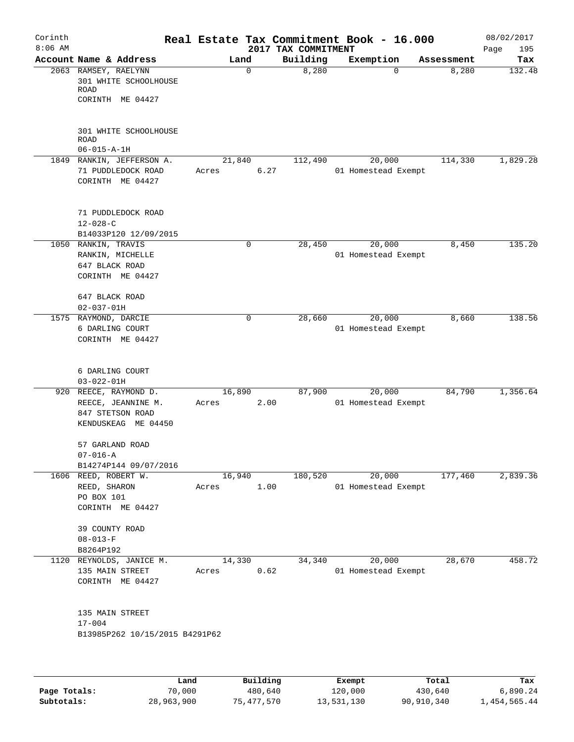| Corinth<br>$8:06$ AM |                                                                           |      |                 |             | 2017 TAX COMMITMENT | Real Estate Tax Commitment Book - 16.000 |            | 08/02/2017<br>Page<br>195 |
|----------------------|---------------------------------------------------------------------------|------|-----------------|-------------|---------------------|------------------------------------------|------------|---------------------------|
|                      | Account Name & Address                                                    |      | Land            |             | Building            | Exemption                                | Assessment | Tax                       |
|                      | 2063 RAMSEY, RAELYNN<br>301 WHITE SCHOOLHOUSE<br>ROAD<br>CORINTH ME 04427 |      |                 | $\mathbf 0$ | 8,280               | 0                                        | 8,280      | 132.48                    |
|                      | 301 WHITE SCHOOLHOUSE<br><b>ROAD</b>                                      |      |                 |             |                     |                                          |            |                           |
|                      | $06 - 015 - A - 1H$                                                       |      |                 |             |                     |                                          |            |                           |
|                      | 1849 RANKIN, JEFFERSON A.<br>71 PUDDLEDOCK ROAD                           |      | 21,840<br>Acres | 6.27        | 112,490             | 20,000<br>01 Homestead Exempt            | 114,330    | 1,829.28                  |
|                      | CORINTH ME 04427                                                          |      |                 |             |                     |                                          |            |                           |
|                      | 71 PUDDLEDOCK ROAD<br>$12 - 028 - C$                                      |      |                 |             |                     |                                          |            |                           |
|                      | B14033P120 12/09/2015                                                     |      |                 |             |                     |                                          |            |                           |
| 1050                 | RANKIN, TRAVIS<br>RANKIN, MICHELLE<br>647 BLACK ROAD<br>CORINTH ME 04427  |      |                 | $\mathbf 0$ | 28,450              | 20,000<br>01 Homestead Exempt            | 8,450      | 135.20                    |
|                      | 647 BLACK ROAD<br>$02 - 037 - 01H$                                        |      |                 |             |                     |                                          |            |                           |
|                      | 1575 RAYMOND, DARCIE<br>6 DARLING COURT<br>CORINTH ME 04427               |      |                 | 0           | 28,660              | 20,000<br>01 Homestead Exempt            | 8,660      | 138.56                    |
|                      | 6 DARLING COURT<br>$03 - 022 - 01H$                                       |      |                 |             |                     |                                          |            |                           |
| 920                  | REECE, RAYMOND D.                                                         |      | 16,890          |             | 87,900              | 20,000                                   | 84,790     | 1,356.64                  |
|                      | REECE, JEANNINE M.<br>847 STETSON ROAD<br>KENDUSKEAG ME 04450             |      | Acres           | 2.00        |                     | 01 Homestead Exempt                      |            |                           |
|                      | 57 GARLAND ROAD<br>$07 - 016 - A$                                         |      |                 |             |                     |                                          |            |                           |
|                      | B14274P144 09/07/2016<br>1606 REED, ROBERT W.                             |      | 16,940          |             | 180,520             | 20,000                                   | 177,460    | 2,839.36                  |
|                      | REED, SHARON<br>PO BOX 101<br>CORINTH ME 04427                            |      | Acres           | 1.00        |                     | 01 Homestead Exempt                      |            |                           |
|                      | 39 COUNTY ROAD<br>$08 - 013 - F$                                          |      |                 |             |                     |                                          |            |                           |
|                      | B8264P192                                                                 |      |                 |             |                     |                                          |            |                           |
|                      | 1120 REYNOLDS, JANICE M.<br>135 MAIN STREET                               |      | 14,330<br>Acres | 0.62        | 34,340              | 20,000<br>01 Homestead Exempt            | 28,670     | 458.72                    |
|                      | CORINTH ME 04427                                                          |      |                 |             |                     |                                          |            |                           |
|                      | 135 MAIN STREET<br>$17 - 004$<br>B13985P262 10/15/2015 B4291P62           |      |                 |             |                     |                                          |            |                           |
|                      |                                                                           |      |                 |             |                     |                                          |            |                           |
|                      |                                                                           | Land |                 | Building    |                     | Exempt                                   | Total      | Tax                       |

|              | Land       | Building   | Exempt     | Total      | Tax          |
|--------------|------------|------------|------------|------------|--------------|
| Page Totals: | 70,000     | 480,640    | 120,000    | 430,640    | 6,890.24     |
| Subtotals:   | 28,963,900 | 75,477,570 | 13,531,130 | 90,910,340 | 1,454,565.44 |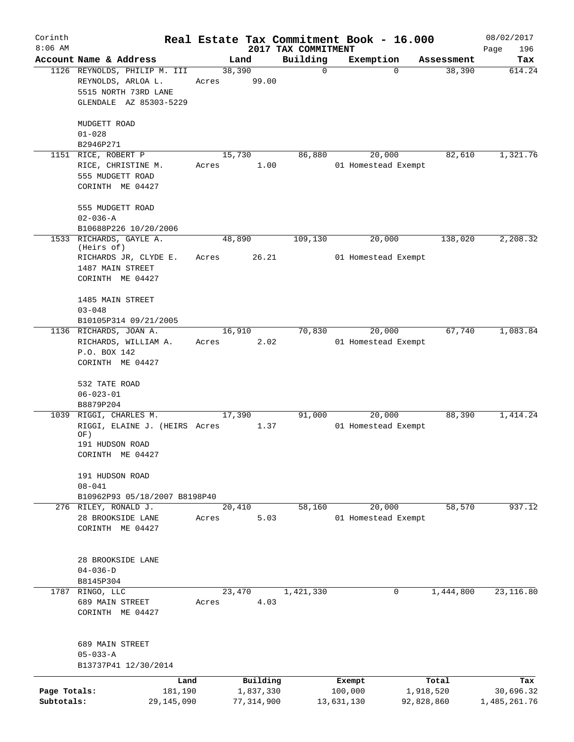| Corinth<br>$8:06$ AM       |                                                                                                       |                 |                           |                                 | Real Estate Tax Commitment Book - 16.000 |                                  | 08/02/2017                |
|----------------------------|-------------------------------------------------------------------------------------------------------|-----------------|---------------------------|---------------------------------|------------------------------------------|----------------------------------|---------------------------|
|                            | Account Name & Address                                                                                | Land            |                           | 2017 TAX COMMITMENT<br>Building |                                          |                                  | Page<br>196<br>Tax        |
|                            | 1126 REYNOLDS, PHILIP M. III<br>REYNOLDS, ARLOA L.<br>5515 NORTH 73RD LANE<br>GLENDALE AZ 85303-5229  | 38,390<br>Acres | 99.00                     | $\mathbf 0$                     | Exemption                                | Assessment<br>38,390<br>$\Omega$ | 614.24                    |
|                            | MUDGETT ROAD<br>$01 - 028$                                                                            |                 |                           |                                 |                                          |                                  |                           |
|                            | B2946P271                                                                                             |                 |                           |                                 |                                          |                                  |                           |
|                            | 1151 RICE, ROBERT P<br>RICE, CHRISTINE M.<br>555 MUDGETT ROAD<br>CORINTH ME 04427                     | 15,730<br>Acres | 1.00                      | 86,880                          | 20,000<br>01 Homestead Exempt            | 82,610                           | 1,321.76                  |
|                            | 555 MUDGETT ROAD<br>$02 - 036 - A$                                                                    |                 |                           |                                 |                                          |                                  |                           |
|                            | B10688P226 10/20/2006<br>1533 RICHARDS, GAYLE A.                                                      | 48,890          |                           | 109,130                         | 20,000                                   | 138,020                          | 2, 208.32                 |
|                            | (Heirs of)<br>RICHARDS JR, CLYDE E.<br>1487 MAIN STREET<br>CORINTH ME 04427                           | Acres           | 26.21                     |                                 | 01 Homestead Exempt                      |                                  |                           |
|                            | 1485 MAIN STREET<br>$03 - 048$<br>B10105P314 09/21/2005                                               |                 |                           |                                 |                                          |                                  |                           |
|                            | 1136 RICHARDS, JOAN A.<br>RICHARDS, WILLIAM A.<br>P.O. BOX 142<br>CORINTH ME 04427                    | 16,910<br>Acres | 2.02                      | 70,830                          | 20,000<br>01 Homestead Exempt            | 67,740                           | 1,083.84                  |
|                            | 532 TATE ROAD<br>$06 - 023 - 01$<br>B8879P204                                                         |                 |                           |                                 |                                          |                                  |                           |
|                            | 1039 RIGGI, CHARLES M.<br>RIGGI, ELAINE J. (HEIRS Acres<br>OF)<br>191 HUDSON ROAD<br>CORINTH ME 04427 | 17,390          | 1.37                      | 91,000                          | 20,000<br>01 Homestead Exempt            | 88,390                           | 1,414.24                  |
|                            | 191 HUDSON ROAD<br>$08 - 041$<br>B10962P93 05/18/2007 B8198P40                                        |                 |                           |                                 |                                          |                                  |                           |
|                            | 276 RILEY, RONALD J.<br>28 BROOKSIDE LANE<br>CORINTH ME 04427                                         | 20,410<br>Acres | 5.03                      | 58,160                          | 20,000<br>01 Homestead Exempt            | 58,570                           | 937.12                    |
|                            | 28 BROOKSIDE LANE<br>$04 - 036 - D$<br>B8145P304                                                      |                 |                           |                                 |                                          |                                  |                           |
|                            | 1787 RINGO, LLC<br>689 MAIN STREET<br>CORINTH ME 04427                                                | 23,470<br>Acres | 4.03                      | 1,421,330                       |                                          | 1,444,800<br>0                   | 23, 116.80                |
|                            | 689 MAIN STREET<br>$05 - 033 - A$<br>B13737P41 12/30/2014                                             |                 |                           |                                 |                                          |                                  |                           |
|                            | Land                                                                                                  |                 | Building                  |                                 | Exempt                                   | Total                            | Tax                       |
| Page Totals:<br>Subtotals: | 181,190<br>29, 145, 090                                                                               |                 | 1,837,330<br>77, 314, 900 |                                 | 100,000<br>13,631,130                    | 1,918,520<br>92,828,860          | 30,696.32<br>1,485,261.76 |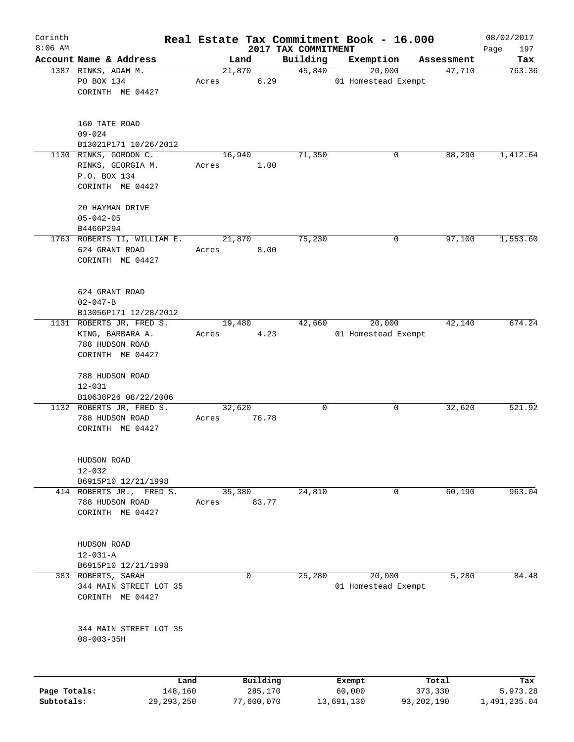| Corinth      |                                                                                         |                 |          |                                 | Real Estate Tax Commitment Book - 16.000 |            | 08/02/2017         |
|--------------|-----------------------------------------------------------------------------------------|-----------------|----------|---------------------------------|------------------------------------------|------------|--------------------|
| $8:06$ AM    | Account Name & Address                                                                  | Land            |          | 2017 TAX COMMITMENT<br>Building | Exemption                                | Assessment | 197<br>Page<br>Tax |
|              | 1387 RINKS, ADAM M.                                                                     | 21,870          |          | 45,840                          | 20,000                                   | 47,710     | 763.36             |
|              | PO BOX 134<br>CORINTH ME 04427                                                          | Acres           | 6.29     |                                 | 01 Homestead Exempt                      |            |                    |
|              | 160 TATE ROAD<br>$09 - 024$                                                             |                 |          |                                 |                                          |            |                    |
|              | B13021P171 10/26/2012                                                                   |                 |          |                                 |                                          |            |                    |
|              | 1130 RINKS, GORDON C.<br>RINKS, GEORGIA M.<br>P.O. BOX 134<br>CORINTH ME 04427          | 16,940<br>Acres | 1.00     | 71,350                          | 0                                        | 88,290     | 1,412.64           |
|              | 20 HAYMAN DRIVE<br>$05 - 042 - 05$<br>B4466P294                                         |                 |          |                                 |                                          |            |                    |
|              | 1763 ROBERTS II, WILLIAM E.<br>624 GRANT ROAD<br>CORINTH ME 04427                       | 21,870<br>Acres | 8.00     | 75,230                          | 0                                        | 97,100     | 1,553.60           |
|              | 624 GRANT ROAD<br>$02 - 047 - B$<br>B13056P171 12/28/2012                               |                 |          |                                 |                                          |            |                    |
|              | 1131 ROBERTS JR, FRED S.<br>KING, BARBARA A.<br>788 HUDSON ROAD<br>CORINTH ME 04427     | 19,480<br>Acres | 4.23     | 42,660                          | 20,000<br>01 Homestead Exempt            | 42,140     | 674.24             |
|              | 788 HUDSON ROAD<br>$12 - 031$<br>B10638P26 08/22/2006                                   |                 |          |                                 |                                          |            |                    |
|              | 1132 ROBERTS JR, FRED S.<br>788 HUDSON ROAD<br>CORINTH ME 04427                         | 32,620<br>Acres | 76.78    | 0                               | 0                                        | 32,620     | 521.92             |
|              | HUDSON ROAD<br>$12 - 032$<br>B6915P10 12/21/1998                                        |                 |          |                                 |                                          |            |                    |
|              | 414 ROBERTS JR., FRED S.<br>788 HUDSON ROAD<br>CORINTH ME 04427                         | 35,380<br>Acres | 83.77    | 24,810                          | 0                                        | 60,190     | 963.04             |
|              | HUDSON ROAD<br>$12 - 031 - A$                                                           |                 |          |                                 |                                          |            |                    |
|              | B6915P10 12/21/1998<br>383 ROBERTS, SARAH<br>344 MAIN STREET LOT 35<br>CORINTH ME 04427 |                 | 0        | 25,280                          | 20,000<br>01 Homestead Exempt            | 5,280      | 84.48              |
|              | 344 MAIN STREET LOT 35<br>$08 - 003 - 35H$                                              |                 |          |                                 |                                          |            |                    |
|              | Land                                                                                    |                 | Building |                                 | Exempt                                   | Total      | Tax                |
| Page Totals: | 148,160                                                                                 |                 | 285,170  |                                 | 60,000                                   | 373,330    | 5,973.28           |

**Subtotals:** 29,293,250 77,600,070 13,691,130 93,202,190 1,491,235.04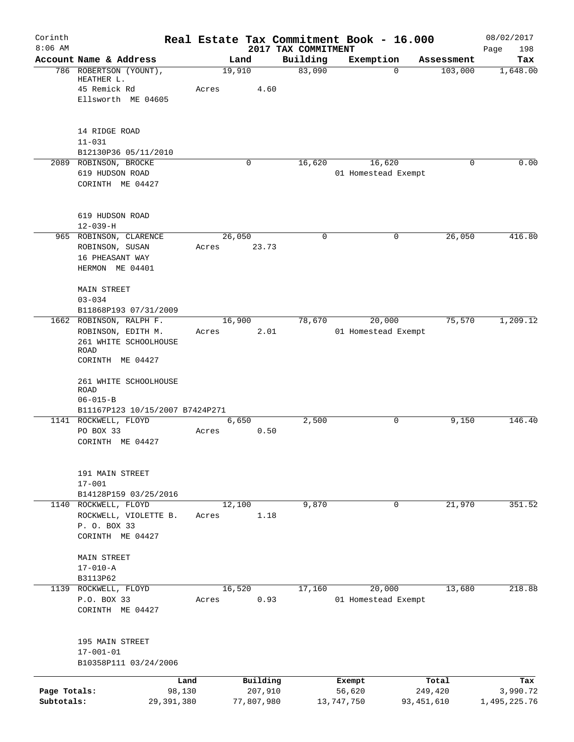| Corinth      |                                                         |       |                     |                                 | Real Estate Tax Commitment Book - 16.000 |                  | 08/02/2017         |
|--------------|---------------------------------------------------------|-------|---------------------|---------------------------------|------------------------------------------|------------------|--------------------|
| $8:06$ AM    | Account Name & Address                                  |       | Land                | 2017 TAX COMMITMENT<br>Building | Exemption                                | Assessment       | 198<br>Page<br>Tax |
|              | 786 ROBERTSON (YOUNT),<br>HEATHER L.                    |       | 19,910              | 83,090                          | $\Omega$                                 | 103,000          | 1,648.00           |
|              | 45 Remick Rd                                            | Acres | 4.60                |                                 |                                          |                  |                    |
|              | Ellsworth ME 04605                                      |       |                     |                                 |                                          |                  |                    |
|              | 14 RIDGE ROAD                                           |       |                     |                                 |                                          |                  |                    |
|              | $11 - 031$                                              |       |                     |                                 |                                          |                  |                    |
|              | B12130P36 05/11/2010<br>2089 ROBINSON, BROCKE           |       | 0                   |                                 | 16,620                                   | $\Omega$         | 0.00               |
|              | 619 HUDSON ROAD                                         |       |                     | 16,620                          | 01 Homestead Exempt                      |                  |                    |
|              | CORINTH ME 04427                                        |       |                     |                                 |                                          |                  |                    |
|              | 619 HUDSON ROAD                                         |       |                     |                                 |                                          |                  |                    |
|              | $12 - 039 - H$                                          |       |                     |                                 |                                          |                  |                    |
|              | 965 ROBINSON, CLARENCE                                  |       | 26,050              | $\mathbf 0$                     | 0                                        | 26,050           | 416.80             |
|              | ROBINSON, SUSAN                                         | Acres | 23.73               |                                 |                                          |                  |                    |
|              | 16 PHEASANT WAY<br>HERMON ME 04401                      |       |                     |                                 |                                          |                  |                    |
|              |                                                         |       |                     |                                 |                                          |                  |                    |
|              | <b>MAIN STREET</b>                                      |       |                     |                                 |                                          |                  |                    |
|              | $03 - 034$                                              |       |                     |                                 |                                          |                  |                    |
|              | B11868P193 07/31/2009                                   |       |                     |                                 |                                          |                  |                    |
|              | 1662 ROBINSON, RALPH F.                                 |       | 16,900              | 78,670                          | 20,000                                   | 75,570           | 1,209.12           |
|              | ROBINSON, EDITH M.                                      | Acres | 2.01                |                                 | 01 Homestead Exempt                      |                  |                    |
|              | 261 WHITE SCHOOLHOUSE<br>ROAD                           |       |                     |                                 |                                          |                  |                    |
|              | CORINTH ME 04427                                        |       |                     |                                 |                                          |                  |                    |
|              | 261 WHITE SCHOOLHOUSE<br>ROAD                           |       |                     |                                 |                                          |                  |                    |
|              | $06 - 015 - B$                                          |       |                     |                                 |                                          |                  |                    |
|              | B11167P123 10/15/2007 B7424P271<br>1141 ROCKWELL, FLOYD |       | 6,650               | 2,500                           | 0                                        | 9,150            | 146.40             |
|              | PO BOX 33                                               | Acres | 0.50                |                                 |                                          |                  |                    |
|              | CORINTH ME 04427                                        |       |                     |                                 |                                          |                  |                    |
|              | 191 MAIN STREET                                         |       |                     |                                 |                                          |                  |                    |
|              | $17 - 001$                                              |       |                     |                                 |                                          |                  |                    |
|              | B14128P159 03/25/2016<br>1140 ROCKWELL, FLOYD           |       | 12,100              | 9,870                           | $\mathbf 0$                              | 21,970           | 351.52             |
|              | ROCKWELL, VIOLETTE B.                                   | Acres | 1.18                |                                 |                                          |                  |                    |
|              | P. O. BOX 33                                            |       |                     |                                 |                                          |                  |                    |
|              | CORINTH ME 04427                                        |       |                     |                                 |                                          |                  |                    |
|              | <b>MAIN STREET</b>                                      |       |                     |                                 |                                          |                  |                    |
|              | $17 - 010 - A$                                          |       |                     |                                 |                                          |                  |                    |
|              | B3113P62                                                |       |                     |                                 |                                          |                  |                    |
| 1139         | ROCKWELL, FLOYD                                         |       | 16,520              | 17,160                          | 20,000                                   | 13,680           | 218.88             |
|              | P.O. BOX 33                                             | Acres | 0.93                |                                 | 01 Homestead Exempt                      |                  |                    |
|              | CORINTH ME 04427                                        |       |                     |                                 |                                          |                  |                    |
|              | 195 MAIN STREET                                         |       |                     |                                 |                                          |                  |                    |
|              | $17 - 001 - 01$<br>B10358P111 03/24/2006                |       |                     |                                 |                                          |                  |                    |
|              |                                                         |       |                     |                                 |                                          |                  |                    |
| Page Totals: | 98,130                                                  | Land  | Building<br>207,910 |                                 | Exempt<br>56,620                         | Total<br>249,420 | Tax<br>3,990.72    |
| Subtotals:   | 29, 391, 380                                            |       | 77,807,980          |                                 | 13,747,750                               | 93,451,610       | 1,495,225.76       |
|              |                                                         |       |                     |                                 |                                          |                  |                    |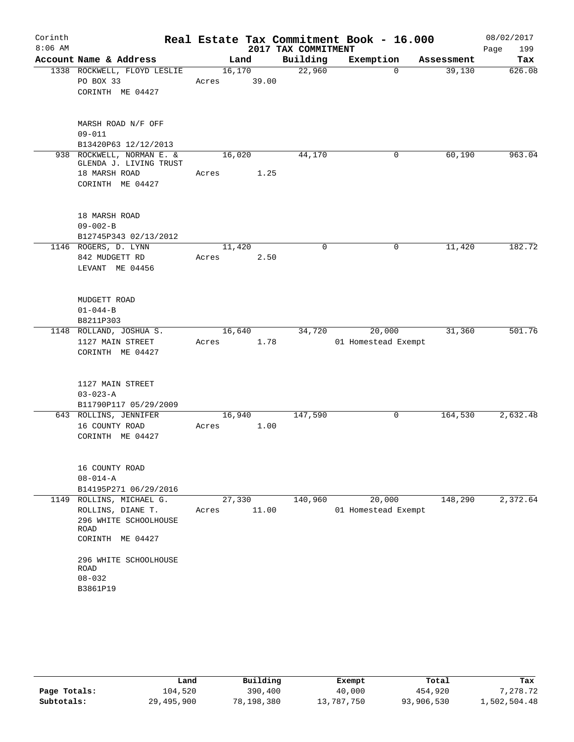| Corinth<br>$8:06$ AM |                                                                                                                                                               |                 |       | 2017 TAX COMMITMENT | Real Estate Tax Commitment Book - 16.000 |            | 08/02/2017<br>Page<br>199 |
|----------------------|---------------------------------------------------------------------------------------------------------------------------------------------------------------|-----------------|-------|---------------------|------------------------------------------|------------|---------------------------|
|                      | Account Name & Address                                                                                                                                        |                 | Land  | Building            | Exemption                                | Assessment | Tax                       |
|                      | 1338 ROCKWELL, FLOYD LESLIE<br>PO BOX 33<br>CORINTH ME 04427                                                                                                  | 16,170<br>Acres | 39.00 | 22,960              | $\Omega$                                 | 39,130     | 626.08                    |
|                      | MARSH ROAD N/F OFF<br>$09 - 011$<br>B13420P63 12/12/2013                                                                                                      |                 |       |                     |                                          |            |                           |
|                      | 938 ROCKWELL, NORMAN E. &<br>GLENDA J. LIVING TRUST<br>18 MARSH ROAD<br>CORINTH ME 04427                                                                      | 16,020<br>Acres | 1.25  | 44,170              | 0                                        | 60,190     | 963.04                    |
|                      | 18 MARSH ROAD<br>$09 - 002 - B$<br>B12745P343 02/13/2012                                                                                                      |                 |       |                     |                                          |            |                           |
|                      | 1146 ROGERS, D. LYNN<br>842 MUDGETT RD<br>LEVANT ME 04456                                                                                                     | 11,420<br>Acres | 2.50  | 0                   | 0                                        | 11,420     | 182.72                    |
|                      | MUDGETT ROAD<br>$01 - 044 - B$<br>B8211P303                                                                                                                   |                 |       |                     |                                          |            |                           |
|                      | 1148 ROLLAND, JOSHUA S.<br>1127 MAIN STREET<br>CORINTH ME 04427                                                                                               | 16,640<br>Acres | 1.78  | 34,720              | 20,000<br>01 Homestead Exempt            | 31,360     | 501.76                    |
|                      | 1127 MAIN STREET<br>$03 - 023 - A$<br>B11790P117 05/29/2009                                                                                                   |                 |       |                     |                                          |            |                           |
|                      | 643 ROLLINS, JENNIFER<br>16 COUNTY ROAD<br>CORINTH ME 04427                                                                                                   | 16,940<br>Acres | 1.00  | 147,590             | 0                                        | 164,530    | 2,632.48                  |
|                      | 16 COUNTY ROAD<br>$08 - 014 - A$<br>B14195P271 06/29/2016                                                                                                     |                 |       |                     |                                          |            |                           |
|                      | 1149 ROLLINS, MICHAEL G.<br>ROLLINS, DIANE T.<br>296 WHITE SCHOOLHOUSE<br>ROAD<br>CORINTH ME 04427<br>296 WHITE SCHOOLHOUSE<br>ROAD<br>$08 - 032$<br>B3861P19 | 27,330<br>Acres | 11.00 | 140,960             | 20,000<br>01 Homestead Exempt            | 148,290    | 2,372.64                  |

|              | Land       | Building   | Exempt     | Total      | Tax          |
|--------------|------------|------------|------------|------------|--------------|
| Page Totals: | 104,520    | 390,400    | 40,000     | 454,920    | 7,278.72     |
| Subtotals:   | 29,495,900 | 78,198,380 | 13,787,750 | 93,906,530 | 1,502,504.48 |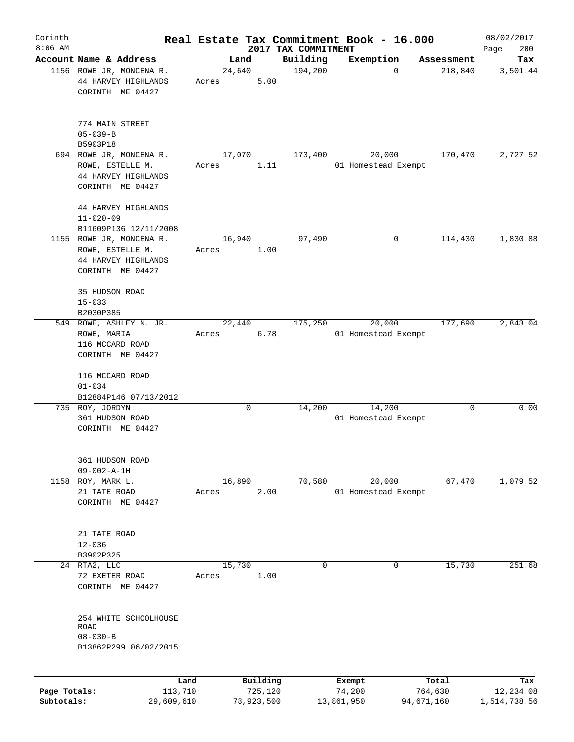| Corinth                    |                                                                                         |       |                                   |                     | Real Estate Tax Commitment Book - 16.000 |                                | 08/02/2017                       |
|----------------------------|-----------------------------------------------------------------------------------------|-------|-----------------------------------|---------------------|------------------------------------------|--------------------------------|----------------------------------|
| $8:06$ AM                  |                                                                                         |       |                                   | 2017 TAX COMMITMENT |                                          |                                | 200<br>Page                      |
|                            | Account Name & Address                                                                  |       | Land                              | Building            | Exemption                                | Assessment                     | Tax                              |
|                            | 1156 ROWE JR, MONCENA R.<br>44 HARVEY HIGHLANDS<br>CORINTH ME 04427                     | Acres | 24,640<br>5.00                    | 194,200             | $\mathbf 0$                              | 218,840                        | 3,501.44                         |
|                            | 774 MAIN STREET<br>$05 - 039 - B$                                                       |       |                                   |                     |                                          |                                |                                  |
|                            | B5903P18                                                                                |       |                                   |                     |                                          |                                |                                  |
|                            | 694 ROWE JR, MONCENA R.<br>ROWE, ESTELLE M.<br>44 HARVEY HIGHLANDS<br>CORINTH ME 04427  | Acres | 17,070<br>1.11                    | 173,400             | 20,000<br>01 Homestead Exempt            | 170,470                        | 2,727.52                         |
|                            | 44 HARVEY HIGHLANDS<br>$11 - 020 - 09$<br>B11609P136 12/11/2008                         |       |                                   |                     |                                          |                                |                                  |
|                            | 1155 ROWE JR, MONCENA R.<br>ROWE, ESTELLE M.<br>44 HARVEY HIGHLANDS<br>CORINTH ME 04427 | Acres | 16,940<br>1.00                    | 97,490              | 0                                        | 114,430                        | 1,830.88                         |
|                            | 35 HUDSON ROAD<br>$15 - 033$<br>B2030P385                                               |       |                                   |                     |                                          |                                |                                  |
| 549                        | ROWE, ASHLEY N. JR.<br>ROWE, MARIA<br>116 MCCARD ROAD<br>CORINTH ME 04427               | Acres | 22,440<br>6.78                    | 175,250             | 20,000<br>01 Homestead Exempt            | 177,690                        | 2,843.04                         |
|                            | 116 MCCARD ROAD<br>$01 - 034$<br>B12884P146 07/13/2012                                  |       |                                   |                     |                                          |                                |                                  |
|                            | 735 ROY, JORDYN<br>361 HUDSON ROAD<br>CORINTH ME 04427                                  |       | 0                                 | 14,200              | 14,200<br>01 Homestead Exempt            | 0                              | 0.00                             |
|                            | 361 HUDSON ROAD<br>$09 - 002 - A - 1H$                                                  |       |                                   |                     |                                          |                                |                                  |
| 1158                       | ROY, MARK L.<br>21 TATE ROAD<br>CORINTH ME 04427                                        | Acres | 16,890<br>2.00                    | 70,580              | 20,000<br>01 Homestead Exempt            | 67,470                         | 1,079.52                         |
|                            | 21 TATE ROAD<br>$12 - 036$<br>B3902P325                                                 |       |                                   |                     |                                          |                                |                                  |
|                            | 24 RTA2, LLC                                                                            |       | 15,730                            | $\mathbf 0$         | 0                                        | 15,730                         | 251.68                           |
|                            | 72 EXETER ROAD<br>CORINTH ME 04427                                                      | Acres | 1.00                              |                     |                                          |                                |                                  |
|                            | 254 WHITE SCHOOLHOUSE<br>ROAD<br>$08 - 030 - B$<br>B13862P299 06/02/2015                |       |                                   |                     |                                          |                                |                                  |
|                            |                                                                                         |       |                                   |                     |                                          |                                |                                  |
| Page Totals:<br>Subtotals: | Land<br>113,710<br>29,609,610                                                           |       | Building<br>725,120<br>78,923,500 |                     | Exempt<br>74,200<br>13,861,950           | Total<br>764,630<br>94,671,160 | Tax<br>12,234.08<br>1,514,738.56 |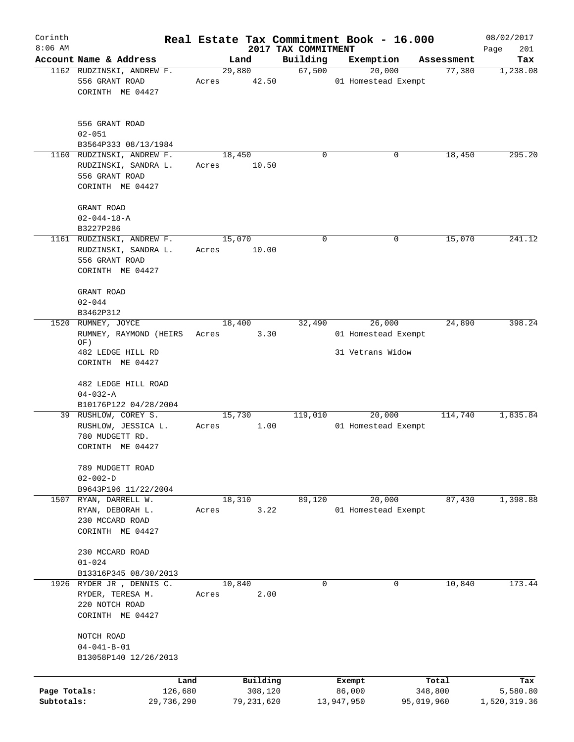| Corinth                    |                                                                                    |                       |       |                         |                     | Real Estate Tax Commitment Book - 16.000 |                       | 08/02/2017               |
|----------------------------|------------------------------------------------------------------------------------|-----------------------|-------|-------------------------|---------------------|------------------------------------------|-----------------------|--------------------------|
| $8:06$ AM                  |                                                                                    |                       |       |                         | 2017 TAX COMMITMENT |                                          |                       | Page<br>201              |
|                            | Account Name & Address<br>1162 RUDZINSKI, ANDREW F.                                |                       |       | Land<br>29,880          | Building<br>67,500  | Exemption<br>20,000                      | Assessment<br>77,380  | Tax                      |
|                            | 556 GRANT ROAD<br>CORINTH ME 04427                                                 |                       | Acres | 42.50                   |                     | 01 Homestead Exempt                      |                       | 1,238.08                 |
|                            | 556 GRANT ROAD<br>$02 - 051$<br>B3564P333 08/13/1984                               |                       |       |                         |                     |                                          |                       |                          |
|                            | 1160 RUDZINSKI, ANDREW F.                                                          |                       |       | 18,450                  | 0                   | 0                                        | 18,450                | 295.20                   |
|                            | RUDZINSKI, SANDRA L.<br>556 GRANT ROAD<br>CORINTH ME 04427                         |                       | Acres | 10.50                   |                     |                                          |                       |                          |
|                            | GRANT ROAD<br>$02 - 044 - 18 - A$<br>B3227P286                                     |                       |       |                         |                     |                                          |                       |                          |
|                            | 1161 RUDZINSKI, ANDREW F.                                                          |                       |       | 15,070                  | 0                   | 0                                        | 15,070                | 241.12                   |
|                            | RUDZINSKI, SANDRA L.<br>556 GRANT ROAD<br>CORINTH ME 04427                         |                       | Acres | 10.00                   |                     |                                          |                       |                          |
|                            | GRANT ROAD<br>$02 - 044$                                                           |                       |       |                         |                     |                                          |                       |                          |
|                            | B3462P312                                                                          |                       |       |                         |                     |                                          |                       |                          |
| 1520                       | RUMNEY, JOYCE<br>RUMNEY, RAYMOND (HEIRS<br>OF)                                     |                       | Acres | 18,400<br>3.30          | 32,490              | 26,000<br>01 Homestead Exempt            | 24,890                | 398.24                   |
|                            | 482 LEDGE HILL RD<br>CORINTH ME 04427                                              |                       |       |                         |                     | 31 Vetrans Widow                         |                       |                          |
|                            | 482 LEDGE HILL ROAD<br>$04 - 032 - A$                                              |                       |       |                         |                     |                                          |                       |                          |
|                            | B10176P122 04/28/2004                                                              |                       |       |                         |                     |                                          |                       |                          |
|                            | 39 RUSHLOW, COREY S.<br>RUSHLOW, JESSICA L.<br>780 MUDGETT RD.<br>CORINTH ME 04427 |                       | Acres | 15,730<br>1.00          | 119,010             | 20,000<br>01 Homestead Exempt            | 114,740               | 1,835.84                 |
|                            | 789 MUDGETT ROAD<br>$02 - 002 - D$<br>B9643P196 11/22/2004                         |                       |       |                         |                     |                                          |                       |                          |
|                            | 1507 RYAN, DARRELL W.<br>RYAN, DEBORAH L.<br>230 MCCARD ROAD<br>CORINTH ME 04427   |                       | Acres | 18,310<br>3.22          | 89,120              | 20,000<br>01 Homestead Exempt            | 87,430                | 1,398.88                 |
|                            | 230 MCCARD ROAD<br>$01 - 024$                                                      |                       |       |                         |                     |                                          |                       |                          |
|                            | B13316P345 08/30/2013<br>1926 RYDER JR, DENNIS C.                                  |                       |       | 10,840                  | $\mathbf 0$         | 0                                        | 10,840                | 173.44                   |
|                            | RYDER, TERESA M.<br>220 NOTCH ROAD<br>CORINTH ME 04427                             |                       | Acres | 2.00                    |                     |                                          |                       |                          |
|                            | NOTCH ROAD<br>$04 - 041 - B - 01$<br>B13058P140 12/26/2013                         |                       |       |                         |                     |                                          |                       |                          |
|                            |                                                                                    | Land                  |       | Building                |                     | Exempt                                   | Total                 | Tax                      |
| Page Totals:<br>Subtotals: |                                                                                    | 126,680<br>29,736,290 |       | 308,120<br>79, 231, 620 |                     | 86,000<br>13,947,950                     | 348,800<br>95,019,960 | 5,580.80<br>1,520,319.36 |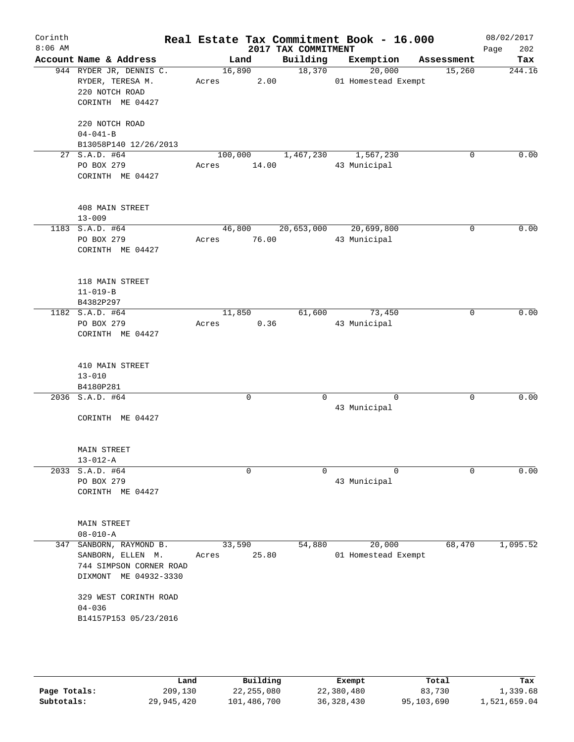| Corinth<br>$8:06$ AM |                                                                                                                                                              |                      | 2017 TAX COMMITMENT         | Real Estate Tax Commitment Book - 16.000 |            | 08/02/2017<br>202<br>Page |
|----------------------|--------------------------------------------------------------------------------------------------------------------------------------------------------------|----------------------|-----------------------------|------------------------------------------|------------|---------------------------|
|                      | Account Name & Address                                                                                                                                       | Land                 | Building                    | Exemption                                | Assessment | Tax                       |
|                      | 944 RYDER JR, DENNIS C.<br>RYDER, TERESA M.<br>220 NOTCH ROAD<br>CORINTH ME 04427                                                                            | 16,890<br>Acres 2.00 | 18,370                      | 20,000<br>01 Homestead Exempt            | 15,260     | 244.16                    |
|                      | 220 NOTCH ROAD<br>$04 - 041 - B$                                                                                                                             |                      |                             |                                          |            |                           |
|                      | B13058P140 12/26/2013                                                                                                                                        |                      |                             |                                          | 0          | 0.00                      |
|                      | 27 S.A.D. #64<br>PO BOX 279<br>CORINTH ME 04427                                                                                                              | 14.00<br>Acres       | 100,000 1,467,230 1,567,230 | 43 Municipal                             |            |                           |
|                      | 408 MAIN STREET<br>$13 - 009$                                                                                                                                |                      |                             |                                          |            |                           |
|                      | 1183 S.A.D. #64                                                                                                                                              |                      | 46,800 20,653,000           | 20,699,800                               | $\Omega$   | 0.00                      |
|                      | PO BOX 279<br>CORINTH ME 04427                                                                                                                               | Acres 76.00          |                             | 43 Municipal                             |            |                           |
|                      | 118 MAIN STREET<br>$11 - 019 - B$<br>B4382P297                                                                                                               |                      |                             |                                          |            |                           |
|                      | 1182 S.A.D. #64                                                                                                                                              | 11,850               |                             | 61,600 73,450                            | 0          | 0.00                      |
|                      | PO BOX 279<br>CORINTH ME 04427                                                                                                                               | Acres 0.36           |                             | 43 Municipal                             |            |                           |
|                      | 410 MAIN STREET<br>$13 - 010$                                                                                                                                |                      |                             |                                          |            |                           |
|                      | B4180P281                                                                                                                                                    |                      |                             |                                          |            |                           |
|                      | 2036 S.A.D. #64<br>CORINTH ME 04427                                                                                                                          | 0                    | $\Omega$                    | $\Omega$<br>43 Municipal                 | $\Omega$   | 0.00                      |
|                      | <b>MAIN STREET</b>                                                                                                                                           |                      |                             |                                          |            |                           |
|                      | $13 - 012 - A$                                                                                                                                               |                      |                             |                                          |            |                           |
|                      | 2033 S.A.D. #64<br>PO BOX 279<br>CORINTH ME 04427                                                                                                            | 0                    | $\Omega$                    | $\Omega$<br>43 Municipal                 | 0          | 0.00                      |
|                      | <b>MAIN STREET</b><br>$08 - 010 - A$                                                                                                                         |                      |                             |                                          |            |                           |
| 347                  | SANBORN, RAYMOND B.<br>SANBORN, ELLEN M.<br>744 SIMPSON CORNER ROAD<br>DIXMONT ME 04932-3330<br>329 WEST CORINTH ROAD<br>$04 - 036$<br>B14157P153 05/23/2016 | 33,590<br>Acres      | 54,880<br>25.80             | 20,000<br>01 Homestead Exempt            | 68,470     | 1,095.52                  |
|                      |                                                                                                                                                              |                      |                             |                                          |            |                           |

|              | Land       | Building    | Exempt       | Total      | Tax          |
|--------------|------------|-------------|--------------|------------|--------------|
| Page Totals: | 209,130    | 22,255,080  | 22,380,480   | 83,730     | 1,339.68     |
| Subtotals:   | 29,945,420 | 101,486,700 | 36, 328, 430 | 95,103,690 | 1,521,659.04 |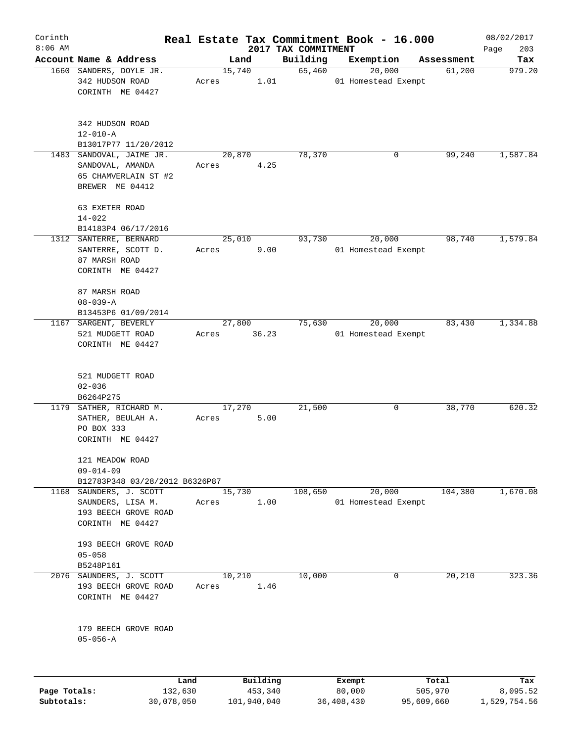| Corinth      |                                                                                    |                 |          |                                 | Real Estate Tax Commitment Book - 16.000 |            | 08/02/2017         |
|--------------|------------------------------------------------------------------------------------|-----------------|----------|---------------------------------|------------------------------------------|------------|--------------------|
| $8:06$ AM    | Account Name & Address                                                             |                 | Land     | 2017 TAX COMMITMENT<br>Building | Exemption                                | Assessment | 203<br>Page<br>Tax |
|              | 1660 SANDERS, DOYLE JR.                                                            | 15,740          |          | 65,460                          | 20,000                                   | 61,200     | 979.20             |
|              | 342 HUDSON ROAD<br>CORINTH ME 04427                                                | Acres           | 1.01     |                                 | 01 Homestead Exempt                      |            |                    |
|              | 342 HUDSON ROAD<br>$12 - 010 - A$                                                  |                 |          |                                 |                                          |            |                    |
|              | B13017P77 11/20/2012                                                               |                 |          |                                 |                                          |            |                    |
| 1483         | SANDOVAL, JAIME JR.<br>SANDOVAL, AMANDA<br>65 CHAMVERLAIN ST #2<br>BREWER ME 04412 | 20,870<br>Acres | 4.25     | 78,370                          | 0                                        | 99,240     | 1,587.84           |
|              | 63 EXETER ROAD<br>$14 - 022$                                                       |                 |          |                                 |                                          |            |                    |
|              | B14183P4 06/17/2016<br>1312 SANTERRE, BERNARD                                      | 25,010          |          | 93,730                          | 20,000                                   | 98,740     | 1,579.84           |
|              | SANTERRE, SCOTT D.<br>87 MARSH ROAD<br>CORINTH ME 04427                            | Acres           | 9.00     |                                 | 01 Homestead Exempt                      |            |                    |
|              | 87 MARSH ROAD<br>$08 - 039 - A$<br>B13453P6 01/09/2014                             |                 |          |                                 |                                          |            |                    |
|              | 1167 SARGENT, BEVERLY                                                              | 27,800          |          | 75,630                          | 20,000                                   | 83,430     | 1,334.88           |
|              | 521 MUDGETT ROAD<br>CORINTH ME 04427                                               | Acres           | 36.23    |                                 | 01 Homestead Exempt                      |            |                    |
|              | 521 MUDGETT ROAD<br>$02 - 036$<br>B6264P275                                        |                 |          |                                 |                                          |            |                    |
|              | 1179 SATHER, RICHARD M.<br>SATHER, BEULAH A.<br>PO BOX 333<br>CORINTH ME 04427     | 17,270<br>Acres | 5.00     | 21,500                          | 0                                        | 38,770     | 620.32             |
|              | 121 MEADOW ROAD<br>$09 - 014 - 09$<br>B12783P348 03/28/2012 B6326P87               |                 |          |                                 |                                          |            |                    |
| 1168         | SAUNDERS, J. SCOTT                                                                 | 15,730          |          | 108,650                         | 20,000                                   | 104,380    | 1,670.08           |
|              | SAUNDERS, LISA M.<br>193 BEECH GROVE ROAD<br>CORINTH ME 04427                      | Acres           | 1.00     |                                 | 01 Homestead Exempt                      |            |                    |
|              | 193 BEECH GROVE ROAD<br>$05 - 058$<br>B5248P161                                    |                 |          |                                 |                                          |            |                    |
| 2076         | SAUNDERS, J. SCOTT<br>193 BEECH GROVE ROAD<br>CORINTH ME 04427                     | 10,210<br>Acres | 1.46     | 10,000                          | 0                                        | 20,210     | 323.36             |
|              | 179 BEECH GROVE ROAD<br>$05 - 056 - A$                                             |                 |          |                                 |                                          |            |                    |
|              | Land                                                                               |                 | Building |                                 | Exempt                                   | Total      | Tax                |
| Page Totals: | 132,630                                                                            |                 | 453,340  |                                 | 80,000                                   | 505,970    | 8,095.52           |

**Subtotals:** 30,078,050 101,940,040 36,408,430 95,609,660 1,529,754.56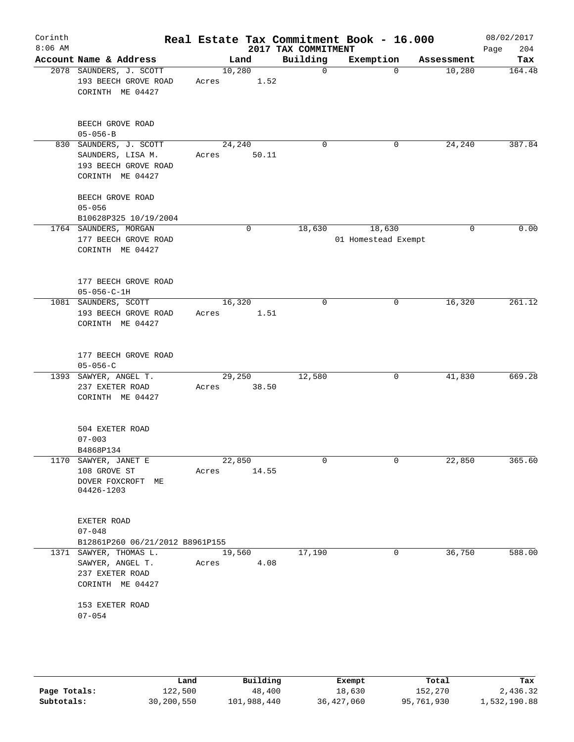| Corinth<br>$8:06$ AM |                                                                                         |                       |       | 2017 TAX COMMITMENT | Real Estate Tax Commitment Book - 16.000 |            | 08/02/2017<br>204<br>Page |
|----------------------|-----------------------------------------------------------------------------------------|-----------------------|-------|---------------------|------------------------------------------|------------|---------------------------|
|                      | Account Name & Address                                                                  | Land                  |       | Building            | Exemption                                | Assessment | Tax                       |
|                      | 2078 SAUNDERS, J. SCOTT<br>193 BEECH GROVE ROAD<br>CORINTH ME 04427                     | 10,280<br>Acres       | 1.52  | $\mathbf 0$         | $\Omega$                                 | 10,280     | 164.48                    |
|                      | BEECH GROVE ROAD<br>$05 - 056 - B$                                                      |                       |       |                     |                                          |            |                           |
|                      | 830 SAUNDERS, J. SCOTT<br>SAUNDERS, LISA M.<br>193 BEECH GROVE ROAD<br>CORINTH ME 04427 | 24,240<br>Acres       | 50.11 | $\mathbf 0$         | 0                                        | 24,240     | 387.84                    |
|                      | BEECH GROVE ROAD<br>$05 - 056$<br>B10628P325 10/19/2004                                 |                       |       |                     |                                          |            |                           |
|                      | 1764 SAUNDERS, MORGAN<br>177 BEECH GROVE ROAD<br>CORINTH ME 04427                       | $\mathbf 0$           |       | 18,630              | 18,630<br>01 Homestead Exempt            | 0          | 0.00                      |
|                      | 177 BEECH GROVE ROAD<br>$05 - 056 - C - 1H$                                             |                       |       |                     |                                          |            |                           |
|                      | 1081 SAUNDERS, SCOTT<br>193 BEECH GROVE ROAD<br>CORINTH ME 04427                        | 16,320<br>Acres       | 1.51  | 0                   | 0                                        | 16,320     | 261.12                    |
|                      | 177 BEECH GROVE ROAD<br>$05 - 056 - C$                                                  |                       |       |                     |                                          |            |                           |
|                      | 1393 SAWYER, ANGEL T.<br>237 EXETER ROAD<br>CORINTH ME 04427                            | 29,250<br>Acres       | 38.50 | 12,580              | 0                                        | 41,830     | 669.28                    |
|                      | 504 EXETER ROAD<br>$07 - 003$<br>B4868P134                                              |                       |       |                     |                                          |            |                           |
|                      | 1170 SAWYER, JANET E<br>108 GROVE ST<br>DOVER FOXCROFT ME<br>04426-1203                 | 22,850<br>Acres 14.55 |       | 0                   | 0                                        | 22,850     | 365.60                    |
|                      | EXETER ROAD<br>$07 - 048$<br>B12861P260 06/21/2012 B8961P155                            |                       |       |                     |                                          |            |                           |
|                      | 1371 SAWYER, THOMAS L.<br>SAWYER, ANGEL T.<br>237 EXETER ROAD<br>CORINTH ME 04427       | 19,560<br>Acres       | 4.08  | 17,190              | 0                                        | 36,750     | 588.00                    |
|                      | 153 EXETER ROAD<br>$07 - 054$                                                           |                       |       |                     |                                          |            |                           |
|                      |                                                                                         |                       |       |                     |                                          |            |                           |

|              | Land       | Building    | Exempt     | Total      | Tax          |
|--------------|------------|-------------|------------|------------|--------------|
| Page Totals: | 122,500    | 48,400      | 18,630     | 152,270    | 2,436.32     |
| Subtotals:   | 30,200,550 | 101,988,440 | 36,427,060 | 95,761,930 | 1,532,190.88 |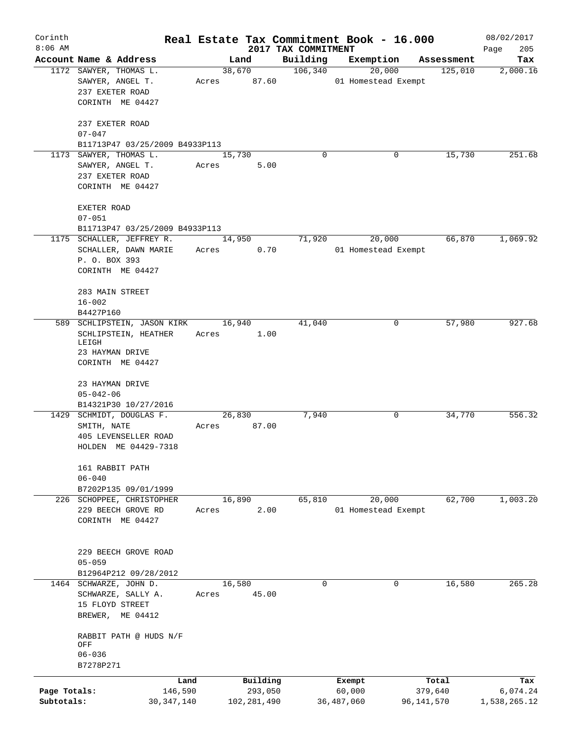| Corinth      |                                                                    |                                |             |                |                                 | Real Estate Tax Commitment Book - 16.000 |                       | 08/02/2017         |
|--------------|--------------------------------------------------------------------|--------------------------------|-------------|----------------|---------------------------------|------------------------------------------|-----------------------|--------------------|
| $8:06$ AM    | Account Name & Address                                             |                                |             | Land           | 2017 TAX COMMITMENT<br>Building |                                          |                       | 205<br>Page<br>Tax |
|              | 1172 SAWYER, THOMAS L.                                             |                                |             | 38,670         | 106,340                         | Exemption<br>20,000                      | Assessment<br>125,010 | 2,000.16           |
|              | SAWYER, ANGEL T.<br>237 EXETER ROAD<br>CORINTH ME 04427            |                                | Acres 87.60 |                |                                 | 01 Homestead Exempt                      |                       |                    |
|              |                                                                    |                                |             |                |                                 |                                          |                       |                    |
|              | 237 EXETER ROAD<br>$07 - 047$                                      | B11713P47 03/25/2009 B4933P113 |             |                |                                 |                                          |                       |                    |
| 1173         | SAWYER, THOMAS L.                                                  |                                | 15,730      |                | $\Omega$                        |                                          | 15,730<br>0           | 251.68             |
|              | SAWYER, ANGEL T.<br>237 EXETER ROAD<br>CORINTH ME 04427            |                                | Acres       | 5.00           |                                 |                                          |                       |                    |
|              | EXETER ROAD<br>$07 - 051$                                          |                                |             |                |                                 |                                          |                       |                    |
|              |                                                                    | B11713P47 03/25/2009 B4933P113 |             |                |                                 |                                          |                       |                    |
|              | 1175 SCHALLER, JEFFREY R.<br>SCHALLER, DAWN MARIE<br>P. O. BOX 393 |                                | Acres       | 14,950<br>0.70 | 71,920                          | 20,000<br>01 Homestead Exempt            | 66,870                | 1,069.92           |
|              | CORINTH ME 04427                                                   |                                |             |                |                                 |                                          |                       |                    |
|              | 283 MAIN STREET                                                    |                                |             |                |                                 |                                          |                       |                    |
|              | $16 - 002$<br>B4427P160                                            |                                |             |                |                                 |                                          |                       |                    |
|              |                                                                    | 589 SCHLIPSTEIN, JASON KIRK    | 16,940      |                | 41,040                          |                                          | 57,980<br>0           | 927.68             |
|              | SCHLIPSTEIN, HEATHER<br>LEIGH                                      |                                | Acres       | 1.00           |                                 |                                          |                       |                    |
|              | 23 HAYMAN DRIVE<br>CORINTH ME 04427                                |                                |             |                |                                 |                                          |                       |                    |
|              | 23 HAYMAN DRIVE<br>$05 - 042 - 06$                                 |                                |             |                |                                 |                                          |                       |                    |
|              | B14321P30 10/27/2016                                               |                                |             |                |                                 |                                          |                       |                    |
|              | 1429 SCHMIDT, DOUGLAS F.                                           |                                |             | 26,830         | 7,940                           |                                          | 34,770<br>0           | 556.32             |
|              | SMITH, NATE                                                        |                                | Acres       | 87.00          |                                 |                                          |                       |                    |
|              | 405 LEVENSELLER ROAD<br>HOLDEN ME 04429-7318                       |                                |             |                |                                 |                                          |                       |                    |
|              | 161 RABBIT PATH<br>$06 - 040$                                      |                                |             |                |                                 |                                          |                       |                    |
|              | B7202P135 09/01/1999                                               |                                |             |                |                                 |                                          |                       |                    |
|              | 226 SCHOPPEE, CHRISTOPHER                                          |                                |             | 16,890         | 65,810                          | 20,000                                   | 62,700                | 1,003.20           |
|              | 229 BEECH GROVE RD<br>CORINTH ME 04427                             |                                | Acres       | 2.00           |                                 | 01 Homestead Exempt                      |                       |                    |
|              | 229 BEECH GROVE ROAD<br>$05 - 059$                                 |                                |             |                |                                 |                                          |                       |                    |
|              | B12964P212 09/28/2012                                              |                                |             |                |                                 |                                          |                       |                    |
|              | 1464 SCHWARZE, JOHN D.                                             |                                | 16,580      |                | $\mathbf 0$                     |                                          | 16,580<br>$\Omega$    | 265.28             |
|              | SCHWARZE, SALLY A.                                                 |                                | Acres       | 45.00          |                                 |                                          |                       |                    |
|              | 15 FLOYD STREET                                                    |                                |             |                |                                 |                                          |                       |                    |
|              | BREWER, ME 04412                                                   |                                |             |                |                                 |                                          |                       |                    |
|              | OFF<br>$06 - 036$                                                  | RABBIT PATH @ HUDS N/F         |             |                |                                 |                                          |                       |                    |
|              | B7278P271                                                          |                                |             |                |                                 |                                          |                       |                    |
|              |                                                                    | Land                           |             | Building       |                                 | Exempt                                   | Total                 | Tax                |
| Page Totals: |                                                                    | 146,590                        |             | 293,050        |                                 | 60,000                                   | 379,640               | 6,074.24           |
| Subtotals:   |                                                                    | 30, 347, 140                   |             | 102,281,490    |                                 | 36,487,060                               | 96,141,570            | 1,538,265.12       |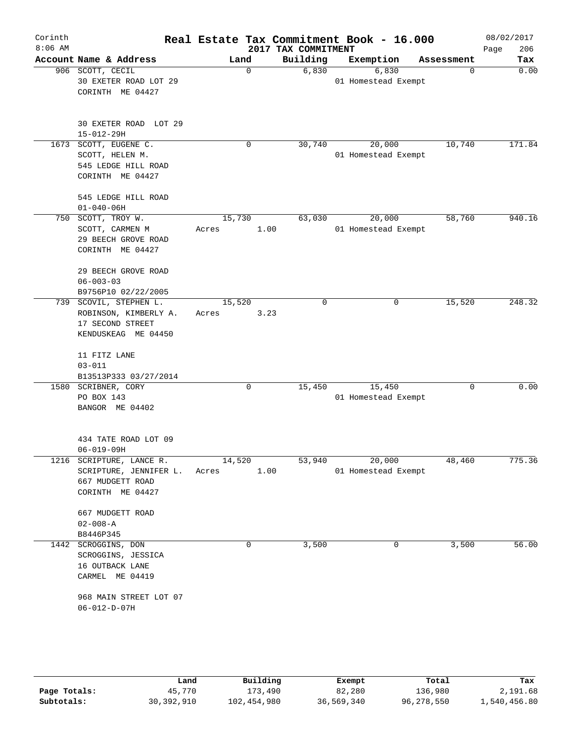| Corinth<br>$8:06$ AM |                                                                                                            |                 |             | 2017 TAX COMMITMENT | Real Estate Tax Commitment Book - 16.000 |            | 08/02/2017<br>206<br>Page |
|----------------------|------------------------------------------------------------------------------------------------------------|-----------------|-------------|---------------------|------------------------------------------|------------|---------------------------|
|                      | Account Name & Address                                                                                     |                 | Land        | Building            | Exemption                                | Assessment | Tax                       |
|                      | 906 SCOTT, CECIL<br>30 EXETER ROAD LOT 29<br>CORINTH ME 04427                                              |                 | $\mathbf 0$ | 6,830               | 6,830<br>01 Homestead Exempt             | $\Omega$   | 0.00                      |
|                      | 30 EXETER ROAD LOT 29<br>$15 - 012 - 29H$                                                                  |                 |             |                     |                                          |            |                           |
|                      | 1673 SCOTT, EUGENE C.<br>SCOTT, HELEN M.<br>545 LEDGE HILL ROAD<br>CORINTH ME 04427<br>545 LEDGE HILL ROAD |                 | 0           | 30,740              | 20,000<br>01 Homestead Exempt            | 10,740     | 171.84                    |
|                      | $01 - 040 - 06H$<br>750 SCOTT, TROY W.<br>SCOTT, CARMEN M<br>29 BEECH GROVE ROAD<br>CORINTH ME 04427       | 15,730<br>Acres | 1.00        | 63,030              | 20,000<br>01 Homestead Exempt            | 58,760     | 940.16                    |
|                      | 29 BEECH GROVE ROAD<br>$06 - 003 - 03$<br>B9756P10 02/22/2005                                              |                 |             |                     |                                          |            |                           |
|                      | 739 SCOVIL, STEPHEN L.<br>ROBINSON, KIMBERLY A.<br>17 SECOND STREET<br>KENDUSKEAG ME 04450                 | 15,520<br>Acres | 3.23        | 0                   | 0                                        | 15,520     | 248.32                    |
|                      | 11 FITZ LANE<br>$03 - 011$<br>B13513P333 03/27/2014                                                        |                 |             |                     |                                          |            |                           |
|                      | 1580 SCRIBNER, CORY<br>PO BOX 143<br>BANGOR ME 04402                                                       |                 | $\mathbf 0$ | 15,450              | 15,450<br>01 Homestead Exempt            | $\Omega$   | 0.00                      |
|                      | 434 TATE ROAD LOT 09<br>$06 - 019 - 09H$                                                                   |                 |             |                     |                                          |            |                           |
|                      | 1216 SCRIPTURE, LANCE R.<br>SCRIPTURE, JENNIFER L.<br>667 MUDGETT ROAD<br>CORINTH ME 04427                 | 14,520<br>Acres | 1.00        | 53,940              | 20,000<br>01 Homestead Exempt            | 48,460     | 775.36                    |
|                      | 667 MUDGETT ROAD<br>$02 - 008 - A$<br>B8446P345                                                            |                 |             |                     |                                          |            |                           |
|                      | 1442 SCROGGINS, DON<br>SCROGGINS, JESSICA<br>16 OUTBACK LANE<br>CARMEL ME 04419                            |                 | 0           | 3,500               | 0                                        | 3,500      | 56.00                     |

|              | Land       | Building    | Exempt     | Total      | Tax          |
|--------------|------------|-------------|------------|------------|--------------|
| Page Totals: | 45,770     | 173,490     | 82,280     | 136,980    | 2,191.68     |
| Subtotals:   | 30,392,910 | 102,454,980 | 36,569,340 | 96,278,550 | 1,540,456.80 |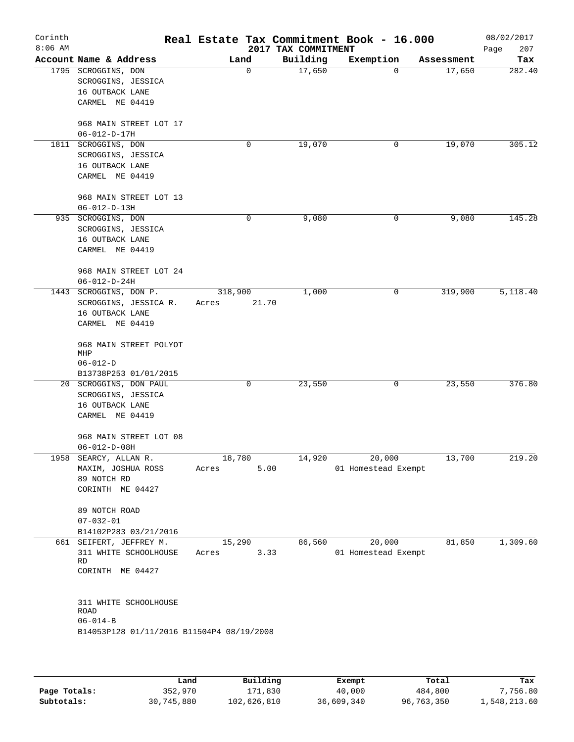| Corinth<br>$8:06$ AM |                                                                                                                                                        |         |       | 2017 TAX COMMITMENT | Real Estate Tax Commitment Book - 16.000 |            | 08/02/2017<br>Page<br>207 |
|----------------------|--------------------------------------------------------------------------------------------------------------------------------------------------------|---------|-------|---------------------|------------------------------------------|------------|---------------------------|
|                      | Account Name & Address                                                                                                                                 | Land    |       | Building            | Exemption                                | Assessment | Tax                       |
|                      | 1795 SCROGGINS, DON<br>SCROGGINS, JESSICA<br>16 OUTBACK LANE<br>CARMEL ME 04419<br>968 MAIN STREET LOT 17                                              |         | 0     | 17,650              | $\mathbf 0$                              | 17,650     | 282.40                    |
|                      | $06 - 012 - D - 17H$                                                                                                                                   |         |       |                     |                                          |            |                           |
|                      | 1811 SCROGGINS, DON<br>SCROGGINS, JESSICA<br>16 OUTBACK LANE<br>CARMEL ME 04419<br>968 MAIN STREET LOT 13<br>$06 - 012 - D - 13H$                      |         | 0     | 19,070              | 0                                        | 19,070     | 305.12                    |
|                      | 935 SCROGGINS, DON                                                                                                                                     |         | 0     | 9,080               | 0                                        | 9,080      | 145.28                    |
|                      | SCROGGINS, JESSICA<br>16 OUTBACK LANE<br>CARMEL ME 04419<br>968 MAIN STREET LOT 24<br>$06 - 012 - D - 24H$                                             |         |       |                     |                                          |            |                           |
|                      | 1443 SCROGGINS, DON P.                                                                                                                                 | 318,900 |       | 1,000               | 0                                        | 319,900    | 5,118.40                  |
|                      | SCROGGINS, JESSICA R.<br>16 OUTBACK LANE<br>CARMEL ME 04419<br>968 MAIN STREET POLYOT<br>MHP<br>$06 - 012 - D$                                         | Acres   | 21.70 |                     |                                          |            |                           |
|                      | B13738P253 01/01/2015                                                                                                                                  |         |       |                     |                                          |            |                           |
|                      | 20 SCROGGINS, DON PAUL<br>SCROGGINS, JESSICA<br>16 OUTBACK LANE<br>CARMEL ME 04419<br>968 MAIN STREET LOT 08<br>$06 - 012 - D - 08H$                   |         | 0     | 23,550              | 0                                        | 23,550     | 376.80                    |
|                      | 1958 SEARCY, ALLAN R.                                                                                                                                  | 18,780  |       | 14,920              | 20,000                                   | 13,700     | 219.20                    |
|                      | MAXIM, JOSHUA ROSS<br>89 NOTCH RD<br>CORINTH ME 04427<br>89 NOTCH ROAD<br>$07 - 032 - 01$<br>B14102P283 03/21/2016                                     | Acres   | 5.00  |                     | 01 Homestead Exempt                      |            |                           |
|                      | 661 SEIFERT, JEFFREY M.                                                                                                                                | 15,290  |       | 86,560              | 20,000                                   | 81,850     | 1,309.60                  |
|                      | 311 WHITE SCHOOLHOUSE<br><b>RD</b><br>CORINTH ME 04427<br>311 WHITE SCHOOLHOUSE<br>ROAD<br>$06 - 014 - B$<br>B14053P128 01/11/2016 B11504P4 08/19/2008 | Acres   | 3.33  |                     | 01 Homestead Exempt                      |            |                           |
|                      |                                                                                                                                                        |         |       |                     |                                          |            |                           |

|              | Land       | Building    | Exempt     | Total      | Tax          |
|--------------|------------|-------------|------------|------------|--------------|
| Page Totals: | 352,970    | 171,830     | 40,000     | 484,800    | 7,756.80     |
| Subtotals:   | 30,745,880 | 102,626,810 | 36,609,340 | 96,763,350 | 1,548,213.60 |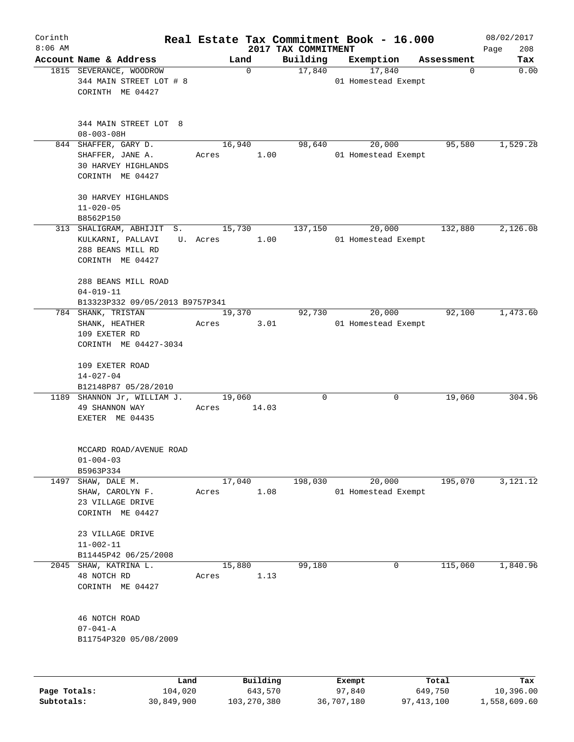| Corinth      |                                                                                         |                    |                     |          | Real Estate Tax Commitment Book - 16.000 |                  | 08/02/2017         |
|--------------|-----------------------------------------------------------------------------------------|--------------------|---------------------|----------|------------------------------------------|------------------|--------------------|
| $8:06$ AM    | Account Name & Address                                                                  | Land               | 2017 TAX COMMITMENT | Building | Exemption                                | Assessment       | 208<br>Page<br>Tax |
|              | 1815 SEVERANCE, WOODROW<br>344 MAIN STREET LOT # 8<br>CORINTH ME 04427                  | $\mathbf 0$        |                     | 17,840   | 17,840<br>01 Homestead Exempt            | 0                | 0.00               |
|              | 344 MAIN STREET LOT 8<br>$08 - 003 - 08H$                                               |                    |                     |          |                                          |                  |                    |
|              | 844 SHAFFER, GARY D.<br>SHAFFER, JANE A.<br>30 HARVEY HIGHLANDS<br>CORINTH ME 04427     | 16,940<br>Acres    | 1.00                | 98,640   | 20,000<br>01 Homestead Exempt            | 95,580           | 1,529.28           |
|              | 30 HARVEY HIGHLANDS<br>$11 - 020 - 05$<br>B8562P150                                     |                    |                     |          |                                          |                  |                    |
|              | 313 SHALIGRAM, ABHIJIT S.<br>KULKARNI, PALLAVI<br>288 BEANS MILL RD<br>CORINTH ME 04427 | 15,730<br>U. Acres | 1.00                | 137,150  | 20,000<br>01 Homestead Exempt            | 132,880          | 2,126.08           |
|              | 288 BEANS MILL ROAD<br>$04 - 019 - 11$<br>B13323P332 09/05/2013 B9757P341               |                    |                     |          |                                          |                  |                    |
|              | 784 SHANK, TRISTAN<br>SHANK, HEATHER<br>109 EXETER RD<br>CORINTH ME 04427-3034          | 19,370<br>Acres    | 3.01                | 92,730   | 20,000<br>01 Homestead Exempt            | 92,100           | 1,473.60           |
|              | 109 EXETER ROAD<br>$14 - 027 - 04$<br>B12148P87 05/28/2010                              |                    |                     |          |                                          |                  |                    |
|              | 1189 SHANNON Jr, WILLIAM J.<br>49 SHANNON WAY<br>EXETER ME 04435                        | 19,060<br>Acres    | 14.03               | 0        | 0                                        | 19,060           | 304.96             |
|              | MCCARD ROAD/AVENUE ROAD<br>$01 - 004 - 03$<br>B5963P334                                 |                    |                     |          |                                          |                  |                    |
| 1497         | SHAW, DALE M.<br>SHAW, CAROLYN F.<br>23 VILLAGE DRIVE<br>CORINTH ME 04427               | 17,040<br>Acres    | 1.08                | 198,030  | 20,000<br>01 Homestead Exempt            | 195,070          | 3,121.12           |
|              | 23 VILLAGE DRIVE<br>$11 - 002 - 11$<br>B11445P42 06/25/2008                             |                    |                     |          |                                          |                  |                    |
| 2045         | SHAW, KATRINA L.<br>48 NOTCH RD<br>CORINTH ME 04427                                     | 15,880<br>Acres    | 1.13                | 99,180   | 0                                        | 115,060          | 1,840.96           |
|              | 46 NOTCH ROAD<br>$07 - 041 - A$<br>B11754P320 05/08/2009                                |                    |                     |          |                                          |                  |                    |
| Page Totals: | Land<br>104,020                                                                         |                    | Building<br>643,570 |          | Exempt<br>97,840                         | Total<br>649,750 | Tax<br>10,396.00   |

**Subtotals:** 30,849,900 103,270,380 36,707,180 97,413,100 1,558,609.60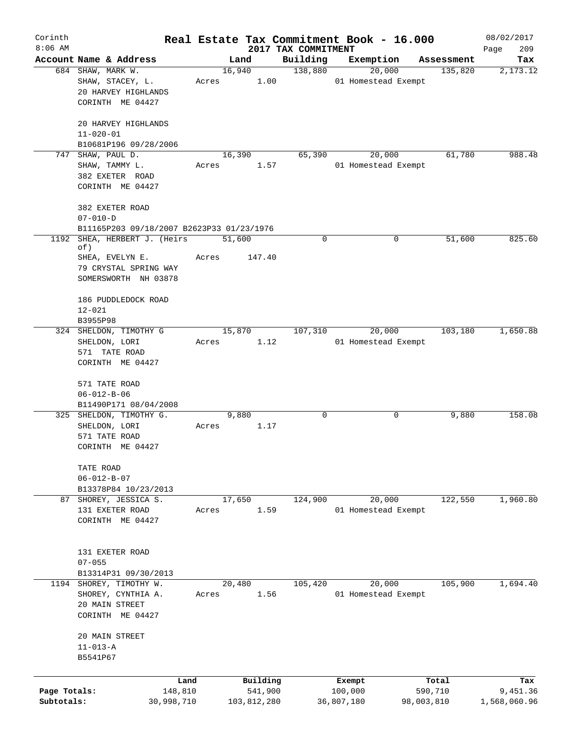| Corinth      |                                                             |       |                |                     | Real Estate Tax Commitment Book - 16.000 |                       | 08/02/2017      |
|--------------|-------------------------------------------------------------|-------|----------------|---------------------|------------------------------------------|-----------------------|-----------------|
| $8:06$ AM    |                                                             |       |                | 2017 TAX COMMITMENT |                                          |                       | 209<br>Page     |
|              | Account Name & Address<br>684 SHAW, MARK W.                 |       | Land<br>16,940 | Building<br>138,880 | Exemption<br>20,000                      | Assessment<br>135,820 | Tax<br>2,173.12 |
|              | SHAW, STACEY, L.<br>20 HARVEY HIGHLANDS                     | Acres | 1.00           |                     | 01 Homestead Exempt                      |                       |                 |
|              | CORINTH ME 04427                                            |       |                |                     |                                          |                       |                 |
|              | 20 HARVEY HIGHLANDS                                         |       |                |                     |                                          |                       |                 |
|              | $11 - 020 - 01$<br>B10681P196 09/28/2006                    |       |                |                     |                                          |                       |                 |
| 747          | SHAW, PAUL D.                                               |       | 16,390         | 65,390              | 20,000                                   | 61,780                | 988.48          |
|              | SHAW, TAMMY L.<br>382 EXETER ROAD                           | Acres | 1.57           |                     | 01 Homestead Exempt                      |                       |                 |
|              | CORINTH ME 04427                                            |       |                |                     |                                          |                       |                 |
|              | 382 EXETER ROAD                                             |       |                |                     |                                          |                       |                 |
|              | $07 - 010 - D$<br>B11165P203 09/18/2007 B2623P33 01/23/1976 |       |                |                     |                                          |                       |                 |
| 1192         | SHEA, HERBERT J. (Heirs                                     |       | 51,600         | 0                   | 0                                        | 51,600                | 825.60          |
|              | of)<br>SHEA, EVELYN E.                                      | Acres | 147.40         |                     |                                          |                       |                 |
|              | 79 CRYSTAL SPRING WAY                                       |       |                |                     |                                          |                       |                 |
|              | SOMERSWORTH NH 03878                                        |       |                |                     |                                          |                       |                 |
|              | 186 PUDDLEDOCK ROAD                                         |       |                |                     |                                          |                       |                 |
|              | $12 - 021$<br>B3955P98                                      |       |                |                     |                                          |                       |                 |
|              | 324 SHELDON, TIMOTHY G                                      |       | 15,870         | 107,310             | 20,000                                   | 103,180               | 1,650.88        |
|              | SHELDON, LORI                                               | Acres | 1.12           |                     | 01 Homestead Exempt                      |                       |                 |
|              | 571 TATE ROAD                                               |       |                |                     |                                          |                       |                 |
|              | CORINTH ME 04427                                            |       |                |                     |                                          |                       |                 |
|              | 571 TATE ROAD                                               |       |                |                     |                                          |                       |                 |
|              | $06 - 012 - B - 06$                                         |       |                |                     |                                          |                       |                 |
|              | B11490P171 08/04/2008<br>325 SHELDON, TIMOTHY G.            |       | 9,880          | 0                   | 0                                        | 9,880                 | 158.08          |
|              | SHELDON, LORI                                               | Acres | 1.17           |                     |                                          |                       |                 |
|              | 571 TATE ROAD                                               |       |                |                     |                                          |                       |                 |
|              | CORINTH ME 04427                                            |       |                |                     |                                          |                       |                 |
|              | TATE ROAD                                                   |       |                |                     |                                          |                       |                 |
|              | $06 - 012 - B - 07$                                         |       |                |                     |                                          |                       |                 |
| 87           | B13378P84 10/23/2013<br>SHOREY, JESSICA S.                  |       | 17,650         | 124,900             | 20,000                                   | 122,550               | 1,960.80        |
|              | 131 EXETER ROAD                                             | Acres | 1.59           |                     | 01 Homestead Exempt                      |                       |                 |
|              | CORINTH ME 04427                                            |       |                |                     |                                          |                       |                 |
|              |                                                             |       |                |                     |                                          |                       |                 |
|              | 131 EXETER ROAD                                             |       |                |                     |                                          |                       |                 |
|              | $07 - 055$                                                  |       |                |                     |                                          |                       |                 |
|              | B13314P31 09/30/2013                                        |       |                |                     |                                          |                       |                 |
|              | 1194 SHOREY, TIMOTHY W.<br>SHOREY, CYNTHIA A.               | Acres | 20,480<br>1.56 | 105,420             | 20,000<br>01 Homestead Exempt            | 105,900               | 1,694.40        |
|              | 20 MAIN STREET                                              |       |                |                     |                                          |                       |                 |
|              | CORINTH ME 04427                                            |       |                |                     |                                          |                       |                 |
|              | 20 MAIN STREET                                              |       |                |                     |                                          |                       |                 |
|              | $11 - 013 - A$                                              |       |                |                     |                                          |                       |                 |
|              | B5541P67                                                    |       |                |                     |                                          |                       |                 |
|              | Land                                                        |       | Building       |                     | Exempt                                   | Total                 | Tax             |
| Page Totals: | 148,810                                                     |       | 541,900        |                     | 100,000                                  | 590,710               | 9,451.36        |
| Subtotals:   | 30,998,710                                                  |       | 103,812,280    |                     | 36,807,180                               | 98,003,810            | 1,568,060.96    |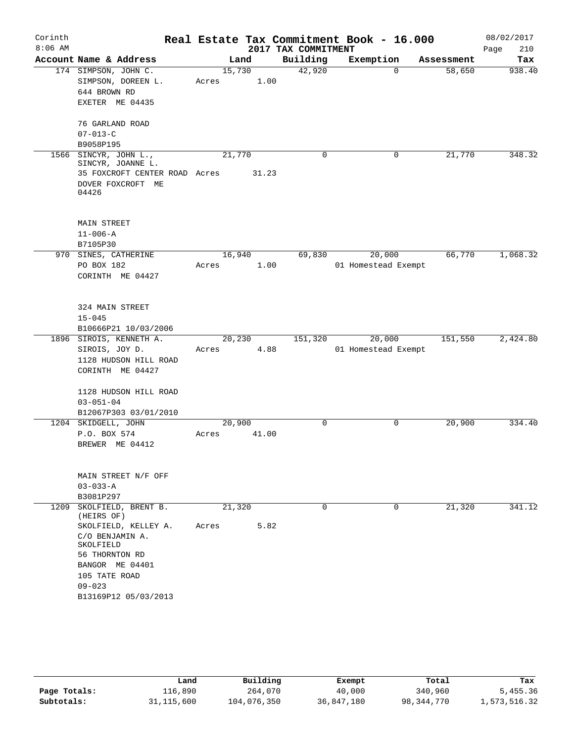| Corinth   |                                       |        |       |                     | Real Estate Tax Commitment Book - 16.000 |            | 08/02/2017  |
|-----------|---------------------------------------|--------|-------|---------------------|------------------------------------------|------------|-------------|
| $8:06$ AM |                                       |        |       | 2017 TAX COMMITMENT |                                          |            | Page<br>210 |
|           | Account Name & Address                |        | Land  | Building            | Exemption                                | Assessment | Tax         |
|           | 174 SIMPSON, JOHN C.                  | 15,730 |       | 42,920              | $\Omega$                                 | 58,650     | 938.40      |
|           | SIMPSON, DOREEN L.                    | Acres  | 1.00  |                     |                                          |            |             |
|           | 644 BROWN RD                          |        |       |                     |                                          |            |             |
|           | EXETER ME 04435                       |        |       |                     |                                          |            |             |
|           | 76 GARLAND ROAD                       |        |       |                     |                                          |            |             |
|           | $07 - 013 - C$                        |        |       |                     |                                          |            |             |
|           | B9058P195                             |        |       |                     |                                          |            |             |
| 1566      | SINCYR, JOHN L.,<br>SINCYR, JOANNE L. | 21,770 |       | $\mathbf 0$         | 0                                        | 21,770     | 348.32      |
|           | 35 FOXCROFT CENTER ROAD Acres         |        | 31.23 |                     |                                          |            |             |
|           | DOVER FOXCROFT ME<br>04426            |        |       |                     |                                          |            |             |
|           | MAIN STREET                           |        |       |                     |                                          |            |             |
|           | $11 - 006 - A$                        |        |       |                     |                                          |            |             |
|           | B7105P30                              |        |       |                     |                                          |            |             |
|           | 970 SINES, CATHERINE                  | 16,940 |       | 69,830              | 20,000                                   | 66,770     | 1,068.32    |
|           | PO BOX 182                            | Acres  | 1.00  |                     | 01 Homestead Exempt                      |            |             |
|           | CORINTH ME 04427                      |        |       |                     |                                          |            |             |
|           |                                       |        |       |                     |                                          |            |             |
|           | 324 MAIN STREET                       |        |       |                     |                                          |            |             |
|           | $15 - 045$                            |        |       |                     |                                          |            |             |
|           | B10666P21 10/03/2006                  |        |       |                     |                                          |            |             |
|           | 1896 SIROIS, KENNETH A.               | 20,230 |       | 151,320             | 20,000                                   | 151,550    | 2,424.80    |
|           | SIROIS, JOY D.                        | Acres  | 4.88  |                     | 01 Homestead Exempt                      |            |             |
|           | 1128 HUDSON HILL ROAD                 |        |       |                     |                                          |            |             |
|           | CORINTH ME 04427                      |        |       |                     |                                          |            |             |
|           | 1128 HUDSON HILL ROAD                 |        |       |                     |                                          |            |             |
|           | $03 - 051 - 04$                       |        |       |                     |                                          |            |             |
|           | B12067P303 03/01/2010                 |        |       |                     |                                          |            |             |
|           | 1204 SKIDGELL, JOHN                   | 20,900 |       | 0                   | 0                                        | 20,900     | 334.40      |
|           | P.O. BOX 574                          | Acres  | 41.00 |                     |                                          |            |             |
|           | BREWER ME 04412                       |        |       |                     |                                          |            |             |
|           |                                       |        |       |                     |                                          |            |             |
|           | MAIN STREET N/F OFF                   |        |       |                     |                                          |            |             |
|           | $03 - 033 - A$                        |        |       |                     |                                          |            |             |
|           | B3081P297                             |        |       | $\Omega$            | 0                                        |            | 341.12      |
| 1209      | SKOLFIELD, BRENT B.<br>(HEIRS OF)     | 21,320 |       |                     |                                          | 21,320     |             |
|           | SKOLFIELD, KELLEY A.                  | Acres  | 5.82  |                     |                                          |            |             |
|           | C/O BENJAMIN A.<br>SKOLFIELD          |        |       |                     |                                          |            |             |
|           | 56 THORNTON RD                        |        |       |                     |                                          |            |             |
|           | BANGOR ME 04401                       |        |       |                     |                                          |            |             |
|           | 105 TATE ROAD                         |        |       |                     |                                          |            |             |
|           | $09 - 023$                            |        |       |                     |                                          |            |             |
|           | B13169P12 05/03/2013                  |        |       |                     |                                          |            |             |
|           |                                       |        |       |                     |                                          |            |             |

|              | Land         | Building    | Exempt     | Total      | Tax          |
|--------------|--------------|-------------|------------|------------|--------------|
| Page Totals: | 116,890      | 264,070     | 40,000     | 340,960    | 5,455.36     |
| Subtotals:   | 31, 115, 600 | 104,076,350 | 36,847,180 | 98,344,770 | 1,573,516.32 |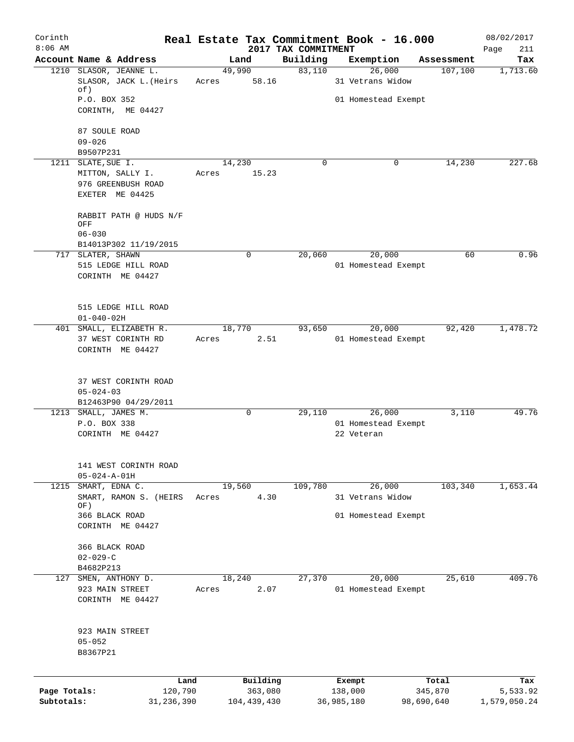| Corinth<br>$8:06$ AM |                               |        |               | 2017 TAX COMMITMENT | Real Estate Tax Commitment Book - 16.000 |            | 08/02/2017         |
|----------------------|-------------------------------|--------|---------------|---------------------|------------------------------------------|------------|--------------------|
|                      | Account Name & Address        |        | Land          | Building            | Exemption                                | Assessment | Page<br>211<br>Tax |
|                      | 1210 SLASOR, JEANNE L.        | 49,990 |               | 83,110              | 26,000                                   | 107,100    | 1,713.60           |
|                      | SLASOR, JACK L. (Heirs<br>of) | Acres  | 58.16         |                     | 31 Vetrans Widow                         |            |                    |
|                      | P.O. BOX 352                  |        |               |                     | 01 Homestead Exempt                      |            |                    |
|                      | CORINTH, ME 04427             |        |               |                     |                                          |            |                    |
|                      | 87 SOULE ROAD                 |        |               |                     |                                          |            |                    |
|                      | $09 - 026$<br>B9507P231       |        |               |                     |                                          |            |                    |
|                      | 1211 SLATE, SUE I.            | 14,230 |               | $\Omega$            | 0                                        | 14,230     | 227.68             |
|                      | MITTON, SALLY I.              | Acres  | 15.23         |                     |                                          |            |                    |
|                      | 976 GREENBUSH ROAD            |        |               |                     |                                          |            |                    |
|                      | EXETER ME 04425               |        |               |                     |                                          |            |                    |
|                      | RABBIT PATH @ HUDS N/F        |        |               |                     |                                          |            |                    |
|                      | OFF<br>$06 - 030$             |        |               |                     |                                          |            |                    |
|                      | B14013P302 11/19/2015         |        |               |                     |                                          |            |                    |
|                      | 717 SLATER, SHAWN             |        | 0             | 20,060              | 20,000                                   | 60         | 0.96               |
|                      | 515 LEDGE HILL ROAD           |        |               |                     | 01 Homestead Exempt                      |            |                    |
|                      | CORINTH ME 04427              |        |               |                     |                                          |            |                    |
|                      | 515 LEDGE HILL ROAD           |        |               |                     |                                          |            |                    |
|                      | $01 - 040 - 02H$              |        |               |                     |                                          |            |                    |
|                      | 401 SMALL, ELIZABETH R.       | 18,770 |               | 93,650              | 20,000                                   | 92,420     | 1,478.72           |
|                      | 37 WEST CORINTH RD            | Acres  | 2.51          |                     | 01 Homestead Exempt                      |            |                    |
|                      | CORINTH ME 04427              |        |               |                     |                                          |            |                    |
|                      | 37 WEST CORINTH ROAD          |        |               |                     |                                          |            |                    |
|                      | $05 - 024 - 03$               |        |               |                     |                                          |            |                    |
|                      | B12463P90 04/29/2011          |        |               |                     |                                          |            |                    |
| 1213                 | SMALL, JAMES M.               |        | $\mathbf 0$   | 29,110              | 26,000                                   | 3,110      | 49.76              |
|                      | P.O. BOX 338                  |        |               |                     | 01 Homestead Exempt                      |            |                    |
|                      | CORINTH ME 04427              |        |               |                     | 22 Veteran                               |            |                    |
|                      | 141 WEST CORINTH ROAD         |        |               |                     |                                          |            |                    |
|                      | $05 - 024 - A - 01H$          |        |               |                     |                                          |            |                    |
| 1215                 | SMART, EDNA C.                | 19,560 |               | 109,780             | 26,000                                   | 103,340    | 1,653.44           |
|                      | SMART, RAMON S. (HEIRS<br>OF) | Acres  | 4.30          |                     | 31 Vetrans Widow                         |            |                    |
|                      | 366 BLACK ROAD                |        |               |                     | 01 Homestead Exempt                      |            |                    |
|                      | CORINTH ME 04427              |        |               |                     |                                          |            |                    |
|                      | 366 BLACK ROAD                |        |               |                     |                                          |            |                    |
|                      | $02 - 029 - C$                |        |               |                     |                                          |            |                    |
|                      | B4682P213                     |        |               |                     |                                          |            |                    |
|                      | 127 SMEN, ANTHONY D.          | 18,240 |               | 27,370              | 20,000                                   | 25,610     | 409.76             |
|                      | 923 MAIN STREET               | Acres  | 2.07          |                     | 01 Homestead Exempt                      |            |                    |
|                      | CORINTH ME 04427              |        |               |                     |                                          |            |                    |
|                      | 923 MAIN STREET               |        |               |                     |                                          |            |                    |
|                      | $05 - 052$                    |        |               |                     |                                          |            |                    |
|                      | B8367P21                      |        |               |                     |                                          |            |                    |
|                      |                               | Land   | Building      |                     | Exempt                                   | Total      | Tax                |
| Page Totals:         | 120,790                       |        | 363,080       |                     | 138,000                                  | 345,870    | 5,533.92           |
| Subtotals:           | 31, 236, 390                  |        | 104, 439, 430 |                     | 36,985,180                               | 98,690,640 | 1,579,050.24       |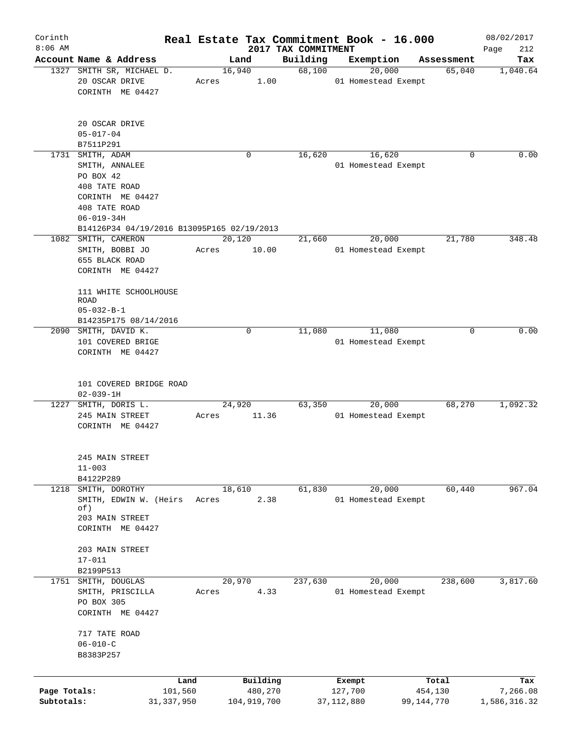| Corinth                    |                                                                                   |                         |                 |                        | Real Estate Tax Commitment Book - 16.000 |                         |            |                      | 08/02/2017               |
|----------------------------|-----------------------------------------------------------------------------------|-------------------------|-----------------|------------------------|------------------------------------------|-------------------------|------------|----------------------|--------------------------|
| $8:06$ AM                  | Account Name & Address                                                            |                         |                 |                        | 2017 TAX COMMITMENT                      |                         |            |                      | 212<br>Page              |
|                            | 1327 SMITH SR, MICHAEL D.                                                         |                         | Land<br>16,940  |                        | Building<br>68,100                       | Exemption               | 20,000     | Assessment<br>65,040 | Tax<br>1,040.64          |
|                            | 20 OSCAR DRIVE<br>CORINTH ME 04427                                                |                         | Acres           | 1.00                   |                                          | 01 Homestead Exempt     |            |                      |                          |
|                            | 20 OSCAR DRIVE<br>$05 - 017 - 04$                                                 |                         |                 |                        |                                          |                         |            |                      |                          |
|                            | B7511P291                                                                         |                         |                 |                        |                                          |                         |            |                      |                          |
|                            | 1731 SMITH, ADAM                                                                  |                         |                 | 0                      | 16,620                                   |                         | 16,620     | $\Omega$             | 0.00                     |
|                            | SMITH, ANNALEE<br>PO BOX 42<br>408 TATE ROAD<br>CORINTH ME 04427<br>408 TATE ROAD |                         |                 |                        |                                          | 01 Homestead Exempt     |            |                      |                          |
|                            | $06 - 019 - 34H$                                                                  |                         |                 |                        |                                          |                         |            |                      |                          |
|                            | B14126P34 04/19/2016 B13095P165 02/19/2013<br>1082 SMITH, CAMERON                 |                         |                 |                        |                                          |                         |            | 21,780               | 348.48                   |
|                            | SMITH, BOBBI JO<br>655 BLACK ROAD<br>CORINTH ME 04427                             |                         | 20,120<br>Acres | 10.00                  | 21,660                                   | 01 Homestead Exempt     | 20,000     |                      |                          |
|                            | 111 WHITE SCHOOLHOUSE<br>ROAD<br>$05 - 032 - B - 1$                               |                         |                 |                        |                                          |                         |            |                      |                          |
|                            | B14235P175 08/14/2016                                                             |                         |                 |                        |                                          |                         |            |                      |                          |
|                            | 2090 SMITH, DAVID K.<br>101 COVERED BRIGE<br>CORINTH ME 04427                     |                         |                 | 0                      | 11,080                                   | 01 Homestead Exempt     | 11,080     | $\Omega$             | 0.00                     |
|                            | 101 COVERED BRIDGE ROAD<br>$02 - 039 - 1H$                                        |                         |                 |                        |                                          |                         |            |                      |                          |
|                            | 1227 SMITH, DORIS L.                                                              |                         | 24,920          |                        | 63,350                                   |                         | 20,000     | 68,270               | 1,092.32                 |
|                            | 245 MAIN STREET<br>CORINTH ME 04427                                               |                         | Acres           | 11.36                  |                                          | 01 Homestead Exempt     |            |                      |                          |
|                            | 245 MAIN STREET<br>$11 - 003$<br>B4122P289                                        |                         |                 |                        |                                          |                         |            |                      |                          |
|                            | 1218 SMITH, DOROTHY                                                               |                         | 18,610          |                        | 61,830                                   |                         | 20,000     | 60,440               | 967.04                   |
|                            | SMITH, EDWIN W. (Heirs<br>of)<br>203 MAIN STREET<br>CORINTH ME 04427              |                         | Acres           | 2.38                   |                                          | 01 Homestead Exempt     |            |                      |                          |
|                            | 203 MAIN STREET<br>$17 - 011$                                                     |                         |                 |                        |                                          |                         |            |                      |                          |
|                            | B2199P513                                                                         |                         |                 |                        |                                          |                         |            |                      |                          |
|                            | 1751 SMITH, DOUGLAS<br>SMITH, PRISCILLA<br>PO BOX 305<br>CORINTH ME 04427         |                         | 20,970<br>Acres | 4.33                   | 237,630                                  | 01 Homestead Exempt     | 20,000     | 238,600              | 3,817.60                 |
|                            | 717 TATE ROAD<br>$06 - 010 - C$<br>B8383P257                                      |                         |                 |                        |                                          |                         |            |                      |                          |
|                            |                                                                                   |                         |                 |                        |                                          |                         |            |                      |                          |
|                            |                                                                                   | Land                    |                 | Building               |                                          | Exempt                  |            | Total                | Tax                      |
| Page Totals:<br>Subtotals: |                                                                                   | 101,560<br>31, 337, 950 |                 | 480,270<br>104,919,700 |                                          | 127,700<br>37, 112, 880 | 99,144,770 | 454,130              | 7,266.08<br>1,586,316.32 |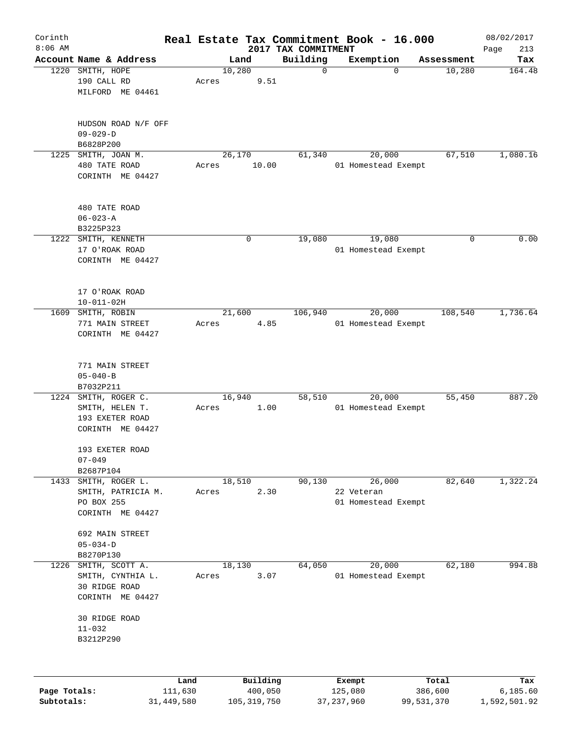| Corinth      |                             |                 |       |                     | Real Estate Tax Commitment Book - 16.000 |                   |                     |                  | 08/02/2017         |
|--------------|-----------------------------|-----------------|-------|---------------------|------------------------------------------|-------------------|---------------------|------------------|--------------------|
| $8:06$ AM    | Account Name & Address      |                 |       | Land                | 2017 TAX COMMITMENT<br>Building          | Exemption         |                     | Assessment       | Page<br>213<br>Tax |
| 1220         | SMITH, HOPE                 |                 |       | 10,280              | $\mathbf 0$                              |                   | $\mathbf 0$         | 10,280           | 164.48             |
|              | 190 CALL RD                 |                 | Acres | 9.51                |                                          |                   |                     |                  |                    |
|              | MILFORD ME 04461            |                 |       |                     |                                          |                   |                     |                  |                    |
|              |                             |                 |       |                     |                                          |                   |                     |                  |                    |
|              | HUDSON ROAD N/F OFF         |                 |       |                     |                                          |                   |                     |                  |                    |
|              | $09 - 029 - D$              |                 |       |                     |                                          |                   |                     |                  |                    |
|              | B6828P200                   |                 |       |                     |                                          |                   |                     |                  |                    |
| 1225         | SMITH, JOAN M.              |                 |       | 26,170              | 61,340                                   |                   | 20,000              | 67,510           | 1,080.16           |
|              | 480 TATE ROAD               |                 | Acres | 10.00               |                                          |                   | 01 Homestead Exempt |                  |                    |
|              | CORINTH ME 04427            |                 |       |                     |                                          |                   |                     |                  |                    |
|              | 480 TATE ROAD               |                 |       |                     |                                          |                   |                     |                  |                    |
|              | $06 - 023 - A$              |                 |       |                     |                                          |                   |                     |                  |                    |
|              | B3225P323                   |                 |       |                     |                                          |                   |                     |                  |                    |
| 1222         | SMITH, KENNETH              |                 |       | 0                   | 19,080                                   |                   | 19,080              | 0                | 0.00               |
|              | 17 O'ROAK ROAD              |                 |       |                     |                                          |                   | 01 Homestead Exempt |                  |                    |
|              | CORINTH ME 04427            |                 |       |                     |                                          |                   |                     |                  |                    |
|              |                             |                 |       |                     |                                          |                   |                     |                  |                    |
|              | 17 O'ROAK ROAD              |                 |       |                     |                                          |                   |                     |                  |                    |
|              | $10 - 011 - 02H$            |                 |       |                     |                                          |                   |                     |                  |                    |
| 1609         | SMITH, ROBIN                |                 |       | 21,600              | 106,940                                  |                   | 20,000              | 108,540          | 1,736.64           |
|              | 771 MAIN STREET             |                 | Acres | 4.85                |                                          |                   | 01 Homestead Exempt |                  |                    |
|              | CORINTH ME 04427            |                 |       |                     |                                          |                   |                     |                  |                    |
|              | 771 MAIN STREET             |                 |       |                     |                                          |                   |                     |                  |                    |
|              | $05 - 040 - B$              |                 |       |                     |                                          |                   |                     |                  |                    |
|              | B7032P211                   |                 |       |                     |                                          |                   |                     |                  |                    |
| 1224         | SMITH, ROGER C.             |                 |       | 16,940              | 58,510                                   |                   | 20,000              | 55,450           | 887.20             |
|              | SMITH, HELEN T.             |                 | Acres | 1.00                |                                          |                   | 01 Homestead Exempt |                  |                    |
|              | 193 EXETER ROAD             |                 |       |                     |                                          |                   |                     |                  |                    |
|              | CORINTH ME 04427            |                 |       |                     |                                          |                   |                     |                  |                    |
|              | 193 EXETER ROAD             |                 |       |                     |                                          |                   |                     |                  |                    |
|              | $07 - 049$                  |                 |       |                     |                                          |                   |                     |                  |                    |
|              | B2687P104                   |                 |       |                     |                                          |                   |                     |                  |                    |
| 1433         | SMITH, ROGER L.             |                 |       | 18,510              | 90,130                                   |                   | 26,000              | 82,640           | 1,322.24           |
|              | SMITH, PATRICIA M.          |                 | Acres | 2.30                |                                          | 22 Veteran        |                     |                  |                    |
|              | PO BOX 255                  |                 |       |                     |                                          |                   | 01 Homestead Exempt |                  |                    |
|              | CORINTH ME 04427            |                 |       |                     |                                          |                   |                     |                  |                    |
|              | 692 MAIN STREET             |                 |       |                     |                                          |                   |                     |                  |                    |
|              | $05 - 034 - D$              |                 |       |                     |                                          |                   |                     |                  |                    |
|              | B8270P130                   |                 |       |                     |                                          |                   |                     |                  |                    |
| 1226         | SMITH, SCOTT A.             |                 |       | 18,130              | 64,050                                   |                   | 20,000              | 62,180           | 994.88             |
|              | SMITH, CYNTHIA L.           |                 | Acres | 3.07                |                                          |                   | 01 Homestead Exempt |                  |                    |
|              | 30 RIDGE ROAD               |                 |       |                     |                                          |                   |                     |                  |                    |
|              | CORINTH ME 04427            |                 |       |                     |                                          |                   |                     |                  |                    |
|              | 30 RIDGE ROAD<br>$11 - 032$ |                 |       |                     |                                          |                   |                     |                  |                    |
|              | B3212P290                   |                 |       |                     |                                          |                   |                     |                  |                    |
|              |                             |                 |       |                     |                                          |                   |                     |                  |                    |
|              |                             |                 |       |                     |                                          |                   |                     |                  |                    |
| Page Totals: |                             | Land<br>111,630 |       | Building<br>400,050 |                                          | Exempt<br>125,080 |                     | Total<br>386,600 | Tax<br>6, 185.60   |
|              |                             |                 |       |                     |                                          |                   |                     |                  |                    |

**Subtotals:** 31,449,580 105,319,750 37,237,960 99,531,370 1,592,501.92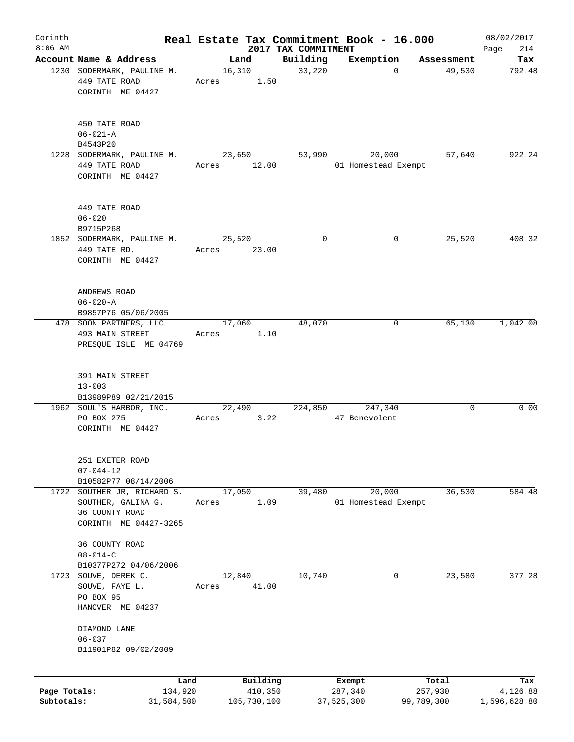| Corinth      |                                                      |       |                |                     | Real Estate Tax Commitment Book - 16.000 |                      | 08/02/2017    |
|--------------|------------------------------------------------------|-------|----------------|---------------------|------------------------------------------|----------------------|---------------|
| $8:06$ AM    |                                                      |       |                | 2017 TAX COMMITMENT |                                          |                      | 214<br>Page   |
|              | Account Name & Address<br>1230 SODERMARK, PAULINE M. |       | Land<br>16,310 | Building<br>33,220  | Exemption<br>$\mathbf 0$                 | Assessment<br>49,530 | Tax<br>792.48 |
|              | 449 TATE ROAD                                        | Acres | 1.50           |                     |                                          |                      |               |
|              | CORINTH ME 04427                                     |       |                |                     |                                          |                      |               |
|              |                                                      |       |                |                     |                                          |                      |               |
|              |                                                      |       |                |                     |                                          |                      |               |
|              | 450 TATE ROAD                                        |       |                |                     |                                          |                      |               |
|              | $06 - 021 - A$                                       |       |                |                     |                                          |                      |               |
|              | B4543P20                                             |       |                |                     |                                          |                      |               |
|              | 1228 SODERMARK, PAULINE M.                           |       | 23,650         | 53,990              | 20,000                                   | 57,640               | 922.24        |
|              | 449 TATE ROAD                                        | Acres | 12.00          |                     | 01 Homestead Exempt                      |                      |               |
|              | CORINTH ME 04427                                     |       |                |                     |                                          |                      |               |
|              |                                                      |       |                |                     |                                          |                      |               |
|              |                                                      |       |                |                     |                                          |                      |               |
|              | 449 TATE ROAD                                        |       |                |                     |                                          |                      |               |
|              | $06 - 020$                                           |       |                |                     |                                          |                      |               |
|              | B9715P268                                            |       |                |                     |                                          |                      |               |
|              | 1852 SODERMARK, PAULINE M.                           |       | 25,520         | 0                   | 0                                        | 25,520               | 408.32        |
|              | 449 TATE RD.                                         | Acres | 23.00          |                     |                                          |                      |               |
|              | CORINTH ME 04427                                     |       |                |                     |                                          |                      |               |
|              |                                                      |       |                |                     |                                          |                      |               |
|              |                                                      |       |                |                     |                                          |                      |               |
|              | ANDREWS ROAD                                         |       |                |                     |                                          |                      |               |
|              | $06 - 020 - A$                                       |       |                |                     |                                          |                      |               |
|              | B9857P76 05/06/2005                                  |       |                |                     |                                          |                      |               |
|              | 478 SOON PARTNERS, LLC                               |       | 17,060         | 48,070              | 0                                        | 65,130               | 1,042.08      |
|              | 493 MAIN STREET                                      | Acres | 1.10           |                     |                                          |                      |               |
|              | PRESQUE ISLE ME 04769                                |       |                |                     |                                          |                      |               |
|              |                                                      |       |                |                     |                                          |                      |               |
|              | 391 MAIN STREET                                      |       |                |                     |                                          |                      |               |
|              | $13 - 003$                                           |       |                |                     |                                          |                      |               |
|              | B13989P89 02/21/2015                                 |       |                |                     |                                          |                      |               |
|              | 1962 SOUL'S HARBOR, INC.                             |       | 22,490         | 224,850             | 247,340                                  | 0                    | 0.00          |
|              | PO BOX 275                                           | Acres | 3.22           |                     | 47 Benevolent                            |                      |               |
|              | CORINTH ME 04427                                     |       |                |                     |                                          |                      |               |
|              |                                                      |       |                |                     |                                          |                      |               |
|              |                                                      |       |                |                     |                                          |                      |               |
|              | 251 EXETER ROAD                                      |       |                |                     |                                          |                      |               |
|              | $07 - 044 - 12$                                      |       |                |                     |                                          |                      |               |
|              | B10582P77 08/14/2006                                 |       |                |                     |                                          |                      |               |
| 1722         | SOUTHER JR, RICHARD S.                               |       | 17,050         | 39,480              | 20,000                                   | 36,530               | 584.48        |
|              | SOUTHER, GALINA G.                                   | Acres | 1.09           |                     | 01 Homestead Exempt                      |                      |               |
|              | 36 COUNTY ROAD                                       |       |                |                     |                                          |                      |               |
|              | CORINTH ME 04427-3265                                |       |                |                     |                                          |                      |               |
|              |                                                      |       |                |                     |                                          |                      |               |
|              | 36 COUNTY ROAD                                       |       |                |                     |                                          |                      |               |
|              | $08 - 014 - C$                                       |       |                |                     |                                          |                      |               |
|              | B10377P272 04/06/2006                                |       |                |                     |                                          |                      |               |
| 1723         | SOUVE, DEREK C.                                      |       | 12,840         | 10,740              | 0                                        | 23,580               | 377.28        |
|              | SOUVE, FAYE L.                                       | Acres | 41.00          |                     |                                          |                      |               |
|              | PO BOX 95                                            |       |                |                     |                                          |                      |               |
|              | HANOVER ME 04237                                     |       |                |                     |                                          |                      |               |
|              |                                                      |       |                |                     |                                          |                      |               |
|              | DIAMOND LANE                                         |       |                |                     |                                          |                      |               |
|              | $06 - 037$                                           |       |                |                     |                                          |                      |               |
|              | B11901P82 09/02/2009                                 |       |                |                     |                                          |                      |               |
|              |                                                      |       |                |                     |                                          |                      |               |
|              | Land                                                 |       | Building       |                     | Exempt                                   | Total                | Tax           |
| Page Totals: | 134,920                                              |       | 410,350        |                     | 287,340                                  | 257,930              | 4,126.88      |
| Subtotals:   | 31,584,500                                           |       | 105,730,100    |                     | 37,525,300                               | 99,789,300           | 1,596,628.80  |
|              |                                                      |       |                |                     |                                          |                      |               |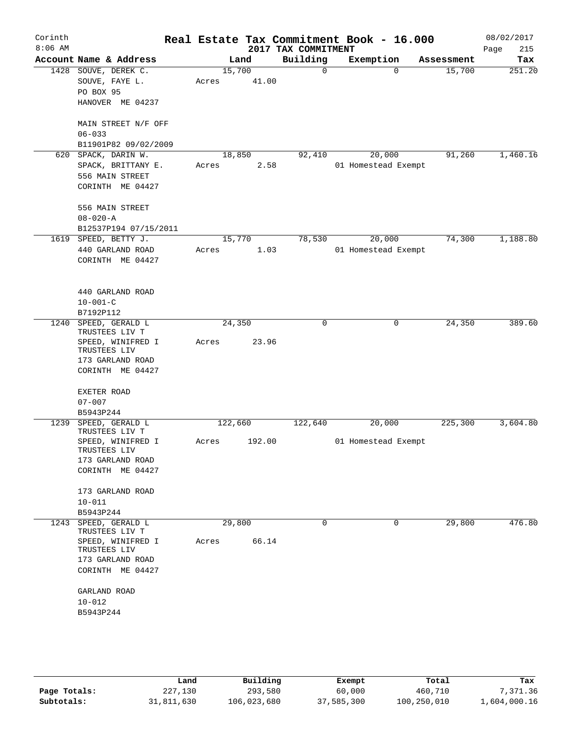| Corinth<br>$8:06$ AM |                                   |       |         | 2017 TAX COMMITMENT | Real Estate Tax Commitment Book - 16.000 |            | 08/02/2017<br>Page<br>215 |
|----------------------|-----------------------------------|-------|---------|---------------------|------------------------------------------|------------|---------------------------|
|                      | Account Name & Address            |       | Land    | Building            | Exemption                                | Assessment | Tax                       |
|                      | 1428 SOUVE, DEREK C.              |       | 15,700  | $\mathbf 0$         | $\mathbf 0$                              | 15,700     | 251.20                    |
|                      | SOUVE, FAYE L.                    | Acres | 41.00   |                     |                                          |            |                           |
|                      | PO BOX 95                         |       |         |                     |                                          |            |                           |
|                      | HANOVER ME 04237                  |       |         |                     |                                          |            |                           |
|                      | MAIN STREET N/F OFF               |       |         |                     |                                          |            |                           |
|                      | $06 - 033$                        |       |         |                     |                                          |            |                           |
|                      | B11901P82 09/02/2009              |       |         |                     |                                          |            |                           |
| 620                  | SPACK, DARIN W.                   |       | 18,850  | 92,410              | 20,000                                   | 91,260     | 1,460.16                  |
|                      | SPACK, BRITTANY E.                | Acres | 2.58    |                     | 01 Homestead Exempt                      |            |                           |
|                      | 556 MAIN STREET                   |       |         |                     |                                          |            |                           |
|                      | CORINTH ME 04427                  |       |         |                     |                                          |            |                           |
|                      | 556 MAIN STREET                   |       |         |                     |                                          |            |                           |
|                      | $08 - 020 - A$                    |       |         |                     |                                          |            |                           |
|                      | B12537P194 07/15/2011             |       |         |                     |                                          |            |                           |
|                      | 1619 SPEED, BETTY J.              |       | 15,770  | 78,530              | 20,000                                   | 74,300     | 1,188.80                  |
|                      | 440 GARLAND ROAD                  | Acres | 1.03    |                     | 01 Homestead Exempt                      |            |                           |
|                      | CORINTH ME 04427                  |       |         |                     |                                          |            |                           |
|                      |                                   |       |         |                     |                                          |            |                           |
|                      | 440 GARLAND ROAD                  |       |         |                     |                                          |            |                           |
|                      | $10 - 001 - C$                    |       |         |                     |                                          |            |                           |
|                      | B7192P112                         |       |         |                     |                                          |            |                           |
| 1240                 | SPEED, GERALD L<br>TRUSTEES LIV T |       | 24, 350 | 0                   | 0                                        | 24,350     | 389.60                    |
|                      | SPEED, WINIFRED I                 | Acres | 23.96   |                     |                                          |            |                           |
|                      | TRUSTEES LIV                      |       |         |                     |                                          |            |                           |
|                      | 173 GARLAND ROAD                  |       |         |                     |                                          |            |                           |
|                      | CORINTH ME 04427                  |       |         |                     |                                          |            |                           |
|                      | EXETER ROAD                       |       |         |                     |                                          |            |                           |
|                      | $07 - 007$                        |       |         |                     |                                          |            |                           |
|                      | B5943P244                         |       |         |                     |                                          |            |                           |
| 1239                 | SPEED, GERALD L<br>TRUSTEES LIV T |       | 122,660 | 122,640             | 20,000                                   | 225,300    | 3,604.80                  |
|                      | SPEED, WINIFRED I                 | Acres | 192.00  |                     | 01 Homestead Exempt                      |            |                           |
|                      | TRUSTEES LIV                      |       |         |                     |                                          |            |                           |
|                      | 173 GARLAND ROAD                  |       |         |                     |                                          |            |                           |
|                      | CORINTH ME 04427                  |       |         |                     |                                          |            |                           |
|                      | 173 GARLAND ROAD                  |       |         |                     |                                          |            |                           |
|                      | $10 - 011$                        |       |         |                     |                                          |            |                           |
|                      | B5943P244                         |       |         |                     |                                          |            |                           |
|                      | 1243 SPEED, GERALD L              |       | 29,800  | $\mathbf 0$         | 0                                        | 29,800     | 476.80                    |
|                      | TRUSTEES LIV T                    |       |         |                     |                                          |            |                           |
|                      | SPEED, WINIFRED I                 | Acres | 66.14   |                     |                                          |            |                           |
|                      | TRUSTEES LIV<br>173 GARLAND ROAD  |       |         |                     |                                          |            |                           |
|                      | CORINTH ME 04427                  |       |         |                     |                                          |            |                           |
|                      |                                   |       |         |                     |                                          |            |                           |
|                      | GARLAND ROAD                      |       |         |                     |                                          |            |                           |
|                      | $10 - 012$                        |       |         |                     |                                          |            |                           |
|                      | B5943P244                         |       |         |                     |                                          |            |                           |
|                      |                                   |       |         |                     |                                          |            |                           |
|                      |                                   |       |         |                     |                                          |            |                           |
|                      |                                   |       |         |                     |                                          |            |                           |
|                      |                                   |       |         |                     |                                          |            |                           |

|              | Land       | Building    | Exempt     | Total       | Tax          |
|--------------|------------|-------------|------------|-------------|--------------|
| Page Totals: | 227,130    | 293,580     | 60,000     | 460,710     | 7.371.36     |
| Subtotals:   | 31,811,630 | 106,023,680 | 37,585,300 | 100,250,010 | 1,604,000.16 |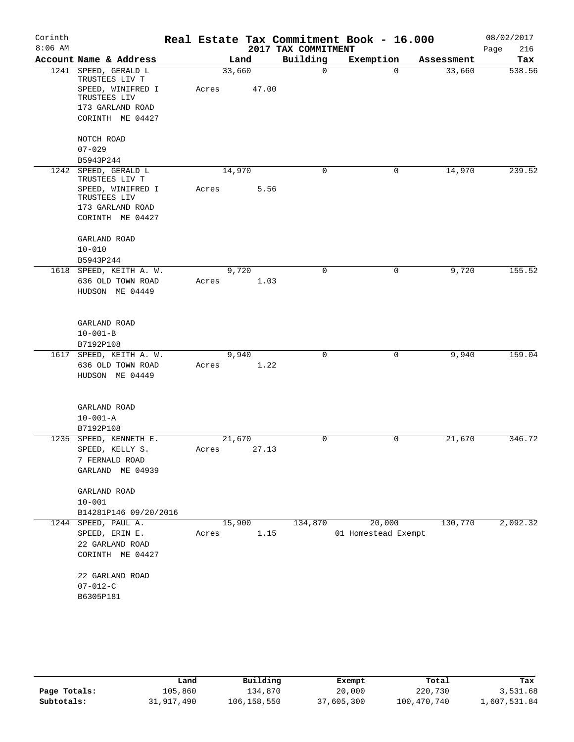| Corinth   |                                        |       |        |                     | Real Estate Tax Commitment Book - 16.000 |            | 08/02/2017  |
|-----------|----------------------------------------|-------|--------|---------------------|------------------------------------------|------------|-------------|
| $8:06$ AM |                                        |       |        | 2017 TAX COMMITMENT |                                          |            | 216<br>Page |
|           | Account Name & Address                 |       | Land   | Building            | Exemption                                | Assessment | Tax         |
|           | 1241 SPEED, GERALD L<br>TRUSTEES LIV T |       | 33,660 | $\mathbf 0$         | $\Omega$                                 | 33,660     | 538.56      |
|           | SPEED, WINIFRED I                      | Acres | 47.00  |                     |                                          |            |             |
|           | TRUSTEES LIV                           |       |        |                     |                                          |            |             |
|           | 173 GARLAND ROAD<br>CORINTH ME 04427   |       |        |                     |                                          |            |             |
|           |                                        |       |        |                     |                                          |            |             |
|           | NOTCH ROAD                             |       |        |                     |                                          |            |             |
|           | $07 - 029$                             |       |        |                     |                                          |            |             |
|           | B5943P244                              |       |        |                     |                                          |            |             |
| 1242      | SPEED, GERALD L<br>TRUSTEES LIV T      |       | 14,970 | $\mathbf 0$         | 0                                        | 14,970     | 239.52      |
|           | SPEED, WINIFRED I                      | Acres | 5.56   |                     |                                          |            |             |
|           | TRUSTEES LIV                           |       |        |                     |                                          |            |             |
|           | 173 GARLAND ROAD                       |       |        |                     |                                          |            |             |
|           | CORINTH ME 04427                       |       |        |                     |                                          |            |             |
|           | GARLAND ROAD                           |       |        |                     |                                          |            |             |
|           | $10 - 010$                             |       |        |                     |                                          |            |             |
|           | B5943P244                              |       |        |                     |                                          |            |             |
|           | 1618 SPEED, KEITH A. W.                |       | 9,720  | $\mathbf 0$         | 0                                        | 9,720      | 155.52      |
|           | 636 OLD TOWN ROAD                      | Acres | 1.03   |                     |                                          |            |             |
|           | HUDSON ME 04449                        |       |        |                     |                                          |            |             |
|           |                                        |       |        |                     |                                          |            |             |
|           | GARLAND ROAD                           |       |        |                     |                                          |            |             |
|           | $10 - 001 - B$                         |       |        |                     |                                          |            |             |
|           | B7192P108                              |       |        |                     |                                          |            |             |
|           | 1617 SPEED, KEITH A. W.                |       | 9,940  | $\mathbf 0$         | $\mathbf 0$                              | 9,940      | 159.04      |
|           | 636 OLD TOWN ROAD<br>HUDSON ME 04449   | Acres | 1.22   |                     |                                          |            |             |
|           |                                        |       |        |                     |                                          |            |             |
|           |                                        |       |        |                     |                                          |            |             |
|           | GARLAND ROAD                           |       |        |                     |                                          |            |             |
|           | $10 - 001 - A$                         |       |        |                     |                                          |            |             |
|           | B7192P108<br>1235 SPEED, KENNETH E.    |       | 21,670 | $\mathbf 0$         | 0                                        | 21,670     | 346.72      |
|           | SPEED, KELLY S.                        | Acres | 27.13  |                     |                                          |            |             |
|           | 7 FERNALD ROAD                         |       |        |                     |                                          |            |             |
|           | GARLAND ME 04939                       |       |        |                     |                                          |            |             |
|           |                                        |       |        |                     |                                          |            |             |
|           | GARLAND ROAD<br>$10 - 001$             |       |        |                     |                                          |            |             |
|           | B14281P146 09/20/2016                  |       |        |                     |                                          |            |             |
|           | 1244 SPEED, PAUL A.                    |       | 15,900 | 134,870             | 20,000                                   | 130,770    | 2,092.32    |
|           | SPEED, ERIN E.                         | Acres | 1.15   |                     | 01 Homestead Exempt                      |            |             |
|           | 22 GARLAND ROAD                        |       |        |                     |                                          |            |             |
|           | CORINTH ME 04427                       |       |        |                     |                                          |            |             |
|           | 22 GARLAND ROAD                        |       |        |                     |                                          |            |             |
|           | $07 - 012 - C$                         |       |        |                     |                                          |            |             |
|           | B6305P181                              |       |        |                     |                                          |            |             |
|           |                                        |       |        |                     |                                          |            |             |

|              | Land       | Building    | Exempt     | Total       | Tax          |
|--------------|------------|-------------|------------|-------------|--------------|
| Page Totals: | 105,860    | 134,870     | 20,000     | 220,730     | 3,531.68     |
| Subtotals:   | 31,917,490 | 106,158,550 | 37,605,300 | 100,470,740 | 1,607,531.84 |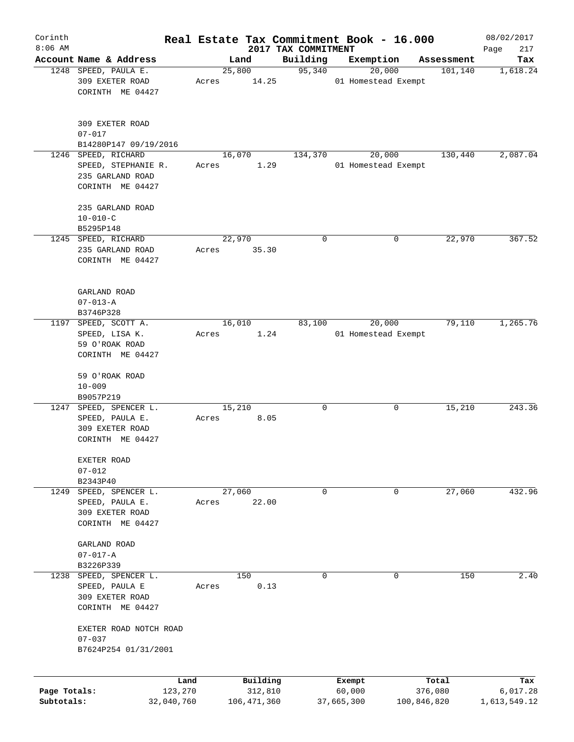| Corinth      |                                      |         |                |                     | Real Estate Tax Commitment Book - 16.000 |                        | 08/02/2017      |
|--------------|--------------------------------------|---------|----------------|---------------------|------------------------------------------|------------------------|-----------------|
| $8:06$ AM    | Account Name & Address               |         |                | 2017 TAX COMMITMENT |                                          |                        | 217<br>Page     |
|              | 1248 SPEED, PAULA E.                 |         | Land<br>25,800 | Building<br>95,340  | Exemption<br>20,000                      | Assessment<br>101, 140 | Tax<br>1,618.24 |
|              | 309 EXETER ROAD                      | Acres   | 14.25          |                     | 01 Homestead Exempt                      |                        |                 |
|              | CORINTH ME 04427                     |         |                |                     |                                          |                        |                 |
|              |                                      |         |                |                     |                                          |                        |                 |
|              | 309 EXETER ROAD                      |         |                |                     |                                          |                        |                 |
|              | $07 - 017$                           |         |                |                     |                                          |                        |                 |
|              | B14280P147 09/19/2016                |         |                |                     |                                          |                        |                 |
|              | 1246 SPEED, RICHARD                  |         | 16,070         | 134,370             | 20,000                                   | 130,440                | 2,087.04        |
|              | SPEED, STEPHANIE R.                  | Acres   | 1.29           |                     | 01 Homestead Exempt                      |                        |                 |
|              | 235 GARLAND ROAD<br>CORINTH ME 04427 |         |                |                     |                                          |                        |                 |
|              |                                      |         |                |                     |                                          |                        |                 |
|              | 235 GARLAND ROAD                     |         |                |                     |                                          |                        |                 |
|              | $10 - 010 - C$                       |         |                |                     |                                          |                        |                 |
|              | B5295P148                            |         |                |                     |                                          |                        |                 |
|              | 1245 SPEED, RICHARD                  |         | 22,970         | 0                   | 0                                        | 22,970                 | 367.52          |
|              | 235 GARLAND ROAD                     | Acres   | 35.30          |                     |                                          |                        |                 |
|              | CORINTH ME 04427                     |         |                |                     |                                          |                        |                 |
|              |                                      |         |                |                     |                                          |                        |                 |
|              | GARLAND ROAD<br>$07 - 013 - A$       |         |                |                     |                                          |                        |                 |
|              | B3746P328                            |         |                |                     |                                          |                        |                 |
|              | 1197 SPEED, SCOTT A.                 |         | 16,010         | 83,100              | 20,000                                   | 79,110                 | 1,265.76        |
|              | SPEED, LISA K.                       | Acres   |                | 1.24                | 01 Homestead Exempt                      |                        |                 |
|              | 59 O'ROAK ROAD                       |         |                |                     |                                          |                        |                 |
|              | CORINTH ME 04427                     |         |                |                     |                                          |                        |                 |
|              |                                      |         |                |                     |                                          |                        |                 |
|              | 59 O'ROAK ROAD                       |         |                |                     |                                          |                        |                 |
|              | $10 - 009$                           |         |                |                     |                                          |                        |                 |
|              | B9057P219                            |         |                |                     |                                          |                        |                 |
| 1247         | SPEED, SPENCER L.                    |         | 15,210         | 0                   | 0                                        | 15,210                 | 243.36          |
|              | SPEED, PAULA E.                      | Acres   | 8.05           |                     |                                          |                        |                 |
|              | 309 EXETER ROAD                      |         |                |                     |                                          |                        |                 |
|              | CORINTH ME 04427                     |         |                |                     |                                          |                        |                 |
|              | EXETER ROAD                          |         |                |                     |                                          |                        |                 |
|              | $07 - 012$                           |         |                |                     |                                          |                        |                 |
|              | B2343P40                             |         |                |                     |                                          |                        |                 |
| 1249         | SPEED, SPENCER L.                    |         | 27,060         | 0                   | 0                                        | 27,060                 | 432.96          |
|              | SPEED, PAULA E.                      | Acres   | 22.00          |                     |                                          |                        |                 |
|              | 309 EXETER ROAD                      |         |                |                     |                                          |                        |                 |
|              | CORINTH ME 04427                     |         |                |                     |                                          |                        |                 |
|              | GARLAND ROAD                         |         |                |                     |                                          |                        |                 |
|              | $07 - 017 - A$                       |         |                |                     |                                          |                        |                 |
|              | B3226P339                            |         |                |                     |                                          |                        |                 |
| 1238         | SPEED, SPENCER L.                    |         | 150            | 0                   | 0                                        | 150                    | 2.40            |
|              | SPEED, PAULA E                       | Acres   | 0.13           |                     |                                          |                        |                 |
|              | 309 EXETER ROAD                      |         |                |                     |                                          |                        |                 |
|              | CORINTH ME 04427                     |         |                |                     |                                          |                        |                 |
|              | EXETER ROAD NOTCH ROAD<br>$07 - 037$ |         |                |                     |                                          |                        |                 |
|              | B7624P254 01/31/2001                 |         |                |                     |                                          |                        |                 |
|              |                                      |         |                |                     |                                          |                        |                 |
|              |                                      | Land    | Building       |                     | Exempt                                   | Total                  | Tax             |
| Page Totals: |                                      | 123,270 | 312,810        |                     | 60,000                                   | 376,080                | 6,017.28        |
| Subtotals:   | 32,040,760                           |         | 106,471,360    |                     | 37,665,300                               | 100,846,820            | 1,613,549.12    |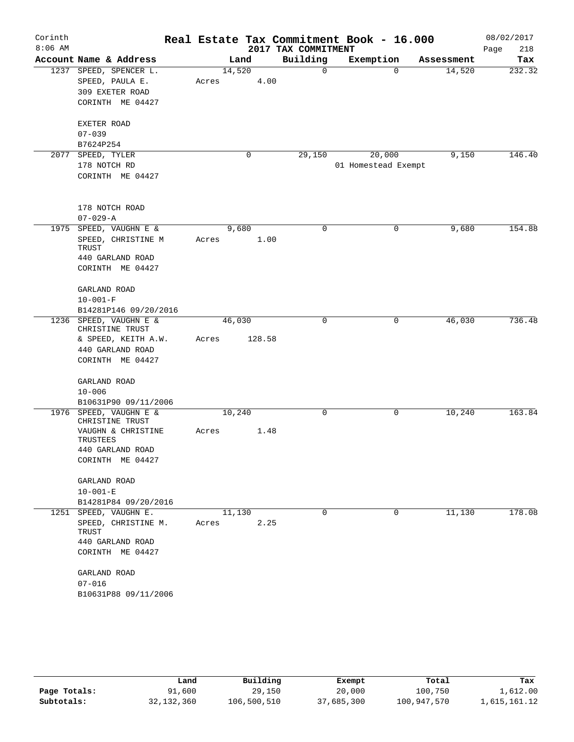| Corinth   |                                           |       |        |        | Real Estate Tax Commitment Book - 16.000 |                     |          |            | 08/02/2017  |
|-----------|-------------------------------------------|-------|--------|--------|------------------------------------------|---------------------|----------|------------|-------------|
| $8:06$ AM |                                           |       |        |        | 2017 TAX COMMITMENT                      |                     |          |            | 218<br>Page |
|           | Account Name & Address                    |       | Land   |        | Building                                 | Exemption           |          | Assessment | Tax         |
|           | 1237 SPEED, SPENCER L.                    |       | 14,520 |        | 0                                        |                     | $\Omega$ | 14,520     | 232.32      |
|           | SPEED, PAULA E.                           | Acres |        | 4.00   |                                          |                     |          |            |             |
|           | 309 EXETER ROAD                           |       |        |        |                                          |                     |          |            |             |
|           | CORINTH ME 04427                          |       |        |        |                                          |                     |          |            |             |
|           | EXETER ROAD                               |       |        |        |                                          |                     |          |            |             |
|           | $07 - 039$                                |       |        |        |                                          |                     |          |            |             |
|           | B7624P254                                 |       |        |        |                                          |                     |          |            |             |
| 2077      | SPEED, TYLER                              |       |        | 0      | 29,150                                   | 20,000              |          | 9,150      | 146.40      |
|           | 178 NOTCH RD                              |       |        |        |                                          | 01 Homestead Exempt |          |            |             |
|           | CORINTH ME 04427                          |       |        |        |                                          |                     |          |            |             |
|           | 178 NOTCH ROAD                            |       |        |        |                                          |                     |          |            |             |
|           | $07 - 029 - A$                            |       |        |        |                                          |                     |          |            |             |
| 1975      | SPEED, VAUGHN E &                         |       | 9,680  |        | 0                                        |                     | 0        | 9,680      | 154.88      |
|           | SPEED, CHRISTINE M<br>TRUST               | Acres |        | 1.00   |                                          |                     |          |            |             |
|           | 440 GARLAND ROAD                          |       |        |        |                                          |                     |          |            |             |
|           | CORINTH ME 04427                          |       |        |        |                                          |                     |          |            |             |
|           | GARLAND ROAD                              |       |        |        |                                          |                     |          |            |             |
|           | $10 - 001 - F$                            |       |        |        |                                          |                     |          |            |             |
|           | B14281P146 09/20/2016                     |       |        |        |                                          |                     |          |            |             |
|           | 1236 SPEED, VAUGHN E &<br>CHRISTINE TRUST |       | 46,030 |        | $\mathbf 0$                              |                     | 0        | 46,030     | 736.48      |
|           | & SPEED, KEITH A.W.                       | Acres |        | 128.58 |                                          |                     |          |            |             |
|           | 440 GARLAND ROAD                          |       |        |        |                                          |                     |          |            |             |
|           | CORINTH ME 04427                          |       |        |        |                                          |                     |          |            |             |
|           | GARLAND ROAD                              |       |        |        |                                          |                     |          |            |             |
|           | $10 - 006$                                |       |        |        |                                          |                     |          |            |             |
|           | B10631P90 09/11/2006                      |       |        |        |                                          |                     |          |            |             |
|           | 1976 SPEED, VAUGHN E &<br>CHRISTINE TRUST |       | 10,240 |        | 0                                        |                     | 0        | 10,240     | 163.84      |
|           | VAUGHN & CHRISTINE<br>TRUSTEES            | Acres |        | 1.48   |                                          |                     |          |            |             |
|           | 440 GARLAND ROAD                          |       |        |        |                                          |                     |          |            |             |
|           | CORINTH ME 04427                          |       |        |        |                                          |                     |          |            |             |
|           | GARLAND ROAD                              |       |        |        |                                          |                     |          |            |             |
|           | $10 - 001 - E$                            |       |        |        |                                          |                     |          |            |             |
|           | B14281P84 09/20/2016                      |       |        |        |                                          |                     |          |            |             |
|           | 1251 SPEED, VAUGHN E.                     |       | 11,130 |        | $\mathbf 0$                              |                     | 0        | 11,130     | 178.08      |
|           | SPEED, CHRISTINE M.<br>TRUST              | Acres |        | 2.25   |                                          |                     |          |            |             |
|           | 440 GARLAND ROAD                          |       |        |        |                                          |                     |          |            |             |
|           | CORINTH ME 04427                          |       |        |        |                                          |                     |          |            |             |
|           | GARLAND ROAD                              |       |        |        |                                          |                     |          |            |             |
|           | $07 - 016$                                |       |        |        |                                          |                     |          |            |             |
|           | B10631P88 09/11/2006                      |       |        |        |                                          |                     |          |            |             |
|           |                                           |       |        |        |                                          |                     |          |            |             |

|              | Land         | Building    | Exempt     | Total       | Tax          |
|--------------|--------------|-------------|------------|-------------|--------------|
| Page Totals: | 91,600       | 29,150      | 20,000     | 100,750     | 1,612.00     |
| Subtotals:   | 32, 132, 360 | 106,500,510 | 37,685,300 | 100,947,570 | 1,615,161.12 |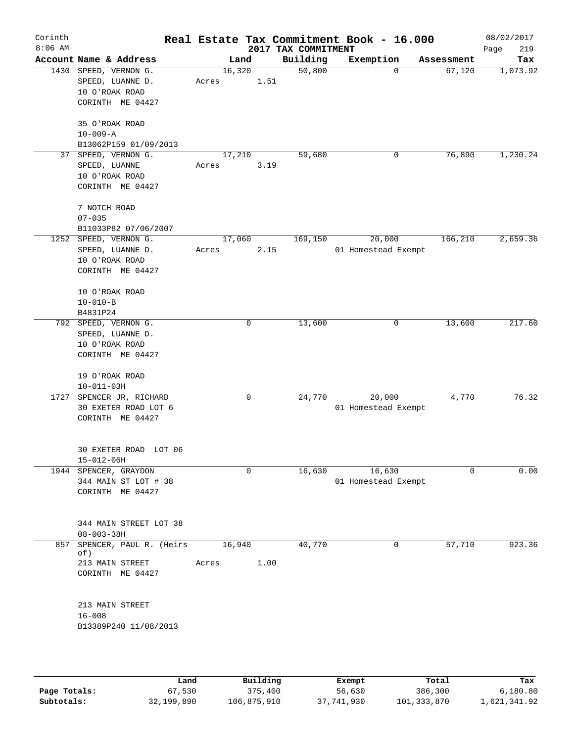| Corinth<br>$8:06$ AM |                                                                                 |                 |             | 2017 TAX COMMITMENT | Real Estate Tax Commitment Book - 16.000 |            | 08/02/2017<br>Page<br>219 |
|----------------------|---------------------------------------------------------------------------------|-----------------|-------------|---------------------|------------------------------------------|------------|---------------------------|
|                      | Account Name & Address                                                          |                 | Land        | Building            | Exemption                                | Assessment | Tax                       |
|                      | 1430 SPEED, VERNON G.<br>SPEED, LUANNE D.<br>10 O'ROAK ROAD<br>CORINTH ME 04427 | 16,320<br>Acres | 1.51        | 50,800              | 0                                        | 67,120     | 1,073.92                  |
|                      | 35 O'ROAK ROAD<br>$10 - 009 - A$<br>B13062P159 01/09/2013                       |                 |             |                     |                                          |            |                           |
| 37                   | SPEED, VERNON G.<br>SPEED, LUANNE<br>10 O'ROAK ROAD<br>CORINTH ME 04427         | 17,210<br>Acres | 3.19        | 59,680              | 0                                        | 76,890     | 1,230.24                  |
|                      | 7 NOTCH ROAD<br>$07 - 035$                                                      |                 |             |                     |                                          |            |                           |
|                      | B11033P82 07/06/2007<br>1252 SPEED, VERNON G.                                   | 17,060          |             | 169,150             | 20,000                                   | 166,210    | 2,659.36                  |
|                      | SPEED, LUANNE D.<br>10 O'ROAK ROAD<br>CORINTH ME 04427                          | Acres           | 2.15        |                     | 01 Homestead Exempt                      |            |                           |
|                      | 10 O'ROAK ROAD<br>$10 - 010 - B$<br>B4831P24                                    |                 |             |                     |                                          |            |                           |
|                      | 792 SPEED, VERNON G.<br>SPEED, LUANNE D.<br>10 O'ROAK ROAD<br>CORINTH ME 04427  |                 | 0           | 13,600              | 0                                        | 13,600     | 217.60                    |
|                      | 19 O'ROAK ROAD<br>$10 - 011 - 03H$                                              |                 |             |                     |                                          |            |                           |
| 1727                 | SPENCER JR, RICHARD<br>30 EXETER ROAD LOT 6<br>CORINTH ME 04427                 |                 | 0           | 24,770              | 20,000<br>01 Homestead Exempt            | 4,770      | 76.32                     |
|                      | 30 EXETER ROAD LOT 06<br>$15 - 012 - 06H$                                       |                 |             |                     |                                          |            |                           |
|                      | 1944 SPENCER, GRAYDON<br>344 MAIN ST LOT # 38<br>CORINTH ME 04427               |                 | $\mathbf 0$ | 16,630              | 16,630<br>01 Homestead Exempt            | $\Omega$   | 0.00                      |
|                      | 344 MAIN STREET LOT 38<br>$08 - 003 - 38H$                                      |                 |             |                     |                                          |            |                           |
| 857                  | SPENCER, PAUL R. (Heirs<br>of)<br>213 MAIN STREET<br>CORINTH ME 04427           | 16,940<br>Acres | 1.00        | 40,770              | 0                                        | 57,710     | 923.36                    |
|                      | 213 MAIN STREET<br>$16 - 008$<br>B13389P240 11/08/2013                          |                 |             |                     |                                          |            |                           |
|                      |                                                                                 |                 |             |                     |                                          |            |                           |

|              | Land       | Building    | Exempt     | Total       | Tax          |
|--------------|------------|-------------|------------|-------------|--------------|
| Page Totals: | 67,530     | 375,400     | 56,630     | 386,300     | 6,180.80     |
| Subtotals:   | 32,199,890 | 106,875,910 | 37,741,930 | 101,333,870 | 1,621,341.92 |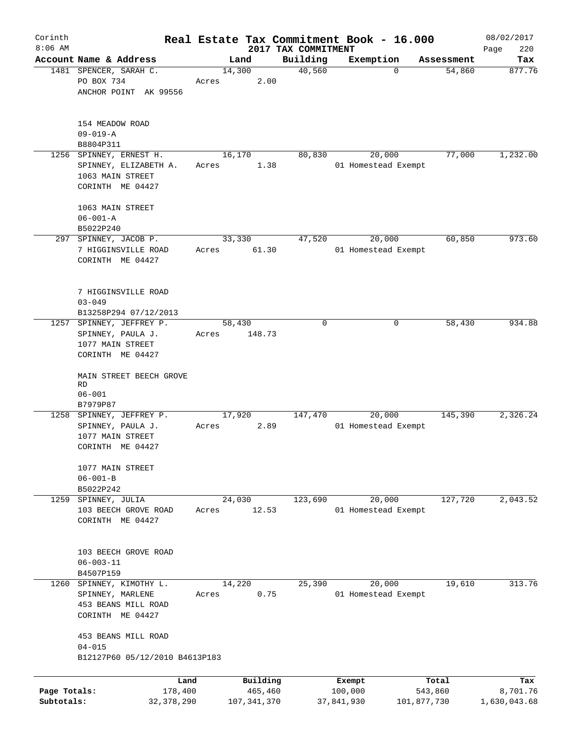| Corinth      |                                                               |        |               |                     | Real Estate Tax Commitment Book - 16.000 |                      | 08/02/2017    |
|--------------|---------------------------------------------------------------|--------|---------------|---------------------|------------------------------------------|----------------------|---------------|
| $8:06$ AM    | Account Name & Address                                        |        |               | 2017 TAX COMMITMENT |                                          |                      | 220<br>Page   |
|              | 1481 SPENCER, SARAH C.                                        | 14,300 | Land          | Building<br>40,560  | Exemption<br>$\Omega$                    | Assessment<br>54,860 | Tax<br>877.76 |
|              | PO BOX 734                                                    | Acres  | 2.00          |                     |                                          |                      |               |
|              | ANCHOR POINT AK 99556                                         |        |               |                     |                                          |                      |               |
|              | 154 MEADOW ROAD                                               |        |               |                     |                                          |                      |               |
|              | $09 - 019 - A$                                                |        |               |                     |                                          |                      |               |
|              | B8804P311                                                     |        |               |                     |                                          |                      |               |
|              | 1256 SPINNEY, ERNEST H.                                       |        | 16,170        | 80,830              | 20,000                                   | 77,000               | 1,232.00      |
|              | SPINNEY, ELIZABETH A.<br>1063 MAIN STREET<br>CORINTH ME 04427 | Acres  | 1.38          |                     | 01 Homestead Exempt                      |                      |               |
|              |                                                               |        |               |                     |                                          |                      |               |
|              | 1063 MAIN STREET                                              |        |               |                     |                                          |                      |               |
|              | $06 - 001 - A$                                                |        |               |                     |                                          |                      |               |
|              | B5022P240                                                     |        |               |                     |                                          |                      |               |
|              | 297 SPINNEY, JACOB P.                                         |        | 33,330        | 47,520              | 20,000                                   | 60,850               | 973.60        |
|              | 7 HIGGINSVILLE ROAD<br>CORINTH ME 04427                       | Acres  | 61.30         |                     | 01 Homestead Exempt                      |                      |               |
|              | 7 HIGGINSVILLE ROAD                                           |        |               |                     |                                          |                      |               |
|              | $03 - 049$                                                    |        |               |                     |                                          |                      |               |
|              | B13258P294 07/12/2013                                         |        |               |                     |                                          |                      |               |
| 1257         | SPINNEY, JEFFREY P.                                           | 58,430 |               | 0                   | 0                                        | 58,430               | 934.88        |
|              | SPINNEY, PAULA J.                                             | Acres  | 148.73        |                     |                                          |                      |               |
|              | 1077 MAIN STREET                                              |        |               |                     |                                          |                      |               |
|              | CORINTH ME 04427                                              |        |               |                     |                                          |                      |               |
|              | MAIN STREET BEECH GROVE                                       |        |               |                     |                                          |                      |               |
|              | RD                                                            |        |               |                     |                                          |                      |               |
|              | $06 - 001$<br>B7979P87                                        |        |               |                     |                                          |                      |               |
|              | 1258 SPINNEY, JEFFREY P.                                      | 17,920 |               | 147,470             | 20,000                                   | 145,390              | 2,326.24      |
|              | SPINNEY, PAULA J.                                             | Acres  | 2.89          |                     | 01 Homestead Exempt                      |                      |               |
|              | 1077 MAIN STREET                                              |        |               |                     |                                          |                      |               |
|              | CORINTH ME 04427                                              |        |               |                     |                                          |                      |               |
|              |                                                               |        |               |                     |                                          |                      |               |
|              | 1077 MAIN STREET                                              |        |               |                     |                                          |                      |               |
|              | $06 - 001 - B$                                                |        |               |                     |                                          |                      |               |
|              | B5022P242                                                     |        |               |                     |                                          |                      |               |
| 1259         | SPINNEY, JULIA                                                | 24,030 |               | 123,690             | 20,000                                   | 127,720              | 2,043.52      |
|              | 103 BEECH GROVE ROAD                                          | Acres  | 12.53         |                     | 01 Homestead Exempt                      |                      |               |
|              | CORINTH ME 04427                                              |        |               |                     |                                          |                      |               |
|              |                                                               |        |               |                     |                                          |                      |               |
|              | 103 BEECH GROVE ROAD                                          |        |               |                     |                                          |                      |               |
|              | $06 - 003 - 11$                                               |        |               |                     |                                          |                      |               |
|              | B4507P159                                                     |        |               |                     |                                          |                      |               |
| 1260         | SPINNEY, KIMOTHY L.                                           | 14,220 |               | 25,390              | 20,000                                   | 19,610               | 313.76        |
|              | SPINNEY, MARLENE                                              | Acres  | 0.75          |                     | 01 Homestead Exempt                      |                      |               |
|              | 453 BEANS MILL ROAD                                           |        |               |                     |                                          |                      |               |
|              | CORINTH ME 04427                                              |        |               |                     |                                          |                      |               |
|              | 453 BEANS MILL ROAD                                           |        |               |                     |                                          |                      |               |
|              | $04 - 015$                                                    |        |               |                     |                                          |                      |               |
|              | B12127P60 05/12/2010 B4613P183                                |        |               |                     |                                          |                      |               |
|              |                                                               |        |               |                     |                                          |                      |               |
|              | Land                                                          |        | Building      |                     | Exempt                                   | Total                | Tax           |
| Page Totals: | 178,400                                                       |        | 465,460       |                     | 100,000                                  | 543,860              | 8,701.76      |
| Subtotals:   | 32, 378, 290                                                  |        | 107, 341, 370 |                     | 37,841,930                               | 101,877,730          | 1,630,043.68  |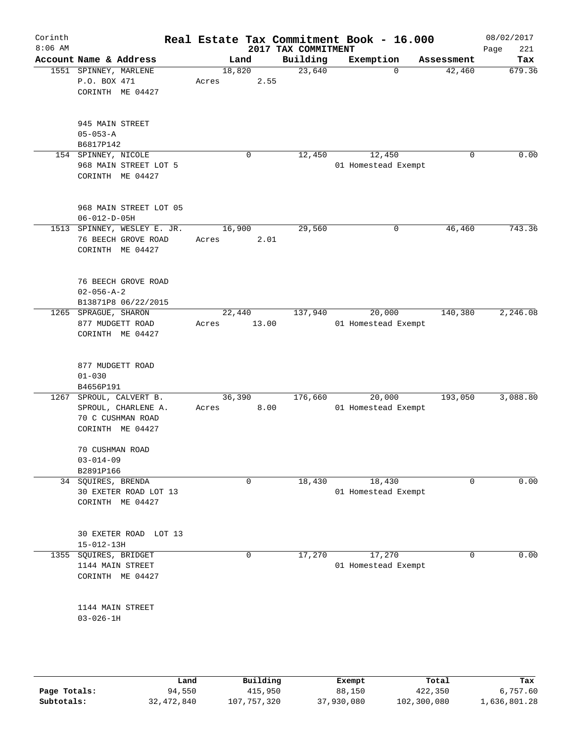| Corinth<br>$8:06$ AM |                                                                                    |                 | 2017 TAX COMMITMENT | Real Estate Tax Commitment Book - 16.000 |             | 08/02/2017<br>221<br>Page |
|----------------------|------------------------------------------------------------------------------------|-----------------|---------------------|------------------------------------------|-------------|---------------------------|
|                      | Account Name & Address                                                             | Land            | Building            | Exemption                                | Assessment  | Tax                       |
|                      | 1551 SPINNEY, MARLENE<br>P.O. BOX 471<br>CORINTH ME 04427                          | 18,820<br>Acres | 23,640<br>2.55      | $\Omega$                                 | 42,460      | 679.36                    |
|                      | 945 MAIN STREET<br>$05 - 053 - A$<br>B6817P142                                     |                 |                     |                                          |             |                           |
|                      | 154 SPINNEY, NICOLE<br>968 MAIN STREET LOT 5<br>CORINTH ME 04427                   | 0               | 12,450              | 12,450<br>01 Homestead Exempt            | $\mathbf 0$ | 0.00                      |
|                      | 968 MAIN STREET LOT 05<br>$06 - 012 - D - 05H$                                     |                 |                     |                                          |             |                           |
|                      | 1513 SPINNEY, WESLEY E. JR.<br>76 BEECH GROVE ROAD<br>CORINTH ME 04427             | 16,900<br>Acres | 29,560<br>2.01      | 0                                        | 46,460      | 743.36                    |
|                      | 76 BEECH GROVE ROAD<br>$02 - 056 - A - 2$<br>B13871P8 06/22/2015                   |                 |                     |                                          |             |                           |
|                      | 1265 SPRAGUE, SHARON<br>877 MUDGETT ROAD<br>CORINTH ME 04427                       | 22,440<br>Acres | 137,940<br>13.00    | 20,000<br>01 Homestead Exempt            | 140,380     | 2,246.08                  |
|                      | 877 MUDGETT ROAD<br>$01 - 030$<br>B4656P191                                        |                 |                     |                                          |             |                           |
| 1267                 | SPROUL, CALVERT B.<br>SPROUL, CHARLENE A.<br>70 C CUSHMAN ROAD<br>CORINTH ME 04427 | 36,390<br>Acres | 176,660<br>8.00     | 20,000<br>01 Homestead Exempt            | 193,050     | 3,088.80                  |
|                      | 70 CUSHMAN ROAD<br>$03 - 014 - 09$<br>B2891P166                                    |                 |                     |                                          |             |                           |
|                      | 34 SQUIRES, BRENDA<br>30 EXETER ROAD LOT 13<br>CORINTH ME 04427                    | $\mathbf 0$     | 18,430              | 18,430<br>01 Homestead Exempt            | 0           | 0.00                      |
|                      | 30 EXETER ROAD LOT 13<br>$15 - 012 - 13H$                                          |                 |                     |                                          |             |                           |
| 1355                 | SQUIRES, BRIDGET<br>1144 MAIN STREET<br>CORINTH ME 04427                           | 0               | 17,270              | 17,270<br>01 Homestead Exempt            | $\mathbf 0$ | 0.00                      |
|                      | 1144 MAIN STREET<br>$03 - 026 - 1H$                                                |                 |                     |                                          |             |                           |
|                      |                                                                                    |                 |                     |                                          |             |                           |
|                      |                                                                                    |                 |                     |                                          |             |                           |

|              | Land       | Building    | Exempt     | Total       | Tax          |
|--------------|------------|-------------|------------|-------------|--------------|
| Page Totals: | 94,550     | 415,950     | 88,150     | 422,350     | 6,757.60     |
| Subtotals:   | 32,472,840 | 107,757,320 | 37,930,080 | 102,300,080 | 1,636,801.28 |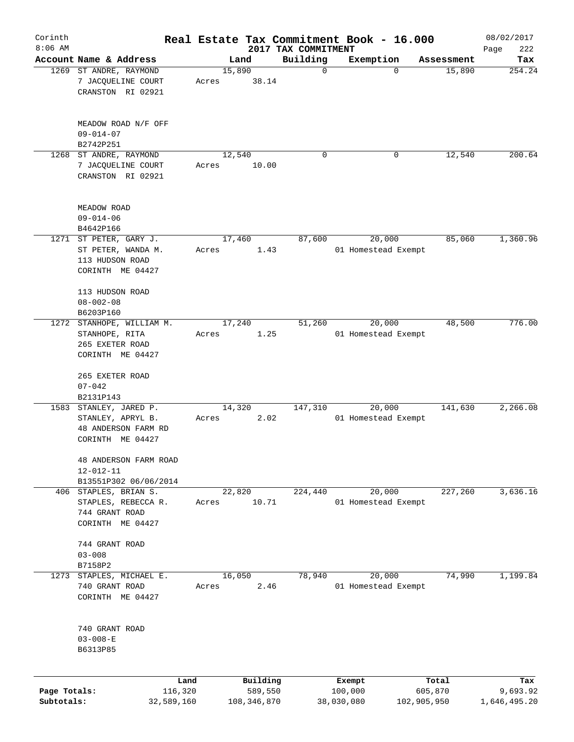| Corinth      |                                                                                   |                 |       |                     |                         | Real Estate Tax Commitment Book - 16.000 |                      | 08/02/2017      |
|--------------|-----------------------------------------------------------------------------------|-----------------|-------|---------------------|-------------------------|------------------------------------------|----------------------|-----------------|
| $8:06$ AM    |                                                                                   |                 |       |                     | 2017 TAX COMMITMENT     |                                          |                      | 222<br>Page     |
|              | Account Name & Address<br>1269 ST ANDRE, RAYMOND                                  |                 |       | Land<br>15,890      | Building<br>$\mathbf 0$ | Exemption<br>$\mathbf 0$                 | Assessment<br>15,890 | Tax<br>254.24   |
|              | 7 JACQUELINE COURT<br>CRANSTON RI 02921                                           |                 | Acres | 38.14               |                         |                                          |                      |                 |
|              | MEADOW ROAD N/F OFF<br>$09 - 014 - 07$<br>B2742P251                               |                 |       |                     |                         |                                          |                      |                 |
| 1268         | ST ANDRE, RAYMOND                                                                 |                 |       | 12,540              | 0                       | 0                                        | 12,540               | 200.64          |
|              | 7 JACQUELINE COURT<br>CRANSTON RI 02921                                           |                 | Acres | 10.00               |                         |                                          |                      |                 |
|              | MEADOW ROAD<br>$09 - 014 - 06$<br>B4642P166                                       |                 |       |                     |                         |                                          |                      |                 |
|              | 1271 ST PETER, GARY J.                                                            |                 |       | 17,460              | 87,600                  | 20,000                                   | 85,060               | 1,360.96        |
|              | ST PETER, WANDA M.<br>113 HUDSON ROAD<br>CORINTH ME 04427                         |                 | Acres | 1.43                |                         | 01 Homestead Exempt                      |                      |                 |
|              | 113 HUDSON ROAD<br>$08 - 002 - 08$<br>B6203P160                                   |                 |       |                     |                         |                                          |                      |                 |
|              | 1272 STANHOPE, WILLIAM M.                                                         |                 |       | 17,240              | 51,260                  | 20,000                                   | 48,500               | 776.00          |
|              | STANHOPE, RITA<br>265 EXETER ROAD<br>CORINTH ME 04427                             |                 | Acres | 1.25                |                         | 01 Homestead Exempt                      |                      |                 |
|              | 265 EXETER ROAD<br>$07 - 042$                                                     |                 |       |                     |                         |                                          |                      |                 |
|              | B2131P143                                                                         |                 |       |                     |                         |                                          |                      |                 |
| 1583         | STANLEY, JARED P.<br>STANLEY, APRYL B.<br>48 ANDERSON FARM RD<br>CORINTH ME 04427 |                 | Acres | 14,320<br>2.02      | 147,310                 | 20,000<br>01 Homestead Exempt            | 141,630              | 2,266.08        |
|              | 48 ANDERSON FARM ROAD<br>12-012-11                                                |                 |       |                     |                         |                                          |                      |                 |
|              | B13551P302 06/06/2014<br>406 STAPLES, BRIAN S.                                    |                 |       | 22,820              | 224,440                 | 20,000                                   | 227,260              | 3,636.16        |
|              | STAPLES, REBECCA R.<br>744 GRANT ROAD<br>CORINTH ME 04427                         |                 | Acres | 10.71               |                         | 01 Homestead Exempt                      |                      |                 |
|              | 744 GRANT ROAD<br>$03 - 008$                                                      |                 |       |                     |                         |                                          |                      |                 |
| 1273         | B7158P2<br>STAPLES, MICHAEL E.                                                    |                 |       | 16,050              | 78,940                  | 20,000                                   | 74,990               | 1,199.84        |
|              | 740 GRANT ROAD<br>CORINTH ME 04427                                                |                 | Acres | 2.46                |                         | 01 Homestead Exempt                      |                      |                 |
|              | 740 GRANT ROAD<br>$03 - 008 - E$<br>B6313P85                                      |                 |       |                     |                         |                                          |                      |                 |
|              |                                                                                   |                 |       |                     |                         |                                          |                      |                 |
| Page Totals: |                                                                                   | Land<br>116,320 |       | Building<br>589,550 |                         | Exempt<br>100,000                        | Total<br>605,870     | Tax<br>9,693.92 |
| Subtotals:   |                                                                                   | 32,589,160      |       | 108, 346, 870       |                         | 38,030,080                               | 102,905,950          | 1,646,495.20    |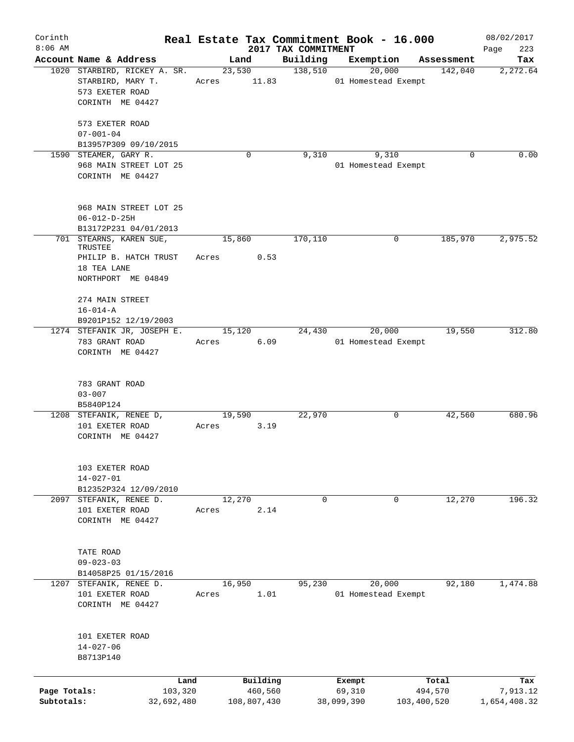| Corinth<br>$8:06$ AM       |                                                                                          |                 | 2017 TAX COMMITMENT | Real Estate Tax Commitment Book - 16.000 |                        | 08/02/2017               |
|----------------------------|------------------------------------------------------------------------------------------|-----------------|---------------------|------------------------------------------|------------------------|--------------------------|
|                            | Account Name & Address                                                                   | Land            | Building            | Exemption                                | Assessment             | 223<br>Page<br>Tax       |
|                            | 1020 STARBIRD, RICKEY A. SR.<br>STARBIRD, MARY T.<br>573 EXETER ROAD<br>CORINTH ME 04427 | 23,530<br>Acres | 138,510<br>11.83    | 20,000<br>01 Homestead Exempt            | 142,040                | 2,272.64                 |
|                            | 573 EXETER ROAD<br>$07 - 001 - 04$                                                       |                 |                     |                                          |                        |                          |
|                            | B13957P309 09/10/2015<br>1590 STEAMER, GARY R.                                           | $\mathbf 0$     | 9,310               | 9,310                                    | 0                      | 0.00                     |
|                            | 968 MAIN STREET LOT 25<br>CORINTH ME 04427                                               |                 |                     | 01 Homestead Exempt                      |                        |                          |
|                            | 968 MAIN STREET LOT 25<br>$06 - 012 - D - 25H$<br>B13172P231 04/01/2013                  |                 |                     |                                          |                        |                          |
|                            | 701 STEARNS, KAREN SUE,                                                                  | 15,860          | 170,110             | 0                                        | 185,970                | 2,975.52                 |
|                            | TRUSTEE<br>PHILIP B. HATCH TRUST<br>18 TEA LANE<br>NORTHPORT ME 04849                    | Acres           | 0.53                |                                          |                        |                          |
|                            | 274 MAIN STREET<br>$16 - 014 - A$<br>B9201P152 12/19/2003                                |                 |                     |                                          |                        |                          |
|                            | 1274 STEFANIK JR, JOSEPH E.<br>783 GRANT ROAD<br>CORINTH ME 04427                        | 15,120<br>Acres | 24,430<br>6.09      | 20,000<br>01 Homestead Exempt            | 19,550                 | 312.80                   |
|                            | 783 GRANT ROAD<br>$03 - 007$<br>B5840P124                                                |                 |                     |                                          |                        |                          |
|                            | 1208 STEFANIK, RENEE D,<br>101 EXETER ROAD<br>CORINTH ME 04427                           | 19,590<br>Acres | 22,970<br>3.19      | 0                                        | 42,560                 | 680.96                   |
|                            | 103 EXETER ROAD<br>$14 - 027 - 01$<br>B12352P324 12/09/2010                              |                 |                     |                                          |                        |                          |
|                            | 2097 STEFANIK, RENEE D.<br>101 EXETER ROAD<br>CORINTH ME 04427                           | 12,270<br>Acres | $\mathbf 0$<br>2.14 | $\mathbf 0$                              | 12,270                 | 196.32                   |
|                            | TATE ROAD<br>$09 - 023 - 03$<br>B14058P25 01/15/2016                                     |                 |                     |                                          |                        |                          |
|                            | 1207 STEFANIK, RENEE D.<br>101 EXETER ROAD<br>CORINTH ME 04427                           | 16,950<br>Acres | 95,230<br>1.01      | 20,000<br>01 Homestead Exempt            | 92,180                 | 1,474.88                 |
|                            | 101 EXETER ROAD<br>$14 - 027 - 06$<br>B8713P140                                          |                 |                     |                                          |                        |                          |
|                            | Land                                                                                     | Building        |                     | Exempt                                   | Total                  | Tax                      |
| Page Totals:<br>Subtotals: | 103,320<br>32,692,480                                                                    | 108,807,430     | 460,560             | 69,310<br>38,099,390                     | 494,570<br>103,400,520 | 7,913.12<br>1,654,408.32 |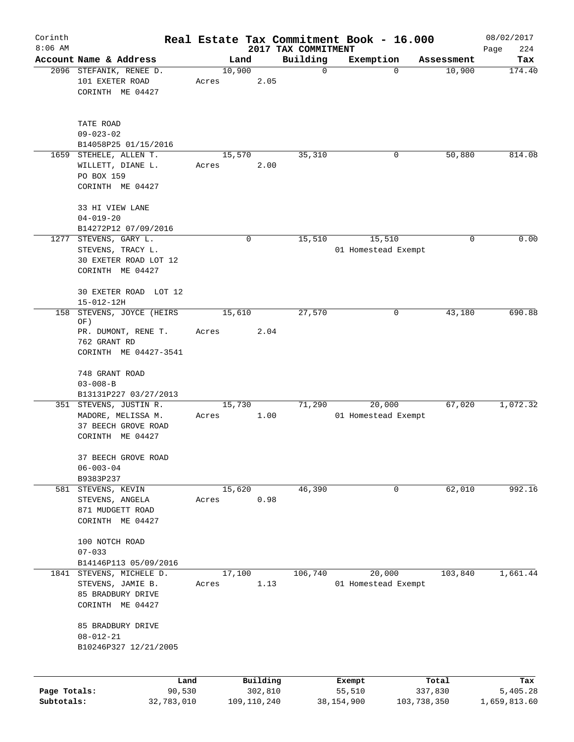| Corinth                    |                                                                                         |        |                        |                         | Real Estate Tax Commitment Book - 16.000 |                        | 08/02/2017               |
|----------------------------|-----------------------------------------------------------------------------------------|--------|------------------------|-------------------------|------------------------------------------|------------------------|--------------------------|
| $8:06$ AM                  |                                                                                         |        |                        | 2017 TAX COMMITMENT     |                                          |                        | 224<br>Page              |
|                            | Account Name & Address<br>2096 STEFANIK, RENEE D.                                       | 10,900 | Land                   | Building<br>$\mathbf 0$ | Exemption<br>$\mathbf 0$                 | Assessment<br>10,900   | Tax<br>174.40            |
|                            | 101 EXETER ROAD<br>CORINTH ME 04427                                                     | Acres  | 2.05                   |                         |                                          |                        |                          |
|                            | TATE ROAD<br>$09 - 023 - 02$<br>B14058P25 01/15/2016                                    |        |                        |                         |                                          |                        |                          |
| 1659                       | STEHELE, ALLEN T.<br>WILLETT, DIANE L.<br>PO BOX 159<br>CORINTH ME 04427                | Acres  | 15,570<br>2.00         | 35,310                  | 0                                        | 50,880                 | 814.08                   |
|                            | 33 HI VIEW LANE<br>$04 - 019 - 20$<br>B14272P12 07/09/2016                              |        |                        |                         |                                          |                        |                          |
|                            | 1277 STEVENS, GARY L.<br>STEVENS, TRACY L.<br>30 EXETER ROAD LOT 12<br>CORINTH ME 04427 |        | 0                      | 15,510                  | 15,510<br>01 Homestead Exempt            | 0                      | 0.00                     |
|                            | 30 EXETER ROAD LOT 12<br>$15 - 012 - 12H$                                               |        |                        |                         |                                          |                        |                          |
| 158                        | STEVENS, JOYCE (HEIRS<br>OF)                                                            |        | 15,610                 | 27,570                  | 0                                        | 43,180                 | 690.88                   |
|                            | PR. DUMONT, RENE T.<br>762 GRANT RD                                                     | Acres  | 2.04                   |                         |                                          |                        |                          |
|                            | CORINTH ME 04427-3541                                                                   |        |                        |                         |                                          |                        |                          |
|                            | 748 GRANT ROAD<br>$03 - 008 - B$                                                        |        |                        |                         |                                          |                        |                          |
|                            | B13131P227 03/27/2013<br>351 STEVENS, JUSTIN R.                                         |        | 15,730                 | 71,290                  | 20,000                                   | 67,020                 | 1,072.32                 |
|                            | MADORE, MELISSA M.<br>37 BEECH GROVE ROAD<br>CORINTH ME 04427                           | Acres  | 1.00                   |                         | 01 Homestead Exempt                      |                        |                          |
|                            | 37 BEECH GROVE ROAD<br>$06 - 003 - 04$                                                  |        |                        |                         |                                          |                        |                          |
|                            | B9383P237                                                                               |        |                        |                         |                                          |                        |                          |
|                            | 581 STEVENS, KEVIN<br>STEVENS, ANGELA<br>871 MUDGETT ROAD<br>CORINTH ME 04427           | Acres  | 15,620<br>0.98         | 46,390                  | 0                                        | 62,010                 | 992.16                   |
|                            | 100 NOTCH ROAD<br>$07 - 033$                                                            |        |                        |                         |                                          |                        |                          |
|                            | B14146P113 05/09/2016                                                                   |        |                        |                         |                                          |                        |                          |
|                            | 1841 STEVENS, MICHELE D.                                                                |        | 17,100                 | 106,740                 | 20,000                                   | 103,840                | 1,661.44                 |
|                            | STEVENS, JAMIE B.<br>85 BRADBURY DRIVE<br>CORINTH ME 04427                              | Acres  | 1.13                   |                         | 01 Homestead Exempt                      |                        |                          |
|                            | 85 BRADBURY DRIVE<br>$08 - 012 - 21$<br>B10246P327 12/21/2005                           |        |                        |                         |                                          |                        |                          |
|                            | Land                                                                                    |        | Building               |                         | Exempt                                   | Total                  | Tax                      |
| Page Totals:<br>Subtotals: | 90,530<br>32,783,010                                                                    |        | 302,810<br>109,110,240 |                         | 55,510<br>38, 154, 900                   | 337,830<br>103,738,350 | 5,405.28<br>1,659,813.60 |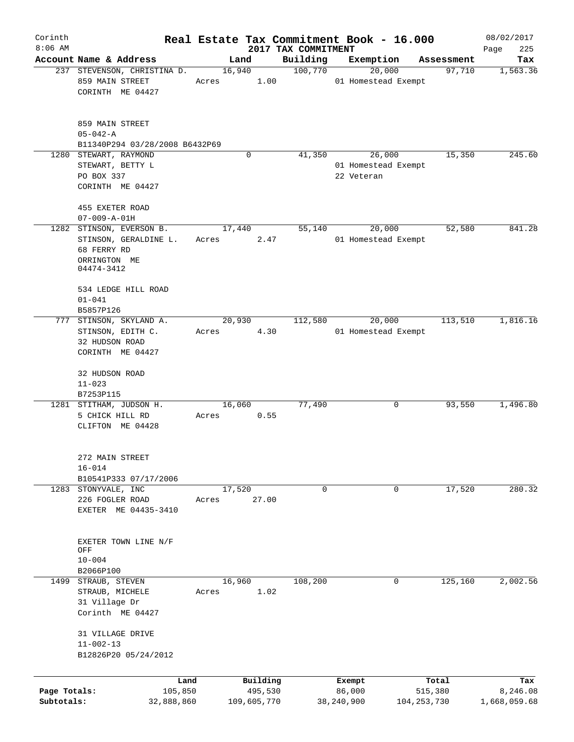| Corinth<br>$8:06$ AM       |                                                                                                |         |                 |                        | Real Estate Tax Commitment Book - 16.000<br>2017 TAX COMMITMENT |                                   |               |            | 08/02/2017<br>225<br>Page |
|----------------------------|------------------------------------------------------------------------------------------------|---------|-----------------|------------------------|-----------------------------------------------------------------|-----------------------------------|---------------|------------|---------------------------|
|                            | Account Name & Address                                                                         |         | Land            |                        | Building                                                        | Exemption                         |               | Assessment | Tax                       |
|                            | 237 STEVENSON, CHRISTINA D.                                                                    |         | 16,940          |                        | 100,770                                                         | 20,000                            |               | 97,710     | 1,563.36                  |
|                            | 859 MAIN STREET<br>CORINTH ME 04427                                                            |         | Acres           | 1.00                   |                                                                 | 01 Homestead Exempt               |               |            |                           |
|                            | 859 MAIN STREET<br>$05 - 042 - A$<br>B11340P294 03/28/2008 B6432P69                            |         |                 |                        |                                                                 |                                   |               |            |                           |
|                            | 1280 STEWART, RAYMOND                                                                          |         |                 | 0                      | 41,350                                                          | 26,000                            |               | 15,350     | 245.60                    |
|                            | STEWART, BETTY L<br>PO BOX 337<br>CORINTH ME 04427                                             |         |                 |                        |                                                                 | 01 Homestead Exempt<br>22 Veteran |               |            |                           |
|                            | 455 EXETER ROAD                                                                                |         |                 |                        |                                                                 |                                   |               |            |                           |
|                            | $07 - 009 - A - 01H$                                                                           |         |                 |                        |                                                                 |                                   |               |            |                           |
|                            | 1282 STINSON, EVERSON B.<br>STINSON, GERALDINE L.<br>68 FERRY RD<br>ORRINGTON ME<br>04474-3412 |         | 17,440<br>Acres | 2.47                   | 55,140                                                          | 20,000<br>01 Homestead Exempt     |               | 52,580     | 841.28                    |
|                            | 534 LEDGE HILL ROAD<br>$01 - 041$<br>B5857P126                                                 |         |                 |                        |                                                                 |                                   |               |            |                           |
|                            | 777 STINSON, SKYLAND A.                                                                        |         | 20,930          |                        | 112,580                                                         | 20,000                            |               | 113,510    | 1,816.16                  |
|                            | STINSON, EDITH C.<br>32 HUDSON ROAD<br>CORINTH ME 04427                                        | Acres   |                 | 4.30                   |                                                                 | 01 Homestead Exempt               |               |            |                           |
|                            | 32 HUDSON ROAD<br>$11 - 023$<br>B7253P115                                                      |         |                 |                        |                                                                 |                                   |               |            |                           |
|                            | 1281 STITHAM, JUDSON H.                                                                        |         | 16,060          |                        | 77,490                                                          | 0                                 |               | 93,550     | 1,496.80                  |
|                            | 5 CHICK HILL RD<br>CLIFTON ME 04428                                                            | Acres   |                 | 0.55                   |                                                                 |                                   |               |            |                           |
|                            | 272 MAIN STREET<br>$16 - 014$<br>B10541P333 07/17/2006                                         |         |                 |                        |                                                                 |                                   |               |            |                           |
|                            | 1283 STONYVALE, INC<br>226 FOGLER ROAD<br>EXETER ME 04435-3410                                 | Acres   | 17,520          | 27.00                  | 0                                                               | 0                                 |               | 17,520     | 280.32                    |
|                            | EXETER TOWN LINE N/F<br>OFF<br>$10 - 004$<br>B2066P100                                         |         |                 |                        |                                                                 |                                   |               |            |                           |
| 1499                       | STRAUB, STEVEN<br>STRAUB, MICHELE<br>31 Village Dr<br>Corinth ME 04427                         | Acres   | 16,960          | 1.02                   | 108,200                                                         | 0                                 |               | 125,160    | 2,002.56                  |
|                            | 31 VILLAGE DRIVE<br>$11 - 002 - 13$<br>B12826P20 05/24/2012                                    |         |                 |                        |                                                                 |                                   |               |            |                           |
|                            |                                                                                                | Land    |                 | Building               |                                                                 | Exempt                            |               | Total      | Tax                       |
| Page Totals:<br>Subtotals: | 32,888,860                                                                                     | 105,850 |                 | 495,530<br>109,605,770 |                                                                 | 86,000<br>38, 240, 900            | 104, 253, 730 | 515,380    | 8,246.08<br>1,668,059.68  |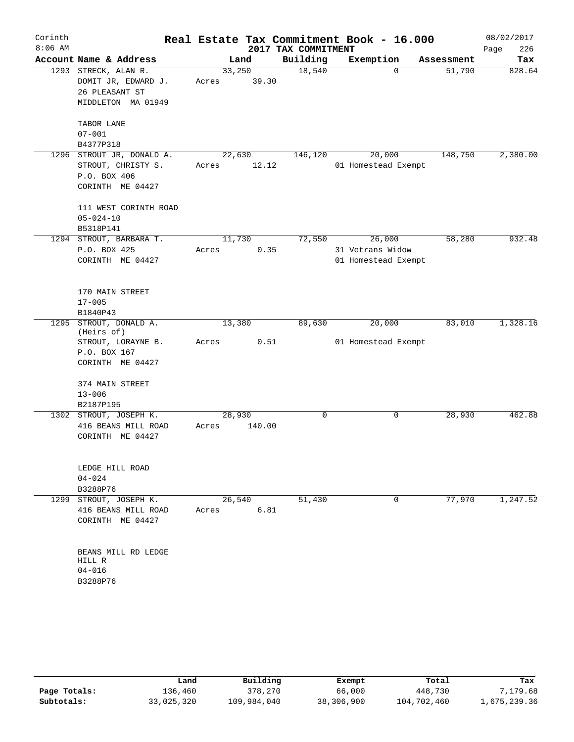| Corinth<br>$8:06$ AM |                                          |        |        | 2017 TAX COMMITMENT | Real Estate Tax Commitment Book - 16.000 |            | 08/02/2017<br>226<br>Page |
|----------------------|------------------------------------------|--------|--------|---------------------|------------------------------------------|------------|---------------------------|
|                      | Account Name & Address                   |        | Land   | Building            | Exemption                                | Assessment | Tax                       |
|                      | 1293 STRECK, ALAN R.                     | 33,250 |        | 18,540              | 0                                        | 51,790     | 828.64                    |
|                      | DOMIT JR, EDWARD J.                      | Acres  | 39.30  |                     |                                          |            |                           |
|                      | 26 PLEASANT ST                           |        |        |                     |                                          |            |                           |
|                      | MIDDLETON MA 01949                       |        |        |                     |                                          |            |                           |
|                      |                                          |        |        |                     |                                          |            |                           |
|                      | TABOR LANE                               |        |        |                     |                                          |            |                           |
|                      | $07 - 001$                               |        |        |                     |                                          |            |                           |
|                      | B4377P318                                |        |        |                     |                                          |            |                           |
|                      | 1296 STROUT JR, DONALD A.                | 22,630 |        | 146,120             | 20,000                                   | 148,750    | 2,380.00                  |
|                      | STROUT, CHRISTY S.                       | Acres  | 12.12  |                     | 01 Homestead Exempt                      |            |                           |
|                      | P.O. BOX 406                             |        |        |                     |                                          |            |                           |
|                      | CORINTH ME 04427                         |        |        |                     |                                          |            |                           |
|                      |                                          |        |        |                     |                                          |            |                           |
|                      | 111 WEST CORINTH ROAD<br>$05 - 024 - 10$ |        |        |                     |                                          |            |                           |
|                      | B5318P141                                |        |        |                     |                                          |            |                           |
|                      | 1294 STROUT, BARBARA T.                  | 11,730 |        | 72,550              | 26,000                                   | 58,280     | 932.48                    |
|                      | P.O. BOX 425                             | Acres  | 0.35   |                     | 31 Vetrans Widow                         |            |                           |
|                      | CORINTH ME 04427                         |        |        |                     | 01 Homestead Exempt                      |            |                           |
|                      |                                          |        |        |                     |                                          |            |                           |
|                      |                                          |        |        |                     |                                          |            |                           |
|                      | 170 MAIN STREET                          |        |        |                     |                                          |            |                           |
|                      | $17 - 005$                               |        |        |                     |                                          |            |                           |
|                      | B1840P43                                 |        |        |                     |                                          |            |                           |
| 1295                 | STROUT, DONALD A.                        | 13,380 |        | 89,630              | 20,000                                   | 83,010     | 1,328.16                  |
|                      | (Heirs of)<br>STROUT, LORAYNE B.         | Acres  | 0.51   |                     | 01 Homestead Exempt                      |            |                           |
|                      | P.O. BOX 167                             |        |        |                     |                                          |            |                           |
|                      | CORINTH ME 04427                         |        |        |                     |                                          |            |                           |
|                      |                                          |        |        |                     |                                          |            |                           |
|                      | 374 MAIN STREET                          |        |        |                     |                                          |            |                           |
|                      | $13 - 006$                               |        |        |                     |                                          |            |                           |
|                      | B2187P195                                |        |        |                     |                                          |            |                           |
|                      | 1302 STROUT, JOSEPH K.                   | 28,930 |        | 0                   | 0                                        | 28,930     | 462.88                    |
|                      | 416 BEANS MILL ROAD                      | Acres  | 140.00 |                     |                                          |            |                           |
|                      | CORINTH ME 04427                         |        |        |                     |                                          |            |                           |
|                      |                                          |        |        |                     |                                          |            |                           |
|                      |                                          |        |        |                     |                                          |            |                           |
|                      | LEDGE HILL ROAD                          |        |        |                     |                                          |            |                           |
|                      | $04 - 024$                               |        |        |                     |                                          |            |                           |
|                      | B3288P76<br>1299 STROUT, JOSEPH K.       | 26,540 |        | 51,430              | 0                                        | 77,970     | 1,247.52                  |
|                      | 416 BEANS MILL ROAD                      | Acres  | 6.81   |                     |                                          |            |                           |
|                      | CORINTH ME 04427                         |        |        |                     |                                          |            |                           |
|                      |                                          |        |        |                     |                                          |            |                           |
|                      |                                          |        |        |                     |                                          |            |                           |
|                      | BEANS MILL RD LEDGE                      |        |        |                     |                                          |            |                           |
|                      | HILL R                                   |        |        |                     |                                          |            |                           |
|                      | $04 - 016$                               |        |        |                     |                                          |            |                           |
|                      | B3288P76                                 |        |        |                     |                                          |            |                           |
|                      |                                          |        |        |                     |                                          |            |                           |

|              | Land       | Building    | Exempt     | Total       | Tax          |
|--------------|------------|-------------|------------|-------------|--------------|
| Page Totals: | 136,460    | 378,270     | 66,000     | 448,730     | 7,179.68     |
| Subtotals:   | 33,025,320 | 109,984,040 | 38,306,900 | 104,702,460 | 1,675,239.36 |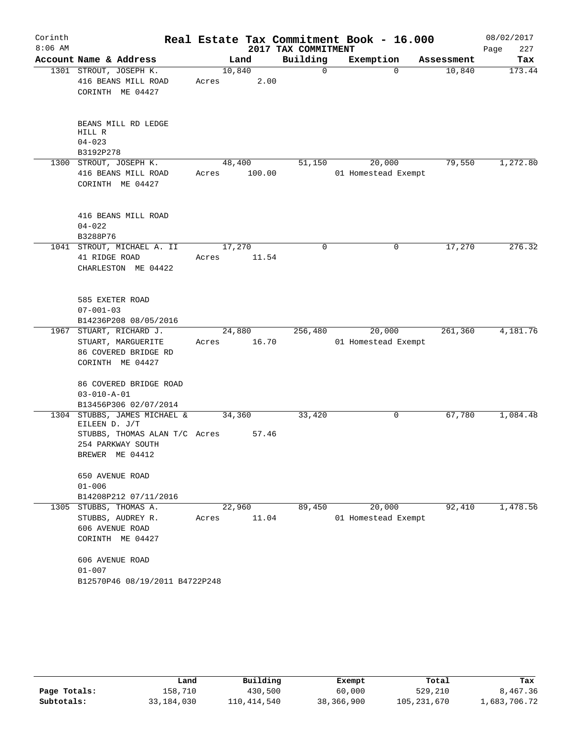| Corinth<br>$8:06$ AM |                                                                                                                        |                 |        | 2017 TAX COMMITMENT | Real Estate Tax Commitment Book - 16.000 |                    | 08/02/2017<br>227<br>Page |
|----------------------|------------------------------------------------------------------------------------------------------------------------|-----------------|--------|---------------------|------------------------------------------|--------------------|---------------------------|
|                      | Account Name & Address                                                                                                 |                 | Land   | Building            | Exemption                                | Assessment         | Tax                       |
|                      | 1301 STROUT, JOSEPH K.<br>416 BEANS MILL ROAD<br>CORINTH ME 04427                                                      | 10,840<br>Acres | 2.00   | 0                   |                                          | $\Omega$<br>10,840 | 173.44                    |
|                      | BEANS MILL RD LEDGE<br>HILL R<br>$04 - 023$<br>B3192P278                                                               |                 |        |                     |                                          |                    |                           |
|                      | 1300 STROUT, JOSEPH K.<br>416 BEANS MILL ROAD<br>CORINTH ME 04427                                                      | 48,400<br>Acres | 100.00 | 51,150              | 20,000<br>01 Homestead Exempt            | 79,550             | 1,272.80                  |
|                      | 416 BEANS MILL ROAD<br>$04 - 022$<br>B3288P76                                                                          |                 |        |                     |                                          |                    |                           |
|                      | 1041 STROUT, MICHAEL A. II<br>41 RIDGE ROAD<br>CHARLESTON ME 04422                                                     | 17,270<br>Acres | 11.54  | 0                   |                                          | 17,270<br>0        | 276.32                    |
|                      | 585 EXETER ROAD<br>$07 - 001 - 03$<br>B14236P208 08/05/2016                                                            |                 |        |                     |                                          |                    |                           |
|                      | 1967 STUART, RICHARD J.                                                                                                | 24,880          |        | 256,480             | 20,000                                   | 261,360            | 4,181.76                  |
|                      | STUART, MARGUERITE<br>86 COVERED BRIDGE RD<br>CORINTH ME 04427                                                         | Acres           | 16.70  |                     | 01 Homestead Exempt                      |                    |                           |
|                      | 86 COVERED BRIDGE ROAD<br>$03 - 010 - A - 01$<br>B13456P306 02/07/2014                                                 |                 |        |                     |                                          |                    |                           |
|                      | 1304 STUBBS, JAMES MICHAEL &<br>EILEEN D. J/T<br>STUBBS, THOMAS ALAN T/C Acres<br>254 PARKWAY SOUTH<br>BREWER ME 04412 | 34,360          | 57.46  | 33,420              |                                          | 67,780<br>0        | 1,084.48                  |
|                      | 650 AVENUE ROAD<br>$01 - 006$<br>B14208P212 07/11/2016                                                                 |                 |        |                     |                                          |                    |                           |
| 1305                 | STUBBS, THOMAS A.<br>STUBBS, AUDREY R.<br>606 AVENUE ROAD<br>CORINTH ME 04427                                          | 22,960<br>Acres | 11.04  | 89,450              | 20,000<br>01 Homestead Exempt            | 92,410             | 1,478.56                  |
|                      | 606 AVENUE ROAD<br>$01 - 007$<br>B12570P46 08/19/2011 B4722P248                                                        |                 |        |                     |                                          |                    |                           |

|              | Land         | Building    | Exempt     | Total         | Tax          |
|--------------|--------------|-------------|------------|---------------|--------------|
| Page Totals: | 158,710      | 430,500     | 60,000     | 529,210       | 8,467.36     |
| Subtotals:   | 33, 184, 030 | 110,414,540 | 38,366,900 | 105, 231, 670 | 1,683,706.72 |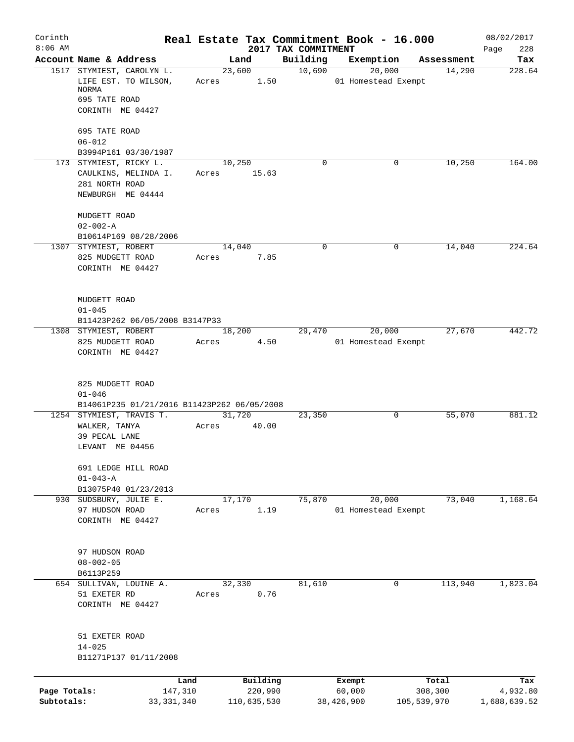| Corinth      |                                                |              | Real Estate Tax Commitment Book - 16.000 |      |                                 |            |                     |            | 08/02/2017         |
|--------------|------------------------------------------------|--------------|------------------------------------------|------|---------------------------------|------------|---------------------|------------|--------------------|
| $8:06$ AM    | Account Name & Address                         |              | Land                                     |      | 2017 TAX COMMITMENT<br>Building | Exemption  |                     | Assessment | 228<br>Page<br>Tax |
|              | 1517 STYMIEST, CAROLYN L.                      |              | 23,600                                   |      | 10,690                          |            | 20,000              | 14,290     | 228.64             |
|              | LIFE EST. TO WILSON,<br>NORMA                  |              | Acres                                    | 1.50 |                                 |            | 01 Homestead Exempt |            |                    |
|              | 695 TATE ROAD                                  |              |                                          |      |                                 |            |                     |            |                    |
|              | CORINTH ME 04427                               |              |                                          |      |                                 |            |                     |            |                    |
|              | 695 TATE ROAD                                  |              |                                          |      |                                 |            |                     |            |                    |
|              | $06 - 012$<br>B3994P161 03/30/1987             |              |                                          |      |                                 |            |                     |            |                    |
|              | 173 STYMIEST, RICKY L.                         |              | 10,250                                   |      | $\Omega$                        |            | 0                   | 10,250     | 164.00             |
|              | CAULKINS, MELINDA I.                           |              | Acres 15.63                              |      |                                 |            |                     |            |                    |
|              | 281 NORTH ROAD                                 |              |                                          |      |                                 |            |                     |            |                    |
|              | NEWBURGH ME 04444                              |              |                                          |      |                                 |            |                     |            |                    |
|              | MUDGETT ROAD                                   |              |                                          |      |                                 |            |                     |            |                    |
|              | $02 - 002 - A$                                 |              |                                          |      |                                 |            |                     |            |                    |
|              | B10614P169 08/28/2006<br>1307 STYMIEST, ROBERT |              | 14,040                                   |      | $\mathbf 0$                     |            | 0                   | 14,040     | 224.64             |
|              | 825 MUDGETT ROAD                               |              | Acres 7.85                               |      |                                 |            |                     |            |                    |
|              | CORINTH ME 04427                               |              |                                          |      |                                 |            |                     |            |                    |
|              |                                                |              |                                          |      |                                 |            |                     |            |                    |
|              | MUDGETT ROAD                                   |              |                                          |      |                                 |            |                     |            |                    |
|              | $01 - 045$                                     |              |                                          |      |                                 |            |                     |            |                    |
|              | B11423P262 06/05/2008 B3147P33                 |              |                                          |      |                                 |            |                     |            |                    |
|              | 1308 STYMIEST, ROBERT                          |              | 18,200                                   |      | 29,470                          |            | 20,000              | 27,670     | 442.72             |
|              | 825 MUDGETT ROAD<br>CORINTH ME 04427           | Acres        |                                          | 4.50 |                                 |            | 01 Homestead Exempt |            |                    |
|              |                                                |              |                                          |      |                                 |            |                     |            |                    |
|              | 825 MUDGETT ROAD                               |              |                                          |      |                                 |            |                     |            |                    |
|              | $01 - 046$                                     |              |                                          |      |                                 |            |                     |            |                    |
|              | B14061P235 01/21/2016 B11423P262 06/05/2008    |              |                                          |      |                                 |            |                     |            |                    |
|              | 1254 STYMIEST, TRAVIS T.                       |              | 31,720                                   |      | 23,350                          |            | 0                   | 55,070     | 881.12             |
|              | WALKER, TANYA<br>39 PECAL LANE                 | Acres        | 40.00                                    |      |                                 |            |                     |            |                    |
|              | LEVANT ME 04456                                |              |                                          |      |                                 |            |                     |            |                    |
|              | 691 LEDGE HILL ROAD                            |              |                                          |      |                                 |            |                     |            |                    |
|              | $01 - 043 - A$                                 |              |                                          |      |                                 |            |                     |            |                    |
|              | B13075P40 01/23/2013                           |              |                                          |      |                                 |            |                     |            |                    |
|              | 930 SUDSBURY, JULIE E.                         |              | 17,170                                   |      | 75,870                          |            | 20,000              | 73,040     | 1,168.64           |
|              | 97 HUDSON ROAD<br>CORINTH ME 04427             | Acres        |                                          | 1.19 |                                 |            | 01 Homestead Exempt |            |                    |
|              |                                                |              |                                          |      |                                 |            |                     |            |                    |
|              | 97 HUDSON ROAD                                 |              |                                          |      |                                 |            |                     |            |                    |
|              | $08 - 002 - 05$                                |              |                                          |      |                                 |            |                     |            |                    |
|              | B6113P259                                      |              |                                          |      |                                 |            |                     |            |                    |
|              | 654 SULLIVAN, LOUINE A.                        |              | 32,330                                   |      | 81,610                          |            | 0                   | 113,940    | 1,823.04           |
|              | 51 EXETER RD                                   | Acres        |                                          | 0.76 |                                 |            |                     |            |                    |
|              | CORINTH ME 04427                               |              |                                          |      |                                 |            |                     |            |                    |
|              | 51 EXETER ROAD                                 |              |                                          |      |                                 |            |                     |            |                    |
|              | $14 - 025$                                     |              |                                          |      |                                 |            |                     |            |                    |
|              | B11271P137 01/11/2008                          |              |                                          |      |                                 |            |                     |            |                    |
|              |                                                | Land         | Building                                 |      |                                 | Exempt     |                     | Total      | Tax                |
| Page Totals: |                                                | 147,310      | 220,990                                  |      |                                 | 60,000     |                     | 308,300    | 4,932.80           |
| Subtotals:   |                                                | 33, 331, 340 | 110,635,530                              |      |                                 | 38,426,900 | 105,539,970         |            | 1,688,639.52       |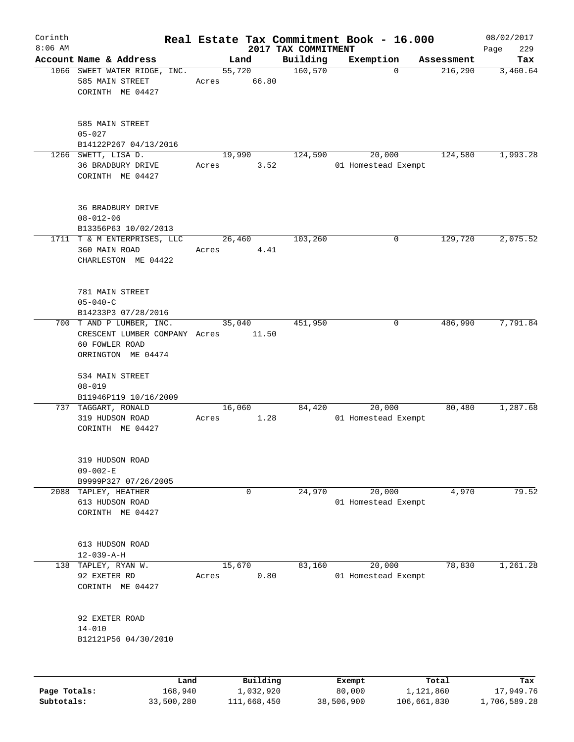| Corinth      |                                                                                                   |                 |                       |                      | Real Estate Tax Commitment Book - 16.000 |                       | 08/02/2017       |
|--------------|---------------------------------------------------------------------------------------------------|-----------------|-----------------------|----------------------|------------------------------------------|-----------------------|------------------|
| $8:06$ AM    |                                                                                                   |                 |                       | 2017 TAX COMMITMENT  |                                          |                       | 229<br>Page      |
|              | Account Name & Address<br>1066 SWEET WATER RIDGE, INC.<br>585 MAIN STREET<br>CORINTH ME 04427     | 55,720<br>Acres | Land<br>66.80         | Building<br>160, 570 | Exemption<br>$\Omega$                    | Assessment<br>216,290 | Tax<br>3,460.64  |
|              | 585 MAIN STREET<br>$05 - 027$<br>B14122P267 04/13/2016                                            |                 |                       |                      |                                          |                       |                  |
|              | 1266 SWETT, LISA D.<br>36 BRADBURY DRIVE<br>CORINTH ME 04427                                      | 19,990<br>Acres | 3.52                  | 124,590              | 20,000<br>01 Homestead Exempt            | 124,580               | 1,993.28         |
|              | <b>36 BRADBURY DRIVE</b><br>$08 - 012 - 06$<br>B13356P63 10/02/2013                               |                 |                       |                      |                                          |                       |                  |
|              | 1711 T & M ENTERPRISES, LLC<br>360 MAIN ROAD<br>CHARLESTON ME 04422                               | 26,460<br>Acres | 4.41                  | 103,260              | 0                                        | 129,720               | 2,075.52         |
|              | 781 MAIN STREET<br>$05 - 040 - C$<br>B14233P3 07/28/2016                                          |                 |                       |                      |                                          |                       |                  |
|              | 700 T AND P LUMBER, INC.<br>CRESCENT LUMBER COMPANY Acres<br>60 FOWLER ROAD<br>ORRINGTON ME 04474 | 35,040          | 11.50                 | 451,950              | 0                                        | 486,990               | 7,791.84         |
|              | 534 MAIN STREET<br>$08 - 019$<br>B11946P119 10/16/2009                                            |                 |                       |                      |                                          |                       |                  |
|              | 737 TAGGART, RONALD<br>319 HUDSON ROAD<br>CORINTH ME 04427                                        | 16,060<br>Acres | 1.28                  | 84,420               | 20,000<br>01 Homestead Exempt            | 80,480                | 1,287.68         |
|              | 319 HUDSON ROAD<br>$09 - 002 - E$<br>B9999P327 07/26/2005                                         |                 |                       |                      |                                          |                       |                  |
| 2088         | TAPLEY, HEATHER<br>613 HUDSON ROAD<br>CORINTH ME 04427                                            |                 | 0                     | 24,970               | 20,000<br>01 Homestead Exempt            | 4,970                 | 79.52            |
|              | 613 HUDSON ROAD<br>$12 - 039 - A - H$                                                             |                 |                       |                      |                                          |                       |                  |
| 138          | TAPLEY, RYAN W.<br>92 EXETER RD<br>CORINTH ME 04427                                               | 15,670<br>Acres | 0.80                  | 83,160               | 20,000<br>01 Homestead Exempt            | 78,830                | 1,261.28         |
|              | 92 EXETER ROAD<br>$14 - 010$<br>B12121P56 04/30/2010                                              |                 |                       |                      |                                          |                       |                  |
|              |                                                                                                   |                 |                       |                      |                                          |                       |                  |
| Page Totals: | Land<br>168,940                                                                                   |                 | Building<br>1,032,920 |                      | Exempt<br>80,000                         | Total<br>1,121,860    | Tax<br>17,949.76 |

**Subtotals:** 33,500,280 111,668,450 38,506,900 106,661,830 1,706,589.28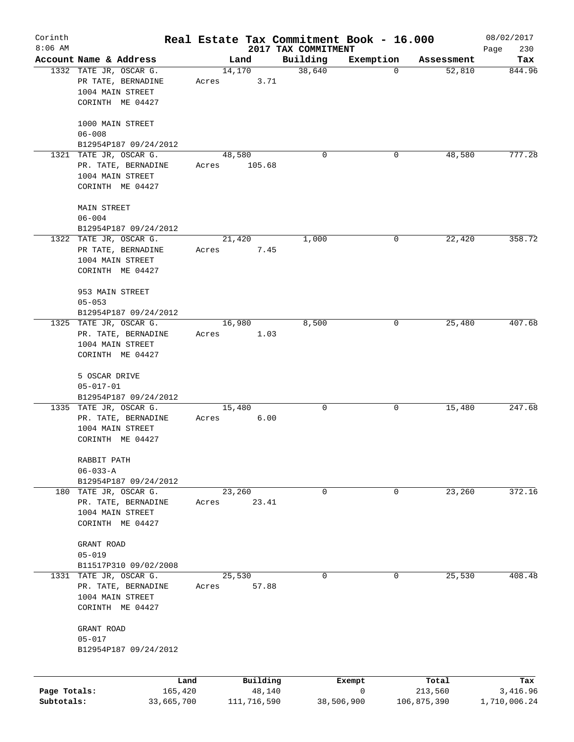| Corinth      |                                                                                       |                 |                  | Real Estate Tax Commitment Book - 16.000 |             |             | 08/02/2017    |
|--------------|---------------------------------------------------------------------------------------|-----------------|------------------|------------------------------------------|-------------|-------------|---------------|
| $8:06$ AM    |                                                                                       |                 |                  | 2017 TAX COMMITMENT                      |             |             | Page<br>230   |
|              | Account Name & Address                                                                |                 | Land             | Building                                 | Exemption   | Assessment  | Tax<br>844.96 |
|              | 1332 TATE JR, OSCAR G.<br>PR TATE, BERNADINE<br>1004 MAIN STREET                      | 14,170<br>Acres | 3.71             | 38,640                                   | 0           | 52,810      |               |
|              | CORINTH ME 04427                                                                      |                 |                  |                                          |             |             |               |
|              | 1000 MAIN STREET<br>$06 - 008$                                                        |                 |                  |                                          |             |             |               |
|              | B12954P187 09/24/2012                                                                 |                 |                  |                                          |             |             |               |
|              | 1321 TATE JR, OSCAR G.<br>PR. TATE, BERNADINE<br>1004 MAIN STREET<br>CORINTH ME 04427 | Acres           | 48,580<br>105.68 | 0                                        | 0           | 48,580      | 777.28        |
|              | MAIN STREET<br>$06 - 004$                                                             |                 |                  |                                          |             |             |               |
|              | B12954P187 09/24/2012                                                                 |                 |                  |                                          |             |             |               |
|              | 1322 TATE JR, OSCAR G.                                                                |                 | 21,420           | 1,000                                    | 0           | 22,420      | 358.72        |
|              | PR TATE, BERNADINE<br>1004 MAIN STREET<br>CORINTH ME 04427                            | Acres           | 7.45             |                                          |             |             |               |
|              |                                                                                       |                 |                  |                                          |             |             |               |
|              | 953 MAIN STREET                                                                       |                 |                  |                                          |             |             |               |
|              | $05 - 053$                                                                            |                 |                  |                                          |             |             |               |
|              | B12954P187 09/24/2012                                                                 |                 |                  |                                          |             |             |               |
|              | 1325 TATE JR, OSCAR G.                                                                |                 | 16,980           | 8,500                                    | 0           | 25,480      | 407.68        |
|              | PR. TATE, BERNADINE<br>1004 MAIN STREET                                               | Acres           | 1.03             |                                          |             |             |               |
|              | CORINTH ME 04427                                                                      |                 |                  |                                          |             |             |               |
|              |                                                                                       |                 |                  |                                          |             |             |               |
|              | 5 OSCAR DRIVE                                                                         |                 |                  |                                          |             |             |               |
|              | $05 - 017 - 01$                                                                       |                 |                  |                                          |             |             |               |
|              | B12954P187 09/24/2012                                                                 |                 |                  |                                          |             |             |               |
|              | 1335 TATE JR, OSCAR G.                                                                | 15,480          |                  | 0                                        | 0           | 15,480      | 247.68        |
|              | PR. TATE, BERNADINE<br>1004 MAIN STREET                                               | Acres           | 6.00             |                                          |             |             |               |
|              | CORINTH ME 04427                                                                      |                 |                  |                                          |             |             |               |
|              |                                                                                       |                 |                  |                                          |             |             |               |
|              | RABBIT PATH                                                                           |                 |                  |                                          |             |             |               |
|              | $06 - 033 - A$                                                                        |                 |                  |                                          |             |             |               |
|              | B12954P187 09/24/2012                                                                 |                 |                  |                                          |             | 23,260      | 372.16        |
|              | 180 TATE JR, OSCAR G.<br>PR. TATE, BERNADINE                                          | Acres           | 23,260<br>23.41  | 0                                        | 0           |             |               |
|              | 1004 MAIN STREET                                                                      |                 |                  |                                          |             |             |               |
|              | CORINTH ME 04427                                                                      |                 |                  |                                          |             |             |               |
|              |                                                                                       |                 |                  |                                          |             |             |               |
|              | GRANT ROAD                                                                            |                 |                  |                                          |             |             |               |
|              | $05 - 019$<br>B11517P310 09/02/2008                                                   |                 |                  |                                          |             |             |               |
|              | 1331 TATE JR, OSCAR G.                                                                |                 | 25,530           | 0                                        | 0           | 25,530      | 408.48        |
|              | PR. TATE, BERNADINE                                                                   | Acres           | 57.88            |                                          |             |             |               |
|              | 1004 MAIN STREET                                                                      |                 |                  |                                          |             |             |               |
|              | CORINTH ME 04427                                                                      |                 |                  |                                          |             |             |               |
|              |                                                                                       |                 |                  |                                          |             |             |               |
|              | GRANT ROAD<br>$05 - 017$                                                              |                 |                  |                                          |             |             |               |
|              | B12954P187 09/24/2012                                                                 |                 |                  |                                          |             |             |               |
|              |                                                                                       |                 |                  |                                          |             |             |               |
|              | Land                                                                                  |                 | Building         |                                          | Exempt      | Total       | Tax           |
| Page Totals: | 165,420                                                                               |                 | 48,140           |                                          | $\mathbf 0$ | 213,560     | 3,416.96      |
| Subtotals:   | 33,665,700                                                                            |                 | 111,716,590      |                                          | 38,506,900  | 106,875,390 | 1,710,006.24  |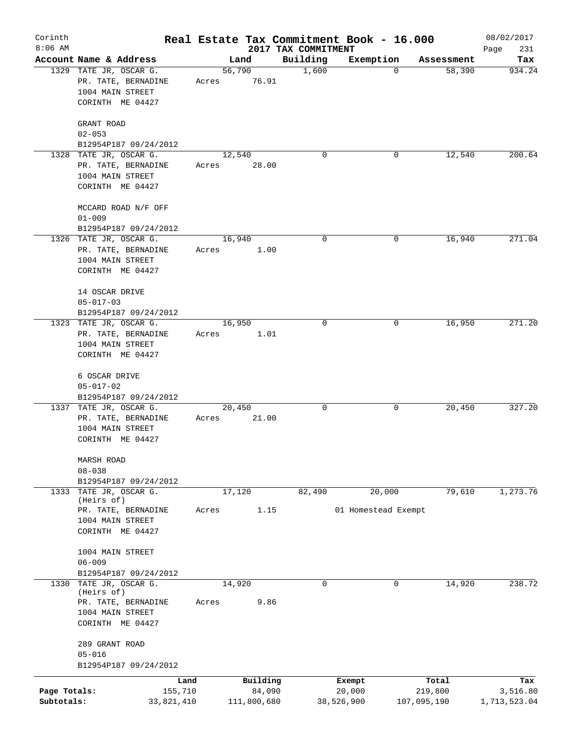| Corinth      |                                                  |       |                    |                     | Real Estate Tax Commitment Book - 16.000 |                      | 08/02/2017      |
|--------------|--------------------------------------------------|-------|--------------------|---------------------|------------------------------------------|----------------------|-----------------|
| $8:06$ AM    |                                                  |       |                    | 2017 TAX COMMITMENT |                                          |                      | Page<br>231     |
|              | Account Name & Address<br>1329 TATE JR, OSCAR G. |       | Land<br>56,790     | Building<br>1,600   | Exemption<br>$\mathbf 0$                 | Assessment<br>58,390 | Tax<br>934.24   |
|              | PR. TATE, BERNADINE<br>1004 MAIN STREET          | Acres | 76.91              |                     |                                          |                      |                 |
|              | CORINTH ME 04427                                 |       |                    |                     |                                          |                      |                 |
|              | GRANT ROAD                                       |       |                    |                     |                                          |                      |                 |
|              | $02 - 053$<br>B12954P187 09/24/2012              |       |                    |                     |                                          |                      |                 |
|              | 1328 TATE JR, OSCAR G.                           |       | 12,540             | $\Omega$            | 0                                        | 12,540               | 200.64          |
|              | PR. TATE, BERNADINE                              | Acres | 28.00              |                     |                                          |                      |                 |
|              | 1004 MAIN STREET<br>CORINTH ME 04427             |       |                    |                     |                                          |                      |                 |
|              | MCCARD ROAD N/F OFF                              |       |                    |                     |                                          |                      |                 |
|              | $01 - 009$                                       |       |                    |                     |                                          |                      |                 |
|              | B12954P187 09/24/2012                            |       |                    |                     |                                          |                      |                 |
|              | 1326 TATE JR, OSCAR G.                           |       | 16,940             | 0                   | 0                                        | 16,940               | 271.04          |
|              | PR. TATE, BERNADINE                              | Acres | 1.00               |                     |                                          |                      |                 |
|              | 1004 MAIN STREET<br>CORINTH ME 04427             |       |                    |                     |                                          |                      |                 |
|              |                                                  |       |                    |                     |                                          |                      |                 |
|              | 14 OSCAR DRIVE                                   |       |                    |                     |                                          |                      |                 |
|              | $05 - 017 - 03$                                  |       |                    |                     |                                          |                      |                 |
|              | B12954P187 09/24/2012<br>1323 TATE JR, OSCAR G.  |       | 16,950             | 0                   | 0                                        | 16,950               | 271.20          |
|              | PR. TATE, BERNADINE                              | Acres | 1.01               |                     |                                          |                      |                 |
|              | 1004 MAIN STREET                                 |       |                    |                     |                                          |                      |                 |
|              | CORINTH ME 04427                                 |       |                    |                     |                                          |                      |                 |
|              | 6 OSCAR DRIVE                                    |       |                    |                     |                                          |                      |                 |
|              | $05 - 017 - 02$                                  |       |                    |                     |                                          |                      |                 |
|              | B12954P187 09/24/2012                            |       |                    |                     |                                          |                      |                 |
|              | 1337 TATE JR, OSCAR G.                           |       | 20,450             | 0                   | 0                                        | 20,450               | 327.20          |
|              | PR. TATE, BERNADINE                              | Acres | 21.00              |                     |                                          |                      |                 |
|              | 1004 MAIN STREET<br>CORINTH ME 04427             |       |                    |                     |                                          |                      |                 |
|              | MARSH ROAD                                       |       |                    |                     |                                          |                      |                 |
|              | $08 - 038$                                       |       |                    |                     |                                          |                      |                 |
|              | B12954P187 09/24/2012                            |       |                    |                     |                                          |                      |                 |
| 1333         | TATE JR, OSCAR G.                                |       | 17,120             | 82,490              | 20,000                                   | 79,610               | 1, 273.76       |
|              | (Heirs of)<br>PR. TATE, BERNADINE                | Acres | 1.15               |                     | 01 Homestead Exempt                      |                      |                 |
|              | 1004 MAIN STREET                                 |       |                    |                     |                                          |                      |                 |
|              | CORINTH ME 04427                                 |       |                    |                     |                                          |                      |                 |
|              | 1004 MAIN STREET                                 |       |                    |                     |                                          |                      |                 |
|              | $06 - 009$                                       |       |                    |                     |                                          |                      |                 |
|              | B12954P187 09/24/2012                            |       |                    |                     |                                          |                      |                 |
| 1330         | TATE JR, OSCAR G.<br>(Heirs of)                  |       | 14,920             | $\mathbf 0$         | 0                                        | 14,920               | 238.72          |
|              | PR. TATE, BERNADINE                              | Acres | 9.86               |                     |                                          |                      |                 |
|              | 1004 MAIN STREET                                 |       |                    |                     |                                          |                      |                 |
|              | CORINTH ME 04427                                 |       |                    |                     |                                          |                      |                 |
|              | 289 GRANT ROAD                                   |       |                    |                     |                                          |                      |                 |
|              | $05 - 016$                                       |       |                    |                     |                                          |                      |                 |
|              | B12954P187 09/24/2012                            |       |                    |                     |                                          |                      |                 |
| Page Totals: | Land<br>155,710                                  |       | Building<br>84,090 |                     | Exempt<br>20,000                         | Total<br>219,800     | Tax<br>3,516.80 |
| Subtotals:   | 33,821,410                                       |       | 111,800,680        |                     | 38,526,900                               | 107,095,190          | 1,713,523.04    |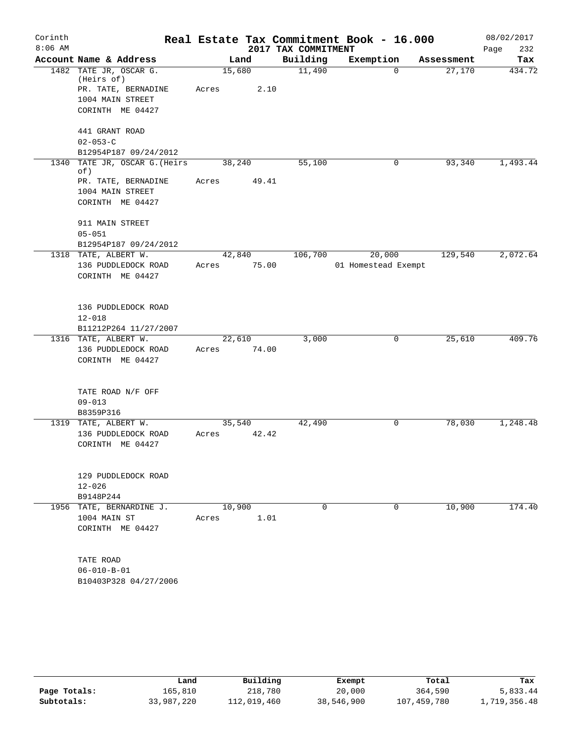| Corinth<br>$8:06$ AM |                                      |        |        | 2017 TAX COMMITMENT | Real Estate Tax Commitment Book - 16.000 |            | 08/02/2017<br>232<br>Page |
|----------------------|--------------------------------------|--------|--------|---------------------|------------------------------------------|------------|---------------------------|
|                      | Account Name & Address               |        | Land   | Building            | Exemption                                | Assessment | Tax                       |
|                      | 1482 TATE JR, OSCAR G.<br>(Heirs of) | 15,680 |        | 11,490              | $\Omega$                                 | 27,170     | 434.72                    |
|                      | PR. TATE, BERNADINE                  | Acres  | 2.10   |                     |                                          |            |                           |
|                      | 1004 MAIN STREET                     |        |        |                     |                                          |            |                           |
|                      | CORINTH ME 04427                     |        |        |                     |                                          |            |                           |
|                      |                                      |        |        |                     |                                          |            |                           |
|                      | 441 GRANT ROAD                       |        |        |                     |                                          |            |                           |
|                      | $02 - 053 - C$                       |        |        |                     |                                          |            |                           |
|                      | B12954P187 09/24/2012                |        |        |                     |                                          |            |                           |
|                      | 1340 TATE JR, OSCAR G. (Heirs<br>of) | 38,240 |        | 55,100              | 0                                        | 93,340     | 1,493.44                  |
|                      | PR. TATE, BERNADINE                  | Acres  | 49.41  |                     |                                          |            |                           |
|                      | 1004 MAIN STREET                     |        |        |                     |                                          |            |                           |
|                      | CORINTH ME 04427                     |        |        |                     |                                          |            |                           |
|                      |                                      |        |        |                     |                                          |            |                           |
|                      | 911 MAIN STREET                      |        |        |                     |                                          |            |                           |
|                      | $05 - 051$                           |        |        |                     |                                          |            |                           |
|                      | B12954P187 09/24/2012                |        |        |                     |                                          |            |                           |
|                      | 1318 TATE, ALBERT W.                 |        | 42,840 | 106,700             | 20,000                                   | 129,540    | 2,072.64                  |
|                      | 136 PUDDLEDOCK ROAD                  | Acres  | 75.00  |                     | 01 Homestead Exempt                      |            |                           |
|                      | CORINTH ME 04427                     |        |        |                     |                                          |            |                           |
|                      |                                      |        |        |                     |                                          |            |                           |
|                      | 136 PUDDLEDOCK ROAD                  |        |        |                     |                                          |            |                           |
|                      | $12 - 018$                           |        |        |                     |                                          |            |                           |
|                      | B11212P264 11/27/2007                |        |        |                     |                                          |            |                           |
|                      | 1316 TATE, ALBERT W.                 | 22,610 |        | 3,000               | 0                                        | 25,610     | 409.76                    |
|                      | 136 PUDDLEDOCK ROAD                  | Acres  | 74.00  |                     |                                          |            |                           |
|                      | CORINTH ME 04427                     |        |        |                     |                                          |            |                           |
|                      |                                      |        |        |                     |                                          |            |                           |
|                      | TATE ROAD N/F OFF                    |        |        |                     |                                          |            |                           |
|                      | $09 - 013$                           |        |        |                     |                                          |            |                           |
|                      | B8359P316                            |        |        |                     |                                          |            |                           |
|                      | 1319 TATE, ALBERT W.                 | 35,540 |        | 42,490              | 0                                        | 78,030     | 1,248.48                  |
|                      | 136 PUDDLEDOCK ROAD                  | Acres  | 42.42  |                     |                                          |            |                           |
|                      | CORINTH ME 04427                     |        |        |                     |                                          |            |                           |
|                      |                                      |        |        |                     |                                          |            |                           |
|                      |                                      |        |        |                     |                                          |            |                           |
|                      | 129 PUDDLEDOCK ROAD                  |        |        |                     |                                          |            |                           |
|                      | $12 - 026$                           |        |        |                     |                                          |            |                           |
|                      | B9148P244                            |        |        |                     |                                          |            |                           |
|                      | 1956 TATE, BERNARDINE J.             | 10,900 |        | $\Omega$            | 0                                        | 10,900     | 174.40                    |
|                      | 1004 MAIN ST                         | Acres  | 1.01   |                     |                                          |            |                           |
|                      | CORINTH ME 04427                     |        |        |                     |                                          |            |                           |
|                      |                                      |        |        |                     |                                          |            |                           |
|                      | TATE ROAD                            |        |        |                     |                                          |            |                           |
|                      | $06 - 010 - B - 01$                  |        |        |                     |                                          |            |                           |
|                      |                                      |        |        |                     |                                          |            |                           |
|                      | B10403P328 04/27/2006                |        |        |                     |                                          |            |                           |

|              | Land       | Building    | Exempt     | Total       | Tax          |
|--------------|------------|-------------|------------|-------------|--------------|
| Page Totals: | 165,810    | 218,780     | 20,000     | 364,590     | 5,833.44     |
| Subtotals:   | 33,987,220 | 112,019,460 | 38,546,900 | 107,459,780 | 1,719,356.48 |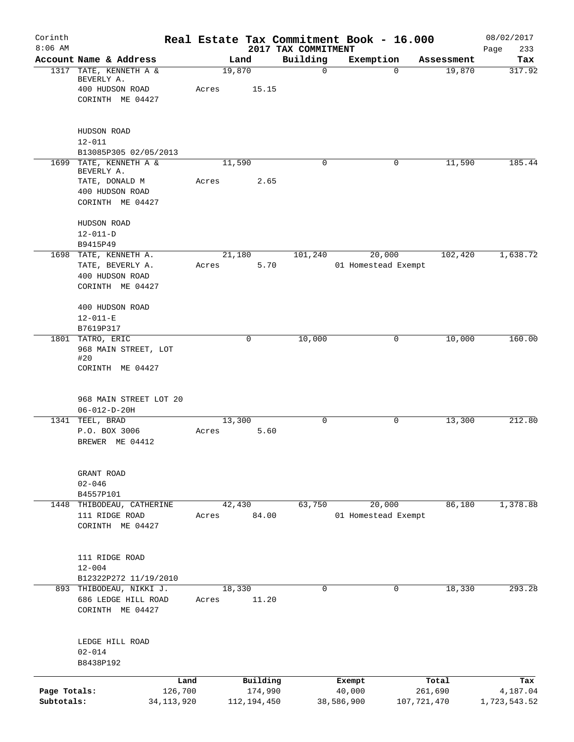| Corinth<br>$8:06$ AM       |                                                                                  |                         |       |                          | 2017 TAX COMMITMENT | Real Estate Tax Commitment Book - 16.000 |                        | 08/02/2017<br>233<br>Page |
|----------------------------|----------------------------------------------------------------------------------|-------------------------|-------|--------------------------|---------------------|------------------------------------------|------------------------|---------------------------|
|                            | Account Name & Address                                                           |                         |       | Land                     | Building            | Exemption                                | Assessment             | Tax                       |
|                            | 1317 TATE, KENNETH A &<br>BEVERLY A.<br>400 HUDSON ROAD<br>CORINTH ME 04427      |                         | Acres | 19,870<br>15.15          | $\mathbf 0$         | $\mathbf 0$                              | 19,870                 | 317.92                    |
|                            | HUDSON ROAD<br>$12 - 011$<br>B13085P305 02/05/2013                               |                         |       |                          |                     |                                          |                        |                           |
|                            | 1699 TATE, KENNETH A &                                                           |                         |       | 11,590                   | 0                   | 0                                        | 11,590                 | 185.44                    |
|                            | BEVERLY A.<br>TATE, DONALD M<br>400 HUDSON ROAD<br>CORINTH ME 04427              |                         | Acres | 2.65                     |                     |                                          |                        |                           |
|                            | HUDSON ROAD<br>$12 - 011 - D$                                                    |                         |       |                          |                     |                                          |                        |                           |
|                            | B9415P49                                                                         |                         |       |                          |                     |                                          |                        |                           |
|                            | 1698 TATE, KENNETH A.<br>TATE, BEVERLY A.<br>400 HUDSON ROAD<br>CORINTH ME 04427 |                         | Acres | 21,180<br>5.70           | 101,240             | 20,000<br>01 Homestead Exempt            | 102,420                | 1,638.72                  |
|                            | 400 HUDSON ROAD<br>$12 - 011 - E$                                                |                         |       |                          |                     |                                          |                        |                           |
|                            | B7619P317<br>1801 TATRO, ERIC                                                    |                         |       | $\mathbf 0$              | 10,000              | 0                                        | 10,000                 | 160.00                    |
|                            | 968 MAIN STREET, LOT<br>#20<br>CORINTH ME 04427                                  |                         |       |                          |                     |                                          |                        |                           |
|                            | 968 MAIN STREET LOT 20<br>$06 - 012 - D - 20H$                                   |                         |       |                          |                     |                                          |                        |                           |
| 1341                       | TEEL, BRAD<br>P.O. BOX 3006<br>BREWER ME 04412                                   |                         | Acres | 13,300<br>5.60           | $\mathbf 0$         | 0                                        | 13,300                 | 212.80                    |
|                            | GRANT ROAD<br>$02 - 046$                                                         |                         |       |                          |                     |                                          |                        |                           |
|                            | B4557P101<br>1448 THIBODEAU, CATHERINE                                           |                         |       | 42,430                   | 63,750              | 20,000                                   | 86,180                 | 1,378.88                  |
|                            | 111 RIDGE ROAD<br>CORINTH ME 04427                                               |                         | Acres | 84.00                    |                     | 01 Homestead Exempt                      |                        |                           |
|                            | 111 RIDGE ROAD<br>$12 - 004$<br>B12322P272 11/19/2010                            |                         |       |                          |                     |                                          |                        |                           |
|                            | 893 THIBODEAU, NIKKI J.<br>686 LEDGE HILL ROAD<br>CORINTH ME 04427               |                         | Acres | 18,330<br>11.20          | $\mathbf 0$         | 0                                        | 18,330                 | 293.28                    |
|                            | LEDGE HILL ROAD<br>$02 - 014$<br>B8438P192                                       |                         |       |                          |                     |                                          |                        |                           |
|                            |                                                                                  | Land                    |       | Building                 |                     | Exempt                                   | Total                  | Tax                       |
| Page Totals:<br>Subtotals: |                                                                                  | 126,700<br>34, 113, 920 |       | 174,990<br>112, 194, 450 |                     | 40,000<br>38,586,900                     | 261,690<br>107,721,470 | 4,187.04<br>1,723,543.52  |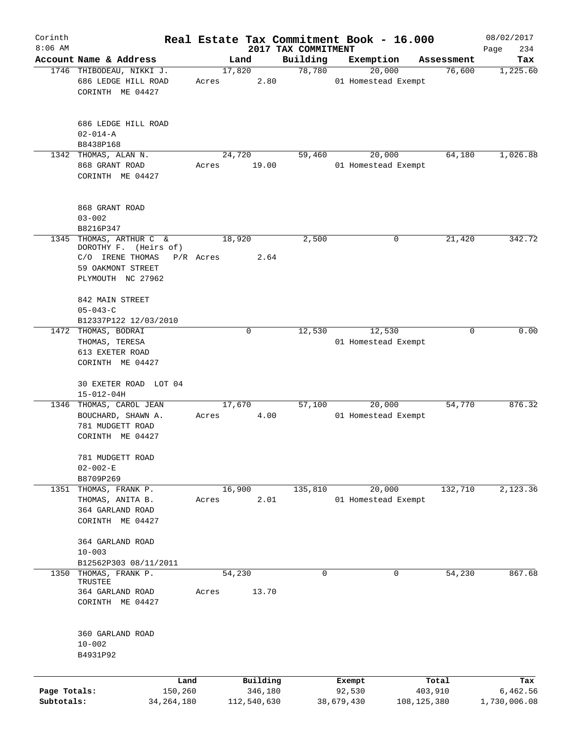| Corinth      |                                              |           |             |                                 | Real Estate Tax Commitment Book - 16.000 |             | 08/02/2017         |
|--------------|----------------------------------------------|-----------|-------------|---------------------------------|------------------------------------------|-------------|--------------------|
| $8:06$ AM    | Account Name & Address                       |           | Land        | 2017 TAX COMMITMENT<br>Building | Exemption                                | Assessment  | Page<br>234<br>Tax |
|              | 1746 THIBODEAU, NIKKI J.                     | 17,820    |             | 78,780                          | 20,000                                   | 76,600      | 1,225.60           |
|              | 686 LEDGE HILL ROAD<br>CORINTH ME 04427      | Acres     | 2.80        |                                 | 01 Homestead Exempt                      |             |                    |
|              | 686 LEDGE HILL ROAD<br>$02 - 014 - A$        |           |             |                                 |                                          |             |                    |
|              | B8438P168<br>1342 THOMAS, ALAN N.            | 24,720    |             | 59,460                          | 20,000                                   | 64,180      | 1,026.88           |
|              | 868 GRANT ROAD<br>CORINTH ME 04427           | Acres     | 19.00       |                                 | 01 Homestead Exempt                      |             |                    |
|              | 868 GRANT ROAD<br>$03 - 002$                 |           |             |                                 |                                          |             |                    |
| 1345         | B8216P347<br>THOMAS, ARTHUR C &              | 18,920    |             |                                 | 0                                        |             | 342.72             |
|              | DOROTHY F. (Heirs of)<br>C/O IRENE THOMAS    | P/R Acres | 2.64        | 2,500                           |                                          | 21,420      |                    |
|              | 59 OAKMONT STREET<br>PLYMOUTH NC 27962       |           |             |                                 |                                          |             |                    |
|              | 842 MAIN STREET                              |           |             |                                 |                                          |             |                    |
|              | $05 - 043 - C$                               |           |             |                                 |                                          |             |                    |
|              | B12337P122 12/03/2010<br>1472 THOMAS, BODRAI |           | 0           | 12,530                          | 12,530                                   | 0           | 0.00               |
|              | THOMAS, TERESA                               |           |             |                                 | 01 Homestead Exempt                      |             |                    |
|              | 613 EXETER ROAD                              |           |             |                                 |                                          |             |                    |
|              | CORINTH ME 04427                             |           |             |                                 |                                          |             |                    |
|              | 30 EXETER ROAD LOT 04<br>$15 - 012 - 04H$    |           |             |                                 |                                          |             |                    |
|              | 1346 THOMAS, CAROL JEAN                      | 17,670    |             | 57,100                          | 20,000                                   | 54,770      | 876.32             |
|              | BOUCHARD, SHAWN A.                           | Acres     | 4.00        |                                 | 01 Homestead Exempt                      |             |                    |
|              | 781 MUDGETT ROAD<br>CORINTH ME 04427         |           |             |                                 |                                          |             |                    |
|              | 781 MUDGETT ROAD<br>$02 - 002 - E$           |           |             |                                 |                                          |             |                    |
|              | B8709P269                                    |           |             |                                 |                                          |             |                    |
|              | 1351 THOMAS, FRANK P.                        | 16,900    |             | 135,810                         | 20,000                                   | 132,710     | 2,123.36           |
|              | THOMAS, ANITA B.<br>364 GARLAND ROAD         | Acres     | 2.01        |                                 | 01 Homestead Exempt                      |             |                    |
|              | CORINTH ME 04427                             |           |             |                                 |                                          |             |                    |
|              | 364 GARLAND ROAD                             |           |             |                                 |                                          |             |                    |
|              | $10 - 003$<br>B12562P303 08/11/2011          |           |             |                                 |                                          |             |                    |
| 1350         | THOMAS, FRANK P.<br>TRUSTEE                  | 54,230    |             | $\mathbf 0$                     | 0                                        | 54,230      | 867.68             |
|              | 364 GARLAND ROAD                             | Acres     | 13.70       |                                 |                                          |             |                    |
|              | CORINTH ME 04427                             |           |             |                                 |                                          |             |                    |
|              | 360 GARLAND ROAD                             |           |             |                                 |                                          |             |                    |
|              | $10 - 002$                                   |           |             |                                 |                                          |             |                    |
|              | B4931P92                                     |           |             |                                 |                                          |             |                    |
|              | Land                                         |           | Building    |                                 | Exempt                                   | Total       | Tax                |
| Page Totals: | 150,260                                      |           | 346,180     |                                 | 92,530                                   | 403,910     | 6,462.56           |
| Subtotals:   | 34,264,180                                   |           | 112,540,630 |                                 | 38,679,430                               | 108,125,380 | 1,730,006.08       |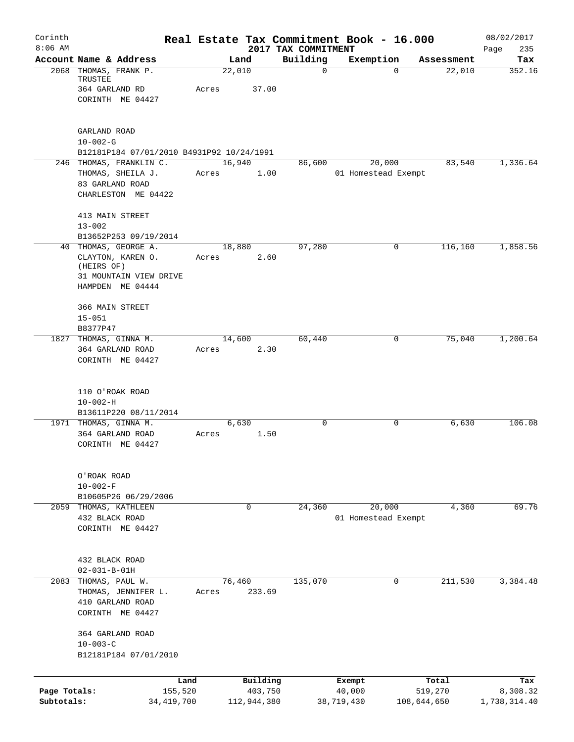| Corinth<br>$8:06$ AM |                                                                      |            |       |                  |                                 | Real Estate Tax Commitment Book - 16.000 |             |            | 08/02/2017         |
|----------------------|----------------------------------------------------------------------|------------|-------|------------------|---------------------------------|------------------------------------------|-------------|------------|--------------------|
|                      | Account Name & Address                                               |            |       | Land             | 2017 TAX COMMITMENT<br>Building | Exemption                                |             | Assessment | 235<br>Page<br>Tax |
|                      | 2068 THOMAS, FRANK P.<br>TRUSTEE                                     |            |       | 22,010           | $\mathbf 0$                     |                                          | $\Omega$    | 22,010     | 352.16             |
|                      | 364 GARLAND RD                                                       |            | Acres | 37.00            |                                 |                                          |             |            |                    |
|                      | CORINTH ME 04427                                                     |            |       |                  |                                 |                                          |             |            |                    |
|                      | GARLAND ROAD                                                         |            |       |                  |                                 |                                          |             |            |                    |
|                      | $10 - 002 - G$                                                       |            |       |                  |                                 |                                          |             |            |                    |
|                      | B12181P184 07/01/2010 B4931P92 10/24/1991<br>246 THOMAS, FRANKLIN C. |            |       | 16,940           | 86,600                          | 20,000                                   |             | 83,540     | 1,336.64           |
|                      | THOMAS, SHEILA J.                                                    |            | Acres | 1.00             |                                 | 01 Homestead Exempt                      |             |            |                    |
|                      | 83 GARLAND ROAD                                                      |            |       |                  |                                 |                                          |             |            |                    |
|                      | CHARLESTON ME 04422                                                  |            |       |                  |                                 |                                          |             |            |                    |
|                      | 413 MAIN STREET                                                      |            |       |                  |                                 |                                          |             |            |                    |
|                      | $13 - 002$<br>B13652P253 09/19/2014                                  |            |       |                  |                                 |                                          |             |            |                    |
|                      | 40 THOMAS, GEORGE A.                                                 |            |       | 18,880           | 97,280                          |                                          | 0           | 116,160    | 1,858.56           |
|                      | CLAYTON, KAREN O.                                                    |            | Acres | 2.60             |                                 |                                          |             |            |                    |
|                      | (HEIRS OF)                                                           |            |       |                  |                                 |                                          |             |            |                    |
|                      | 31 MOUNTAIN VIEW DRIVE<br>HAMPDEN ME 04444                           |            |       |                  |                                 |                                          |             |            |                    |
|                      |                                                                      |            |       |                  |                                 |                                          |             |            |                    |
|                      | 366 MAIN STREET                                                      |            |       |                  |                                 |                                          |             |            |                    |
|                      | $15 - 051$                                                           |            |       |                  |                                 |                                          |             |            |                    |
|                      | B8377P47<br>1827 THOMAS, GINNA M.                                    |            |       | 14,600           | 60,440                          |                                          | 0           | 75,040     | 1,200.64           |
|                      | 364 GARLAND ROAD                                                     |            | Acres | 2.30             |                                 |                                          |             |            |                    |
|                      | CORINTH ME 04427                                                     |            |       |                  |                                 |                                          |             |            |                    |
|                      | 110 O'ROAK ROAD                                                      |            |       |                  |                                 |                                          |             |            |                    |
|                      | $10 - 002 - H$                                                       |            |       |                  |                                 |                                          |             |            |                    |
|                      | B13611P220 08/11/2014                                                |            |       |                  |                                 |                                          |             |            |                    |
|                      | 1971 THOMAS, GINNA M.                                                |            |       | 6,630            | $\mathbf 0$                     |                                          | 0           | 6,630      | 106.08             |
|                      | 364 GARLAND ROAD                                                     |            | Acres | 1.50             |                                 |                                          |             |            |                    |
|                      | CORINTH ME 04427                                                     |            |       |                  |                                 |                                          |             |            |                    |
|                      | O'ROAK ROAD                                                          |            |       |                  |                                 |                                          |             |            |                    |
|                      | $10 - 002 - F$                                                       |            |       |                  |                                 |                                          |             |            |                    |
|                      | B10605P26 06/29/2006                                                 |            |       |                  |                                 |                                          |             |            |                    |
|                      | 2059 THOMAS, KATHLEEN<br>432 BLACK ROAD                              |            |       | $\mathbf 0$      | 24,360                          | 20,000                                   |             | 4,360      | 69.76              |
|                      | CORINTH ME 04427                                                     |            |       |                  |                                 | 01 Homestead Exempt                      |             |            |                    |
|                      |                                                                      |            |       |                  |                                 |                                          |             |            |                    |
|                      | 432 BLACK ROAD                                                       |            |       |                  |                                 |                                          |             |            |                    |
|                      | $02 - 031 - B - 01H$                                                 |            |       |                  |                                 |                                          |             |            | 3,384.48           |
| 2083                 | THOMAS, PAUL W.<br>THOMAS, JENNIFER L.                               |            | Acres | 76,460<br>233.69 | 135,070                         |                                          | 0           | 211,530    |                    |
|                      | 410 GARLAND ROAD                                                     |            |       |                  |                                 |                                          |             |            |                    |
|                      | CORINTH ME 04427                                                     |            |       |                  |                                 |                                          |             |            |                    |
|                      | 364 GARLAND ROAD                                                     |            |       |                  |                                 |                                          |             |            |                    |
|                      | $10 - 003 - C$                                                       |            |       |                  |                                 |                                          |             |            |                    |
|                      | B12181P184 07/01/2010                                                |            |       |                  |                                 |                                          |             |            |                    |
|                      |                                                                      | Land       |       | Building         |                                 | Exempt                                   |             | Total      | Tax                |
| Page Totals:         |                                                                      | 155,520    |       | 403,750          |                                 | 40,000                                   |             | 519,270    | 8,308.32           |
| Subtotals:           |                                                                      | 34,419,700 |       | 112,944,380      |                                 | 38,719,430                               | 108,644,650 |            | 1,738,314.40       |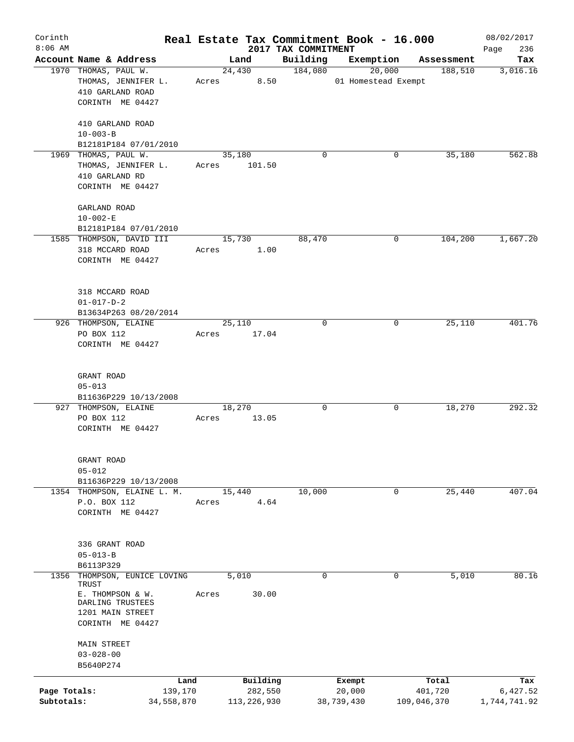| Corinth      |                                                                              |       |                  |                     | Real Estate Tax Commitment Book - 16.000 |                       | 08/02/2017      |
|--------------|------------------------------------------------------------------------------|-------|------------------|---------------------|------------------------------------------|-----------------------|-----------------|
| $8:06$ AM    | Account Name & Address                                                       |       |                  | 2017 TAX COMMITMENT |                                          |                       | 236<br>Page     |
|              | 1970 THOMAS, PAUL W.                                                         |       | Land<br>24,430   | Building<br>184,080 | Exemption<br>20,000                      | Assessment<br>188,510 | Tax<br>3,016.16 |
|              | THOMAS, JENNIFER L.<br>410 GARLAND ROAD                                      | Acres | 8.50             |                     | 01 Homestead Exempt                      |                       |                 |
|              | CORINTH ME 04427                                                             |       |                  |                     |                                          |                       |                 |
|              | 410 GARLAND ROAD<br>$10 - 003 - B$                                           |       |                  |                     |                                          |                       |                 |
|              | B12181P184 07/01/2010                                                        |       |                  |                     |                                          |                       |                 |
| 1969         | THOMAS, PAUL W.<br>THOMAS, JENNIFER L.<br>410 GARLAND RD<br>CORINTH ME 04427 | Acres | 35,180<br>101.50 | $\Omega$            | 0                                        | 35,180                | 562.88          |
|              |                                                                              |       |                  |                     |                                          |                       |                 |
|              | GARLAND ROAD<br>$10 - 002 - E$                                               |       |                  |                     |                                          |                       |                 |
|              | B12181P184 07/01/2010                                                        |       |                  |                     |                                          |                       |                 |
|              | 1585 THOMPSON, DAVID III<br>318 MCCARD ROAD<br>CORINTH ME 04427              | Acres | 15,730<br>1.00   | 88,470              | 0                                        | 104,200               | 1,667.20        |
|              |                                                                              |       |                  |                     |                                          |                       |                 |
|              | 318 MCCARD ROAD<br>$01 - 017 - D - 2$                                        |       |                  |                     |                                          |                       |                 |
|              | B13634P263 08/20/2014                                                        |       |                  |                     |                                          |                       |                 |
|              | 926 THOMPSON, ELAINE                                                         |       | 25,110           | 0                   | 0                                        | 25,110                | 401.76          |
|              | PO BOX 112<br>CORINTH ME 04427                                               | Acres | 17.04            |                     |                                          |                       |                 |
|              | GRANT ROAD                                                                   |       |                  |                     |                                          |                       |                 |
|              | $05 - 013$                                                                   |       |                  |                     |                                          |                       |                 |
|              | B11636P229 10/13/2008                                                        |       |                  |                     |                                          |                       |                 |
|              | 927 THOMPSON, ELAINE                                                         |       | 18,270           | 0                   | 0                                        | 18,270                | 292.32          |
|              | PO BOX 112<br>CORINTH ME 04427                                               | Acres | 13.05            |                     |                                          |                       |                 |
|              | GRANT ROAD                                                                   |       |                  |                     |                                          |                       |                 |
|              | $05 - 012$                                                                   |       |                  |                     |                                          |                       |                 |
|              | B11636P229 10/13/2008<br>1354 THOMPSON, ELAINE L. M.                         |       | 15,440           | 10,000              | 0                                        | 25,440                | 407.04          |
|              | P.O. BOX 112                                                                 | Acres | 4.64             |                     |                                          |                       |                 |
|              | CORINTH ME 04427                                                             |       |                  |                     |                                          |                       |                 |
|              | 336 GRANT ROAD<br>$05 - 013 - B$                                             |       |                  |                     |                                          |                       |                 |
|              | B6113P329                                                                    |       |                  |                     |                                          |                       |                 |
| 1356         | THOMPSON, EUNICE LOVING                                                      |       | 5,010            | 0                   | 0                                        | 5,010                 | 80.16           |
|              | TRUST<br>E. THOMPSON & W.                                                    |       | 30.00            |                     |                                          |                       |                 |
|              | DARLING TRUSTEES<br>1201 MAIN STREET<br>CORINTH ME 04427                     | Acres |                  |                     |                                          |                       |                 |
|              | MAIN STREET<br>$03 - 028 - 00$<br>B5640P274                                  |       |                  |                     |                                          |                       |                 |
|              | Land                                                                         |       | Building         |                     | Exempt                                   | Total                 | Tax             |
| Page Totals: | 139,170                                                                      |       | 282,550          |                     | 20,000                                   | 401,720               | 6,427.52        |
| Subtotals:   | 34,558,870                                                                   |       | 113, 226, 930    |                     | 38,739,430                               | 109,046,370           | 1,744,741.92    |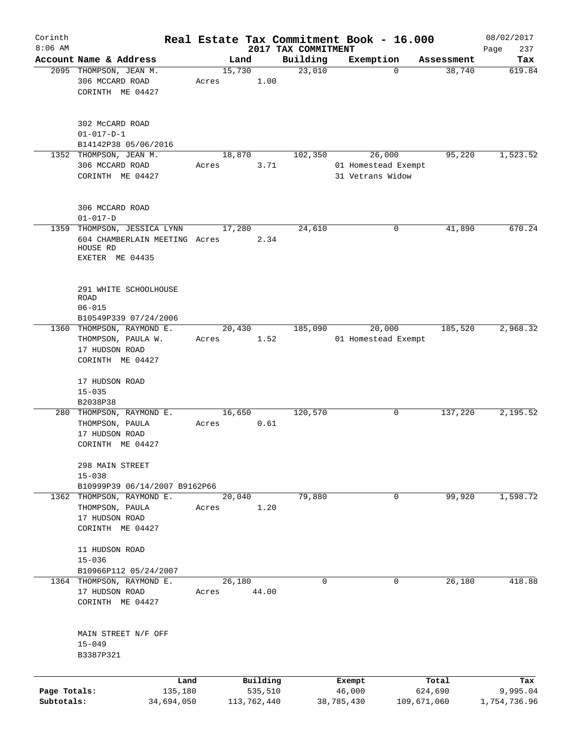| Corinth<br>$8:06$ AM       |                                                                                        |                 |          |                                 | Real Estate Tax Commitment Book - 16.000          |                        | 08/02/2017               |
|----------------------------|----------------------------------------------------------------------------------------|-----------------|----------|---------------------------------|---------------------------------------------------|------------------------|--------------------------|
|                            | Account Name & Address                                                                 | Land            |          | 2017 TAX COMMITMENT<br>Building | Exemption                                         | Assessment             | 237<br>Page<br>Tax       |
|                            | 2095 THOMPSON, JEAN M.<br>306 MCCARD ROAD<br>CORINTH ME 04427                          | 15,730<br>Acres | 1.00     | 23,010                          | $\Omega$                                          | 38,740                 | 619.84                   |
|                            | 302 McCARD ROAD<br>$01 - 017 - D - 1$<br>B14142P38 05/06/2016                          |                 |          |                                 |                                                   |                        |                          |
|                            | 1352 THOMPSON, JEAN M.<br>306 MCCARD ROAD<br>CORINTH ME 04427                          | 18,870<br>Acres | 3.71     | 102,350                         | 26,000<br>01 Homestead Exempt<br>31 Vetrans Widow | 95,220                 | 1,523.52                 |
|                            | 306 MCCARD ROAD<br>$01 - 017 - D$                                                      |                 |          |                                 |                                                   |                        |                          |
| 1359                       | THOMPSON, JESSICA LYNN<br>604 CHAMBERLAIN MEETING Acres<br>HOUSE RD<br>EXETER ME 04435 | 17,280          | 2.34     | 24,610                          | 0                                                 | 41,890                 | 670.24                   |
|                            | 291 WHITE SCHOOLHOUSE<br><b>ROAD</b><br>$06 - 015$<br>B10549P339 07/24/2006            |                 |          |                                 |                                                   |                        |                          |
|                            | 1360 THOMPSON, RAYMOND E.<br>THOMPSON, PAULA W.<br>17 HUDSON ROAD<br>CORINTH ME 04427  | 20,430<br>Acres | 1.52     | 185,090                         | 20,000<br>01 Homestead Exempt                     | 185,520                | 2,968.32                 |
|                            | 17 HUDSON ROAD<br>$15 - 035$<br>B2038P38                                               |                 |          |                                 |                                                   |                        |                          |
|                            | 280 THOMPSON, RAYMOND E.<br>THOMPSON, PAULA<br>17 HUDSON ROAD<br>CORINTH ME 04427      | 16,650<br>Acres | 0.61     | 120,570                         | 0                                                 | 137,220                | 2,195.52                 |
|                            | 298 MAIN STREET<br>$15 - 038$<br>B10999P39 06/14/2007 B9162P66                         |                 |          |                                 |                                                   |                        |                          |
|                            | 1362 THOMPSON, RAYMOND E.<br>THOMPSON, PAULA<br>17 HUDSON ROAD<br>CORINTH ME 04427     | 20,040<br>Acres | 1.20     | 79,880                          | 0                                                 | 99,920                 | 1,598.72                 |
|                            | 11 HUDSON ROAD<br>$15 - 036$<br>B10966P112 05/24/2007                                  |                 |          |                                 |                                                   |                        |                          |
|                            | 1364 THOMPSON, RAYMOND E.<br>17 HUDSON ROAD<br>CORINTH ME 04427                        | 26,180<br>Acres | 44.00    | 0                               | 0                                                 | 26,180                 | 418.88                   |
|                            | MAIN STREET N/F OFF<br>$15 - 049$<br>B3387P321                                         |                 |          |                                 |                                                   |                        |                          |
|                            | Land                                                                                   |                 | Building |                                 | Exempt                                            | Total                  | Tax                      |
| Page Totals:<br>Subtotals: | 135,180<br>34,694,050                                                                  | 113,762,440     | 535,510  |                                 | 46,000<br>38,785,430                              | 624,690<br>109,671,060 | 9,995.04<br>1,754,736.96 |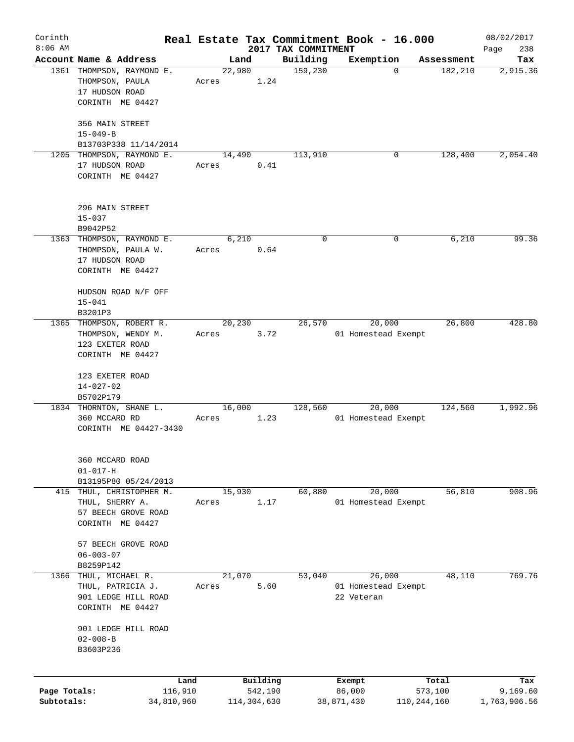| Corinth      |                                                     |         |       |                |             |                     | Real Estate Tax Commitment Book - 16.000 |               |            | 08/02/2017   |
|--------------|-----------------------------------------------------|---------|-------|----------------|-------------|---------------------|------------------------------------------|---------------|------------|--------------|
| $8:06$ AM    |                                                     |         |       |                |             | 2017 TAX COMMITMENT |                                          |               |            | 238<br>Page  |
|              | Account Name & Address<br>1361 THOMPSON, RAYMOND E. |         |       | Land<br>22,980 |             | Building            | Exemption                                |               | Assessment | Tax          |
|              | THOMPSON, PAULA                                     |         | Acres |                | 1.24        | 159,230             |                                          | 0             | 182,210    | 2,915.36     |
|              | 17 HUDSON ROAD                                      |         |       |                |             |                     |                                          |               |            |              |
|              | CORINTH ME 04427                                    |         |       |                |             |                     |                                          |               |            |              |
|              |                                                     |         |       |                |             |                     |                                          |               |            |              |
|              | 356 MAIN STREET                                     |         |       |                |             |                     |                                          |               |            |              |
|              | $15 - 049 - B$                                      |         |       |                |             |                     |                                          |               |            |              |
|              | B13703P338 11/14/2014                               |         |       |                |             |                     |                                          |               |            |              |
|              | 1205 THOMPSON, RAYMOND E.                           |         |       | 14,490         |             | 113,910             |                                          | 0             | 128,400    | 2,054.40     |
|              | 17 HUDSON ROAD                                      |         | Acres |                | 0.41        |                     |                                          |               |            |              |
|              | CORINTH ME 04427                                    |         |       |                |             |                     |                                          |               |            |              |
|              |                                                     |         |       |                |             |                     |                                          |               |            |              |
|              |                                                     |         |       |                |             |                     |                                          |               |            |              |
|              | 296 MAIN STREET                                     |         |       |                |             |                     |                                          |               |            |              |
|              | $15 - 037$                                          |         |       |                |             |                     |                                          |               |            |              |
|              | B9042P52                                            |         |       |                |             |                     |                                          |               |            |              |
|              | 1363 THOMPSON, RAYMOND E.                           |         |       | 6,210          |             | $\mathbf 0$         |                                          | 0             | 6,210      | 99.36        |
|              | THOMPSON, PAULA W.                                  |         | Acres |                | 0.64        |                     |                                          |               |            |              |
|              | 17 HUDSON ROAD                                      |         |       |                |             |                     |                                          |               |            |              |
|              | CORINTH ME 04427                                    |         |       |                |             |                     |                                          |               |            |              |
|              |                                                     |         |       |                |             |                     |                                          |               |            |              |
|              | HUDSON ROAD N/F OFF                                 |         |       |                |             |                     |                                          |               |            |              |
|              | $15 - 041$                                          |         |       |                |             |                     |                                          |               |            |              |
|              | B3201P3                                             |         |       |                |             |                     |                                          |               |            |              |
|              | 1365 THOMPSON, ROBERT R.                            |         |       | 20,230         |             | 26,570              | 20,000                                   |               | 26,800     | 428.80       |
|              | THOMPSON, WENDY M.                                  |         | Acres |                | 3.72        |                     | 01 Homestead Exempt                      |               |            |              |
|              | 123 EXETER ROAD                                     |         |       |                |             |                     |                                          |               |            |              |
|              | CORINTH ME 04427                                    |         |       |                |             |                     |                                          |               |            |              |
|              |                                                     |         |       |                |             |                     |                                          |               |            |              |
|              | 123 EXETER ROAD                                     |         |       |                |             |                     |                                          |               |            |              |
|              | $14 - 027 - 02$                                     |         |       |                |             |                     |                                          |               |            |              |
|              | B5702P179                                           |         |       |                |             |                     |                                          |               |            |              |
|              | 1834 THORNTON, SHANE L.                             |         |       | 16,000         |             | 128,560             | 20,000                                   |               | 124,560    | 1,992.96     |
|              | 360 MCCARD RD                                       |         | Acres |                | 1.23        |                     | 01 Homestead Exempt                      |               |            |              |
|              | CORINTH ME 04427-3430                               |         |       |                |             |                     |                                          |               |            |              |
|              |                                                     |         |       |                |             |                     |                                          |               |            |              |
|              | 360 MCCARD ROAD                                     |         |       |                |             |                     |                                          |               |            |              |
|              | $01 - 017 - H$                                      |         |       |                |             |                     |                                          |               |            |              |
|              | B13195P80 05/24/2013                                |         |       |                |             |                     |                                          |               |            |              |
| 415          | THUL, CHRISTOPHER M.                                |         |       | 15,930         |             | 60,880              | 20,000                                   |               | 56,810     | 908.96       |
|              | THUL, SHERRY A.                                     |         | Acres |                | 1.17        |                     | 01 Homestead Exempt                      |               |            |              |
|              | 57 BEECH GROVE ROAD                                 |         |       |                |             |                     |                                          |               |            |              |
|              | CORINTH ME 04427                                    |         |       |                |             |                     |                                          |               |            |              |
|              |                                                     |         |       |                |             |                     |                                          |               |            |              |
|              | 57 BEECH GROVE ROAD                                 |         |       |                |             |                     |                                          |               |            |              |
|              | $06 - 003 - 07$                                     |         |       |                |             |                     |                                          |               |            |              |
|              | B8259P142                                           |         |       |                |             |                     |                                          |               |            |              |
| 1366         | THUL, MICHAEL R.                                    |         |       | 21,070         |             | 53,040              | 26,000                                   |               | 48,110     | 769.76       |
|              | THUL, PATRICIA J.                                   |         | Acres |                | 5.60        |                     | 01 Homestead Exempt                      |               |            |              |
|              | 901 LEDGE HILL ROAD                                 |         |       |                |             |                     | 22 Veteran                               |               |            |              |
|              | CORINTH ME 04427                                    |         |       |                |             |                     |                                          |               |            |              |
|              |                                                     |         |       |                |             |                     |                                          |               |            |              |
|              | 901 LEDGE HILL ROAD                                 |         |       |                |             |                     |                                          |               |            |              |
|              | $02 - 008 - B$                                      |         |       |                |             |                     |                                          |               |            |              |
|              | B3603P236                                           |         |       |                |             |                     |                                          |               |            |              |
|              |                                                     |         |       |                |             |                     |                                          |               |            |              |
|              |                                                     | Land    |       |                | Building    |                     | Exempt                                   |               | Total      | Tax          |
| Page Totals: |                                                     | 116,910 |       |                | 542,190     |                     | 86,000                                   |               | 573,100    | 9,169.60     |
| Subtotals:   | 34,810,960                                          |         |       |                | 114,304,630 |                     | 38,871,430                               | 110, 244, 160 |            | 1,763,906.56 |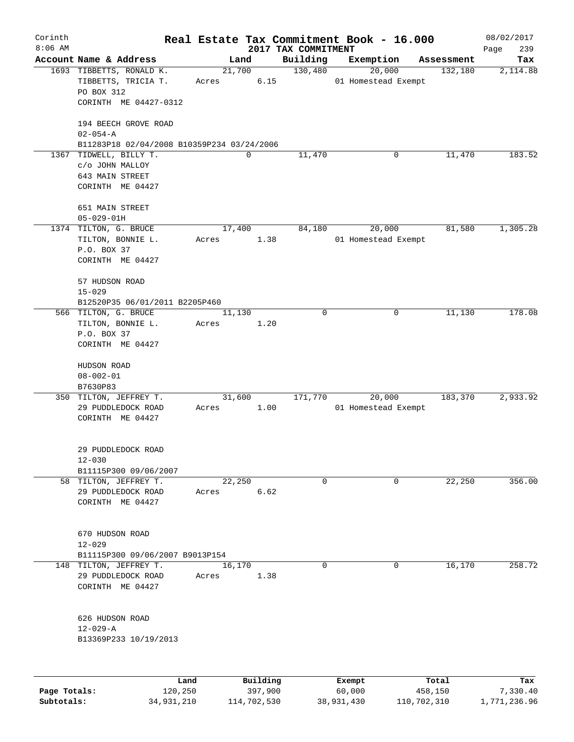| Corinth      |                                            |       |                     |                                 | Real Estate Tax Commitment Book - 16.000 |                       | 08/02/2017         |
|--------------|--------------------------------------------|-------|---------------------|---------------------------------|------------------------------------------|-----------------------|--------------------|
| $8:06$ AM    | Account Name & Address                     |       | Land                | 2017 TAX COMMITMENT<br>Building | Exemption                                |                       | 239<br>Page<br>Tax |
|              | 1693 TIBBETTS, RONALD K.                   |       | 21,700              | 130,480                         | 20,000                                   | Assessment<br>132,180 | 2,114.88           |
|              | TIBBETTS, TRICIA T.                        | Acres | 6.15                |                                 | 01 Homestead Exempt                      |                       |                    |
|              | PO BOX 312                                 |       |                     |                                 |                                          |                       |                    |
|              | CORINTH ME 04427-0312                      |       |                     |                                 |                                          |                       |                    |
|              | 194 BEECH GROVE ROAD                       |       |                     |                                 |                                          |                       |                    |
|              | $02 - 054 - A$                             |       |                     |                                 |                                          |                       |                    |
|              | B11283P18 02/04/2008 B10359P234 03/24/2006 |       |                     |                                 |                                          |                       |                    |
|              | 1367 TIDWELL, BILLY T.                     |       | 0                   | 11,470                          | 0                                        | 11,470                | 183.52             |
|              | c/o JOHN MALLOY                            |       |                     |                                 |                                          |                       |                    |
|              | 643 MAIN STREET                            |       |                     |                                 |                                          |                       |                    |
|              | CORINTH ME 04427                           |       |                     |                                 |                                          |                       |                    |
|              | 651 MAIN STREET                            |       |                     |                                 |                                          |                       |                    |
|              | $05 - 029 - 01H$                           |       |                     |                                 |                                          |                       |                    |
|              | 1374 TILTON, G. BRUCE                      |       | 17,400              | 84,180                          | 20,000                                   | 81,580                | 1,305.28           |
|              | TILTON, BONNIE L.                          | Acres | 1.38                |                                 | 01 Homestead Exempt                      |                       |                    |
|              | P.O. BOX 37                                |       |                     |                                 |                                          |                       |                    |
|              | CORINTH ME 04427                           |       |                     |                                 |                                          |                       |                    |
|              | 57 HUDSON ROAD                             |       |                     |                                 |                                          |                       |                    |
|              | $15 - 029$                                 |       |                     |                                 |                                          |                       |                    |
|              | B12520P35 06/01/2011 B2205P460             |       |                     |                                 |                                          |                       |                    |
|              | 566 TILTON, G. BRUCE                       |       | 11,130              | $\mathbf 0$                     | 0                                        | 11,130                | 178.08             |
|              | TILTON, BONNIE L.                          | Acres | 1.20                |                                 |                                          |                       |                    |
|              | P.O. BOX 37                                |       |                     |                                 |                                          |                       |                    |
|              | CORINTH ME 04427                           |       |                     |                                 |                                          |                       |                    |
|              | HUDSON ROAD                                |       |                     |                                 |                                          |                       |                    |
|              | $08 - 002 - 01$                            |       |                     |                                 |                                          |                       |                    |
|              | B7630P83                                   |       |                     |                                 |                                          |                       |                    |
|              | 350 TILTON, JEFFREY T.                     |       | 31,600              | 171,770                         | 20,000                                   | 183,370               | 2,933.92           |
|              | 29 PUDDLEDOCK ROAD                         | Acres | 1.00                |                                 | 01 Homestead Exempt                      |                       |                    |
|              | CORINTH ME 04427                           |       |                     |                                 |                                          |                       |                    |
|              |                                            |       |                     |                                 |                                          |                       |                    |
|              | 29 PUDDLEDOCK ROAD                         |       |                     |                                 |                                          |                       |                    |
|              | $12 - 030$                                 |       |                     |                                 |                                          |                       |                    |
|              | B11115P300 09/06/2007                      |       |                     |                                 |                                          |                       |                    |
|              | 58 TILTON, JEFFREY T.                      |       | 22,250              | $\mathbf 0$                     | 0                                        | 22,250                | 356.00             |
|              | 29 PUDDLEDOCK ROAD                         | Acres | 6.62                |                                 |                                          |                       |                    |
|              | CORINTH ME 04427                           |       |                     |                                 |                                          |                       |                    |
|              | 670 HUDSON ROAD                            |       |                     |                                 |                                          |                       |                    |
|              | $12 - 029$                                 |       |                     |                                 |                                          |                       |                    |
|              | B11115P300 09/06/2007 B9013P154            |       |                     |                                 |                                          |                       |                    |
|              | 148 TILTON, JEFFREY T.                     |       | 16,170              | $\mathbf 0$                     | 0                                        | 16,170                | 258.72             |
|              | 29 PUDDLEDOCK ROAD                         | Acres | 1.38                |                                 |                                          |                       |                    |
|              | CORINTH ME 04427                           |       |                     |                                 |                                          |                       |                    |
|              |                                            |       |                     |                                 |                                          |                       |                    |
|              | 626 HUDSON ROAD                            |       |                     |                                 |                                          |                       |                    |
|              | $12 - 029 - A$                             |       |                     |                                 |                                          |                       |                    |
|              | B13369P233 10/19/2013                      |       |                     |                                 |                                          |                       |                    |
|              |                                            |       |                     |                                 |                                          |                       |                    |
|              |                                            |       |                     |                                 |                                          |                       |                    |
| Page Totals: | 120,250                                    | Land  | Building<br>397,900 |                                 | Exempt<br>60,000                         | Total<br>458,150      | Tax<br>7,330.40    |

**Subtotals:** 34,931,210 114,702,530 38,931,430 110,702,310 1,771,236.96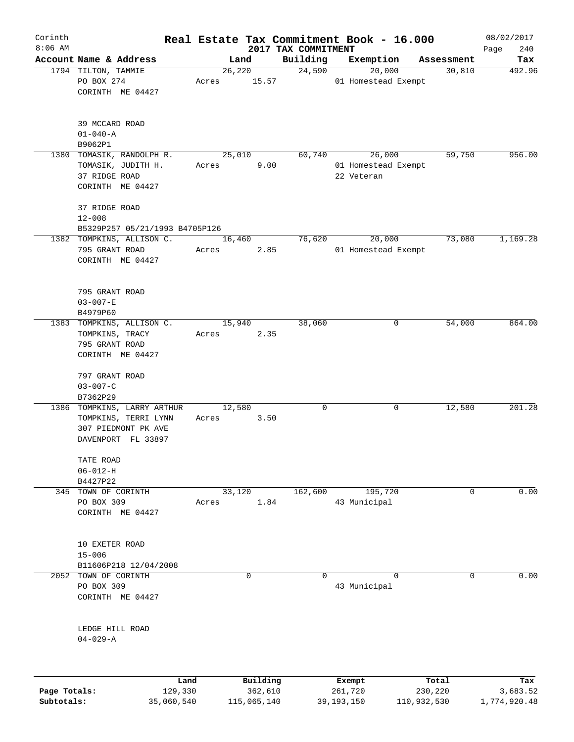| Corinth      |                                                                                      |            |        |             | Real Estate Tax Commitment Book - 16.000 |              |                               |             | 08/02/2017         |
|--------------|--------------------------------------------------------------------------------------|------------|--------|-------------|------------------------------------------|--------------|-------------------------------|-------------|--------------------|
| $8:06$ AM    | Account Name & Address                                                               |            | Land   |             | 2017 TAX COMMITMENT<br>Building          |              | Exemption                     | Assessment  | 240<br>Page<br>Tax |
|              | 1794 TILTON, TAMMIE                                                                  |            | 26,220 |             | 24,590                                   |              | 20,000                        | 30,810      | 492.96             |
|              | PO BOX 274<br>CORINTH ME 04427                                                       | Acres      |        | 15.57       |                                          |              | 01 Homestead Exempt           |             |                    |
|              | 39 MCCARD ROAD<br>$01 - 040 - A$                                                     |            |        |             |                                          |              |                               |             |                    |
|              | B9062P1                                                                              |            |        |             |                                          |              |                               |             |                    |
|              | 1380 TOMASIK, RANDOLPH R.<br>TOMASIK, JUDITH H.<br>37 RIDGE ROAD<br>CORINTH ME 04427 | Acres      | 25,010 | 9.00        | 60,740                                   | 22 Veteran   | 26,000<br>01 Homestead Exempt | 59,750      | 956.00             |
|              | 37 RIDGE ROAD<br>$12 - 008$                                                          |            |        |             |                                          |              |                               |             |                    |
|              | B5329P257 05/21/1993 B4705P126                                                       |            |        |             |                                          |              |                               |             |                    |
|              | 1382 TOMPKINS, ALLISON C.<br>795 GRANT ROAD<br>CORINTH ME 04427                      | Acres      | 16,460 | 2.85        | 76,620                                   |              | 20,000<br>01 Homestead Exempt | 73,080      | 1,169.28           |
|              | 795 GRANT ROAD<br>$03 - 007 - E$<br>B4979P60                                         |            |        |             |                                          |              |                               |             |                    |
|              | 1383 TOMPKINS, ALLISON C.                                                            |            | 15,940 |             | 38,060                                   |              | 0                             | 54,000      | 864.00             |
|              | TOMPKINS, TRACY                                                                      | Acres      |        | 2.35        |                                          |              |                               |             |                    |
|              | 795 GRANT ROAD                                                                       |            |        |             |                                          |              |                               |             |                    |
|              | CORINTH ME 04427                                                                     |            |        |             |                                          |              |                               |             |                    |
|              | 797 GRANT ROAD<br>$03 - 007 - C$                                                     |            |        |             |                                          |              |                               |             |                    |
|              | B7362P29                                                                             |            |        |             |                                          |              |                               |             |                    |
|              | 1386 TOMPKINS, LARRY ARTHUR                                                          |            | 12,580 |             | 0                                        |              | 0                             | 12,580      | 201.28             |
|              | TOMPKINS, TERRI LYNN<br>307 PIEDMONT PK AVE<br>DAVENPORT FL 33897                    | Acres      |        | 3.50        |                                          |              |                               |             |                    |
|              | TATE ROAD                                                                            |            |        |             |                                          |              |                               |             |                    |
|              | $06 - 012 - H$                                                                       |            |        |             |                                          |              |                               |             |                    |
|              | B4427P22                                                                             |            |        |             |                                          |              |                               |             |                    |
|              | 345 TOWN OF CORINTH                                                                  |            | 33,120 |             | 162,600                                  |              | 195,720                       | 0           | 0.00               |
|              | PO BOX 309<br>CORINTH ME 04427                                                       | Acres      |        | 1.84        |                                          | 43 Municipal |                               |             |                    |
|              | 10 EXETER ROAD<br>$15 - 006$                                                         |            |        |             |                                          |              |                               |             |                    |
|              | B11606P218 12/04/2008                                                                |            |        |             |                                          |              |                               |             |                    |
| 2052         | TOWN OF CORINTH                                                                      |            |        | 0           | $\Omega$                                 |              | $\Omega$                      | 0           | 0.00               |
|              | PO BOX 309<br>CORINTH ME 04427                                                       |            |        |             |                                          | 43 Municipal |                               |             |                    |
|              | LEDGE HILL ROAD<br>$04 - 029 - A$                                                    |            |        |             |                                          |              |                               |             |                    |
|              |                                                                                      | Land       |        | Building    |                                          | Exempt       |                               | Total       | Tax                |
| Page Totals: |                                                                                      | 129,330    |        | 362,610     |                                          | 261,720      |                               | 230,220     | 3,683.52           |
| Subtotals:   |                                                                                      | 35,060,540 |        | 115,065,140 |                                          | 39, 193, 150 |                               | 110,932,530 | 1,774,920.48       |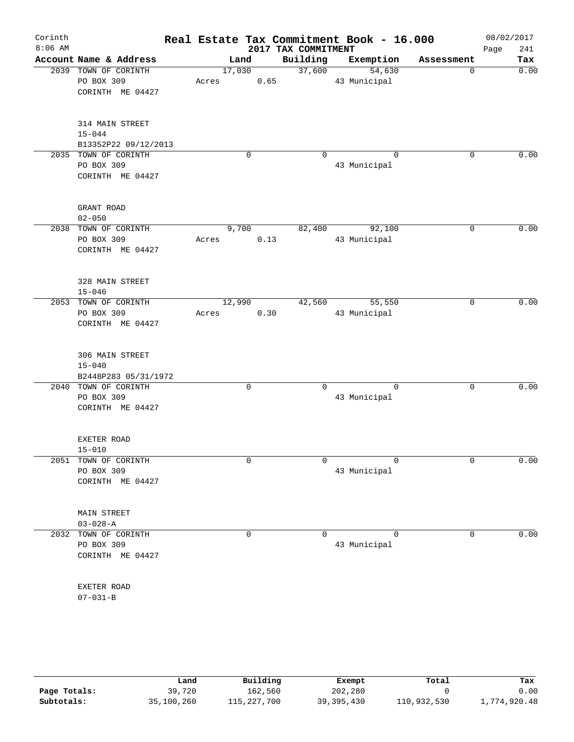| Corinth   |                                              |        |             |                     | Real Estate Tax Commitment Book - 16.000 |             | 08/02/2017  |
|-----------|----------------------------------------------|--------|-------------|---------------------|------------------------------------------|-------------|-------------|
| $8:06$ AM |                                              |        |             | 2017 TAX COMMITMENT |                                          |             | Page<br>241 |
|           | Account Name & Address                       | Land   |             | Building            | Exemption                                | Assessment  | Tax         |
|           | 2039 TOWN OF CORINTH                         | 17,030 |             | 37,600              | 54,630                                   | 0           | 0.00        |
|           | PO BOX 309                                   | Acres  | 0.65        |                     | 43 Municipal                             |             |             |
|           | CORINTH ME 04427                             |        |             |                     |                                          |             |             |
|           | 314 MAIN STREET                              |        |             |                     |                                          |             |             |
|           | $15 - 044$                                   |        |             |                     |                                          |             |             |
|           | B13352P22 09/12/2013                         |        |             |                     |                                          |             |             |
|           | 2035 TOWN OF CORINTH                         |        | 0           | $\Omega$            | $\Omega$                                 | 0           | 0.00        |
|           | PO BOX 309                                   |        |             |                     | 43 Municipal                             |             |             |
|           | CORINTH ME 04427                             |        |             |                     |                                          |             |             |
|           | GRANT ROAD                                   |        |             |                     |                                          |             |             |
|           | $02 - 050$                                   |        |             |                     |                                          |             |             |
|           | 2038 TOWN OF CORINTH                         | 9,700  |             | 82,400              | 92,100                                   | 0           | 0.00        |
|           | PO BOX 309                                   | Acres  | 0.13        |                     | 43 Municipal                             |             |             |
|           | CORINTH ME 04427                             |        |             |                     |                                          |             |             |
|           | 328 MAIN STREET                              |        |             |                     |                                          |             |             |
|           | $15 - 046$                                   |        |             |                     |                                          |             |             |
|           | 2053 TOWN OF CORINTH                         | 12,990 |             | 42,560              | 55,550                                   | 0           | 0.00        |
|           | PO BOX 309                                   | Acres  | 0.30        |                     | 43 Municipal                             |             |             |
|           | CORINTH ME 04427                             |        |             |                     |                                          |             |             |
|           | 306 MAIN STREET                              |        |             |                     |                                          |             |             |
|           | $15 - 040$                                   |        |             |                     |                                          |             |             |
|           | B2448P283 05/31/1972<br>2040 TOWN OF CORINTH |        | $\mathbf 0$ | $\Omega$            | $\Omega$                                 | $\Omega$    | 0.00        |
|           | PO BOX 309                                   |        |             |                     | 43 Municipal                             |             |             |
|           | CORINTH ME 04427                             |        |             |                     |                                          |             |             |
|           |                                              |        |             |                     |                                          |             |             |
|           | EXETER ROAD                                  |        |             |                     |                                          |             |             |
|           | $15 - 010$                                   |        |             |                     |                                          |             |             |
|           | 2051 TOWN OF CORINTH                         |        | 0           | 0                   | $\mathbf 0$                              | $\mathbf 0$ | 0.00        |
|           | PO BOX 309                                   |        |             |                     | 43 Municipal                             |             |             |
|           | CORINTH ME 04427                             |        |             |                     |                                          |             |             |
|           | MAIN STREET                                  |        |             |                     |                                          |             |             |
|           | $03 - 028 - A$                               |        |             |                     |                                          |             |             |
|           | 2032 TOWN OF CORINTH                         |        | 0           | $\mathbf 0$         | $\Omega$                                 | 0           | 0.00        |
|           | PO BOX 309                                   |        |             |                     | 43 Municipal                             |             |             |
|           | CORINTH ME 04427                             |        |             |                     |                                          |             |             |
|           | EXETER ROAD                                  |        |             |                     |                                          |             |             |
|           | $07 - 031 - B$                               |        |             |                     |                                          |             |             |
|           |                                              |        |             |                     |                                          |             |             |

|              | Land       | Building    | Exempt       | Total       | Tax          |
|--------------|------------|-------------|--------------|-------------|--------------|
| Page Totals: | 39,720     | 162,560     | 202,280      |             | 0.00         |
| Subtotals:   | 35,100,260 | 115,227,700 | 39, 395, 430 | 110,932,530 | 1,774,920.48 |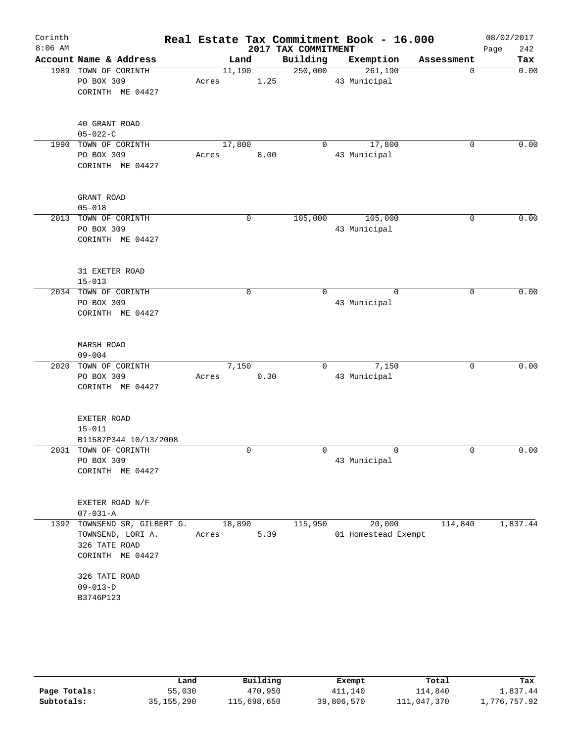|                                                        |                                                                                                                                                                        |                                                  | 2017 TAX COMMITMENT                                                                | Real Estate Tax Commitment Book - 16.000 |                                                        | 08/02/2017<br>Page<br>242 |
|--------------------------------------------------------|------------------------------------------------------------------------------------------------------------------------------------------------------------------------|--------------------------------------------------|------------------------------------------------------------------------------------|------------------------------------------|--------------------------------------------------------|---------------------------|
|                                                        |                                                                                                                                                                        |                                                  |                                                                                    |                                          | Assessment                                             | Tax                       |
| PO BOX 309<br>CORINTH ME 04427                         | Acres                                                                                                                                                                  |                                                  |                                                                                    | 261,190<br>43 Municipal                  | 0                                                      | 0.00                      |
| 40 GRANT ROAD<br>$05 - 022 - C$                        |                                                                                                                                                                        |                                                  |                                                                                    |                                          |                                                        |                           |
| PO BOX 309<br>CORINTH ME 04427                         | Acres                                                                                                                                                                  |                                                  | $\Omega$                                                                           | 17,800<br>43 Municipal                   | 0                                                      | 0.00                      |
| GRANT ROAD<br>$05 - 018$                               |                                                                                                                                                                        |                                                  |                                                                                    |                                          |                                                        |                           |
| PO BOX 309<br>CORINTH ME 04427                         |                                                                                                                                                                        |                                                  |                                                                                    | 43 Municipal                             | 0                                                      | 0.00                      |
| 31 EXETER ROAD<br>$15 - 013$                           |                                                                                                                                                                        |                                                  |                                                                                    |                                          |                                                        |                           |
| PO BOX 309<br>CORINTH ME 04427                         |                                                                                                                                                                        | 0                                                | 0                                                                                  | $\mathbf 0$<br>43 Municipal              | 0                                                      | 0.00                      |
| <b>MARSH ROAD</b><br>$09 - 004$                        |                                                                                                                                                                        |                                                  |                                                                                    |                                          |                                                        |                           |
| PO BOX 309<br>CORINTH ME 04427                         | Acres                                                                                                                                                                  |                                                  | $\Omega$                                                                           | 7,150<br>43 Municipal                    | 0                                                      | 0.00                      |
| EXETER ROAD<br>$15 - 011$                              |                                                                                                                                                                        |                                                  |                                                                                    |                                          |                                                        |                           |
| PO BOX 309<br>CORINTH ME 04427                         |                                                                                                                                                                        | $\mathbf 0$                                      | 0                                                                                  | $\mathbf 0$<br>43 Municipal              | $\mathbf 0$                                            | 0.00                      |
| EXETER ROAD N/F<br>$07 - 031 - A$                      |                                                                                                                                                                        |                                                  |                                                                                    |                                          |                                                        |                           |
| TOWNSEND, LORI A.<br>326 TATE ROAD<br>CORINTH ME 04427 | Acres                                                                                                                                                                  |                                                  | 115,950                                                                            | 20,000                                   | 114,840                                                | 1,837.44                  |
| 326 TATE ROAD<br>$09 - 013 - D$<br>B3746P123           |                                                                                                                                                                        |                                                  |                                                                                    |                                          |                                                        |                           |
| 1392                                                   | Account Name & Address<br>1989 TOWN OF CORINTH<br>1990 TOWN OF CORINTH<br>2013 TOWN OF CORINTH<br>2034 TOWN OF CORINTH<br>2020 TOWN OF CORINTH<br>2031 TOWN OF CORINTH | B11587P344 10/13/2008<br>TOWNSEND SR, GILBERT G. | Land<br>11,190<br>17,800<br>8.00<br>$\mathbf 0$<br>7,150<br>0.30<br>18,890<br>5.39 | 1.25                                     | Building<br>Exemption<br>250,000<br>105,000<br>105,000 | 01 Homestead Exempt       |

|              | Land         | Building    | Exempt     | Total       | Tax          |
|--------------|--------------|-------------|------------|-------------|--------------|
| Page Totals: | 55,030       | 470,950     | 411,140    | 114,840     | l,837.44     |
| Subtotals:   | 35, 155, 290 | 115,698,650 | 39,806,570 | 111,047,370 | 1,776,757.92 |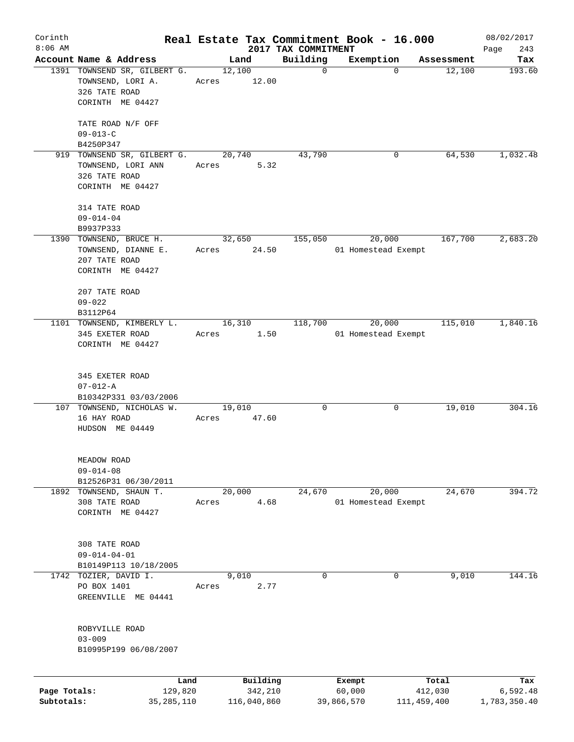| Corinth      |                              |       |                |                         | Real Estate Tax Commitment Book - 16.000 |                      | 08/02/2017    |
|--------------|------------------------------|-------|----------------|-------------------------|------------------------------------------|----------------------|---------------|
| $8:06$ AM    | Account Name & Address       |       |                | 2017 TAX COMMITMENT     |                                          |                      | 243<br>Page   |
|              | 1391 TOWNSEND SR, GILBERT G. |       | Land<br>12,100 | Building<br>$\mathbf 0$ | Exemption<br>$\Omega$                    | Assessment<br>12,100 | Tax<br>193.60 |
|              | TOWNSEND, LORI A.            | Acres | 12.00          |                         |                                          |                      |               |
|              | 326 TATE ROAD                |       |                |                         |                                          |                      |               |
|              | CORINTH ME 04427             |       |                |                         |                                          |                      |               |
|              |                              |       |                |                         |                                          |                      |               |
|              | TATE ROAD N/F OFF            |       |                |                         |                                          |                      |               |
|              | $09 - 013 - C$               |       |                |                         |                                          |                      |               |
|              | B4250P347                    |       |                |                         |                                          |                      |               |
|              | 919 TOWNSEND SR, GILBERT G.  |       | 20,740         | 43,790                  | 0                                        | 64,530               | 1,032.48      |
|              | TOWNSEND, LORI ANN           | Acres | 5.32           |                         |                                          |                      |               |
|              | 326 TATE ROAD                |       |                |                         |                                          |                      |               |
|              | CORINTH ME 04427             |       |                |                         |                                          |                      |               |
|              | 314 TATE ROAD                |       |                |                         |                                          |                      |               |
|              | $09 - 014 - 04$              |       |                |                         |                                          |                      |               |
|              | B9937P333                    |       |                |                         |                                          |                      |               |
|              | 1390 TOWNSEND, BRUCE H.      |       | 32,650         | 155,050                 | 20,000                                   | 167,700              | 2,683.20      |
|              | TOWNSEND, DIANNE E.          | Acres | 24.50          |                         | 01 Homestead Exempt                      |                      |               |
|              | 207 TATE ROAD                |       |                |                         |                                          |                      |               |
|              | CORINTH ME 04427             |       |                |                         |                                          |                      |               |
|              |                              |       |                |                         |                                          |                      |               |
|              | 207 TATE ROAD                |       |                |                         |                                          |                      |               |
|              | $09 - 022$                   |       |                |                         |                                          |                      |               |
|              | B3112P64                     |       |                |                         |                                          |                      |               |
|              | 1101 TOWNSEND, KIMBERLY L.   |       | 16,310         | 118,700                 | 20,000                                   | 115,010              | 1,840.16      |
|              | 345 EXETER ROAD              | Acres | 1.50           |                         | 01 Homestead Exempt                      |                      |               |
|              | CORINTH ME 04427             |       |                |                         |                                          |                      |               |
|              |                              |       |                |                         |                                          |                      |               |
|              | 345 EXETER ROAD              |       |                |                         |                                          |                      |               |
|              | $07 - 012 - A$               |       |                |                         |                                          |                      |               |
|              | B10342P331 03/03/2006        |       |                |                         |                                          |                      |               |
|              | 107 TOWNSEND, NICHOLAS W.    |       | 19,010         | 0                       | 0                                        | 19,010               | 304.16        |
|              | 16 HAY ROAD                  | Acres | 47.60          |                         |                                          |                      |               |
|              | HUDSON ME 04449              |       |                |                         |                                          |                      |               |
|              |                              |       |                |                         |                                          |                      |               |
|              | MEADOW ROAD                  |       |                |                         |                                          |                      |               |
|              | $09 - 014 - 08$              |       |                |                         |                                          |                      |               |
|              | B12526P31 06/30/2011         |       |                |                         |                                          |                      |               |
|              | 1892 TOWNSEND, SHAUN T.      |       | 20,000         | 24,670                  | 20,000                                   | 24,670               | 394.72        |
|              | 308 TATE ROAD                | Acres | 4.68           |                         | 01 Homestead Exempt                      |                      |               |
|              | CORINTH ME 04427             |       |                |                         |                                          |                      |               |
|              |                              |       |                |                         |                                          |                      |               |
|              | 308 TATE ROAD                |       |                |                         |                                          |                      |               |
|              | $09 - 014 - 04 - 01$         |       |                |                         |                                          |                      |               |
|              | B10149P113 10/18/2005        |       |                |                         |                                          |                      |               |
| 1742         | TOZIER, DAVID I.             |       | 9,010          | 0                       | 0                                        | 9,010                | 144.16        |
|              | PO BOX 1401                  | Acres | 2.77           |                         |                                          |                      |               |
|              | GREENVILLE ME 04441          |       |                |                         |                                          |                      |               |
|              |                              |       |                |                         |                                          |                      |               |
|              | ROBYVILLE ROAD               |       |                |                         |                                          |                      |               |
|              | $03 - 009$                   |       |                |                         |                                          |                      |               |
|              | B10995P199 06/08/2007        |       |                |                         |                                          |                      |               |
|              |                              |       |                |                         |                                          |                      |               |
|              | Land                         |       | Building       |                         | Exempt                                   | Total                | Tax           |
| Page Totals: | 129,820                      |       | 342,210        |                         | 60,000                                   | 412,030              | 6,592.48      |
| Subtotals:   | 35, 285, 110                 |       | 116,040,860    |                         | 39,866,570                               | 111, 459, 400        | 1,783,350.40  |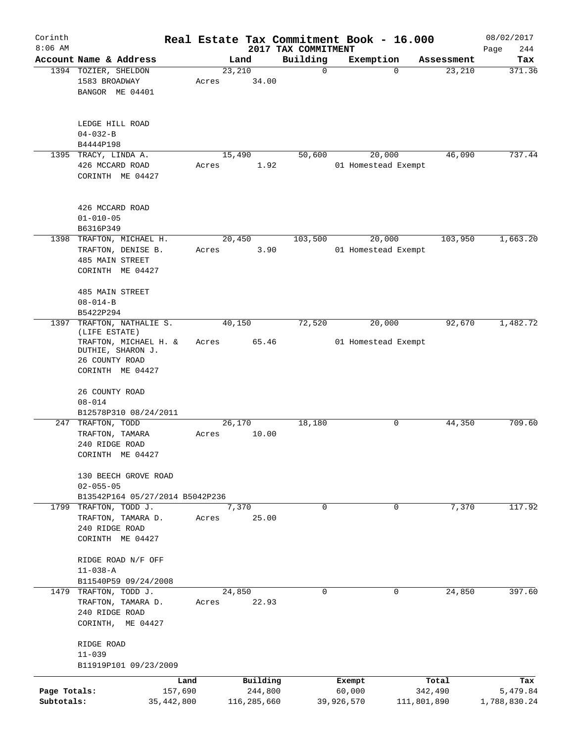| Corinth                    |                                                                                                                           |                         |       |                        | Real Estate Tax Commitment Book - 16.000 |                      |                               |                        | 08/02/2017               |
|----------------------------|---------------------------------------------------------------------------------------------------------------------------|-------------------------|-------|------------------------|------------------------------------------|----------------------|-------------------------------|------------------------|--------------------------|
| $8:06$ AM                  | Account Name & Address                                                                                                    |                         |       | Land                   | 2017 TAX COMMITMENT<br>Building          |                      | Exemption                     | Assessment             | 244<br>Page<br>Tax       |
|                            | 1394 TOZIER, SHELDON<br>1583 BROADWAY<br>BANGOR ME 04401                                                                  |                         | Acres | 23,210<br>34.00        |                                          | $\mathbf 0$          | $\mathbf 0$                   | 23,210                 | 371.36                   |
|                            | LEDGE HILL ROAD<br>$04 - 032 - B$<br>B4444P198                                                                            |                         |       |                        |                                          |                      |                               |                        |                          |
|                            | 1395 TRACY, LINDA A.<br>426 MCCARD ROAD<br>CORINTH ME 04427                                                               |                         | Acres | 15,490<br>1.92         | 50,600                                   |                      | 20,000<br>01 Homestead Exempt | 46,090                 | 737.44                   |
|                            | 426 MCCARD ROAD<br>$01 - 010 - 05$<br>B6316P349                                                                           |                         |       |                        |                                          |                      |                               |                        |                          |
| 1398                       | TRAFTON, MICHAEL H.<br>TRAFTON, DENISE B.<br><b>485 MAIN STREET</b><br>CORINTH ME 04427                                   |                         | Acres | 20,450<br>3.90         | 103,500                                  |                      | 20,000<br>01 Homestead Exempt | 103,950                | 1,663.20                 |
|                            | <b>485 MAIN STREET</b><br>$08 - 014 - B$<br>B5422P294                                                                     |                         |       |                        |                                          |                      |                               |                        |                          |
| 1397                       | TRAFTON, NATHALIE S.<br>(LIFE ESTATE)<br>TRAFTON, MICHAEL H. &<br>DUTHIE, SHARON J.<br>26 COUNTY ROAD<br>CORINTH ME 04427 |                         | Acres | 40,150<br>65.46        | 72,520                                   |                      | 20,000<br>01 Homestead Exempt | 92,670                 | 1,482.72                 |
|                            | 26 COUNTY ROAD<br>$08 - 014$                                                                                              |                         |       |                        |                                          |                      |                               |                        |                          |
| 247                        | B12578P310 08/24/2011<br>TRAFTON, TODD<br>TRAFTON, TAMARA<br>240 RIDGE ROAD<br>CORINTH ME 04427                           |                         | Acres | 26, 170<br>10.00       | 18,180                                   |                      | 0                             | 44,350                 | 709.60                   |
|                            | 130 BEECH GROVE ROAD<br>$02 - 055 - 05$<br>B13542P164 05/27/2014 B5042P236                                                |                         |       |                        |                                          |                      |                               |                        |                          |
|                            | 1799 TRAFTON, TODD J.<br>TRAFTON, TAMARA D.<br>240 RIDGE ROAD<br>CORINTH ME 04427                                         |                         | Acres | 7,370<br>25.00         |                                          | $\Omega$             | $\overline{0}$                | 7,370                  | 117.92                   |
|                            | RIDGE ROAD N/F OFF<br>$11 - 038 - A$<br>B11540P59 09/24/2008                                                              |                         |       |                        |                                          |                      |                               |                        |                          |
|                            | 1479 TRAFTON, TODD J.<br>TRAFTON, TAMARA D.<br>240 RIDGE ROAD<br>CORINTH, ME 04427                                        |                         | Acres | 24,850<br>22.93        |                                          | 0                    | 0                             | 24,850                 | 397.60                   |
|                            | RIDGE ROAD<br>$11 - 039$<br>B11919P101 09/23/2009                                                                         |                         |       |                        |                                          |                      |                               |                        |                          |
|                            |                                                                                                                           | Land                    |       | Building               |                                          | Exempt               |                               | Total                  | Tax                      |
| Page Totals:<br>Subtotals: |                                                                                                                           | 157,690<br>35, 442, 800 |       | 244,800<br>116,285,660 |                                          | 60,000<br>39,926,570 |                               | 342,490<br>111,801,890 | 5,479.84<br>1,788,830.24 |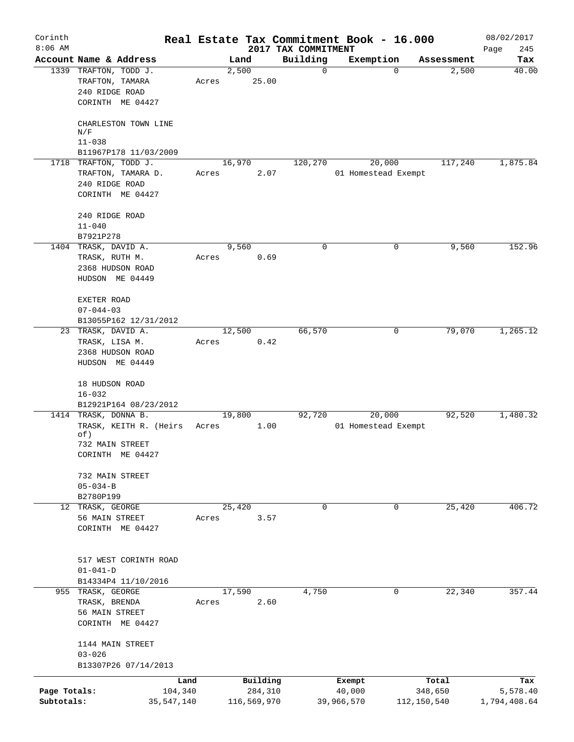| Corinth<br>$8:06$ AM |                                                                                |       |                | 2017 TAX COMMITMENT | Real Estate Tax Commitment Book - 16.000 |                       | 08/02/2017<br>245 |
|----------------------|--------------------------------------------------------------------------------|-------|----------------|---------------------|------------------------------------------|-----------------------|-------------------|
|                      | Account Name & Address                                                         |       | Land           | Building            | Exemption                                | Assessment            | Page<br>Tax       |
|                      | 1339 TRAFTON, TODD J.<br>TRAFTON, TAMARA<br>240 RIDGE ROAD<br>CORINTH ME 04427 | Acres | 2,500<br>25.00 |                     | 0                                        | 2,500<br>$\Omega$     | 40.00             |
|                      | CHARLESTON TOWN LINE<br>N/F                                                    |       |                |                     |                                          |                       |                   |
|                      | $11 - 038$                                                                     |       |                |                     |                                          |                       |                   |
|                      | B11967P178 11/03/2009<br>1718 TRAFTON, TODD J.                                 |       | 16,970         | 120,270             | 20,000                                   | 117,240               | 1,875.84          |
|                      | TRAFTON, TAMARA D.<br>240 RIDGE ROAD<br>CORINTH ME 04427                       | Acres |                | 2.07                | 01 Homestead Exempt                      |                       |                   |
|                      | 240 RIDGE ROAD                                                                 |       |                |                     |                                          |                       |                   |
|                      | $11 - 040$                                                                     |       |                |                     |                                          |                       |                   |
|                      | B7921P278<br>1404 TRASK, DAVID A.                                              |       | 9,560          |                     | 0                                        | 9,560<br>0            | 152.96            |
|                      | TRASK, RUTH M.<br>2368 HUDSON ROAD<br>HUDSON ME 04449                          | Acres |                | 0.69                |                                          |                       |                   |
|                      | EXETER ROAD<br>$07 - 044 - 03$                                                 |       |                |                     |                                          |                       |                   |
|                      | B13055P162 12/31/2012<br>23 TRASK, DAVID A.                                    |       | 12,500         | 66,570              |                                          | 79,070<br>0           | 1,265.12          |
|                      | TRASK, LISA M.                                                                 | Acres |                | 0.42                |                                          |                       |                   |
|                      | 2368 HUDSON ROAD<br>HUDSON ME 04449                                            |       |                |                     |                                          |                       |                   |
|                      | 18 HUDSON ROAD<br>$16 - 032$                                                   |       |                |                     |                                          |                       |                   |
|                      | B12921P164 08/23/2012<br>1414 TRASK, DONNA B.                                  |       | 19,800         | 92,720              | 20,000                                   | 92,520                | 1,480.32          |
|                      | TRASK, KEITH R. (Heirs<br>of)                                                  | Acres |                | 1.00                | 01 Homestead Exempt                      |                       |                   |
|                      | 732 MAIN STREET<br>CORINTH ME 04427                                            |       |                |                     |                                          |                       |                   |
|                      | 732 MAIN STREET<br>$05 - 034 - B$<br>B2780P199                                 |       |                |                     |                                          |                       |                   |
|                      | 12 TRASK, GEORGE                                                               |       | 25,420         |                     | $\Omega$                                 | $\mathbf 0$<br>25,420 | 406.72            |
|                      | 56 MAIN STREET<br>CORINTH ME 04427                                             | Acres |                | 3.57                |                                          |                       |                   |
|                      | 517 WEST CORINTH ROAD<br>$01 - 041 - D$                                        |       |                |                     |                                          |                       |                   |
|                      | B14334P4 11/10/2016<br>955 TRASK, GEORGE                                       |       | 17,590         | 4,750               |                                          | 22,340<br>0           | 357.44            |
|                      | TRASK, BRENDA<br>56 MAIN STREET<br>CORINTH ME 04427                            | Acres |                | 2.60                |                                          |                       |                   |
|                      | 1144 MAIN STREET<br>$03 - 026$<br>B13307P26 07/14/2013                         |       |                |                     |                                          |                       |                   |
|                      |                                                                                | Land  | Building       |                     | Exempt                                   | Total                 | Tax               |
| Page Totals:         | 104,340                                                                        |       | 284,310        |                     | 40,000                                   | 348,650               | 5,578.40          |
| Subtotals:           | 35, 547, 140                                                                   |       | 116,569,970    |                     | 39,966,570                               | 112,150,540           | 1,794,408.64      |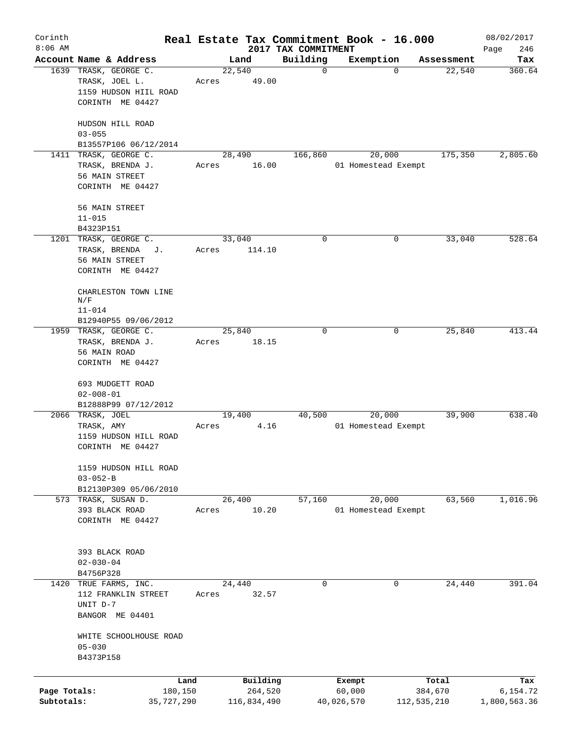| Corinth<br>$8:06$ AM       |                                                                                      |                 |                        |                                 | Real Estate Tax Commitment Book - 16.000 |                        | 08/02/2017               |
|----------------------------|--------------------------------------------------------------------------------------|-----------------|------------------------|---------------------------------|------------------------------------------|------------------------|--------------------------|
|                            | Account Name & Address                                                               |                 | Land                   | 2017 TAX COMMITMENT<br>Building | Exemption                                | Assessment             | Page<br>246<br>Tax       |
|                            | 1639 TRASK, GEORGE C.<br>TRASK, JOEL L.<br>1159 HUDSON HIIL ROAD<br>CORINTH ME 04427 | 22,540<br>Acres | 49.00                  | $\mathbf 0$                     |                                          | 22,540<br>$\Omega$     | 360.64                   |
|                            | HUDSON HILL ROAD<br>$03 - 055$<br>B13557P106 06/12/2014                              |                 |                        |                                 |                                          |                        |                          |
|                            | 1411 TRASK, GEORGE C.<br>TRASK, BRENDA J.<br>56 MAIN STREET<br>CORINTH ME 04427      | 28,490<br>Acres | 16.00                  | 166,860                         | 20,000<br>01 Homestead Exempt            | 175,350                | 2,805.60                 |
|                            | 56 MAIN STREET<br>$11 - 015$<br>B4323P151                                            |                 |                        |                                 |                                          |                        |                          |
|                            | 1201 TRASK, GEORGE C.<br>TRASK, BRENDA<br>J.<br>56 MAIN STREET<br>CORINTH ME 04427   | 33,040<br>Acres | 114.10                 | 0                               |                                          | 0<br>33,040            | 528.64                   |
|                            | CHARLESTON TOWN LINE<br>N/F<br>$11 - 014$<br>B12940P55 09/06/2012                    |                 |                        |                                 |                                          |                        |                          |
|                            | 1959 TRASK, GEORGE C.<br>TRASK, BRENDA J.<br>56 MAIN ROAD<br>CORINTH ME 04427        | 25,840<br>Acres | 18.15                  | $\mathbf 0$                     |                                          | 25,840<br>0            | 413.44                   |
|                            | 693 MUDGETT ROAD<br>$02 - 008 - 01$<br>B12888P99 07/12/2012                          |                 |                        |                                 |                                          |                        |                          |
|                            | 2066 TRASK, JOEL<br>TRASK, AMY<br>1159 HUDSON HILL ROAD<br>CORINTH ME 04427          | 19,400<br>Acres | 4.16                   | 40,500                          | 20,000<br>01 Homestead Exempt            | 39,900                 | 638.40                   |
|                            | 1159 HUDSON HILL ROAD<br>$03 - 052 - B$<br>B12130P309 05/06/2010                     |                 |                        |                                 |                                          |                        |                          |
|                            | 573 TRASK, SUSAN D.<br>393 BLACK ROAD<br>CORINTH ME 04427                            | 26,400<br>Acres | 10.20                  | 57,160                          | 20,000<br>01 Homestead Exempt            | 63,560                 | 1,016.96                 |
|                            | 393 BLACK ROAD<br>$02 - 030 - 04$<br>B4756P328                                       |                 |                        |                                 |                                          |                        |                          |
|                            | 1420 TRUE FARMS, INC.<br>112 FRANKLIN STREET<br>UNIT D-7<br>BANGOR ME 04401          | 24,440<br>Acres | 32.57                  | $\mathbf 0$                     |                                          | 24,440<br>0            | 391.04                   |
|                            | WHITE SCHOOLHOUSE ROAD<br>$05 - 030$<br>B4373P158                                    |                 |                        |                                 |                                          |                        |                          |
|                            | Land                                                                                 |                 | Building               |                                 | Exempt                                   | Total                  | Tax                      |
| Page Totals:<br>Subtotals: | 180,150<br>35,727,290                                                                |                 | 264,520<br>116,834,490 |                                 | 60,000<br>40,026,570                     | 384,670<br>112,535,210 | 6,154.72<br>1,800,563.36 |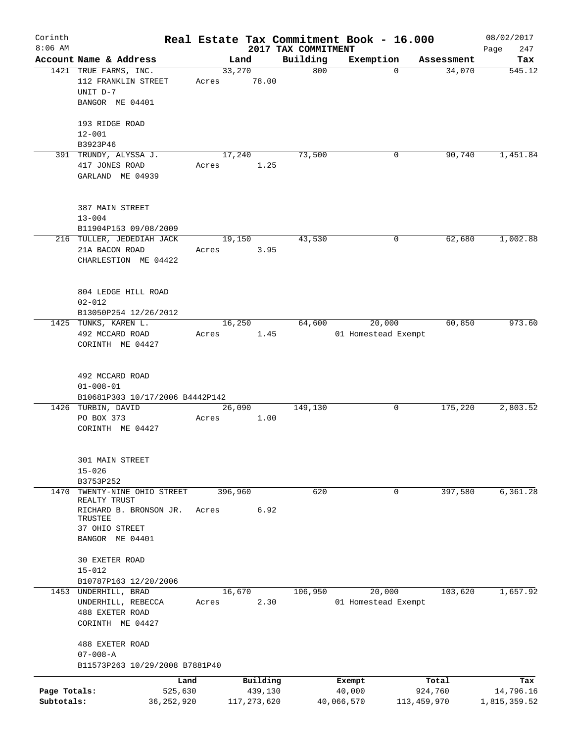| Corinth      |                                                   |       |                |                     | Real Estate Tax Commitment Book - 16.000 |                      | 08/02/2017    |
|--------------|---------------------------------------------------|-------|----------------|---------------------|------------------------------------------|----------------------|---------------|
| $8:06$ AM    |                                                   |       |                | 2017 TAX COMMITMENT |                                          |                      | 247<br>Page   |
|              | Account Name & Address<br>1421 TRUE FARMS, INC.   |       | Land<br>33,270 | Building<br>800     | Exemption<br>$\mathbf 0$                 | Assessment<br>34,070 | Tax<br>545.12 |
|              | 112 FRANKLIN STREET<br>UNIT D-7                   | Acres | 78.00          |                     |                                          |                      |               |
|              | BANGOR ME 04401                                   |       |                |                     |                                          |                      |               |
|              | 193 RIDGE ROAD                                    |       |                |                     |                                          |                      |               |
|              | $12 - 001$                                        |       |                |                     |                                          |                      |               |
|              | B3923P46<br>391 TRUNDY, ALYSSA J.                 |       | 17,240         | 73,500              | 0                                        | 90,740               | 1,451.84      |
|              | 417 JONES ROAD<br>GARLAND ME 04939                | Acres | 1.25           |                     |                                          |                      |               |
|              |                                                   |       |                |                     |                                          |                      |               |
|              | 387 MAIN STREET                                   |       |                |                     |                                          |                      |               |
|              | $13 - 004$                                        |       |                |                     |                                          |                      |               |
|              | B11904P153 09/08/2009                             |       |                |                     |                                          |                      |               |
|              | 216 TULLER, JEDEDIAH JACK<br>21A BACON ROAD       | Acres | 19,150<br>3.95 | 43,530              | 0                                        | 62,680               | 1,002.88      |
|              | CHARLESTION ME 04422                              |       |                |                     |                                          |                      |               |
|              |                                                   |       |                |                     |                                          |                      |               |
|              | 804 LEDGE HILL ROAD                               |       |                |                     |                                          |                      |               |
|              | $02 - 012$                                        |       |                |                     |                                          |                      |               |
|              | B13050P254 12/26/2012                             |       |                |                     |                                          |                      |               |
|              | 1425 TUNKS, KAREN L.                              |       | 16,250         | 64,600              | 20,000                                   | 60,850               | 973.60        |
|              | 492 MCCARD ROAD                                   | Acres | 1.45           |                     | 01 Homestead Exempt                      |                      |               |
|              | CORINTH ME 04427                                  |       |                |                     |                                          |                      |               |
|              | 492 MCCARD ROAD                                   |       |                |                     |                                          |                      |               |
|              | $01 - 008 - 01$                                   |       |                |                     |                                          |                      |               |
|              | B10681P303 10/17/2006 B4442P142                   |       |                |                     |                                          |                      |               |
|              | 1426 TURBIN, DAVID                                |       | 26,090         | 149,130             | 0                                        | 175,220              | 2,803.52      |
|              | PO BOX 373                                        | Acres | 1.00           |                     |                                          |                      |               |
|              | CORINTH ME 04427                                  |       |                |                     |                                          |                      |               |
|              | 301 MAIN STREET                                   |       |                |                     |                                          |                      |               |
|              | $15 - 026$                                        |       |                |                     |                                          |                      |               |
|              | B3753P252                                         |       |                |                     |                                          |                      |               |
| 1470         | TWENTY-NINE OHIO STREET                           |       | 396,960        | 620                 | 0                                        | 397,580              | 6,361.28      |
|              | REALTY TRUST<br>RICHARD B. BRONSON JR.<br>TRUSTEE | Acres | 6.92           |                     |                                          |                      |               |
|              | 37 OHIO STREET                                    |       |                |                     |                                          |                      |               |
|              | BANGOR ME 04401                                   |       |                |                     |                                          |                      |               |
|              | 30 EXETER ROAD                                    |       |                |                     |                                          |                      |               |
|              | $15 - 012$                                        |       |                |                     |                                          |                      |               |
|              | B10787P163 12/20/2006                             |       |                |                     |                                          |                      |               |
|              | 1453 UNDERHILL, BRAD                              |       | 16,670         | 106,950             | 20,000                                   | 103,620              | 1,657.92      |
|              | UNDERHILL, REBECCA                                | Acres | 2.30           |                     | 01 Homestead Exempt                      |                      |               |
|              | 488 EXETER ROAD<br>CORINTH ME 04427               |       |                |                     |                                          |                      |               |
|              | 488 EXETER ROAD                                   |       |                |                     |                                          |                      |               |
|              | $07 - 008 - A$                                    |       |                |                     |                                          |                      |               |
|              | B11573P263 10/29/2008 B7881P40                    |       |                |                     |                                          |                      |               |
|              | Land                                              |       | Building       |                     | Exempt                                   | Total                | Tax           |
| Page Totals: | 525,630                                           |       | 439,130        |                     | 40,000                                   | 924,760              | 14,796.16     |
| Subtotals:   | 36,252,920                                        |       | 117, 273, 620  |                     | 40,066,570                               | 113, 459, 970        | 1,815,359.52  |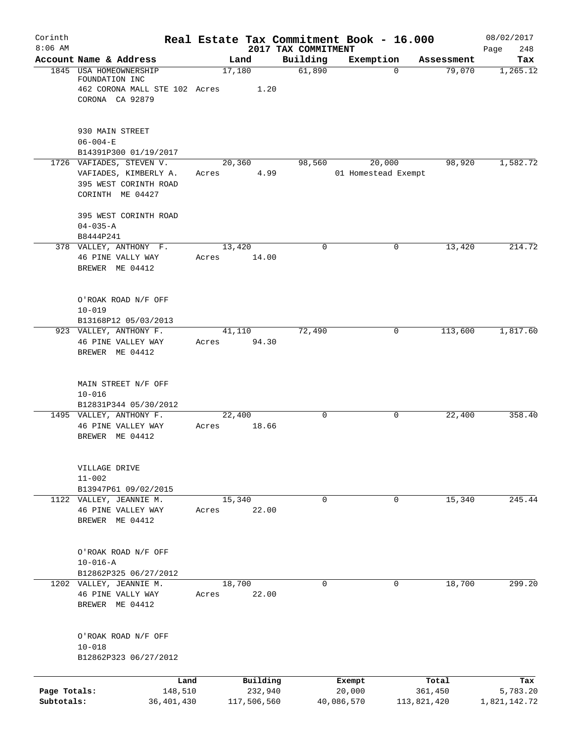| Corinth                    |                                                                                                | Real Estate Tax Commitment Book - 16.000 |                                 |                               |                        | 08/02/2017               |
|----------------------------|------------------------------------------------------------------------------------------------|------------------------------------------|---------------------------------|-------------------------------|------------------------|--------------------------|
| $8:06$ AM                  | Account Name & Address                                                                         | Land                                     | 2017 TAX COMMITMENT<br>Building | Exemption                     | Assessment             | 248<br>Page<br>Tax       |
|                            | 1845 USA HOMEOWNERSHIP<br>FOUNDATION INC<br>462 CORONA MALL STE 102 Acres<br>CORONA CA 92879   | 17,180<br>1.20                           | 61,890                          | $\Omega$                      | 79,070                 | 1,265.12                 |
|                            | 930 MAIN STREET<br>$06 - 004 - E$<br>B14391P300 01/19/2017                                     |                                          |                                 |                               |                        |                          |
|                            | 1726 VAFIADES, STEVEN V.<br>VAFIADES, KIMBERLY A.<br>395 WEST CORINTH ROAD<br>CORINTH ME 04427 | 20,360<br>4.99<br>Acres                  | 98,560                          | 20,000<br>01 Homestead Exempt | 98,920                 | 1,582.72                 |
|                            | 395 WEST CORINTH ROAD<br>$04 - 035 - A$<br>B8444P241                                           |                                          |                                 |                               |                        |                          |
|                            | 378 VALLEY, ANTHONY F.<br>46 PINE VALLY WAY<br>BREWER ME 04412                                 | 13,420<br>14.00<br>Acres                 | $\mathbf 0$                     | 0                             | 13,420                 | 214.72                   |
|                            | O'ROAK ROAD N/F OFF<br>$10 - 019$<br>B13168P12 05/03/2013                                      |                                          |                                 |                               |                        |                          |
|                            | 923 VALLEY, ANTHONY F.<br>46 PINE VALLEY WAY<br>BREWER ME 04412                                | 41,110<br>94.30<br>Acres                 | 72,490                          | 0                             | 113,600                | 1,817.60                 |
|                            | MAIN STREET N/F OFF<br>$10 - 016$<br>B12831P344 05/30/2012                                     |                                          |                                 |                               |                        |                          |
|                            | 1495 VALLEY, ANTHONY F.<br>46 PINE VALLEY WAY<br>BREWER ME 04412                               | 22,400<br>18.66<br>Acres                 | 0                               | 0                             | 22,400                 | 358.40                   |
|                            | VILLAGE DRIVE<br>$11 - 002$<br>B13947P61 09/02/2015                                            |                                          |                                 |                               |                        |                          |
|                            | 1122 VALLEY, JEANNIE M.<br>46 PINE VALLEY WAY<br>BREWER ME 04412                               | 15,340<br>22.00<br>Acres                 | $\mathbf 0$                     | $\mathbf 0$                   | 15,340                 | 245.44                   |
|                            | O'ROAK ROAD N/F OFF<br>$10 - 016 - A$<br>B12862P325 06/27/2012                                 |                                          |                                 |                               |                        |                          |
|                            | 1202 VALLEY, JEANNIE M.<br>46 PINE VALLY WAY<br>BREWER ME 04412                                | 18,700<br>22.00<br>Acres                 | $\mathbf 0$                     | $\mathbf 0$                   | 18,700                 | 299.20                   |
|                            | O'ROAK ROAD N/F OFF<br>$10 - 018$<br>B12862P323 06/27/2012                                     |                                          |                                 |                               |                        |                          |
|                            | Land                                                                                           | Building                                 |                                 | Exempt                        | Total                  | Tax                      |
| Page Totals:<br>Subtotals: | 148,510<br>36,401,430                                                                          | 232,940<br>117,506,560                   |                                 | 20,000<br>40,086,570          | 361,450<br>113,821,420 | 5,783.20<br>1,821,142.72 |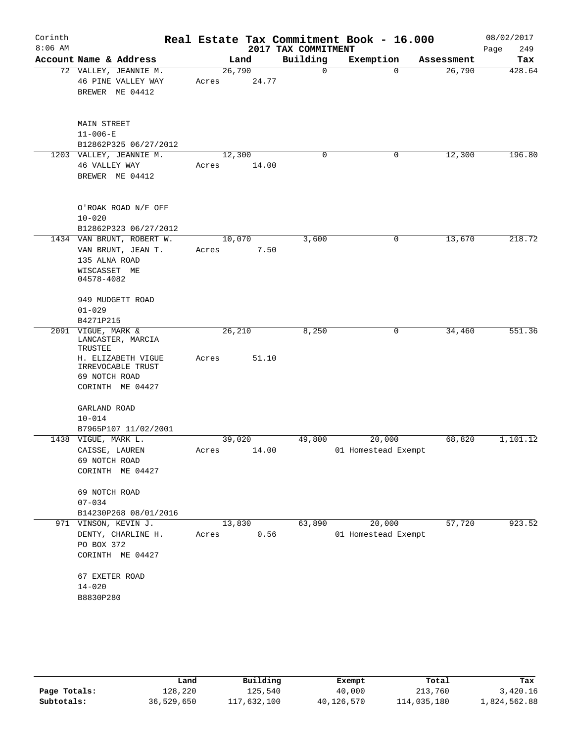|                                                                                                                           |                                                                                       |          |                                                                    |                          | 08/02/2017<br>Page<br>249                                                                                  |
|---------------------------------------------------------------------------------------------------------------------------|---------------------------------------------------------------------------------------|----------|--------------------------------------------------------------------|--------------------------|------------------------------------------------------------------------------------------------------------|
| Account Name & Address                                                                                                    | Land                                                                                  | Building | Exemption                                                          | Assessment               | Tax                                                                                                        |
| 72 VALLEY, JEANNIE M.<br>46 PINE VALLEY WAY<br>BREWER ME 04412                                                            | 26,790<br>Acres                                                                       | 0        | $\mathbf 0$                                                        | 26,790                   | 428.64                                                                                                     |
| MAIN STREET<br>$11 - 006 - E$                                                                                             |                                                                                       |          |                                                                    |                          |                                                                                                            |
| 1203 VALLEY, JEANNIE M.<br>46 VALLEY WAY<br>BREWER ME 04412                                                               | 12,300<br>Acres                                                                       | 0        | 0                                                                  | 12,300                   | 196.80                                                                                                     |
| O'ROAK ROAD N/F OFF<br>$10 - 020$<br>B12862P323 06/27/2012                                                                |                                                                                       |          |                                                                    |                          |                                                                                                            |
| VAN BRUNT, JEAN T.<br>135 ALNA ROAD<br>WISCASSET ME<br>04578-4082                                                         | 10,070<br>Acres                                                                       |          | 0                                                                  |                          | 218.72                                                                                                     |
| 949 MUDGETT ROAD<br>$01 - 029$                                                                                            |                                                                                       |          |                                                                    |                          |                                                                                                            |
|                                                                                                                           |                                                                                       |          |                                                                    |                          | 551.36                                                                                                     |
| LANCASTER, MARCIA<br>TRUSTEE<br>H. ELIZABETH VIGUE<br>IRREVOCABLE TRUST<br>69 NOTCH ROAD<br>CORINTH ME 04427              | Acres                                                                                 |          |                                                                    |                          |                                                                                                            |
| GARLAND ROAD<br>$10 - 014$<br>B7965P107 11/02/2001                                                                        |                                                                                       |          |                                                                    |                          |                                                                                                            |
| 1438 VIGUE, MARK L.<br>CAISSE, LAUREN<br>69 NOTCH ROAD<br>CORINTH ME 04427                                                | 39,020<br>Acres                                                                       | 49,800   | 20,000                                                             | 68,820                   | 1,101.12                                                                                                   |
| 69 NOTCH ROAD<br>$07 - 034$<br>B14230P268 08/01/2016                                                                      |                                                                                       |          |                                                                    |                          |                                                                                                            |
| 971 VINSON, KEVIN J.<br>DENTY, CHARLINE H.<br>PO BOX 372<br>CORINTH ME 04427<br>67 EXETER ROAD<br>$14 - 020$<br>B8830P280 | 13,830<br>Acres                                                                       | 63,890   | 20,000                                                             | 57,720                   | 923.52                                                                                                     |
|                                                                                                                           | B12862P325 06/27/2012<br>1434 VAN BRUNT, ROBERT W.<br>B4271P215<br>2091 VIGUE, MARK & | 26,210   | 24.77<br>14.00<br>3,600<br>7.50<br>8,250<br>51.10<br>14.00<br>0.56 | 2017 TAX COMMITMENT<br>0 | Real Estate Tax Commitment Book - 16.000<br>13,670<br>34,460<br>01 Homestead Exempt<br>01 Homestead Exempt |

|              | Land       | Building    | Exempt     | Total       | Tax          |
|--------------|------------|-------------|------------|-------------|--------------|
| Page Totals: | 128,220    | 125,540     | 40,000     | 213,760     | 3,420.16     |
| Subtotals:   | 36,529,650 | 117,632,100 | 40,126,570 | 114,035,180 | 1,824,562.88 |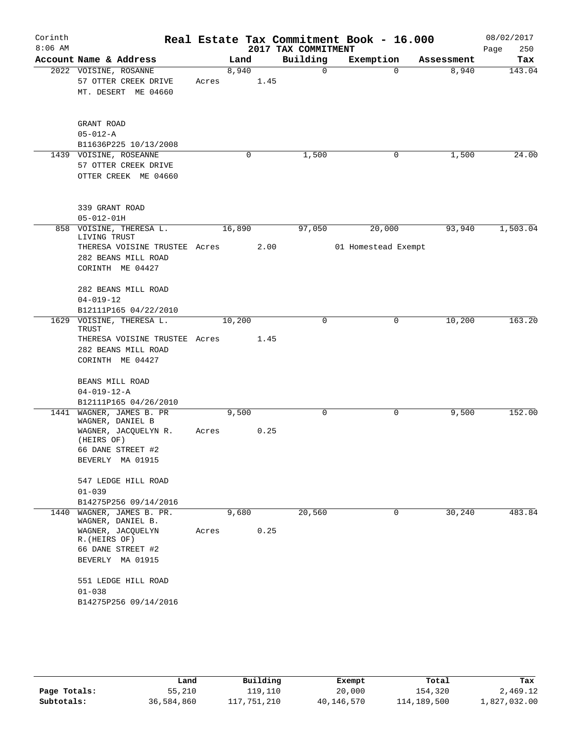| Corinth<br>$8:06$ AM |                                                                                               |            |        |      | 2017 TAX COMMITMENT | Real Estate Tax Commitment Book - 16.000 |            | 08/02/2017<br>250<br>Page |
|----------------------|-----------------------------------------------------------------------------------------------|------------|--------|------|---------------------|------------------------------------------|------------|---------------------------|
|                      | Account Name & Address                                                                        |            | Land   |      | Building            | Exemption                                | Assessment | Tax                       |
|                      | 2022 VOISINE, ROSANNE<br>57 OTTER CREEK DRIVE<br>MT. DESERT ME 04660                          | Acres 1.45 | 8,940  |      | $\mathbf 0$         | $\Omega$                                 | 8,940      | 143.04                    |
|                      | GRANT ROAD<br>$05 - 012 - A$                                                                  |            |        |      |                     |                                          |            |                           |
|                      | B11636P225 10/13/2008                                                                         |            |        |      |                     |                                          |            |                           |
|                      | 1439 VOISINE, ROSEANNE<br>57 OTTER CREEK DRIVE<br>OTTER CREEK ME 04660                        |            | 0      |      | 1,500               | 0                                        | 1,500      | 24.00                     |
|                      | 339 GRANT ROAD<br>$05 - 012 - 01H$                                                            |            |        |      |                     |                                          |            |                           |
|                      | 858 VOISINE, THERESA L.                                                                       |            | 16,890 |      | 97,050              | 20,000                                   | 93,940     | 1,503.04                  |
|                      | LIVING TRUST<br>THERESA VOISINE TRUSTEE Acres 2.00<br>282 BEANS MILL ROAD<br>CORINTH ME 04427 |            |        |      |                     | 01 Homestead Exempt                      |            |                           |
|                      | 282 BEANS MILL ROAD<br>$04 - 019 - 12$                                                        |            |        |      |                     |                                          |            |                           |
|                      | B12111P165 04/22/2010                                                                         |            |        |      |                     |                                          |            |                           |
|                      | 1629 VOISINE, THERESA L.<br>TRUST                                                             |            | 10,200 |      | $\Omega$            | 0                                        | 10,200     | 163.20                    |
|                      | THERESA VOISINE TRUSTEE Acres<br>282 BEANS MILL ROAD<br>CORINTH ME 04427                      |            |        | 1.45 |                     |                                          |            |                           |
|                      |                                                                                               |            |        |      |                     |                                          |            |                           |
|                      | BEANS MILL ROAD                                                                               |            |        |      |                     |                                          |            |                           |
|                      | $04 - 019 - 12 - A$<br>B12111P165 04/26/2010                                                  |            |        |      |                     |                                          |            |                           |
|                      | 1441 WAGNER, JAMES B. PR                                                                      |            | 9,500  |      | 0                   | 0                                        | 9,500      | 152.00                    |
|                      | WAGNER, DANIEL B<br>WAGNER, JACQUELYN R.<br>(HEIRS OF)                                        | Acres      |        | 0.25 |                     |                                          |            |                           |
|                      | 66 DANE STREET #2                                                                             |            |        |      |                     |                                          |            |                           |
|                      | BEVERLY MA 01915                                                                              |            |        |      |                     |                                          |            |                           |
|                      | 547 LEDGE HILL ROAD                                                                           |            |        |      |                     |                                          |            |                           |
|                      | $01 - 039$                                                                                    |            |        |      |                     |                                          |            |                           |
|                      | B14275P256 09/14/2016                                                                         |            |        |      |                     |                                          |            |                           |
| 1440                 | WAGNER, JAMES B. PR.<br>WAGNER, DANIEL B.                                                     |            | 9,680  |      | 20,560              | 0                                        | 30, 240    | 483.84                    |
|                      | WAGNER, JACQUELYN<br>R. (HEIRS OF)<br>66 DANE STREET #2                                       | Acres      |        | 0.25 |                     |                                          |            |                           |
|                      | BEVERLY MA 01915                                                                              |            |        |      |                     |                                          |            |                           |
|                      | 551 LEDGE HILL ROAD                                                                           |            |        |      |                     |                                          |            |                           |
|                      | $01 - 038$                                                                                    |            |        |      |                     |                                          |            |                           |
|                      | B14275P256 09/14/2016                                                                         |            |        |      |                     |                                          |            |                           |
|                      |                                                                                               |            |        |      |                     |                                          |            |                           |

|              | Land       | Building    | Exempt     | Total       | Tax          |
|--------------|------------|-------------|------------|-------------|--------------|
| Page Totals: | 55,210     | 119,110     | 20,000     | 154,320     | 2,469.12     |
| Subtotals:   | 36,584,860 | 117,751,210 | 40,146,570 | 114,189,500 | 1,827,032.00 |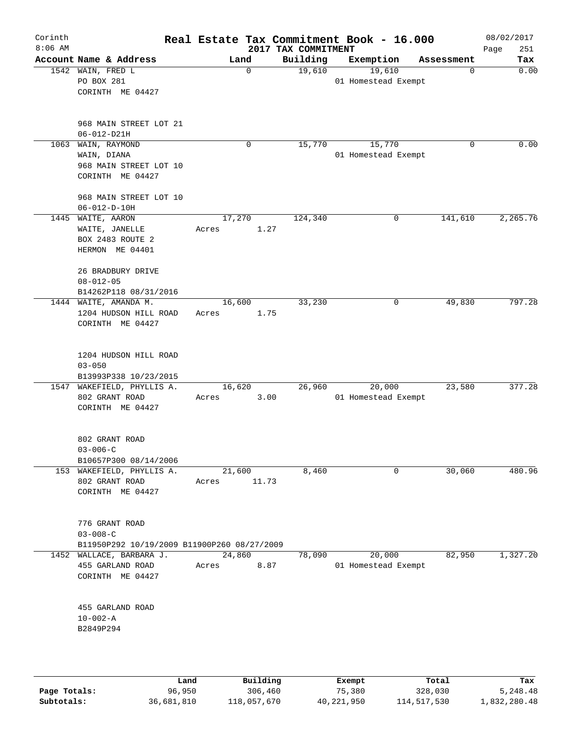| Corinth<br>$8:06$ AM |                                                                                        |                          | 2017 TAX COMMITMENT | Real Estate Tax Commitment Book - 16.000 |            | 08/02/2017<br>251<br>Page |
|----------------------|----------------------------------------------------------------------------------------|--------------------------|---------------------|------------------------------------------|------------|---------------------------|
|                      | Account Name & Address                                                                 | Land                     | Building            | Exemption                                | Assessment | Tax                       |
| 1542                 | WAIN, FRED L<br>PO BOX 281<br>CORINTH ME 04427                                         | 0                        | 19,610              | 19,610<br>01 Homestead Exempt            | 0          | 0.00                      |
|                      | 968 MAIN STREET LOT 21<br>$06 - 012 - D21H$                                            |                          |                     |                                          |            |                           |
| 1063                 | WAIN, RAYMOND<br>WAIN, DIANA<br>968 MAIN STREET LOT 10<br>CORINTH ME 04427             | 0                        | 15,770              | 15,770<br>01 Homestead Exempt            | 0          | 0.00                      |
|                      | 968 MAIN STREET LOT 10<br>$06 - 012 - D - 10H$                                         |                          |                     |                                          |            |                           |
|                      | 1445 WAITE, AARON<br>WAITE, JANELLE<br>BOX 2483 ROUTE 2<br>HERMON ME 04401             | 17,270<br>1.27<br>Acres  | 124,340             | 0                                        | 141,610    | 2,265.76                  |
|                      | 26 BRADBURY DRIVE<br>$08 - 012 - 05$<br>B14262P118 08/31/2016<br>1444 WAITE, AMANDA M. | 16,600                   | 33,230              | 0                                        | 49,830     | 797.28                    |
|                      | 1204 HUDSON HILL ROAD<br>CORINTH ME 04427                                              | 1.75<br>Acres            |                     |                                          |            |                           |
|                      | 1204 HUDSON HILL ROAD<br>$03 - 050$<br>B13993P338 10/23/2015                           |                          |                     |                                          |            |                           |
|                      | 1547 WAKEFIELD, PHYLLIS A.<br>802 GRANT ROAD<br>CORINTH ME 04427                       | 16,620<br>3.00<br>Acres  | 26,960              | 20,000<br>01 Homestead Exempt            | 23,580     | 377.28                    |
|                      | 802 GRANT ROAD<br>$03 - 006 - C$<br>B10657P300 08/14/2006                              |                          |                     |                                          |            |                           |
|                      | 153 WAKEFIELD, PHYLLIS A.<br>802 GRANT ROAD<br>CORINTH ME 04427                        | 21,600<br>11.73<br>Acres | 8,460               | $\mathbf 0$                              | 30,060     | 480.96                    |
|                      | 776 GRANT ROAD<br>$03 - 008 - C$<br>B11950P292 10/19/2009 B11900P260 08/27/2009        |                          |                     |                                          |            |                           |
|                      | 1452 WALLACE, BARBARA J.<br>455 GARLAND ROAD<br>CORINTH ME 04427                       | 24,860<br>8.87<br>Acres  | 78,090              | 20,000<br>01 Homestead Exempt            | 82,950     | 1,327.20                  |
|                      | 455 GARLAND ROAD<br>$10 - 002 - A$<br>B2849P294                                        |                          |                     |                                          |            |                           |
|                      |                                                                                        |                          |                     |                                          |            |                           |

|              | Land       | Building    | Exempt     | Total       | Tax          |
|--------------|------------|-------------|------------|-------------|--------------|
| Page Totals: | 96,950     | 306,460     | 75,380     | 328,030     | 5,248.48     |
| Subtotals:   | 36,681,810 | 118,057,670 | 40,221,950 | 114,517,530 | 1,832,280.48 |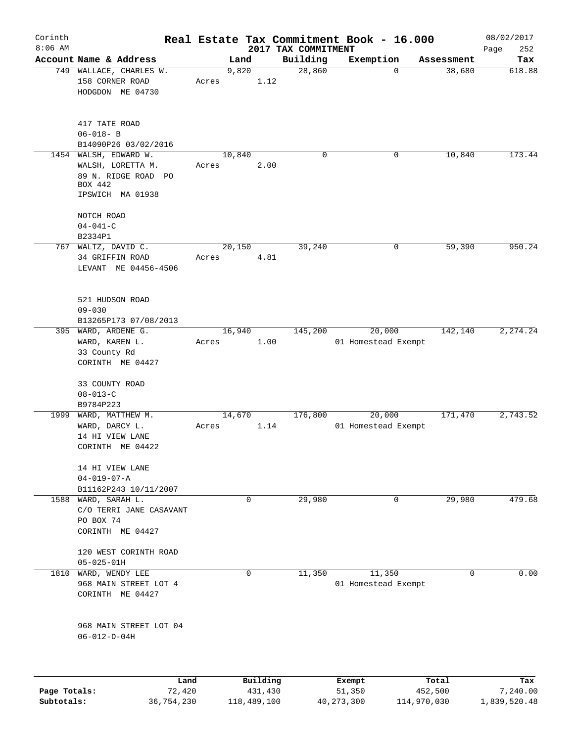| Corinth<br>$8:06$ AM |                                                                   |                 |               |                                 | Real Estate Tax Commitment Book - 16.000 |             | 08/02/2017         |
|----------------------|-------------------------------------------------------------------|-----------------|---------------|---------------------------------|------------------------------------------|-------------|--------------------|
|                      | Account Name & Address                                            |                 | Land          | 2017 TAX COMMITMENT<br>Building | Exemption                                | Assessment  | 252<br>Page<br>Tax |
|                      | 749 WALLACE, CHARLES W.<br>158 CORNER ROAD<br>HODGDON ME 04730    | Acres           | 9,820<br>1.12 | 28,860                          | $\mathbf 0$                              | 38,680      | 618.88             |
|                      | 417 TATE ROAD<br>$06 - 018 - B$<br>B14090P26 03/02/2016           |                 |               |                                 |                                          |             |                    |
|                      | 1454 WALSH, EDWARD W.<br>WALSH, LORETTA M.<br>89 N. RIDGE ROAD PO | 10,840<br>Acres | 2.00          | $\Omega$                        | 0                                        | 10,840      | 173.44             |
|                      | BOX 442<br>IPSWICH MA 01938                                       |                 |               |                                 |                                          |             |                    |
|                      | NOTCH ROAD<br>$04 - 041 - C$                                      |                 |               |                                 |                                          |             |                    |
|                      | B2334P1                                                           |                 |               |                                 |                                          |             |                    |
|                      | 767 WALTZ, DAVID C.                                               | 20,150          |               | 39,240                          | 0                                        | 59,390      | 950.24             |
|                      | 34 GRIFFIN ROAD<br>LEVANT ME 04456-4506                           | Acres           | 4.81          |                                 |                                          |             |                    |
|                      | 521 HUDSON ROAD<br>$09 - 030$                                     |                 |               |                                 |                                          |             |                    |
|                      | B13265P173 07/08/2013                                             |                 |               |                                 |                                          |             |                    |
|                      | 395 WARD, ARDENE G.                                               | 16,940          |               | 145,200                         | 20,000                                   | 142,140     | 2,274.24           |
|                      | WARD, KAREN L.                                                    | Acres           | 1.00          |                                 | 01 Homestead Exempt                      |             |                    |
|                      | 33 County Rd<br>CORINTH ME 04427                                  |                 |               |                                 |                                          |             |                    |
|                      | 33 COUNTY ROAD                                                    |                 |               |                                 |                                          |             |                    |
|                      | $08 - 013 - C$                                                    |                 |               |                                 |                                          |             |                    |
|                      | B9784P223                                                         |                 |               |                                 |                                          |             |                    |
|                      | 1999 WARD, MATTHEW M.                                             | 14,670          |               | 176,800                         | 20,000                                   | 171,470     | 2,743.52           |
|                      | WARD, DARCY L.                                                    | Acres           | 1.14          |                                 | 01 Homestead Exempt                      |             |                    |
|                      | 14 HI VIEW LANE<br>CORINTH ME 04422                               |                 |               |                                 |                                          |             |                    |
|                      | 14 HI VIEW LANE<br>$04 - 019 - 07 - A$                            |                 |               |                                 |                                          |             |                    |
|                      | B11162P243 10/11/2007                                             |                 |               |                                 |                                          |             |                    |
|                      | 1588 WARD, SARAH L.                                               |                 | 0             | 29,980                          | 0                                        | 29,980      | 479.68             |
|                      | C/O TERRI JANE CASAVANT                                           |                 |               |                                 |                                          |             |                    |
|                      | PO BOX 74<br>CORINTH ME 04427                                     |                 |               |                                 |                                          |             |                    |
|                      | 120 WEST CORINTH ROAD<br>$05 - 025 - 01H$                         |                 |               |                                 |                                          |             |                    |
|                      | 1810 WARD, WENDY LEE                                              |                 | $\mathbf 0$   | 11,350                          | 11,350                                   | $\Omega$    | 0.00               |
|                      | 968 MAIN STREET LOT 4<br>CORINTH ME 04427                         |                 |               |                                 | 01 Homestead Exempt                      |             |                    |
|                      | 968 MAIN STREET LOT 04<br>$06 - 012 - D - 04H$                    |                 |               |                                 |                                          |             |                    |
|                      | Land                                                              |                 | Building      |                                 | Exempt                                   | Total       | Tax                |
| Page Totals:         | 72,420                                                            |                 | 431,430       |                                 | 51,350                                   | 452,500     | 7,240.00           |
| Subtotals:           | 36,754,230                                                        |                 | 118,489,100   |                                 | 40, 273, 300                             | 114,970,030 | 1,839,520.48       |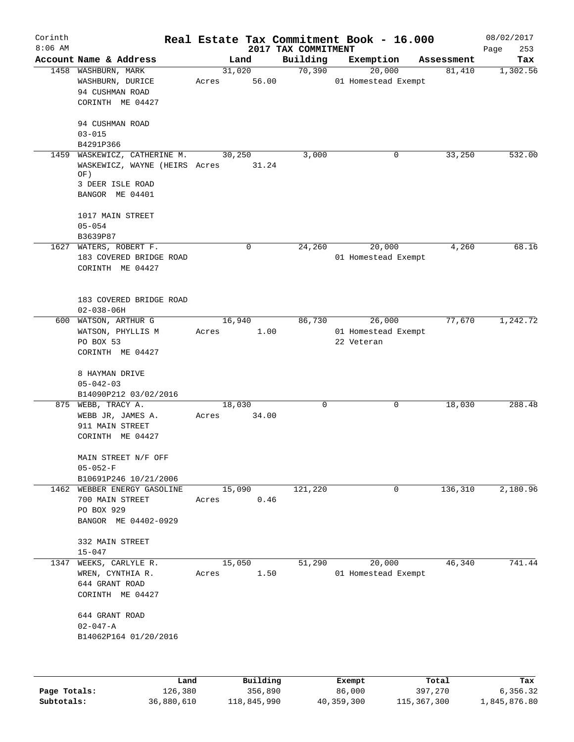| Corinth   |                                                                                                             |                 |          |                     | Real Estate Tax Commitment Book - 16.000    |                      | 08/02/2017  |
|-----------|-------------------------------------------------------------------------------------------------------------|-----------------|----------|---------------------|---------------------------------------------|----------------------|-------------|
| $8:06$ AM | Account Name & Address                                                                                      |                 |          | 2017 TAX COMMITMENT |                                             |                      | 253<br>Page |
|           |                                                                                                             | 31,020          | Land     | Building<br>70,390  | Exemption<br>20,000                         | Assessment<br>81,410 | Tax         |
|           | 1458 WASHBURN, MARK<br>WASHBURN, DURICE<br>94 CUSHMAN ROAD<br>CORINTH ME 04427<br>94 CUSHMAN ROAD           | Acres           | 56.00    |                     | 01 Homestead Exempt                         |                      | 1,302.56    |
|           | $03 - 015$<br>B4291P366                                                                                     |                 |          |                     |                                             |                      |             |
|           | 1459 WASKEWICZ, CATHERINE M.<br>WASKEWICZ, WAYNE (HEIRS Acres<br>OF)<br>3 DEER ISLE ROAD<br>BANGOR ME 04401 | 30,250          | 31.24    | 3,000               | 0                                           | 33,250               | 532.00      |
|           | 1017 MAIN STREET<br>$05 - 054$<br>B3639P87                                                                  |                 |          |                     |                                             |                      |             |
|           | 1627 WATERS, ROBERT F.<br>183 COVERED BRIDGE ROAD<br>CORINTH ME 04427                                       |                 | 0        | 24,260              | 20,000<br>01 Homestead Exempt               | 4,260                | 68.16       |
|           | 183 COVERED BRIDGE ROAD<br>$02 - 038 - 06H$                                                                 |                 |          |                     |                                             |                      |             |
|           | 600 WATSON, ARTHUR G<br>WATSON, PHYLLIS M<br>PO BOX 53<br>CORINTH ME 04427                                  | 16,940<br>Acres | 1.00     | 86,730              | 26,000<br>01 Homestead Exempt<br>22 Veteran | 77,670               | 1,242.72    |
|           | 8 HAYMAN DRIVE<br>$05 - 042 - 03$<br>B14090P212 03/02/2016                                                  |                 |          |                     |                                             |                      |             |
|           | 875 WEBB, TRACY A.<br>WEBB JR, JAMES A.<br>911 MAIN STREET<br>CORINTH ME 04427                              | 18,030<br>Acres | 34.00    | $\mathbf 0$         | 0                                           | 18,030               | 288.48      |
|           | MAIN STREET N/F OFF<br>$05 - 052 - F$                                                                       |                 |          |                     |                                             |                      |             |
|           | B10691P246 10/21/2006                                                                                       |                 |          |                     |                                             |                      |             |
|           | 1462 WEBBER ENERGY GASOLINE<br>700 MAIN STREET<br>PO BOX 929<br>BANGOR ME 04402-0929                        | 15,090<br>Acres | 0.46     | 121,220             | 0                                           | 136,310              | 2,180.96    |
|           | 332 MAIN STREET<br>$15 - 047$                                                                               |                 |          |                     |                                             |                      |             |
|           | 1347 WEEKS, CARLYLE R.<br>WREN, CYNTHIA R.<br>644 GRANT ROAD<br>CORINTH ME 04427                            | 15,050<br>Acres | 1.50     | 51,290              | 20,000<br>01 Homestead Exempt               | 46,340               | 741.44      |
|           | 644 GRANT ROAD<br>$02 - 047 - A$<br>B14062P164 01/20/2016                                                   |                 |          |                     |                                             |                      |             |
|           |                                                                                                             |                 |          |                     |                                             |                      |             |
|           | Land                                                                                                        |                 | Building |                     | Exempt                                      | Total                | Tax         |

**Page Totals:** 126,380 356,890 36,000 397,270 6,356.32 **Subtotals:** 36,880,610 118,845,990 40,359,300 115,367,300 1,845,876.80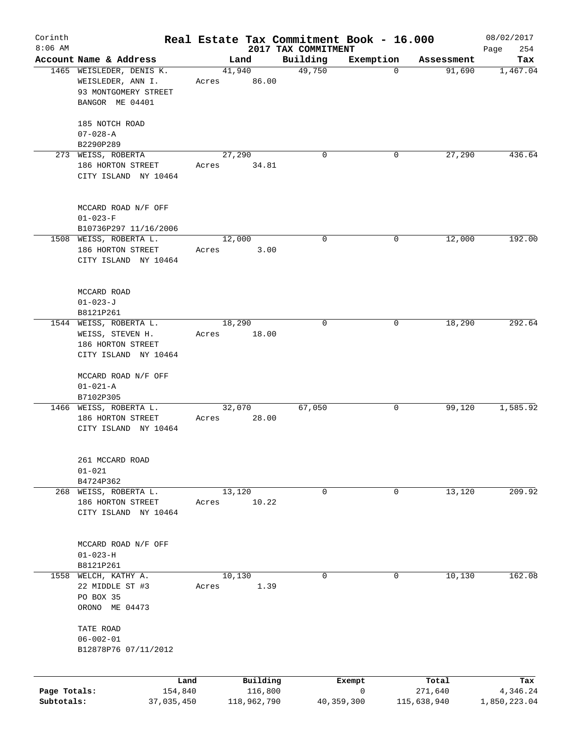|                                                               |                                                                                                                                                                                                                           |                               |                                                                            |                                                                                                                                                |                                                                              | 08/02/2017                                                                                                                                  |
|---------------------------------------------------------------|---------------------------------------------------------------------------------------------------------------------------------------------------------------------------------------------------------------------------|-------------------------------|----------------------------------------------------------------------------|------------------------------------------------------------------------------------------------------------------------------------------------|------------------------------------------------------------------------------|---------------------------------------------------------------------------------------------------------------------------------------------|
|                                                               |                                                                                                                                                                                                                           |                               |                                                                            |                                                                                                                                                |                                                                              | 254<br>Page                                                                                                                                 |
| 1465 WEISLEDER, DENIS K.<br>WEISLEDER, ANN I.                 | Acres                                                                                                                                                                                                                     |                               | 49,750                                                                     | $\mathbf 0$                                                                                                                                    |                                                                              | Tax<br>1,467.04                                                                                                                             |
| BANGOR ME 04401                                               |                                                                                                                                                                                                                           |                               |                                                                            |                                                                                                                                                |                                                                              |                                                                                                                                             |
| 185 NOTCH ROAD<br>$07 - 028 - A$                              |                                                                                                                                                                                                                           |                               |                                                                            |                                                                                                                                                |                                                                              |                                                                                                                                             |
|                                                               |                                                                                                                                                                                                                           |                               |                                                                            |                                                                                                                                                |                                                                              | 436.64                                                                                                                                      |
| 186 HORTON STREET<br>CITY ISLAND NY 10464                     | Acres                                                                                                                                                                                                                     |                               |                                                                            |                                                                                                                                                |                                                                              |                                                                                                                                             |
| MCCARD ROAD N/F OFF<br>$01 - 023 - F$                         |                                                                                                                                                                                                                           |                               |                                                                            |                                                                                                                                                |                                                                              |                                                                                                                                             |
| B10736P297 11/16/2006                                         |                                                                                                                                                                                                                           |                               |                                                                            |                                                                                                                                                |                                                                              |                                                                                                                                             |
| 186 HORTON STREET<br>CITY ISLAND NY 10464                     | Acres                                                                                                                                                                                                                     |                               |                                                                            |                                                                                                                                                |                                                                              | 192.00                                                                                                                                      |
| MCCARD ROAD<br>$01 - 023 - J$                                 |                                                                                                                                                                                                                           |                               |                                                                            |                                                                                                                                                |                                                                              |                                                                                                                                             |
| B8121P261                                                     |                                                                                                                                                                                                                           |                               |                                                                            |                                                                                                                                                |                                                                              |                                                                                                                                             |
| WEISS, STEVEN H.<br>186 HORTON STREET<br>CITY ISLAND NY 10464 | Acres                                                                                                                                                                                                                     |                               |                                                                            |                                                                                                                                                |                                                                              | 292.64                                                                                                                                      |
| MCCARD ROAD N/F OFF<br>$01 - 021 - A$                         |                                                                                                                                                                                                                           |                               |                                                                            |                                                                                                                                                |                                                                              |                                                                                                                                             |
|                                                               |                                                                                                                                                                                                                           |                               |                                                                            |                                                                                                                                                |                                                                              | 1,585.92                                                                                                                                    |
| 186 HORTON STREET<br>CITY ISLAND NY 10464                     | Acres                                                                                                                                                                                                                     |                               |                                                                            |                                                                                                                                                |                                                                              |                                                                                                                                             |
| 261 MCCARD ROAD<br>$01 - 021$                                 |                                                                                                                                                                                                                           |                               |                                                                            |                                                                                                                                                |                                                                              |                                                                                                                                             |
| 268 WEISS, ROBERTA L.                                         |                                                                                                                                                                                                                           |                               | 0                                                                          | 0                                                                                                                                              |                                                                              | 209.92                                                                                                                                      |
| 186 HORTON STREET<br>CITY ISLAND NY 10464                     | Acres                                                                                                                                                                                                                     |                               |                                                                            |                                                                                                                                                |                                                                              |                                                                                                                                             |
| MCCARD ROAD N/F OFF<br>$01 - 023 - H$                         |                                                                                                                                                                                                                           |                               |                                                                            |                                                                                                                                                |                                                                              |                                                                                                                                             |
| 1558                                                          |                                                                                                                                                                                                                           |                               | 0                                                                          | 0                                                                                                                                              |                                                                              | 162.08                                                                                                                                      |
| 22 MIDDLE ST #3<br>PO BOX 35<br>ORONO ME 04473                | Acres                                                                                                                                                                                                                     |                               |                                                                            |                                                                                                                                                |                                                                              |                                                                                                                                             |
| TATE ROAD<br>$06 - 002 - 01$<br>B12878P76 07/11/2012          |                                                                                                                                                                                                                           |                               |                                                                            |                                                                                                                                                |                                                                              |                                                                                                                                             |
|                                                               |                                                                                                                                                                                                                           |                               |                                                                            |                                                                                                                                                |                                                                              |                                                                                                                                             |
| Page Totals:<br>Subtotals:                                    |                                                                                                                                                                                                                           |                               |                                                                            | 0                                                                                                                                              | Total<br>271,640                                                             | Tax<br>4,346.24<br>1,850,223.04                                                                                                             |
|                                                               | Account Name & Address<br>93 MONTGOMERY STREET<br>B2290P289<br>273 WEISS, ROBERTA<br>1508 WEISS, ROBERTA L.<br>1544 WEISS, ROBERTA L.<br>B7102P305<br>1466 WEISS, ROBERTA L.<br>B4724P362<br>B8121P261<br>WELCH, KATHY A. | Land<br>154,840<br>37,035,450 | Land<br>41,940<br>27,290<br>12,000<br>18,290<br>32,070<br>13,120<br>10,130 | Building<br>86.00<br>0<br>34.81<br>$\mathbf 0$<br>3.00<br>0<br>18.00<br>67,050<br>28.00<br>10.22<br>1.39<br>Building<br>116,800<br>118,962,790 | 2017 TAX COMMITMENT<br>Exemption<br>0<br>0<br>0<br>0<br>Exempt<br>40,359,300 | Real Estate Tax Commitment Book - 16.000<br>Assessment<br>91,690<br>27,290<br>12,000<br>18,290<br>99,120<br>13,120<br>10,130<br>115,638,940 |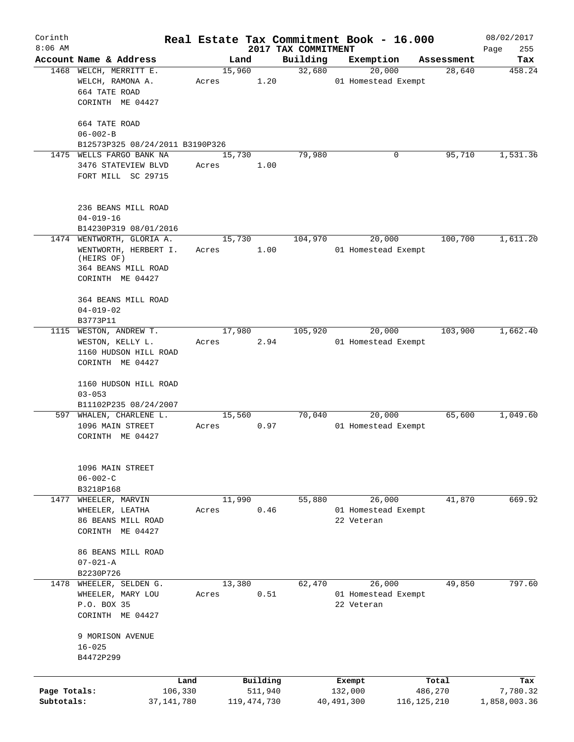| Corinth                    |                                                                                                             |       |                          |                                 | Real Estate Tax Commitment Book - 16.000 |                          | 08/02/2017               |
|----------------------------|-------------------------------------------------------------------------------------------------------------|-------|--------------------------|---------------------------------|------------------------------------------|--------------------------|--------------------------|
| $8:06$ AM                  | Account Name & Address                                                                                      |       | Land                     | 2017 TAX COMMITMENT<br>Building | Exemption                                | Assessment               | 255<br>Page<br>Tax       |
| 1468                       | WELCH, MERRITT E.<br>WELCH, RAMONA A.                                                                       | Acres | 15,960<br>1.20           | 32,680                          | 20,000<br>01 Homestead Exempt            | 28,640                   | 458.24                   |
|                            | 664 TATE ROAD<br>CORINTH ME 04427                                                                           |       |                          |                                 |                                          |                          |                          |
|                            | 664 TATE ROAD<br>$06 - 002 - B$                                                                             |       |                          |                                 |                                          |                          |                          |
| 1475                       | B12573P325 08/24/2011 B3190P326                                                                             |       |                          | 79,980                          | 0                                        | 95,710                   | 1,531.36                 |
|                            | WELLS FARGO BANK NA<br>3476 STATEVIEW BLVD<br>FORT MILL SC 29715                                            | Acres | 15,730<br>1.00           |                                 |                                          |                          |                          |
|                            | 236 BEANS MILL ROAD<br>$04 - 019 - 16$                                                                      |       |                          |                                 |                                          |                          |                          |
|                            | B14230P319 08/01/2016                                                                                       |       |                          |                                 |                                          |                          |                          |
|                            | 1474 WENTWORTH, GLORIA A.<br>WENTWORTH, HERBERT I.<br>(HEIRS OF)<br>364 BEANS MILL ROAD<br>CORINTH ME 04427 | Acres | 15,730<br>1.00           | 104,970                         | 20,000<br>01 Homestead Exempt            | 100,700                  | 1,611.20                 |
|                            | 364 BEANS MILL ROAD<br>$04 - 019 - 02$<br>B3773P11                                                          |       |                          |                                 |                                          |                          |                          |
|                            | 1115 WESTON, ANDREW T.<br>WESTON, KELLY L.<br>1160 HUDSON HILL ROAD<br>CORINTH ME 04427                     | Acres | 17,980<br>2.94           | 105,920                         | 20,000<br>01 Homestead Exempt            | 103,900                  | 1,662.40                 |
|                            | 1160 HUDSON HILL ROAD<br>$03 - 053$<br>B11102P235 08/24/2007                                                |       |                          |                                 |                                          |                          |                          |
|                            | 597 WHALEN, CHARLENE L.<br>1096 MAIN STREET<br>CORINTH ME 04427                                             | Acres | 15,560<br>0.97           | 70,040                          | 20,000<br>01 Homestead Exempt            | 65,600                   | 1,049.60                 |
|                            | 1096 MAIN STREET<br>$06 - 002 - C$<br>B3218P168                                                             |       |                          |                                 |                                          |                          |                          |
| 1477                       | WHEELER, MARVIN                                                                                             |       | 11,990                   | 55,880                          | 26,000                                   | 41,870                   | 669.92                   |
|                            | WHEELER, LEATHA<br>86 BEANS MILL ROAD<br>CORINTH ME 04427                                                   | Acres | 0.46                     |                                 | 01 Homestead Exempt<br>22 Veteran        |                          |                          |
|                            | 86 BEANS MILL ROAD<br>$07 - 021 - A$<br>B2230P726                                                           |       |                          |                                 |                                          |                          |                          |
|                            | 1478 WHEELER, SELDEN G.                                                                                     |       | 13,380                   | 62,470                          | 26,000                                   | 49,850                   | 797.60                   |
|                            | WHEELER, MARY LOU<br>P.O. BOX 35<br>CORINTH ME 04427                                                        | Acres | 0.51                     |                                 | 01 Homestead Exempt<br>22 Veteran        |                          |                          |
|                            | 9 MORISON AVENUE<br>$16 - 025$<br>B4472P299                                                                 |       |                          |                                 |                                          |                          |                          |
|                            | Land                                                                                                        |       | Building                 |                                 | Exempt                                   | Total                    | Tax                      |
| Page Totals:<br>Subtotals: | 106,330<br>37,141,780                                                                                       |       | 511,940<br>119, 474, 730 |                                 | 132,000<br>40, 491, 300                  | 486,270<br>116, 125, 210 | 7,780.32<br>1,858,003.36 |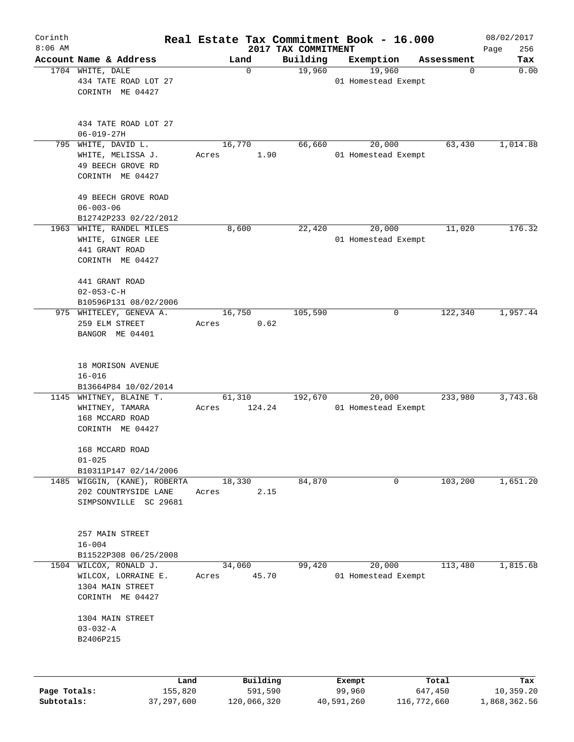| Corinth<br>$8:06$ AM |                         |       |          | Real Estate Tax Commitment Book - 16.000 |        |                     |            | 08/02/2017         |
|----------------------|-------------------------|-------|----------|------------------------------------------|--------|---------------------|------------|--------------------|
|                      | Account Name & Address  |       | Land     | 2017 TAX COMMITMENT<br>Building          |        | Exemption           | Assessment | 256<br>Page<br>Tax |
|                      | 1704 WHITE, DALE        |       | 0        | 19,960                                   |        | 19,960              | 0          | 0.00               |
|                      | 434 TATE ROAD LOT 27    |       |          |                                          |        | 01 Homestead Exempt |            |                    |
|                      | CORINTH ME 04427        |       |          |                                          |        |                     |            |                    |
|                      |                         |       |          |                                          |        |                     |            |                    |
|                      | 434 TATE ROAD LOT 27    |       |          |                                          |        |                     |            |                    |
|                      | $06 - 019 - 27H$        |       |          |                                          |        |                     |            |                    |
| 795                  | WHITE, DAVID L.         |       | 16,770   | 66,660                                   |        | 20,000              | 63,430     | 1,014.88           |
|                      | WHITE, MELISSA J.       | Acres | 1.90     |                                          |        | 01 Homestead Exempt |            |                    |
|                      | 49 BEECH GROVE RD       |       |          |                                          |        |                     |            |                    |
|                      | CORINTH ME 04427        |       |          |                                          |        |                     |            |                    |
|                      | 49 BEECH GROVE ROAD     |       |          |                                          |        |                     |            |                    |
|                      | $06 - 003 - 06$         |       |          |                                          |        |                     |            |                    |
|                      | B12742P233 02/22/2012   |       |          |                                          |        |                     |            |                    |
| 1963                 | WHITE, RANDEL MILES     |       | 8,600    | 22,420                                   |        | 20,000              | 11,020     | 176.32             |
|                      | WHITE, GINGER LEE       |       |          |                                          |        | 01 Homestead Exempt |            |                    |
|                      | 441 GRANT ROAD          |       |          |                                          |        |                     |            |                    |
|                      | CORINTH ME 04427        |       |          |                                          |        |                     |            |                    |
|                      | 441 GRANT ROAD          |       |          |                                          |        |                     |            |                    |
|                      | $02 - 053 - C - H$      |       |          |                                          |        |                     |            |                    |
|                      | B10596P131 08/02/2006   |       |          |                                          |        |                     |            |                    |
| 975                  | WHITELEY, GENEVA A.     |       | 16,750   | 105,590                                  |        | 0                   | 122,340    | 1,957.44           |
|                      | 259 ELM STREET          | Acres | 0.62     |                                          |        |                     |            |                    |
|                      | BANGOR ME 04401         |       |          |                                          |        |                     |            |                    |
|                      |                         |       |          |                                          |        |                     |            |                    |
|                      | 18 MORISON AVENUE       |       |          |                                          |        |                     |            |                    |
|                      | $16 - 016$              |       |          |                                          |        |                     |            |                    |
|                      | B13664P84 10/02/2014    |       |          |                                          |        |                     |            |                    |
|                      | 1145 WHITNEY, BLAINE T. |       | 61,310   | 192,670                                  |        | 20,000              | 233,980    | 3,743.68           |
|                      | WHITNEY, TAMARA         | Acres | 124.24   |                                          |        | 01 Homestead Exempt |            |                    |
|                      | 168 MCCARD ROAD         |       |          |                                          |        |                     |            |                    |
|                      | CORINTH ME 04427        |       |          |                                          |        |                     |            |                    |
|                      | 168 MCCARD ROAD         |       |          |                                          |        |                     |            |                    |
|                      | $01 - 025$              |       |          |                                          |        |                     |            |                    |
|                      | B10311P147 02/14/2006   |       |          |                                          |        |                     |            |                    |
| 1485                 | WIGGIN, (KANE), ROBERTA |       | 18,330   | 84,870                                   |        | 0                   | 103,200    | 1,651.20           |
|                      | 202 COUNTRYSIDE LANE    | Acres | 2.15     |                                          |        |                     |            |                    |
|                      | SIMPSONVILLE SC 29681   |       |          |                                          |        |                     |            |                    |
|                      |                         |       |          |                                          |        |                     |            |                    |
|                      | 257 MAIN STREET         |       |          |                                          |        |                     |            |                    |
|                      | $16 - 004$              |       |          |                                          |        |                     |            |                    |
|                      | B11522P308 06/25/2008   |       |          |                                          |        |                     |            |                    |
| 1504                 | WILCOX, RONALD J.       |       | 34,060   | 99,420                                   |        | 20,000              | 113,480    | 1,815.68           |
|                      | WILCOX, LORRAINE E.     | Acres | 45.70    |                                          |        | 01 Homestead Exempt |            |                    |
|                      | 1304 MAIN STREET        |       |          |                                          |        |                     |            |                    |
|                      | CORINTH ME 04427        |       |          |                                          |        |                     |            |                    |
|                      | 1304 MAIN STREET        |       |          |                                          |        |                     |            |                    |
|                      | $03 - 032 - A$          |       |          |                                          |        |                     |            |                    |
|                      | B2406P215               |       |          |                                          |        |                     |            |                    |
|                      |                         |       |          |                                          |        |                     |            |                    |
|                      | Land                    |       | Building |                                          | Exempt |                     | Total      | Tax                |
| Page Totals:         | 155,820                 |       | 591,590  |                                          | 99,960 |                     | 647,450    | 10,359.20          |

**Subtotals:** 37,297,600 120,066,320 40,591,260 116,772,660 1,868,362.56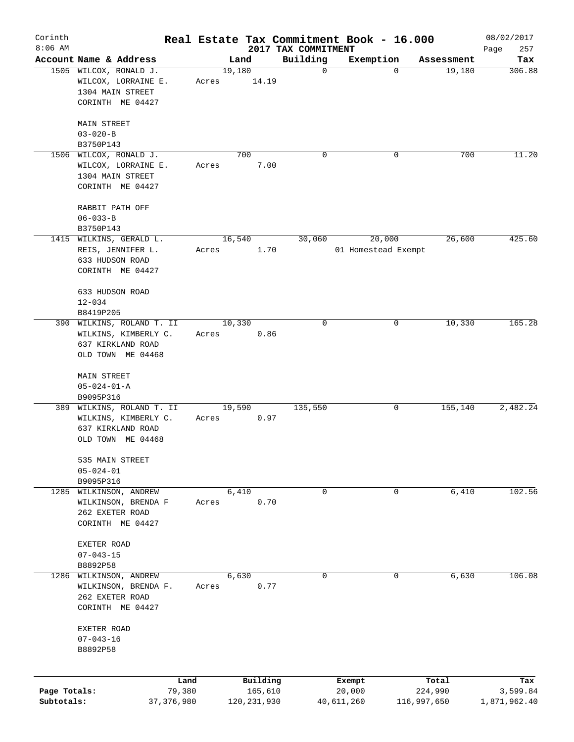| Corinth      |                                               |       |                         |                                 | Real Estate Tax Commitment Book - 16.000 |                      | 08/02/2017    |
|--------------|-----------------------------------------------|-------|-------------------------|---------------------------------|------------------------------------------|----------------------|---------------|
| $8:06$ AM    | Account Name & Address                        |       |                         | 2017 TAX COMMITMENT<br>Building |                                          |                      | 257<br>Page   |
|              | 1505 WILCOX, RONALD J.<br>WILCOX, LORRAINE E. | Acres | Land<br>19,180<br>14.19 | $\mathbf 0$                     | Exemption<br>$\mathbf 0$                 | Assessment<br>19,180 | Tax<br>306.88 |
|              | 1304 MAIN STREET<br>CORINTH ME 04427          |       |                         |                                 |                                          |                      |               |
|              |                                               |       |                         |                                 |                                          |                      |               |
|              | MAIN STREET<br>$03 - 020 - B$                 |       |                         |                                 |                                          |                      |               |
|              | B3750P143                                     |       |                         |                                 |                                          |                      |               |
|              | 1506 WILCOX, RONALD J.                        |       | 700                     | 0                               | 0                                        | 700                  | 11.20         |
|              | WILCOX, LORRAINE E.<br>1304 MAIN STREET       | Acres | 7.00                    |                                 |                                          |                      |               |
|              | CORINTH ME 04427                              |       |                         |                                 |                                          |                      |               |
|              | RABBIT PATH OFF<br>$06 - 033 - B$             |       |                         |                                 |                                          |                      |               |
|              | B3750P143                                     |       |                         |                                 |                                          |                      |               |
|              | 1415 WILKINS, GERALD L.                       |       | 16,540                  | 30,060                          | 20,000                                   | 26,600               | 425.60        |
|              | REIS, JENNIFER L.<br>633 HUDSON ROAD          | Acres | 1.70                    |                                 | 01 Homestead Exempt                      |                      |               |
|              | CORINTH ME 04427                              |       |                         |                                 |                                          |                      |               |
|              | 633 HUDSON ROAD                               |       |                         |                                 |                                          |                      |               |
|              | $12 - 034$                                    |       |                         |                                 |                                          |                      |               |
|              | B8419P205<br>390 WILKINS, ROLAND T. II        |       | 10,330                  | 0                               | 0                                        | 10,330               | 165.28        |
|              | WILKINS, KIMBERLY C.<br>637 KIRKLAND ROAD     | Acres | 0.86                    |                                 |                                          |                      |               |
|              | OLD TOWN ME 04468                             |       |                         |                                 |                                          |                      |               |
|              | MAIN STREET                                   |       |                         |                                 |                                          |                      |               |
|              | $05 - 024 - 01 - A$                           |       |                         |                                 |                                          |                      |               |
|              | B9095P316<br>389 WILKINS, ROLAND T. II        |       | 19,590                  | 135,550                         | 0                                        | 155,140              | 2,482.24      |
|              | WILKINS, KIMBERLY C.                          | Acres | 0.97                    |                                 |                                          |                      |               |
|              | 637 KIRKLAND ROAD                             |       |                         |                                 |                                          |                      |               |
|              | OLD TOWN ME 04468                             |       |                         |                                 |                                          |                      |               |
|              | 535 MAIN STREET<br>$05 - 024 - 01$            |       |                         |                                 |                                          |                      |               |
|              | B9095P316                                     |       |                         |                                 |                                          |                      |               |
| 1285         | WILKINSON, ANDREW                             |       | 6,410                   | 0                               | 0                                        | 6,410                | 102.56        |
|              | WILKINSON, BRENDA F<br>262 EXETER ROAD        | Acres | 0.70                    |                                 |                                          |                      |               |
|              | CORINTH ME 04427                              |       |                         |                                 |                                          |                      |               |
|              | EXETER ROAD                                   |       |                         |                                 |                                          |                      |               |
|              | $07 - 043 - 15$<br>B8892P58                   |       |                         |                                 |                                          |                      |               |
| 1286         | WILKINSON, ANDREW                             |       | 6,630                   | 0                               | 0                                        | 6,630                | 106.08        |
|              | WILKINSON, BRENDA F.                          | Acres | 0.77                    |                                 |                                          |                      |               |
|              | 262 EXETER ROAD                               |       |                         |                                 |                                          |                      |               |
|              | CORINTH ME 04427                              |       |                         |                                 |                                          |                      |               |
|              | EXETER ROAD                                   |       |                         |                                 |                                          |                      |               |
|              | $07 - 043 - 16$                               |       |                         |                                 |                                          |                      |               |
|              | B8892P58                                      |       |                         |                                 |                                          |                      |               |
|              | Land                                          |       | Building                |                                 | Exempt                                   | Total                | Tax           |
| Page Totals: | 79,380                                        |       | 165,610                 |                                 | 20,000                                   | 224,990              | 3,599.84      |
| Subtotals:   | 37, 376, 980                                  |       | 120, 231, 930           |                                 | 40,611,260                               | 116,997,650          | 1,871,962.40  |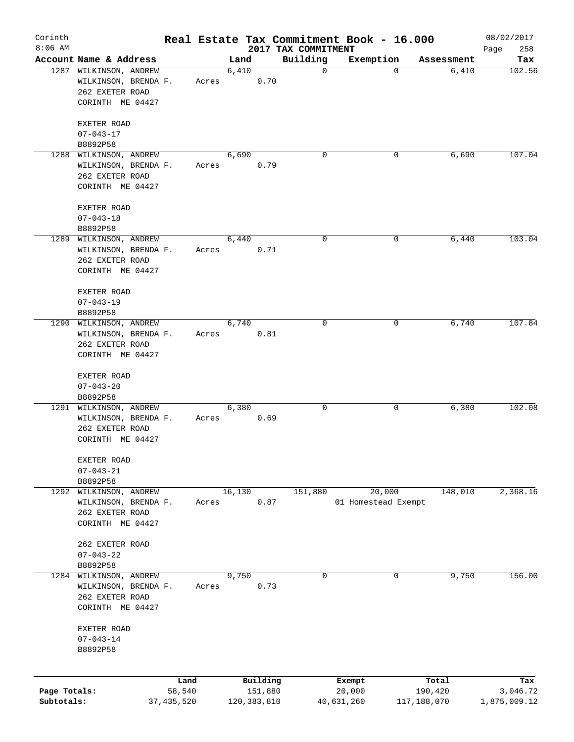| Corinth<br>$8:06$ AM       |                                                                                       |                      |       |        |                          | 2017 TAX COMMITMENT | Real Estate Tax Commitment Book - 16.000 |                        |            | 08/02/2017<br>258<br>Page |
|----------------------------|---------------------------------------------------------------------------------------|----------------------|-------|--------|--------------------------|---------------------|------------------------------------------|------------------------|------------|---------------------------|
|                            | Account Name & Address                                                                |                      |       | Land   |                          | Building            | Exemption                                |                        | Assessment | Tax                       |
|                            | 1287 WILKINSON, ANDREW<br>WILKINSON, BRENDA F.<br>262 EXETER ROAD<br>CORINTH ME 04427 |                      | Acres | 6,410  | 0.70                     | $\mathbf 0$         |                                          | 0                      | 6,410      | 102.56                    |
|                            | EXETER ROAD<br>$07 - 043 - 17$                                                        |                      |       |        |                          |                     |                                          |                        |            |                           |
|                            | B8892P58                                                                              |                      |       |        |                          |                     |                                          |                        |            |                           |
|                            | 1288 WILKINSON, ANDREW<br>WILKINSON, BRENDA F.<br>262 EXETER ROAD<br>CORINTH ME 04427 |                      | Acres | 6,690  | 0.79                     | 0                   |                                          | 0                      | 6,690      | 107.04                    |
|                            | EXETER ROAD<br>$07 - 043 - 18$                                                        |                      |       |        |                          |                     |                                          |                        |            |                           |
|                            | B8892P58<br>1289 WILKINSON, ANDREW                                                    |                      |       | 6,440  |                          | 0                   |                                          | 0                      | 6,440      | 103.04                    |
|                            | WILKINSON, BRENDA F.<br>262 EXETER ROAD<br>CORINTH ME 04427                           |                      | Acres |        | 0.71                     |                     |                                          |                        |            |                           |
|                            | EXETER ROAD<br>$07 - 043 - 19$<br>B8892P58                                            |                      |       |        |                          |                     |                                          |                        |            |                           |
|                            | 1290 WILKINSON, ANDREW                                                                |                      |       | 6,740  |                          | 0                   |                                          | 0                      | 6,740      | 107.84                    |
|                            | WILKINSON, BRENDA F.<br>262 EXETER ROAD                                               |                      | Acres |        | 0.81                     |                     |                                          |                        |            |                           |
|                            | CORINTH ME 04427<br>EXETER ROAD                                                       |                      |       |        |                          |                     |                                          |                        |            |                           |
|                            | $07 - 043 - 20$<br>B8892P58                                                           |                      |       |        |                          |                     |                                          |                        |            |                           |
|                            | 1291 WILKINSON, ANDREW                                                                |                      |       | 6,380  |                          | 0                   |                                          | 0                      | 6,380      | 102.08                    |
|                            | WILKINSON, BRENDA F.<br>262 EXETER ROAD<br>CORINTH ME 04427                           |                      | Acres |        | 0.69                     |                     |                                          |                        |            |                           |
|                            | EXETER ROAD<br>$07 - 043 - 21$                                                        |                      |       |        |                          |                     |                                          |                        |            |                           |
|                            | B8892P58                                                                              |                      |       |        |                          |                     |                                          |                        |            |                           |
| 1292                       | WILKINSON, ANDREW<br>WILKINSON, BRENDA F.<br>262 EXETER ROAD<br>CORINTH ME 04427      |                      | Acres | 16,130 | 0.87                     | 151,880             | 20,000<br>01 Homestead Exempt            |                        | 148,010    | 2,368.16                  |
|                            | 262 EXETER ROAD<br>$07 - 043 - 22$                                                    |                      |       |        |                          |                     |                                          |                        |            |                           |
|                            | B8892P58                                                                              |                      |       |        |                          |                     |                                          |                        |            |                           |
| 1284                       | WILKINSON, ANDREW<br>WILKINSON, BRENDA F.<br>262 EXETER ROAD<br>CORINTH ME 04427      |                      | Acres | 9,750  | 0.73                     | 0                   |                                          | 0                      | 9,750      | 156.00                    |
|                            | EXETER ROAD<br>$07 - 043 - 14$<br>B8892P58                                            |                      |       |        |                          |                     |                                          |                        |            |                           |
|                            |                                                                                       | Land                 |       |        | Building                 |                     | Exempt                                   |                        | Total      | Tax                       |
| Page Totals:<br>Subtotals: |                                                                                       | 58,540<br>37,435,520 |       |        | 151,880<br>120, 383, 810 |                     | 20,000<br>40,631,260                     | 190,420<br>117,188,070 |            | 3,046.72<br>1,875,009.12  |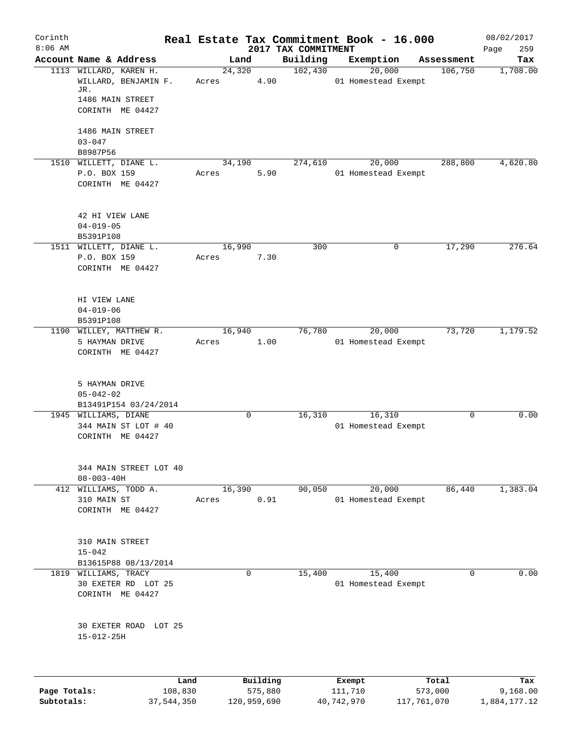| Corinth      |                                             |         |       |             |          | Real Estate Tax Commitment Book - 16.000 |                     |                     |             | 08/02/2017         |
|--------------|---------------------------------------------|---------|-------|-------------|----------|------------------------------------------|---------------------|---------------------|-------------|--------------------|
| $8:06$ AM    | Account Name & Address                      |         |       | Land        |          | 2017 TAX COMMITMENT<br>Building          | Exemption           |                     | Assessment  | 259<br>Page<br>Tax |
|              | 1113 WILLARD, KAREN H.                      |         |       | 24,320      |          | 102,430                                  |                     | 20,000              | 106,750     | 1,708.00           |
|              | WILLARD, BENJAMIN F.<br>JR.                 |         | Acres |             | 4.90     |                                          | 01 Homestead Exempt |                     |             |                    |
|              | 1486 MAIN STREET                            |         |       |             |          |                                          |                     |                     |             |                    |
|              | CORINTH ME 04427                            |         |       |             |          |                                          |                     |                     |             |                    |
|              | 1486 MAIN STREET                            |         |       |             |          |                                          |                     |                     |             |                    |
|              | $03 - 047$                                  |         |       |             |          |                                          |                     |                     |             |                    |
|              | B8987P56<br>1510 WILLETT, DIANE L.          |         |       | 34,190      |          | 274,610                                  |                     | 20,000              | 288,800     | 4,620.80           |
|              | P.O. BOX 159                                |         | Acres |             | 5.90     |                                          | 01 Homestead Exempt |                     |             |                    |
|              | CORINTH ME 04427                            |         |       |             |          |                                          |                     |                     |             |                    |
|              | 42 HI VIEW LANE                             |         |       |             |          |                                          |                     |                     |             |                    |
|              | $04 - 019 - 05$                             |         |       |             |          |                                          |                     |                     |             |                    |
|              | B5391P108                                   |         |       |             |          |                                          |                     |                     |             |                    |
|              | 1511 WILLETT, DIANE L.<br>P.O. BOX 159      |         | Acres | 16,990      | 7.30     | 300                                      |                     | 0                   | 17,290      | 276.64             |
|              | CORINTH ME 04427                            |         |       |             |          |                                          |                     |                     |             |                    |
|              |                                             |         |       |             |          |                                          |                     |                     |             |                    |
|              | HI VIEW LANE                                |         |       |             |          |                                          |                     |                     |             |                    |
|              | $04 - 019 - 06$                             |         |       |             |          |                                          |                     |                     |             |                    |
|              | B5391P108<br>1190 WILLEY, MATTHEW R.        |         |       | 16,940      |          | 76,780                                   |                     | 20,000              | 73,720      | 1,179.52           |
|              | 5 HAYMAN DRIVE                              |         | Acres |             | 1.00     |                                          | 01 Homestead Exempt |                     |             |                    |
|              | CORINTH ME 04427                            |         |       |             |          |                                          |                     |                     |             |                    |
|              | 5 HAYMAN DRIVE                              |         |       |             |          |                                          |                     |                     |             |                    |
|              | $05 - 042 - 02$                             |         |       |             |          |                                          |                     |                     |             |                    |
|              | B13491P154 03/24/2014                       |         |       |             |          |                                          |                     |                     |             |                    |
|              | 1945 WILLIAMS, DIANE                        |         |       | 0           |          | 16,310                                   |                     | 16,310              | $\mathbf 0$ | 0.00               |
|              | 344 MAIN ST LOT # 40<br>CORINTH ME 04427    |         |       |             |          |                                          | 01 Homestead Exempt |                     |             |                    |
|              |                                             |         |       |             |          |                                          |                     |                     |             |                    |
|              | 344 MAIN STREET LOT 40<br>$08 - 003 - 40H$  |         |       |             |          |                                          |                     |                     |             |                    |
|              | 412 WILLIAMS, TODD A.                       |         |       | 16,390      |          | 90,050                                   |                     | 20,000              | 86,440      | 1,383.04           |
|              | 310 MAIN ST                                 |         | Acres |             | 0.91     |                                          |                     | 01 Homestead Exempt |             |                    |
|              | CORINTH ME 04427                            |         |       |             |          |                                          |                     |                     |             |                    |
|              | 310 MAIN STREET                             |         |       |             |          |                                          |                     |                     |             |                    |
|              | $15 - 042$                                  |         |       |             |          |                                          |                     |                     |             |                    |
|              | B13615P88 08/13/2014                        |         |       |             |          |                                          |                     |                     |             |                    |
|              | 1819 WILLIAMS, TRACY<br>30 EXETER RD LOT 25 |         |       | $\mathbf 0$ |          | 15,400                                   | 01 Homestead Exempt | 15,400              | $\Omega$    | 0.00               |
|              | CORINTH ME 04427                            |         |       |             |          |                                          |                     |                     |             |                    |
|              | 30 EXETER ROAD LOT 25                       |         |       |             |          |                                          |                     |                     |             |                    |
|              | $15 - 012 - 25H$                            |         |       |             |          |                                          |                     |                     |             |                    |
|              |                                             |         |       |             |          |                                          |                     |                     |             |                    |
|              |                                             | Land    |       |             | Building |                                          | Exempt              |                     | Total       | Tax                |
| Page Totals: |                                             | 108,830 |       |             | 575,880  |                                          | 111,710             |                     | 573,000     | 9,168.00           |

**Subtotals:** 37,544,350 120,959,690 40,742,970 117,761,070 1,884,177.12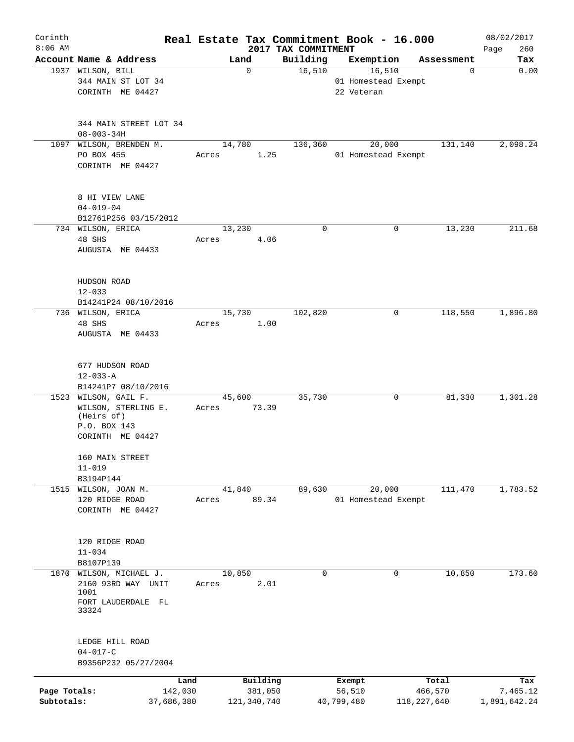| Corinth<br>$8:06$ AM |                                                           | Real Estate Tax Commitment Book - 16.000 |                                 |                     |               | 08/02/2017         |
|----------------------|-----------------------------------------------------------|------------------------------------------|---------------------------------|---------------------|---------------|--------------------|
|                      | Account Name & Address                                    | Land                                     | 2017 TAX COMMITMENT<br>Building | Exemption           | Assessment    | 260<br>Page<br>Tax |
|                      | 1937 WILSON, BILL                                         | $\mathbf 0$                              | 16,510                          | 16,510              | 0             | 0.00               |
|                      | 344 MAIN ST LOT 34                                        |                                          |                                 | 01 Homestead Exempt |               |                    |
|                      | CORINTH ME 04427                                          |                                          |                                 | 22 Veteran          |               |                    |
|                      | 344 MAIN STREET LOT 34                                    |                                          |                                 |                     |               |                    |
|                      | $08 - 003 - 34H$                                          |                                          |                                 |                     |               |                    |
| 1097                 | WILSON, BRENDEN M.                                        | 14,780                                   | 136,360                         | 20,000              | 131,140       | 2,098.24           |
|                      | PO BOX 455<br>CORINTH ME 04427                            | Acres<br>1.25                            |                                 | 01 Homestead Exempt |               |                    |
|                      | 8 HI VIEW LANE                                            |                                          |                                 |                     |               |                    |
|                      | $04 - 019 - 04$                                           |                                          |                                 |                     |               |                    |
|                      | B12761P256 03/15/2012<br>734 WILSON, ERICA                | 13,230                                   | $\mathbf 0$                     | 0                   | 13,230        | 211.68             |
|                      | 48 SHS                                                    | 4.06<br>Acres                            |                                 |                     |               |                    |
|                      | AUGUSTA ME 04433                                          |                                          |                                 |                     |               |                    |
|                      | HUDSON ROAD                                               |                                          |                                 |                     |               |                    |
|                      | $12 - 033$                                                |                                          |                                 |                     |               |                    |
|                      | B14241P24 08/10/2016                                      |                                          |                                 |                     |               |                    |
|                      | 736 WILSON, ERICA<br>48 SHS                               | 15,730<br>1.00<br>Acres                  | 102,820                         | 0                   | 118,550       | 1,896.80           |
|                      | AUGUSTA ME 04433                                          |                                          |                                 |                     |               |                    |
|                      | 677 HUDSON ROAD                                           |                                          |                                 |                     |               |                    |
|                      | $12 - 033 - A$                                            |                                          |                                 |                     |               |                    |
|                      | B14241P7 08/10/2016                                       |                                          |                                 |                     |               |                    |
|                      | 1523 WILSON, GAIL F.<br>WILSON, STERLING E.<br>(Heirs of) | 45,600<br>73.39<br>Acres                 | 35,730                          | 0                   | 81,330        | 1,301.28           |
|                      | P.O. BOX 143                                              |                                          |                                 |                     |               |                    |
|                      | CORINTH ME 04427                                          |                                          |                                 |                     |               |                    |
|                      | 160 MAIN STREET<br>$11 - 019$                             |                                          |                                 |                     |               |                    |
|                      | B3194P144                                                 |                                          |                                 |                     |               |                    |
|                      | 1515 WILSON, JOAN M.                                      | 41,840                                   | 89,630                          | 20,000              | 111,470       | 1,783.52           |
|                      | 120 RIDGE ROAD<br>CORINTH ME 04427                        | 89.34<br>Acres                           |                                 | 01 Homestead Exempt |               |                    |
|                      | 120 RIDGE ROAD                                            |                                          |                                 |                     |               |                    |
|                      | $11 - 034$<br>B8107P139                                   |                                          |                                 |                     |               |                    |
|                      | 1870 WILSON, MICHAEL J.                                   | 10,850                                   | 0                               | 0                   | 10,850        | 173.60             |
|                      | 2160 93RD WAY UNIT<br>1001                                | 2.01<br>Acres                            |                                 |                     |               |                    |
|                      | FORT LAUDERDALE FL<br>33324                               |                                          |                                 |                     |               |                    |
|                      | LEDGE HILL ROAD                                           |                                          |                                 |                     |               |                    |
|                      | $04 - 017 - C$<br>B9356P232 05/27/2004                    |                                          |                                 |                     |               |                    |
|                      |                                                           |                                          |                                 |                     |               |                    |
|                      |                                                           | Building<br>Land                         |                                 | Exempt              | Total         | Tax                |
| Page Totals:         | 142,030                                                   | 381,050                                  |                                 | 56,510              | 466,570       | 7,465.12           |
| Subtotals:           | 37,686,380                                                | 121,340,740                              |                                 | 40,799,480          | 118, 227, 640 | 1,891,642.24       |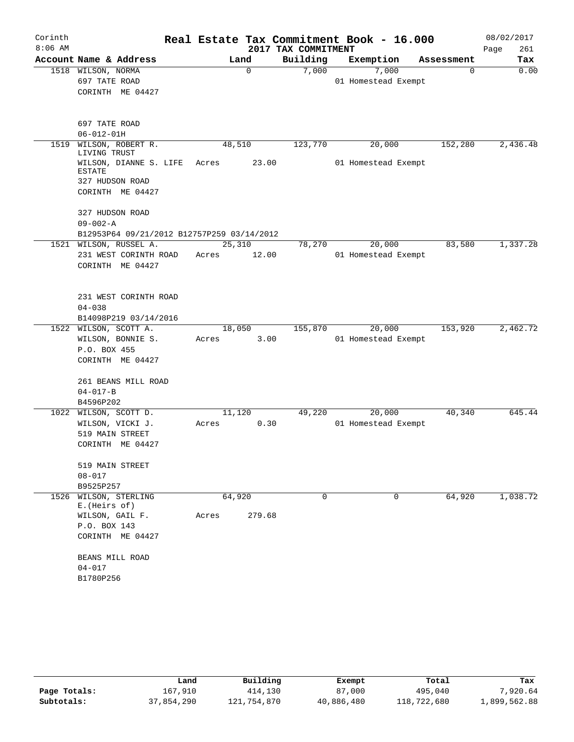| Corinth   |                                                                      |                 |                     | Real Estate Tax Commitment Book - 16.000 |            | 08/02/2017  |
|-----------|----------------------------------------------------------------------|-----------------|---------------------|------------------------------------------|------------|-------------|
| $8:06$ AM |                                                                      |                 | 2017 TAX COMMITMENT |                                          |            | Page<br>261 |
|           | Account Name & Address                                               | Land            | Building            | Exemption                                | Assessment | Tax         |
|           | 1518 WILSON, NORMA                                                   | $\mathbf 0$     | 7,000               | 7,000                                    | 0          | 0.00        |
|           | 697 TATE ROAD<br>CORINTH ME 04427                                    |                 |                     | 01 Homestead Exempt                      |            |             |
|           |                                                                      |                 |                     |                                          |            |             |
|           | 697 TATE ROAD                                                        |                 |                     |                                          |            |             |
|           | $06 - 012 - 01H$                                                     |                 |                     |                                          |            |             |
| 1519      | WILSON, ROBERT R.<br>LIVING TRUST                                    | 48,510          | 123,770             | 20,000                                   | 152,280    | 2,436.48    |
|           | WILSON, DIANNE S. LIFE<br><b>ESTATE</b>                              | 23.00<br>Acres  |                     | 01 Homestead Exempt                      |            |             |
|           | 327 HUDSON ROAD                                                      |                 |                     |                                          |            |             |
|           | CORINTH ME 04427                                                     |                 |                     |                                          |            |             |
|           | 327 HUDSON ROAD                                                      |                 |                     |                                          |            |             |
|           | $09 - 002 - A$                                                       |                 |                     |                                          |            |             |
|           | B12953P64 09/21/2012 B12757P259 03/14/2012<br>1521 WILSON, RUSSEL A. | 25,310          | 78,270              | 20,000                                   | 83,580     | 1,337.28    |
|           | 231 WEST CORINTH ROAD                                                | 12.00<br>Acres  |                     | 01 Homestead Exempt                      |            |             |
|           | CORINTH ME 04427                                                     |                 |                     |                                          |            |             |
|           | 231 WEST CORINTH ROAD                                                |                 |                     |                                          |            |             |
|           | $04 - 038$                                                           |                 |                     |                                          |            |             |
|           | B14098P219 03/14/2016                                                |                 |                     |                                          |            |             |
|           | 1522 WILSON, SCOTT A.                                                | 18,050          | 155,870             | 20,000                                   | 153,920    | 2,462.72    |
|           | WILSON, BONNIE S.                                                    | 3.00<br>Acres   |                     | 01 Homestead Exempt                      |            |             |
|           | P.O. BOX 455                                                         |                 |                     |                                          |            |             |
|           | CORINTH ME 04427                                                     |                 |                     |                                          |            |             |
|           | 261 BEANS MILL ROAD                                                  |                 |                     |                                          |            |             |
|           | $04 - 017 - B$                                                       |                 |                     |                                          |            |             |
|           | B4596P202                                                            |                 |                     |                                          |            |             |
|           | 1022 WILSON, SCOTT D.                                                | 11,120          | 49,220              | 20,000                                   | 40,340     | 645.44      |
|           | WILSON, VICKI J.                                                     | 0.30<br>Acres   |                     | 01 Homestead Exempt                      |            |             |
|           | 519 MAIN STREET                                                      |                 |                     |                                          |            |             |
|           | CORINTH ME 04427                                                     |                 |                     |                                          |            |             |
|           | 519 MAIN STREET                                                      |                 |                     |                                          |            |             |
|           | $08 - 017$                                                           |                 |                     |                                          |            |             |
|           | B9525P257                                                            |                 |                     |                                          |            |             |
| 1526      | WILSON, STERLING<br>E. (Heirs of)                                    | 64,920          | $\Omega$            | 0                                        | 64,920     | 1,038.72    |
|           | WILSON, GAIL F.                                                      | 279.68<br>Acres |                     |                                          |            |             |
|           | P.O. BOX 143                                                         |                 |                     |                                          |            |             |
|           | CORINTH ME 04427                                                     |                 |                     |                                          |            |             |
|           | BEANS MILL ROAD                                                      |                 |                     |                                          |            |             |
|           | $04 - 017$                                                           |                 |                     |                                          |            |             |
|           | B1780P256                                                            |                 |                     |                                          |            |             |

|              | Land       | Building    | Exempt     | Total       | Tax          |
|--------------|------------|-------------|------------|-------------|--------------|
| Page Totals: | 167,910    | 414,130     | 87,000     | 495,040     | 7,920.64     |
| Subtotals:   | 37,854,290 | 121,754,870 | 40,886,480 | 118,722,680 | 1,899,562.88 |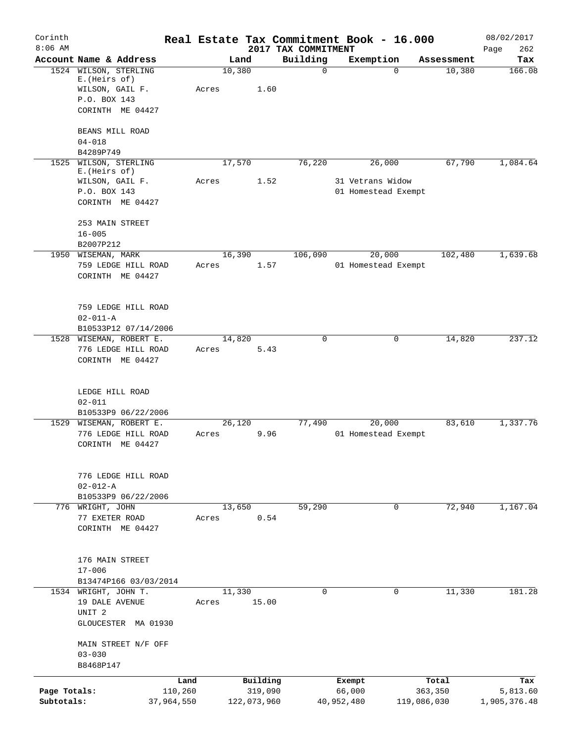| Corinth      |                                          |            |       |        |             |                                 | Real Estate Tax Commitment Book - 16.000 |                      | 08/02/2017         |
|--------------|------------------------------------------|------------|-------|--------|-------------|---------------------------------|------------------------------------------|----------------------|--------------------|
| $8:06$ AM    | Account Name & Address                   |            |       | Land   |             | 2017 TAX COMMITMENT<br>Building | Exemption                                |                      | 262<br>Page<br>Tax |
| 1524         | WILSON, STERLING                         |            |       | 10,380 |             | $\mathbf 0$                     | $\Omega$                                 | Assessment<br>10,380 | 166.08             |
|              | E. (Heirs of)<br>WILSON, GAIL F.         |            | Acres |        | 1.60        |                                 |                                          |                      |                    |
|              | P.O. BOX 143                             |            |       |        |             |                                 |                                          |                      |                    |
|              | CORINTH ME 04427                         |            |       |        |             |                                 |                                          |                      |                    |
|              | BEANS MILL ROAD                          |            |       |        |             |                                 |                                          |                      |                    |
|              | $04 - 018$                               |            |       |        |             |                                 |                                          |                      |                    |
|              | B4289P749<br>1525 WILSON, STERLING       |            |       | 17,570 |             | 76,220                          | 26,000                                   | 67,790               | 1,084.64           |
|              | E. (Heirs of)                            |            |       |        |             |                                 |                                          |                      |                    |
|              | WILSON, GAIL F.<br>P.O. BOX 143          |            | Acres |        | 1.52        |                                 | 31 Vetrans Widow<br>01 Homestead Exempt  |                      |                    |
|              | CORINTH ME 04427                         |            |       |        |             |                                 |                                          |                      |                    |
|              |                                          |            |       |        |             |                                 |                                          |                      |                    |
|              | 253 MAIN STREET<br>$16 - 005$            |            |       |        |             |                                 |                                          |                      |                    |
|              | B2007P212                                |            |       |        |             |                                 |                                          |                      |                    |
|              | 1950 WISEMAN, MARK                       |            |       | 16,390 |             | 106,090                         | 20,000                                   | 102,480              | 1,639.68           |
|              | 759 LEDGE HILL ROAD                      |            | Acres |        | 1.57        |                                 | 01 Homestead Exempt                      |                      |                    |
|              | CORINTH ME 04427                         |            |       |        |             |                                 |                                          |                      |                    |
|              |                                          |            |       |        |             |                                 |                                          |                      |                    |
|              | 759 LEDGE HILL ROAD<br>$02 - 011 - A$    |            |       |        |             |                                 |                                          |                      |                    |
|              | B10533P12 07/14/2006                     |            |       |        |             |                                 |                                          |                      |                    |
|              | 1528 WISEMAN, ROBERT E.                  |            |       | 14,820 |             | 0                               | 0                                        | 14,820               | 237.12             |
|              | 776 LEDGE HILL ROAD<br>CORINTH ME 04427  |            | Acres |        | 5.43        |                                 |                                          |                      |                    |
|              | LEDGE HILL ROAD<br>$02 - 011$            |            |       |        |             |                                 |                                          |                      |                    |
|              | B10533P9 06/22/2006                      |            |       |        |             |                                 |                                          |                      |                    |
|              | 1529 WISEMAN, ROBERT E.                  |            |       | 26,120 |             | 77,490                          | 20,000                                   | 83,610               | 1,337.76           |
|              | 776 LEDGE HILL ROAD<br>CORINTH ME 04427  |            | Acres |        | 9.96        |                                 | 01 Homestead Exempt                      |                      |                    |
|              | 776 LEDGE HILL ROAD                      |            |       |        |             |                                 |                                          |                      |                    |
|              | $02 - 012 - A$                           |            |       |        |             |                                 |                                          |                      |                    |
|              | B10533P9 06/22/2006<br>776 WRIGHT, JOHN  |            |       | 13,650 |             | 59,290                          | $\mathbf 0$                              | 72,940               | 1,167.04           |
|              | 77 EXETER ROAD                           |            | Acres |        | 0.54        |                                 |                                          |                      |                    |
|              | CORINTH ME 04427                         |            |       |        |             |                                 |                                          |                      |                    |
|              |                                          |            |       |        |             |                                 |                                          |                      |                    |
|              | 176 MAIN STREET<br>$17 - 006$            |            |       |        |             |                                 |                                          |                      |                    |
|              | B13474P166 03/03/2014                    |            |       |        |             |                                 |                                          |                      |                    |
|              | 1534 WRIGHT, JOHN T.                     |            |       | 11,330 |             | 0                               | 0                                        | 11,330               | 181.28             |
|              | 19 DALE AVENUE                           |            | Acres |        | 15.00       |                                 |                                          |                      |                    |
|              | UNIT <sub>2</sub><br>GLOUCESTER MA 01930 |            |       |        |             |                                 |                                          |                      |                    |
|              |                                          |            |       |        |             |                                 |                                          |                      |                    |
|              | MAIN STREET N/F OFF                      |            |       |        |             |                                 |                                          |                      |                    |
|              | $03 - 030$<br>B8468P147                  |            |       |        |             |                                 |                                          |                      |                    |
|              |                                          | Land       |       |        | Building    |                                 | Exempt                                   | Total                | Tax                |
| Page Totals: |                                          | 110,260    |       |        | 319,090     |                                 | 66,000                                   | 363,350              | 5,813.60           |
| Subtotals:   |                                          | 37,964,550 |       |        | 122,073,960 |                                 | 40,952,480                               | 119,086,030          | 1,905,376.48       |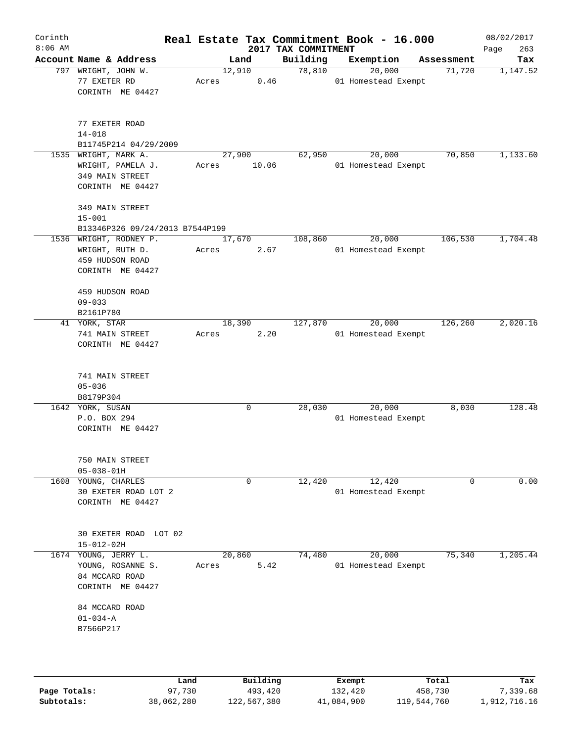| Corinth<br>$8:06$ AM |                                                                                  |       |          | 2017 TAX COMMITMENT |          | Real Estate Tax Commitment Book - 16.000 |            | 08/02/2017<br>263<br>Page |
|----------------------|----------------------------------------------------------------------------------|-------|----------|---------------------|----------|------------------------------------------|------------|---------------------------|
|                      | Account Name & Address                                                           |       | Land     |                     | Building | Exemption                                | Assessment | Tax                       |
|                      | 797 WRIGHT, JOHN W.<br>77 EXETER RD<br>CORINTH ME 04427                          | Acres | 12,910   | 0.46                | 78,810   | 20,000<br>01 Homestead Exempt            | 71,720     | 1,147.52                  |
|                      | 77 EXETER ROAD<br>$14 - 018$<br>B11745P214 04/29/2009                            |       |          |                     |          |                                          |            |                           |
|                      | 1535 WRIGHT, MARK A.<br>WRIGHT, PAMELA J.<br>349 MAIN STREET<br>CORINTH ME 04427 | Acres | 27,900   | 10.06               | 62,950   | 20,000<br>01 Homestead Exempt            | 70,850     | 1,133.60                  |
|                      | 349 MAIN STREET<br>$15 - 001$<br>B13346P326 09/24/2013 B7544P199                 |       |          |                     |          |                                          |            |                           |
|                      | 1536 WRIGHT, RODNEY P.<br>WRIGHT, RUTH D.<br>459 HUDSON ROAD<br>CORINTH ME 04427 | Acres | 17,670   | 2.67                | 108,860  | 20,000<br>01 Homestead Exempt            | 106,530    | 1,704.48                  |
|                      | 459 HUDSON ROAD<br>$09 - 033$<br>B2161P780                                       |       |          |                     |          |                                          |            |                           |
|                      | 41 YORK, STAR<br>741 MAIN STREET<br>CORINTH ME 04427                             | Acres | 18,390   | 2.20                | 127,870  | 20,000<br>01 Homestead Exempt            | 126,260    | 2,020.16                  |
|                      | 741 MAIN STREET<br>$05 - 036$<br>B8179P304                                       |       |          |                     |          |                                          |            |                           |
|                      | 1642 YORK, SUSAN<br>P.O. BOX 294<br>CORINTH ME 04427                             |       | 0        |                     | 28,030   | 20,000<br>01 Homestead Exempt            | 8,030      | 128.48                    |
|                      | 750 MAIN STREET<br>$05 - 038 - 01H$                                              |       |          |                     |          |                                          |            |                           |
|                      | 1608 YOUNG, CHARLES<br>30 EXETER ROAD LOT 2<br>CORINTH ME 04427                  |       | 0        |                     | 12,420   | 12,420<br>01 Homestead Exempt            | 0          | 0.00                      |
|                      | 30 EXETER ROAD LOT 02<br>$15 - 012 - 02H$                                        |       |          |                     |          |                                          |            |                           |
|                      | 1674 YOUNG, JERRY L.<br>YOUNG, ROSANNE S.<br>84 MCCARD ROAD<br>CORINTH ME 04427  | Acres | 20,860   | 5.42                | 74,480   | 20,000<br>01 Homestead Exempt            | 75,340     | 1,205.44                  |
|                      | 84 MCCARD ROAD<br>$01 - 034 - A$<br>B7566P217                                    |       |          |                     |          |                                          |            |                           |
|                      |                                                                                  | Land  | Building |                     |          | Exempt                                   | Total      | Tax                       |

|              | Land       | Building    | Exempt     | Total       | Tax          |
|--------------|------------|-------------|------------|-------------|--------------|
| Page Totals: | 97,730     | 493,420     | 132,420    | 458,730     | 7,339.68     |
| Subtotals:   | 38,062,280 | 122,567,380 | 41,084,900 | 119,544,760 | 1,912,716.16 |